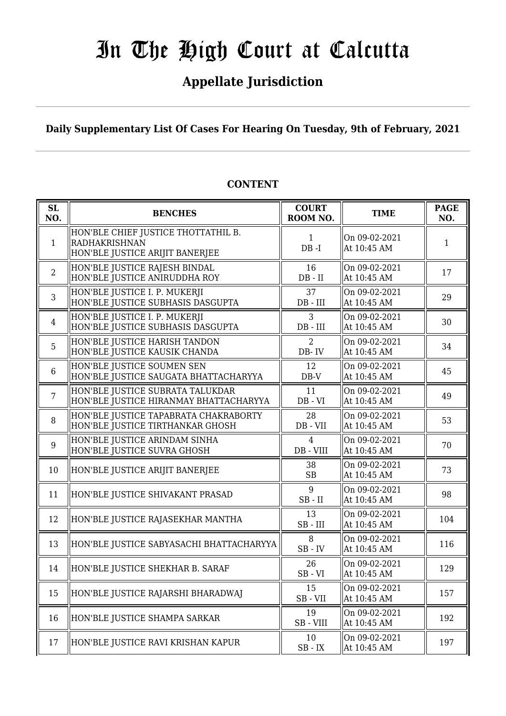## **Appellate Jurisdiction**

**Daily Supplementary List Of Cases For Hearing On Tuesday, 9th of February, 2021**

| SL<br>NO.      | <b>BENCHES</b>                                                                          | <b>COURT</b><br>ROOM NO.                                      | <b>TIME</b>                  | <b>PAGE</b><br>NO. |
|----------------|-----------------------------------------------------------------------------------------|---------------------------------------------------------------|------------------------------|--------------------|
| $\mathbf{1}$   | HON'BLE CHIEF JUSTICE THOTTATHIL B.<br>RADHAKRISHNAN<br>HON'BLE JUSTICE ARIJIT BANERJEE | $\mathbf{1}$<br>$DB - I$                                      | On 09-02-2021<br>At 10:45 AM | 1                  |
| $\overline{2}$ | HON'BLE JUSTICE RAJESH BINDAL<br>HON'BLE JUSTICE ANIRUDDHA ROY                          | 16<br>$DB - II$                                               | On 09-02-2021<br>At 10:45 AM | 17                 |
| 3              | HON'BLE JUSTICE I. P. MUKERJI<br>HON'BLE JUSTICE SUBHASIS DASGUPTA                      | 37<br>$DB$ - $III$                                            | On 09-02-2021<br>At 10:45 AM | 29                 |
| $\overline{4}$ | HON'BLE JUSTICE I. P. MUKERJI<br>HON'BLE JUSTICE SUBHASIS DASGUPTA                      | 3<br>$DB$ - $III$                                             | On 09-02-2021<br>At 10:45 AM | 30                 |
| 5              | HON'BLE JUSTICE HARISH TANDON<br>HON'BLE JUSTICE KAUSIK CHANDA                          | 2<br>DB-IV                                                    | On 09-02-2021<br>At 10:45 AM | 34                 |
| 6              | HON'BLE JUSTICE SOUMEN SEN<br>HON'BLE JUSTICE SAUGATA BHATTACHARYYA                     | 12<br>$DB-V$                                                  | On 09-02-2021<br>At 10:45 AM | 45                 |
| $7\phantom{.}$ | HON'BLE JUSTICE SUBRATA TALUKDAR<br>HON'BLE JUSTICE HIRANMAY BHATTACHARYYA              | 11<br>$DB - VI$                                               | On 09-02-2021<br>At 10:45 AM | 49                 |
| 8              | HON'BLE JUSTICE TAPABRATA CHAKRABORTY<br>HON'BLE JUSTICE TIRTHANKAR GHOSH               | 28<br>DB - VII                                                | On 09-02-2021<br>At 10:45 AM | 53                 |
| 9              | HON'BLE JUSTICE ARINDAM SINHA<br>HON'BLE JUSTICE SUVRA GHOSH                            | $\overline{4}$<br>DB - VIII                                   | On 09-02-2021<br>At 10:45 AM | 70                 |
| 10             | HON'BLE JUSTICE ARIJIT BANERJEE                                                         | 38<br>SB                                                      | On 09-02-2021<br>At 10:45 AM | 73                 |
| 11             | HON'BLE JUSTICE SHIVAKANT PRASAD                                                        | 9<br>$SB$ - $II$                                              | On 09-02-2021<br>At 10:45 AM | 98                 |
| 12             | HON'BLE JUSTICE RAJASEKHAR MANTHA                                                       | 13<br>$SB$ - $III$                                            | On 09-02-2021<br>At 10:45 AM | 104                |
| 13             | HON'BLE JUSTICE SABYASACHI BHATTACHARYYA                                                | 8<br>$SB$ - $IV$                                              | On 09-02-2021<br>At 10:45 AM | 116                |
| 14             | HON'BLE JUSTICE SHEKHAR B. SARAF                                                        | 26<br>$SB - VI$                                               | On 09-02-2021<br>At 10:45 AM | 129                |
| 15             | HON'BLE JUSTICE RAJARSHI BHARADWAJ                                                      | 15<br>SB-VII                                                  | On 09-02-2021<br>At 10:45 AM | 157                |
| 16             | HON'BLE JUSTICE SHAMPA SARKAR                                                           | 19<br>SB-VIII                                                 | On 09-02-2021<br>At 10:45 AM | 192                |
| 17             | HON'BLE JUSTICE RAVI KRISHAN KAPUR                                                      | 10<br>$\ensuremath{\mathsf{SB}}$ - $\ensuremath{\mathsf{IX}}$ | On 09-02-2021<br>At 10:45 AM | 197                |

#### **CONTENT**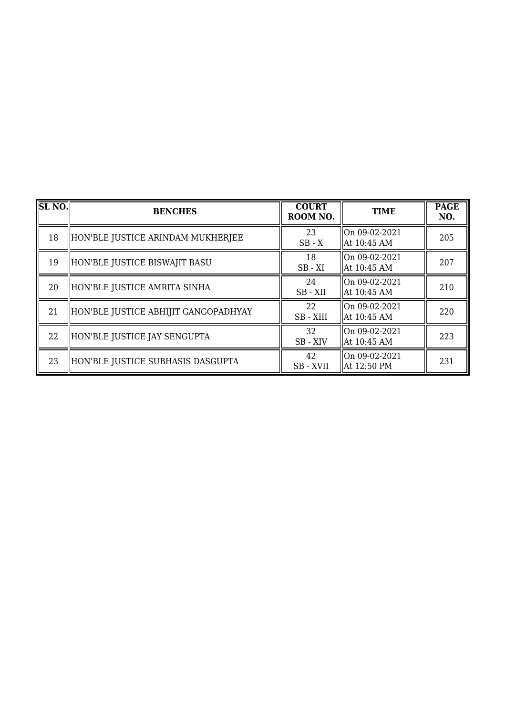| SLNO | <b>BENCHES</b>                       | <b>COURT</b><br>ROOM NO. | <b>TIME</b>                    | <b>PAGE</b><br>NO. |
|------|--------------------------------------|--------------------------|--------------------------------|--------------------|
| 18   | HON'BLE JUSTICE ARINDAM MUKHERJEE    | 23<br>$SB - X$           | On 09-02-2021<br>  At 10:45 AM | 205                |
| 19   | HON'BLE JUSTICE BISWAJIT BASU        | 18<br>$SB - XI$          | On 09-02-2021<br>  At 10:45 AM | 207                |
| 20   | HON'BLE JUSTICE AMRITA SINHA         | 24<br>SB-XII             | On 09-02-2021<br>  At 10:45 AM | 210                |
| 21   | HON'BLE JUSTICE ABHIJIT GANGOPADHYAY | 22<br>SB - XIII          | On 09-02-2021<br>  At 10:45 AM | 220                |
| 22   | HON'BLE JUSTICE JAY SENGUPTA         | 32<br>SB - XIV           | On 09-02-2021<br>  At 10:45 AM | 223                |
| 23   | HON'BLE JUSTICE SUBHASIS DASGUPTA    | 42<br>SB - XVII          | On 09-02-2021<br>  At 12:50 PM | 231                |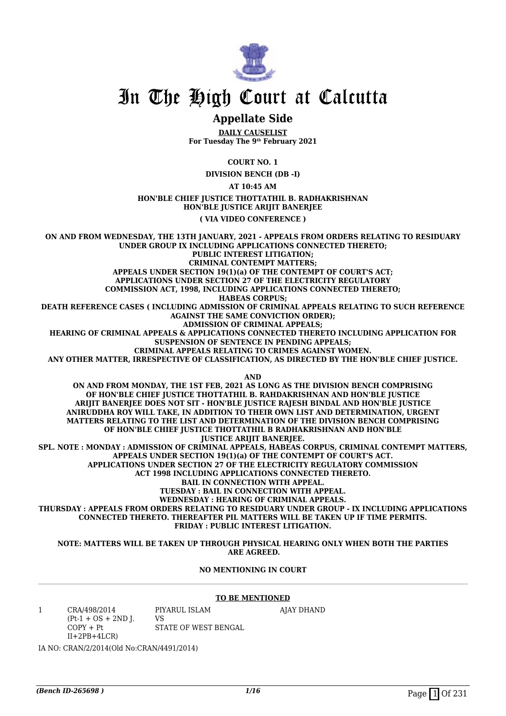

#### **Appellate Side**

**DAILY CAUSELIST For Tuesday The 9th February 2021**

**COURT NO. 1**

**DIVISION BENCH (DB -I)**

**AT 10:45 AM**

#### **HON'BLE CHIEF JUSTICE THOTTATHIL B. RADHAKRISHNAN HON'BLE JUSTICE ARIJIT BANERJEE**

**( VIA VIDEO CONFERENCE )**

**ON AND FROM WEDNESDAY, THE 13TH JANUARY, 2021 - APPEALS FROM ORDERS RELATING TO RESIDUARY UNDER GROUP IX INCLUDING APPLICATIONS CONNECTED THERETO; PUBLIC INTEREST LITIGATION; CRIMINAL CONTEMPT MATTERS; APPEALS UNDER SECTION 19(1)(a) OF THE CONTEMPT OF COURT'S ACT; APPLICATIONS UNDER SECTION 27 OF THE ELECTRICITY REGULATORY COMMISSION ACT, 1998, INCLUDING APPLICATIONS CONNECTED THERETO; HABEAS CORPUS; DEATH REFERENCE CASES ( INCLUDING ADMISSION OF CRIMINAL APPEALS RELATING TO SUCH REFERENCE AGAINST THE SAME CONVICTION ORDER); ADMISSION OF CRIMINAL APPEALS; HEARING OF CRIMINAL APPEALS & APPLICATIONS CONNECTED THERETO INCLUDING APPLICATION FOR SUSPENSION OF SENTENCE IN PENDING APPEALS; CRIMINAL APPEALS RELATING TO CRIMES AGAINST WOMEN. ANY OTHER MATTER, IRRESPECTIVE OF CLASSIFICATION, AS DIRECTED BY THE HON'BLE CHIEF JUSTICE. AND ON AND FROM MONDAY, THE 1ST FEB, 2021 AS LONG AS THE DIVISION BENCH COMPRISING OF HON'BLE CHIEF JUSTICE THOTTATHIL B. RAHDAKRISHNAN AND HON'BLE JUSTICE ARIJIT BANERJEE DOES NOT SIT - HON'BLE JUSTICE RAJESH BINDAL AND HON'BLE JUSTICE ANIRUDDHA ROY WILL TAKE, IN ADDITION TO THEIR OWN LIST AND DETERMINATION, URGENT MATTERS RELATING TO THE LIST AND DETERMINATION OF THE DIVISION BENCH COMPRISING**

**OF HON'BLE CHIEF JUSTICE THOTTATHIL B RADHAKRISHNAN AND HON'BLE JUSTICE ARIJIT BANERJEE. SPL. NOTE : MONDAY : ADMISSION OF CRIMINAL APPEALS, HABEAS CORPUS, CRIMINAL CONTEMPT MATTERS, APPEALS UNDER SECTION 19(1)(a) OF THE CONTEMPT OF COURT'S ACT. APPLICATIONS UNDER SECTION 27 OF THE ELECTRICITY REGULATORY COMMISSION ACT 1998 INCLUDING APPLICATIONS CONNECTED THERETO. BAIL IN CONNECTION WITH APPEAL. TUESDAY : BAIL IN CONNECTION WITH APPEAL. WEDNESDAY : HEARING OF CRIMINAL APPEALS. THURSDAY : APPEALS FROM ORDERS RELATING TO RESIDUARY UNDER GROUP - IX INCLUDING APPLICATIONS CONNECTED THERETO. THEREAFTER PIL MATTERS WILL BE TAKEN UP IF TIME PERMITS. FRIDAY : PUBLIC INTEREST LITIGATION.**

**NOTE: MATTERS WILL BE TAKEN UP THROUGH PHYSICAL HEARING ONLY WHEN BOTH THE PARTIES ARE AGREED.**

#### **NO MENTIONING IN COURT**

#### **TO BE MENTIONED**

1 CRA/498/2014  $(Pt-1 + OS + 2ND$  J.  $COPY + Pt$ II+2PB+4LCR) PIYARUL ISLAM VS STATE OF WEST BENGAL AJAY DHAND

IA NO: CRAN/2/2014(Old No:CRAN/4491/2014)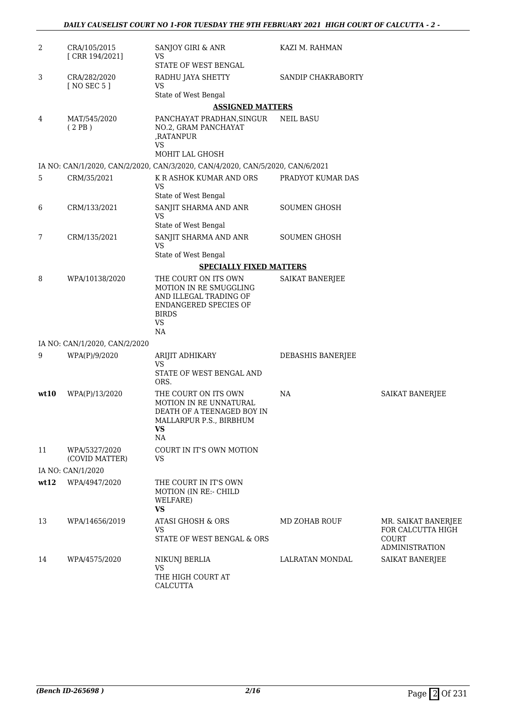| 2    | CRA/105/2015<br>[CRR 194/2021]  | SANJOY GIRI & ANR<br>VS                                                                                                              | KAZI M. RAHMAN      |                                                                            |
|------|---------------------------------|--------------------------------------------------------------------------------------------------------------------------------------|---------------------|----------------------------------------------------------------------------|
|      |                                 | STATE OF WEST BENGAL                                                                                                                 |                     |                                                                            |
| 3    | CRA/282/2020<br>[ NO SEC 5 ]    | RADHU JAYA SHETTY<br><b>VS</b>                                                                                                       | SANDIP CHAKRABORTY  |                                                                            |
|      |                                 | State of West Bengal                                                                                                                 |                     |                                                                            |
|      |                                 | <b>ASSIGNED MATTERS</b>                                                                                                              |                     |                                                                            |
| 4    | MAT/545/2020<br>(2PB)           | PANCHAYAT PRADHAN, SINGUR<br>NO.2, GRAM PANCHAYAT<br>,RATANPUR<br><b>VS</b><br>MOHIT LAL GHOSH                                       | <b>NEIL BASU</b>    |                                                                            |
|      |                                 | IA NO: CAN/1/2020, CAN/2/2020, CAN/3/2020, CAN/4/2020, CAN/5/2020, CAN/6/2021                                                        |                     |                                                                            |
| 5    | CRM/35/2021                     | K R ASHOK KUMAR AND ORS                                                                                                              | PRADYOT KUMAR DAS   |                                                                            |
|      |                                 | <b>VS</b><br>State of West Bengal                                                                                                    |                     |                                                                            |
| 6    | CRM/133/2021                    | SANJIT SHARMA AND ANR<br><b>VS</b><br>State of West Bengal                                                                           | <b>SOUMEN GHOSH</b> |                                                                            |
| 7    | CRM/135/2021                    | SANJIT SHARMA AND ANR<br><b>VS</b>                                                                                                   | <b>SOUMEN GHOSH</b> |                                                                            |
|      |                                 | State of West Bengal                                                                                                                 |                     |                                                                            |
|      |                                 | <b>SPECIALLY FIXED MATTERS</b>                                                                                                       |                     |                                                                            |
| 8    | WPA/10138/2020                  | THE COURT ON ITS OWN<br>MOTION IN RE SMUGGLING<br>AND ILLEGAL TRADING OF<br>ENDANGERED SPECIES OF<br><b>BIRDS</b><br><b>VS</b><br>NA | SAIKAT BANERJEE     |                                                                            |
|      | IA NO: CAN/1/2020, CAN/2/2020   |                                                                                                                                      |                     |                                                                            |
| 9    | WPA(P)/9/2020                   | ARIJIT ADHIKARY<br>VS<br>STATE OF WEST BENGAL AND<br>ORS.                                                                            | DEBASHIS BANERJEE   |                                                                            |
| wt10 | WPA(P)/13/2020                  | THE COURT ON ITS OWN<br>MOTION IN RE UNNATURAL<br>DEATH OF A TEENAGED BOY IN<br>MALLARPUR P.S., BIRBHUM<br><b>VS</b><br>NA           | NA                  | SAIKAT BANERJEE                                                            |
| 11   | WPA/5327/2020<br>(COVID MATTER) | COURT IN IT'S OWN MOTION<br><b>VS</b>                                                                                                |                     |                                                                            |
|      | IA NO: CAN/1/2020               |                                                                                                                                      |                     |                                                                            |
| wt12 | WPA/4947/2020                   | THE COURT IN IT'S OWN<br><b>MOTION (IN RE:- CHILD</b><br>WELFARE)<br><b>VS</b>                                                       |                     |                                                                            |
| 13   | WPA/14656/2019                  | ATASI GHOSH & ORS<br><b>VS</b><br>STATE OF WEST BENGAL & ORS                                                                         | MD ZOHAB ROUF       | MR. SAIKAT BANERJEE<br>FOR CALCUTTA HIGH<br>COURT<br><b>ADMINISTRATION</b> |
| 14   | WPA/4575/2020                   | NIKUNJ BERLIA<br><b>VS</b><br>THE HIGH COURT AT<br>CALCUTTA                                                                          | LALRATAN MONDAL     | SAIKAT BANERJEE                                                            |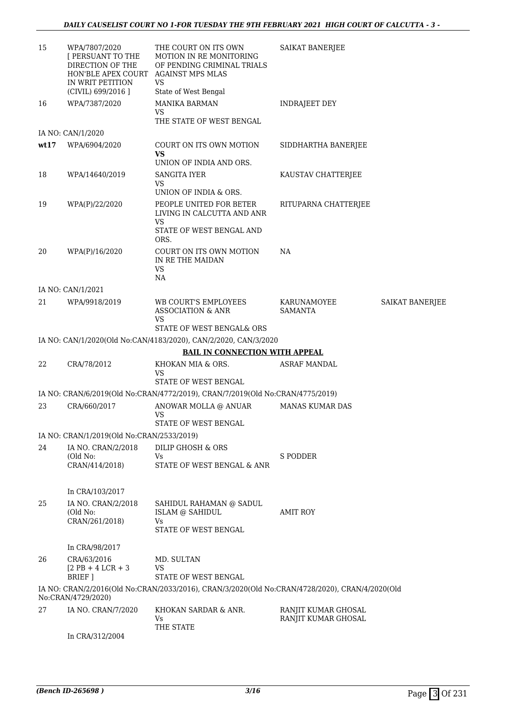| 15   | WPA/7807/2020<br>[ PERSUANT TO THE<br>DIRECTION OF THE<br>HON'BLE APEX COURT<br>IN WRIT PETITION<br>(CIVIL) 699/2016 ] | THE COURT ON ITS OWN<br><b>MOTION IN RE MONITORING</b><br>OF PENDING CRIMINAL TRIALS<br><b>AGAINST MPS MLAS</b><br>VS<br>State of West Bengal | <b>SAIKAT BANERJEE</b>        |                 |
|------|------------------------------------------------------------------------------------------------------------------------|-----------------------------------------------------------------------------------------------------------------------------------------------|-------------------------------|-----------------|
| 16   | WPA/7387/2020                                                                                                          | <b>MANIKA BARMAN</b><br><b>VS</b><br>THE STATE OF WEST BENGAL                                                                                 | <b>INDRAJEET DEY</b>          |                 |
|      | IA NO: CAN/1/2020                                                                                                      |                                                                                                                                               |                               |                 |
| wt17 | WPA/6904/2020                                                                                                          | COURT ON ITS OWN MOTION<br>VS<br>UNION OF INDIA AND ORS.                                                                                      | SIDDHARTHA BANERJEE           |                 |
| 18   | WPA/14640/2019                                                                                                         | <b>SANGITA IYER</b><br><b>VS</b><br>UNION OF INDIA & ORS.                                                                                     | KAUSTAV CHATTERJEE            |                 |
| 19   | WPA(P)/22/2020                                                                                                         | PEOPLE UNITED FOR BETER<br>LIVING IN CALCUTTA AND ANR<br><b>VS</b><br>STATE OF WEST BENGAL AND<br>ORS.                                        | RITUPARNA CHATTERJEE          |                 |
| 20   | WPA(P)/16/2020                                                                                                         | COURT ON ITS OWN MOTION<br>IN RE THE MAIDAN<br><b>VS</b><br>NA                                                                                | NA                            |                 |
|      | IA NO: CAN/1/2021                                                                                                      |                                                                                                                                               |                               |                 |
| 21   | WPA/9918/2019                                                                                                          | WB COURT'S EMPLOYEES<br><b>ASSOCIATION &amp; ANR</b><br>VS<br>STATE OF WEST BENGAL& ORS                                                       | KARUNAMOYEE<br><b>SAMANTA</b> | SAIKAT BANERJEE |
|      |                                                                                                                        | IA NO: CAN/1/2020(Old No:CAN/4183/2020), CAN/2/2020, CAN/3/2020                                                                               |                               |                 |
|      |                                                                                                                        | <b>BAIL IN CONNECTION WITH APPEAL</b>                                                                                                         |                               |                 |
| 22   | CRA/78/2012                                                                                                            | KHOKAN MIA & ORS.<br>VS<br>STATE OF WEST BENGAL                                                                                               | <b>ASRAF MANDAL</b>           |                 |
|      |                                                                                                                        | IA NO: CRAN/6/2019(Old No:CRAN/4772/2019), CRAN/7/2019(Old No:CRAN/4775/2019)                                                                 |                               |                 |
| 23   | CRA/660/2017                                                                                                           | ANOWAR MOLLA @ ANUAR<br>VS<br>STATE OF WEST BENGAL                                                                                            | <b>MANAS KUMAR DAS</b>        |                 |
|      | IA NO: CRAN/1/2019(Old No:CRAN/2533/2019)                                                                              |                                                                                                                                               |                               |                 |
| 24   | IA NO. CRAN/2/2018                                                                                                     | DILIP GHOSH & ORS                                                                                                                             |                               |                 |
|      | (Old No:<br>CRAN/414/2018)                                                                                             | Vs<br>STATE OF WEST BENGAL & ANR                                                                                                              | S PODDER                      |                 |
|      | In CRA/103/2017                                                                                                        |                                                                                                                                               |                               |                 |
| 25   | IA NO. CRAN/2/2018<br>(Old No:<br>CRAN/261/2018)                                                                       | SAHIDUL RAHAMAN @ SADUL<br>ISLAM @ SAHIDUL<br>Vs<br>STATE OF WEST BENGAL                                                                      | <b>AMIT ROY</b>               |                 |
|      | In CRA/98/2017                                                                                                         |                                                                                                                                               |                               |                 |
| 26   | CRA/63/2016<br>$[2$ PB + 4 LCR + 3<br>BRIEF ]                                                                          | MD. SULTAN<br>VS<br>STATE OF WEST BENGAL                                                                                                      |                               |                 |
|      | No:CRAN/4729/2020)                                                                                                     | IA NO: CRAN/2/2016(Old No:CRAN/2033/2016), CRAN/3/2020(Old No:CRAN/4728/2020), CRAN/4/2020(Old                                                |                               |                 |
| 27   | IA NO. CRAN/7/2020                                                                                                     | KHOKAN SARDAR & ANR.                                                                                                                          | RANJIT KUMAR GHOSAL           |                 |
|      |                                                                                                                        | Vs<br>THE STATE                                                                                                                               | RANJIT KUMAR GHOSAL           |                 |
|      | In CRA/312/2004                                                                                                        |                                                                                                                                               |                               |                 |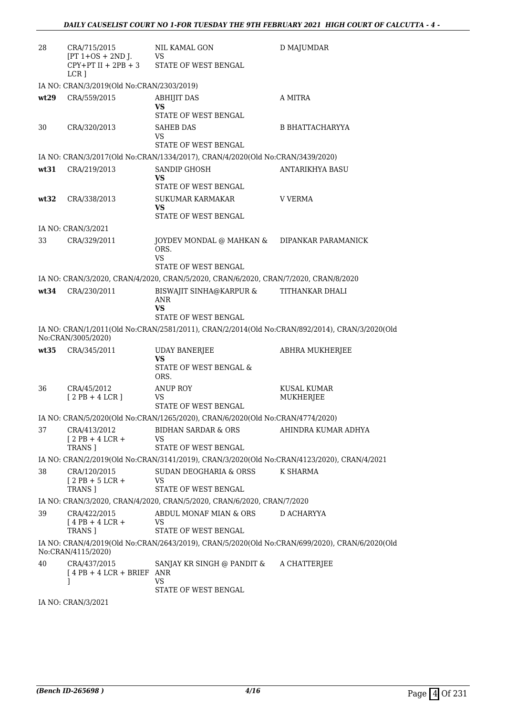| 28   | CRA/715/2015<br>$[PT 1+OS + 2ND J.$                 | NIL KAMAL GON<br>VS<br>$[PT 1+OS + 2ND J.$ US<br>CPY+PT II + 2PB + 3<br>STATE OF WEST BENGAL                          | D MAJUMDAR               |
|------|-----------------------------------------------------|-----------------------------------------------------------------------------------------------------------------------|--------------------------|
|      | $LCR$ ]                                             |                                                                                                                       |                          |
|      | IA NO: CRAN/3/2019(Old No:CRAN/2303/2019)           |                                                                                                                       |                          |
| wt29 | CRA/559/2015                                        | <b>ABHIJIT DAS</b><br><b>VS</b>                                                                                       | A MITRA                  |
|      |                                                     | STATE OF WEST BENGAL                                                                                                  |                          |
| 30   | CRA/320/2013                                        | <b>SAHEB DAS</b><br>VS<br>STATE OF WEST BENGAL                                                                        | <b>B BHATTACHARYYA</b>   |
|      |                                                     | IA NO: CRAN/3/2017(Old No:CRAN/1334/2017), CRAN/4/2020(Old No:CRAN/3439/2020)                                         |                          |
| wt31 | CRA/219/2013                                        | SANDIP GHOSH<br><b>VS</b><br>STATE OF WEST BENGAL                                                                     | <b>ANTARIKHYA BASU</b>   |
| wt32 | CRA/338/2013                                        | SUKUMAR KARMAKAR<br>VS<br>STATE OF WEST BENGAL                                                                        | V VERMA                  |
|      | IA NO: CRAN/3/2021                                  |                                                                                                                       |                          |
| 33   | CRA/329/2011                                        | JOYDEV MONDAL @ MAHKAN & DIPANKAR PARAMANICK<br>ORS.                                                                  |                          |
|      |                                                     | <b>VS</b><br>STATE OF WEST BENGAL                                                                                     |                          |
|      |                                                     | IA NO: CRAN/3/2020, CRAN/4/2020, CRAN/5/2020, CRAN/6/2020, CRAN/7/2020, CRAN/8/2020                                   |                          |
|      | wt34 CRA/230/2011                                   | BISWAJIT SINHA@KARPUR &<br>ANR<br>VS                                                                                  | TITHANKAR DHALI          |
|      |                                                     | STATE OF WEST BENGAL<br>IA NO: CRAN/1/2011(Old No:CRAN/2581/2011), CRAN/2/2014(Old No:CRAN/892/2014), CRAN/3/2020(Old |                          |
|      | No:CRAN/3005/2020)                                  |                                                                                                                       |                          |
| wt35 | CRA/345/2011                                        | <b>UDAY BANERJEE</b><br>VS<br>STATE OF WEST BENGAL &                                                                  | <b>ABHRA MUKHERJEE</b>   |
|      |                                                     | ORS.                                                                                                                  |                          |
| 36   | CRA/45/2012<br>$[2PB+4LCR]$                         | <b>ANUP ROY</b><br>VS                                                                                                 | KUSAL KUMAR<br>MUKHERJEE |
|      |                                                     | <b>STATE OF WEST BENGAL</b>                                                                                           |                          |
|      |                                                     | IA NO: CRAN/5/2020(Old No:CRAN/1265/2020), CRAN/6/2020(Old No:CRAN/4774/2020)<br>BIDHAN SARDAR & ORS                  |                          |
| 37   | CRA/413/2012<br>$[2PB+4LCR+$<br><b>TRANS 1</b>      | VS<br>STATE OF WEST BENGAL                                                                                            | AHINDRA KUMAR ADHYA      |
|      |                                                     | IA NO: CRAN/2/2019(Old No:CRAN/3141/2019), CRAN/3/2020(Old No:CRAN/4123/2020), CRAN/4/2021                            |                          |
| 38   | CRA/120/2015<br>$12$ PB + 5 LCR +<br><b>TRANS 1</b> | SUDAN DEOGHARIA & ORSS<br>VS<br>STATE OF WEST BENGAL                                                                  | K SHARMA                 |
|      |                                                     | IA NO: CRAN/3/2020, CRAN/4/2020, CRAN/5/2020, CRAN/6/2020, CRAN/7/2020                                                |                          |
| 39   | CRA/422/2015                                        | ABDUL MONAF MIAN & ORS                                                                                                | D ACHARYYA               |
|      | $[4$ PB + 4 LCR +<br>TRANS 1                        | VS<br>STATE OF WEST BENGAL                                                                                            |                          |
|      | No:CRAN/4115/2020)                                  | IA NO: CRAN/4/2019(Old No:CRAN/2643/2019), CRAN/5/2020(Old No:CRAN/699/2020), CRAN/6/2020(Old                         |                          |
| 40   | CRA/437/2015<br>$14$ PB + 4 LCR + BRIEF ANR<br>1    | SANJAY KR SINGH @ PANDIT &<br>VS<br>STATE OF WEST BENGAL                                                              | A CHATTERJEE             |

IA NO: CRAN/3/2021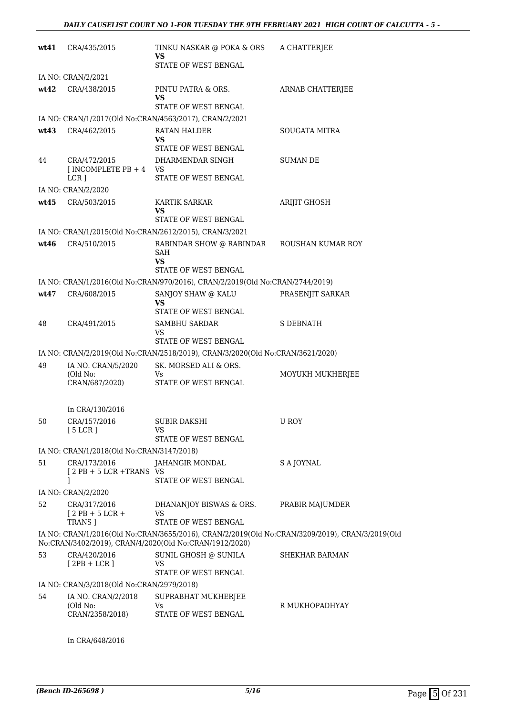| wt41 | CRA/435/2015                                        | TINKU NASKAR @ POKA & ORS<br>VS                                                                      | A CHATTERJEE                                                                                   |
|------|-----------------------------------------------------|------------------------------------------------------------------------------------------------------|------------------------------------------------------------------------------------------------|
|      |                                                     | STATE OF WEST BENGAL                                                                                 |                                                                                                |
| wt42 | IA NO: CRAN/2/2021<br>CRA/438/2015                  | PINTU PATRA & ORS.<br>VS                                                                             | ARNAB CHATTERJEE                                                                               |
|      |                                                     | STATE OF WEST BENGAL                                                                                 |                                                                                                |
|      |                                                     | IA NO: CRAN/1/2017(Old No:CRAN/4563/2017), CRAN/2/2021                                               |                                                                                                |
| wt43 | CRA/462/2015                                        | RATAN HALDER<br>VS<br>STATE OF WEST BENGAL                                                           | SOUGATA MITRA                                                                                  |
| 44   | CRA/472/2015<br>$[INCOMPLETE PB + 4 VS]$<br>$LCR$ ] | DHARMENDAR SINGH<br>STATE OF WEST BENGAL                                                             | <b>SUMAN DE</b>                                                                                |
|      | IA NO: CRAN/2/2020                                  |                                                                                                      |                                                                                                |
| wt45 | CRA/503/2015                                        | <b>KARTIK SARKAR</b><br>VS                                                                           | ARIJIT GHOSH                                                                                   |
|      |                                                     | <b>STATE OF WEST BENGAL</b>                                                                          |                                                                                                |
| wt46 | CRA/510/2015                                        | IA NO: CRAN/1/2015(Old No:CRAN/2612/2015), CRAN/3/2021<br>RABINDAR SHOW @ RABINDAR<br>SAH<br>VS      | ROUSHAN KUMAR ROY                                                                              |
|      |                                                     | STATE OF WEST BENGAL<br>IA NO: CRAN/1/2016(Old No:CRAN/970/2016), CRAN/2/2019(Old No:CRAN/2744/2019) |                                                                                                |
| wt47 | CRA/608/2015                                        | SANJOY SHAW @ KALU                                                                                   | PRASENJIT SARKAR                                                                               |
|      |                                                     | VS<br>STATE OF WEST BENGAL                                                                           |                                                                                                |
| 48   | CRA/491/2015                                        | SAMBHU SARDAR<br>VS<br>STATE OF WEST BENGAL                                                          | <b>S DEBNATH</b>                                                                               |
|      |                                                     | IA NO: CRAN/2/2019(Old No:CRAN/2518/2019), CRAN/3/2020(Old No:CRAN/3621/2020)                        |                                                                                                |
| 49   | IA NO. CRAN/5/2020                                  | SK. MORSED ALI & ORS.                                                                                |                                                                                                |
|      | (Old No:<br>CRAN/687/2020)                          | Vs<br>STATE OF WEST BENGAL                                                                           | MOYUKH MUKHERJEE                                                                               |
|      | In CRA/130/2016                                     |                                                                                                      |                                                                                                |
| 50   | CRA/157/2016<br>[5 LCR]                             | SUBIR DAKSHI<br>VS<br>STATE OF WEST BENGAL                                                           | U ROY                                                                                          |
|      | IA NO: CRAN/1/2018(Old No:CRAN/3147/2018)           |                                                                                                      |                                                                                                |
| 51   | CRA/173/2016                                        | JAHANGIR MONDAL                                                                                      | S A JOYNAL                                                                                     |
|      | $[2PB + 5LCR + TRANSVS]$<br>J.                      | <b>STATE OF WEST BENGAL</b>                                                                          |                                                                                                |
|      | IA NO: CRAN/2/2020                                  |                                                                                                      |                                                                                                |
| 52   | CRA/317/2016<br>$[2PB+5LCR+$<br>TRANS ]             | DHANANJOY BISWAS & ORS.<br><b>VS</b><br>STATE OF WEST BENGAL                                         | PRABIR MAJUMDER                                                                                |
|      |                                                     | No:CRAN/3402/2019), CRAN/4/2020(Old No:CRAN/1912/2020)                                               | IA NO: CRAN/1/2016(Old No:CRAN/3655/2016), CRAN/2/2019(Old No:CRAN/3209/2019), CRAN/3/2019(Old |
| 53   | CRA/420/2016<br>$[2PB + LCR]$                       | SUNIL GHOSH @ SUNILA<br>VS                                                                           | SHEKHAR BARMAN                                                                                 |
|      | IA NO: CRAN/3/2018(Old No:CRAN/2979/2018)           | STATE OF WEST BENGAL                                                                                 |                                                                                                |
| 54   | IA NO. CRAN/2/2018<br>(Old No:                      | SUPRABHAT MUKHERJEE<br>Vs                                                                            | R MUKHOPADHYAY                                                                                 |
|      | CRAN/2358/2018)                                     | STATE OF WEST BENGAL                                                                                 |                                                                                                |

In CRA/648/2016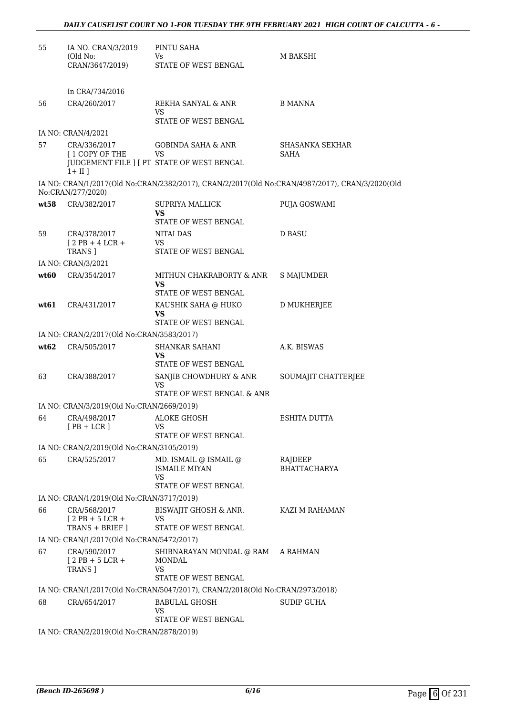| 55   | IA NO. CRAN/3/2019<br>(Old No:                            | PINTU SAHA<br>Vs                                                              | M BAKSHI                                                                                       |
|------|-----------------------------------------------------------|-------------------------------------------------------------------------------|------------------------------------------------------------------------------------------------|
|      | CRAN/3647/2019)                                           | STATE OF WEST BENGAL                                                          |                                                                                                |
|      |                                                           |                                                                               |                                                                                                |
|      | In CRA/734/2016                                           |                                                                               |                                                                                                |
| 56   | CRA/260/2017                                              | REKHA SANYAL & ANR<br>VS<br>STATE OF WEST BENGAL                              | <b>B MANNA</b>                                                                                 |
|      | IA NO: CRAN/4/2021                                        |                                                                               |                                                                                                |
| 57   | CRA/336/2017                                              | <b>GOBINDA SAHA &amp; ANR</b>                                                 | SHASANKA SEKHAR                                                                                |
|      | <b>I 1 COPY OF THE</b><br>$1 + II$ ]                      | VS<br>JUDGEMENT FILE ] [ PT STATE OF WEST BENGAL                              | SAHA                                                                                           |
|      | No:CRAN/277/2020)                                         |                                                                               | IA NO: CRAN/1/2017(Old No:CRAN/2382/2017), CRAN/2/2017(Old No:CRAN/4987/2017), CRAN/3/2020(Old |
| wt58 | CRA/382/2017                                              | <b>SUPRIYA MALLICK</b>                                                        | PUJA GOSWAMI                                                                                   |
|      |                                                           | VS<br>STATE OF WEST BENGAL                                                    |                                                                                                |
| 59   | CRA/378/2017                                              | NITAI DAS                                                                     | D BASU                                                                                         |
|      | $[2PB+4LCR+$                                              | VS                                                                            |                                                                                                |
|      | TRANS ]                                                   | STATE OF WEST BENGAL                                                          |                                                                                                |
|      | IA NO: CRAN/3/2021                                        |                                                                               |                                                                                                |
| wt60 | CRA/354/2017                                              | MITHUN CHAKRABORTY & ANR<br>VS<br>STATE OF WEST BENGAL                        | <b>S MAJUMDER</b>                                                                              |
| wt61 | CRA/431/2017                                              | KAUSHIK SAHA @ HUKO                                                           | D MUKHERJEE                                                                                    |
|      |                                                           | VS<br>STATE OF WEST BENGAL                                                    |                                                                                                |
|      | IA NO: CRAN/2/2017(Old No:CRAN/3583/2017)                 |                                                                               |                                                                                                |
| wt62 | CRA/505/2017                                              | SHANKAR SAHANI                                                                | A.K. BISWAS                                                                                    |
|      |                                                           | VS<br>STATE OF WEST BENGAL                                                    |                                                                                                |
| 63   | CRA/388/2017                                              | SANJIB CHOWDHURY & ANR<br>VS<br>STATE OF WEST BENGAL & ANR                    | SOUMAJIT CHATTERJEE                                                                            |
|      | IA NO: CRAN/3/2019(Old No:CRAN/2669/2019)                 |                                                                               |                                                                                                |
| 64   | CRA/498/2017                                              | <b>ALOKE GHOSH</b>                                                            | ESHITA DUTTA                                                                                   |
|      | $[PB + LCR]$                                              | VS                                                                            |                                                                                                |
|      |                                                           | STATE OF WEST BENGAL                                                          |                                                                                                |
| 65   | IA NO: CRAN/2/2019(Old No:CRAN/3105/2019)<br>CRA/525/2017 | MD. ISMAIL @ ISMAIL @                                                         | RAJDEEP                                                                                        |
|      |                                                           | <b>ISMAILE MIYAN</b><br>VS                                                    | <b>BHATTACHARYA</b>                                                                            |
|      |                                                           | STATE OF WEST BENGAL                                                          |                                                                                                |
|      | IA NO: CRAN/1/2019(Old No:CRAN/3717/2019)                 |                                                                               |                                                                                                |
| 66   | CRA/568/2017<br>$12$ PB + 5 LCR +<br>TRANS + BRIEF ]      | BISWAJIT GHOSH & ANR.<br>VS<br>STATE OF WEST BENGAL                           | KAZI M RAHAMAN                                                                                 |
|      | IA NO: CRAN/1/2017(Old No:CRAN/5472/2017)                 |                                                                               |                                                                                                |
| 67   | CRA/590/2017<br>$12$ PB + 5 LCR +<br><b>TRANS</b> 1       | SHIBNARAYAN MONDAL @ RAM<br><b>MONDAL</b><br>VS<br>STATE OF WEST BENGAL       | A RAHMAN                                                                                       |
|      |                                                           | IA NO: CRAN/1/2017(Old No:CRAN/5047/2017), CRAN/2/2018(Old No:CRAN/2973/2018) |                                                                                                |
| 68   | CRA/654/2017                                              | BABULAL GHOSH                                                                 | <b>SUDIP GUHA</b>                                                                              |
|      |                                                           | VS                                                                            |                                                                                                |
|      | IA NO: CRAN/2/2019(Old No:CRAN/2878/2019)                 | STATE OF WEST BENGAL                                                          |                                                                                                |
|      |                                                           |                                                                               |                                                                                                |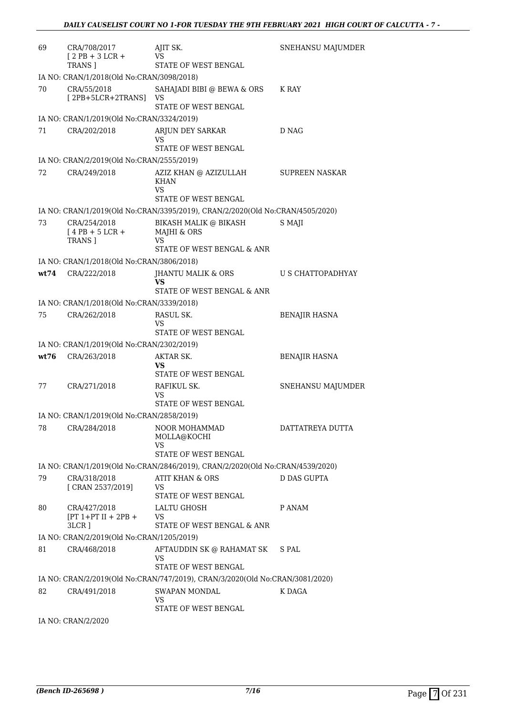| 69   | CRA/708/2017<br>$[2PB+3LCR+$<br>TRANS ]               | AJIT SK.<br>VS<br>STATE OF WEST BENGAL                                        | SNEHANSU MAJUMDER     |
|------|-------------------------------------------------------|-------------------------------------------------------------------------------|-----------------------|
|      | IA NO: CRAN/1/2018(Old No:CRAN/3098/2018)             |                                                                               |                       |
| 70   | CRA/55/2018<br>$[2PB+5LCR+2TRANS]$                    | SAHAJADI BIBI @ BEWA & ORS<br>VS<br>STATE OF WEST BENGAL                      | K RAY                 |
|      | IA NO: CRAN/1/2019(Old No:CRAN/3324/2019)             |                                                                               |                       |
| 71   | CRA/202/2018                                          | ARJUN DEY SARKAR<br>VS<br>STATE OF WEST BENGAL                                | D NAG                 |
|      | IA NO: CRAN/2/2019(Old No:CRAN/2555/2019)             |                                                                               |                       |
| 72   | CRA/249/2018                                          | AZIZ KHAN @ AZIZULLAH<br>KHAN<br>VS<br>STATE OF WEST BENGAL                   | <b>SUPREEN NASKAR</b> |
|      |                                                       | IA NO: CRAN/1/2019(Old No:CRAN/3395/2019), CRAN/2/2020(Old No:CRAN/4505/2020) |                       |
| 73   | CRA/254/2018<br>$[4$ PB + 5 LCR +<br>TRANS ]          | BIKASH MALIK @ BIKASH<br>MAJHI & ORS<br>VS<br>STATE OF WEST BENGAL & ANR      | S MAJI                |
|      | IA NO: CRAN/1/2018(Old No:CRAN/3806/2018)             |                                                                               |                       |
| wt74 | CRA/222/2018                                          | <b>JHANTU MALIK &amp; ORS</b><br>VS                                           | U S CHATTOPADHYAY     |
|      |                                                       | STATE OF WEST BENGAL & ANR                                                    |                       |
|      | IA NO: CRAN/1/2018(Old No:CRAN/3339/2018)             |                                                                               |                       |
| 75   | CRA/262/2018                                          | RASUL SK.<br>VS<br>STATE OF WEST BENGAL                                       | <b>BENAJIR HASNA</b>  |
|      | IA NO: CRAN/1/2019(Old No:CRAN/2302/2019)             |                                                                               |                       |
| wt76 | CRA/263/2018                                          | AKTAR SK.<br>VS<br>STATE OF WEST BENGAL                                       | <b>BENAJIR HASNA</b>  |
| 77   | CRA/271/2018                                          | RAFIKUL SK.<br>VS<br>STATE OF WEST BENGAL                                     | SNEHANSU MAJUMDER     |
|      | IA NO: CRAN/1/2019(Old No:CRAN/2858/2019)             |                                                                               |                       |
| 78   | CRA/284/2018                                          | NOOR MOHAMMAD<br>MOLLA@KOCHI                                                  | DATTATREYA DUTTA      |
|      |                                                       | VS<br>STATE OF WEST BENGAL                                                    |                       |
|      |                                                       | IA NO: CRAN/1/2019(Old No:CRAN/2846/2019), CRAN/2/2020(Old No:CRAN/4539/2020) |                       |
| 79   | CRA/318/2018<br>[ CRAN 2537/2019]                     | ATIT KHAN & ORS<br><b>VS</b><br>STATE OF WEST BENGAL                          | <b>D DAS GUPTA</b>    |
| 80   | CRA/427/2018<br>$[PT 1+PT II + 2PB +$                 | LALTU GHOSH<br>VS                                                             | P ANAM                |
|      | $3LCR$ ]<br>IA NO: CRAN/2/2019(Old No:CRAN/1205/2019) | STATE OF WEST BENGAL & ANR                                                    |                       |
| 81   | CRA/468/2018                                          | AFTAUDDIN SK @ RAHAMAT SK                                                     | S PAL                 |
|      |                                                       | VS<br>STATE OF WEST BENGAL                                                    |                       |
|      |                                                       | IA NO: CRAN/2/2019(Old No:CRAN/747/2019), CRAN/3/2020(Old No:CRAN/3081/2020)  |                       |
| 82   | CRA/491/2018                                          | SWAPAN MONDAL<br><b>VS</b>                                                    | K DAGA                |
|      | IA NO: CRAN/2/2020                                    | STATE OF WEST BENGAL                                                          |                       |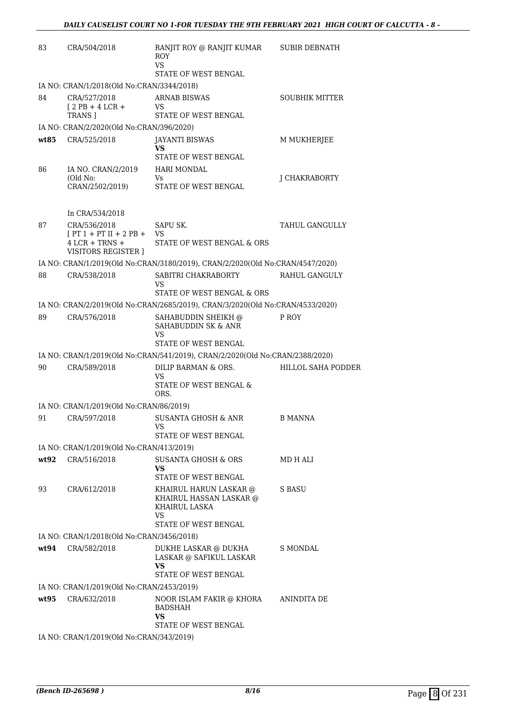| 83   | CRA/504/2018                                   | RANJIT ROY @ RANJIT KUMAR<br><b>ROY</b><br><b>VS</b>                          | <b>SUBIR DEBNATH</b>      |
|------|------------------------------------------------|-------------------------------------------------------------------------------|---------------------------|
|      |                                                | STATE OF WEST BENGAL                                                          |                           |
|      | IA NO: CRAN/1/2018(Old No:CRAN/3344/2018)      |                                                                               |                           |
| 84   | CRA/527/2018<br>$[2PB+4LCR+$<br><b>TRANS 1</b> | <b>ARNAB BISWAS</b><br>VS.<br>STATE OF WEST BENGAL                            | <b>SOUBHIK MITTER</b>     |
|      | IA NO: CRAN/2/2020(Old No:CRAN/396/2020)       |                                                                               |                           |
| wt85 | CRA/525/2018                                   | <b>JAYANTI BISWAS</b><br>VS                                                   | M MUKHERJEE               |
|      |                                                | STATE OF WEST BENGAL                                                          |                           |
| 86   | IA NO. CRAN/2/2019<br>(Old No:                 | HARI MONDAL<br>Vs                                                             | J CHAKRABORTY             |
|      | CRAN/2502/2019)                                | STATE OF WEST BENGAL                                                          |                           |
|      | In CRA/534/2018                                |                                                                               |                           |
| 87   | CRA/536/2018<br>$[PT 1 + PT II + 2 PB +$       | SAPU SK.<br>VS                                                                | <b>TAHUL GANGULLY</b>     |
|      | $4$ LCR + TRNS +<br><b>VISITORS REGISTER 1</b> | STATE OF WEST BENGAL & ORS                                                    |                           |
|      |                                                | IA NO: CRAN/1/2019(Old No:CRAN/3180/2019), CRAN/2/2020(Old No:CRAN/4547/2020) |                           |
| 88   | CRA/538/2018                                   | SABITRI CHAKRABORTY<br>VS                                                     | RAHUL GANGULY             |
|      |                                                | STATE OF WEST BENGAL & ORS                                                    |                           |
|      |                                                | IA NO: CRAN/2/2019(Old No:CRAN/2685/2019), CRAN/3/2020(Old No:CRAN/4533/2020) |                           |
| 89   | CRA/576/2018                                   | SAHABUDDIN SHEIKH @<br>SAHABUDDIN SK & ANR<br>VS<br>STATE OF WEST BENGAL      | P ROY                     |
|      |                                                | IA NO: CRAN/1/2019(Old No:CRAN/541/2019), CRAN/2/2020(Old No:CRAN/2388/2020)  |                           |
| 90   | CRA/589/2018                                   | DILIP BARMAN & ORS.<br>VS                                                     | <b>HILLOL SAHA PODDER</b> |
|      |                                                | STATE OF WEST BENGAL &<br>ORS.                                                |                           |
|      | IA NO: CRAN/1/2019(Old No:CRAN/86/2019)        |                                                                               |                           |
| 91   | CRA/597/2018                                   | SUSANTA GHOSH & ANR<br>VS                                                     | <b>B MANNA</b>            |
|      |                                                | <b>STATE OF WEST BENGAL</b>                                                   |                           |
|      | IA NO: CRAN/1/2019(Old No:CRAN/413/2019)       |                                                                               |                           |
| wt92 | CRA/516/2018                                   | <b>SUSANTA GHOSH &amp; ORS</b><br><b>VS</b><br>STATE OF WEST BENGAL           | MD H ALI                  |
| 93   | CRA/612/2018                                   | KHAIRUL HARUN LASKAR @                                                        | S BASU                    |
|      |                                                | KHAIRUL HASSAN LASKAR @<br>KHAIRUL LASKA<br>VS                                |                           |
|      |                                                | STATE OF WEST BENGAL                                                          |                           |
|      | IA NO: CRAN/1/2018(Old No:CRAN/3456/2018)      |                                                                               |                           |
| wt94 | CRA/582/2018                                   | DUKHE LASKAR @ DUKHA<br>LASKAR @ SAFIKUL LASKAR<br>VS                         | S MONDAL                  |
|      |                                                | STATE OF WEST BENGAL                                                          |                           |
|      | IA NO: CRAN/1/2019(Old No:CRAN/2453/2019)      |                                                                               |                           |
| wt95 | CRA/632/2018                                   | NOOR ISLAM FAKIR @ KHORA<br><b>BADSHAH</b><br>VS                              | ANINDITA DE               |
|      |                                                | STATE OF WEST BENGAL                                                          |                           |
|      | IA NO: CRAN/1/2019(Old No:CRAN/343/2019)       |                                                                               |                           |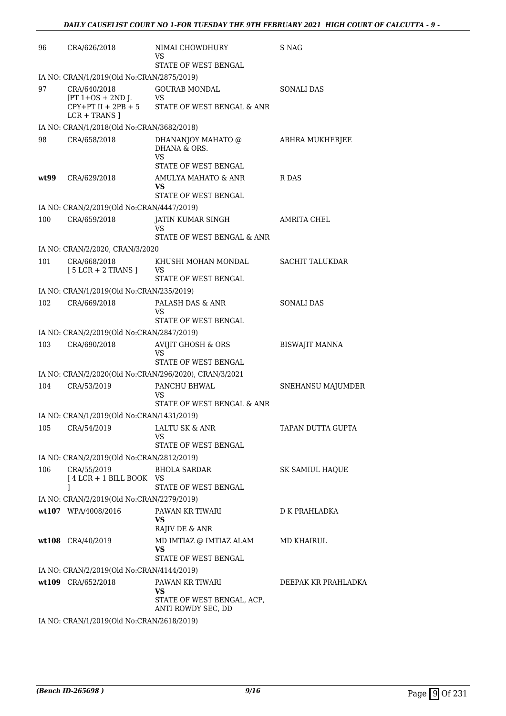| 96   | CRA/626/2018                                                                                        | NIMAI CHOWDHURY<br>VS<br>STATE OF WEST BENGAL                             | S NAG                  |
|------|-----------------------------------------------------------------------------------------------------|---------------------------------------------------------------------------|------------------------|
|      | IA NO: CRAN/1/2019(Old No:CRAN/2875/2019)                                                           |                                                                           |                        |
| 97   | CRA/640/2018<br>$[PT 1+OS + 2ND ]$ .<br>[PT 1+OS + 2ND J.<br>CPY+PT II + 2PB + 5<br>$LCR + TRANS$ ] | <b>GOURAB MONDAL</b><br><b>VS</b><br>STATE OF WEST BENGAL & ANR           | <b>SONALI DAS</b>      |
|      | IA NO: CRAN/1/2018(Old No:CRAN/3682/2018)                                                           |                                                                           |                        |
| 98   | CRA/658/2018                                                                                        | DHANANJOY MAHATO @<br>DHANA & ORS.<br><b>VS</b><br>STATE OF WEST BENGAL   | ABHRA MUKHERJEE        |
| wt99 | CRA/629/2018                                                                                        | AMULYA MAHATO & ANR<br><b>VS</b>                                          | R DAS                  |
|      |                                                                                                     | STATE OF WEST BENGAL                                                      |                        |
| 100  | IA NO: CRAN/2/2019(Old No:CRAN/4447/2019)<br>CRA/659/2018                                           | JATIN KUMAR SINGH<br>VS                                                   | <b>AMRITA CHEL</b>     |
|      |                                                                                                     | STATE OF WEST BENGAL & ANR                                                |                        |
|      | IA NO: CRAN/2/2020, CRAN/3/2020                                                                     |                                                                           |                        |
| 101  | CRA/668/2018<br>$[5 LCR + 2 TRANS]$                                                                 | KHUSHI MOHAN MONDAL<br>VS<br>STATE OF WEST BENGAL                         | <b>SACHIT TALUKDAR</b> |
|      | IA NO: CRAN/1/2019(Old No:CRAN/235/2019)                                                            |                                                                           |                        |
| 102  | CRA/669/2018                                                                                        | PALASH DAS & ANR<br>VS                                                    | <b>SONALI DAS</b>      |
|      | IA NO: CRAN/2/2019(Old No:CRAN/2847/2019)                                                           | STATE OF WEST BENGAL                                                      |                        |
| 103  | CRA/690/2018                                                                                        | <b>AVIJIT GHOSH &amp; ORS</b>                                             | <b>BISWAJIT MANNA</b>  |
|      |                                                                                                     | VS<br>STATE OF WEST BENGAL                                                |                        |
|      |                                                                                                     | IA NO: CRAN/2/2020(Old No:CRAN/296/2020), CRAN/3/2021                     |                        |
| 104  | CRA/53/2019                                                                                         | PANCHU BHWAL<br>VS                                                        | SNEHANSU MAJUMDER      |
|      | IA NO: CRAN/1/2019(Old No:CRAN/1431/2019)                                                           | STATE OF WEST BENGAL & ANR                                                |                        |
| 105  | CRA/54/2019                                                                                         | LALTU SK & ANR<br>VS<br>STATE OF WEST BENGAL                              | TAPAN DUTTA GUPTA      |
|      | IA NO: CRAN/2/2019(Old No:CRAN/2812/2019)                                                           |                                                                           |                        |
| 106  | CRA/55/2019<br>[4 LCR + 1 BILL BOOK VS                                                              | <b>BHOLA SARDAR</b>                                                       | SK SAMIUL HAOUE        |
|      | 1                                                                                                   | <b>STATE OF WEST BENGAL</b>                                               |                        |
|      | IA NO: CRAN/2/2019(Old No:CRAN/2279/2019)                                                           |                                                                           |                        |
|      | wt107 WPA/4008/2016                                                                                 | PAWAN KR TIWARI<br><b>VS</b><br>RAJIV DE & ANR                            | D K PRAHLADKA          |
|      | wt108 CRA/40/2019                                                                                   | MD IMTIAZ @ IMTIAZ ALAM<br>VS                                             | MD KHAIRUL             |
|      |                                                                                                     | STATE OF WEST BENGAL                                                      |                        |
|      | IA NO: CRAN/2/2019(Old No:CRAN/4144/2019)                                                           |                                                                           |                        |
|      | wt109 CRA/652/2018                                                                                  | PAWAN KR TIWARI<br>VS<br>STATE OF WEST BENGAL, ACP,<br>ANTI ROWDY SEC, DD | DEEPAK KR PRAHLADKA    |
|      | IA NO: CRAN/1/2019(Old No:CRAN/2618/2019)                                                           |                                                                           |                        |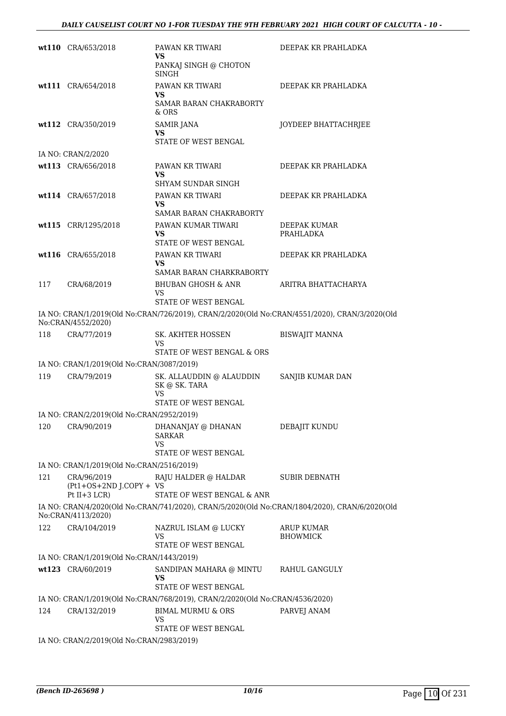|     | wt110 CRA/653/2018                          | PAWAN KR TIWARI<br>VS                                                                                | DEEPAK KR PRAHLADKA   |
|-----|---------------------------------------------|------------------------------------------------------------------------------------------------------|-----------------------|
|     |                                             | PANKAJ SINGH @ CHOTON<br><b>SINGH</b>                                                                |                       |
|     | wt111 CRA/654/2018                          | PAWAN KR TIWARI                                                                                      | DEEPAK KR PRAHLADKA   |
|     |                                             | VS<br>SAMAR BARAN CHAKRABORTY<br>& ORS                                                               |                       |
|     | wt112 CRA/350/2019                          | <b>SAMIR JANA</b><br>VS<br><b>STATE OF WEST BENGAL</b>                                               | JOYDEEP BHATTACHRJEE  |
|     | IA NO: CRAN/2/2020                          |                                                                                                      |                       |
|     | wt113 CRA/656/2018                          | PAWAN KR TIWARI                                                                                      | DEEPAK KR PRAHLADKA   |
|     |                                             | VS<br>SHYAM SUNDAR SINGH                                                                             |                       |
|     | wt114 CRA/657/2018                          | PAWAN KR TIWARI                                                                                      | DEEPAK KR PRAHLADKA   |
|     |                                             | VS                                                                                                   |                       |
|     | wt115 CRR/1295/2018                         | SAMAR BARAN CHAKRABORTY<br>PAWAN KUMAR TIWARI                                                        | DEEPAK KUMAR          |
|     |                                             | VS<br><b>STATE OF WEST BENGAL</b>                                                                    | PRAHLADKA             |
|     | wt116 CRA/655/2018                          | PAWAN KR TIWARI                                                                                      | DEEPAK KR PRAHLADKA   |
|     |                                             | VS<br>SAMAR BARAN CHARKRABORTY                                                                       |                       |
| 117 | CRA/68/2019                                 | <b>BHUBAN GHOSH &amp; ANR</b>                                                                        | ARITRA BHATTACHARYA   |
|     |                                             | VS<br>STATE OF WEST BENGAL                                                                           |                       |
|     | No:CRAN/4552/2020)                          | IA NO: CRAN/1/2019(Old No:CRAN/726/2019), CRAN/2/2020(Old No:CRAN/4551/2020), CRAN/3/2020(Old        |                       |
| 118 | CRA/77/2019                                 | SK. AKHTER HOSSEN                                                                                    | <b>BISWAJIT MANNA</b> |
|     |                                             | VS<br>STATE OF WEST BENGAL & ORS                                                                     |                       |
|     | IA NO: CRAN/1/2019(Old No:CRAN/3087/2019)   |                                                                                                      |                       |
| 119 | CRA/79/2019                                 | SK. ALLAUDDIN @ ALAUDDIN<br>SK @ SK. TARA                                                            | SANJIB KUMAR DAN      |
|     |                                             | VS<br>STATE OF WEST BENGAL                                                                           |                       |
|     | IA NO: CRAN/2/2019(Old No:CRAN/2952/2019)   |                                                                                                      |                       |
| 120 | CRA/90/2019                                 | DHANANJAY @ DHANAN<br><b>SARKAR</b>                                                                  | DEBAJIT KUNDU         |
|     |                                             | VS<br>STATE OF WEST BENGAL                                                                           |                       |
|     | IA NO: CRAN/1/2019(Old No:CRAN/2516/2019)   |                                                                                                      |                       |
| 121 | CRA/96/2019                                 | RAJU HALDER @ HALDAR                                                                                 | <b>SUBIR DEBNATH</b>  |
|     | $(Pt1+OS+2ND J.COPY + VS$<br>Pt $II+3$ LCR) | STATE OF WEST BENGAL & ANR                                                                           |                       |
|     | No:CRAN/4113/2020)                          | IA NO: CRAN/4/2020(Old No:CRAN/741/2020), CRAN/5/2020(Old No:CRAN/1804/2020), CRAN/6/2020(Old        |                       |
| 122 | CRA/104/2019                                | NAZRUL ISLAM @ LUCKY                                                                                 | <b>ARUP KUMAR</b>     |
|     |                                             | VS<br>STATE OF WEST BENGAL                                                                           | <b>BHOWMICK</b>       |
|     | IA NO: CRAN/1/2019(Old No:CRAN/1443/2019)   |                                                                                                      |                       |
|     | wt123 CRA/60/2019                           | SANDIPAN MAHARA @ MINTU<br>VS                                                                        | RAHUL GANGULY         |
|     |                                             | STATE OF WEST BENGAL<br>IA NO: CRAN/1/2019(Old No:CRAN/768/2019), CRAN/2/2020(Old No:CRAN/4536/2020) |                       |
| 124 | CRA/132/2019                                | BIMAL MURMU & ORS                                                                                    | PARVEJ ANAM           |
|     |                                             | <b>VS</b>                                                                                            |                       |
|     | IA NO: CRAN/2/2019(Old No:CRAN/2983/2019)   | STATE OF WEST BENGAL                                                                                 |                       |
|     |                                             |                                                                                                      |                       |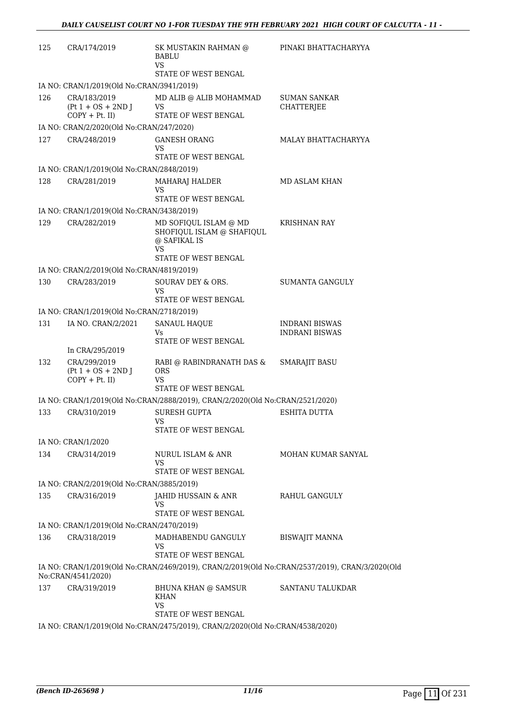| 125 | CRA/174/2019                                              | SK MUSTAKIN RAHMAN @<br><b>BABLU</b><br>VS                                                           | PINAKI BHATTACHARYYA                                                                           |
|-----|-----------------------------------------------------------|------------------------------------------------------------------------------------------------------|------------------------------------------------------------------------------------------------|
|     |                                                           | STATE OF WEST BENGAL                                                                                 |                                                                                                |
|     | IA NO: CRAN/1/2019(Old No:CRAN/3941/2019)                 |                                                                                                      |                                                                                                |
| 126 | CRA/183/2019<br>$(Pt 1 + OS + 2ND J)$                     | MD ALIB @ ALIB MOHAMMAD<br><b>VS</b>                                                                 | SUMAN SANKAR<br><b>CHATTERJEE</b>                                                              |
|     | $COPY + Pt.$ II)                                          | STATE OF WEST BENGAL                                                                                 |                                                                                                |
|     | IA NO: CRAN/2/2020(Old No:CRAN/247/2020)                  |                                                                                                      |                                                                                                |
| 127 | CRA/248/2019                                              | <b>GANESH ORANG</b><br>VS                                                                            | MALAY BHATTACHARYYA                                                                            |
|     |                                                           | STATE OF WEST BENGAL                                                                                 |                                                                                                |
| 128 | IA NO: CRAN/1/2019(Old No:CRAN/2848/2019)<br>CRA/281/2019 | MAHARAJ HALDER                                                                                       | <b>MD ASLAM KHAN</b>                                                                           |
|     |                                                           | VS<br>STATE OF WEST BENGAL                                                                           |                                                                                                |
|     | IA NO: CRAN/1/2019(Old No:CRAN/3438/2019)                 |                                                                                                      |                                                                                                |
| 129 | CRA/282/2019                                              | MD SOFIQUL ISLAM @ MD<br>SHOFIQUL ISLAM @ SHAFIQUL<br>@ SAFIKAL IS<br><b>VS</b>                      | KRISHNAN RAY                                                                                   |
|     |                                                           | STATE OF WEST BENGAL                                                                                 |                                                                                                |
|     | IA NO: CRAN/2/2019(Old No:CRAN/4819/2019)                 |                                                                                                      |                                                                                                |
| 130 | CRA/283/2019                                              | SOURAV DEY & ORS.<br>VS<br>STATE OF WEST BENGAL                                                      | <b>SUMANTA GANGULY</b>                                                                         |
|     | IA NO: CRAN/1/2019(Old No:CRAN/2718/2019)                 |                                                                                                      |                                                                                                |
| 131 | IA NO. CRAN/2/2021                                        | <b>SANAUL HAQUE</b>                                                                                  | <b>INDRANI BISWAS</b>                                                                          |
|     |                                                           | Vs.<br>STATE OF WEST BENGAL                                                                          | <b>INDRANI BISWAS</b>                                                                          |
|     | In CRA/295/2019                                           |                                                                                                      |                                                                                                |
| 132 | CRA/299/2019<br>$(Pt 1 + OS + 2ND J)$<br>$COPY + Pt.$ II) | RABI @ RABINDRANATH DAS &<br><b>ORS</b><br><b>VS</b><br><b>STATE OF WEST BENGAL</b>                  | SMARAJIT BASU                                                                                  |
|     |                                                           | IA NO: CRAN/1/2019(Old No:CRAN/2888/2019), CRAN/2/2020(Old No:CRAN/2521/2020)                        |                                                                                                |
| 133 | CRA/310/2019                                              | <b>SURESH GUPTA</b>                                                                                  | <b>ESHITA DUTTA</b>                                                                            |
|     |                                                           | VS<br>STATE OF WEST BENGAL                                                                           |                                                                                                |
|     | IA NO: CRAN/1/2020                                        |                                                                                                      |                                                                                                |
| 134 | CRA/314/2019                                              | NURUL ISLAM & ANR<br>VS                                                                              | MOHAN KUMAR SANYAL                                                                             |
|     |                                                           | STATE OF WEST BENGAL                                                                                 |                                                                                                |
|     | IA NO: CRAN/2/2019(Old No:CRAN/3885/2019)                 |                                                                                                      |                                                                                                |
| 135 | CRA/316/2019                                              | JAHID HUSSAIN & ANR<br>VS<br>STATE OF WEST BENGAL                                                    | RAHUL GANGULY                                                                                  |
|     | IA NO: CRAN/1/2019(Old No:CRAN/2470/2019)                 |                                                                                                      |                                                                                                |
| 136 | CRA/318/2019                                              | MADHABENDU GANGULY                                                                                   | <b>BISWAJIT MANNA</b>                                                                          |
|     |                                                           | VS<br>STATE OF WEST BENGAL                                                                           |                                                                                                |
|     | No:CRAN/4541/2020)                                        |                                                                                                      | IA NO: CRAN/1/2019(Old No:CRAN/2469/2019), CRAN/2/2019(Old No:CRAN/2537/2019), CRAN/3/2020(Old |
| 137 | CRA/319/2019                                              | BHUNA KHAN @ SAMSUR<br>KHAN<br><b>VS</b>                                                             | SANTANU TALUKDAR                                                                               |
|     |                                                           | STATE OF WEST BENGAL<br>IA NO: CRAN/1/2019(Old No:CRAN/2475/2019) CRAN/2/2020(Old No:CRAN/4538/2020) |                                                                                                |
|     |                                                           |                                                                                                      |                                                                                                |

IA NO: CRAN/1/2019(Old No:CRAN/2475/2019), CRAN/2/2020(Old No:CRAN/4538/2020)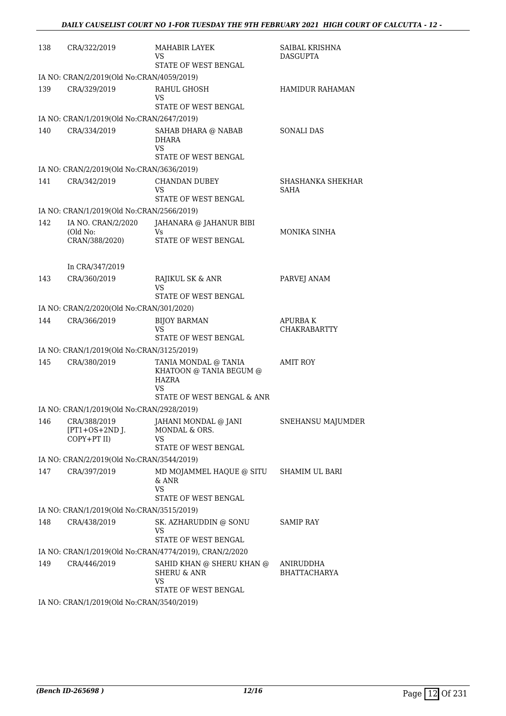| 138 | CRA/322/2019                                              | <b>MAHABIR LAYEK</b><br>VS<br>STATE OF WEST BENGAL                                   | SAIBAL KRISHNA<br><b>DASGUPTA</b>     |
|-----|-----------------------------------------------------------|--------------------------------------------------------------------------------------|---------------------------------------|
|     | IA NO: CRAN/2/2019(Old No:CRAN/4059/2019)                 |                                                                                      |                                       |
| 139 | CRA/329/2019                                              | RAHUL GHOSH<br>VS                                                                    | <b>HAMIDUR RAHAMAN</b>                |
|     |                                                           | STATE OF WEST BENGAL                                                                 |                                       |
|     | IA NO: CRAN/1/2019(Old No:CRAN/2647/2019)                 |                                                                                      |                                       |
| 140 | CRA/334/2019                                              | SAHAB DHARA @ NABAB<br>DHARA<br><b>VS</b><br>STATE OF WEST BENGAL                    | <b>SONALI DAS</b>                     |
|     | IA NO: CRAN/2/2019(Old No:CRAN/3636/2019)                 |                                                                                      |                                       |
| 141 | CRA/342/2019                                              | <b>CHANDAN DUBEY</b><br>VS<br>STATE OF WEST BENGAL                                   | SHASHANKA SHEKHAR<br>SAHA             |
|     | IA NO: CRAN/1/2019(Old No:CRAN/2566/2019)                 |                                                                                      |                                       |
| 142 | IA NO. CRAN/2/2020<br>(Old No:<br>CRAN/388/2020)          | JAHANARA @ JAHANUR BIBI<br>Vs.<br>STATE OF WEST BENGAL                               | MONIKA SINHA                          |
|     | In CRA/347/2019                                           |                                                                                      |                                       |
| 143 | CRA/360/2019                                              | RAJIKUL SK & ANR<br>VS<br><b>STATE OF WEST BENGAL</b>                                | PARVEJ ANAM                           |
|     | IA NO: CRAN/2/2020(Old No:CRAN/301/2020)                  |                                                                                      |                                       |
| 144 | CRA/366/2019                                              | <b>BIJOY BARMAN</b><br>VS                                                            | <b>APURBAK</b><br><b>CHAKRABARTTY</b> |
|     |                                                           | STATE OF WEST BENGAL                                                                 |                                       |
| 145 | IA NO: CRAN/1/2019(Old No:CRAN/3125/2019)<br>CRA/380/2019 | TANIA MONDAL @ TANIA                                                                 | <b>AMIT ROY</b>                       |
|     |                                                           | KHATOON @ TANIA BEGUM @<br><b>HAZRA</b><br>VS<br>STATE OF WEST BENGAL & ANR          |                                       |
|     | IA NO: CRAN/1/2019(Old No:CRAN/2928/2019)                 |                                                                                      |                                       |
|     | $[PT1+OS+2ND$ J.<br>COPY+PT II)                           | 146 CRA/388/2019 JAHANI MONDAL @ JANI<br>MONDAL & ORS.<br>VS<br>STATE OF WEST BENGAL | SNEHANSU MAJUMDER                     |
|     | IA NO: CRAN/2/2019(Old No:CRAN/3544/2019)                 |                                                                                      |                                       |
| 147 | CRA/397/2019                                              | MD MOJAMMEL HAQUE @ SITU SHAMIM UL BARI<br>& ANR<br>VS<br>STATE OF WEST BENGAL       |                                       |
|     | IA NO: CRAN/1/2019(Old No:CRAN/3515/2019)                 |                                                                                      |                                       |
| 148 | CRA/438/2019                                              | SK. AZHARUDDIN @ SONU<br>VS                                                          | <b>SAMIP RAY</b>                      |
|     |                                                           | STATE OF WEST BENGAL                                                                 |                                       |
|     |                                                           | IA NO: CRAN/1/2019(Old No:CRAN/4774/2019), CRAN/2/2020                               |                                       |
| 149 | CRA/446/2019                                              | SAHID KHAN @ SHERU KHAN @<br><b>SHERU &amp; ANR</b><br>VS<br>STATE OF WEST BENGAL    | ANIRUDDHA<br><b>BHATTACHARYA</b>      |
|     | $IA$ $NO$ $CRAN/1/2019$ $OIA$ $No$ $CRAN/3540/2019$       |                                                                                      |                                       |

IA NO: CRAN/1/2019(Old No:CRAN/3540/2019)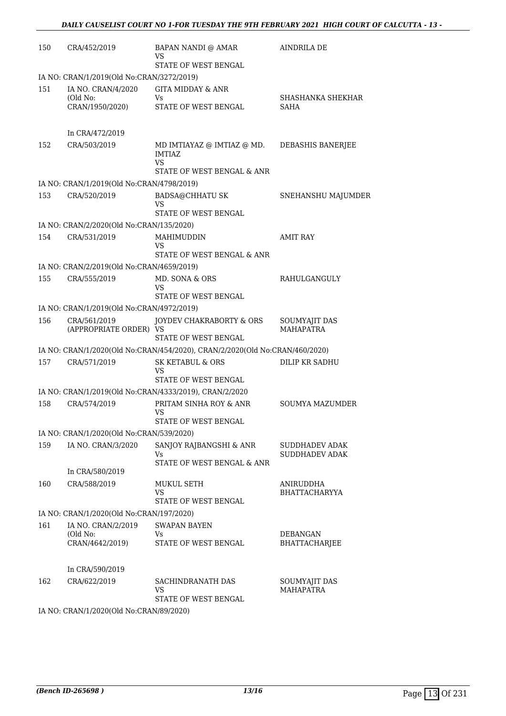| 150 | CRA/452/2019                              | BAPAN NANDI @ AMAR<br>VS                                                        | <b>AINDRILA DE</b>                             |
|-----|-------------------------------------------|---------------------------------------------------------------------------------|------------------------------------------------|
|     |                                           | STATE OF WEST BENGAL                                                            |                                                |
|     | IA NO: CRAN/1/2019(Old No:CRAN/3272/2019) |                                                                                 |                                                |
| 151 | IA NO. CRAN/4/2020<br>(Old No:            | <b>GITA MIDDAY &amp; ANR</b><br>Vs                                              | SHASHANKA SHEKHAR                              |
|     | CRAN/1950/2020)                           | STATE OF WEST BENGAL                                                            | SAHA                                           |
|     | In CRA/472/2019                           |                                                                                 |                                                |
| 152 | CRA/503/2019                              | MD IMTIAYAZ @ IMTIAZ @ MD.<br><b>IMTIAZ</b><br>VS<br>STATE OF WEST BENGAL & ANR | DEBASHIS BANERJEE                              |
|     | IA NO: CRAN/1/2019(Old No:CRAN/4798/2019) |                                                                                 |                                                |
| 153 | CRA/520/2019                              | <b>BADSA@CHHATU SK</b><br>VS                                                    | SNEHANSHU MAJUMDER                             |
|     |                                           | STATE OF WEST BENGAL                                                            |                                                |
|     | IA NO: CRAN/2/2020(Old No:CRAN/135/2020)  |                                                                                 |                                                |
| 154 | CRA/531/2019                              | MAHIMUDDIN<br>VS                                                                | <b>AMIT RAY</b>                                |
|     | IA NO: CRAN/2/2019(Old No:CRAN/4659/2019) | STATE OF WEST BENGAL & ANR                                                      |                                                |
| 155 | CRA/555/2019                              | MD. SONA & ORS                                                                  | <b>RAHULGANGULY</b>                            |
|     |                                           | VS<br>STATE OF WEST BENGAL                                                      |                                                |
|     | IA NO: CRAN/1/2019(Old No:CRAN/4972/2019) |                                                                                 |                                                |
| 156 | CRA/561/2019<br>(APPROPRIATE ORDER) VS    | JOYDEV CHAKRABORTY & ORS<br>STATE OF WEST BENGAL                                | SOUMYAJIT DAS<br><b>MAHAPATRA</b>              |
|     |                                           | IA NO: CRAN/1/2020(Old No:CRAN/454/2020), CRAN/2/2020(Old No:CRAN/460/2020)     |                                                |
| 157 | CRA/571/2019                              | <b>SK KETABUL &amp; ORS</b>                                                     | DILIP KR SADHU                                 |
|     |                                           | VS<br>STATE OF WEST BENGAL                                                      |                                                |
|     |                                           | IA NO: CRAN/1/2019(Old No:CRAN/4333/2019), CRAN/2/2020                          |                                                |
| 158 | CRA/574/2019                              | PRITAM SINHA ROY & ANR<br>VS                                                    | <b>SOUMYA MAZUMDER</b>                         |
|     |                                           | STATE OF WEST BENGAL                                                            |                                                |
|     | IA NO: CRAN/1/2020(Old No:CRAN/539/2020)  |                                                                                 |                                                |
| 159 | IA NO. CRAN/3/2020                        | SANJOY RAJBANGSHI & ANR<br>Vs<br>STATE OF WEST BENGAL & ANR                     | <b>SUDDHADEV ADAK</b><br><b>SUDDHADEV ADAK</b> |
|     | In CRA/580/2019                           |                                                                                 |                                                |
| 160 | CRA/588/2019                              | <b>MUKUL SETH</b><br>VS                                                         | ANIRUDDHA<br><b>BHATTACHARYYA</b>              |
|     |                                           | STATE OF WEST BENGAL                                                            |                                                |
|     | IA NO: CRAN/1/2020(Old No:CRAN/197/2020)  |                                                                                 |                                                |
| 161 | IA NO. CRAN/2/2019<br>(Old No:            | <b>SWAPAN BAYEN</b><br>Vs                                                       | <b>DEBANGAN</b>                                |
|     | CRAN/4642/2019)                           | STATE OF WEST BENGAL                                                            | <b>BHATTACHARJEE</b>                           |
|     | In CRA/590/2019                           |                                                                                 |                                                |
| 162 | CRA/622/2019                              | SACHINDRANATH DAS<br><b>VS</b>                                                  | SOUMYAJIT DAS<br><b>MAHAPATRA</b>              |
|     |                                           | STATE OF WEST BENGAL                                                            |                                                |

IA NO: CRAN/1/2020(Old No:CRAN/89/2020)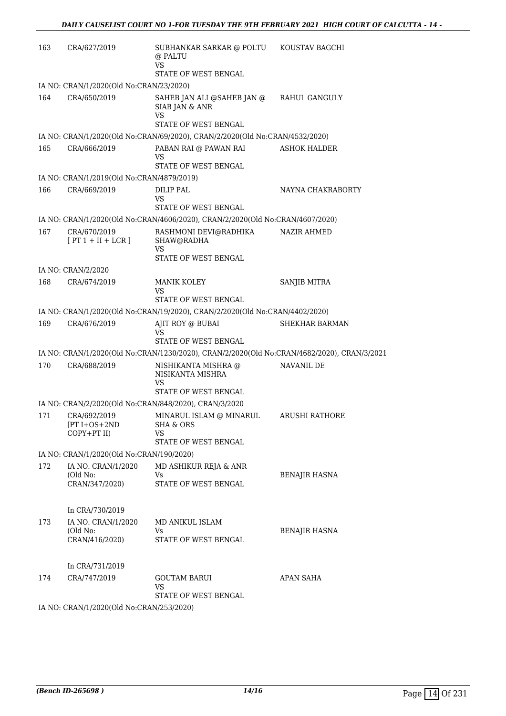| 163 | CRA/627/2019                                                   | SUBHANKAR SARKAR @ POLTU<br>@ PALTU<br>VS<br>STATE OF WEST BENGAL                               | KOUSTAV BAGCHI       |
|-----|----------------------------------------------------------------|-------------------------------------------------------------------------------------------------|----------------------|
|     | IA NO: CRAN/1/2020(Old No:CRAN/23/2020)                        |                                                                                                 |                      |
| 164 | CRA/650/2019                                                   | SAHEB JAN ALI @SAHEB JAN @<br>SIAB JAN & ANR<br>VS<br>STATE OF WEST BENGAL                      | RAHUL GANGULY        |
|     |                                                                | IA NO: CRAN/1/2020(Old No:CRAN/69/2020), CRAN/2/2020(Old No:CRAN/4532/2020)                     |                      |
| 165 | CRA/666/2019                                                   | PABAN RAI @ PAWAN RAI<br>VS<br>STATE OF WEST BENGAL                                             | <b>ASHOK HALDER</b>  |
|     | IA NO: CRAN/1/2019(Old No:CRAN/4879/2019)                      |                                                                                                 |                      |
| 166 | CRA/669/2019                                                   | DILIP PAL<br>VS<br>STATE OF WEST BENGAL                                                         | NAYNA CHAKRABORTY    |
|     |                                                                | IA NO: CRAN/1/2020(Old No:CRAN/4606/2020), CRAN/2/2020(Old No:CRAN/4607/2020)                   |                      |
| 167 | CRA/670/2019<br>$[PT 1 + II + LCR]$                            | RASHMONI DEVI@RADHIKA<br>SHAW@RADHA<br>VS<br>STATE OF WEST BENGAL                               | NAZIR AHMED          |
|     | IA NO: CRAN/2/2020                                             |                                                                                                 |                      |
| 168 | CRA/674/2019                                                   | <b>MANIK KOLEY</b><br>VS                                                                        | SANJIB MITRA         |
|     |                                                                | <b>STATE OF WEST BENGAL</b>                                                                     |                      |
| 169 | CRA/676/2019                                                   | IA NO: CRAN/1/2020(Old No:CRAN/19/2020), CRAN/2/2020(Old No:CRAN/4402/2020)<br>AJIT ROY @ BUBAI | SHEKHAR BARMAN       |
|     |                                                                | VS<br>STATE OF WEST BENGAL                                                                      |                      |
|     |                                                                | IA NO: CRAN/1/2020(Old No:CRAN/1230/2020), CRAN/2/2020(Old No:CRAN/4682/2020), CRAN/3/2021      |                      |
| 170 | CRA/688/2019                                                   | NISHIKANTA MISHRA @<br>NISIKANTA MISHRA<br>VS<br>STATE OF WEST BENGAL                           | NAVANIL DE           |
|     |                                                                | IA NO: CRAN/2/2020(Old No:CRAN/848/2020), CRAN/3/2020                                           |                      |
| 171 | CRA/692/2019<br>[PT I+OS+2ND<br>COPY+PT II)                    | MINARUL ISLAM @ MINARUL<br>SHA & ORS<br>VS                                                      | ARUSHI RATHORE       |
|     |                                                                | STATE OF WEST BENGAL                                                                            |                      |
|     | IA NO: CRAN/1/2020(Old No:CRAN/190/2020)<br>IA NO. CRAN/1/2020 |                                                                                                 |                      |
| 172 | (Old No:<br>CRAN/347/2020)                                     | MD ASHIKUR REJA & ANR<br>Vs<br>STATE OF WEST BENGAL                                             | BENAJIR HASNA        |
|     | In CRA/730/2019                                                |                                                                                                 |                      |
| 173 | IA NO. CRAN/1/2020<br>(Old No:<br>CRAN/416/2020)               | MD ANIKUL ISLAM<br>Vs<br>STATE OF WEST BENGAL                                                   | <b>BENAJIR HASNA</b> |
|     | In CRA/731/2019                                                |                                                                                                 |                      |
| 174 | CRA/747/2019                                                   | <b>GOUTAM BARUI</b><br>VS                                                                       | APAN SAHA            |
|     | IA NO: CRAN/1/2020(Old No:CRAN/253/2020)                       | STATE OF WEST BENGAL                                                                            |                      |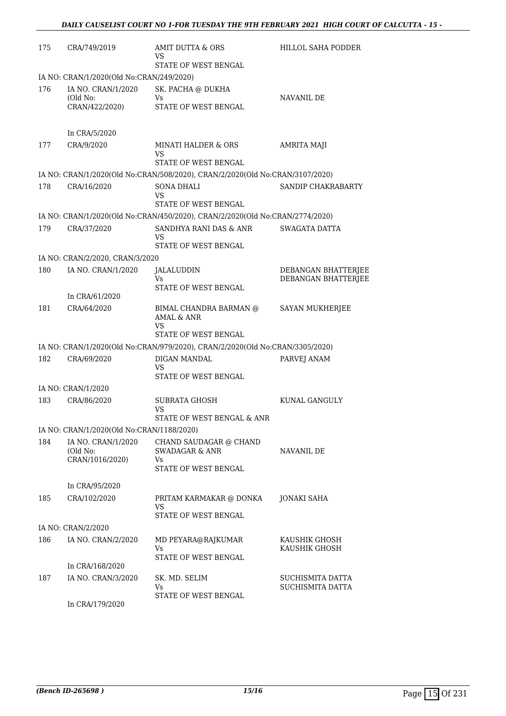| 175 | CRA/749/2019                              | AMIT DUTTA & ORS<br>VS                                                                               | <b>HILLOL SAHA PODDER</b>                  |
|-----|-------------------------------------------|------------------------------------------------------------------------------------------------------|--------------------------------------------|
|     |                                           | STATE OF WEST BENGAL                                                                                 |                                            |
|     | IA NO: CRAN/1/2020(Old No:CRAN/249/2020)  |                                                                                                      |                                            |
| 176 | IA NO. CRAN/1/2020<br>(Old No:            | SK. PACHA @ DUKHA<br>Vs                                                                              | NAVANIL DE                                 |
|     | CRAN/422/2020)                            | STATE OF WEST BENGAL                                                                                 |                                            |
|     | In CRA/5/2020                             |                                                                                                      |                                            |
| 177 | CRA/9/2020                                | <b>MINATI HALDER &amp; ORS</b><br>VS                                                                 | AMRITA MAJI                                |
|     |                                           | STATE OF WEST BENGAL<br>IA NO: CRAN/1/2020(Old No:CRAN/508/2020), CRAN/2/2020(Old No:CRAN/3107/2020) |                                            |
| 178 | CRA/16/2020                               | SONA DHALI                                                                                           | SANDIP CHAKRABARTY                         |
|     |                                           | VS<br>STATE OF WEST BENGAL                                                                           |                                            |
|     |                                           | IA NO: CRAN/1/2020(Old No:CRAN/450/2020), CRAN/2/2020(Old No:CRAN/2774/2020)                         |                                            |
| 179 | CRA/37/2020                               | SANDHYA RANI DAS & ANR                                                                               | SWAGATA DATTA                              |
|     |                                           | VS<br>STATE OF WEST BENGAL                                                                           |                                            |
|     | IA NO: CRAN/2/2020, CRAN/3/2020           |                                                                                                      |                                            |
| 180 | IA NO. CRAN/1/2020                        | JALALUDDIN<br>Vs                                                                                     | DEBANGAN BHATTERJEE<br>DEBANGAN BHATTERJEE |
|     |                                           | STATE OF WEST BENGAL                                                                                 |                                            |
|     | In CRA/61/2020                            |                                                                                                      |                                            |
| 181 | CRA/64/2020                               | BIMAL CHANDRA BARMAN @<br>AMAL & ANR<br>VS                                                           | SAYAN MUKHERJEE                            |
|     |                                           | STATE OF WEST BENGAL                                                                                 |                                            |
|     |                                           | IA NO: CRAN/1/2020(Old No:CRAN/979/2020), CRAN/2/2020(Old No:CRAN/3305/2020)                         |                                            |
| 182 | CRA/69/2020                               | DIGAN MANDAL<br>VS<br>STATE OF WEST BENGAL                                                           | PARVEJ ANAM                                |
|     | IA NO: CRAN/1/2020                        |                                                                                                      |                                            |
| 183 | CRA/86/2020                               | <b>SUBRATA GHOSH</b>                                                                                 | KUNAL GANGULY                              |
|     |                                           | VS<br>STATE OF WEST BENGAL & ANR                                                                     |                                            |
|     | IA NO: CRAN/1/2020(Old No:CRAN/1188/2020) |                                                                                                      |                                            |
| 184 | IA NO. CRAN/1/2020                        | CHAND SAUDAGAR @ CHAND                                                                               |                                            |
|     | (Old No:<br>CRAN/1016/2020)               | <b>SWADAGAR &amp; ANR</b><br>Vs                                                                      | NAVANIL DE                                 |
|     |                                           | STATE OF WEST BENGAL                                                                                 |                                            |
|     | In CRA/95/2020                            |                                                                                                      |                                            |
| 185 | CRA/102/2020                              | PRITAM KARMAKAR @ DONKA                                                                              | <b>JONAKI SAHA</b>                         |
|     |                                           | VS<br>STATE OF WEST BENGAL                                                                           |                                            |
|     | IA NO: CRAN/2/2020                        |                                                                                                      |                                            |
| 186 | IA NO. CRAN/2/2020                        | MD PEYARA@RAJKUMAR<br>Vs                                                                             | KAUSHIK GHOSH<br>KAUSHIK GHOSH             |
|     |                                           | STATE OF WEST BENGAL                                                                                 |                                            |
|     | In CRA/168/2020                           |                                                                                                      |                                            |
| 187 | IA NO. CRAN/3/2020                        | SK. MD. SELIM<br>Vs                                                                                  | SUCHISMITA DATTA<br>SUCHISMITA DATTA       |
|     | In CRA/179/2020                           | STATE OF WEST BENGAL                                                                                 |                                            |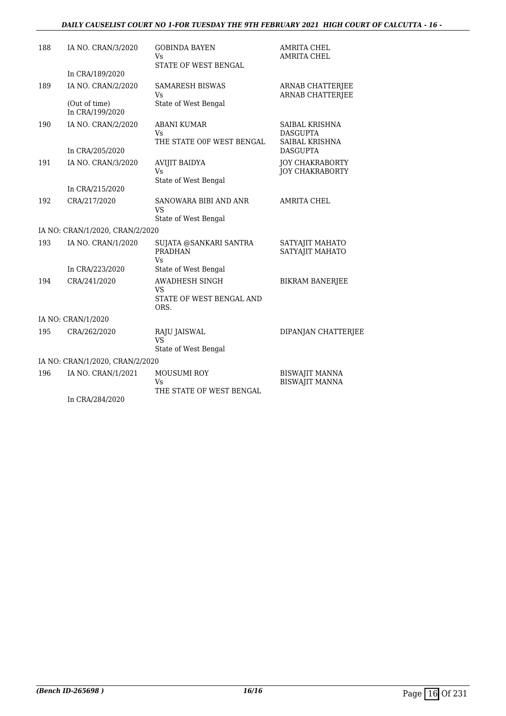#### *DAILY CAUSELIST COURT NO 1-FOR TUESDAY THE 9TH FEBRUARY 2021 HIGH COURT OF CALCUTTA - 16 -*

| 188 | IA NO. CRAN/3/2020               | <b>GOBINDA BAYEN</b><br>Vs.                     | <b>AMRITA CHEL</b><br><b>AMRITA CHEL</b>           |
|-----|----------------------------------|-------------------------------------------------|----------------------------------------------------|
|     |                                  | STATE OF WEST BENGAL                            |                                                    |
|     | In CRA/189/2020                  |                                                 |                                                    |
| 189 | IA NO. CRAN/2/2020               | <b>SAMARESH BISWAS</b><br>Vs                    | <b>ARNAB CHATTERJEE</b><br><b>ARNAB CHATTERJEE</b> |
|     | (Out of time)<br>In CRA/199/2020 | State of West Bengal                            |                                                    |
| 190 | IA NO. CRAN/2/2020               | <b>ABANI KUMAR</b>                              | SAIBAL KRISHNA                                     |
|     |                                  | Vs                                              | <b>DASGUPTA</b>                                    |
|     | In CRA/205/2020                  | THE STATE OOF WEST BENGAL                       | <b>SAIBAL KRISHNA</b><br><b>DASGUPTA</b>           |
| 191 | IA NO. CRAN/3/2020               | <b>AVIJIT BAIDYA</b>                            | <b>JOY CHAKRABORTY</b>                             |
|     |                                  | Vs                                              | <b>JOY CHAKRABORTY</b>                             |
|     |                                  | State of West Bengal                            |                                                    |
|     | In CRA/215/2020                  |                                                 |                                                    |
| 192 | CRA/217/2020                     | SANOWARA BIBI AND ANR<br><b>VS</b>              | <b>AMRITA CHEL</b>                                 |
|     |                                  | State of West Bengal                            |                                                    |
|     | IA NO: CRAN/1/2020, CRAN/2/2020  |                                                 |                                                    |
| 193 | IA NO. CRAN/1/2020               | SUJATA @SANKARI SANTRA<br><b>PRADHAN</b><br>Vs. | SATYAJIT MAHATO<br>SATYAJIT MAHATO                 |
|     | In CRA/223/2020                  | State of West Bengal                            |                                                    |
| 194 | CRA/241/2020                     | <b>AWADHESH SINGH</b><br><b>VS</b>              | <b>BIKRAM BANERJEE</b>                             |
|     |                                  | STATE OF WEST BENGAL AND<br>ORS.                |                                                    |
|     | IA NO: CRAN/1/2020               |                                                 |                                                    |
| 195 | CRA/262/2020                     | RAJU JAISWAL                                    | DIPANJAN CHATTERJEE                                |
|     |                                  | VS                                              |                                                    |
|     |                                  | State of West Bengal                            |                                                    |
|     | IA NO: CRAN/1/2020, CRAN/2/2020  |                                                 |                                                    |
| 196 | IA NO. CRAN/1/2021               | <b>MOUSUMI ROY</b><br>Vs                        | <b>BISWAJIT MANNA</b><br><b>BISWAJIT MANNA</b>     |
|     | In CRA/284/2020                  | THE STATE OF WEST BENGAL                        |                                                    |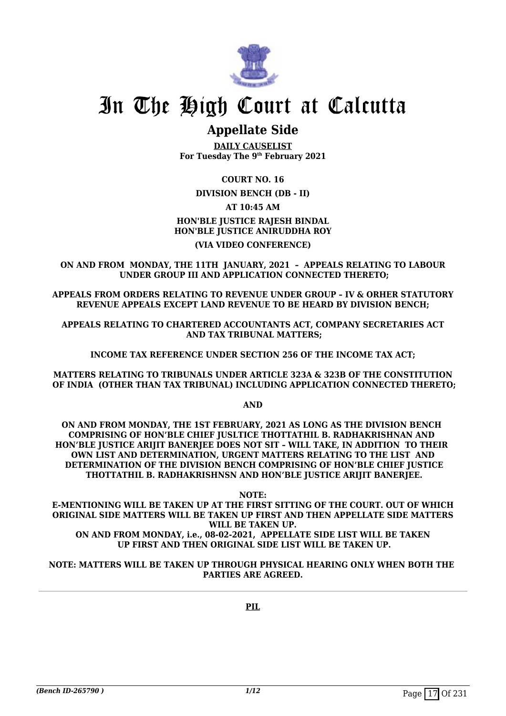

### **Appellate Side**

**DAILY CAUSELIST For Tuesday The 9th February 2021**

#### **COURT NO. 16**

**DIVISION BENCH (DB - II)**

### **AT 10:45 AM**

#### **HON'BLE JUSTICE RAJESH BINDAL HON'BLE JUSTICE ANIRUDDHA ROY (VIA VIDEO CONFERENCE)**

#### **ON AND FROM MONDAY, THE 11TH JANUARY, 2021 – APPEALS RELATING TO LABOUR UNDER GROUP III AND APPLICATION CONNECTED THERETO;**

**APPEALS FROM ORDERS RELATING TO REVENUE UNDER GROUP – IV & ORHER STATUTORY REVENUE APPEALS EXCEPT LAND REVENUE TO BE HEARD BY DIVISION BENCH;**

**APPEALS RELATING TO CHARTERED ACCOUNTANTS ACT, COMPANY SECRETARIES ACT AND TAX TRIBUNAL MATTERS;**

**INCOME TAX REFERENCE UNDER SECTION 256 OF THE INCOME TAX ACT;**

**MATTERS RELATING TO TRIBUNALS UNDER ARTICLE 323A & 323B OF THE CONSTITUTION OF INDIA (OTHER THAN TAX TRIBUNAL) INCLUDING APPLICATION CONNECTED THERETO;**

**AND**

**ON AND FROM MONDAY, THE 1ST FEBRUARY, 2021 AS LONG AS THE DIVISION BENCH COMPRISING OF HON'BLE CHIEF JUSLTICE THOTTATHIL B. RADHAKRISHNAN AND HON'BLE JUSTICE ARIJIT BANERJEE DOES NOT SIT – WILL TAKE, IN ADDITION TO THEIR OWN LIST AND DETERMINATION, URGENT MATTERS RELATING TO THE LIST AND DETERMINATION OF THE DIVISION BENCH COMPRISING OF HON'BLE CHIEF JUSTICE THOTTATHIL B. RADHAKRISHNSN AND HON'BLE JUSTICE ARIJIT BANERJEE.**

**NOTE:**

**E-MENTIONING WILL BE TAKEN UP AT THE FIRST SITTING OF THE COURT. OUT OF WHICH ORIGINAL SIDE MATTERS WILL BE TAKEN UP FIRST AND THEN APPELLATE SIDE MATTERS WILL BE TAKEN UP. ON AND FROM MONDAY, i.e., 08-02-2021, APPELLATE SIDE LIST WILL BE TAKEN UP FIRST AND THEN ORIGINAL SIDE LIST WILL BE TAKEN UP.**

#### **NOTE: MATTERS WILL BE TAKEN UP THROUGH PHYSICAL HEARING ONLY WHEN BOTH THE PARTIES ARE AGREED.**

**PIL**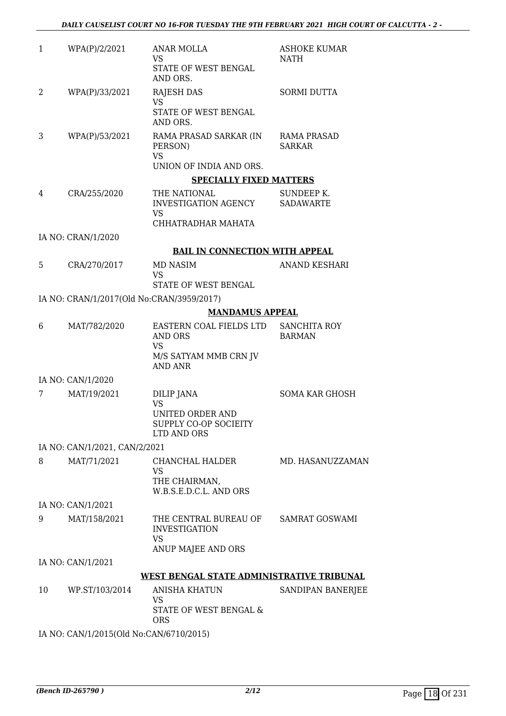| 1  | WPA(P)/2/2021                             | ANAR MOLLA<br>VS                                                                           | <b>ASHOKE KUMAR</b><br>NATH          |
|----|-------------------------------------------|--------------------------------------------------------------------------------------------|--------------------------------------|
|    |                                           | STATE OF WEST BENGAL<br>AND ORS.                                                           |                                      |
| 2  | WPA(P)/33/2021                            | <b>RAJESH DAS</b><br><b>VS</b>                                                             | <b>SORMI DUTTA</b>                   |
|    |                                           | STATE OF WEST BENGAL<br>AND ORS.                                                           |                                      |
| 3  | WPA(P)/53/2021                            | RAMA PRASAD SARKAR (IN<br>PERSON)                                                          | RAMA PRASAD<br><b>SARKAR</b>         |
|    |                                           | <b>VS</b><br>UNION OF INDIA AND ORS.                                                       |                                      |
|    |                                           | <b>SPECIALLY FIXED MATTERS</b>                                                             |                                      |
| 4  | CRA/255/2020                              | THE NATIONAL<br>INVESTIGATION AGENCY<br><b>VS</b><br>CHHATRADHAR MAHATA                    | SUNDEEP K.<br><b>SADAWARTE</b>       |
|    | IA NO: CRAN/1/2020                        |                                                                                            |                                      |
|    |                                           | <b>BAIL IN CONNECTION WITH APPEAL</b>                                                      |                                      |
| 5  | CRA/270/2017                              | MD NASIM                                                                                   | <b>ANAND KESHARI</b>                 |
|    |                                           | VS                                                                                         |                                      |
|    |                                           | STATE OF WEST BENGAL                                                                       |                                      |
|    | IA NO: CRAN/1/2017(Old No:CRAN/3959/2017) |                                                                                            |                                      |
|    |                                           | <b>MANDAMUS APPEAL</b>                                                                     |                                      |
| 6  | MAT/782/2020                              | EASTERN COAL FIELDS LTD<br>AND ORS<br><b>VS</b><br>M/S SATYAM MMB CRN JV<br><b>AND ANR</b> | <b>SANCHITA ROY</b><br><b>BARMAN</b> |
|    | IA NO: CAN/1/2020                         |                                                                                            |                                      |
| 7  | MAT/19/2021                               | <b>DILIP JANA</b>                                                                          | <b>SOMA KAR GHOSH</b>                |
|    |                                           | <b>VS</b><br><b>UNITED ORDER AND</b><br>SUPPLY CO-OP SOCIEITY<br>LTD AND ORS               |                                      |
|    | IA NO: CAN/1/2021, CAN/2/2021             |                                                                                            |                                      |
| 8  | MAT/71/2021                               | CHANCHAL HALDER<br><b>VS</b>                                                               | MD. HASANUZZAMAN                     |
|    |                                           | THE CHAIRMAN,<br>W.B.S.E.D.C.L. AND ORS                                                    |                                      |
|    | IA NO: CAN/1/2021                         |                                                                                            |                                      |
| 9  | MAT/158/2021                              | THE CENTRAL BUREAU OF<br><b>INVESTIGATION</b><br><b>VS</b>                                 | <b>SAMRAT GOSWAMI</b>                |
|    |                                           | ANUP MAJEE AND ORS                                                                         |                                      |
|    | IA NO: CAN/1/2021                         |                                                                                            |                                      |
|    |                                           | WEST BENGAL STATE ADMINISTRATIVE TRIBUNAL                                                  |                                      |
| 10 | WP.ST/103/2014                            | ANISHA KHATUN                                                                              | SANDIPAN BANERJEE                    |
|    |                                           | <b>VS</b><br>STATE OF WEST BENGAL &<br><b>ORS</b>                                          |                                      |

IA NO: CAN/1/2015(Old No:CAN/6710/2015)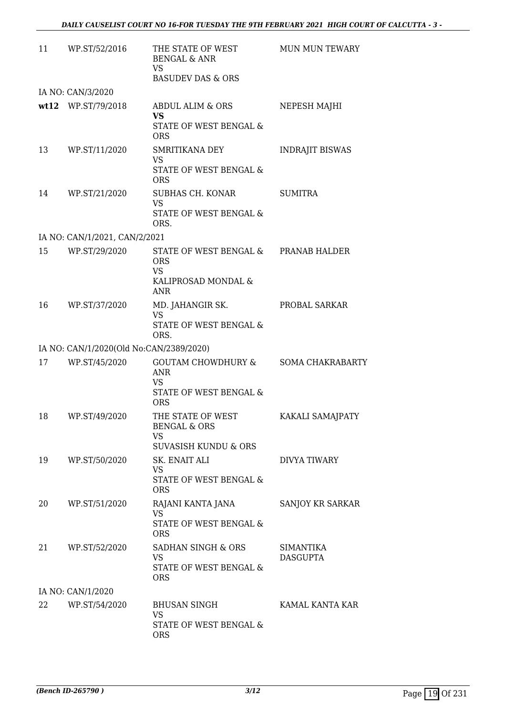| 11 | WP.ST/52/2016                           | THE STATE OF WEST<br><b>BENGAL &amp; ANR</b><br><b>VS</b><br><b>BASUDEV DAS &amp; ORS</b>              | <b>MUN MUN TEWARY</b>        |
|----|-----------------------------------------|--------------------------------------------------------------------------------------------------------|------------------------------|
|    | IA NO: CAN/3/2020                       |                                                                                                        |                              |
|    | wt12 WP.ST/79/2018                      | ABDUL ALIM & ORS<br><b>VS</b><br>STATE OF WEST BENGAL &<br><b>ORS</b>                                  | NEPESH MAJHI                 |
| 13 | WP.ST/11/2020                           | SMRITIKANA DEY<br><b>VS</b><br>STATE OF WEST BENGAL &<br><b>ORS</b>                                    | <b>INDRAJIT BISWAS</b>       |
| 14 | WP.ST/21/2020                           | SUBHAS CH. KONAR<br><b>VS</b><br>STATE OF WEST BENGAL &<br>ORS.                                        | <b>SUMITRA</b>               |
|    | IA NO: CAN/1/2021, CAN/2/2021           |                                                                                                        |                              |
| 15 | WP.ST/29/2020                           | STATE OF WEST BENGAL & PRANAB HALDER<br><b>ORS</b><br><b>VS</b><br>KALIPROSAD MONDAL &<br>ANR          |                              |
| 16 | WP.ST/37/2020                           | MD. JAHANGIR SK.<br><b>VS</b><br>STATE OF WEST BENGAL &<br>ORS.                                        | PROBAL SARKAR                |
|    | IA NO: CAN/1/2020(Old No:CAN/2389/2020) |                                                                                                        |                              |
| 17 | WP.ST/45/2020                           | GOUTAM CHOWDHURY & SOMA CHAKRABARTY<br><b>ANR</b><br><b>VS</b><br>STATE OF WEST BENGAL &<br><b>ORS</b> |                              |
| 18 | WP.ST/49/2020                           | THE STATE OF WEST<br><b>BENGAL &amp; ORS</b><br>VS<br><b>SUVASISH KUNDU &amp; ORS</b>                  | KAKALI SAMAJPATY             |
| 19 | WP.ST/50/2020                           | SK. ENAIT ALI<br>VS<br>STATE OF WEST BENGAL &<br><b>ORS</b>                                            | DIVYA TIWARY                 |
| 20 | WP.ST/51/2020                           | RAJANI KANTA JANA<br>VS<br>STATE OF WEST BENGAL &<br><b>ORS</b>                                        | SANJOY KR SARKAR             |
| 21 | WP.ST/52/2020                           | SADHAN SINGH & ORS<br>VS<br>STATE OF WEST BENGAL &<br><b>ORS</b>                                       | SIMANTIKA<br><b>DASGUPTA</b> |
|    | IA NO: CAN/1/2020                       |                                                                                                        |                              |
| 22 | WP.ST/54/2020                           | <b>BHUSAN SINGH</b><br>VS<br>STATE OF WEST BENGAL &<br><b>ORS</b>                                      | KAMAL KANTA KAR              |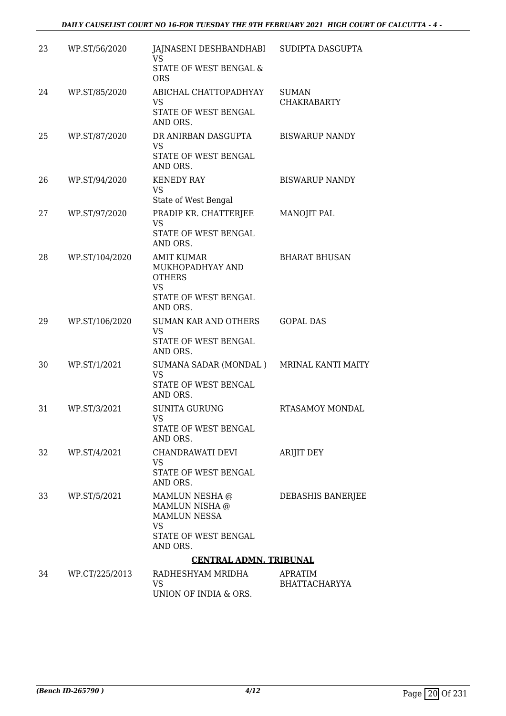| 23 | WP.ST/56/2020  | JAJNASENI DESHBANDHABI<br>VS                                                                            | SUDIPTA DASGUPTA                   |
|----|----------------|---------------------------------------------------------------------------------------------------------|------------------------------------|
|    |                | STATE OF WEST BENGAL &<br><b>ORS</b>                                                                    |                                    |
| 24 | WP.ST/85/2020  | ABICHAL CHATTOPADHYAY<br><b>VS</b><br>STATE OF WEST BENGAL                                              | <b>SUMAN</b><br><b>CHAKRABARTY</b> |
|    |                | AND ORS.                                                                                                |                                    |
| 25 | WP.ST/87/2020  | DR ANIRBAN DASGUPTA<br><b>VS</b><br>STATE OF WEST BENGAL<br>AND ORS.                                    | <b>BISWARUP NANDY</b>              |
| 26 | WP.ST/94/2020  | <b>KENEDY RAY</b><br><b>VS</b>                                                                          | <b>BISWARUP NANDY</b>              |
|    |                | State of West Bengal                                                                                    |                                    |
| 27 | WP.ST/97/2020  | PRADIP KR. CHATTERJEE<br><b>VS</b><br>STATE OF WEST BENGAL<br>AND ORS.                                  | MANOJIT PAL                        |
| 28 | WP.ST/104/2020 | <b>AMIT KUMAR</b><br>MUKHOPADHYAY AND<br><b>OTHERS</b><br><b>VS</b><br>STATE OF WEST BENGAL<br>AND ORS. | <b>BHARAT BHUSAN</b>               |
| 29 | WP.ST/106/2020 | <b>SUMAN KAR AND OTHERS</b><br><b>VS</b><br>STATE OF WEST BENGAL<br>AND ORS.                            | <b>GOPAL DAS</b>                   |
| 30 | WP.ST/1/2021   | SUMANA SADAR (MONDAL) MRINAL KANTI MAITY<br><b>VS</b><br>STATE OF WEST BENGAL<br>AND ORS.               |                                    |
| 31 | WP.ST/3/2021   | <b>SUNITA GURUNG</b><br><b>VS</b><br>STATE OF WEST BENGAL<br>AND ORS.                                   | RTASAMOY MONDAL                    |
| 32 | WP.ST/4/2021   | CHANDRAWATI DEVI<br>VS<br>STATE OF WEST BENGAL<br>AND ORS.                                              | ARIJIT DEY                         |
| 33 | WP.ST/5/2021   | MAMLUN NESHA @<br>MAMLUN NISHA @<br><b>MAMLUN NESSA</b><br>VS<br>STATE OF WEST BENGAL<br>AND ORS.       | DEBASHIS BANERJEE                  |
|    |                | <b>CENTRAL ADMN. TRIBUNAL</b>                                                                           |                                    |
| 34 | WP.CT/225/2013 | RADHESHYAM MRIDHA<br>VS<br>UNION OF INDIA & ORS.                                                        | APRATIM<br><b>BHATTACHARYYA</b>    |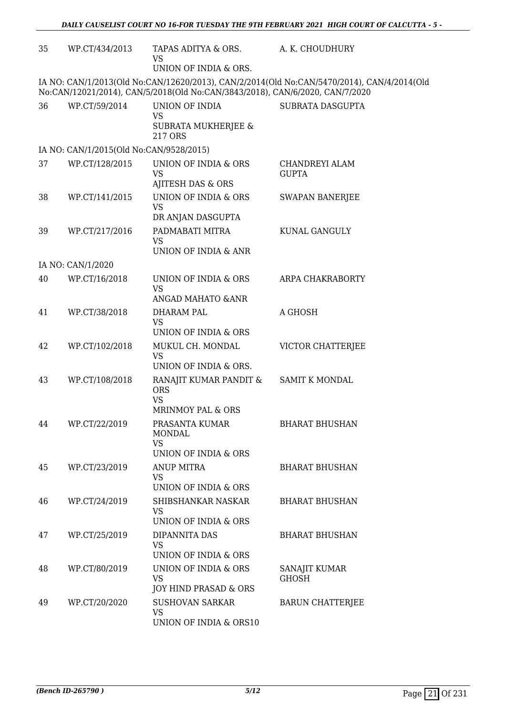| 35 | WP.CT/434/2013                          | TAPAS ADITYA & ORS.<br>VS<br>UNION OF INDIA & ORS.                             | A. K. CHOUDHURY                                                                            |
|----|-----------------------------------------|--------------------------------------------------------------------------------|--------------------------------------------------------------------------------------------|
|    |                                         | No:CAN/12021/2014), CAN/5/2018(Old No:CAN/3843/2018), CAN/6/2020, CAN/7/2020   | IA NO: CAN/1/2013(Old No:CAN/12620/2013), CAN/2/2014(Old No:CAN/5470/2014), CAN/4/2014(Old |
| 36 | WP.CT/59/2014                           | UNION OF INDIA<br><b>VS</b><br><b>SUBRATA MUKHERJEE &amp;</b><br>217 ORS       | SUBRATA DASGUPTA                                                                           |
|    | IA NO: CAN/1/2015(Old No:CAN/9528/2015) |                                                                                |                                                                                            |
| 37 | WP.CT/128/2015                          | UNION OF INDIA & ORS<br><b>VS</b><br>AJITESH DAS & ORS                         | <b>CHANDREYI ALAM</b><br><b>GUPTA</b>                                                      |
| 38 | WP.CT/141/2015                          | UNION OF INDIA & ORS<br><b>VS</b><br>DR ANJAN DASGUPTA                         | <b>SWAPAN BANERJEE</b>                                                                     |
| 39 | WP.CT/217/2016                          | PADMABATI MITRA<br><b>VS</b><br>UNION OF INDIA & ANR                           | KUNAL GANGULY                                                                              |
|    | IA NO: CAN/1/2020                       |                                                                                |                                                                                            |
| 40 | WP.CT/16/2018                           | UNION OF INDIA & ORS<br><b>VS</b><br>ANGAD MAHATO & ANR                        | ARPA CHAKRABORTY                                                                           |
| 41 | WP.CT/38/2018                           | DHARAM PAL                                                                     | A GHOSH                                                                                    |
|    |                                         | <b>VS</b><br>UNION OF INDIA & ORS                                              |                                                                                            |
| 42 | WP.CT/102/2018                          | MUKUL CH. MONDAL<br><b>VS</b><br>UNION OF INDIA & ORS.                         | VICTOR CHATTERJEE                                                                          |
| 43 | WP.CT/108/2018                          | RANAJIT KUMAR PANDIT &<br><b>ORS</b><br><b>VS</b><br>MRINMOY PAL & ORS         | <b>SAMIT K MONDAL</b>                                                                      |
| 44 | WP.CT/22/2019                           | PRASANTA KUMAR<br><b>MONDAL</b><br><b>VS</b>                                   | <b>BHARAT BHUSHAN</b>                                                                      |
| 45 | WP.CT/23/2019                           | UNION OF INDIA & ORS<br><b>ANUP MITRA</b><br><b>VS</b><br>UNION OF INDIA & ORS | <b>BHARAT BHUSHAN</b>                                                                      |
| 46 | WP.CT/24/2019                           | SHIBSHANKAR NASKAR<br><b>VS</b><br>UNION OF INDIA & ORS                        | <b>BHARAT BHUSHAN</b>                                                                      |
| 47 | WP.CT/25/2019                           | DIPANNITA DAS<br>VS<br>UNION OF INDIA & ORS                                    | <b>BHARAT BHUSHAN</b>                                                                      |
| 48 | WP.CT/80/2019                           | UNION OF INDIA & ORS<br>VS.<br>JOY HIND PRASAD & ORS                           | SANAJIT KUMAR<br><b>GHOSH</b>                                                              |
| 49 | WP.CT/20/2020                           | <b>SUSHOVAN SARKAR</b><br><b>VS</b><br>UNION OF INDIA & ORS10                  | <b>BARUN CHATTERIEE</b>                                                                    |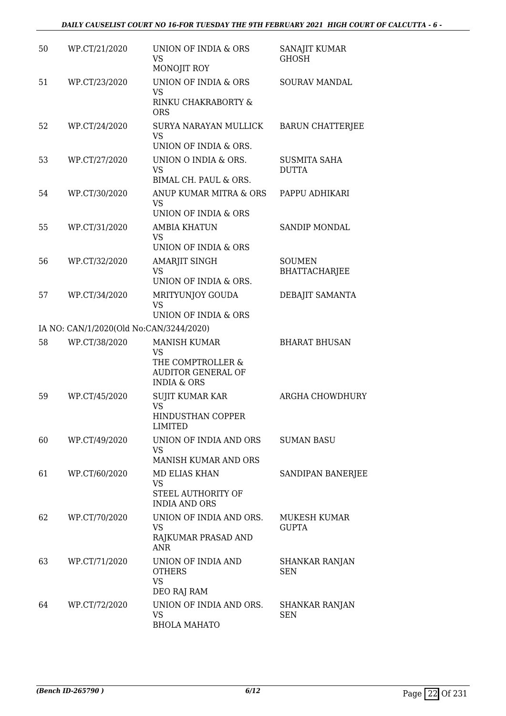| 50 | WP.CT/21/2020                           | UNION OF INDIA & ORS<br><b>VS</b><br>MONOJIT ROY                                                      | SANAJIT KUMAR<br><b>GHOSH</b>         |
|----|-----------------------------------------|-------------------------------------------------------------------------------------------------------|---------------------------------------|
| 51 | WP.CT/23/2020                           | UNION OF INDIA & ORS<br><b>VS</b><br>RINKU CHAKRABORTY &<br><b>ORS</b>                                | <b>SOURAV MANDAL</b>                  |
| 52 | WP.CT/24/2020                           | SURYA NARAYAN MULLICK<br><b>VS</b>                                                                    | <b>BARUN CHATTERJEE</b>               |
| 53 | WP.CT/27/2020                           | UNION OF INDIA & ORS.<br>UNION O INDIA & ORS.<br><b>VS</b><br>BIMAL CH. PAUL & ORS.                   | <b>SUSMITA SAHA</b><br><b>DUTTA</b>   |
| 54 | WP.CT/30/2020                           | ANUP KUMAR MITRA & ORS<br><b>VS</b><br>UNION OF INDIA & ORS                                           | PAPPU ADHIKARI                        |
| 55 | WP.CT/31/2020                           | <b>AMBIA KHATUN</b><br><b>VS</b><br>UNION OF INDIA & ORS                                              | <b>SANDIP MONDAL</b>                  |
| 56 | WP.CT/32/2020                           | AMARJIT SINGH<br>VS<br>UNION OF INDIA & ORS.                                                          | <b>SOUMEN</b><br><b>BHATTACHARJEE</b> |
| 57 | WP.CT/34/2020                           | MRITYUNJOY GOUDA<br><b>VS</b><br>UNION OF INDIA & ORS                                                 | DEBAJIT SAMANTA                       |
|    | IA NO: CAN/1/2020(Old No:CAN/3244/2020) |                                                                                                       |                                       |
| 58 | WP.CT/38/2020                           | <b>MANISH KUMAR</b><br>VS<br>THE COMPTROLLER &<br><b>AUDITOR GENERAL OF</b><br><b>INDIA &amp; ORS</b> | <b>BHARAT BHUSAN</b>                  |
| 59 | WP.CT/45/2020                           | SUJIT KUMAR KAR<br><b>VS</b><br><b>HINDUSTHAN COPPER</b><br><b>LIMITED</b>                            | ARGHA CHOWDHURY                       |
| 60 | WP.CT/49/2020                           | UNION OF INDIA AND ORS<br>VS<br><b>MANISH KUMAR AND ORS</b>                                           | <b>SUMAN BASU</b>                     |
| 61 | WP.CT/60/2020                           | <b>MD ELIAS KHAN</b><br>VS<br>STEEL AUTHORITY OF<br><b>INDIA AND ORS</b>                              | SANDIPAN BANERJEE                     |
| 62 | WP.CT/70/2020                           | UNION OF INDIA AND ORS.<br>VS<br>RAJKUMAR PRASAD AND<br><b>ANR</b>                                    | <b>MUKESH KUMAR</b><br><b>GUPTA</b>   |
| 63 | WP.CT/71/2020                           | UNION OF INDIA AND<br><b>OTHERS</b><br><b>VS</b><br>DEO RAJ RAM                                       | SHANKAR RANJAN<br><b>SEN</b>          |
| 64 | WP.CT/72/2020                           | UNION OF INDIA AND ORS.<br><b>VS</b><br><b>BHOLA MAHATO</b>                                           | SHANKAR RANJAN<br><b>SEN</b>          |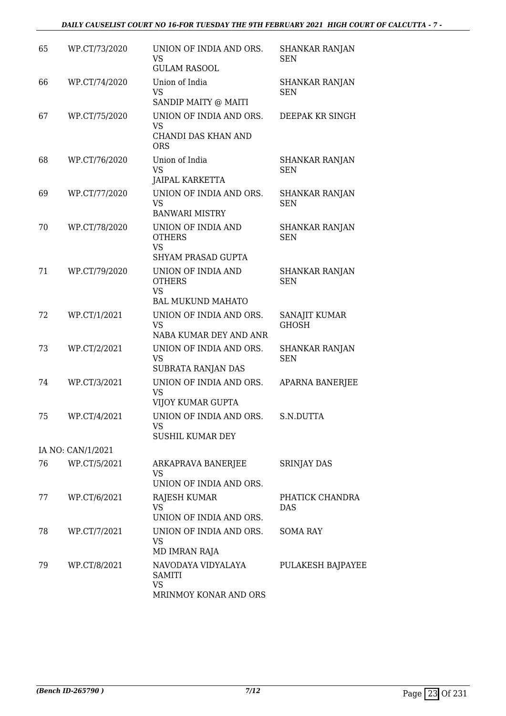#### *DAILY CAUSELIST COURT NO 16-FOR TUESDAY THE 9TH FEBRUARY 2021 HIGH COURT OF CALCUTTA - 7 -*

| 65 | WP.CT/73/2020     | UNION OF INDIA AND ORS.<br><b>VS</b><br><b>GULAM RASOOL</b>                   | <b>SHANKAR RANJAN</b><br>SEN        |
|----|-------------------|-------------------------------------------------------------------------------|-------------------------------------|
| 66 | WP.CT/74/2020     | Union of India<br><b>VS</b><br>SANDIP MAITY @ MAITI                           | <b>SHANKAR RANJAN</b><br><b>SEN</b> |
| 67 | WP.CT/75/2020     | UNION OF INDIA AND ORS.<br><b>VS</b><br>CHANDI DAS KHAN AND<br><b>ORS</b>     | DEEPAK KR SINGH                     |
| 68 | WP.CT/76/2020     | Union of India<br><b>VS</b><br><b>JAIPAL KARKETTA</b>                         | <b>SHANKAR RANJAN</b><br><b>SEN</b> |
| 69 | WP.CT/77/2020     | UNION OF INDIA AND ORS.<br>VS<br><b>BANWARI MISTRY</b>                        | <b>SHANKAR RANJAN</b><br><b>SEN</b> |
| 70 | WP.CT/78/2020     | UNION OF INDIA AND<br><b>OTHERS</b><br><b>VS</b><br><b>SHYAM PRASAD GUPTA</b> | SHANKAR RANJAN<br><b>SEN</b>        |
| 71 | WP.CT/79/2020     | UNION OF INDIA AND<br><b>OTHERS</b><br><b>VS</b><br><b>BAL MUKUND MAHATO</b>  | <b>SHANKAR RANJAN</b><br><b>SEN</b> |
| 72 | WP.CT/1/2021      | UNION OF INDIA AND ORS.<br><b>VS</b><br>NABA KUMAR DEY AND ANR                | SANAJIT KUMAR<br><b>GHOSH</b>       |
| 73 | WP.CT/2/2021      | UNION OF INDIA AND ORS.<br><b>VS</b><br>SUBRATA RANJAN DAS                    | <b>SHANKAR RANJAN</b><br><b>SEN</b> |
| 74 | WP.CT/3/2021      | UNION OF INDIA AND ORS.<br><b>VS</b><br>VIJOY KUMAR GUPTA                     | <b>APARNA BANERJEE</b>              |
| 75 | WP.CT/4/2021      | UNION OF INDIA AND ORS.<br>VS<br><b>SUSHIL KUMAR DEY</b>                      | S.N.DUTTA                           |
|    | IA NO: CAN/1/2021 |                                                                               |                                     |
| 76 | WP.CT/5/2021      | ARKAPRAVA BANERJEE<br>VS<br>UNION OF INDIA AND ORS.                           | <b>SRINJAY DAS</b>                  |
| 77 | WP.CT/6/2021      | RAJESH KUMAR<br><b>VS</b><br>UNION OF INDIA AND ORS.                          | PHATICK CHANDRA<br>DAS              |
| 78 | WP.CT/7/2021      | UNION OF INDIA AND ORS.<br>VS<br>MD IMRAN RAJA                                | SOMA RAY                            |
| 79 | WP.CT/8/2021      | NAVODAYA VIDYALAYA<br><b>SAMITI</b><br>VS<br>MRINMOY KONAR AND ORS            | PULAKESH BAJPAYEE                   |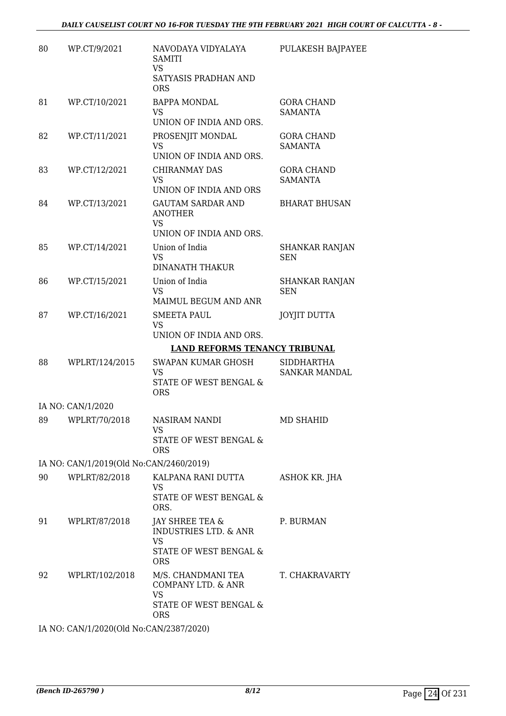| 80 | WP.CT/9/2021                            | NAVODAYA VIDYALAYA<br><b>SAMITI</b><br><b>VS</b><br>SATYASIS PRADHAN AND<br><b>ORS</b>                   | PULAKESH BAJPAYEE                   |
|----|-----------------------------------------|----------------------------------------------------------------------------------------------------------|-------------------------------------|
| 81 | WP.CT/10/2021                           | <b>BAPPA MONDAL</b><br>VS.<br>UNION OF INDIA AND ORS.                                                    | <b>GORA CHAND</b><br><b>SAMANTA</b> |
| 82 | WP.CT/11/2021                           | PROSENJIT MONDAL<br><b>VS</b><br>UNION OF INDIA AND ORS.                                                 | <b>GORA CHAND</b><br><b>SAMANTA</b> |
| 83 | WP.CT/12/2021                           | CHIRANMAY DAS<br><b>VS</b><br>UNION OF INDIA AND ORS                                                     | <b>GORA CHAND</b><br><b>SAMANTA</b> |
| 84 | WP.CT/13/2021                           | <b>GAUTAM SARDAR AND</b><br><b>ANOTHER</b><br><b>VS</b><br>UNION OF INDIA AND ORS.                       | <b>BHARAT BHUSAN</b>                |
| 85 | WP.CT/14/2021                           | Union of India<br><b>VS</b><br><b>DINANATH THAKUR</b>                                                    | <b>SHANKAR RANJAN</b><br><b>SEN</b> |
| 86 | WP.CT/15/2021                           | Union of India<br><b>VS</b><br>MAIMUL BEGUM AND ANR                                                      | <b>SHANKAR RANJAN</b><br><b>SEN</b> |
| 87 | WP.CT/16/2021                           | SMEETA PAUL<br><b>VS</b><br>UNION OF INDIA AND ORS.                                                      | <b>JOYJIT DUTTA</b>                 |
|    |                                         | <b>LAND REFORMS TENANCY TRIBUNAL</b>                                                                     |                                     |
| 88 | WPLRT/124/2015                          | SWAPAN KUMAR GHOSH<br><b>VS</b><br><b>STATE OF WEST BENGAL &amp;</b><br><b>ORS</b>                       | <b>SIDDHARTHA</b><br>SANKAR MANDAL  |
|    | IA NO: CAN/1/2020                       |                                                                                                          |                                     |
| 89 | WPLRT/70/2018                           | NASIRAM NANDI<br>VS<br>STATE OF WEST BENGAL &<br><b>ORS</b>                                              | <b>MD SHAHID</b>                    |
|    | IA NO: CAN/1/2019(Old No:CAN/2460/2019) |                                                                                                          |                                     |
| 90 | WPLRT/82/2018                           | KALPANA RANI DUTTA<br><b>VS</b><br>STATE OF WEST BENGAL &<br>ORS.                                        | ASHOK KR. JHA                       |
| 91 | WPLRT/87/2018                           | JAY SHREE TEA &<br><b>INDUSTRIES LTD. &amp; ANR</b><br><b>VS</b><br>STATE OF WEST BENGAL &<br><b>ORS</b> | P. BURMAN                           |
| 92 | WPLRT/102/2018                          | M/S. CHANDMANI TEA<br>COMPANY LTD. & ANR<br>VS.<br>STATE OF WEST BENGAL &<br>ORS.                        | T. CHAKRAVARTY                      |
|    |                                         |                                                                                                          |                                     |

IA NO: CAN/1/2020(Old No:CAN/2387/2020)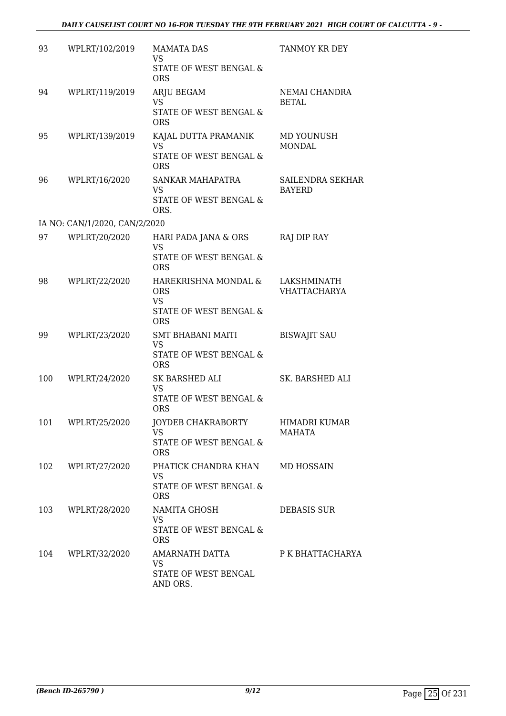| 93  | WPLRT/102/2019                | <b>MAMATA DAS</b><br><b>VS</b><br>STATE OF WEST BENGAL &<br><b>ORS</b>                  | TANMOY KR DEY                      |
|-----|-------------------------------|-----------------------------------------------------------------------------------------|------------------------------------|
| 94  | WPLRT/119/2019                | ARJU BEGAM<br><b>VS</b><br>STATE OF WEST BENGAL &<br><b>ORS</b>                         | NEMAI CHANDRA<br><b>BETAL</b>      |
| 95  | WPLRT/139/2019                | KAJAL DUTTA PRAMANIK<br><b>VS</b><br>STATE OF WEST BENGAL &<br><b>ORS</b>               | MD YOUNUSH<br><b>MONDAL</b>        |
| 96  | WPLRT/16/2020                 | SANKAR MAHAPATRA<br><b>VS</b><br>STATE OF WEST BENGAL &<br>ORS.                         | SAILENDRA SEKHAR<br><b>BAYERD</b>  |
|     | IA NO: CAN/1/2020, CAN/2/2020 |                                                                                         |                                    |
| 97  | WPLRT/20/2020                 | HARI PADA JANA & ORS<br><b>VS</b><br>STATE OF WEST BENGAL &<br><b>ORS</b>               | RAJ DIP RAY                        |
| 98  | WPLRT/22/2020                 | HAREKRISHNA MONDAL &<br><b>ORS</b><br><b>VS</b><br>STATE OF WEST BENGAL &<br><b>ORS</b> | LAKSHMINATH<br><b>VHATTACHARYA</b> |
| 99  | WPLRT/23/2020                 | SMT BHABANI MAITI<br><b>VS</b><br>STATE OF WEST BENGAL &<br><b>ORS</b>                  | <b>BISWAJIT SAU</b>                |
| 100 | WPLRT/24/2020                 | SK BARSHED ALI<br><b>VS</b><br>STATE OF WEST BENGAL &<br><b>ORS</b>                     | SK. BARSHED ALI                    |
|     | 101 WPLRT/25/2020             | JOYDEB CHAKRABORTY<br>VS.<br>STATE OF WEST BENGAL &<br><b>ORS</b>                       | HIMADRI KUMAR<br>MAHATA            |
| 102 | WPLRT/27/2020                 | PHATICK CHANDRA KHAN<br><b>VS</b><br>STATE OF WEST BENGAL &<br><b>ORS</b>               | <b>MD HOSSAIN</b>                  |
| 103 | WPLRT/28/2020                 | NAMITA GHOSH<br><b>VS</b><br>STATE OF WEST BENGAL &<br><b>ORS</b>                       | <b>DEBASIS SUR</b>                 |
|     | 104 WPLRT/32/2020             | AMARNATH DATTA<br>VS<br>STATE OF WEST BENGAL<br>AND ORS.                                | P K BHATTACHARYA                   |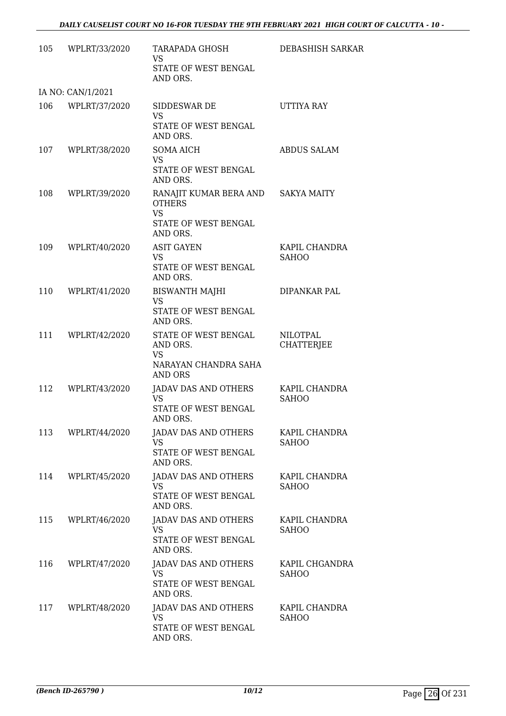| 105 | WPLRT/33/2020     | TARAPADA GHOSH<br>VS<br>STATE OF WEST BENGAL<br>AND ORS.                                             | DEBASHISH SARKAR                     |
|-----|-------------------|------------------------------------------------------------------------------------------------------|--------------------------------------|
|     | IA NO: CAN/1/2021 |                                                                                                      |                                      |
| 106 | WPLRT/37/2020     | SIDDESWAR DE<br><b>VS</b><br>STATE OF WEST BENGAL<br>AND ORS.                                        | UTTIYA RAY                           |
| 107 | WPLRT/38/2020     | <b>SOMA AICH</b><br><b>VS</b><br>STATE OF WEST BENGAL<br>AND ORS.                                    | <b>ABDUS SALAM</b>                   |
| 108 | WPLRT/39/2020     | RANAJIT KUMAR BERA AND SAKYA MAITY<br><b>OTHERS</b><br><b>VS</b><br>STATE OF WEST BENGAL<br>AND ORS. |                                      |
| 109 | WPLRT/40/2020     | <b>ASIT GAYEN</b><br>VS.<br>STATE OF WEST BENGAL<br>AND ORS.                                         | KAPIL CHANDRA<br><b>SAHOO</b>        |
| 110 | WPLRT/41/2020     | <b>BISWANTH MAJHI</b><br><b>VS</b><br>STATE OF WEST BENGAL<br>AND ORS.                               | DIPANKAR PAL                         |
| 111 | WPLRT/42/2020     | STATE OF WEST BENGAL<br>AND ORS.<br><b>VS</b><br>NARAYAN CHANDRA SAHA<br>AND ORS                     | <b>NILOTPAL</b><br><b>CHATTERJEE</b> |
| 112 | WPLRT/43/2020     | JADAV DAS AND OTHERS<br><b>VS</b><br>STATE OF WEST BENGAL<br>AND ORS.                                | KAPIL CHANDRA<br><b>SAHOO</b>        |
| 113 | WPLRT/44/2020     | JADAV DAS AND OTHERS<br><b>VS</b><br>STATE OF WEST BENGAL<br>AND ORS.                                | KAPIL CHANDRA<br><b>SAHOO</b>        |
| 114 | WPLRT/45/2020     | <b>JADAV DAS AND OTHERS</b><br><b>VS</b><br>STATE OF WEST BENGAL<br>AND ORS.                         | KAPIL CHANDRA<br><b>SAHOO</b>        |
| 115 | WPLRT/46/2020     | JADAV DAS AND OTHERS<br><b>VS</b><br>STATE OF WEST BENGAL<br>AND ORS.                                | KAPIL CHANDRA<br>SAHOO               |
| 116 | WPLRT/47/2020     | JADAV DAS AND OTHERS<br><b>VS</b><br>STATE OF WEST BENGAL<br>AND ORS.                                | KAPIL CHGANDRA<br><b>SAHOO</b>       |
| 117 | WPLRT/48/2020     | JADAV DAS AND OTHERS<br>VS.<br>STATE OF WEST BENGAL<br>AND ORS.                                      | KAPIL CHANDRA<br><b>SAHOO</b>        |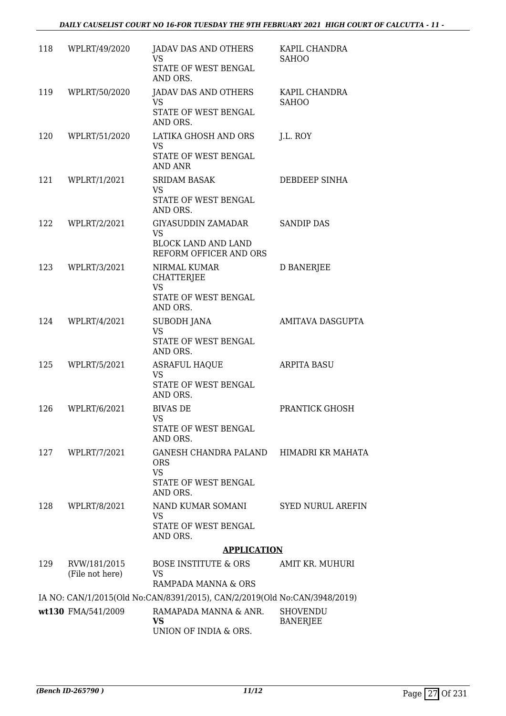| 118 | WPLRT/49/2020                   | JADAV DAS AND OTHERS<br>VS<br>STATE OF WEST BENGAL                                                     | KAPIL CHANDRA<br><b>SAHOO</b>      |
|-----|---------------------------------|--------------------------------------------------------------------------------------------------------|------------------------------------|
| 119 | WPLRT/50/2020                   | AND ORS.<br>JADAV DAS AND OTHERS<br><b>VS</b><br>STATE OF WEST BENGAL<br>AND ORS.                      | KAPIL CHANDRA<br><b>SAHOO</b>      |
| 120 | WPLRT/51/2020                   | LATIKA GHOSH AND ORS<br><b>VS</b><br>STATE OF WEST BENGAL<br><b>AND ANR</b>                            | J.L. ROY                           |
| 121 | WPLRT/1/2021                    | <b>SRIDAM BASAK</b><br>VS.<br>STATE OF WEST BENGAL<br>AND ORS.                                         | DEBDEEP SINHA                      |
| 122 | WPLRT/2/2021                    | GIYASUDDIN ZAMADAR<br><b>VS</b><br><b>BLOCK LAND AND LAND</b><br>REFORM OFFICER AND ORS                | <b>SANDIP DAS</b>                  |
| 123 | WPLRT/3/2021                    | NIRMAL KUMAR<br><b>CHATTERJEE</b><br><b>VS</b><br>STATE OF WEST BENGAL                                 | D BANERJEE                         |
| 124 | WPLRT/4/2021                    | AND ORS.<br>SUBODH JANA<br><b>VS</b><br>STATE OF WEST BENGAL<br>AND ORS.                               | AMITAVA DASGUPTA                   |
| 125 | WPLRT/5/2021                    | <b>ASRAFUL HAQUE</b><br><b>VS</b><br>STATE OF WEST BENGAL<br>AND ORS.                                  | <b>ARPITA BASU</b>                 |
| 126 | WPLRT/6/2021                    | <b>BIVAS DE</b><br>VS.<br>STATE OF WEST BENGAL<br>AND ORS.                                             | PRANTICK GHOSH                     |
| 127 | WPLRT/7/2021                    | GANESH CHANDRA PALAND HIMADRI KR MAHATA<br><b>ORS</b><br><b>VS</b><br>STATE OF WEST BENGAL<br>AND ORS. |                                    |
| 128 | WPLRT/8/2021                    | NAND KUMAR SOMANI<br>VS.<br>STATE OF WEST BENGAL<br>AND ORS.                                           | <b>SYED NURUL AREFIN</b>           |
|     |                                 | <b>APPLICATION</b>                                                                                     |                                    |
| 129 | RVW/181/2015<br>(File not here) | BOSE INSTITUTE & ORS<br>VS<br>RAMPADA MANNA & ORS                                                      | AMIT KR. MUHURI                    |
|     |                                 | IA NO: CAN/1/2015(Old No:CAN/8391/2015), CAN/2/2019(Old No:CAN/3948/2019)                              |                                    |
|     | wt130 FMA/541/2009              | RAMAPADA MANNA & ANR.<br>VS<br>UNION OF INDIA & ORS.                                                   | <b>SHOVENDU</b><br><b>BANERJEE</b> |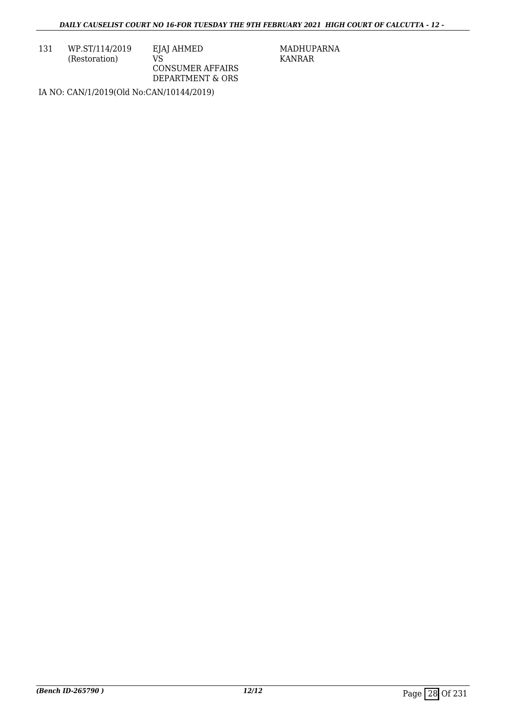131 WP.ST/114/2019 (Restoration)

EJAJ AHMED VS CONSUMER AFFAIRS DEPARTMENT & ORS MADHUPARNA KANRAR

IA NO: CAN/1/2019(Old No:CAN/10144/2019)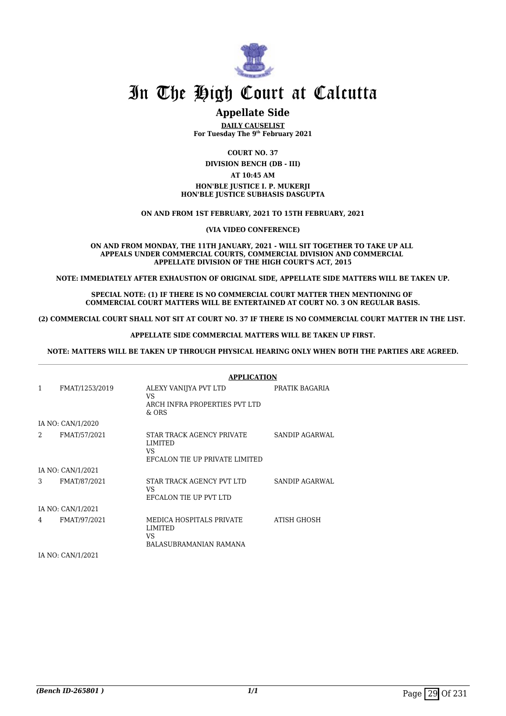

#### **Appellate Side**

**DAILY CAUSELIST For Tuesday The 9th February 2021**

**COURT NO. 37**

**DIVISION BENCH (DB - III)**

#### **AT 10:45 AM**

#### **HON'BLE JUSTICE I. P. MUKERJI HON'BLE JUSTICE SUBHASIS DASGUPTA**

**ON AND FROM 1ST FEBRUARY, 2021 TO 15TH FEBRUARY, 2021**

**(VIA VIDEO CONFERENCE)**

**ON AND FROM MONDAY, THE 11TH JANUARY, 2021 - WILL SIT TOGETHER TO TAKE UP ALL APPEALS UNDER COMMERCIAL COURTS, COMMERCIAL DIVISION AND COMMERCIAL APPELLATE DIVISION OF THE HIGH COURT'S ACT, 2015**

**NOTE: IMMEDIATELY AFTER EXHAUSTION OF ORIGINAL SIDE, APPELLATE SIDE MATTERS WILL BE TAKEN UP.**

**SPECIAL NOTE: (1) IF THERE IS NO COMMERCIAL COURT MATTER THEN MENTIONING OF COMMERCIAL COURT MATTERS WILL BE ENTERTAINED AT COURT NO. 3 ON REGULAR BASIS.**

**(2) COMMERCIAL COURT SHALL NOT SIT AT COURT NO. 37 IF THERE IS NO COMMERCIAL COURT MATTER IN THE LIST.** 

**APPELLATE SIDE COMMERCIAL MATTERS WILL BE TAKEN UP FIRST.**

**NOTE: MATTERS WILL BE TAKEN UP THROUGH PHYSICAL HEARING ONLY WHEN BOTH THE PARTIES ARE AGREED.**

|   |                   | <b>APPLICATION</b>                                                            |                |
|---|-------------------|-------------------------------------------------------------------------------|----------------|
| 1 | FMAT/1253/2019    | ALEXY VANIJYA PVT LTD<br>VS.<br>ARCH INFRA PROPERTIES PVT LTD<br>$&$ ORS      | PRATIK BAGARIA |
|   | IA NO: CAN/1/2020 |                                                                               |                |
| 2 | FMAT/57/2021      | STAR TRACK AGENCY PRIVATE<br>LIMITED<br>VS.<br>EFCALON TIE UP PRIVATE LIMITED | SANDIP AGARWAL |
|   | IA NO: CAN/1/2021 |                                                                               |                |
| 3 | FMAT/87/2021      | STAR TRACK AGENCY PVT LTD<br>VS<br>EFCALON TIE UP PVT LTD                     | SANDIP AGARWAL |
|   | IA NO: CAN/1/2021 |                                                                               |                |
| 4 | FMAT/97/2021      | MEDICA HOSPITALS PRIVATE<br>LIMITED<br>VS<br>BALASUBRAMANIAN RAMANA           | ATISH GHOSH    |

IA NO: CAN/1/2021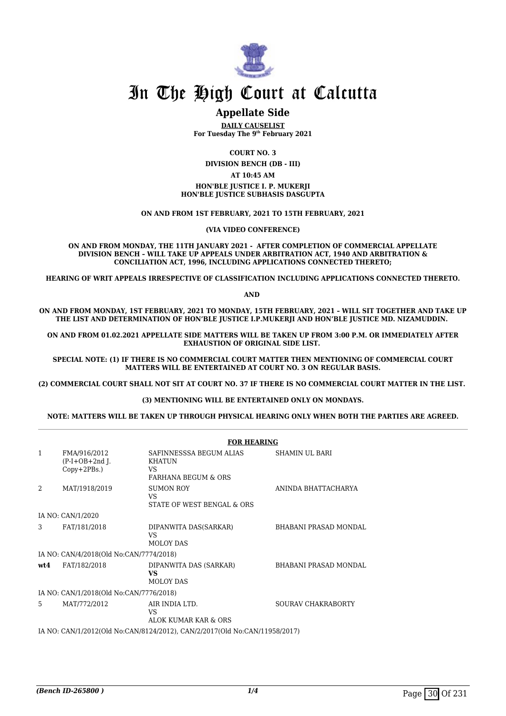

#### **Appellate Side**

**DAILY CAUSELIST For Tuesday The 9th February 2021**

**COURT NO. 3**

**DIVISION BENCH (DB - III)**

#### **AT 10:45 AM**

**HON'BLE JUSTICE I. P. MUKERJI HON'BLE JUSTICE SUBHASIS DASGUPTA**

**ON AND FROM 1ST FEBRUARY, 2021 TO 15TH FEBRUARY, 2021**

**(VIA VIDEO CONFERENCE)**

**ON AND FROM MONDAY, THE 11TH JANUARY 2021 - AFTER COMPLETION OF COMMERCIAL APPELLATE DIVISION BENCH – WILL TAKE UP APPEALS UNDER ARBITRATION ACT, 1940 AND ARBITRATION & CONCILIATION ACT, 1996, INCLUDING APPLICATIONS CONNECTED THERETO;**

**HEARING OF WRIT APPEALS IRRESPECTIVE OF CLASSIFICATION INCLUDING APPLICATIONS CONNECTED THERETO.**

**AND** 

**ON AND FROM MONDAY, 1ST FEBRUARY, 2021 TO MONDAY, 15TH FEBRUARY, 2021 – WILL SIT TOGETHER AND TAKE UP THE LIST AND DETERMINATION OF HON'BLE JUSTICE I.P.MUKERJI AND HON'BLE JUSTICE MD. NIZAMUDDIN.** 

**ON AND FROM 01.02.2021 APPELLATE SIDE MATTERS WILL BE TAKEN UP FROM 3:00 P.M. OR IMMEDIATELY AFTER EXHAUSTION OF ORIGINAL SIDE LIST.** 

**SPECIAL NOTE: (1) IF THERE IS NO COMMERCIAL COURT MATTER THEN MENTIONING OF COMMERCIAL COURT MATTERS WILL BE ENTERTAINED AT COURT NO. 3 ON REGULAR BASIS.**

**(2) COMMERCIAL COURT SHALL NOT SIT AT COURT NO. 37 IF THERE IS NO COMMERCIAL COURT MATTER IN THE LIST.** 

#### **(3) MENTIONING WILL BE ENTERTAINED ONLY ON MONDAYS.**

#### **NOTE: MATTERS WILL BE TAKEN UP THROUGH PHYSICAL HEARING ONLY WHEN BOTH THE PARTIES ARE AGREED.**

|                                                                            |                                                    | <b>FOR HEARING</b>                                                                |                              |
|----------------------------------------------------------------------------|----------------------------------------------------|-----------------------------------------------------------------------------------|------------------------------|
| $\mathbf{1}$                                                               | FMA/916/2012<br>$(P-I+OB+2nd I.$<br>$Copy+2PBs.$ ) | SAFINNESSSA BEGUM ALIAS<br><b>KHATUN</b><br>VS.<br><b>FARHANA BEGUM &amp; ORS</b> | SHAMIN UL BARI               |
| $\mathfrak{D}$                                                             | MAT/1918/2019                                      | <b>SUMON ROY</b><br>VS.<br>STATE OF WEST BENGAL & ORS                             | ANINDA BHATTACHARYA          |
|                                                                            | IA NO: CAN/1/2020                                  |                                                                                   |                              |
| 3                                                                          | FAT/181/2018                                       | DIPANWITA DAS(SARKAR)<br>VS.<br>MOLOY DAS                                         | BHABANI PRASAD MONDAL        |
|                                                                            | IA NO: CAN/4/2018(Old No:CAN/7774/2018)            |                                                                                   |                              |
| wt.4                                                                       | FAT/182/2018                                       | DIPANWITA DAS (SARKAR)<br>VS<br>MOLOY DAS                                         | <b>BHABANI PRASAD MONDAL</b> |
| IA NO: CAN/1/2018(Old No:CAN/7776/2018)                                    |                                                    |                                                                                   |                              |
| 5                                                                          | MAT/772/2012                                       | AIR INDIA LTD.<br>VS<br>ALOK KUMAR KAR & ORS                                      | SOURAV CHAKRABORTY           |
| IA NO: CAN/1/2012(Old No:CAN/8124/2012), CAN/2/2017(Old No:CAN/11958/2017) |                                                    |                                                                                   |                              |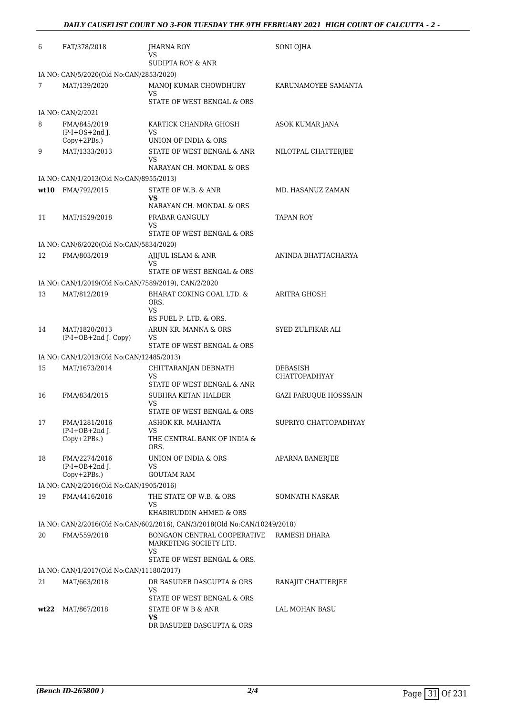| 6                                       | FAT/378/2018                                                              | JHARNA ROY<br>VS                                 | SONI OJHA                    |  |  |
|-----------------------------------------|---------------------------------------------------------------------------|--------------------------------------------------|------------------------------|--|--|
|                                         |                                                                           | <b>SUDIPTA ROY &amp; ANR</b>                     |                              |  |  |
|                                         | IA NO: CAN/5/2020(Old No:CAN/2853/2020)                                   |                                                  |                              |  |  |
| 7                                       | MAT/139/2020                                                              | MANOJ KUMAR CHOWDHURY<br>VS                      | KARUNAMOYEE SAMANTA          |  |  |
|                                         |                                                                           | STATE OF WEST BENGAL & ORS                       |                              |  |  |
|                                         | IA NO: CAN/2/2021                                                         |                                                  |                              |  |  |
| 8                                       | FMA/845/2019                                                              | KARTICK CHANDRA GHOSH                            | ASOK KUMAR JANA              |  |  |
|                                         | $(P-I+OS+2nd)$ .                                                          | VS                                               |                              |  |  |
|                                         | Copy+2PBs.)                                                               | UNION OF INDIA & ORS                             |                              |  |  |
| 9                                       | MAT/1333/2013                                                             | STATE OF WEST BENGAL & ANR<br>VS                 | NILOTPAL CHATTERJEE          |  |  |
|                                         |                                                                           | NARAYAN CH. MONDAL & ORS                         |                              |  |  |
|                                         | IA NO: CAN/1/2013(Old No:CAN/8955/2013)                                   |                                                  |                              |  |  |
| wt10                                    | FMA/792/2015                                                              | STATE OF W.B. & ANR                              | MD. HASANUZ ZAMAN            |  |  |
|                                         |                                                                           | VS<br>NARAYAN CH. MONDAL & ORS                   |                              |  |  |
| 11                                      | MAT/1529/2018                                                             | PRABAR GANGULY                                   | <b>TAPAN ROY</b>             |  |  |
|                                         |                                                                           | VS                                               |                              |  |  |
|                                         |                                                                           | STATE OF WEST BENGAL & ORS                       |                              |  |  |
|                                         | IA NO: CAN/6/2020(Old No:CAN/5834/2020)                                   |                                                  |                              |  |  |
| 12                                      | FMA/803/2019                                                              | AJIJUL ISLAM & ANR<br>VS                         | ANINDA BHATTACHARYA          |  |  |
|                                         |                                                                           | STATE OF WEST BENGAL & ORS                       |                              |  |  |
|                                         | IA NO: CAN/1/2019(Old No:CAN/7589/2019), CAN/2/2020                       |                                                  |                              |  |  |
| 13                                      | MAT/812/2019                                                              | BHARAT COKING COAL LTD. &                        | ARITRA GHOSH                 |  |  |
|                                         |                                                                           | ORS.<br>VS                                       |                              |  |  |
|                                         |                                                                           | RS FUEL P. LTD. & ORS.                           |                              |  |  |
| 14                                      | MAT/1820/2013                                                             | ARUN KR. MANNA & ORS                             | SYED ZULFIKAR ALI            |  |  |
|                                         | (P-I+OB+2nd J. Copy)                                                      | VS<br>STATE OF WEST BENGAL & ORS                 |                              |  |  |
|                                         | IA NO: CAN/1/2013(Old No:CAN/12485/2013)                                  |                                                  |                              |  |  |
| 15                                      | MAT/1673/2014                                                             | CHITTARANJAN DEBNATH                             | DEBASISH                     |  |  |
|                                         |                                                                           | VS                                               | <b>CHATTOPADHYAY</b>         |  |  |
|                                         |                                                                           | STATE OF WEST BENGAL & ANR                       |                              |  |  |
| 16                                      | FMA/834/2015                                                              | SUBHRA KETAN HALDER<br>VS                        | <b>GAZI FARUQUE HOSSSAIN</b> |  |  |
|                                         |                                                                           | STATE OF WEST BENGAL & ORS                       |                              |  |  |
| 17                                      | FMA/1281/2016                                                             | ASHOK KR. MAHANTA                                | SUPRIYO CHATTOPADHYAY        |  |  |
|                                         | $(P-I+OB+2nd J.$                                                          | VS                                               |                              |  |  |
|                                         | Copy+2PBs.)                                                               | THE CENTRAL BANK OF INDIA &<br>ORS.              |                              |  |  |
| 18                                      | FMA/2274/2016                                                             | UNION OF INDIA & ORS                             | APARNA BANERJEE              |  |  |
|                                         | $(P-I+OB+2nd$ J.                                                          | VS                                               |                              |  |  |
|                                         | $Copy+2PBs.$ )                                                            | <b>GOUTAM RAM</b>                                |                              |  |  |
| IA NO: CAN/2/2016(Old No:CAN/1905/2016) |                                                                           |                                                  |                              |  |  |
| 19                                      | FMA/4416/2016                                                             | THE STATE OF W.B. & ORS<br>VS                    | <b>SOMNATH NASKAR</b>        |  |  |
|                                         |                                                                           | KHABIRUDDIN AHMED & ORS                          |                              |  |  |
|                                         | IA NO: CAN/2/2016(Old No:CAN/602/2016), CAN/3/2018(Old No:CAN/10249/2018) |                                                  |                              |  |  |
| 20                                      | FMA/559/2018                                                              | BONGAON CENTRAL COOPERATIVE                      | RAMESH DHARA                 |  |  |
|                                         |                                                                           | MARKETING SOCIETY LTD.<br>VS                     |                              |  |  |
|                                         |                                                                           | STATE OF WEST BENGAL & ORS.                      |                              |  |  |
|                                         | IA NO: CAN/1/2017(Old No:CAN/11180/2017)                                  |                                                  |                              |  |  |
| 21                                      | MAT/663/2018                                                              | DR BASUDEB DASGUPTA & ORS                        | RANAJIT CHATTERJEE           |  |  |
|                                         |                                                                           | VS                                               |                              |  |  |
| wt22                                    | MAT/867/2018                                                              | STATE OF WEST BENGAL & ORS<br>STATE OF W B & ANR | LAL MOHAN BASU               |  |  |
|                                         |                                                                           | VS.                                              |                              |  |  |
|                                         |                                                                           | DR BASUDEB DASGUPTA & ORS                        |                              |  |  |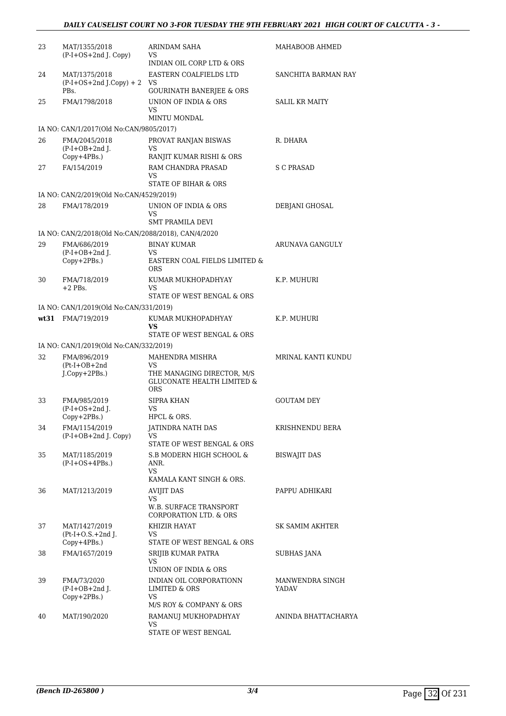| 23 | MAT/1355/2018<br>(P-I+OS+2nd J. Copy)               | ARINDAM SAHA<br>VS.                                                               | MAHABOOB AHMED           |
|----|-----------------------------------------------------|-----------------------------------------------------------------------------------|--------------------------|
| 24 | MAT/1375/2018<br>$(P-I+OS+2nd J.Copy) + 2$          | INDIAN OIL CORP LTD & ORS<br>EASTERN COALFIELDS LTD<br>VS                         | SANCHITA BARMAN RAY      |
|    | PBs.                                                | <b>GOURINATH BANERJEE &amp; ORS</b>                                               |                          |
| 25 | FMA/1798/2018                                       | UNION OF INDIA & ORS<br>VS                                                        | <b>SALIL KR MAITY</b>    |
|    |                                                     | MINTU MONDAL                                                                      |                          |
|    | IA NO: CAN/1/2017(Old No:CAN/9805/2017)             |                                                                                   |                          |
| 26 | FMA/2045/2018<br>$(P-I+OB+2nd$ J.                   | PROVAT RANJAN BISWAS<br>VS                                                        | R. DHARA                 |
|    | $Copy+4PBs.$ )                                      | RANJIT KUMAR RISHI & ORS                                                          |                          |
| 27 | FA/154/2019                                         | RAM CHANDRA PRASAD<br>VS<br><b>STATE OF BIHAR &amp; ORS</b>                       | S C PRASAD               |
|    | IA NO: CAN/2/2019(Old No:CAN/4529/2019)             |                                                                                   |                          |
| 28 | FMA/178/2019                                        | UNION OF INDIA & ORS                                                              | DEBJANI GHOSAL           |
|    |                                                     | VS                                                                                |                          |
|    |                                                     | <b>SMT PRAMILA DEVI</b>                                                           |                          |
|    | IA NO: CAN/2/2018(Old No:CAN/2088/2018), CAN/4/2020 |                                                                                   |                          |
| 29 | FMA/686/2019<br>$(P-I+OB+2nd$ J.                    | <b>BINAY KUMAR</b><br>VS                                                          | ARUNAVA GANGULY          |
|    | Copy+2PBs.)                                         | EASTERN COAL FIELDS LIMITED &<br><b>ORS</b>                                       |                          |
| 30 | FMA/718/2019<br>$+2$ PBs.                           | KUMAR MUKHOPADHYAY<br>VS                                                          | K.P. MUHURI              |
|    |                                                     | STATE OF WEST BENGAL & ORS                                                        |                          |
|    | IA NO: CAN/1/2019(Old No:CAN/331/2019)              |                                                                                   |                          |
|    | wt31 FMA/719/2019                                   | KUMAR MUKHOPADHYAY<br>VS                                                          | K.P. MUHURI              |
|    |                                                     | STATE OF WEST BENGAL & ORS                                                        |                          |
|    | IA NO: CAN/1/2019(Old No:CAN/332/2019)              |                                                                                   |                          |
| 32 | FMA/896/2019<br>$(Pt-I+OB+2nd$                      | MAHENDRA MISHRA<br>VS                                                             | MRINAL KANTI KUNDU       |
|    | J.Copy+2PBs.)                                       | THE MANAGING DIRECTOR, M/S<br><b>GLUCONATE HEALTH LIMITED &amp;</b><br><b>ORS</b> |                          |
| 33 | FMA/985/2019                                        | <b>SIPRA KHAN</b>                                                                 | <b>GOUTAM DEY</b>        |
|    | $(P-I+OS+2nd$ J.<br>Copy+2PBs.)                     | VS<br>HPCL & ORS.                                                                 |                          |
| 34 | FMA/1154/2019<br>$(P-I+OB+2nd J. Copy)$             | JATINDRA NATH DAS<br>VS                                                           | KRISHNENDU BERA          |
|    |                                                     | STATE OF WEST BENGAL & ORS                                                        |                          |
| 35 | MAT/1185/2019<br>$(P-I+OS+4PBs.)$                   | S.B MODERN HIGH SCHOOL &<br>ANR.<br>VS                                            | <b>BISWAJIT DAS</b>      |
|    |                                                     | KAMALA KANT SINGH & ORS.                                                          |                          |
| 36 | MAT/1213/2019                                       | <b>AVIJIT DAS</b><br>VS                                                           | PAPPU ADHIKARI           |
|    |                                                     | W.B. SURFACE TRANSPORT<br>CORPORATION LTD. & ORS                                  |                          |
| 37 | MAT/1427/2019                                       | KHIZIR HAYAT                                                                      | SK SAMIM AKHTER          |
|    | $Pt-I+O.S.+2nd$ J.                                  | VS                                                                                |                          |
| 38 | $Copy+4PBs.$ )<br>FMA/1657/2019                     | STATE OF WEST BENGAL & ORS<br>SRIJIB KUMAR PATRA                                  | <b>SUBHAS JANA</b>       |
|    |                                                     | VS                                                                                |                          |
|    |                                                     | UNION OF INDIA & ORS                                                              |                          |
| 39 | FMA/73/2020<br>$(P-I+OB+2nd$ J.<br>Copy+2PBs.)      | INDIAN OIL CORPORATIONN<br>LIMITED & ORS<br><b>VS</b>                             | MANWENDRA SINGH<br>YADAV |
|    |                                                     | M/S ROY & COMPANY & ORS                                                           |                          |
| 40 | MAT/190/2020                                        | RAMANUJ MUKHOPADHYAY<br>VS                                                        | ANINDA BHATTACHARYA      |
|    |                                                     | STATE OF WEST BENGAL                                                              |                          |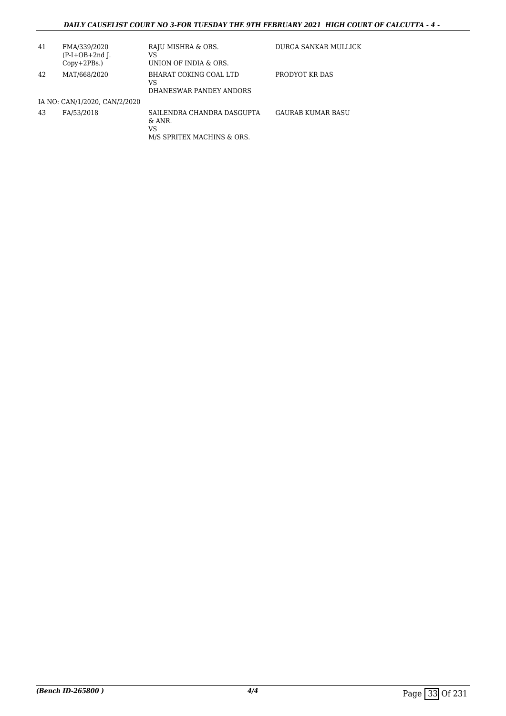#### *DAILY CAUSELIST COURT NO 3-FOR TUESDAY THE 9TH FEBRUARY 2021 HIGH COURT OF CALCUTTA - 4 -*

| 41 | FMA/339/2020<br>$(P-I+OB+2nd$ ].<br>$Copy+2PBs.$ ) | RAJU MISHRA & ORS.<br>VS<br>UNION OF INDIA & ORS.                           | DURGA SANKAR MULLICK     |
|----|----------------------------------------------------|-----------------------------------------------------------------------------|--------------------------|
| 42 | MAT/668/2020                                       | BHARAT COKING COAL LTD<br>VS<br>DHANESWAR PANDEY ANDORS                     | PRODYOT KR DAS           |
|    | IA NO: CAN/1/2020, CAN/2/2020                      |                                                                             |                          |
| 43 | FA/53/2018                                         | SAILENDRA CHANDRA DASGUPTA<br>$\&$ ANR.<br>VS<br>M/S SPRITEX MACHINS & ORS. | <b>GAURAB KUMAR BASU</b> |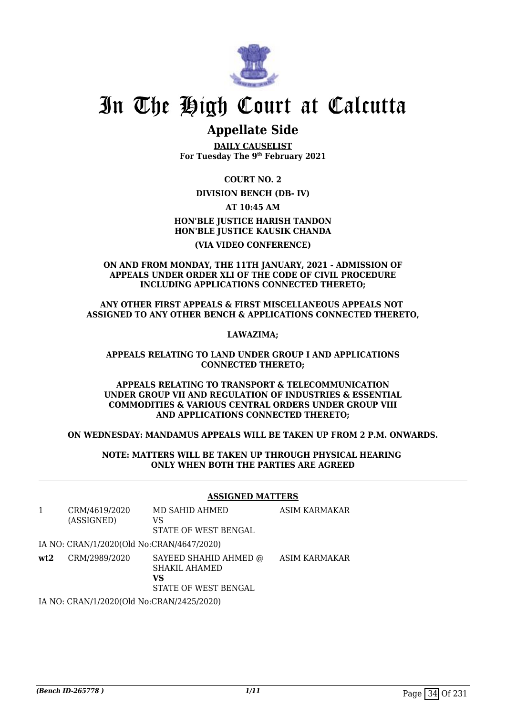

### **Appellate Side**

**DAILY CAUSELIST For Tuesday The 9th February 2021**

**COURT NO. 2**

**DIVISION BENCH (DB- IV)**

**AT 10:45 AM HON'BLE JUSTICE HARISH TANDON HON'BLE JUSTICE KAUSIK CHANDA**

#### **(VIA VIDEO CONFERENCE)**

#### **ON AND FROM MONDAY, THE 11TH JANUARY, 2021 - ADMISSION OF APPEALS UNDER ORDER XLI OF THE CODE OF CIVIL PROCEDURE INCLUDING APPLICATIONS CONNECTED THERETO;**

#### **ANY OTHER FIRST APPEALS & FIRST MISCELLANEOUS APPEALS NOT ASSIGNED TO ANY OTHER BENCH & APPLICATIONS CONNECTED THERETO,**

**LAWAZIMA;**

#### **APPEALS RELATING TO LAND UNDER GROUP I AND APPLICATIONS CONNECTED THERETO;**

#### **APPEALS RELATING TO TRANSPORT & TELECOMMUNICATION UNDER GROUP VII AND REGULATION OF INDUSTRIES & ESSENTIAL COMMODITIES & VARIOUS CENTRAL ORDERS UNDER GROUP VIII AND APPLICATIONS CONNECTED THERETO;**

#### **ON WEDNESDAY: MANDAMUS APPEALS WILL BE TAKEN UP FROM 2 P.M. ONWARDS.**

#### **NOTE: MATTERS WILL BE TAKEN UP THROUGH PHYSICAL HEARING ONLY WHEN BOTH THE PARTIES ARE AGREED**

#### **ASSIGNED MATTERS**

|     | CRM/4619/2020<br>(ASSIGNED)               | MD SAHID AHMED<br>VS<br>STATE OF WEST BENGAL                         | ASIM KARMAKAR |
|-----|-------------------------------------------|----------------------------------------------------------------------|---------------|
|     | IA NO: CRAN/1/2020(Old No:CRAN/4647/2020) |                                                                      |               |
| wt2 | CRM/2989/2020                             | SAYEED SHAHID AHMED @<br>SHAKIL AHAMED<br>VS<br>STATE OF WEST BENGAL | ASIM KARMAKAR |
|     |                                           |                                                                      |               |

IA NO: CRAN/1/2020(Old No:CRAN/2425/2020)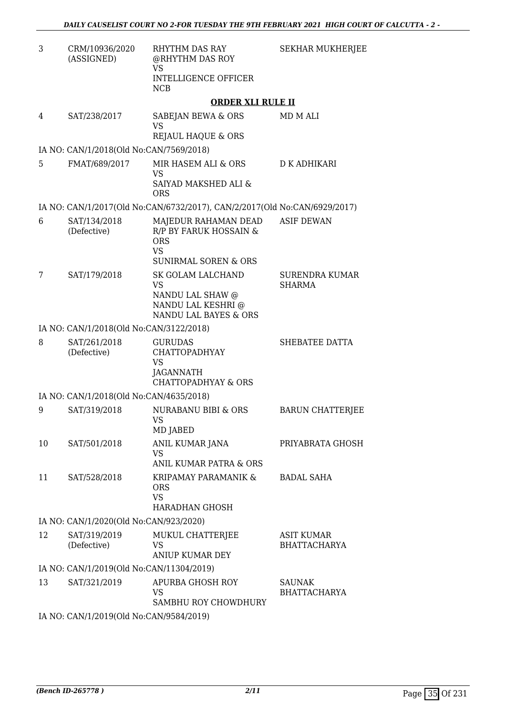| 3  | CRM/10936/2020<br>(ASSIGNED)             | RHYTHM DAS RAY<br>@RHYTHM DAS ROY<br><b>VS</b><br><b>INTELLIGENCE OFFICER</b><br><b>NCB</b>                  | SEKHAR MUKHERJEE                         |  |
|----|------------------------------------------|--------------------------------------------------------------------------------------------------------------|------------------------------------------|--|
|    |                                          | <b>ORDER XLI RULE II</b>                                                                                     |                                          |  |
| 4  | SAT/238/2017                             | SABEJAN BEWA & ORS<br><b>VS</b><br><b>REJAUL HAQUE &amp; ORS</b>                                             | MD M ALI                                 |  |
|    | IA NO: CAN/1/2018(Old No:CAN/7569/2018)  |                                                                                                              |                                          |  |
| 5  | FMAT/689/2017                            | MIR HASEM ALI & ORS<br>VS<br>SAIYAD MAKSHED ALI &<br><b>ORS</b>                                              | <b>D K ADHIKARI</b>                      |  |
|    |                                          | IA NO: CAN/1/2017(Old No:CAN/6732/2017), CAN/2/2017(Old No:CAN/6929/2017)                                    |                                          |  |
| 6  | SAT/134/2018<br>(Defective)              | MAJEDUR RAHAMAN DEAD<br>R/P BY FARUK HOSSAIN &<br><b>ORS</b><br><b>VS</b><br><b>SUNIRMAL SOREN &amp; ORS</b> | <b>ASIF DEWAN</b>                        |  |
| 7  | SAT/179/2018                             | SK GOLAM LALCHAND<br>VS<br>NANDU LAL SHAW @<br>NANDU LAL KESHRI @<br>NANDU LAL BAYES & ORS                   | <b>SURENDRA KUMAR</b><br><b>SHARMA</b>   |  |
|    | IA NO: CAN/1/2018(Old No:CAN/3122/2018)  |                                                                                                              |                                          |  |
| 8  | SAT/261/2018<br>(Defective)              | <b>GURUDAS</b><br><b>CHATTOPADHYAY</b><br>VS<br>JAGANNATH<br><b>CHATTOPADHYAY &amp; ORS</b>                  | SHEBATEE DATTA                           |  |
|    | IA NO: CAN/1/2018(Old No:CAN/4635/2018)  |                                                                                                              |                                          |  |
| 9  | SAT/319/2018                             | NURABANU BIBI & ORS<br>VS  <br>MD JABED                                                                      | <b>BARUN CHATTERJEE</b>                  |  |
| 10 | SAT/501/2018                             | ANIL KUMAR JANA<br>VS<br>ANIL KUMAR PATRA & ORS                                                              | PRIYABRATA GHOSH                         |  |
| 11 | SAT/528/2018                             | KRIPAMAY PARAMANIK &<br><b>ORS</b><br><b>VS</b><br><b>HARADHAN GHOSH</b>                                     | <b>BADAL SAHA</b>                        |  |
|    | IA NO: CAN/1/2020(Old No:CAN/923/2020)   |                                                                                                              |                                          |  |
| 12 | SAT/319/2019<br>(Defective)              | MUKUL CHATTERJEE<br>VS<br><b>ANIUP KUMAR DEY</b>                                                             | <b>ASIT KUMAR</b><br><b>BHATTACHARYA</b> |  |
|    | IA NO: CAN/1/2019(Old No:CAN/11304/2019) |                                                                                                              |                                          |  |
| 13 | SAT/321/2019                             | APURBA GHOSH ROY<br>VS<br>SAMBHU ROY CHOWDHURY                                                               | <b>SAUNAK</b><br><b>BHATTACHARYA</b>     |  |
|    | IA NO: CAN/1/2019(Old No:CAN/9584/2019)  |                                                                                                              |                                          |  |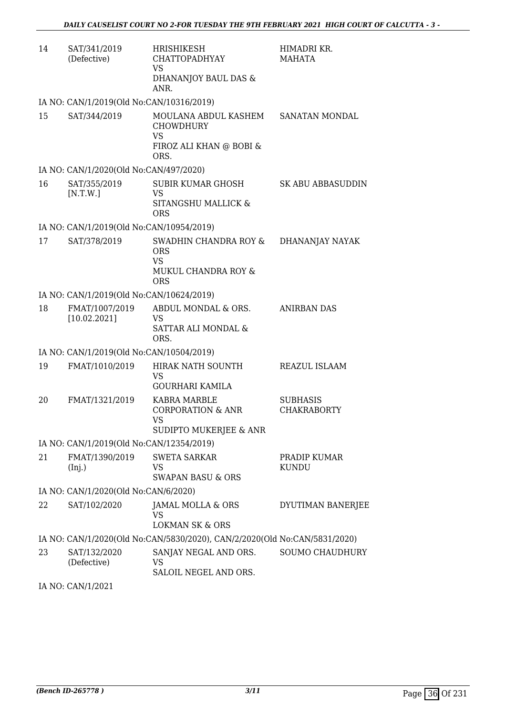| 14 | SAT/341/2019<br>(Defective)              | HRISHIKESH<br><b>CHATTOPADHYAY</b><br>VS<br>DHANANJOY BAUL DAS &<br>ANR.                 | HIMADRI KR.<br>MAHATA                 |
|----|------------------------------------------|------------------------------------------------------------------------------------------|---------------------------------------|
|    | IA NO: CAN/1/2019(Old No:CAN/10316/2019) |                                                                                          |                                       |
| 15 | SAT/344/2019                             | MOULANA ABDUL KASHEM<br><b>CHOWDHURY</b><br><b>VS</b><br>FIROZ ALI KHAN @ BOBI &<br>ORS. | SANATAN MONDAL                        |
|    | IA NO: CAN/1/2020(Old No:CAN/497/2020)   |                                                                                          |                                       |
| 16 | SAT/355/2019<br>[N.T.W.]                 | SUBIR KUMAR GHOSH<br>VS<br>SITANGSHU MALLICK &<br><b>ORS</b>                             | SK ABU ABBASUDDIN                     |
|    | IA NO: CAN/1/2019(Old No:CAN/10954/2019) |                                                                                          |                                       |
| 17 | SAT/378/2019                             | SWADHIN CHANDRA ROY &<br><b>ORS</b><br><b>VS</b><br>MUKUL CHANDRA ROY &<br><b>ORS</b>    | DHANANJAY NAYAK                       |
|    | IA NO: CAN/1/2019(Old No:CAN/10624/2019) |                                                                                          |                                       |
| 18 | FMAT/1007/2019<br>[10.02.2021]           | ABDUL MONDAL & ORS.<br>VS<br>SATTAR ALI MONDAL &<br>ORS.                                 | <b>ANIRBAN DAS</b>                    |
|    | IA NO: CAN/1/2019(Old No:CAN/10504/2019) |                                                                                          |                                       |
| 19 | FMAT/1010/2019                           | HIRAK NATH SOUNTH<br>VS<br><b>GOURHARI KAMILA</b>                                        | REAZUL ISLAAM                         |
| 20 | FMAT/1321/2019                           | <b>KABRA MARBLE</b><br><b>CORPORATION &amp; ANR</b><br>VS.<br>SUDIPTO MUKERJEE & ANR     | <b>SUBHASIS</b><br><b>CHAKRABORTY</b> |
|    | IA NO: CAN/1/2019(Old No:CAN/12354/2019) |                                                                                          |                                       |
| 21 | FMAT/1390/2019<br>(Inj.)                 | <b>SWETA SARKAR</b><br>VS<br><b>SWAPAN BASU &amp; ORS</b>                                | PRADIP KUMAR<br><b>KUNDU</b>          |
|    | IA NO: CAN/1/2020(Old No:CAN/6/2020)     |                                                                                          |                                       |
| 22 | SAT/102/2020                             | JAMAL MOLLA & ORS<br>VS<br><b>LOKMAN SK &amp; ORS</b>                                    | DYUTIMAN BANERJEE                     |
|    |                                          | IA NO: CAN/1/2020(Old No:CAN/5830/2020), CAN/2/2020(Old No:CAN/5831/2020)                |                                       |
| 23 | SAT/132/2020<br>(Defective)              | SANJAY NEGAL AND ORS.<br>VS<br>SALOIL NEGEL AND ORS.                                     | SOUMO CHAUDHURY                       |

IA NO: CAN/1/2021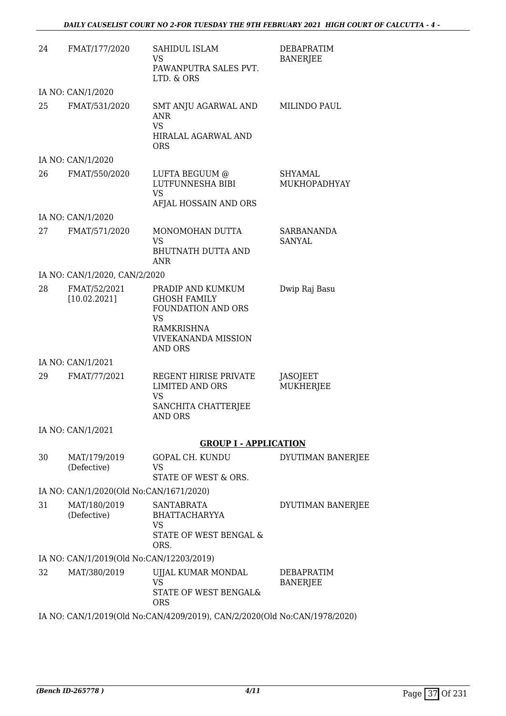| 24                                      | FMAT/177/2020                            | SAHIDUL ISLAM<br><b>VS</b><br>PAWANPUTRA SALES PVT.<br>LTD. & ORS                                                           | <b>DEBAPRATIM</b><br><b>BANERJEE</b> |  |
|-----------------------------------------|------------------------------------------|-----------------------------------------------------------------------------------------------------------------------------|--------------------------------------|--|
|                                         | IA NO: CAN/1/2020                        |                                                                                                                             |                                      |  |
| 25                                      | FMAT/531/2020                            | SMT ANJU AGARWAL AND<br>ANR<br><b>VS</b><br>HIRALAL AGARWAL AND<br><b>ORS</b>                                               | MILINDO PAUL                         |  |
|                                         | IA NO: CAN/1/2020                        |                                                                                                                             |                                      |  |
| 26                                      | FMAT/550/2020                            | LUFTA BEGUUM @<br>LUTFUNNESHA BIBI<br><b>VS</b><br>AFJAL HOSSAIN AND ORS                                                    | SHYAMAL<br>MUKHOPADHYAY              |  |
|                                         | IA NO: CAN/1/2020                        |                                                                                                                             |                                      |  |
| 27                                      | FMAT/571/2020                            | MONOMOHAN DUTTA<br><b>VS</b><br><b>BHUTNATH DUTTA AND</b><br><b>ANR</b>                                                     | SARBANANDA<br>SANYAL                 |  |
|                                         | IA NO: CAN/1/2020, CAN/2/2020            |                                                                                                                             |                                      |  |
| 28                                      | FMAT/52/2021<br>[10.02.2021]             | PRADIP AND KUMKUM<br><b>GHOSH FAMILY</b><br>FOUNDATION AND ORS<br><b>VS</b><br>RAMKRISHNA<br>VIVEKANANDA MISSION<br>AND ORS | Dwip Raj Basu                        |  |
|                                         | IA NO: CAN/1/2021                        |                                                                                                                             |                                      |  |
| 29                                      | FMAT/77/2021                             | REGENT HIRISE PRIVATE<br><b>LIMITED AND ORS</b><br>VS<br>SANCHITA CHATTERJEE<br>AND ORS                                     | <b>JASOJEET</b><br>MUKHERJEE         |  |
|                                         | IA NO: CAN/1/2021                        |                                                                                                                             |                                      |  |
|                                         |                                          | <b>GROUP I - APPLICATION</b>                                                                                                |                                      |  |
| 30                                      | MAT/179/2019<br>(Defective)              | GOPAL CH. KUNDU<br>VS<br>STATE OF WEST & ORS.                                                                               | DYUTIMAN BANERJEE                    |  |
| IA NO: CAN/1/2020(Old No:CAN/1671/2020) |                                          |                                                                                                                             |                                      |  |
| 31                                      | MAT/180/2019<br>(Defective)              | <b>SANTABRATA</b><br><b>BHATTACHARYYA</b><br>VS<br>STATE OF WEST BENGAL &<br>ORS.                                           | DYUTIMAN BANERJEE                    |  |
|                                         | IA NO: CAN/1/2019(Old No:CAN/12203/2019) |                                                                                                                             |                                      |  |
| 32                                      | MAT/380/2019                             | UJJAL KUMAR MONDAL<br><b>VS</b><br>STATE OF WEST BENGAL&<br><b>ORS</b>                                                      | <b>DEBAPRATIM</b><br><b>BANERJEE</b> |  |
|                                         |                                          | IA NO: CAN/1/2019(Old No:CAN/4209/2019), CAN/2/2020(Old No:CAN/1978/2020)                                                   |                                      |  |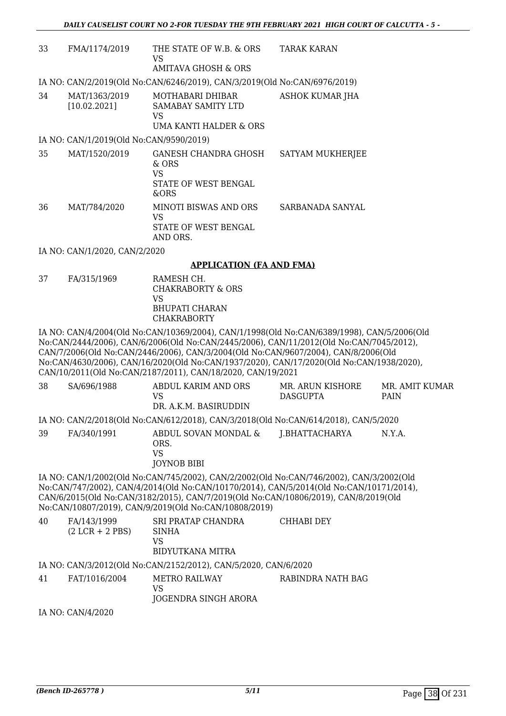| 33 | FMA/1174/2019                           | THE STATE OF W.B. & ORS<br>VS.<br>AMITAVA GHOSH & ORS                                | <b>TARAK KARAN</b> |  |  |
|----|-----------------------------------------|--------------------------------------------------------------------------------------|--------------------|--|--|
|    |                                         | IA NO: CAN/2/2019(Old No:CAN/6246/2019), CAN/3/2019(Old No:CAN/6976/2019)            |                    |  |  |
| 34 | MAT/1363/2019<br>[10.02.2021]           | MOTHABARI DHIBAR<br><b>SAMABAY SAMITY LTD</b><br>VS.<br>UMA KANTI HALDER & ORS       | ASHOK KUMAR JHA    |  |  |
|    | IA NO: CAN/1/2019(Old No:CAN/9590/2019) |                                                                                      |                    |  |  |
| 35 | MAT/1520/2019                           | <b>GANESH CHANDRA GHOSH</b><br>$&$ ORS<br>VS.<br><b>STATE OF WEST BENGAL</b><br>&ORS | SATYAM MUKHERJEE   |  |  |
| 36 | MAT/784/2020                            | <b>MINOTI BISWAS AND ORS</b><br>VS<br>STATE OF WEST BENGAL<br>AND ORS.               | SARBANADA SANYAL   |  |  |
|    | IA NO: CAN/1/2020, CAN/2/2020           |                                                                                      |                    |  |  |
|    |                                         |                                                                                      |                    |  |  |

#### **APPLICATION (FA AND FMA)**

37 FA/315/1969 RAMESH CH. CHAKRABORTY & ORS VS BHUPATI CHARAN CHAKRABORTY

IA NO: CAN/4/2004(Old No:CAN/10369/2004), CAN/1/1998(Old No:CAN/6389/1998), CAN/5/2006(Old No:CAN/2444/2006), CAN/6/2006(Old No:CAN/2445/2006), CAN/11/2012(Old No:CAN/7045/2012), CAN/7/2006(Old No:CAN/2446/2006), CAN/3/2004(Old No:CAN/9607/2004), CAN/8/2006(Old No:CAN/4630/2006), CAN/16/2020(Old No:CAN/1937/2020), CAN/17/2020(Old No:CAN/1938/2020), CAN/10/2011(Old No:CAN/2187/2011), CAN/18/2020, CAN/19/2021

| 38                                                                                      | SA/696/1988 | ABDUL KARIM AND ORS<br>VS.<br>DR. A.K.M. BASIRUDDIN                                 | MR. ARUN KISHORE<br><b>DASGUPTA</b> | MR. AMIT KUMAR<br><b>PAIN</b> |  |  |
|-----------------------------------------------------------------------------------------|-------------|-------------------------------------------------------------------------------------|-------------------------------------|-------------------------------|--|--|
|                                                                                         |             | IA NO: CAN/2/2018(Old No:CAN/612/2018), CAN/3/2018(Old No:CAN/614/2018), CAN/5/2020 |                                     |                               |  |  |
| 39                                                                                      | FA/340/1991 | ABDUL SOVAN MONDAL &<br>ORS.<br>VS<br><b>JOYNOB BIBI</b>                            | J.BHATTACHARYA                      | N.Y.A.                        |  |  |
| IA NO: CAN/1/2002(Old No:CAN/745/2002), CAN/2/2002(Old No:CAN/746/2002), CAN/3/2002(Old |             |                                                                                     |                                     |                               |  |  |
| No:CAN/747/2002), CAN/4/2014(Old No:CAN/10170/2014), CAN/5/2014(Old No:CAN/10171/2014), |             |                                                                                     |                                     |                               |  |  |
| CAN/6/2015(Old No:CAN/3182/2015), CAN/7/2019(Old No:CAN/10806/2019), CAN/8/2019(Old     |             |                                                                                     |                                     |                               |  |  |
| No:CAN/10807/2019), CAN/9/2019(Old No:CAN/10808/2019)                                   |             |                                                                                     |                                     |                               |  |  |

|  | 40 | FA/143/1999<br>$(2 LCR + 2 PBS)$ | SRI PRATAP CHANDRA<br><b>SINHA</b><br>VS<br>BIDYUTKANA MITRA | CHHABI DEY |
|--|----|----------------------------------|--------------------------------------------------------------|------------|
|--|----|----------------------------------|--------------------------------------------------------------|------------|

#### IA NO: CAN/3/2012(Old No:CAN/2152/2012), CAN/5/2020, CAN/6/2020

#### 41 FAT/1016/2004 METRO RAILWAY VS JOGENDRA SINGH ARORA RABINDRA NATH BAG

IA NO: CAN/4/2020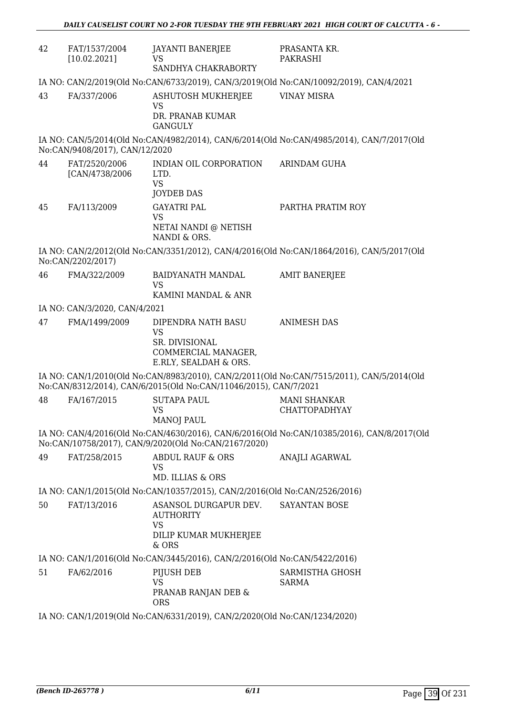| 42 | FAT/1537/2004<br>[10.02.2021]   | JAYANTI BANERJEE<br>VS.<br>SANDHYA CHAKRABORTY                                                           | PRASANTA KR.<br>PAKRASHI                                                                   |
|----|---------------------------------|----------------------------------------------------------------------------------------------------------|--------------------------------------------------------------------------------------------|
|    |                                 |                                                                                                          | IA NO: CAN/2/2019(Old No:CAN/6733/2019), CAN/3/2019(Old No:CAN/10092/2019), CAN/4/2021     |
| 43 | FA/337/2006                     | ASHUTOSH MUKHERJEE<br><b>VS</b>                                                                          | <b>VINAY MISRA</b>                                                                         |
|    |                                 | DR. PRANAB KUMAR<br><b>GANGULY</b>                                                                       |                                                                                            |
|    | No:CAN/9408/2017), CAN/12/2020  |                                                                                                          | IA NO: CAN/5/2014(Old No:CAN/4982/2014), CAN/6/2014(Old No:CAN/4985/2014), CAN/7/2017(Old  |
| 44 | FAT/2520/2006<br>[CAN/4738/2006 | INDIAN OIL CORPORATION<br>LTD.<br><b>VS</b>                                                              | <b>ARINDAM GUHA</b>                                                                        |
|    |                                 | <b>JOYDEB DAS</b>                                                                                        |                                                                                            |
| 45 | FA/113/2009                     | <b>GAYATRI PAL</b><br><b>VS</b>                                                                          | PARTHA PRATIM ROY                                                                          |
|    |                                 | NETAI NANDI @ NETISH<br>NANDI & ORS.                                                                     |                                                                                            |
|    | No:CAN/2202/2017)               |                                                                                                          | IA NO: CAN/2/2012(Old No:CAN/3351/2012), CAN/4/2016(Old No:CAN/1864/2016), CAN/5/2017(Old  |
| 46 | FMA/322/2009                    | <b>BAIDYANATH MANDAL</b><br><b>VS</b><br>KAMINI MANDAL & ANR                                             | <b>AMIT BANERJEE</b>                                                                       |
|    | IA NO: CAN/3/2020, CAN/4/2021   |                                                                                                          |                                                                                            |
| 47 | FMA/1499/2009                   | DIPENDRA NATH BASU<br><b>VS</b><br><b>SR. DIVISIONAL</b><br>COMMERCIAL MANAGER,<br>E.RLY, SEALDAH & ORS. | <b>ANIMESH DAS</b>                                                                         |
|    |                                 | No:CAN/8312/2014), CAN/6/2015(Old No:CAN/11046/2015), CAN/7/2021                                         | IA NO: CAN/1/2010(Old No:CAN/8983/2010), CAN/2/2011(Old No:CAN/7515/2011), CAN/5/2014(Old  |
| 48 | FA/167/2015                     | <b>SUTAPA PAUL</b><br><b>VS</b><br><b>MANOJ PAUL</b>                                                     | <b>MANI SHANKAR</b><br><b>CHATTOPADHYAY</b>                                                |
|    |                                 | No:CAN/10758/2017), CAN/9/2020(Old No:CAN/2167/2020)                                                     | IA NO: CAN/4/2016(Old No:CAN/4630/2016), CAN/6/2016(Old No:CAN/10385/2016), CAN/8/2017(Old |
| 49 | FAT/258/2015                    | <b>ABDUL RAUF &amp; ORS</b><br><b>VS</b><br>MD. ILLIAS & ORS                                             | ANAJLI AGARWAL                                                                             |
|    |                                 | IA NO: CAN/1/2015(Old No:CAN/10357/2015), CAN/2/2016(Old No:CAN/2526/2016)                               |                                                                                            |
| 50 | FAT/13/2016                     | ASANSOL DURGAPUR DEV.<br><b>AUTHORITY</b><br>VS                                                          | <b>SAYANTAN BOSE</b>                                                                       |
|    |                                 | DILIP KUMAR MUKHERJEE<br>& ORS                                                                           |                                                                                            |
|    |                                 | IA NO: CAN/1/2016(Old No:CAN/3445/2016), CAN/2/2016(Old No:CAN/5422/2016)                                |                                                                                            |
| 51 | FA/62/2016                      | PIJUSH DEB                                                                                               | SARMISTHA GHOSH                                                                            |
|    |                                 | <b>VS</b><br>PRANAB RANJAN DEB &<br><b>ORS</b>                                                           | <b>SARMA</b>                                                                               |
|    |                                 | IA NO: CAN/1/2019(Old No:CAN/6331/2019), CAN/2/2020(Old No:CAN/1234/2020)                                |                                                                                            |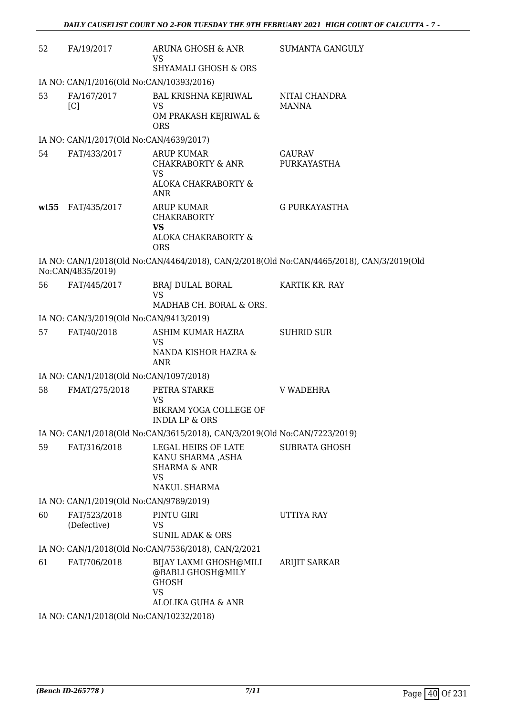| 52 | FA/19/2017                               | ARUNA GHOSH & ANR<br>VS<br><b>SHYAMALI GHOSH &amp; ORS</b>                                       | <b>SUMANTA GANGULY</b>                                                                    |
|----|------------------------------------------|--------------------------------------------------------------------------------------------------|-------------------------------------------------------------------------------------------|
|    | IA NO: CAN/1/2016(Old No:CAN/10393/2016) |                                                                                                  |                                                                                           |
| 53 | FA/167/2017<br>[C]                       | BAL KRISHNA KEJRIWAL<br><b>VS</b><br>OM PRAKASH KEJRIWAL &                                       | NITAI CHANDRA<br><b>MANNA</b>                                                             |
|    |                                          | <b>ORS</b>                                                                                       |                                                                                           |
|    | IA NO: CAN/1/2017(Old No:CAN/4639/2017)  |                                                                                                  |                                                                                           |
| 54 | FAT/433/2017                             | <b>ARUP KUMAR</b><br>CHAKRABORTY & ANR<br>VS<br>ALOKA CHAKRABORTY &<br><b>ANR</b>                | <b>GAURAV</b><br>PURKAYASTHA                                                              |
|    | wt55 FAT/435/2017                        | <b>ARUP KUMAR</b><br><b>CHAKRABORTY</b><br><b>VS</b><br>ALOKA CHAKRABORTY &<br><b>ORS</b>        | <b>G PURKAYASTHA</b>                                                                      |
|    | No:CAN/4835/2019)                        |                                                                                                  | IA NO: CAN/1/2018(Old No:CAN/4464/2018), CAN/2/2018(Old No:CAN/4465/2018), CAN/3/2019(Old |
| 56 | FAT/445/2017                             | BRAJ DULAL BORAL<br><b>VS</b>                                                                    | KARTIK KR. RAY                                                                            |
|    |                                          | MADHAB CH. BORAL & ORS.                                                                          |                                                                                           |
|    | IA NO: CAN/3/2019(Old No:CAN/9413/2019)  |                                                                                                  |                                                                                           |
| 57 | FAT/40/2018                              | ASHIM KUMAR HAZRA<br><b>VS</b><br>NANDA KISHOR HAZRA &<br>ANR                                    | <b>SUHRID SUR</b>                                                                         |
|    | IA NO: CAN/1/2018(Old No:CAN/1097/2018)  |                                                                                                  |                                                                                           |
| 58 | FMAT/275/2018                            | PETRA STARKE<br>VS<br>BIKRAM YOGA COLLEGE OF<br>INDIA LP & ORS                                   | V WADEHRA                                                                                 |
|    |                                          | IA NO: CAN/1/2018(Old No:CAN/3615/2018), CAN/3/2019(Old No:CAN/7223/2019)                        |                                                                                           |
| 59 | FAT/316/2018                             | LEGAL HEIRS OF LATE<br>KANU SHARMA ,ASHA<br><b>SHARMA &amp; ANR</b><br><b>VS</b><br>NAKUL SHARMA | <b>SUBRATA GHOSH</b>                                                                      |
|    | IA NO: CAN/1/2019(Old No:CAN/9789/2019)  |                                                                                                  |                                                                                           |
| 60 | FAT/523/2018<br>(Defective)              | PINTU GIRI<br>VS                                                                                 | UTTIYA RAY                                                                                |
|    |                                          | <b>SUNIL ADAK &amp; ORS</b>                                                                      |                                                                                           |
|    |                                          | IA NO: CAN/1/2018(Old No:CAN/7536/2018), CAN/2/2021                                              |                                                                                           |
| 61 | FAT/706/2018                             | BIJAY LAXMI GHOSH@MILI<br>@BABLI GHOSH@MILY<br><b>GHOSH</b><br><b>VS</b><br>ALOLIKA GUHA & ANR   | <b>ARIJIT SARKAR</b>                                                                      |
|    | IA NO: CAN/1/2018(Old No:CAN/10232/2018) |                                                                                                  |                                                                                           |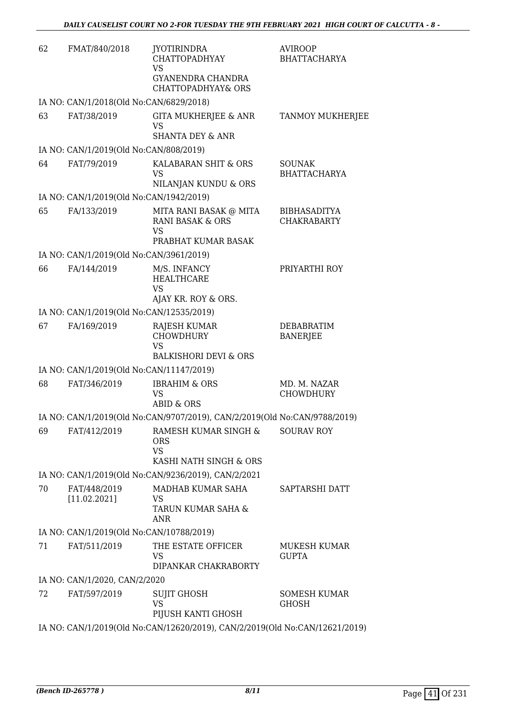| 62 | FMAT/840/2018                            | <b>JYOTIRINDRA</b><br><b>CHATTOPADHYAY</b><br><b>VS</b>                               | <b>AVIROOP</b><br><b>BHATTACHARYA</b>     |
|----|------------------------------------------|---------------------------------------------------------------------------------------|-------------------------------------------|
|    |                                          | GYANENDRA CHANDRA<br>CHATTOPADHYAY& ORS                                               |                                           |
|    | IA NO: CAN/1/2018(Old No:CAN/6829/2018)  |                                                                                       |                                           |
| 63 | FAT/38/2019                              | GITA MUKHERJEE & ANR<br><b>VS</b><br><b>SHANTA DEY &amp; ANR</b>                      | <b>TANMOY MUKHERJEE</b>                   |
|    | IA NO: CAN/1/2019(Old No:CAN/808/2019)   |                                                                                       |                                           |
| 64 | FAT/79/2019                              | KALABARAN SHIT & ORS<br>VS                                                            | <b>SOUNAK</b><br><b>BHATTACHARYA</b>      |
|    |                                          | NILANJAN KUNDU & ORS                                                                  |                                           |
|    | IA NO: CAN/1/2019(Old No:CAN/1942/2019)  |                                                                                       |                                           |
| 65 | FA/133/2019                              | MITA RANI BASAK @ MITA<br><b>RANI BASAK &amp; ORS</b><br><b>VS</b>                    | <b>BIBHASADITYA</b><br><b>CHAKRABARTY</b> |
|    |                                          | PRABHAT KUMAR BASAK                                                                   |                                           |
|    | IA NO: CAN/1/2019(Old No:CAN/3961/2019)  |                                                                                       |                                           |
| 66 | FA/144/2019                              | M/S. INFANCY<br><b>HEALTHCARE</b><br><b>VS</b><br>AJAY KR. ROY & ORS.                 | PRIYARTHI ROY                             |
|    | IA NO: CAN/1/2019(Old No:CAN/12535/2019) |                                                                                       |                                           |
| 67 | FA/169/2019                              | RAJESH KUMAR<br><b>CHOWDHURY</b><br><b>VS</b>                                         | <b>DEBABRATIM</b><br><b>BANERJEE</b>      |
|    |                                          | <b>BALKISHORI DEVI &amp; ORS</b>                                                      |                                           |
|    | IA NO: CAN/1/2019(Old No:CAN/11147/2019) |                                                                                       |                                           |
| 68 | FAT/346/2019                             | <b>IBRAHIM &amp; ORS</b><br><b>VS</b><br><b>ABID &amp; ORS</b>                        | MD. M. NAZAR<br><b>CHOWDHURY</b>          |
|    |                                          | IA NO: CAN/1/2019(Old No:CAN/9707/2019), CAN/2/2019(Old No:CAN/9788/2019)             |                                           |
| 69 | FAT/412/2019                             | RAMESH KUMAR SINGH &<br>ORS<br><b>VS</b><br>KASHI NATH SINGH & ORS                    | <b>SOURAV ROY</b>                         |
|    |                                          | IA NO: CAN/1/2019(Old No:CAN/9236/2019), CAN/2/2021                                   |                                           |
| 70 | FAT/448/2019<br>[11.02.2021]             | MADHAB KUMAR SAHA<br>VS<br>TARUN KUMAR SAHA &<br><b>ANR</b>                           | SAPTARSHI DATT                            |
|    | IA NO: CAN/1/2019(Old No:CAN/10788/2019) |                                                                                       |                                           |
| 71 | FAT/511/2019                             | THE ESTATE OFFICER<br>VS<br>DIPANKAR CHAKRABORTY                                      | MUKESH KUMAR<br><b>GUPTA</b>              |
|    | IA NO: CAN/1/2020, CAN/2/2020            |                                                                                       |                                           |
| 72 | FAT/597/2019                             | SUJIT GHOSH<br><b>VS</b>                                                              | <b>SOMESH KUMAR</b><br><b>GHOSH</b>       |
|    |                                          | PIJUSH KANTI GHOSH<br>IA NO. CANILIZATO COMPLEMENTATION CANTZZATO CHA No CANILIZATION |                                           |

IA NO: CAN/1/2019(Old No:CAN/12620/2019), CAN/2/2019(Old No:CAN/12621/2019)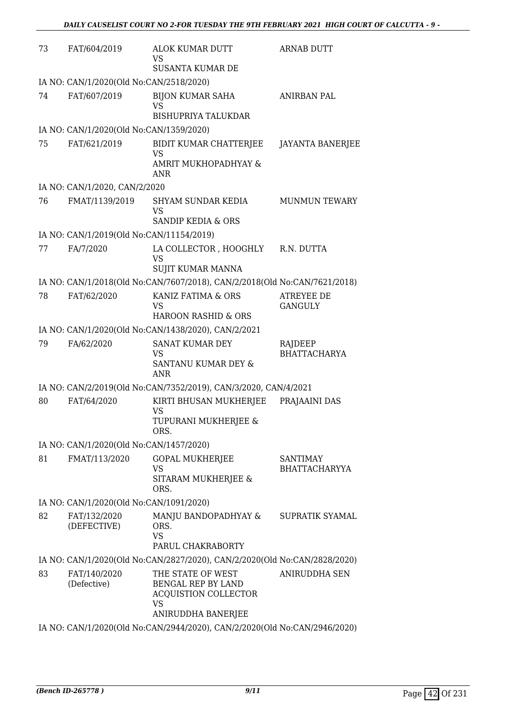| 73 | FAT/604/2019                             | <b>ALOK KUMAR DUTT</b><br><b>VS</b><br><b>SUSANTA KUMAR DE</b>                                            | <b>ARNAB DUTT</b>                   |
|----|------------------------------------------|-----------------------------------------------------------------------------------------------------------|-------------------------------------|
|    | IA NO: CAN/1/2020(Old No:CAN/2518/2020)  |                                                                                                           |                                     |
| 74 | FAT/607/2019                             | <b>BIJON KUMAR SAHA</b><br><b>VS</b><br><b>BISHUPRIYA TALUKDAR</b>                                        | <b>ANIRBAN PAL</b>                  |
|    | IA NO: CAN/1/2020(Old No:CAN/1359/2020)  |                                                                                                           |                                     |
| 75 | FAT/621/2019                             | BIDIT KUMAR CHATTERJEE<br><b>VS</b><br>AMRIT MUKHOPADHYAY &<br>ANR                                        | <b>JAYANTA BANERJEE</b>             |
|    | IA NO: CAN/1/2020, CAN/2/2020            |                                                                                                           |                                     |
| 76 | FMAT/1139/2019                           | SHYAM SUNDAR KEDIA<br><b>VS</b>                                                                           | <b>MUNMUN TEWARY</b>                |
|    |                                          | SANDIP KEDIA & ORS                                                                                        |                                     |
|    | IA NO: CAN/1/2019(Old No:CAN/11154/2019) |                                                                                                           |                                     |
| 77 | FA/7/2020                                | LA COLLECTOR , HOOGHLY<br><b>VS</b><br><b>SUJIT KUMAR MANNA</b>                                           | R.N. DUTTA                          |
|    |                                          | IA NO: CAN/1/2018(Old No:CAN/7607/2018), CAN/2/2018(Old No:CAN/7621/2018)                                 |                                     |
| 78 | FAT/62/2020                              | KANIZ FATIMA & ORS<br><b>VS</b><br><b>HAROON RASHID &amp; ORS</b>                                         | <b>ATREYEE DE</b><br><b>GANGULY</b> |
|    |                                          | IA NO: CAN/1/2020(Old No:CAN/1438/2020), CAN/2/2021                                                       |                                     |
| 79 | FA/62/2020                               | <b>SANAT KUMAR DEY</b><br><b>VS</b><br>SANTANU KUMAR DEY &<br><b>ANR</b>                                  | RAJDEEP<br><b>BHATTACHARYA</b>      |
|    |                                          | IA NO: CAN/2/2019(Old No:CAN/7352/2019), CAN/3/2020, CAN/4/2021                                           |                                     |
| 80 | FAT/64/2020                              | KIRTI BHUSAN MUKHERJEE<br>VS<br>TUPURANI MUKHERJEE &<br>ORS.                                              | PRAJAAINI DAS                       |
|    | IA NO: CAN/1/2020(Old No:CAN/1457/2020)  |                                                                                                           |                                     |
| 81 | FMAT/113/2020                            | <b>GOPAL MUKHERJEE</b><br><b>VS</b><br>SITARAM MUKHERJEE &<br>ORS.                                        | SANTIMAY<br><b>BHATTACHARYYA</b>    |
|    | IA NO: CAN/1/2020(Old No:CAN/1091/2020)  |                                                                                                           |                                     |
| 82 | FAT/132/2020<br>(DEFECTIVE)              | MANJU BANDOPADHYAY &<br>ORS.<br><b>VS</b><br>PARUL CHAKRABORTY                                            | <b>SUPRATIK SYAMAL</b>              |
|    |                                          | IA NO: CAN/1/2020(Old No:CAN/2827/2020), CAN/2/2020(Old No:CAN/2828/2020)                                 |                                     |
| 83 | FAT/140/2020<br>(Defective)              | THE STATE OF WEST<br>BENGAL REP BY LAND<br><b>ACQUISTION COLLECTOR</b><br><b>VS</b><br>ANIRUDDHA BANERJEE | ANIRUDDHA SEN                       |
|    |                                          | IA NO: CAN/1/2020(Old No:CAN/2944/2020). CAN/2/2020(Old No:CAN/2946/2020)                                 |                                     |

IA NO: CAN/1/2020(Old No:CAN/2944/2020), CAN/2/2020(Old No:CAN/2946/2020)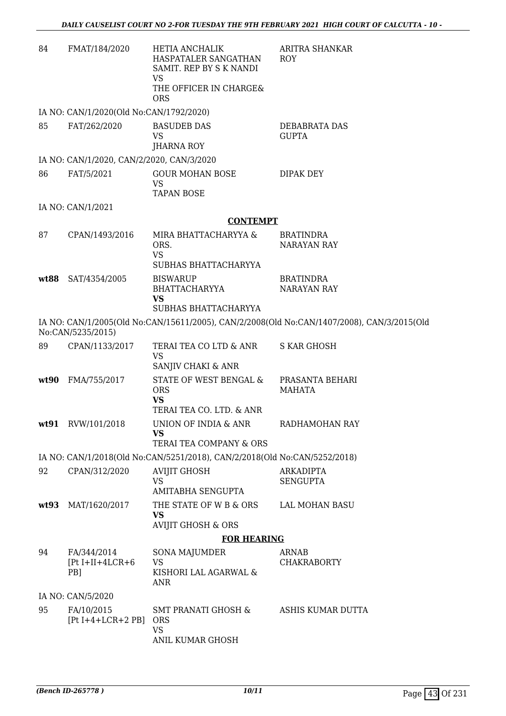| 84   | FMAT/184/2020                                        | <b>HETIA ANCHALIK</b><br>HASPATALER SANGATHAN<br>SAMIT. REP BY S K NANDI<br><b>VS</b> | ARITRA SHANKAR<br><b>ROY</b>                                                               |
|------|------------------------------------------------------|---------------------------------------------------------------------------------------|--------------------------------------------------------------------------------------------|
|      |                                                      | THE OFFICER IN CHARGE&<br><b>ORS</b>                                                  |                                                                                            |
|      | IA NO: CAN/1/2020(Old No:CAN/1792/2020)              |                                                                                       |                                                                                            |
| 85   | FAT/262/2020                                         | <b>BASUDEB DAS</b><br>VS<br><b>JHARNA ROY</b>                                         | DEBABRATA DAS<br><b>GUPTA</b>                                                              |
|      | IA NO: CAN/1/2020, CAN/2/2020, CAN/3/2020            |                                                                                       |                                                                                            |
| 86   | FAT/5/2021                                           | <b>GOUR MOHAN BOSE</b><br><b>VS</b>                                                   | DIPAK DEY                                                                                  |
|      |                                                      | <b>TAPAN BOSE</b>                                                                     |                                                                                            |
|      | IA NO: CAN/1/2021                                    |                                                                                       |                                                                                            |
|      |                                                      | <b>CONTEMPT</b>                                                                       |                                                                                            |
| 87   | CPAN/1493/2016                                       | MIRA BHATTACHARYYA &<br>ORS.<br><b>VS</b>                                             | <b>BRATINDRA</b><br><b>NARAYAN RAY</b>                                                     |
|      |                                                      | SUBHAS BHATTACHARYYA                                                                  |                                                                                            |
| wt88 | SAT/4354/2005                                        | <b>BISWARUP</b><br>BHATTACHARYYA<br><b>VS</b>                                         | <b>BRATINDRA</b><br><b>NARAYAN RAY</b>                                                     |
|      |                                                      | SUBHAS BHATTACHARYYA                                                                  |                                                                                            |
|      | No:CAN/5235/2015)                                    |                                                                                       | IA NO: CAN/1/2005(Old No:CAN/15611/2005), CAN/2/2008(Old No:CAN/1407/2008), CAN/3/2015(Old |
| 89   | CPAN/1133/2017                                       | TERAI TEA CO LTD & ANR<br><b>VS</b>                                                   | <b>S KAR GHOSH</b>                                                                         |
|      |                                                      | SANJIV CHAKI & ANR                                                                    |                                                                                            |
| wt90 | FMA/755/2017                                         | STATE OF WEST BENGAL &<br><b>ORS</b><br><b>VS</b><br>TERAI TEA CO. LTD. & ANR         | PRASANTA BEHARI<br><b>MAHATA</b>                                                           |
|      | wt91 RVW/101/2018                                    | UNION OF INDIA & ANR                                                                  | RADHAMOHAN RAY                                                                             |
|      |                                                      | <b>VS</b><br>TERAI TEA COMPANY & ORS                                                  |                                                                                            |
|      |                                                      | IA NO: CAN/1/2018(Old No:CAN/5251/2018), CAN/2/2018(Old No:CAN/5252/2018)             |                                                                                            |
| 92   | CPAN/312/2020                                        | <b>AVIJIT GHOSH</b><br><b>VS</b><br><b>AMITABHA SENGUPTA</b>                          | <b>ARKADIPTA</b><br><b>SENGUPTA</b>                                                        |
| wt93 | MAT/1620/2017                                        | THE STATE OF W B & ORS<br><b>VS</b>                                                   | LAL MOHAN BASU                                                                             |
|      |                                                      | <b>AVIJIT GHOSH &amp; ORS</b>                                                         |                                                                                            |
|      |                                                      | <b>FOR HEARING</b>                                                                    |                                                                                            |
| 94   | FA/344/2014<br>$[Pt I+II+4LCR+6]$<br>PB <sub>1</sub> | <b>SONA MAJUMDER</b><br><b>VS</b><br>KISHORI LAL AGARWAL &<br><b>ANR</b>              | ARNAB<br><b>CHAKRABORTY</b>                                                                |
|      | IA NO: CAN/5/2020                                    |                                                                                       |                                                                                            |
| 95   | FA/10/2015<br>$[Pt I+4+LCR+2 PB]$                    | SMT PRANATI GHOSH &<br><b>ORS</b><br><b>VS</b><br>ANIL KUMAR GHOSH                    | ASHIS KUMAR DUTTA                                                                          |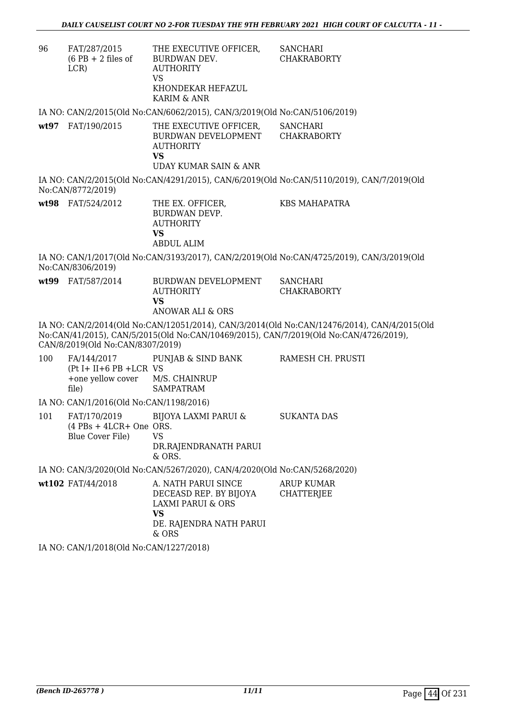| 96  | FAT/287/2015<br>$(6$ PB + 2 files of<br>LCR)                               | THE EXECUTIVE OFFICER,<br>BURDWAN DEV.<br><b>AUTHORITY</b><br><b>VS</b><br>KHONDEKAR HEFAZUL<br>KARIM & ANR                    | <b>SANCHARI</b><br><b>CHAKRABORTY</b>                                                                                                                                                |
|-----|----------------------------------------------------------------------------|--------------------------------------------------------------------------------------------------------------------------------|--------------------------------------------------------------------------------------------------------------------------------------------------------------------------------------|
|     |                                                                            | IA NO: CAN/2/2015(Old No:CAN/6062/2015), CAN/3/2019(Old No:CAN/5106/2019)                                                      |                                                                                                                                                                                      |
|     | wt97 FAT/190/2015                                                          | THE EXECUTIVE OFFICER,<br>BURDWAN DEVELOPMENT CHAKRABORTY<br><b>AUTHORITY</b><br><b>VS</b><br><b>UDAY KUMAR SAIN &amp; ANR</b> | <b>SANCHARI</b>                                                                                                                                                                      |
|     | No:CAN/8772/2019)                                                          |                                                                                                                                | IA NO: CAN/2/2015(Old No:CAN/4291/2015), CAN/6/2019(Old No:CAN/5110/2019), CAN/7/2019(Old                                                                                            |
|     | wt98 FAT/524/2012                                                          | THE EX. OFFICER,<br><b>BURDWAN DEVP.</b><br><b>AUTHORITY</b><br><b>VS</b><br><b>ABDUL ALIM</b>                                 | <b>KBS MAHAPATRA</b>                                                                                                                                                                 |
|     | No:CAN/8306/2019)                                                          |                                                                                                                                | IA NO: CAN/1/2017(Old No:CAN/3193/2017), CAN/2/2019(Old No:CAN/4725/2019), CAN/3/2019(Old                                                                                            |
|     | wt99 FAT/587/2014                                                          | BURDWAN DEVELOPMENT<br><b>AUTHORITY</b><br><b>VS</b><br>ANOWAR ALI & ORS                                                       | <b>SANCHARI</b><br><b>CHAKRABORTY</b>                                                                                                                                                |
|     | CAN/8/2019(Old No:CAN/8307/2019)                                           |                                                                                                                                | IA NO: CAN/2/2014(Old No:CAN/12051/2014), CAN/3/2014(Old No:CAN/12476/2014), CAN/4/2015(Old<br>No:CAN/41/2015), CAN/5/2015(Old No:CAN/10469/2015), CAN/7/2019(Old No:CAN/4726/2019), |
| 100 | FA/144/2017<br>$(Pt I + II + 6 PB + LCR VS)$<br>+one yellow cover<br>file) | PUNJAB & SIND BANK<br>M/S. CHAINRUP<br><b>SAMPATRAM</b>                                                                        | RAMESH CH. PRUSTI                                                                                                                                                                    |
|     | IA NO: CAN/1/2016(Old No:CAN/1198/2016)                                    |                                                                                                                                |                                                                                                                                                                                      |
| 101 | FAT/170/2019<br>$(4$ PBs + 4LCR+ One ORS.<br>Blue Cover File)              | <b>BIJOYA LAXMI PARUI &amp;</b><br><b>VS</b><br>DR.RAJENDRANATH PARUI<br>& ORS.                                                | <b>SUKANTA DAS</b>                                                                                                                                                                   |
|     |                                                                            | IA NO: CAN/3/2020(Old No:CAN/5267/2020), CAN/4/2020(Old No:CAN/5268/2020)                                                      |                                                                                                                                                                                      |
|     | wt102 FAT/44/2018                                                          | A. NATH PARUI SINCE<br>DECEASD REP. BY BIJOYA<br><b>LAXMI PARUI &amp; ORS</b><br><b>VS</b><br>DE. RAJENDRA NATH PARUI<br>& ORS | <b>ARUP KUMAR</b><br><b>CHATTERJEE</b>                                                                                                                                               |
|     | IA NO: CAN/1/2018(Old No:CAN/1227/2018)                                    |                                                                                                                                |                                                                                                                                                                                      |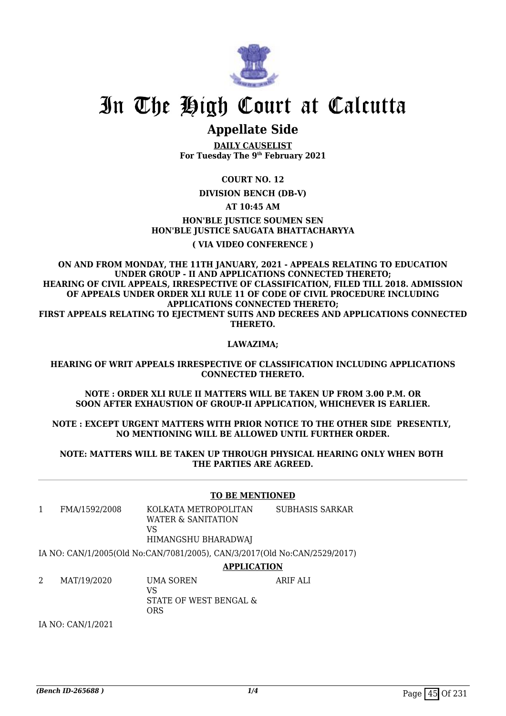

# In The High Court at Calcutta

## **Appellate Side**

**DAILY CAUSELIST For Tuesday The 9th February 2021**

#### **COURT NO. 12**

**DIVISION BENCH (DB-V)**

#### **AT 10:45 AM**

#### **HON'BLE JUSTICE SOUMEN SEN HON'BLE JUSTICE SAUGATA BHATTACHARYYA**

#### **( VIA VIDEO CONFERENCE )**

**ON AND FROM MONDAY, THE 11TH JANUARY, 2021 - APPEALS RELATING TO EDUCATION UNDER GROUP - II AND APPLICATIONS CONNECTED THERETO; HEARING OF CIVIL APPEALS, IRRESPECTIVE OF CLASSIFICATION, FILED TILL 2018. ADMISSION OF APPEALS UNDER ORDER XLI RULE 11 OF CODE OF CIVIL PROCEDURE INCLUDING APPLICATIONS CONNECTED THERETO; FIRST APPEALS RELATING TO EJECTMENT SUITS AND DECREES AND APPLICATIONS CONNECTED THERETO.**

#### **LAWAZIMA;**

#### **HEARING OF WRIT APPEALS IRRESPECTIVE OF CLASSIFICATION INCLUDING APPLICATIONS CONNECTED THERETO.**

#### **NOTE : ORDER XLI RULE II MATTERS WILL BE TAKEN UP FROM 3.00 P.M. OR SOON AFTER EXHAUSTION OF GROUP-II APPLICATION, WHICHEVER IS EARLIER.**

#### **NOTE : EXCEPT URGENT MATTERS WITH PRIOR NOTICE TO THE OTHER SIDE PRESENTLY, NO MENTIONING WILL BE ALLOWED UNTIL FURTHER ORDER.**

#### **NOTE: MATTERS WILL BE TAKEN UP THROUGH PHYSICAL HEARING ONLY WHEN BOTH THE PARTIES ARE AGREED.**

#### **TO BE MENTIONED**

1 FMA/1592/2008 KOLKATA METROPOLITAN WATER & SANITATION VS SUBHASIS SARKAR

HIMANGSHU BHARADWAJ

IA NO: CAN/1/2005(Old No:CAN/7081/2005), CAN/3/2017(Old No:CAN/2529/2017)

#### **APPLICATION**

2 MAT/19/2020 UMA SOREN VS STATE OF WEST BENGAL & ORS ARIF ALI

IA NO: CAN/1/2021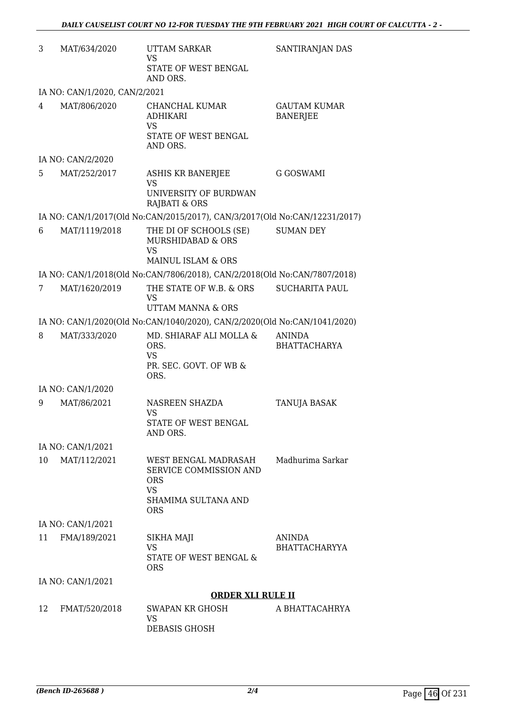| 3  | MAT/634/2020                  | UTTAM SARKAR<br><b>VS</b><br>STATE OF WEST BENGAL                                                              | SANTIRANJAN DAS                        |
|----|-------------------------------|----------------------------------------------------------------------------------------------------------------|----------------------------------------|
|    | IA NO: CAN/1/2020, CAN/2/2021 | AND ORS.                                                                                                       |                                        |
| 4  | MAT/806/2020                  | CHANCHAL KUMAR<br><b>ADHIKARI</b><br>VS<br>STATE OF WEST BENGAL<br>AND ORS.                                    | <b>GAUTAM KUMAR</b><br><b>BANERJEE</b> |
|    | IA NO: CAN/2/2020             |                                                                                                                |                                        |
| 5. | MAT/252/2017                  | <b>ASHIS KR BANERJEE</b><br><b>VS</b><br>UNIVERSITY OF BURDWAN<br>RAJBATI & ORS                                | G GOSWAMI                              |
|    |                               | IA NO: CAN/1/2017(Old No:CAN/2015/2017), CAN/3/2017(Old No:CAN/12231/2017)                                     |                                        |
| 6  | MAT/1119/2018                 | THE DI OF SCHOOLS (SE)<br><b>MURSHIDABAD &amp; ORS</b><br><b>VS</b>                                            | SUMAN DEY                              |
|    |                               | MAINUL ISLAM & ORS<br>IA NO: CAN/1/2018(Old No:CAN/7806/2018), CAN/2/2018(Old No:CAN/7807/2018)                |                                        |
| 7  | MAT/1620/2019                 | THE STATE OF W.B. & ORS<br><b>VS</b><br><b>UTTAM MANNA &amp; ORS</b>                                           | <b>SUCHARITA PAUL</b>                  |
|    |                               | IA NO: CAN/1/2020(Old No:CAN/1040/2020), CAN/2/2020(Old No:CAN/1041/2020)                                      |                                        |
| 8  | MAT/333/2020                  | MD. SHIARAF ALI MOLLA &<br>ORS.<br><b>VS</b><br>PR. SEC. GOVT. OF WB &<br>ORS.                                 | <b>ANINDA</b><br><b>BHATTACHARYA</b>   |
|    | IA NO: CAN/1/2020             |                                                                                                                |                                        |
| 9  | MAT/86/2021                   | NASREEN SHAZDA<br><b>VS</b><br>STATE OF WEST BENGAL<br>AND ORS.                                                | TANUJA BASAK                           |
|    | IA NO: CAN/1/2021             |                                                                                                                |                                        |
| 10 | MAT/112/2021                  | WEST BENGAL MADRASAH<br>SERVICE COMMISSION AND<br><b>ORS</b><br><b>VS</b><br>SHAMIMA SULTANA AND<br><b>ORS</b> | Madhurima Sarkar                       |
|    | IA NO: CAN/1/2021             |                                                                                                                |                                        |
| 11 | FMA/189/2021                  | SIKHA MAJI<br>VS<br>STATE OF WEST BENGAL &<br><b>ORS</b>                                                       | <b>ANINDA</b><br><b>BHATTACHARYYA</b>  |
|    | IA NO: CAN/1/2021             |                                                                                                                |                                        |
|    |                               | <b>ORDER XLI RULE II</b>                                                                                       |                                        |
| 12 | FMAT/520/2018                 | SWAPAN KR GHOSH<br>VS<br>DEBASIS GHOSH                                                                         | A BHATTACAHRYA                         |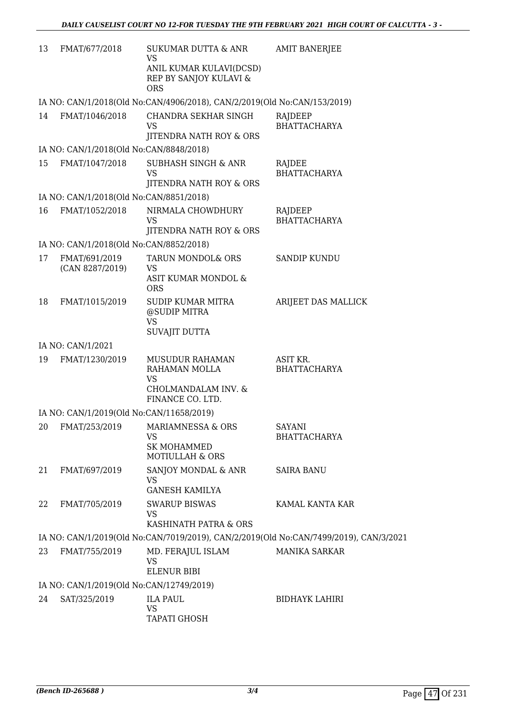| 13 | FMAT/677/2018                                             | <b>SUKUMAR DUTTA &amp; ANR</b><br><b>VS</b>                                                  | <b>AMIT BANERJEE</b>                                                                  |
|----|-----------------------------------------------------------|----------------------------------------------------------------------------------------------|---------------------------------------------------------------------------------------|
|    |                                                           | ANIL KUMAR KULAVI(DCSD)<br>REP BY SANJOY KULAVI &<br><b>ORS</b>                              |                                                                                       |
|    |                                                           | IA NO: CAN/1/2018(Old No:CAN/4906/2018), CAN/2/2019(Old No:CAN/153/2019)                     |                                                                                       |
| 14 | FMAT/1046/2018                                            | CHANDRA SEKHAR SINGH<br>VS                                                                   | RAJDEEP<br><b>BHATTACHARYA</b>                                                        |
|    |                                                           | JITENDRA NATH ROY & ORS                                                                      |                                                                                       |
| 15 | IA NO: CAN/1/2018(Old No:CAN/8848/2018)<br>FMAT/1047/2018 | <b>SUBHASH SINGH &amp; ANR</b>                                                               | RAJDEE                                                                                |
|    |                                                           | VS<br>JITENDRA NATH ROY & ORS                                                                | <b>BHATTACHARYA</b>                                                                   |
|    | IA NO: CAN/1/2018(Old No:CAN/8851/2018)                   |                                                                                              |                                                                                       |
| 16 | FMAT/1052/2018                                            | NIRMALA CHOWDHURY<br>VS<br>JITENDRA NATH ROY & ORS                                           | RAJDEEP<br><b>BHATTACHARYA</b>                                                        |
|    | IA NO: CAN/1/2018(Old No:CAN/8852/2018)                   |                                                                                              |                                                                                       |
| 17 | FMAT/691/2019<br>(CAN 8287/2019)                          | TARUN MONDOL& ORS<br>VS<br>ASIT KUMAR MONDOL &<br><b>ORS</b>                                 | <b>SANDIP KUNDU</b>                                                                   |
| 18 | FMAT/1015/2019                                            | <b>SUDIP KUMAR MITRA</b><br>@SUDIP MITRA<br><b>VS</b><br>SUVAJIT DUTTA                       | ARIJEET DAS MALLICK                                                                   |
|    | IA NO: CAN/1/2021                                         |                                                                                              |                                                                                       |
| 19 | FMAT/1230/2019                                            | MUSUDUR RAHAMAN<br>RAHAMAN MOLLA<br><b>VS</b>                                                | ASIT KR.<br><b>BHATTACHARYA</b>                                                       |
|    |                                                           | CHOLMANDALAM INV. &<br>FINANCE CO. LTD.                                                      |                                                                                       |
|    | IA NO: CAN/1/2019(Old No:CAN/11658/2019)                  |                                                                                              |                                                                                       |
|    |                                                           | 20 FMAT/253/2019 MARIAMNESSA & ORS<br>VS<br><b>SK MOHAMMED</b><br><b>MOTIULLAH &amp; ORS</b> | <b>SAYANI</b><br><b>BHATTACHARYA</b>                                                  |
| 21 | FMAT/697/2019                                             | SANJOY MONDAL & ANR<br>VS.<br><b>GANESH KAMILYA</b>                                          | <b>SAIRA BANU</b>                                                                     |
| 22 | FMAT/705/2019                                             | <b>SWARUP BISWAS</b>                                                                         | KAMAL KANTA KAR                                                                       |
|    |                                                           | VS<br>KASHINATH PATRA & ORS                                                                  |                                                                                       |
|    |                                                           |                                                                                              | IA NO: CAN/1/2019(Old No:CAN/7019/2019), CAN/2/2019(Old No:CAN/7499/2019), CAN/3/2021 |
| 23 | FMAT/755/2019                                             | MD. FERAJUL ISLAM<br><b>VS</b>                                                               | <b>MANIKA SARKAR</b>                                                                  |
|    |                                                           | ELENUR BIBI                                                                                  |                                                                                       |
|    | IA NO: CAN/1/2019(Old No:CAN/12749/2019)                  |                                                                                              |                                                                                       |
| 24 | SAT/325/2019                                              | <b>ILA PAUL</b><br><b>VS</b><br>TAPATI GHOSH                                                 | <b>BIDHAYK LAHIRI</b>                                                                 |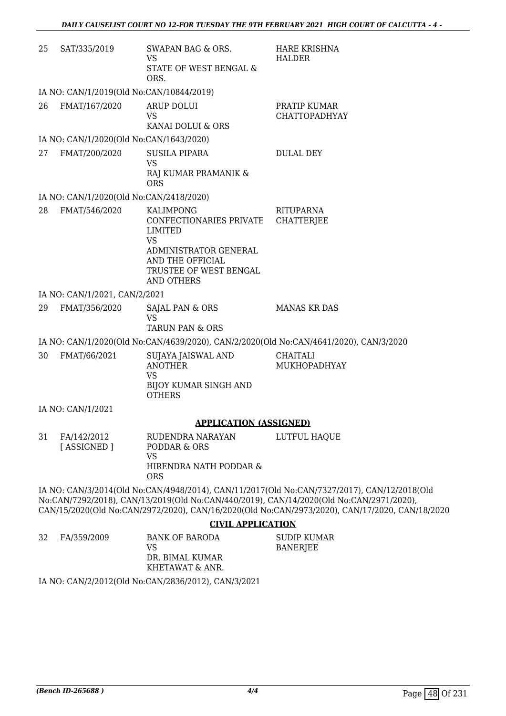| 25 | SAT/335/2019                             | SWAPAN BAG & ORS.<br>VS<br>STATE OF WEST BENGAL &<br>ORS.                                                                                                              | HARE KRISHNA<br><b>HALDER</b>                                                                                                                                                                                                                                                            |
|----|------------------------------------------|------------------------------------------------------------------------------------------------------------------------------------------------------------------------|------------------------------------------------------------------------------------------------------------------------------------------------------------------------------------------------------------------------------------------------------------------------------------------|
|    | IA NO: CAN/1/2019(Old No:CAN/10844/2019) |                                                                                                                                                                        |                                                                                                                                                                                                                                                                                          |
| 26 | FMAT/167/2020                            | <b>ARUP DOLUI</b><br>VS<br>KANAI DOLUI & ORS                                                                                                                           | PRATIP KUMAR<br><b>CHATTOPADHYAY</b>                                                                                                                                                                                                                                                     |
|    | IA NO: CAN/1/2020(Old No:CAN/1643/2020)  |                                                                                                                                                                        |                                                                                                                                                                                                                                                                                          |
| 27 | FMAT/200/2020                            | <b>SUSILA PIPARA</b><br><b>VS</b><br>RAJ KUMAR PRAMANIK &<br><b>ORS</b>                                                                                                | <b>DULAL DEY</b>                                                                                                                                                                                                                                                                         |
|    | IA NO: CAN/1/2020(Old No:CAN/2418/2020)  |                                                                                                                                                                        |                                                                                                                                                                                                                                                                                          |
| 28 | FMAT/546/2020                            | <b>KALIMPONG</b><br>CONFECTIONARIES PRIVATE<br><b>LIMITED</b><br><b>VS</b><br>ADMINISTRATOR GENERAL<br>AND THE OFFICIAL<br>TRUSTEE OF WEST BENGAL<br><b>AND OTHERS</b> | RITUPARNA<br><b>CHATTERJEE</b>                                                                                                                                                                                                                                                           |
|    | IA NO: CAN/1/2021, CAN/2/2021            |                                                                                                                                                                        |                                                                                                                                                                                                                                                                                          |
| 29 | FMAT/356/2020                            | SAJAL PAN & ORS<br><b>VS</b><br><b>TARUN PAN &amp; ORS</b>                                                                                                             | <b>MANAS KR DAS</b>                                                                                                                                                                                                                                                                      |
|    |                                          |                                                                                                                                                                        | IA NO: CAN/1/2020(Old No:CAN/4639/2020), CAN/2/2020(Old No:CAN/4641/2020), CAN/3/2020                                                                                                                                                                                                    |
| 30 | FMAT/66/2021                             | SUJAYA JAISWAL AND<br><b>ANOTHER</b><br>VS<br><b>BIJOY KUMAR SINGH AND</b><br><b>OTHERS</b>                                                                            | CHAITALI<br>MUKHOPADHYAY                                                                                                                                                                                                                                                                 |
|    | IA NO: CAN/1/2021                        |                                                                                                                                                                        |                                                                                                                                                                                                                                                                                          |
|    |                                          | <b>APPLICATION (ASSIGNED)</b>                                                                                                                                          |                                                                                                                                                                                                                                                                                          |
| 31 | FA/142/2012<br>[ASSIGNED]                | RUDENDRA NARAYAN<br>PODDAR & ORS<br>VS<br>HIRENDRA NATH PODDAR &<br><b>ORS</b>                                                                                         | LUTFUL HAQUE                                                                                                                                                                                                                                                                             |
|    |                                          |                                                                                                                                                                        | IA NO: CAN/3/2014(Old No:CAN/4948/2014), CAN/11/2017(Old No:CAN/7327/2017), CAN/12/2018(Old<br>No:CAN/7292/2018), CAN/13/2019(Old No:CAN/440/2019), CAN/14/2020(Old No:CAN/2971/2020),<br>CAN/15/2020(Old No:CAN/2972/2020), CAN/16/2020(Old No:CAN/2973/2020), CAN/17/2020, CAN/18/2020 |
|    |                                          | <b>CIVIL APPLICATION</b>                                                                                                                                               |                                                                                                                                                                                                                                                                                          |
| 32 | FA/359/2009                              | <b>BANK OF BARODA</b>                                                                                                                                                  | <b>SUDIP KUMAR</b>                                                                                                                                                                                                                                                                       |

VS DR. BIMAL KUMAR KHETAWAT & ANR. BANERJEE

IA NO: CAN/2/2012(Old No:CAN/2836/2012), CAN/3/2021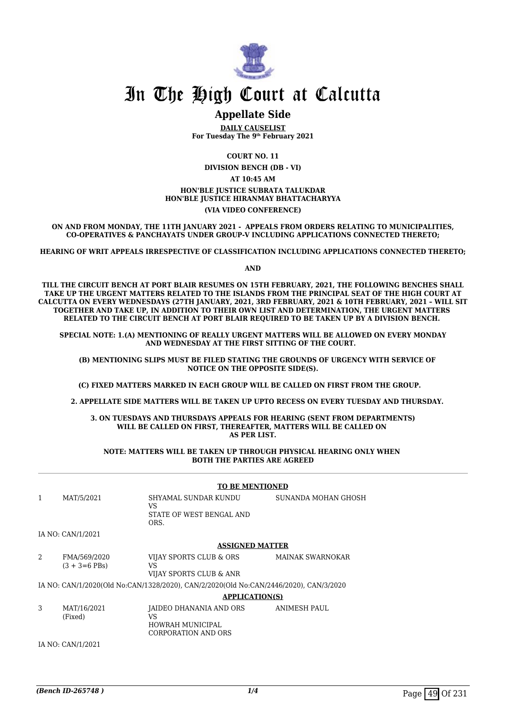

## In The High Court at Calcutta

#### **Appellate Side**

**DAILY CAUSELIST For Tuesday The 9th February 2021**

**COURT NO. 11**

**DIVISION BENCH (DB - VI)**

**AT 10:45 AM**

**HON'BLE JUSTICE SUBRATA TALUKDAR HON'BLE JUSTICE HIRANMAY BHATTACHARYYA**

**(VIA VIDEO CONFERENCE)**

**ON AND FROM MONDAY, THE 11TH JANUARY 2021 - APPEALS FROM ORDERS RELATING TO MUNICIPALITIES, CO-OPERATIVES & PANCHAYATS UNDER GROUP-V INCLUDING APPLICATIONS CONNECTED THERETO;**

**HEARING OF WRIT APPEALS IRRESPECTIVE OF CLASSIFICATION INCLUDING APPLICATIONS CONNECTED THERETO;**

**AND**

**TILL THE CIRCUIT BENCH AT PORT BLAIR RESUMES ON 15TH FEBRUARY, 2021, THE FOLLOWING BENCHES SHALL TAKE UP THE URGENT MATTERS RELATED TO THE ISLANDS FROM THE PRINCIPAL SEAT OF THE HIGH COURT AT CALCUTTA ON EVERY WEDNESDAYS (27TH JANUARY, 2021, 3RD FEBRUARY, 2021 & 10TH FEBRUARY, 2021 – WILL SIT TOGETHER AND TAKE UP, IN ADDITION TO THEIR OWN LIST AND DETERMINATION, THE URGENT MATTERS RELATED TO THE CIRCUIT BENCH AT PORT BLAIR REQUIRED TO BE TAKEN UP BY A DIVISION BENCH.** 

**SPECIAL NOTE: 1.(A) MENTIONING OF REALLY URGENT MATTERS WILL BE ALLOWED ON EVERY MONDAY AND WEDNESDAY AT THE FIRST SITTING OF THE COURT.** 

 **(B) MENTIONING SLIPS MUST BE FILED STATING THE GROUNDS OF URGENCY WITH SERVICE OF NOTICE ON THE OPPOSITE SIDE(S).**

**(C) FIXED MATTERS MARKED IN EACH GROUP WILL BE CALLED ON FIRST FROM THE GROUP.** 

 **2. APPELLATE SIDE MATTERS WILL BE TAKEN UP UPTO RECESS ON EVERY TUESDAY AND THURSDAY.** 

**3. ON TUESDAYS AND THURSDAYS APPEALS FOR HEARING (SENT FROM DEPARTMENTS) WILL BE CALLED ON FIRST, THEREAFTER, MATTERS WILL BE CALLED ON AS PER LIST.**

**NOTE: MATTERS WILL BE TAKEN UP THROUGH PHYSICAL HEARING ONLY WHEN BOTH THE PARTIES ARE AGREED**

|              |                                   | <b>TO BE MENTIONED</b>                                                                |                         |  |
|--------------|-----------------------------------|---------------------------------------------------------------------------------------|-------------------------|--|
| $\mathbf{1}$ | MAT/5/2021                        | SHYAMAL SUNDAR KUNDU<br>VS<br>STATE OF WEST BENGAL AND<br>ORS.                        | SUNANDA MOHAN GHOSH     |  |
|              | IA NO: CAN/1/2021                 |                                                                                       |                         |  |
|              |                                   | <b>ASSIGNED MATTER</b>                                                                |                         |  |
| 2            | FMA/569/2020<br>$(3 + 3 = 6$ PBs) | VIJAY SPORTS CLUB & ORS<br>VS<br>VIJAY SPORTS CLUB & ANR                              | <b>MAINAK SWARNOKAR</b> |  |
|              |                                   | IA NO: CAN/1/2020(Old No:CAN/1328/2020), CAN/2/2020(Old No:CAN/2446/2020), CAN/3/2020 |                         |  |
|              |                                   | <b>APPLICATION(S)</b>                                                                 |                         |  |
| 3            | MAT/16/2021<br>(Fixed)            | JAIDEO DHANANIA AND ORS<br>VS<br>HOWRAH MUNICIPAL<br><b>CORPORATION AND ORS</b>       | <b>ANIMESH PAUL</b>     |  |
|              | IA NO: CAN/1/2021                 |                                                                                       |                         |  |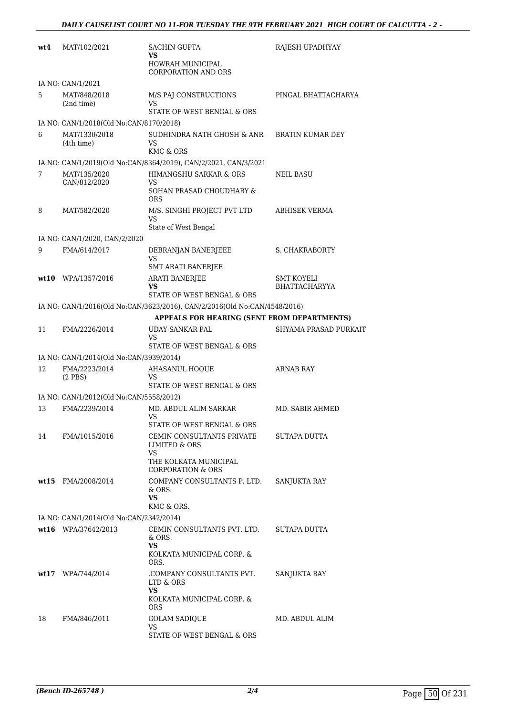| wt4 | MAT/102/2021                                  | SACHIN GUPTA<br>VS                                                        | RAJESH UPADHYAY                    |
|-----|-----------------------------------------------|---------------------------------------------------------------------------|------------------------------------|
|     |                                               | HOWRAH MUNICIPAL<br><b>CORPORATION AND ORS</b>                            |                                    |
|     | IA NO: CAN/1/2021                             |                                                                           |                                    |
| 5   | MAT/848/2018                                  | M/S PAJ CONSTRUCTIONS                                                     | PINGAL BHATTACHARYA                |
|     | (2nd time)                                    | VS<br>STATE OF WEST BENGAL & ORS                                          |                                    |
|     | IA NO: CAN/1/2018(Old No:CAN/8170/2018)       |                                                                           |                                    |
| 6   | MAT/1330/2018                                 | SUDHINDRA NATH GHOSH & ANR                                                | <b>BRATIN KUMAR DEY</b>            |
|     | (4th time)                                    | VS<br>KMC & ORS                                                           |                                    |
|     |                                               | IA NO: CAN/1/2019(Old No:CAN/8364/2019), CAN/2/2021, CAN/3/2021           |                                    |
| 7   | MAT/135/2020                                  | HIMANGSHU SARKAR & ORS                                                    | NEIL BASU                          |
|     | CAN/812/2020                                  | VS<br>SOHAN PRASAD CHOUDHARY &<br><b>ORS</b>                              |                                    |
| 8   | MAT/582/2020                                  | M/S. SINGHI PROJECT PVT LTD<br>VS                                         | ABHISEK VERMA                      |
|     |                                               | State of West Bengal                                                      |                                    |
| 9   | IA NO: CAN/1/2020, CAN/2/2020<br>FMA/614/2017 |                                                                           |                                    |
|     |                                               | DEBRANJAN BANERJEEE<br>VS                                                 | S. CHAKRABORTY                     |
|     |                                               | SMT ARATI BANERJEE                                                        |                                    |
|     | wt10 WPA/1357/2016                            | <b>ARATI BANERJEE</b><br>VS                                               | SMT KOYELI<br><b>BHATTACHARYYA</b> |
|     |                                               | STATE OF WEST BENGAL & ORS                                                |                                    |
|     |                                               | IA NO: CAN/1/2016(Old No:CAN/3623/2016), CAN/2/2016(Old No:CAN/4548/2016) |                                    |
|     |                                               | <b>APPEALS FOR HEARING (SENT FROM DEPARTMENTS)</b>                        |                                    |
| 11  | FMA/2226/2014                                 | <b>UDAY SANKAR PAL</b><br>VS                                              | SHYAMA PRASAD PURKAIT              |
|     |                                               | STATE OF WEST BENGAL & ORS                                                |                                    |
|     | IA NO: CAN/1/2014(Old No:CAN/3939/2014)       |                                                                           |                                    |
| 12  | FMA/2223/2014                                 | <b>AHASANUL HOQUE</b>                                                     | ARNAB RAY                          |
|     | $(2$ PBS $)$                                  | VS<br>STATE OF WEST BENGAL & ORS                                          |                                    |
|     | IA NO: CAN/1/2012(Old No:CAN/5558/2012)       |                                                                           |                                    |
| 13  | FMA/2239/2014                                 | MD. ABDUL ALIM SARKAR                                                     | MD. SABIR AHMED                    |
|     |                                               | VS<br>STATE OF WEST BENGAL & ORS                                          |                                    |
| 14  | FMA/1015/2016                                 | CEMIN CONSULTANTS PRIVATE                                                 | SUTAPA DUTTA                       |
|     |                                               | LIMITED & ORS<br>VS.                                                      |                                    |
|     |                                               | THE KOLKATA MUNICIPAL<br><b>CORPORATION &amp; ORS</b>                     |                                    |
|     | wt15 FMA/2008/2014                            | COMPANY CONSULTANTS P. LTD.<br>& ORS.                                     | SANJUKTA RAY                       |
|     |                                               | VS.                                                                       |                                    |
|     |                                               | KMC & ORS.                                                                |                                    |
|     | IA NO: CAN/1/2014(Old No:CAN/2342/2014)       |                                                                           |                                    |
|     | wt16 WPA/37642/2013                           | CEMIN CONSULTANTS PVT. LTD.<br>& ORS.                                     | SUTAPA DUTTA                       |
|     |                                               | VS.<br>KOLKATA MUNICIPAL CORP. &<br>ORS.                                  |                                    |
|     | wt17 WPA/744/2014                             | .COMPANY CONSULTANTS PVT.                                                 | SANJUKTA RAY                       |
|     |                                               | LTD & ORS<br>VS                                                           |                                    |
|     |                                               | KOLKATA MUNICIPAL CORP. &<br><b>ORS</b>                                   |                                    |
| 18  | FMA/846/2011                                  | <b>GOLAM SADIQUE</b>                                                      | MD. ABDUL ALIM                     |
|     |                                               | VS<br>STATE OF WEST BENGAL & ORS                                          |                                    |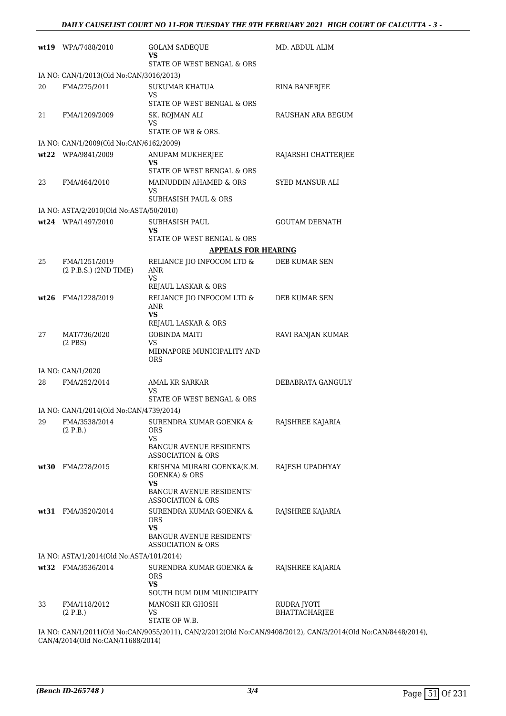|        | wt19 WPA/7488/2010                       | <b>GOLAM SADEQUE</b><br>VS<br>STATE OF WEST BENGAL & ORS                                                       | MD. ABDUL ALIM                                                                                      |
|--------|------------------------------------------|----------------------------------------------------------------------------------------------------------------|-----------------------------------------------------------------------------------------------------|
|        | IA NO: CAN/1/2013(Old No:CAN/3016/2013)  |                                                                                                                |                                                                                                     |
| 20     | FMA/275/2011                             | <b>SUKUMAR KHATUA</b><br>VS<br>STATE OF WEST BENGAL & ORS                                                      | <b>RINA BANERJEE</b>                                                                                |
| 21     | FMA/1209/2009                            | SK. ROJMAN ALI<br>VS<br>STATE OF WB & ORS.                                                                     | RAUSHAN ARA BEGUM                                                                                   |
|        | IA NO: CAN/1/2009(Old No:CAN/6162/2009)  |                                                                                                                |                                                                                                     |
|        | wt22 WPA/9841/2009                       | ANUPAM MUKHERJEE<br>VS                                                                                         | RAJARSHI CHATTERJEE                                                                                 |
| 23     | FMA/464/2010                             | STATE OF WEST BENGAL & ORS<br>MAINUDDIN AHAMED & ORS<br>VS<br>SUBHASISH PAUL & ORS                             | SYED MANSUR ALI                                                                                     |
|        | IA NO: ASTA/2/2010(Old No:ASTA/50/2010)  |                                                                                                                |                                                                                                     |
|        | wt24 WPA/1497/2010                       | <b>SUBHASISH PAUL</b><br>VS                                                                                    | <b>GOUTAM DEBNATH</b>                                                                               |
|        |                                          | STATE OF WEST BENGAL & ORS                                                                                     |                                                                                                     |
|        |                                          | <b>APPEALS FOR HEARING</b>                                                                                     |                                                                                                     |
| 25     | FMA/1251/2019<br>(2 P.B.S.) (2ND TIME)   | RELIANCE JIO INFOCOM LTD $\&$<br>ANR<br>VS                                                                     | DEB KUMAR SEN                                                                                       |
|        |                                          | REJAUL LASKAR & ORS                                                                                            |                                                                                                     |
| wt26   | FMA/1228/2019                            | RELIANCE JIO INFOCOM LTD &<br><b>ANR</b><br>VS<br>REJAUL LASKAR & ORS                                          | DEB KUMAR SEN                                                                                       |
| 27     | MAT/736/2020<br>$(2$ PBS)                | <b>GOBINDA MAITI</b><br>VS<br>MIDNAPORE MUNICIPALITY AND<br><b>ORS</b>                                         | RAVI RANJAN KUMAR                                                                                   |
|        | IA NO: CAN/1/2020                        |                                                                                                                |                                                                                                     |
| 28     | FMA/252/2014                             | AMAL KR SARKAR<br>VS<br>STATE OF WEST BENGAL & ORS                                                             | DEBABRATA GANGULY                                                                                   |
|        | IA NO: CAN/1/2014(Old No:CAN/4739/2014)  |                                                                                                                |                                                                                                     |
|        | 29 FMA/3538/2014<br>(2 P.B.)             | SURENDRA KUMAR GOENKA &<br><b>ORS</b><br>VS.<br><b>BANGUR AVENUE RESIDENTS</b><br><b>ASSOCIATION &amp; ORS</b> | RAJSHREE KAJARIA                                                                                    |
|        | wt30 FMA/278/2015                        | KRISHNA MURARI GOENKA(K.M.<br><b>GOENKA) &amp; ORS</b><br>VS                                                   | RAJESH UPADHYAY                                                                                     |
|        |                                          | <b>BANGUR AVENUE RESIDENTS'</b><br><b>ASSOCIATION &amp; ORS</b>                                                |                                                                                                     |
|        | wt31 FMA/3520/2014                       | SURENDRA KUMAR GOENKA &<br><b>ORS</b><br>VS.<br>BANGUR AVENUE RESIDENTS'<br>ASSOCIATION & ORS                  | RAJSHREE KAJARIA                                                                                    |
|        | IA NO: ASTA/1/2014(Old No:ASTA/101/2014) |                                                                                                                |                                                                                                     |
|        | wt32 FMA/3536/2014                       | SURENDRA KUMAR GOENKA &<br><b>ORS</b><br>VS                                                                    | RAJSHREE KAJARIA                                                                                    |
|        |                                          | SOUTH DUM DUM MUNICIPAITY                                                                                      |                                                                                                     |
| 33     | FMA/118/2012<br>(2 P.B.)                 | MANOSH KR GHOSH<br>VS<br>STATE OF W.B.                                                                         | RUDRA JYOTI<br><b>BHATTACHARJEE</b>                                                                 |
| TA NTO |                                          | $Q$ $M10001010013N$ , $Q$ $M1010000010$                                                                        | $Q$ $\lambda$ $\lambda$ $\beta$ $\beta$ $\beta$ $\beta$ $\lambda$ $\beta$ $\beta$ $\lambda$ $\beta$ |

IA NO: CAN/1/2011(Old No:CAN/9055/2011), CAN/2/2012(Old No:CAN/9408/2012), CAN/3/2014(Old No:CAN/8448/2014), CAN/4/2014(Old No:CAN/11688/2014)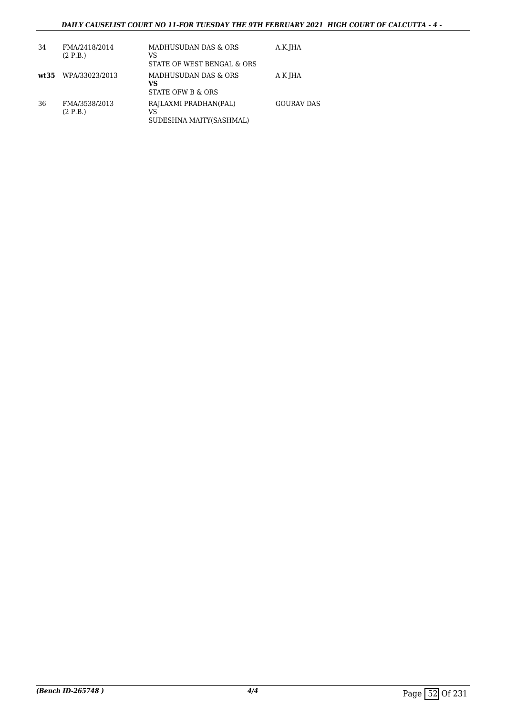#### *DAILY CAUSELIST COURT NO 11-FOR TUESDAY THE 9TH FEBRUARY 2021 HIGH COURT OF CALCUTTA - 4 -*

| 34 | FMA/2418/2014<br>(2 P.B.) | MADHUSUDAN DAS & ORS<br>VS<br>STATE OF WEST BENGAL & ORS   | A.K.JHA           |
|----|---------------------------|------------------------------------------------------------|-------------------|
|    | wt35 WPA/33023/2013       | MADHUSUDAN DAS & ORS<br>VS<br><b>STATE OFW B &amp; ORS</b> | A K JHA           |
| 36 | FMA/3538/2013<br>(2 P.B.) | RAJLAXMI PRADHAN(PAL)<br>VS<br>SUDESHNA MAITY(SASHMAL)     | <b>GOURAV DAS</b> |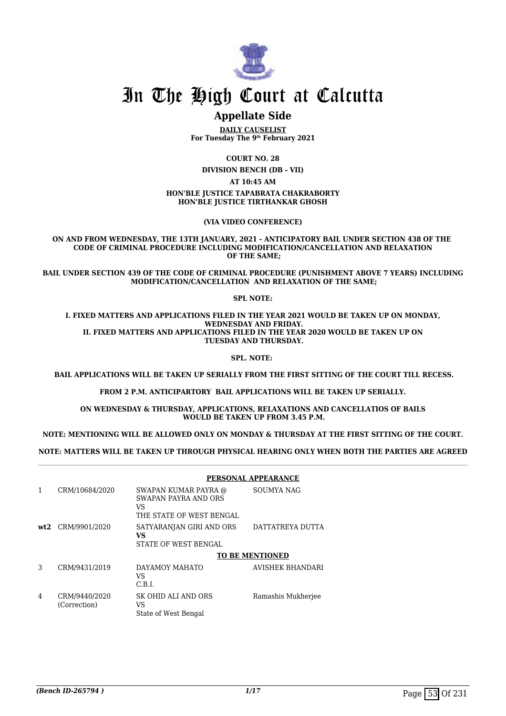

## In The High Court at Calcutta

## **Appellate Side**

**DAILY CAUSELIST For Tuesday The 9th February 2021**

**COURT NO. 28**

**DIVISION BENCH (DB - VII)**

**AT 10:45 AM**

**HON'BLE JUSTICE TAPABRATA CHAKRABORTY HON'BLE JUSTICE TIRTHANKAR GHOSH**

**(VIA VIDEO CONFERENCE)**

**ON AND FROM WEDNESDAY, THE 13TH JANUARY, 2021 - ANTICIPATORY BAIL UNDER SECTION 438 OF THE CODE OF CRIMINAL PROCEDURE INCLUDING MODIFICATION/CANCELLATION AND RELAXATION OF THE SAME;**

**BAIL UNDER SECTION 439 OF THE CODE OF CRIMINAL PROCEDURE (PUNISHMENT ABOVE 7 YEARS) INCLUDING MODIFICATION/CANCELLATION AND RELAXATION OF THE SAME;**

**SPL NOTE:**

**I. FIXED MATTERS AND APPLICATIONS FILED IN THE YEAR 2021 WOULD BE TAKEN UP ON MONDAY, WEDNESDAY AND FRIDAY. II. FIXED MATTERS AND APPLICATIONS FILED IN THE YEAR 2020 WOULD BE TAKEN UP ON TUESDAY AND THURSDAY.**

**SPL. NOTE:** 

 **BAIL APPLICATIONS WILL BE TAKEN UP SERIALLY FROM THE FIRST SITTING OF THE COURT TILL RECESS.**

**FROM 2 P.M. ANTICIPARTORY BAIL APPLICATIONS WILL BE TAKEN UP SERIALLY.**

**ON WEDNESDAY & THURSDAY, APPLICATIONS, RELAXATIONS AND CANCELLATIOS OF BAILS WOULD BE TAKEN UP FROM 3.45 P.M.**

**NOTE: MENTIONING WILL BE ALLOWED ONLY ON MONDAY & THURSDAY AT THE FIRST SITTING OF THE COURT.**

**NOTE: MATTERS WILL BE TAKEN UP THROUGH PHYSICAL HEARING ONLY WHEN BOTH THE PARTIES ARE AGREED**

|     |                               | PERSONAL APPEARANCE                                                                   |                        |
|-----|-------------------------------|---------------------------------------------------------------------------------------|------------------------|
|     | CRM/10684/2020                | SWAPAN KUMAR PAYRA @<br><b>SWAPAN PAYRA AND ORS</b><br>VS<br>THE STATE OF WEST BENGAL | SOUMYA NAG             |
| wt2 | CRM/9901/2020                 | SATYARANJAN GIRI AND ORS<br>VS<br>STATE OF WEST BENGAL                                | DATTATREYA DUTTA       |
|     |                               |                                                                                       | <b>TO BE MENTIONED</b> |
| 3   | CRM/9431/2019                 | DAYAMOY MAHATO<br>VS<br>C.B.I.                                                        | AVISHEK BHANDARI       |
| 4   | CRM/9440/2020<br>(Correction) | SK OHID ALI AND ORS<br>VS<br>State of West Bengal                                     | Ramashis Mukherjee     |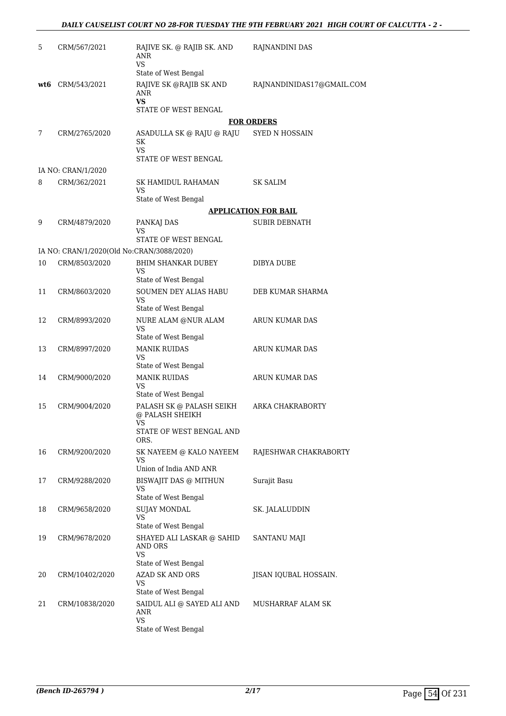| 5   | CRM/567/2021                              | RAJIVE SK. @ RAJIB SK. AND<br>ANR<br><b>VS</b>                     | RAJNANDINI DAS              |
|-----|-------------------------------------------|--------------------------------------------------------------------|-----------------------------|
|     |                                           | State of West Bengal                                               |                             |
| wt6 | CRM/543/2021                              | RAJIVE SK @RAJIB SK AND<br>ANR<br>VS                               | RAJNANDINIDAS17@GMAIL.COM   |
|     |                                           | STATE OF WEST BENGAL                                               |                             |
|     |                                           |                                                                    | <b>FOR ORDERS</b>           |
| 7   | CRM/2765/2020                             | ASADULLA SK @ RAJU @ RAJU<br>SK<br>VS                              | <b>SYED N HOSSAIN</b>       |
|     |                                           | STATE OF WEST BENGAL                                               |                             |
|     | IA NO: CRAN/1/2020                        |                                                                    |                             |
| 8   | CRM/362/2021                              | SK HAMIDUL RAHAMAN<br>VS                                           | SK SALIM                    |
|     |                                           | State of West Bengal                                               |                             |
|     |                                           |                                                                    | <b>APPLICATION FOR BAIL</b> |
| 9   | CRM/4879/2020                             | PANKAJ DAS<br>VS                                                   | <b>SUBIR DEBNATH</b>        |
|     |                                           | STATE OF WEST BENGAL                                               |                             |
|     | IA NO: CRAN/1/2020(Old No:CRAN/3088/2020) |                                                                    |                             |
| 10  | CRM/8503/2020                             | <b>BHIM SHANKAR DUBEY</b><br>VS                                    | <b>DIBYA DUBE</b>           |
|     |                                           | State of West Bengal                                               |                             |
| 11  | CRM/8603/2020                             | SOUMEN DEY ALIAS HABU<br>VS.                                       | DEB KUMAR SHARMA            |
|     |                                           | State of West Bengal                                               |                             |
| 12  | CRM/8993/2020                             | NURE ALAM @NUR ALAM<br><b>VS</b>                                   | ARUN KUMAR DAS              |
| 13  | CRM/8997/2020                             | State of West Bengal<br><b>MANIK RUIDAS</b>                        | ARUN KUMAR DAS              |
|     |                                           | VS<br>State of West Bengal                                         |                             |
| 14  | CRM/9000/2020                             | <b>MANIK RUIDAS</b>                                                | ARUN KUMAR DAS              |
|     |                                           | VS<br>State of West Bengal                                         |                             |
| 15  | CRM/9004/2020                             | PALASH SK @ PALASH SEIKH<br>@ PALASH SHEIKH<br>VS                  | ARKA CHAKRABORTY            |
|     |                                           | STATE OF WEST BENGAL AND<br>ORS.                                   |                             |
| 16  | CRM/9200/2020                             | SK NAYEEM @ KALO NAYEEM<br>VS                                      | RAJESHWAR CHAKRABORTY       |
|     |                                           | Union of India AND ANR                                             |                             |
| 17  | CRM/9288/2020                             | BISWAJIT DAS @ MITHUN<br>VS                                        | Surajit Basu                |
|     |                                           | State of West Bengal                                               |                             |
| 18  | CRM/9658/2020                             | SUJAY MONDAL<br>VS<br>State of West Bengal                         | SK. JALALUDDIN              |
| 19  | CRM/9678/2020                             | SHAYED ALI LASKAR @ SAHID<br>AND ORS<br>VS<br>State of West Bengal | SANTANU MAJI                |
| 20  | CRM/10402/2020                            | <b>AZAD SK AND ORS</b>                                             | JISAN IQUBAL HOSSAIN.       |
|     |                                           | VS                                                                 |                             |
|     |                                           | State of West Bengal                                               |                             |
| 21  | CRM/10838/2020                            | SAIDUL ALI @ SAYED ALI AND<br>ANR<br><b>VS</b>                     | MUSHARRAF ALAM SK           |
|     |                                           | State of West Bengal                                               |                             |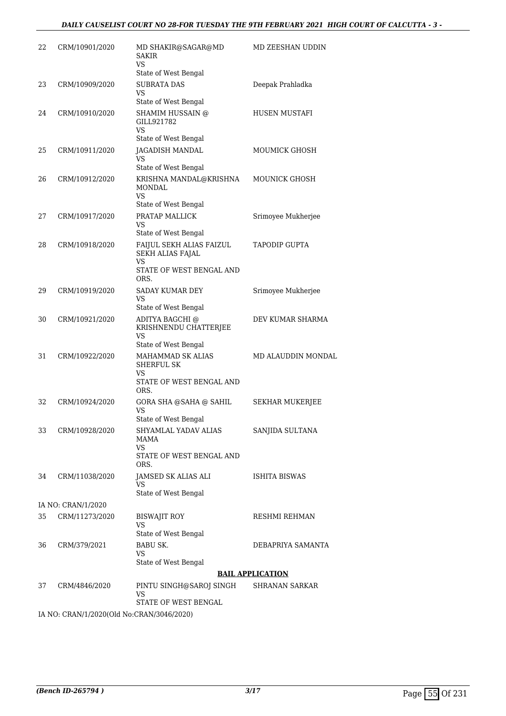| 22 | CRM/10901/2020                            | MD SHAKIR@SAGAR@MD<br>SAKIR<br>VS                                              | MD ZEESHAN UDDIN        |
|----|-------------------------------------------|--------------------------------------------------------------------------------|-------------------------|
|    |                                           | State of West Bengal                                                           |                         |
| 23 | CRM/10909/2020                            | <b>SUBRATA DAS</b><br>VS<br>State of West Bengal                               | Deepak Prahladka        |
| 24 | CRM/10910/2020                            | SHAMIM HUSSAIN @<br>GILL921782<br><b>VS</b><br>State of West Bengal            | <b>HUSEN MUSTAFI</b>    |
| 25 | CRM/10911/2020                            | JAGADISH MANDAL<br>VS                                                          | MOUMICK GHOSH           |
|    |                                           | State of West Bengal                                                           |                         |
| 26 | CRM/10912/2020                            | KRISHNA MANDAL@KRISHNA<br><b>MONDAL</b><br><b>VS</b>                           | MOUNICK GHOSH           |
|    |                                           | State of West Bengal                                                           |                         |
| 27 | CRM/10917/2020                            | PRATAP MALLICK<br>VS<br>State of West Bengal                                   | Srimoyee Mukherjee      |
| 28 | CRM/10918/2020                            | FAIJUL SEKH ALIAS FAIZUL<br>SEKH ALIAS FAJAL<br>VS<br>STATE OF WEST BENGAL AND | <b>TAPODIP GUPTA</b>    |
|    |                                           | ORS.                                                                           |                         |
| 29 | CRM/10919/2020                            | SADAY KUMAR DEY<br>VS<br>State of West Bengal                                  | Srimoyee Mukherjee      |
| 30 | CRM/10921/2020                            | ADITYA BAGCHI @<br>KRISHNENDU CHATTERJEE<br>VS<br>State of West Bengal         | DEV KUMAR SHARMA        |
| 31 | CRM/10922/2020                            | MAHAMMAD SK ALIAS<br>SHERFUL SK<br>VS<br>STATE OF WEST BENGAL AND              | MD ALAUDDIN MONDAL      |
| 32 | CRM/10924/2020                            | ORS.<br>GORA SHA @SAHA @ SAHIL<br><b>VS</b>                                    | SEKHAR MUKERJEE         |
|    |                                           | State of West Bengal                                                           |                         |
| 33 | CRM/10928/2020                            | SHYAMLAL YADAV ALIAS<br>MAMA<br>VS                                             | SANJIDA SULTANA         |
|    |                                           | STATE OF WEST BENGAL AND<br>ORS.                                               |                         |
| 34 | CRM/11038/2020                            | JAMSED SK ALIAS ALI<br>VS<br>State of West Bengal                              | ISHITA BISWAS           |
|    | IA NO: CRAN/1/2020                        |                                                                                |                         |
| 35 | CRM/11273/2020                            | <b>BISWAJIT ROY</b>                                                            | <b>RESHMI REHMAN</b>    |
|    |                                           | VS<br>State of West Bengal                                                     |                         |
| 36 | CRM/379/2021                              | <b>BABU SK.</b><br>VS<br>State of West Bengal                                  | DEBAPRIYA SAMANTA       |
|    |                                           |                                                                                | <b>BAIL APPLICATION</b> |
| 37 | CRM/4846/2020                             | PINTU SINGH@SAROJ SINGH                                                        | SHRANAN SARKAR          |
|    |                                           | VS<br>STATE OF WEST BENGAL                                                     |                         |
|    | IA NO: CRAN/1/2020(Old No:CRAN/3046/2020) |                                                                                |                         |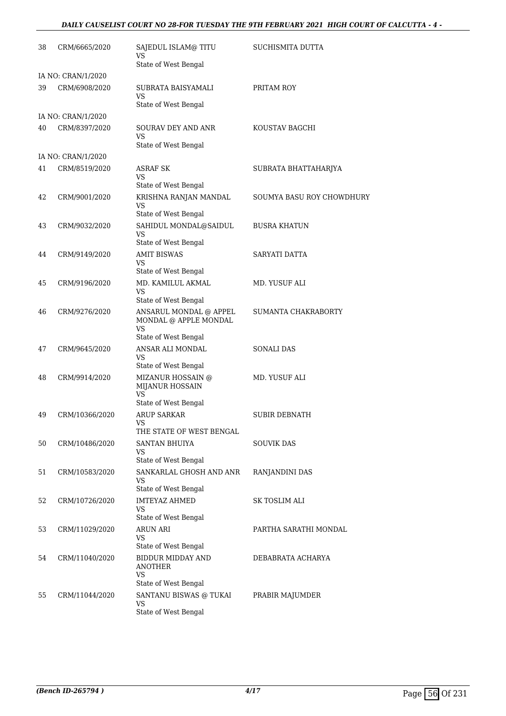#### *DAILY CAUSELIST COURT NO 28-FOR TUESDAY THE 9TH FEBRUARY 2021 HIGH COURT OF CALCUTTA - 4 -*

| 38 | CRM/6665/2020      | SAJEDUL ISLAM@ TITU<br>VS<br>State of West Bengal                       | SUCHISMITA DUTTA          |
|----|--------------------|-------------------------------------------------------------------------|---------------------------|
|    | IA NO: CRAN/1/2020 |                                                                         |                           |
| 39 | CRM/6908/2020      | SUBRATA BAISYAMALI<br>VS<br>State of West Bengal                        | PRITAM ROY                |
|    | IA NO: CRAN/1/2020 |                                                                         |                           |
| 40 | CRM/8397/2020      | SOURAV DEY AND ANR<br><b>VS</b>                                         | KOUSTAV BAGCHI            |
|    |                    | State of West Bengal                                                    |                           |
|    | IA NO: CRAN/1/2020 |                                                                         |                           |
| 41 | CRM/8519/2020      | <b>ASRAF SK</b><br>VS<br>State of West Bengal                           | SUBRATA BHATTAHARJYA      |
| 42 | CRM/9001/2020      | KRISHNA RANJAN MANDAL<br><b>VS</b>                                      | SOUMYA BASU ROY CHOWDHURY |
|    |                    | State of West Bengal                                                    |                           |
| 43 | CRM/9032/2020      | SAHIDUL MONDAL@SAIDUL<br>VS                                             | <b>BUSRA KHATUN</b>       |
|    |                    | State of West Bengal                                                    |                           |
| 44 | CRM/9149/2020      | <b>AMIT BISWAS</b><br>VS<br>State of West Bengal                        | SARYATI DATTA             |
| 45 | CRM/9196/2020      | MD. KAMILUL AKMAL                                                       | MD. YUSUF ALI             |
|    |                    | VS                                                                      |                           |
| 46 | CRM/9276/2020      | State of West Bengal<br>ANSARUL MONDAL @ APPEL<br>MONDAL @ APPLE MONDAL | SUMANTA CHAKRABORTY       |
|    |                    | <b>VS</b>                                                               |                           |
|    |                    | State of West Bengal                                                    |                           |
| 47 | CRM/9645/2020      | ANSAR ALI MONDAL<br>VS<br>State of West Bengal                          | <b>SONALI DAS</b>         |
| 48 | CRM/9914/2020      | MIZANUR HOSSAIN @<br>MIJANUR HOSSAIN<br><b>VS</b>                       | MD. YUSUF ALI             |
|    |                    | State of West Bengal                                                    |                           |
| 49 | CRM/10366/2020     | <b>ARUP SARKAR</b><br>vs                                                | <b>SUBIR DEBNATH</b>      |
|    |                    | THE STATE OF WEST BENGAL                                                |                           |
| 50 | CRM/10486/2020     | <b>SANTAN BHUIYA</b><br>VS.<br>State of West Bengal                     | SOUVIK DAS                |
| 51 | CRM/10583/2020     | SANKARLAL GHOSH AND ANR<br>VS                                           | RANJANDINI DAS            |
|    |                    | State of West Bengal                                                    |                           |
| 52 | CRM/10726/2020     | <b>IMTEYAZ AHMED</b><br>VS.<br>State of West Bengal                     | SK TOSLIM ALI             |
| 53 | CRM/11029/2020     | <b>ARUN ARI</b>                                                         | PARTHA SARATHI MONDAL     |
|    |                    | VS<br>State of West Bengal                                              |                           |
| 54 | CRM/11040/2020     | <b>BIDDUR MIDDAY AND</b><br><b>ANOTHER</b>                              | DEBABRATA ACHARYA         |
|    |                    | VS<br>State of West Bengal                                              |                           |
| 55 | CRM/11044/2020     | SANTANU BISWAS @ TUKAI<br>VS                                            | PRABIR MAJUMDER           |
|    |                    | State of West Bengal                                                    |                           |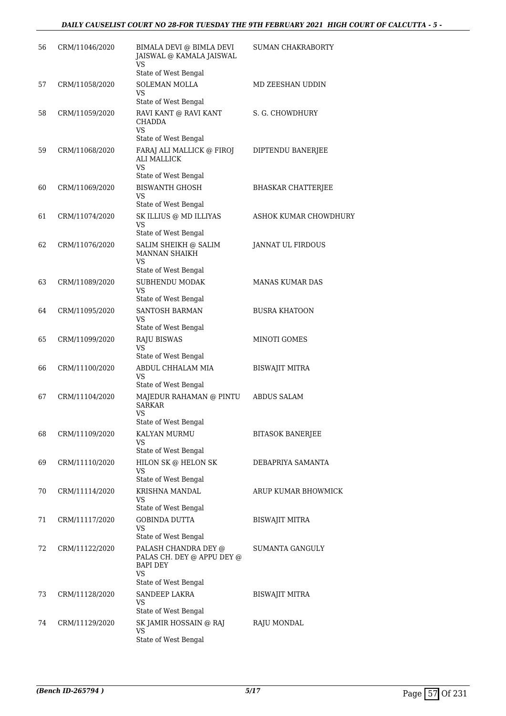#### *DAILY CAUSELIST COURT NO 28-FOR TUESDAY THE 9TH FEBRUARY 2021 HIGH COURT OF CALCUTTA - 5 -*

| 56 | CRM/11046/2020 | BIMALA DEVI @ BIMLA DEVI<br>JAISWAL @ KAMALA JAISWAL<br><b>VS</b>                                   | <b>SUMAN CHAKRABORTY</b>  |
|----|----------------|-----------------------------------------------------------------------------------------------------|---------------------------|
|    |                | State of West Bengal                                                                                |                           |
| 57 | CRM/11058/2020 | <b>SOLEMAN MOLLA</b><br>VS                                                                          | MD ZEESHAN UDDIN          |
|    |                | State of West Bengal                                                                                |                           |
| 58 | CRM/11059/2020 | RAVI KANT @ RAVI KANT<br><b>CHADDA</b><br>VS.<br>State of West Bengal                               | S. G. CHOWDHURY           |
| 59 | CRM/11068/2020 | FARAJ ALI MALLICK @ FIROJ<br><b>ALI MALLICK</b>                                                     | DIPTENDU BANERJEE         |
|    |                | <b>VS</b><br>State of West Bengal                                                                   |                           |
| 60 | CRM/11069/2020 | <b>BISWANTH GHOSH</b><br>VS                                                                         | <b>BHASKAR CHATTERJEE</b> |
|    |                | State of West Bengal                                                                                |                           |
| 61 | CRM/11074/2020 | SK ILLIUS @ MD ILLIYAS<br>VS<br>State of West Bengal                                                | ASHOK KUMAR CHOWDHURY     |
| 62 | CRM/11076/2020 | SALIM SHEIKH @ SALIM<br>MANNAN SHAIKH<br>VS                                                         | <b>JANNAT UL FIRDOUS</b>  |
|    |                | State of West Bengal                                                                                |                           |
| 63 | CRM/11089/2020 | SUBHENDU MODAK<br>VS                                                                                | <b>MANAS KUMAR DAS</b>    |
|    |                | State of West Bengal                                                                                |                           |
| 64 | CRM/11095/2020 | <b>SANTOSH BARMAN</b><br>VS                                                                         | <b>BUSRA KHATOON</b>      |
| 65 | CRM/11099/2020 | State of West Bengal<br><b>RAJU BISWAS</b>                                                          | MINOTI GOMES              |
|    |                | VS<br>State of West Bengal                                                                          |                           |
| 66 | CRM/11100/2020 | ABDUL CHHALAM MIA<br>VS                                                                             | <b>BISWAJIT MITRA</b>     |
|    |                | State of West Bengal                                                                                |                           |
| 67 | CRM/11104/2020 | MAJEDUR RAHAMAN @ PINTU<br><b>SARKAR</b><br>VS                                                      | <b>ABDUS SALAM</b>        |
|    |                | State of West Bengal                                                                                |                           |
| 68 | CRM/11109/2020 | KALYAN MURMU<br>VS<br>State of West Bengal                                                          | <b>BITASOK BANERJEE</b>   |
| 69 | CRM/11110/2020 | HILON SK @ HELON SK                                                                                 | DEBAPRIYA SAMANTA         |
|    |                | VS<br>State of West Bengal                                                                          |                           |
| 70 | CRM/11114/2020 | KRISHNA MANDAL<br>VS<br>State of West Bengal                                                        | ARUP KUMAR BHOWMICK       |
| 71 | CRM/11117/2020 | <b>GOBINDA DUTTA</b>                                                                                | BISWAJIT MITRA            |
|    |                | VS.<br>State of West Bengal                                                                         |                           |
| 72 | CRM/11122/2020 | PALASH CHANDRA DEY @<br>PALAS CH. DEY @ APPU DEY @<br><b>BAPI DEY</b><br>VS<br>State of West Bengal | <b>SUMANTA GANGULY</b>    |
| 73 | CRM/11128/2020 | SANDEEP LAKRA                                                                                       | <b>BISWAJIT MITRA</b>     |
|    |                | VS<br>State of West Bengal                                                                          |                           |
| 74 | CRM/11129/2020 | SK JAMIR HOSSAIN @ RAJ                                                                              | RAJU MONDAL               |
|    |                | VS<br>State of West Bengal                                                                          |                           |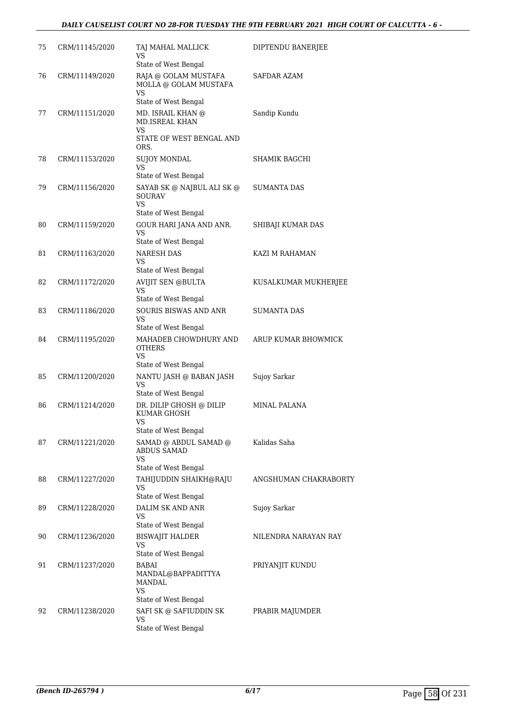#### *DAILY CAUSELIST COURT NO 28-FOR TUESDAY THE 9TH FEBRUARY 2021 HIGH COURT OF CALCUTTA - 6 -*

| 75 | CRM/11145/2020 | TAJ MAHAL MALLICK<br>VS                                                                                  | DIPTENDU BANERJEE     |
|----|----------------|----------------------------------------------------------------------------------------------------------|-----------------------|
| 76 | CRM/11149/2020 | State of West Bengal<br>RAJA @ GOLAM MUSTAFA<br>MOLLA @ GOLAM MUSTAFA<br><b>VS</b>                       | SAFDAR AZAM           |
| 77 | CRM/11151/2020 | State of West Bengal<br>MD. ISRAIL KHAN @<br><b>MD.ISREAL KHAN</b><br>VS<br>STATE OF WEST BENGAL AND     | Sandip Kundu          |
| 78 | CRM/11153/2020 | ORS.<br><b>SUJOY MONDAL</b><br>VS                                                                        | SHAMIK BAGCHI         |
| 79 | CRM/11156/2020 | State of West Bengal<br>SAYAB SK @ NAJBUL ALI SK @<br><b>SOURAV</b><br><b>VS</b><br>State of West Bengal | <b>SUMANTA DAS</b>    |
| 80 | CRM/11159/2020 | GOUR HARI JANA AND ANR.<br>VS<br>State of West Bengal                                                    | SHIBAJI KUMAR DAS     |
| 81 | CRM/11163/2020 | <b>NARESH DAS</b><br>VS<br>State of West Bengal                                                          | KAZI M RAHAMAN        |
| 82 | CRM/11172/2020 | <b>AVIJIT SEN @BULTA</b><br>VS                                                                           | KUSALKUMAR MUKHERJEE  |
| 83 | CRM/11186/2020 | State of West Bengal<br><b>SOURIS BISWAS AND ANR</b><br>VS<br>State of West Bengal                       | SUMANTA DAS           |
| 84 | CRM/11195/2020 | MAHADEB CHOWDHURY AND<br><b>OTHERS</b><br>VS<br>State of West Bengal                                     | ARUP KUMAR BHOWMICK   |
| 85 | CRM/11200/2020 | NANTU JASH @ BABAN JASH<br>VS                                                                            | Sujoy Sarkar          |
| 86 | CRM/11214/2020 | State of West Bengal<br>DR. DILIP GHOSH @ DILIP<br>KUMAR GHOSH<br>vs                                     | MINAL PALANA          |
| 87 | CRM/11221/2020 | State of West Bengal<br>SAMAD @ ABDUL SAMAD @<br>ABDUS SAMAD<br>VS                                       | Kalidas Saha          |
| 88 | CRM/11227/2020 | State of West Bengal<br>TAHIJUDDIN SHAIKH@RAJU<br>VS<br>State of West Bengal                             | ANGSHUMAN CHAKRABORTY |
| 89 | CRM/11228/2020 | DALIM SK AND ANR<br>VS<br>State of West Bengal                                                           | Sujoy Sarkar          |
| 90 | CRM/11236/2020 | BISWAJIT HALDER<br>VS<br>State of West Bengal                                                            | NILENDRA NARAYAN RAY  |
| 91 | CRM/11237/2020 | BABAI<br>MANDAL@BAPPADITTYA<br>MANDAL<br><b>VS</b>                                                       | PRIYANJIT KUNDU       |
| 92 | CRM/11238/2020 | State of West Bengal<br>SAFI SK @ SAFIUDDIN SK<br>VS<br>State of West Bengal                             | PRABIR MAJUMDER       |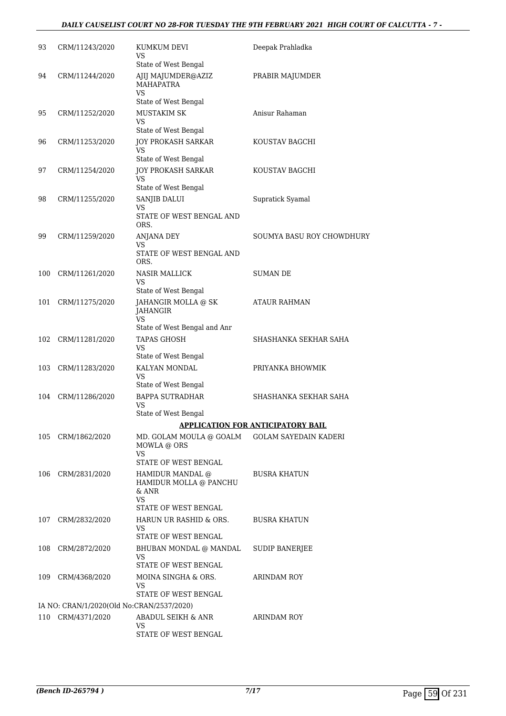#### *DAILY CAUSELIST COURT NO 28-FOR TUESDAY THE 9TH FEBRUARY 2021 HIGH COURT OF CALCUTTA - 7 -*

| 93  | CRM/11243/2020                            | KUMKUM DEVI<br>VS<br>State of West Bengal                                             | Deepak Prahladka                         |
|-----|-------------------------------------------|---------------------------------------------------------------------------------------|------------------------------------------|
| 94  | CRM/11244/2020                            | AJIJ MAJUMDER@AZIZ<br><b>MAHAPATRA</b><br>VS                                          | PRABIR MAJUMDER                          |
| 95  | CRM/11252/2020                            | State of West Bengal<br><b>MUSTAKIM SK</b><br>VS<br>State of West Bengal              | Anisur Rahaman                           |
| 96  | CRM/11253/2020                            | <b>JOY PROKASH SARKAR</b><br>VS                                                       | KOUSTAV BAGCHI                           |
| 97  | CRM/11254/2020                            | State of West Bengal<br><b>JOY PROKASH SARKAR</b><br>VS                               | KOUSTAV BAGCHI                           |
| 98  | CRM/11255/2020                            | State of West Bengal<br>SANJIB DALUI<br><b>VS</b><br>STATE OF WEST BENGAL AND<br>ORS. | Supratick Syamal                         |
| 99  | CRM/11259/2020                            | <b>ANJANA DEY</b><br>VS<br>STATE OF WEST BENGAL AND<br>ORS.                           | SOUMYA BASU ROY CHOWDHURY                |
| 100 | CRM/11261/2020                            | <b>NASIR MALLICK</b><br>VS<br>State of West Bengal                                    | <b>SUMAN DE</b>                          |
| 101 | CRM/11275/2020                            | JAHANGIR MOLLA @ SK<br>JAHANGIR<br><b>VS</b><br>State of West Bengal and Anr          | ATAUR RAHMAN                             |
| 102 | CRM/11281/2020                            | <b>TAPAS GHOSH</b><br>VS<br>State of West Bengal                                      | SHASHANKA SEKHAR SAHA                    |
| 103 | CRM/11283/2020                            | KALYAN MONDAL<br>VS                                                                   | PRIYANKA BHOWMIK                         |
| 104 | CRM/11286/2020                            | State of West Bengal<br><b>BAPPA SUTRADHAR</b><br>VS<br>State of West Bengal          | SHASHANKA SEKHAR SAHA                    |
|     |                                           |                                                                                       | <b>APPLICATION FOR ANTICIPATORY BAIL</b> |
| 105 | CRM/1862/2020                             | MD. GOLAM MOULA @ GOALM<br>MOWLA @ ORS<br>VS                                          | <b>GOLAM SAYEDAIN KADERI</b>             |
| 106 | CRM/2831/2020                             | STATE OF WEST BENGAL<br>HAMIDUR MANDAL @<br>HAMIDUR MOLLA @ PANCHU<br>& ANR<br>VS.    | <b>BUSRA KHATUN</b>                      |
| 107 | CRM/2832/2020                             | STATE OF WEST BENGAL<br>HARUN UR RASHID & ORS.<br>VS                                  | <b>BUSRA KHATUN</b>                      |
| 108 | CRM/2872/2020                             | STATE OF WEST BENGAL<br>BHUBAN MONDAL @ MANDAL<br>VS                                  | SUDIP BANERJEE                           |
| 109 | CRM/4368/2020                             | STATE OF WEST BENGAL<br>MOINA SINGHA & ORS.<br>VS<br>STATE OF WEST BENGAL             | ARINDAM ROY                              |
|     | IA NO: CRAN/1/2020(Old No:CRAN/2537/2020) |                                                                                       |                                          |
|     | 110 CRM/4371/2020                         | ABADUL SEIKH & ANR<br>VS<br>STATE OF WEST BENGAL                                      | ARINDAM ROY                              |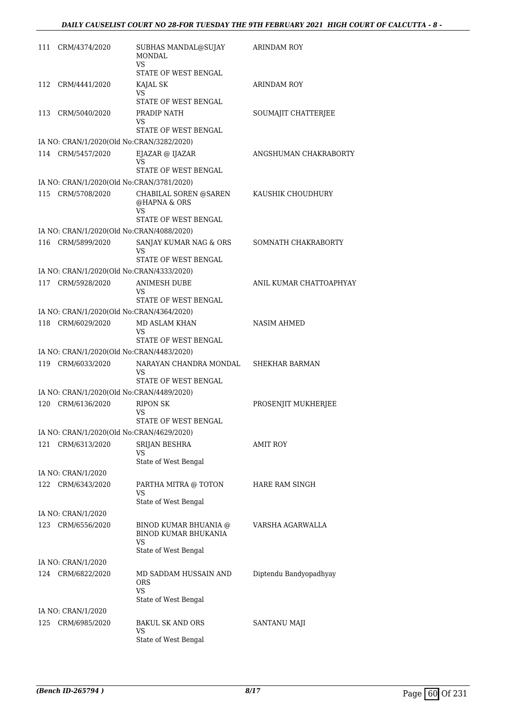| 111 | CRM/4374/2020                             | SUBHAS MANDAL@SUJAY<br><b>MONDAL</b><br>VS.          | ARINDAM ROY             |
|-----|-------------------------------------------|------------------------------------------------------|-------------------------|
|     |                                           | STATE OF WEST BENGAL                                 |                         |
| 112 | CRM/4441/2020                             | KAJAL SK<br>VS                                       | <b>ARINDAM ROY</b>      |
|     |                                           | STATE OF WEST BENGAL                                 |                         |
| 113 | CRM/5040/2020                             | PRADIP NATH<br>VS<br>STATE OF WEST BENGAL            | SOUMAJIT CHATTERJEE     |
|     | IA NO: CRAN/1/2020(Old No:CRAN/3282/2020) |                                                      |                         |
|     | 114 CRM/5457/2020                         | EJAZAR @ IJAZAR<br>VS.                               | ANGSHUMAN CHAKRABORTY   |
|     |                                           | STATE OF WEST BENGAL                                 |                         |
|     | IA NO: CRAN/1/2020(Old No:CRAN/3781/2020) |                                                      |                         |
| 115 | CRM/5708/2020                             | CHABILAL SOREN @SAREN<br>@HAPNA & ORS<br>VS          | KAUSHIK CHOUDHURY       |
|     |                                           | STATE OF WEST BENGAL                                 |                         |
|     | IA NO: CRAN/1/2020(Old No:CRAN/4088/2020) |                                                      |                         |
|     | 116 CRM/5899/2020                         | SANJAY KUMAR NAG & ORS<br>VS                         | SOMNATH CHAKRABORTY     |
|     |                                           | STATE OF WEST BENGAL                                 |                         |
|     | IA NO: CRAN/1/2020(Old No:CRAN/4333/2020) |                                                      | ANIL KUMAR CHATTOAPHYAY |
|     | 117 CRM/5928/2020                         | <b>ANIMESH DUBE</b><br>VS                            |                         |
|     |                                           | STATE OF WEST BENGAL                                 |                         |
|     | IA NO: CRAN/1/2020(Old No:CRAN/4364/2020) |                                                      |                         |
| 118 | CRM/6029/2020                             | MD ASLAM KHAN<br>VS                                  | <b>NASIM AHMED</b>      |
|     |                                           | STATE OF WEST BENGAL                                 |                         |
|     | IA NO: CRAN/1/2020(Old No:CRAN/4483/2020) |                                                      |                         |
| 119 | CRM/6033/2020                             | NARAYAN CHANDRA MONDAL<br>VS<br>STATE OF WEST BENGAL | SHEKHAR BARMAN          |
|     | IA NO: CRAN/1/2020(Old No:CRAN/4489/2020) |                                                      |                         |
| 120 | CRM/6136/2020                             | <b>RIPON SK</b><br>VS                                | PROSENJIT MUKHERJEE     |
|     |                                           | STATE OF WEST BENGAL                                 |                         |
|     | IA NO: CRAN/1/2020(Old No:CRAN/4629/2020) |                                                      |                         |
| 121 | CRM/6313/2020                             | SRIJAN BESHRA<br>VS                                  | <b>AMIT ROY</b>         |
|     |                                           | State of West Bengal                                 |                         |
|     | IA NO: CRAN/1/2020                        |                                                      |                         |
| 122 | CRM/6343/2020                             | PARTHA MITRA @ TOTON<br>VS<br>State of West Bengal   | HARE RAM SINGH          |
|     | IA NO: CRAN/1/2020                        |                                                      |                         |
| 123 | CRM/6556/2020                             | BINOD KUMAR BHUANIA @                                | VARSHA AGARWALLA        |
|     |                                           | BINOD KUMAR BHUKANIA<br>VS                           |                         |
|     |                                           | State of West Bengal                                 |                         |
|     | IA NO: CRAN/1/2020                        |                                                      |                         |
|     | 124 CRM/6822/2020                         | MD SADDAM HUSSAIN AND<br>ORS<br><b>VS</b>            | Diptendu Bandyopadhyay  |
|     |                                           | State of West Bengal                                 |                         |
|     | IA NO: CRAN/1/2020                        |                                                      |                         |
| 125 | CRM/6985/2020                             | <b>BAKUL SK AND ORS</b>                              | SANTANU MAJI            |
|     |                                           | VS<br>State of West Bengal                           |                         |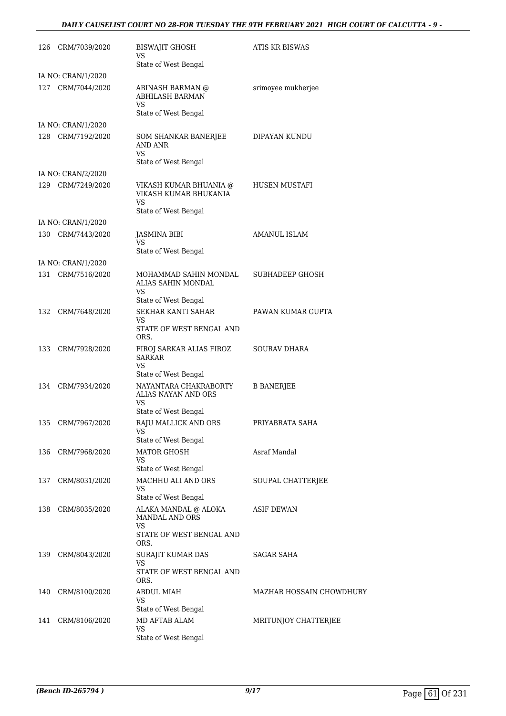#### *DAILY CAUSELIST COURT NO 28-FOR TUESDAY THE 9TH FEBRUARY 2021 HIGH COURT OF CALCUTTA - 9 -*

|     | 126 CRM/7039/2020  | <b>BISWAJIT GHOSH</b><br>VS<br>State of West Bengal                             | ATIS KR BISWAS           |
|-----|--------------------|---------------------------------------------------------------------------------|--------------------------|
|     | IA NO: CRAN/1/2020 |                                                                                 |                          |
|     | 127 CRM/7044/2020  | ABINASH BARMAN @<br><b>ABHILASH BARMAN</b><br>VS                                | srimoyee mukherjee       |
|     |                    | State of West Bengal                                                            |                          |
|     | IA NO: CRAN/1/2020 |                                                                                 |                          |
|     | 128 CRM/7192/2020  | SOM SHANKAR BANERJEE<br>AND ANR<br>VS                                           | DIPAYAN KUNDU            |
|     | IA NO: CRAN/2/2020 | State of West Bengal                                                            |                          |
|     |                    |                                                                                 |                          |
|     | 129 CRM/7249/2020  | VIKASH KUMAR BHUANIA @<br>VIKASH KUMAR BHUKANIA<br>VS                           | HUSEN MUSTAFI            |
|     |                    | State of West Bengal                                                            |                          |
|     | IA NO: CRAN/1/2020 |                                                                                 |                          |
|     | 130 CRM/7443/2020  | <b>JASMINA BIBI</b><br>VS<br>State of West Bengal                               | AMANUL ISLAM             |
|     | IA NO: CRAN/1/2020 |                                                                                 |                          |
|     | 131 CRM/7516/2020  | MOHAMMAD SAHIN MONDAL<br>ALIAS SAHIN MONDAL<br>VS                               | <b>SUBHADEEP GHOSH</b>   |
|     |                    | State of West Bengal                                                            |                          |
|     | 132 CRM/7648/2020  | SEKHAR KANTI SAHAR<br>VS                                                        | PAWAN KUMAR GUPTA        |
|     |                    | STATE OF WEST BENGAL AND<br>ORS.                                                |                          |
|     | 133 CRM/7928/2020  | FIROJ SARKAR ALIAS FIROZ<br><b>SARKAR</b><br>VS                                 | SOURAV DHARA             |
|     |                    | State of West Bengal                                                            |                          |
|     | 134 CRM/7934/2020  | NAYANTARA CHAKRABORTY<br>ALIAS NAYAN AND ORS<br>VS                              | <b>B BANERJEE</b>        |
|     |                    | State of West Bengal                                                            |                          |
|     | 135 CRM/7967/2020  | RAJU MALLICK AND ORS<br>VS<br>State of West Bengal                              | PRIYABRATA SAHA          |
|     | 136 CRM/7968/2020  | <b>MATOR GHOSH</b>                                                              | Asraf Mandal             |
|     |                    | VS<br>State of West Bengal                                                      |                          |
|     | 137 CRM/8031/2020  | MACHHU ALI AND ORS<br>VS                                                        | SOUPAL CHATTERJEE        |
|     |                    | State of West Bengal                                                            |                          |
|     | 138 CRM/8035/2020  | ALAKA MANDAL @ ALOKA<br><b>MANDAL AND ORS</b><br>VS<br>STATE OF WEST BENGAL AND | <b>ASIF DEWAN</b>        |
|     |                    | ORS.                                                                            |                          |
|     | 139 CRM/8043/2020  | SURAJIT KUMAR DAS<br>VS<br>STATE OF WEST BENGAL AND                             | SAGAR SAHA               |
|     |                    | ORS.                                                                            |                          |
| 140 | CRM/8100/2020      | <b>ABDUL MIAH</b><br>VS                                                         | MAZHAR HOSSAIN CHOWDHURY |
|     |                    | State of West Bengal                                                            |                          |
|     | 141 CRM/8106/2020  | MD AFTAB ALAM<br>VS<br>State of West Bengal                                     | MRITUNJOY CHATTERJEE     |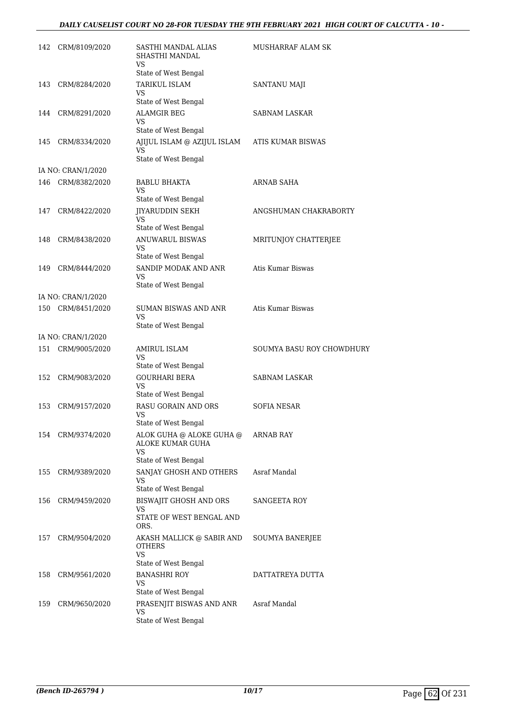#### *DAILY CAUSELIST COURT NO 28-FOR TUESDAY THE 9TH FEBRUARY 2021 HIGH COURT OF CALCUTTA - 10 -*

| 142 | CRM/8109/2020      | SASTHI MANDAL ALIAS<br>SHASTHI MANDAL<br>VS.              | MUSHARRAF ALAM SK         |
|-----|--------------------|-----------------------------------------------------------|---------------------------|
|     |                    | State of West Bengal                                      |                           |
| 143 | CRM/8284/2020      | TARIKUL ISLAM<br>VS                                       | <b>SANTANU MAJI</b>       |
|     |                    | State of West Bengal                                      |                           |
| 144 | CRM/8291/2020      | <b>ALAMGIR BEG</b><br>VS                                  | SABNAM LASKAR             |
|     |                    | State of West Bengal                                      |                           |
| 145 | CRM/8334/2020      | AJIJUL ISLAM @ AZIJUL ISLAM<br>VS<br>State of West Bengal | ATIS KUMAR BISWAS         |
|     | IA NO: CRAN/1/2020 |                                                           |                           |
| 146 | CRM/8382/2020      | BABLU BHAKTA<br>VS.                                       | ARNAB SAHA                |
|     |                    | State of West Bengal                                      |                           |
| 147 | CRM/8422/2020      | <b>JIYARUDDIN SEKH</b><br>VS                              | ANGSHUMAN CHAKRABORTY     |
|     |                    | State of West Bengal                                      |                           |
| 148 | CRM/8438/2020      | <b>ANUWARUL BISWAS</b><br>VS.                             | MRITUNJOY CHATTERJEE      |
|     |                    | State of West Bengal                                      |                           |
| 149 | CRM/8444/2020      | SANDIP MODAK AND ANR<br>VS                                | Atis Kumar Biswas         |
|     |                    | State of West Bengal                                      |                           |
|     | IA NO: CRAN/1/2020 |                                                           |                           |
| 150 | CRM/8451/2020      | SUMAN BISWAS AND ANR<br><b>VS</b><br>State of West Bengal | Atis Kumar Biswas         |
|     | IA NO: CRAN/1/2020 |                                                           |                           |
|     | 151 CRM/9005/2020  | AMIRUL ISLAM                                              | SOUMYA BASU ROY CHOWDHURY |
|     |                    | VS<br>State of West Bengal                                |                           |
| 152 | CRM/9083/2020      | <b>GOURHARI BERA</b>                                      | <b>SABNAM LASKAR</b>      |
|     |                    | VS<br>State of West Bengal                                |                           |
| 153 | CRM/9157/2020      | RASU GORAIN AND ORS                                       | SOFIA NESAR               |
|     |                    | VS                                                        |                           |
|     |                    | State of West Bengal                                      |                           |
| 154 | CRM/9374/2020      | ALOK GUHA @ ALOKE GUHA @<br>ALOKE KUMAR GUHA<br>VS.       | ARNAB RAY                 |
|     |                    | State of West Bengal                                      |                           |
| 155 | CRM/9389/2020      | SANJAY GHOSH AND OTHERS<br>VS                             | Asraf Mandal              |
|     |                    | State of West Bengal                                      |                           |
| 156 | CRM/9459/2020      | BISWAJIT GHOSH AND ORS<br>VS<br>STATE OF WEST BENGAL AND  | SANGEETA ROY              |
|     |                    | ORS.                                                      |                           |
| 157 | CRM/9504/2020      | AKASH MALLICK @ SABIR AND<br><b>OTHERS</b><br>VS          | SOUMYA BANERJEE           |
|     |                    | State of West Bengal                                      |                           |
| 158 | CRM/9561/2020      | BANASHRI ROY<br>VS                                        | DATTATREYA DUTTA          |
|     |                    | State of West Bengal                                      |                           |
| 159 | CRM/9650/2020      | PRASENJIT BISWAS AND ANR<br>VS                            | Asraf Mandal              |
|     |                    | State of West Bengal                                      |                           |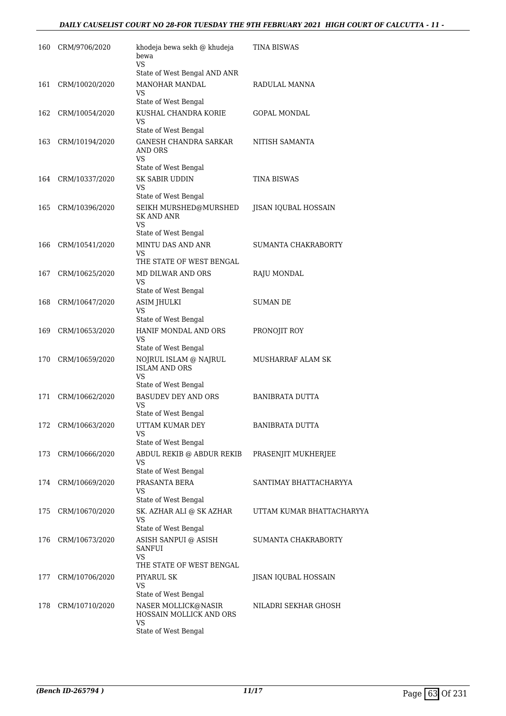| 160 | CRM/9706/2020      | khodeja bewa sekh @ khudeja<br>bewa<br><b>VS</b>         | TINA BISWAS                 |
|-----|--------------------|----------------------------------------------------------|-----------------------------|
|     |                    | State of West Bengal AND ANR                             |                             |
| 161 | CRM/10020/2020     | <b>MANOHAR MANDAL</b><br>VS                              | RADULAL MANNA               |
|     |                    | State of West Bengal                                     |                             |
| 162 | CRM/10054/2020     | KUSHAL CHANDRA KORIE<br>VS<br>State of West Bengal       | GOPAL MONDAL                |
| 163 | CRM/10194/2020     | <b>GANESH CHANDRA SARKAR</b>                             | NITISH SAMANTA              |
|     |                    | AND ORS<br>VS                                            |                             |
|     |                    | State of West Bengal                                     |                             |
| 164 | CRM/10337/2020     | <b>SK SABIR UDDIN</b><br>VS                              | TINA BISWAS                 |
|     |                    | State of West Bengal                                     |                             |
| 165 | CRM/10396/2020     | SEIKH MURSHED@MURSHED<br><b>SK AND ANR</b><br>VS         | JISAN IQUBAL HOSSAIN        |
|     |                    | State of West Bengal                                     |                             |
| 166 | CRM/10541/2020     | MINTU DAS AND ANR<br>VS                                  | SUMANTA CHAKRABORTY         |
|     |                    | THE STATE OF WEST BENGAL                                 |                             |
| 167 | CRM/10625/2020     | MD DILWAR AND ORS<br>VS<br>State of West Bengal          | RAJU MONDAL                 |
| 168 | CRM/10647/2020     | <b>ASIM JHULKI</b>                                       | <b>SUMAN DE</b>             |
|     |                    | VS                                                       |                             |
|     |                    | State of West Bengal                                     |                             |
| 169 | CRM/10653/2020     | HANIF MONDAL AND ORS<br>VS<br>State of West Bengal       | PRONOJIT ROY                |
| 170 | CRM/10659/2020     | NOJRUL ISLAM @ NAJRUL                                    | MUSHARRAF ALAM SK           |
|     |                    | <b>ISLAM AND ORS</b><br>VS                               |                             |
|     |                    | State of West Bengal                                     |                             |
| 171 | CRM/10662/2020     | <b>BASUDEV DEY AND ORS</b><br>VS<br>State of West Bengal | BANIBRATA DUTTA             |
| 172 | CRM/10663/2020     | UTTAM KUMAR DEY                                          | <b>BANIBRATA DUTTA</b>      |
|     |                    | VS                                                       |                             |
|     |                    | State of West Bengal                                     |                             |
| 173 | CRM/10666/2020     | ABDUL REKIB @ ABDUR REKIB<br>VS.<br>State of West Bengal | PRASENJIT MUKHERJEE         |
|     | 174 CRM/10669/2020 | PRASANTA BERA                                            | SANTIMAY BHATTACHARYYA      |
|     |                    | VS.<br>State of West Bengal                              |                             |
| 175 | CRM/10670/2020     | SK. AZHAR ALI @ SK AZHAR                                 | UTTAM KUMAR BHATTACHARYYA   |
|     |                    | VS<br>State of West Bengal                               |                             |
| 176 | CRM/10673/2020     | ASISH SANPUI @ ASISH<br>SANFUI<br>VS                     | SUMANTA CHAKRABORTY         |
|     |                    | THE STATE OF WEST BENGAL                                 |                             |
| 177 | CRM/10706/2020     | PIYARUL SK                                               | <b>JISAN IQUBAL HOSSAIN</b> |
|     |                    | VS                                                       |                             |
|     |                    | State of West Bengal                                     |                             |
| 178 | CRM/10710/2020     | NASER MOLLICK@NASIR<br>HOSSAIN MOLLICK AND ORS<br>VS     | NILADRI SEKHAR GHOSH        |
|     |                    | State of West Bengal                                     |                             |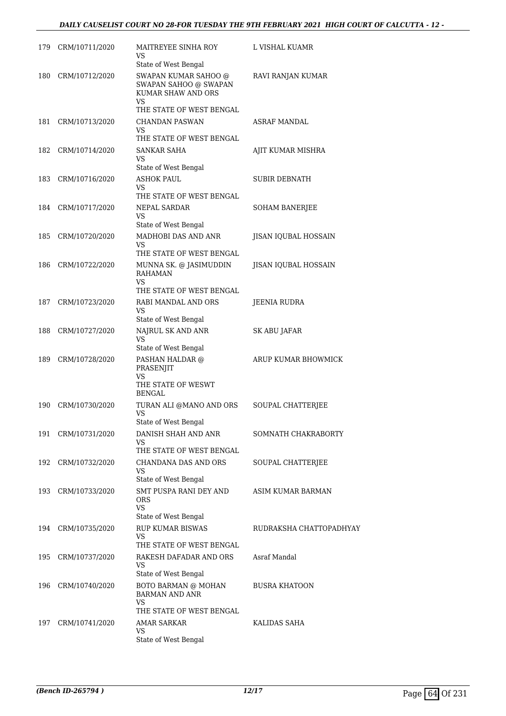#### *DAILY CAUSELIST COURT NO 28-FOR TUESDAY THE 9TH FEBRUARY 2021 HIGH COURT OF CALCUTTA - 12 -*

|     | 179 CRM/10711/2020 | MAITREYEE SINHA ROY<br>VS                                                        | L VISHAL KUAMR              |
|-----|--------------------|----------------------------------------------------------------------------------|-----------------------------|
|     |                    | State of West Bengal                                                             |                             |
| 180 | CRM/10712/2020     | SWAPAN KUMAR SAHOO @<br>SWAPAN SAHOO @ SWAPAN<br>KUMAR SHAW AND ORS<br><b>VS</b> | RAVI RANJAN KUMAR           |
|     |                    | THE STATE OF WEST BENGAL                                                         |                             |
| 181 | CRM/10713/2020     | <b>CHANDAN PASWAN</b>                                                            | <b>ASRAF MANDAL</b>         |
|     |                    | VS<br>THE STATE OF WEST BENGAL                                                   |                             |
| 182 | CRM/10714/2020     | SANKAR SAHA<br>VS                                                                | AJIT KUMAR MISHRA           |
|     |                    | State of West Bengal                                                             |                             |
|     | 183 CRM/10716/2020 | <b>ASHOK PAUL</b>                                                                | SUBIR DEBNATH               |
|     |                    | VS                                                                               |                             |
|     | 184 CRM/10717/2020 | THE STATE OF WEST BENGAL                                                         |                             |
|     |                    | NEPAL SARDAR<br>VS                                                               | <b>SOHAM BANERJEE</b>       |
|     |                    | State of West Bengal                                                             |                             |
| 185 | CRM/10720/2020     | MADHOBI DAS AND ANR<br>VS.                                                       | JISAN IQUBAL HOSSAIN        |
|     |                    | THE STATE OF WEST BENGAL                                                         |                             |
| 186 | CRM/10722/2020     | MUNNA SK. @ JASIMUDDIN                                                           | <b>JISAN IQUBAL HOSSAIN</b> |
|     |                    | <b>RAHAMAN</b>                                                                   |                             |
|     |                    | VS<br>THE STATE OF WEST BENGAL                                                   |                             |
| 187 | CRM/10723/2020     | RABI MANDAL AND ORS                                                              | JEENIA RUDRA                |
|     |                    | VS                                                                               |                             |
|     |                    | State of West Bengal                                                             |                             |
| 188 | CRM/10727/2020     | NAJRUL SK AND ANR<br>VS                                                          | SK ABU JAFAR                |
|     |                    | State of West Bengal                                                             |                             |
| 189 | CRM/10728/2020     | PASHAN HALDAR @<br>PRASENJIT<br>VS                                               | ARUP KUMAR BHOWMICK         |
|     |                    | THE STATE OF WESWT<br><b>BENGAL</b>                                              |                             |
| 190 | CRM/10730/2020     | TURAN ALI @MANO AND ORS<br><b>VS</b>                                             | <b>SOUPAL CHATTERIEE</b>    |
|     |                    | State of West Bengal                                                             |                             |
|     | 191 CRM/10731/2020 | DANISH SHAH AND ANR<br>VS                                                        | SOMNATH CHAKRABORTY         |
|     |                    | THE STATE OF WEST BENGAL                                                         |                             |
| 192 | CRM/10732/2020     | CHANDANA DAS AND ORS                                                             | SOUPAL CHATTERJEE           |
|     |                    | VS<br>State of West Bengal                                                       |                             |
| 193 | CRM/10733/2020     | SMT PUSPA RANI DEY AND<br>ORS                                                    | ASIM KUMAR BARMAN           |
|     |                    | <b>VS</b>                                                                        |                             |
|     |                    | State of West Bengal<br><b>RUP KUMAR BISWAS</b>                                  | RUDRAKSHA CHATTOPADHYAY     |
|     | 194 CRM/10735/2020 | VS.<br>THE STATE OF WEST BENGAL                                                  |                             |
| 195 | CRM/10737/2020     | RAKESH DAFADAR AND ORS                                                           | Asraf Mandal                |
|     |                    | VS                                                                               |                             |
|     |                    | State of West Bengal                                                             |                             |
| 196 | CRM/10740/2020     | BOTO BARMAN @ MOHAN<br><b>BARMAN AND ANR</b><br>VS                               | <b>BUSRA KHATOON</b>        |
|     |                    | THE STATE OF WEST BENGAL                                                         |                             |
| 197 | CRM/10741/2020     | AMAR SARKAR                                                                      | KALIDAS SAHA                |
|     |                    | VS<br>State of West Bengal                                                       |                             |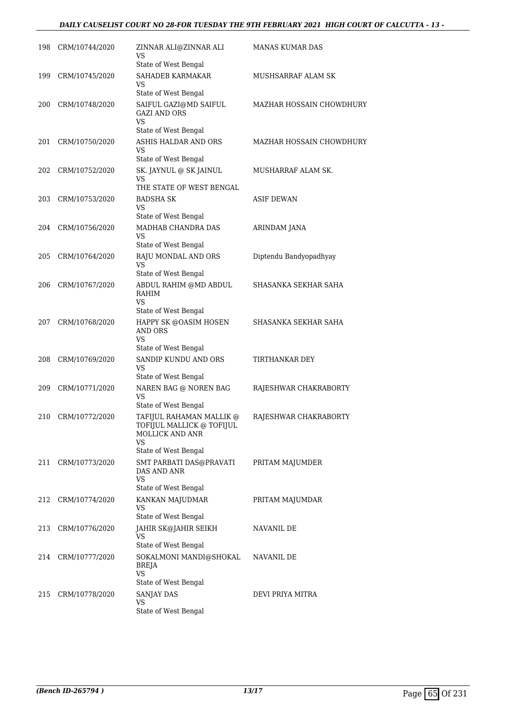#### *DAILY CAUSELIST COURT NO 28-FOR TUESDAY THE 9TH FEBRUARY 2021 HIGH COURT OF CALCUTTA - 13 -*

| 198 | CRM/10744/2020 | ZINNAR ALI@ZINNAR ALI<br>VS                                                           | <b>MANAS KUMAR DAS</b>          |
|-----|----------------|---------------------------------------------------------------------------------------|---------------------------------|
| 199 | CRM/10745/2020 | State of West Bengal<br>SAHADEB KARMAKAR                                              | MUSHSARRAF ALAM SK              |
|     |                | VS<br>State of West Bengal                                                            |                                 |
| 200 | CRM/10748/2020 | SAIFUL GAZI@MD SAIFUL<br><b>GAZI AND ORS</b>                                          | <b>MAZHAR HOSSAIN CHOWDHURY</b> |
|     |                | <b>VS</b><br>State of West Bengal                                                     |                                 |
| 201 | CRM/10750/2020 | ASHIS HALDAR AND ORS<br>VS                                                            | <b>MAZHAR HOSSAIN CHOWDHURY</b> |
|     |                | State of West Bengal                                                                  |                                 |
| 202 | CRM/10752/2020 | SK. JAYNUL @ SK JAINUL<br>VS<br>THE STATE OF WEST BENGAL                              | MUSHARRAF ALAM SK.              |
| 203 | CRM/10753/2020 | <b>BADSHA SK</b><br>VS                                                                | <b>ASIF DEWAN</b>               |
|     |                | State of West Bengal                                                                  |                                 |
| 204 | CRM/10756/2020 | MADHAB CHANDRA DAS<br>VS.                                                             | <b>ARINDAM JANA</b>             |
|     |                | State of West Bengal                                                                  |                                 |
| 205 | CRM/10764/2020 | RAJU MONDAL AND ORS<br><b>VS</b>                                                      | Diptendu Bandyopadhyay          |
|     |                | State of West Bengal                                                                  |                                 |
| 206 | CRM/10767/2020 | ABDUL RAHIM @MD ABDUL<br>RAHIM<br>VS                                                  | SHASANKA SEKHAR SAHA            |
|     |                | State of West Bengal                                                                  |                                 |
| 207 | CRM/10768/2020 | HAPPY SK @OASIM HOSEN<br>AND ORS<br><b>VS</b>                                         | SHASANKA SEKHAR SAHA            |
|     |                | State of West Bengal                                                                  |                                 |
| 208 | CRM/10769/2020 | SANDIP KUNDU AND ORS<br><b>VS</b>                                                     | TIRTHANKAR DEY                  |
|     |                | State of West Bengal                                                                  |                                 |
| 209 | CRM/10771/2020 | NAREN BAG @ NOREN BAG<br><b>VS</b><br>State of West Bengal                            | RAJESHWAR CHAKRABORTY           |
| 210 | CRM/10772/2020 | TAFIJUL RAHAMAN MALLIK @<br>TOFIJUL MALLICK @ TOFIJUL<br><b>MOLLICK AND ANR</b><br>VS | RAJESHWAR CHAKRABORTY           |
|     |                | State of West Bengal                                                                  |                                 |
| 211 | CRM/10773/2020 | SMT PARBATI DAS@PRAVATI<br>DAS AND ANR<br><b>VS</b>                                   | PRITAM MAJUMDER                 |
|     |                | State of West Bengal                                                                  |                                 |
| 212 | CRM/10774/2020 | KANKAN MAJUDMAR<br><b>VS</b><br>State of West Bengal                                  | PRITAM MAJUMDAR                 |
| 213 | CRM/10776/2020 | JAHIR SK@JAHIR SEIKH                                                                  | NAVANIL DE                      |
|     |                | VS<br>State of West Bengal                                                            |                                 |
| 214 | CRM/10777/2020 | SOKALMONI MANDI@SHOKAL<br>BREJA<br>VS                                                 | NAVANIL DE                      |
|     |                | State of West Bengal                                                                  |                                 |
| 215 | CRM/10778/2020 | SANJAY DAS<br>VS<br>State of West Bengal                                              | DEVI PRIYA MITRA                |
|     |                |                                                                                       |                                 |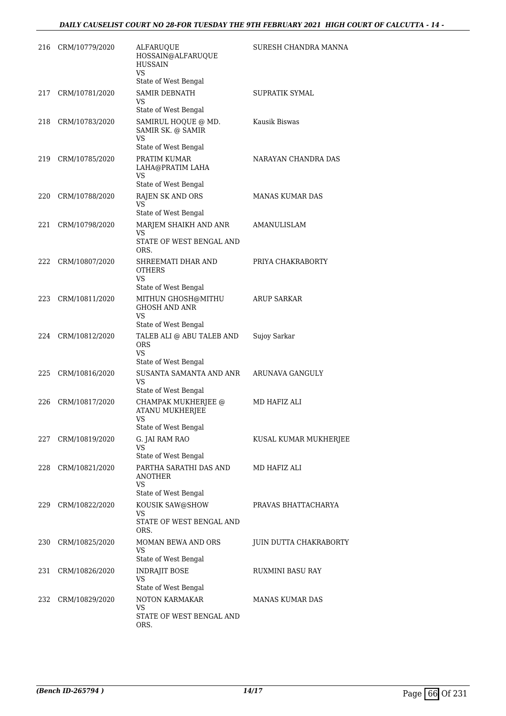#### *DAILY CAUSELIST COURT NO 28-FOR TUESDAY THE 9TH FEBRUARY 2021 HIGH COURT OF CALCUTTA - 14 -*

| 216 | CRM/10779/2020 | <b>ALFARUQUE</b><br>HOSSAIN@ALFARUQUE<br><b>HUSSAIN</b><br>VS                   | SURESH CHANDRA MANNA   |
|-----|----------------|---------------------------------------------------------------------------------|------------------------|
|     |                | State of West Bengal                                                            |                        |
| 217 | CRM/10781/2020 | <b>SAMIR DEBNATH</b><br>VS<br>State of West Bengal                              | SUPRATIK SYMAL         |
| 218 | CRM/10783/2020 | SAMIRUL HOQUE @ MD.<br>SAMIR SK. @ SAMIR<br><b>VS</b>                           | Kausik Biswas          |
| 219 | CRM/10785/2020 | State of West Bengal<br>PRATIM KUMAR<br>LAHA@PRATIM LAHA<br>VS                  | NARAYAN CHANDRA DAS    |
| 220 | CRM/10788/2020 | State of West Bengal<br>RAJEN SK AND ORS<br>VS                                  | MANAS KUMAR DAS        |
| 221 | CRM/10798/2020 | State of West Bengal<br>MARJEM SHAIKH AND ANR<br>VS<br>STATE OF WEST BENGAL AND | AMANULISLAM            |
| 222 | CRM/10807/2020 | ORS.<br>SHREEMATI DHAR AND<br><b>OTHERS</b><br>VS<br>State of West Bengal       | PRIYA CHAKRABORTY      |
| 223 | CRM/10811/2020 | MITHUN GHOSH@MITHU<br><b>GHOSH AND ANR</b><br>VS<br>State of West Bengal        | <b>ARUP SARKAR</b>     |
| 224 | CRM/10812/2020 | TALEB ALI @ ABU TALEB AND<br><b>ORS</b><br>VS.<br>State of West Bengal          | Sujoy Sarkar           |
| 225 | CRM/10816/2020 | SUSANTA SAMANTA AND ANR<br>VS<br>State of West Bengal                           | ARUNAVA GANGULY        |
| 226 | CRM/10817/2020 | CHAMPAK MUKHERJEE @<br><b>ATANU MUKHERJEE</b><br>VS                             | MD HAFIZ ALI           |
| 227 | CRM/10819/2020 | State of West Bengal<br>G. JAI RAM RAO<br><b>VS</b><br>State of West Bengal     | KUSAL KUMAR MUKHERJEE  |
| 228 | CRM/10821/2020 | PARTHA SARATHI DAS AND<br>ANOTHER<br>VS<br>State of West Bengal                 | MD HAFIZ ALI           |
| 229 | CRM/10822/2020 | KOUSIK SAW@SHOW<br>VS<br>STATE OF WEST BENGAL AND<br>ORS.                       | PRAVAS BHATTACHARYA    |
| 230 | CRM/10825/2020 | MOMAN BEWA AND ORS<br>VS<br>State of West Bengal                                | JUIN DUTTA CHAKRABORTY |
| 231 | CRM/10826/2020 | INDRAJIT BOSE<br><b>VS</b><br>State of West Bengal                              | RUXMINI BASU RAY       |
| 232 | CRM/10829/2020 | NOTON KARMAKAR<br>VS<br>STATE OF WEST BENGAL AND<br>ORS.                        | MANAS KUMAR DAS        |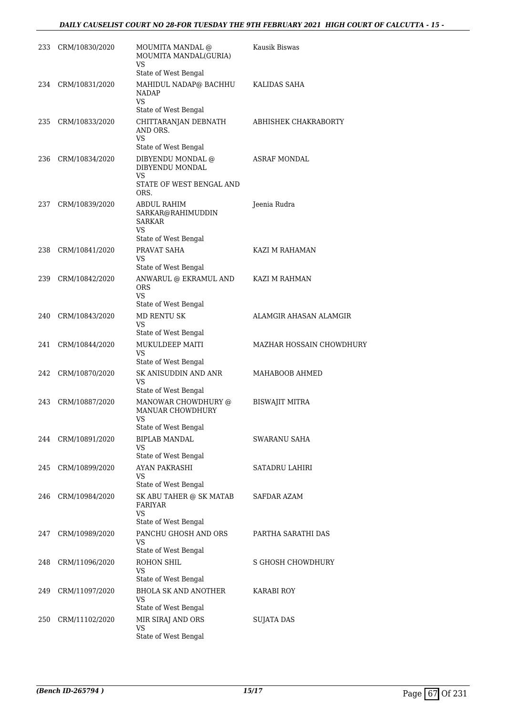#### *DAILY CAUSELIST COURT NO 28-FOR TUESDAY THE 9TH FEBRUARY 2021 HIGH COURT OF CALCUTTA - 15 -*

|     | 233 CRM/10830/2020 | MOUMITA MANDAL @<br>MOUMITA MANDAL(GURIA)<br><b>VS</b>             | Kausik Biswas            |
|-----|--------------------|--------------------------------------------------------------------|--------------------------|
|     |                    | State of West Bengal                                               |                          |
|     | 234 CRM/10831/2020 | MAHIDUL NADAP@ BACHHU<br><b>NADAP</b><br>VS                        | KALIDAS SAHA             |
|     |                    | State of West Bengal                                               |                          |
| 235 | CRM/10833/2020     | CHITTARANJAN DEBNATH<br>AND ORS.<br>VS.                            | ABHISHEK CHAKRABORTY     |
|     |                    | State of West Bengal                                               |                          |
| 236 | CRM/10834/2020     | DIBYENDU MONDAL @<br>DIBYENDU MONDAL<br>VS                         | ASRAF MONDAL             |
|     |                    | STATE OF WEST BENGAL AND<br>ORS.                                   |                          |
| 237 | CRM/10839/2020     | ABDUL RAHIM<br>SARKAR@RAHIMUDDIN<br>SARKAR<br>VS.                  | Jeenia Rudra             |
|     |                    | State of West Bengal                                               |                          |
| 238 | CRM/10841/2020     | PRAVAT SAHA<br>VS                                                  | KAZI M RAHAMAN           |
|     |                    | State of West Bengal                                               |                          |
| 239 | CRM/10842/2020     | ANWARUL @ EKRAMUL AND<br><b>ORS</b><br>VS.<br>State of West Bengal | KAZI M RAHMAN            |
| 240 | CRM/10843/2020     | MD RENTU SK                                                        | ALAMGIR AHASAN ALAMGIR   |
|     |                    | VS<br>State of West Bengal                                         |                          |
| 241 | CRM/10844/2020     | MUKULDEEP MAITI                                                    | MAZHAR HOSSAIN CHOWDHURY |
|     |                    | VS<br>State of West Bengal                                         |                          |
| 242 | CRM/10870/2020     | SK ANISUDDIN AND ANR<br>VS                                         | MAHABOOB AHMED           |
|     |                    | State of West Bengal                                               |                          |
| 243 | CRM/10887/2020     | MANOWAR CHOWDHURY @<br><b>MANUAR CHOWDHURY</b><br>VS               | <b>BISWAJIT MITRA</b>    |
|     |                    | State of West Bengal                                               |                          |
|     | 244 CRM/10891/2020 | <b>BIPLAB MANDAL</b><br>VS<br>State of West Bengal                 | SWARANU SAHA             |
| 245 | CRM/10899/2020     | <b>AYAN PAKRASHI</b>                                               | SATADRU LAHIRI           |
|     |                    | VS                                                                 |                          |
|     |                    | State of West Bengal                                               |                          |
| 246 | CRM/10984/2020     | SK ABU TAHER @ SK MATAB<br>FARIYAR<br>VS                           | SAFDAR AZAM              |
|     |                    | State of West Bengal                                               |                          |
| 247 | CRM/10989/2020     | PANCHU GHOSH AND ORS<br>VS<br>State of West Bengal                 | PARTHA SARATHI DAS       |
| 248 | CRM/11096/2020     | ROHON SHIL                                                         | S GHOSH CHOWDHURY        |
|     |                    | VS<br>State of West Bengal                                         |                          |
| 249 | CRM/11097/2020     | <b>BHOLA SK AND ANOTHER</b>                                        | KARABI ROY               |
|     |                    | VS                                                                 |                          |
|     |                    | State of West Bengal                                               |                          |
| 250 | CRM/11102/2020     | MIR SIRAJ AND ORS<br>VS                                            | <b>SUJATA DAS</b>        |
|     |                    | State of West Bengal                                               |                          |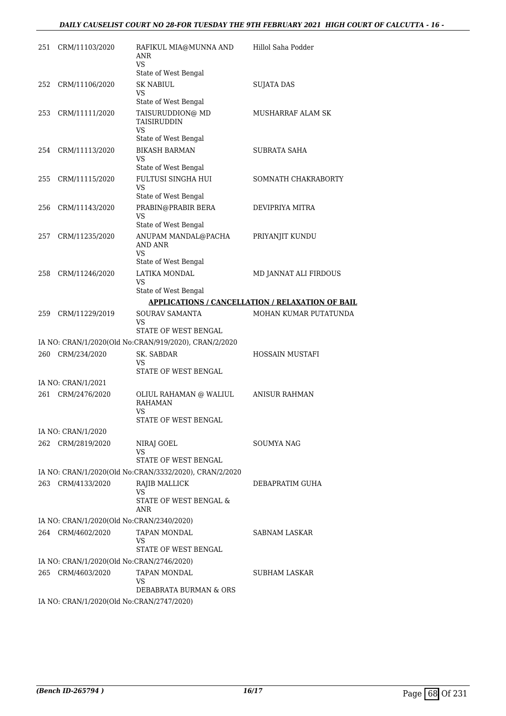#### *DAILY CAUSELIST COURT NO 28-FOR TUESDAY THE 9TH FEBRUARY 2021 HIGH COURT OF CALCUTTA - 16 -*

| 251 | CRM/11103/2020                            | RAFIKUL MIA@MUNNA AND<br>ANR<br><b>VS</b>              | Hillol Saha Podder                                      |
|-----|-------------------------------------------|--------------------------------------------------------|---------------------------------------------------------|
|     |                                           | State of West Bengal                                   |                                                         |
| 252 | CRM/11106/2020                            | <b>SK NABIUL</b><br>VS                                 | <b>SUJATA DAS</b>                                       |
|     |                                           | State of West Bengal                                   |                                                         |
| 253 | CRM/11111/2020                            | TAISURUDDION@ MD<br><b>TAISIRUDDIN</b><br>VS           | MUSHARRAF ALAM SK                                       |
|     |                                           | State of West Bengal                                   |                                                         |
| 254 | CRM/11113/2020                            | <b>BIKASH BARMAN</b><br>VS<br>State of West Bengal     | SUBRATA SAHA                                            |
|     |                                           | FULTUSI SINGHA HUI                                     |                                                         |
| 255 | CRM/11115/2020                            | VS<br>State of West Bengal                             | SOMNATH CHAKRABORTY                                     |
| 256 | CRM/11143/2020                            | PRABIN@PRABIR BERA                                     | DEVIPRIYA MITRA                                         |
|     |                                           | <b>VS</b><br>State of West Bengal                      |                                                         |
| 257 | CRM/11235/2020                            | ANUPAM MANDAL@PACHA                                    | PRIYANJIT KUNDU                                         |
|     |                                           | AND ANR<br>VS                                          |                                                         |
|     |                                           | State of West Bengal                                   |                                                         |
| 258 | CRM/11246/2020                            | LATIKA MONDAL<br>VS                                    | MD JANNAT ALI FIRDOUS                                   |
|     |                                           | State of West Bengal                                   |                                                         |
|     |                                           |                                                        | <b>APPLICATIONS / CANCELLATION / RELAXATION OF BAIL</b> |
| 259 | CRM/11229/2019                            | SOURAV SAMANTA<br>VS                                   | MOHAN KUMAR PUTATUNDA                                   |
|     |                                           | STATE OF WEST BENGAL                                   |                                                         |
|     |                                           | IA NO: CRAN/1/2020(Old No:CRAN/919/2020), CRAN/2/2020  |                                                         |
| 260 | CRM/234/2020                              | SK. SABDAR<br>VS<br>STATE OF WEST BENGAL               | HOSSAIN MUSTAFI                                         |
|     | IA NO: CRAN/1/2021                        |                                                        |                                                         |
| 261 | CRM/2476/2020                             | OLIUL RAHAMAN @ WALIUL<br><b>RAHAMAN</b><br>VS         | <b>ANISUR RAHMAN</b>                                    |
|     |                                           | STATE OF WEST BENGAL                                   |                                                         |
|     | IA NO: CRAN/1/2020                        |                                                        |                                                         |
| 262 | CRM/2819/2020                             | NIRAJ GOEL<br>VS                                       | SOUMYA NAG                                              |
|     |                                           | STATE OF WEST BENGAL                                   |                                                         |
|     |                                           | IA NO: CRAN/1/2020(Old No:CRAN/3332/2020), CRAN/2/2020 |                                                         |
| 263 | CRM/4133/2020                             | RAJIB MALLICK<br>VS                                    | DEBAPRATIM GUHA                                         |
|     |                                           | STATE OF WEST BENGAL &<br>ANR                          |                                                         |
|     | IA NO: CRAN/1/2020(Old No:CRAN/2340/2020) |                                                        |                                                         |
|     | 264 CRM/4602/2020                         | TAPAN MONDAL<br>VS                                     | SABNAM LASKAR                                           |
|     |                                           | STATE OF WEST BENGAL                                   |                                                         |
|     | IA NO: CRAN/1/2020(Old No:CRAN/2746/2020) |                                                        |                                                         |
| 265 | CRM/4603/2020                             | TAPAN MONDAL<br>VS                                     | SUBHAM LASKAR                                           |
|     |                                           | DEBABRATA BURMAN & ORS                                 |                                                         |
|     | IA NO: CRAN/1/2020(Old No:CRAN/2747/2020) |                                                        |                                                         |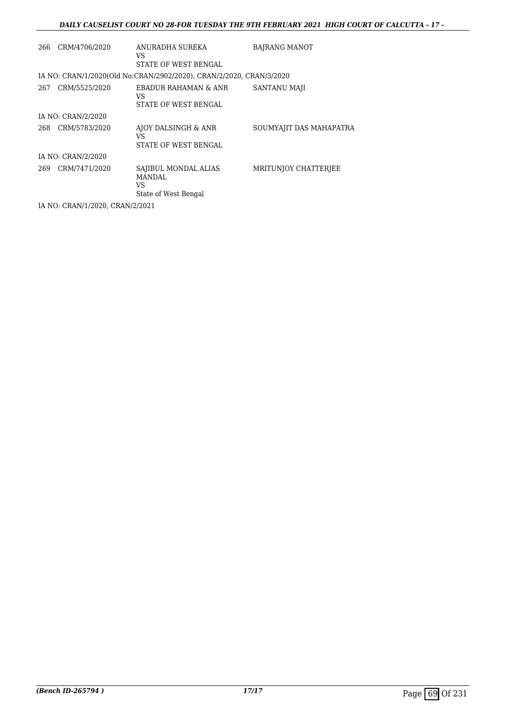#### *DAILY CAUSELIST COURT NO 28-FOR TUESDAY THE 9TH FEBRUARY 2021 HIGH COURT OF CALCUTTA - 17 -*

| 266 | CRM/4706/2020      | ANURADHA SUREKA<br>VS<br>STATE OF WEST BENGAL                       | <b>BAJRANG MANOT</b>    |
|-----|--------------------|---------------------------------------------------------------------|-------------------------|
|     |                    | IA NO: CRAN/1/2020(Old No:CRAN/2902/2020), CRAN/2/2020, CRAN/3/2020 |                         |
| 267 | CRM/5525/2020      | EBADUR RAHAMAN & ANR<br>VS<br>STATE OF WEST BENGAL                  | <b>SANTANU MAJI</b>     |
|     | IA NO: CRAN/2/2020 |                                                                     |                         |
| 268 | CRM/5783/2020      | AJOY DALSINGH & ANR<br>VS<br>STATE OF WEST BENGAL                   | SOUMYAJIT DAS MAHAPATRA |
|     | IA NO: CRAN/2/2020 |                                                                     |                         |
| 269 | CRM/7471/2020      | SAJIBUL MONDAL ALIAS<br><b>MANDAL</b><br>VS<br>State of West Bengal | MRITUNIOY CHATTERIEE    |
|     |                    |                                                                     |                         |

IA NO: CRAN/1/2020, CRAN/2/2021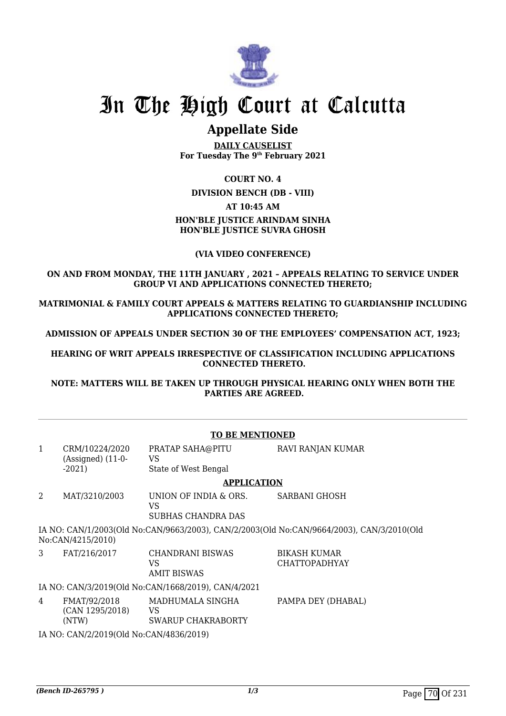

# In The High Court at Calcutta

## **Appellate Side**

**DAILY CAUSELIST For Tuesday The 9th February 2021**

#### **COURT NO. 4**

**DIVISION BENCH (DB - VIII)**

#### **AT 10:45 AM**

#### **HON'BLE JUSTICE ARINDAM SINHA HON'BLE JUSTICE SUVRA GHOSH**

#### **(VIA VIDEO CONFERENCE)**

#### **ON AND FROM MONDAY, THE 11TH JANUARY , 2021 – APPEALS RELATING TO SERVICE UNDER GROUP VI AND APPLICATIONS CONNECTED THERETO;**

**MATRIMONIAL & FAMILY COURT APPEALS & MATTERS RELATING TO GUARDIANSHIP INCLUDING APPLICATIONS CONNECTED THERETO;**

**ADMISSION OF APPEALS UNDER SECTION 30 OF THE EMPLOYEES' COMPENSATION ACT, 1923;**

**HEARING OF WRIT APPEALS IRRESPECTIVE OF CLASSIFICATION INCLUDING APPLICATIONS CONNECTED THERETO.**

**NOTE: MATTERS WILL BE TAKEN UP THROUGH PHYSICAL HEARING ONLY WHEN BOTH THE PARTIES ARE AGREED.**

#### **TO BE MENTIONED**

| $\mathbf{1}$                                                                                                   | CRM/10224/2020<br>$(Associated)$ $(11-0-)$ | PRATAP SAHA@PITU<br>VS                            | <b>RAVI RANJAN KUMAR</b>                    |
|----------------------------------------------------------------------------------------------------------------|--------------------------------------------|---------------------------------------------------|---------------------------------------------|
|                                                                                                                | $-2021$                                    | State of West Bengal                              |                                             |
|                                                                                                                | <b>APPLICATION</b>                         |                                                   |                                             |
| 2                                                                                                              | MAT/3210/2003                              | UNION OF INDIA & ORS.<br>VS<br>SUBHAS CHANDRA DAS | SARBANI GHOSH                               |
| IA NO: CAN/1/2003(Old No:CAN/9663/2003), CAN/2/2003(Old No:CAN/9664/2003), CAN/3/2010(Old<br>No:CAN/4215/2010) |                                            |                                                   |                                             |
| 3                                                                                                              | FAT/216/2017                               | CHANDRANI BISWAS<br>VS<br><b>AMIT BISWAS</b>      | <b>BIKASH KUMAR</b><br><b>CHATTOPADHYAY</b> |
| IA NO: CAN/3/2019(Old No:CAN/1668/2019), CAN/4/2021                                                            |                                            |                                                   |                                             |
| 4                                                                                                              | FMAT/92/2018<br>(CAN 1295/2018)<br>(NTW)   | MADHUMALA SINGHA<br>VS<br>SWARUP CHAKRABORTY      | PAMPA DEY (DHABAL)                          |
|                                                                                                                | IA NO: CAN/2/2019(Old No:CAN/4836/2019)    |                                                   |                                             |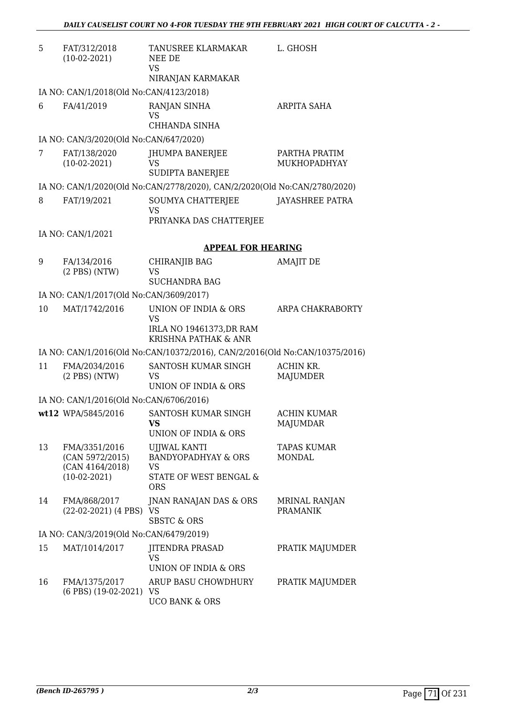| 5  | FAT/312/2018<br>$(10-02-2021)$                                        | TANUSREE KLARMAKAR<br>NEE DE<br><b>VS</b><br>NIRANJAN KARMAKAR                               | L. GHOSH                                |
|----|-----------------------------------------------------------------------|----------------------------------------------------------------------------------------------|-----------------------------------------|
|    | IA NO: CAN/1/2018(Old No:CAN/4123/2018)                               |                                                                                              |                                         |
| 6  | FA/41/2019                                                            | RANJAN SINHA<br>VS<br>CHHANDA SINHA                                                          | <b>ARPITA SAHA</b>                      |
|    | IA NO: CAN/3/2020(Old No:CAN/647/2020)                                |                                                                                              |                                         |
| 7  | FAT/138/2020<br>$(10-02-2021)$                                        | <b>JHUMPA BANERJEE</b><br>VS<br><b>SUDIPTA BANERJEE</b>                                      | PARTHA PRATIM<br>MUKHOPADHYAY           |
|    |                                                                       | IA NO: CAN/1/2020(Old No:CAN/2778/2020), CAN/2/2020(Old No:CAN/2780/2020)                    |                                         |
| 8  | FAT/19/2021                                                           | SOUMYA CHATTERJEE<br><b>VS</b><br>PRIYANKA DAS CHATTERJEE                                    | JAYASHREE PATRA                         |
|    | IA NO: CAN/1/2021                                                     |                                                                                              |                                         |
|    |                                                                       | <b>APPEAL FOR HEARING</b>                                                                    |                                         |
| 9  | FA/134/2016<br>$(2$ PBS $)$ (NTW)                                     | <b>CHIRANJIB BAG</b><br><b>VS</b><br><b>SUCHANDRA BAG</b>                                    | <b>AMAJIT DE</b>                        |
|    | IA NO: CAN/1/2017(Old No:CAN/3609/2017)                               |                                                                                              |                                         |
| 10 | MAT/1742/2016                                                         | UNION OF INDIA & ORS<br><b>VS</b>                                                            | ARPA CHAKRABORTY                        |
|    |                                                                       | IRLA NO 19461373, DR RAM<br>KRISHNA PATHAK & ANR                                             |                                         |
|    |                                                                       | IA NO: CAN/1/2016(Old No:CAN/10372/2016), CAN/2/2016(Old No:CAN/10375/2016)                  |                                         |
| 11 | FMA/2034/2016<br>$(2$ PBS $)$ (NTW)                                   | SANTOSH KUMAR SINGH<br><b>VS</b><br>UNION OF INDIA & ORS                                     | ACHIN KR.<br>MAJUMDER                   |
|    | IA NO: CAN/1/2016(Old No:CAN/6706/2016)                               |                                                                                              |                                         |
|    | wt12 WPA/5845/2016                                                    | SANTOSH KUMAR SINGH<br>VS<br>UNION OF INDIA & ORS                                            | <b>ACHIN KUMAR</b><br>MAJUMDAR          |
| 13 | FMA/3351/2016<br>(CAN 5972/2015)<br>(CAN 4164/2018)<br>$(10-02-2021)$ | UJJWAL KANTI<br><b>BANDYOPADHYAY &amp; ORS</b><br>VS<br>STATE OF WEST BENGAL &<br><b>ORS</b> | <b>TAPAS KUMAR</b><br><b>MONDAL</b>     |
| 14 | FMA/868/2017<br>(22-02-2021) (4 PBS) VS                               | JNAN RANAJAN DAS & ORS<br><b>SBSTC &amp; ORS</b>                                             | <b>MRINAL RANJAN</b><br><b>PRAMANIK</b> |
|    | IA NO: CAN/3/2019(Old No:CAN/6479/2019)                               |                                                                                              |                                         |
| 15 | MAT/1014/2017                                                         | <b>JITENDRA PRASAD</b><br><b>VS</b><br>UNION OF INDIA & ORS                                  | PRATIK MAJUMDER                         |
| 16 | FMA/1375/2017<br>(6 PBS) (19-02-2021) VS                              | ARUP BASU CHOWDHURY<br><b>UCO BANK &amp; ORS</b>                                             | PRATIK MAJUMDER                         |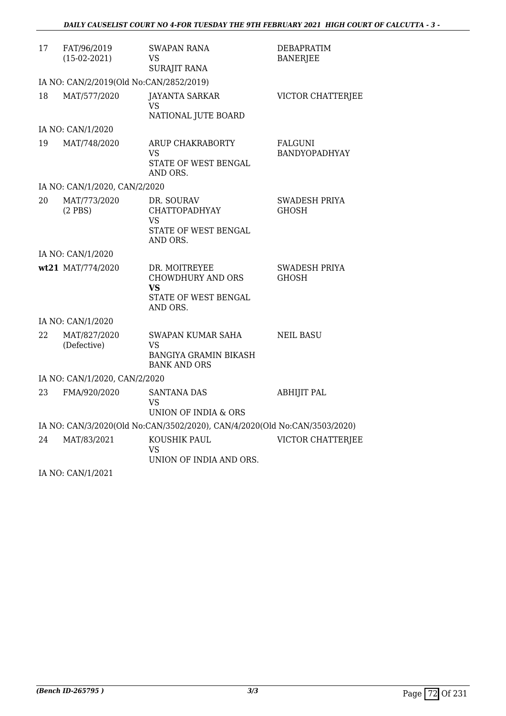| 17 | FAT/96/2019<br>$(15-02-2021)$           | <b>SWAPAN RANA</b><br>VS<br><b>SURAJIT RANA</b>                                       | <b>DEBAPRATIM</b><br><b>BANERJEE</b> |
|----|-----------------------------------------|---------------------------------------------------------------------------------------|--------------------------------------|
|    | IA NO: CAN/2/2019(Old No:CAN/2852/2019) |                                                                                       |                                      |
| 18 | MAT/577/2020                            | <b>JAYANTA SARKAR</b><br>VS.<br>NATIONAL JUTE BOARD                                   | VICTOR CHATTERJEE                    |
|    | IA NO: CAN/1/2020                       |                                                                                       |                                      |
| 19 | MAT/748/2020                            | <b>ARUP CHAKRABORTY</b><br>VS<br>STATE OF WEST BENGAL<br>AND ORS.                     | FALGUNI<br><b>BANDYOPADHYAY</b>      |
|    | IA NO: CAN/1/2020, CAN/2/2020           |                                                                                       |                                      |
| 20 | MAT/773/2020<br>$(2$ PBS)               | DR. SOURAV<br><b>CHATTOPADHYAY</b><br>VS<br>STATE OF WEST BENGAL<br>AND ORS.          | SWADESH PRIYA<br><b>GHOSH</b>        |
|    | IA NO: CAN/1/2020                       |                                                                                       |                                      |
|    | wt21 MAT/774/2020                       | DR. MOITREYEE<br>CHOWDHURY AND ORS<br><b>VS</b><br>STATE OF WEST BENGAL<br>AND ORS.   | SWADESH PRIYA<br><b>GHOSH</b>        |
|    | IA NO: CAN/1/2020                       |                                                                                       |                                      |
| 22 | MAT/827/2020<br>(Defective)             | SWAPAN KUMAR SAHA<br><b>VS</b><br><b>BANGIYA GRAMIN BIKASH</b><br><b>BANK AND ORS</b> | <b>NEIL BASU</b>                     |
|    | IA NO: CAN/1/2020, CAN/2/2020           |                                                                                       |                                      |
| 23 | FMA/920/2020                            | <b>SANTANA DAS</b><br>VS<br>UNION OF INDIA & ORS                                      | <b>ABHIJIT PAL</b>                   |
|    |                                         | IA NO: CAN/3/2020(Old No:CAN/3502/2020), CAN/4/2020(Old No:CAN/3503/2020)             |                                      |
| 24 | MAT/83/2021                             | KOUSHIK PAUL<br>VS<br>UNION OF INDIA AND ORS.                                         | <b>VICTOR CHATTERJEE</b>             |
|    |                                         |                                                                                       |                                      |

IA NO: CAN/1/2021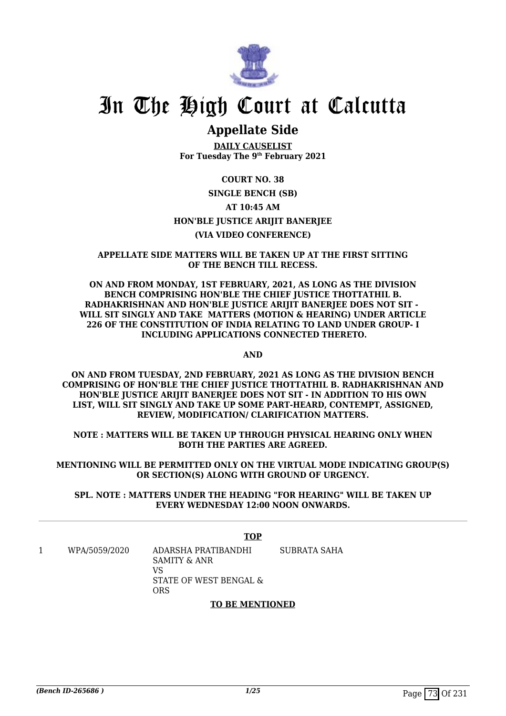

# In The High Court at Calcutta

## **Appellate Side**

**DAILY CAUSELIST For Tuesday The 9th February 2021**

## **COURT NO. 38**

## **SINGLE BENCH (SB) AT 10:45 AM HON'BLE JUSTICE ARIJIT BANERJEE (VIA VIDEO CONFERENCE)**

### **APPELLATE SIDE MATTERS WILL BE TAKEN UP AT THE FIRST SITTING OF THE BENCH TILL RECESS.**

**ON AND FROM MONDAY, 1ST FEBRUARY, 2021, AS LONG AS THE DIVISION BENCH COMPRISING HON'BLE THE CHIEF JUSTICE THOTTATHIL B. RADHAKRISHNAN AND HON'BLE JUSTICE ARIJIT BANERJEE DOES NOT SIT - WILL SIT SINGLY AND TAKE MATTERS (MOTION & HEARING) UNDER ARTICLE 226 OF THE CONSTITUTION OF INDIA RELATING TO LAND UNDER GROUP- I INCLUDING APPLICATIONS CONNECTED THERETO.**

**AND**

**ON AND FROM TUESDAY, 2ND FEBRUARY, 2021 AS LONG AS THE DIVISION BENCH COMPRISING OF HON'BLE THE CHIEF JUSTICE THOTTATHIL B. RADHAKRISHNAN AND HON'BLE JUSTICE ARIJIT BANERJEE DOES NOT SIT - IN ADDITION TO HIS OWN LIST, WILL SIT SINGLY AND TAKE UP SOME PART-HEARD, CONTEMPT, ASSIGNED, REVIEW, MODIFICATION/ CLARIFICATION MATTERS.**

**NOTE : MATTERS WILL BE TAKEN UP THROUGH PHYSICAL HEARING ONLY WHEN BOTH THE PARTIES ARE AGREED.**

**MENTIONING WILL BE PERMITTED ONLY ON THE VIRTUAL MODE INDICATING GROUP(S) OR SECTION(S) ALONG WITH GROUND OF URGENCY.**

**SPL. NOTE : MATTERS UNDER THE HEADING "FOR HEARING" WILL BE TAKEN UP EVERY WEDNESDAY 12:00 NOON ONWARDS.**

**TOP** 1 WPA/5059/2020 ADARSHA PRATIBANDHI SAMITY & ANR VS STATE OF WEST BENGAL & ORS SUBRATA SAHA

### **TO BE MENTIONED**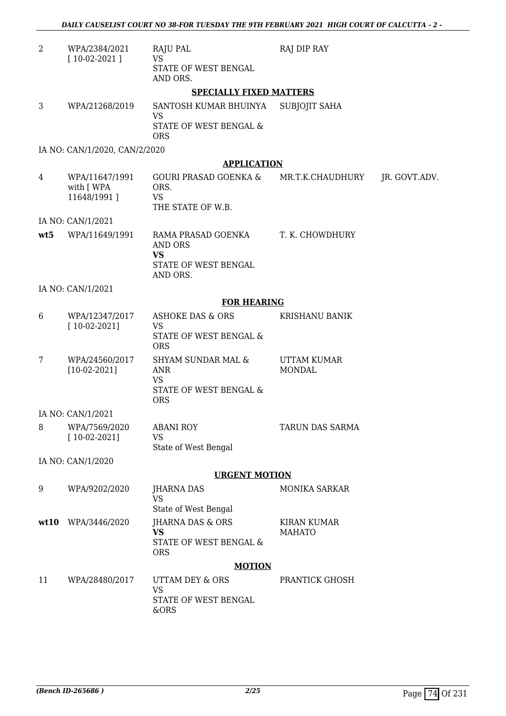| $\overline{2}$ | WPA/2384/2021<br>$[10-02-2021]$             | RAJU PAL<br><b>VS</b>                                                            | RAJ DIP RAY                         |               |  |  |
|----------------|---------------------------------------------|----------------------------------------------------------------------------------|-------------------------------------|---------------|--|--|
|                |                                             | STATE OF WEST BENGAL<br>AND ORS.                                                 |                                     |               |  |  |
|                | <b>SPECIALLY FIXED MATTERS</b>              |                                                                                  |                                     |               |  |  |
| 3              | WPA/21268/2019                              | SANTOSH KUMAR BHUINYA                                                            | <b>SUBJOJIT SAHA</b>                |               |  |  |
|                |                                             | VS<br>STATE OF WEST BENGAL &<br><b>ORS</b>                                       |                                     |               |  |  |
|                | IA NO: CAN/1/2020, CAN/2/2020               |                                                                                  |                                     |               |  |  |
|                |                                             | <b>APPLICATION</b>                                                               |                                     |               |  |  |
| 4              | WPA/11647/1991<br>with [ WPA<br>11648/1991] | GOURI PRASAD GOENKA &<br>ORS.<br><b>VS</b><br>THE STATE OF W.B.                  | MR.T.K.CHAUDHURY                    | JR. GOVT.ADV. |  |  |
|                | IA NO: CAN/1/2021                           |                                                                                  |                                     |               |  |  |
| wt5            | WPA/11649/1991                              | RAMA PRASAD GOENKA<br><b>AND ORS</b><br><b>VS</b>                                | T. K. CHOWDHURY                     |               |  |  |
|                |                                             | STATE OF WEST BENGAL<br>AND ORS.                                                 |                                     |               |  |  |
|                | IA NO: CAN/1/2021                           |                                                                                  |                                     |               |  |  |
|                |                                             | <b>FOR HEARING</b>                                                               |                                     |               |  |  |
| 6              | WPA/12347/2017<br>$[10-02-2021]$            | <b>ASHOKE DAS &amp; ORS</b><br><b>VS</b><br>STATE OF WEST BENGAL &<br><b>ORS</b> | KRISHANU BANIK                      |               |  |  |
| 7              | WPA/24560/2017<br>$[10-02-2021]$            | <b>SHYAM SUNDAR MAL &amp;</b><br><b>ANR</b><br><b>VS</b>                         | <b>UTTAM KUMAR</b><br><b>MONDAL</b> |               |  |  |
|                |                                             | STATE OF WEST BENGAL &<br><b>ORS</b>                                             |                                     |               |  |  |
|                | IA NO: CAN/1/2021                           |                                                                                  |                                     |               |  |  |
| 8              | WPA/7569/2020<br>$[10-02-2021]$             | ABANI ROY<br>VS                                                                  | TARUN DAS SARMA                     |               |  |  |
|                | IA NO: CAN/1/2020                           | State of West Bengal                                                             |                                     |               |  |  |
|                |                                             | <b>URGENT MOTION</b>                                                             |                                     |               |  |  |
| 9              | WPA/9202/2020                               | <b>JHARNA DAS</b>                                                                | <b>MONIKA SARKAR</b>                |               |  |  |
|                |                                             | VS<br>State of West Bengal                                                       |                                     |               |  |  |
| wt10           | WPA/3446/2020                               | JHARNA DAS & ORS<br><b>VS</b>                                                    | KIRAN KUMAR<br><b>MAHATO</b>        |               |  |  |
|                |                                             | STATE OF WEST BENGAL &<br><b>ORS</b>                                             |                                     |               |  |  |
|                |                                             | <b>MOTION</b>                                                                    |                                     |               |  |  |
| 11             | WPA/28480/2017                              | UTTAM DEY & ORS<br><b>VS</b><br>STATE OF WEST BENGAL                             | PRANTICK GHOSH                      |               |  |  |
|                |                                             | &ORS                                                                             |                                     |               |  |  |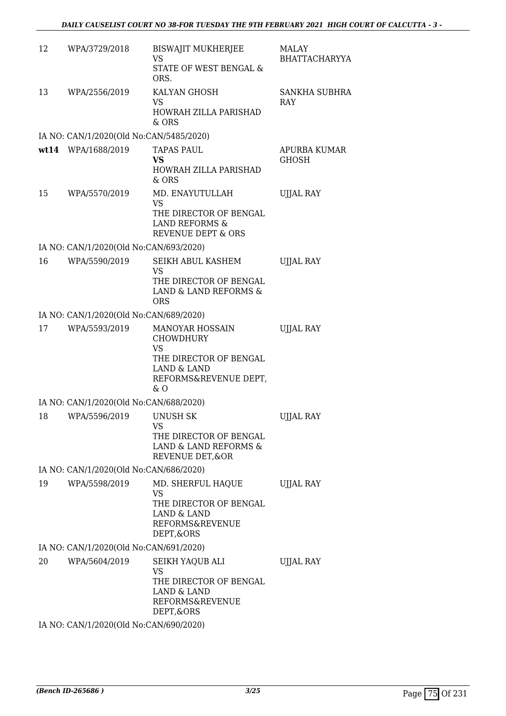| 12 | WPA/3729/2018                                           | <b>BISWAJIT MUKHERJEE</b><br><b>VS</b><br><b>STATE OF WEST BENGAL &amp;</b><br>ORS.                                                 | MALAY<br><b>BHATTACHARYYA</b> |
|----|---------------------------------------------------------|-------------------------------------------------------------------------------------------------------------------------------------|-------------------------------|
| 13 | WPA/2556/2019                                           | KALYAN GHOSH<br>VS<br>HOWRAH ZILLA PARISHAD<br>& ORS                                                                                | SANKHA SUBHRA<br><b>RAY</b>   |
|    | IA NO: CAN/1/2020(Old No:CAN/5485/2020)                 |                                                                                                                                     |                               |
|    | wt14 WPA/1688/2019                                      | TAPAS PAUL<br><b>VS</b><br>HOWRAH ZILLA PARISHAD<br>$&$ ORS                                                                         | APURBA KUMAR<br>GHOSH         |
| 15 | WPA/5570/2019                                           | MD. ENAYUTULLAH<br><b>VS</b><br>THE DIRECTOR OF BENGAL<br><b>LAND REFORMS &amp;</b><br><b>REVENUE DEPT &amp; ORS</b>                | <b>UIJAL RAY</b>              |
|    | IA NO: CAN/1/2020(Old No:CAN/693/2020)                  |                                                                                                                                     |                               |
| 16 | WPA/5590/2019                                           | SEIKH ABUL KASHEM<br><b>VS</b><br>THE DIRECTOR OF BENGAL<br>LAND & LAND REFORMS &<br><b>ORS</b>                                     | <b>UJJAL RAY</b>              |
|    | IA NO: CAN/1/2020(Old No:CAN/689/2020)                  |                                                                                                                                     |                               |
| 17 | WPA/5593/2019                                           | <b>MANOYAR HOSSAIN</b><br><b>CHOWDHURY</b><br><b>VS</b><br>THE DIRECTOR OF BENGAL<br>LAND & LAND<br>REFORMS&REVENUE DEPT,<br>$\&$ O | <b>UJJAL RAY</b>              |
|    | IA NO: CAN/1/2020(Old No:CAN/688/2020)                  |                                                                                                                                     |                               |
| 18 | WPA/5596/2019                                           | UNUSH SK<br>VS<br>THE DIRECTOR OF BENGAL<br>LAND & LAND REFORMS &<br>REVENUE DET, & OR                                              | <b>UJJAL RAY</b>              |
|    | IA NO: CAN/1/2020(Old No:CAN/686/2020)                  |                                                                                                                                     |                               |
| 19 | WPA/5598/2019                                           | MD. SHERFUL HAQUE<br>VS<br>THE DIRECTOR OF BENGAL<br><b>LAND &amp; LAND</b><br><b>REFORMS&amp;REVENUE</b><br>DEPT, & ORS            | <b>UJJAL RAY</b>              |
|    | IA NO: CAN/1/2020(Old No:CAN/691/2020)                  |                                                                                                                                     |                               |
| 20 | WPA/5604/2019<br>IA NO: CAN/1/2020(Old No:CAN/690/2020) | SEIKH YAQUB ALI<br>VS<br>THE DIRECTOR OF BENGAL<br>LAND & LAND<br>REFORMS&REVENUE<br>DEPT, & ORS                                    | UJJAL RAY                     |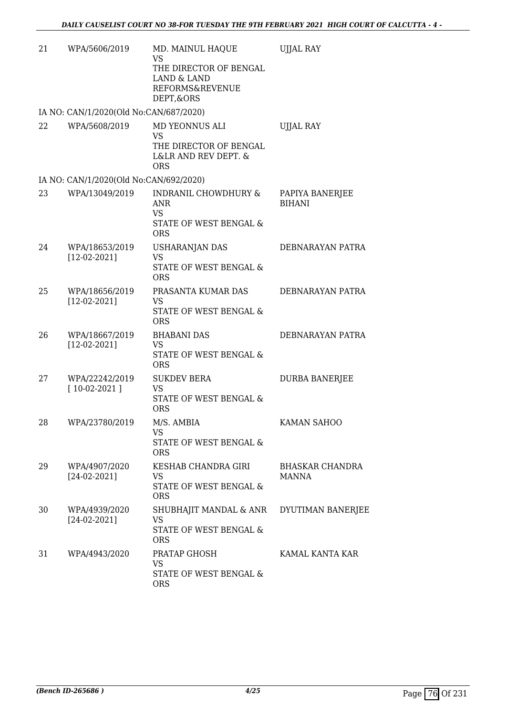| 21   | WPA/5606/2019                          | MD. MAINUL HAQUE<br><b>VS</b><br>THE DIRECTOR OF BENGAL<br><b>LAND &amp; LAND</b><br>REFORMS&REVENUE<br>DEPT, & ORS | <b>UJJAL RAY</b>                 |
|------|----------------------------------------|---------------------------------------------------------------------------------------------------------------------|----------------------------------|
|      | IA NO: CAN/1/2020(Old No:CAN/687/2020) |                                                                                                                     |                                  |
| 2.2. | WPA/5608/2019                          | MD YEONNUS ALI<br>VS<br>THE DIRECTOR OF BENGAL<br>L&LR AND REV DEPT. &<br><b>ORS</b>                                | <b>UJJAL RAY</b>                 |
|      | IA NO: CAN/1/2020(Old No:CAN/692/2020) |                                                                                                                     |                                  |
| 23   | WPA/13049/2019                         | <b>INDRANIL CHOWDHURY &amp;</b><br>ANR<br><b>VS</b><br>STATE OF WEST BENGAL &<br><b>ORS</b>                         | PAPIYA BANERJEE<br><b>BIHANI</b> |
| 24   | WPA/18653/2019<br>$[12-02-2021]$       | <b>USHARANJAN DAS</b><br><b>VS</b><br>STATE OF WEST BENGAL &<br><b>ORS</b>                                          | DEBNARAYAN PATRA                 |
| 25   | WPA/18656/2019<br>$[12-02-2021]$       | PRASANTA KUMAR DAS<br>VS<br>STATE OF WEST BENGAL &<br><b>ORS</b>                                                    | DEBNARAYAN PATRA                 |
| 26   | WPA/18667/2019<br>$[12-02-2021]$       | <b>BHABANI DAS</b><br><b>VS</b><br>STATE OF WEST BENGAL &<br><b>ORS</b>                                             | DEBNARAYAN PATRA                 |
| 27   | WPA/22242/2019<br>$[10-02-2021]$       | <b>SUKDEV BERA</b><br><b>VS</b><br>STATE OF WEST BENGAL &<br><b>ORS</b>                                             | <b>DURBA BANERJEE</b>            |
| 28   | WPA/23780/2019                         | M/S. AMBIA<br>VS<br>STATE OF WEST BENGAL &<br><b>ORS</b>                                                            | KAMAN SAHOO                      |
| 29   | WPA/4907/2020<br>$[24-02-2021]$        | KESHAB CHANDRA GIRI<br>VS<br>STATE OF WEST BENGAL &<br><b>ORS</b>                                                   | BHASKAR CHANDRA<br><b>MANNA</b>  |
| 30   | WPA/4939/2020<br>$[24-02-2021]$        | SHUBHAJIT MANDAL & ANR<br>VS<br>STATE OF WEST BENGAL &<br><b>ORS</b>                                                | DYUTIMAN BANERJEE                |
| 31   | WPA/4943/2020                          | PRATAP GHOSH<br><b>VS</b><br>STATE OF WEST BENGAL &<br><b>ORS</b>                                                   | KAMAL KANTA KAR                  |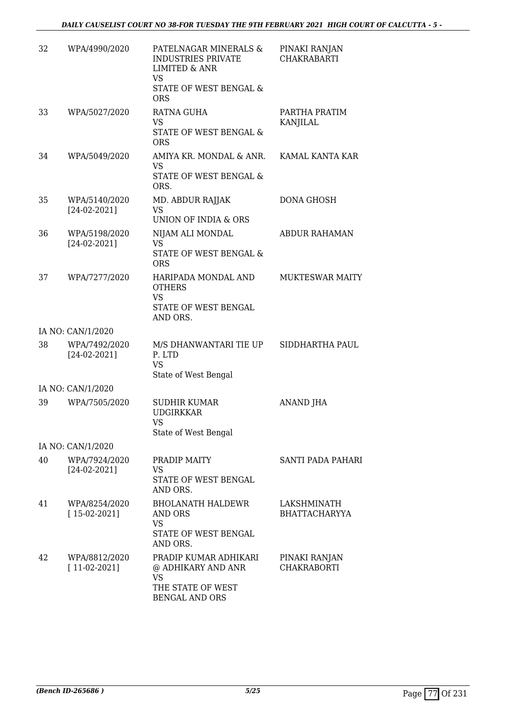| 32 | WPA/4990/2020                   | PATELNAGAR MINERALS &<br><b>INDUSTRIES PRIVATE</b><br><b>LIMITED &amp; ANR</b><br><b>VS</b><br>STATE OF WEST BENGAL &<br><b>ORS</b> | PINAKI RANJAN<br><b>CHAKRABARTI</b> |
|----|---------------------------------|-------------------------------------------------------------------------------------------------------------------------------------|-------------------------------------|
| 33 | WPA/5027/2020                   | RATNA GUHA<br>VS.<br>STATE OF WEST BENGAL &                                                                                         | PARTHA PRATIM<br><b>KANJILAL</b>    |
| 34 | WPA/5049/2020                   | <b>ORS</b><br>AMIYA KR. MONDAL & ANR.<br><b>VS</b><br>STATE OF WEST BENGAL &<br>ORS.                                                | KAMAL KANTA KAR                     |
| 35 | WPA/5140/2020<br>$[24-02-2021]$ | MD. ABDUR RAJJAK<br><b>VS</b><br>UNION OF INDIA & ORS                                                                               | DONA GHOSH                          |
| 36 | WPA/5198/2020<br>$[24-02-2021]$ | NIJAM ALI MONDAL<br><b>VS</b><br><b>STATE OF WEST BENGAL &amp;</b><br><b>ORS</b>                                                    | <b>ABDUR RAHAMAN</b>                |
| 37 | WPA/7277/2020                   | HARIPADA MONDAL AND<br><b>OTHERS</b><br><b>VS</b><br>STATE OF WEST BENGAL<br>AND ORS.                                               | <b>MUKTESWAR MAITY</b>              |
|    | IA NO: CAN/1/2020               |                                                                                                                                     |                                     |
| 38 | WPA/7492/2020<br>$[24-02-2021]$ | M/S DHANWANTARI TIE UP<br>P. LTD<br><b>VS</b><br>State of West Bengal                                                               | SIDDHARTHA PAUL                     |
|    | IA NO: CAN/1/2020               |                                                                                                                                     |                                     |
| 39 | WPA/7505/2020                   | <b>SUDHIR KUMAR</b><br><b>UDGIRKKAR</b><br>VS<br>State of West Bengal                                                               | ANAND JHA                           |
|    | IA NO: CAN/1/2020               |                                                                                                                                     |                                     |
| 40 | WPA/7924/2020<br>$[24-02-2021]$ | PRADIP MAITY<br>VS<br>STATE OF WEST BENGAL<br>AND ORS.                                                                              | SANTI PADA PAHARI                   |
| 41 | WPA/8254/2020<br>$[15-02-2021]$ | <b>BHOLANATH HALDEWR</b><br>AND ORS<br>VS<br>STATE OF WEST BENGAL<br>AND ORS.                                                       | LAKSHMINATH<br><b>BHATTACHARYYA</b> |
| 42 | WPA/8812/2020<br>$[11-02-2021]$ | PRADIP KUMAR ADHIKARI<br>@ ADHIKARY AND ANR<br>VS<br>THE STATE OF WEST<br><b>BENGAL AND ORS</b>                                     | PINAKI RANJAN<br>CHAKRABORTI        |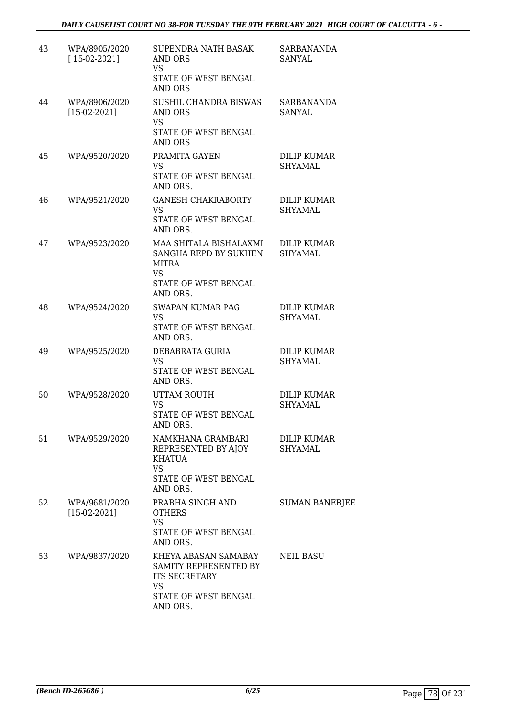| 43 | WPA/8905/2020<br>$[15-02-2021]$ | <b>SUPENDRA NATH BASAK</b><br>AND ORS<br><b>VS</b><br>STATE OF WEST BENGAL<br>AND ORS                                  | SARBANANDA<br><b>SANYAL</b>          |
|----|---------------------------------|------------------------------------------------------------------------------------------------------------------------|--------------------------------------|
| 44 | WPA/8906/2020<br>$[15-02-2021]$ | SUSHIL CHANDRA BISWAS<br>AND ORS<br><b>VS</b><br>STATE OF WEST BENGAL<br><b>AND ORS</b>                                | SARBANANDA<br>SANYAL                 |
| 45 | WPA/9520/2020                   | PRAMITA GAYEN<br><b>VS</b><br>STATE OF WEST BENGAL<br>AND ORS.                                                         | DILIP KUMAR<br><b>SHYAMAL</b>        |
| 46 | WPA/9521/2020                   | <b>GANESH CHAKRABORTY</b><br><b>VS</b><br>STATE OF WEST BENGAL<br>AND ORS.                                             | <b>DILIP KUMAR</b><br><b>SHYAMAL</b> |
| 47 | WPA/9523/2020                   | MAA SHITALA BISHALAXMI<br>SANGHA REPD BY SUKHEN<br>MITRA<br>VS<br>STATE OF WEST BENGAL<br>AND ORS.                     | <b>DILIP KUMAR</b><br>SHYAMAL        |
| 48 | WPA/9524/2020                   | <b>SWAPAN KUMAR PAG</b><br><b>VS</b><br>STATE OF WEST BENGAL<br>AND ORS.                                               | <b>DILIP KUMAR</b><br>SHYAMAL        |
| 49 | WPA/9525/2020                   | DEBABRATA GURIA<br><b>VS</b><br>STATE OF WEST BENGAL<br>AND ORS.                                                       | DILIP KUMAR<br>SHYAMAL               |
| 50 | WPA/9528/2020                   | UTTAM ROUTH<br><b>VS</b><br>STATE OF WEST BENGAL<br>AND ORS.                                                           | <b>DILIP KUMAR</b><br><b>SHYAMAL</b> |
| 51 | WPA/9529/2020                   | NAMKHANA GRAMBARI<br>REPRESENTED BY AJOY<br><b>KHATUA</b><br><b>VS</b><br>STATE OF WEST BENGAL<br>AND ORS.             | <b>DILIP KUMAR</b><br><b>SHYAMAL</b> |
| 52 | WPA/9681/2020<br>$[15-02-2021]$ | PRABHA SINGH AND<br><b>OTHERS</b><br><b>VS</b><br>STATE OF WEST BENGAL<br>AND ORS.                                     | <b>SUMAN BANERJEE</b>                |
| 53 | WPA/9837/2020                   | KHEYA ABASAN SAMABAY<br>SAMITY REPRESENTED BY<br><b>ITS SECRETARY</b><br><b>VS</b><br>STATE OF WEST BENGAL<br>AND ORS. | NEIL BASU                            |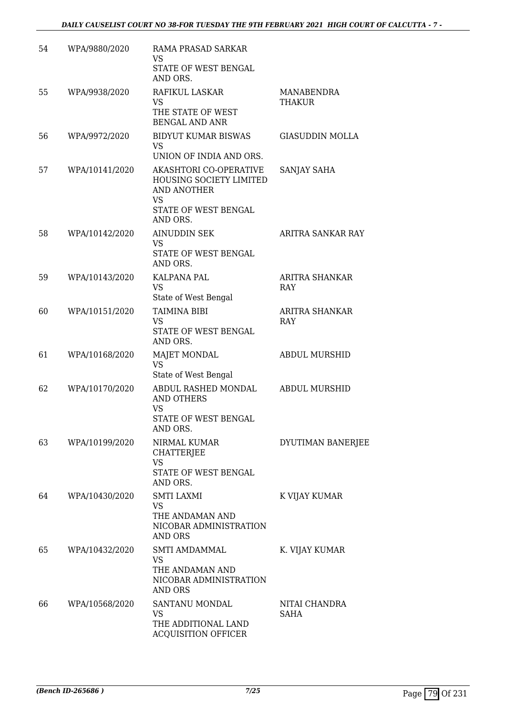| 54 | WPA/9880/2020  | RAMA PRASAD SARKAR<br>VS<br>STATE OF WEST BENGAL                                                                  |                                     |
|----|----------------|-------------------------------------------------------------------------------------------------------------------|-------------------------------------|
| 55 | WPA/9938/2020  | AND ORS.<br>RAFIKUL LASKAR                                                                                        | MANABENDRA                          |
|    |                | VS<br>THE STATE OF WEST<br><b>BENGAL AND ANR</b>                                                                  | THAKUR                              |
| 56 | WPA/9972/2020  | <b>BIDYUT KUMAR BISWAS</b><br><b>VS</b><br>UNION OF INDIA AND ORS.                                                | <b>GIASUDDIN MOLLA</b>              |
| 57 | WPA/10141/2020 | AKASHTORI CO-OPERATIVE<br><b>HOUSING SOCIETY LIMITED</b><br><b>AND ANOTHER</b><br><b>VS</b>                       | SANJAY SAHA                         |
|    |                | STATE OF WEST BENGAL<br>AND ORS.                                                                                  |                                     |
| 58 | WPA/10142/2020 | <b>AINUDDIN SEK</b><br>VS<br>STATE OF WEST BENGAL<br>AND ORS.                                                     | ARITRA SANKAR RAY                   |
| 59 | WPA/10143/2020 | <b>KALPANA PAL</b><br><b>VS</b><br>State of West Bengal                                                           | <b>ARITRA SHANKAR</b><br><b>RAY</b> |
| 60 | WPA/10151/2020 | TAIMINA BIBI<br>VS<br>STATE OF WEST BENGAL<br>AND ORS.                                                            | ARITRA SHANKAR<br><b>RAY</b>        |
| 61 | WPA/10168/2020 | MAJET MONDAL<br><b>VS</b>                                                                                         | <b>ABDUL MURSHID</b>                |
| 62 | WPA/10170/2020 | State of West Bengal<br>ABDUL RASHED MONDAL<br><b>AND OTHERS</b><br><b>VS</b><br>STATE OF WEST BENGAL<br>AND ORS. | <b>ABDUL MURSHID</b>                |
| 63 | WPA/10199/2020 | NIRMAL KUMAR<br><b>CHATTERJEE</b><br>VS<br>STATE OF WEST BENGAL                                                   | DYUTIMAN BANERJEE                   |
| 64 | WPA/10430/2020 | AND ORS.<br><b>SMTI LAXMI</b><br>VS<br>THE ANDAMAN AND<br>NICOBAR ADMINISTRATION<br>AND ORS                       | K VIJAY KUMAR                       |
| 65 | WPA/10432/2020 | SMTI AMDAMMAL<br>VS<br>THE ANDAMAN AND<br>NICOBAR ADMINISTRATION<br>AND ORS                                       | K. VIJAY KUMAR                      |
| 66 | WPA/10568/2020 | SANTANU MONDAL<br>VS<br>THE ADDITIONAL LAND<br><b>ACQUISITION OFFICER</b>                                         | NITAI CHANDRA<br>SAHA               |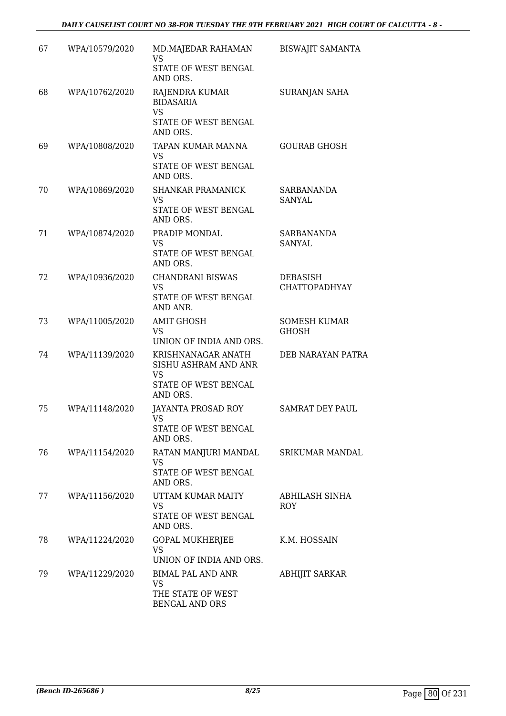## *DAILY CAUSELIST COURT NO 38-FOR TUESDAY THE 9TH FEBRUARY 2021 HIGH COURT OF CALCUTTA - 8 -*

| 67 | WPA/10579/2020 | MD.MAJEDAR RAHAMAN<br><b>VS</b><br>STATE OF WEST BENGAL<br>AND ORS.                         | <b>BISWAJIT SAMANTA</b>                 |
|----|----------------|---------------------------------------------------------------------------------------------|-----------------------------------------|
| 68 | WPA/10762/2020 | RAJENDRA KUMAR<br><b>BIDASARIA</b><br><b>VS</b><br>STATE OF WEST BENGAL<br>AND ORS.         | <b>SURANJAN SAHA</b>                    |
| 69 | WPA/10808/2020 | TAPAN KUMAR MANNA<br><b>VS</b><br>STATE OF WEST BENGAL<br>AND ORS.                          | <b>GOURAB GHOSH</b>                     |
| 70 | WPA/10869/2020 | <b>SHANKAR PRAMANICK</b><br>VS<br>STATE OF WEST BENGAL<br>AND ORS.                          | SARBANANDA<br><b>SANYAL</b>             |
| 71 | WPA/10874/2020 | PRADIP MONDAL<br><b>VS</b><br>STATE OF WEST BENGAL<br>AND ORS.                              | <b>SARBANANDA</b><br><b>SANYAL</b>      |
| 72 | WPA/10936/2020 | <b>CHANDRANI BISWAS</b><br><b>VS</b><br>STATE OF WEST BENGAL<br>AND ANR.                    | <b>DEBASISH</b><br><b>CHATTOPADHYAY</b> |
| 73 | WPA/11005/2020 | <b>AMIT GHOSH</b><br><b>VS</b><br>UNION OF INDIA AND ORS.                                   | <b>SOMESH KUMAR</b><br><b>GHOSH</b>     |
| 74 | WPA/11139/2020 | KRISHNANAGAR ANATH<br>SISHU ASHRAM AND ANR<br><b>VS</b><br>STATE OF WEST BENGAL<br>AND ORS. | DEB NARAYAN PATRA                       |
| 75 | WPA/11148/2020 | JAYANTA PROSAD ROY<br>VS<br>STATE OF WEST BENGAL<br>AND ORS.                                | <b>SAMRAT DEY PAUL</b>                  |
| 76 | WPA/11154/2020 | RATAN MANJURI MANDAL<br>VS<br>STATE OF WEST BENGAL<br>AND ORS.                              | SRIKUMAR MANDAL                         |
| 77 | WPA/11156/2020 | UTTAM KUMAR MAITY<br>VS<br>STATE OF WEST BENGAL<br>AND ORS.                                 | ABHILASH SINHA<br><b>ROY</b>            |
| 78 | WPA/11224/2020 | <b>GOPAL MUKHERJEE</b><br><b>VS</b><br>UNION OF INDIA AND ORS.                              | K.M. HOSSAIN                            |
| 79 | WPA/11229/2020 | <b>BIMAL PAL AND ANR</b><br>VS<br>THE STATE OF WEST<br>BENGAL AND ORS                       | <b>ABHIJIT SARKAR</b>                   |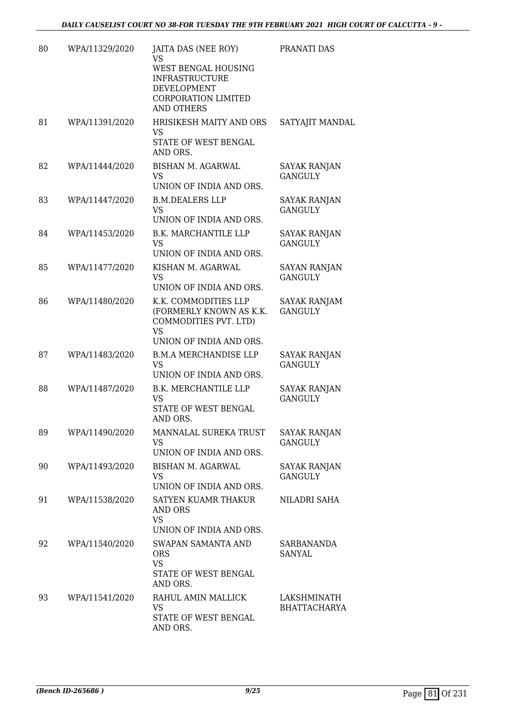| 80 | WPA/11329/2020 | JAITA DAS (NEE ROY)<br>VS<br>WEST BENGAL HOUSING<br><b>INFRASTRUCTURE</b><br>DEVELOPMENT<br><b>CORPORATION LIMITED</b><br><b>AND OTHERS</b> | PRANATI DAS                           |
|----|----------------|---------------------------------------------------------------------------------------------------------------------------------------------|---------------------------------------|
| 81 | WPA/11391/2020 | HRISIKESH MAITY AND ORS<br>VS<br>STATE OF WEST BENGAL<br>AND ORS.                                                                           | SATYAJIT MANDAL                       |
| 82 | WPA/11444/2020 | <b>BISHAN M. AGARWAL</b><br><b>VS</b><br>UNION OF INDIA AND ORS.                                                                            | <b>SAYAK RANJAN</b><br><b>GANGULY</b> |
| 83 | WPA/11447/2020 | <b>B.M.DEALERS LLP</b><br><b>VS</b><br>UNION OF INDIA AND ORS.                                                                              | <b>SAYAK RANJAN</b><br><b>GANGULY</b> |
| 84 | WPA/11453/2020 | <b>B.K. MARCHANTILE LLP</b><br><b>VS</b><br>UNION OF INDIA AND ORS.                                                                         | SAYAK RANJAN<br><b>GANGULY</b>        |
| 85 | WPA/11477/2020 | KISHAN M. AGARWAL<br>VS<br>UNION OF INDIA AND ORS.                                                                                          | <b>SAYAN RANJAN</b><br><b>GANGULY</b> |
| 86 | WPA/11480/2020 | K.K. COMMODITIES LLP<br>(FORMERLY KNOWN AS K.K.<br>COMMODITIES PVT. LTD)<br><b>VS</b><br>UNION OF INDIA AND ORS.                            | SAYAK RANJAM<br><b>GANGULY</b>        |
| 87 | WPA/11483/2020 | <b>B.M.A MERCHANDISE LLP</b><br><b>VS</b><br>UNION OF INDIA AND ORS.                                                                        | SAYAK RANJAN<br><b>GANGULY</b>        |
| 88 | WPA/11487/2020 | <b>B.K. MERCHANTILE LLP</b><br><b>VS</b><br>STATE OF WEST BENGAL<br>AND ORS.                                                                | <b>SAYAK RANJAN</b><br><b>GANGULY</b> |
| 89 | WPA/11490/2020 | MANNALAL SUREKA TRUST<br><b>VS</b><br>UNION OF INDIA AND ORS.                                                                               | <b>SAYAK RANJAN</b><br><b>GANGULY</b> |
| 90 | WPA/11493/2020 | BISHAN M. AGARWAL<br>VS<br>UNION OF INDIA AND ORS.                                                                                          | <b>SAYAK RANJAN</b><br><b>GANGULY</b> |
| 91 | WPA/11538/2020 | <b>SATYEN KUAMR THAKUR</b><br>AND ORS<br><b>VS</b><br>UNION OF INDIA AND ORS.                                                               | NILADRI SAHA                          |
| 92 | WPA/11540/2020 | <b>SWAPAN SAMANTA AND</b><br><b>ORS</b><br><b>VS</b><br>STATE OF WEST BENGAL<br>AND ORS.                                                    | SARBANANDA<br>SANYAL                  |
| 93 | WPA/11541/2020 | RAHUL AMIN MALLICK<br><b>VS</b><br>STATE OF WEST BENGAL<br>AND ORS.                                                                         | LAKSHMINATH<br><b>BHATTACHARYA</b>    |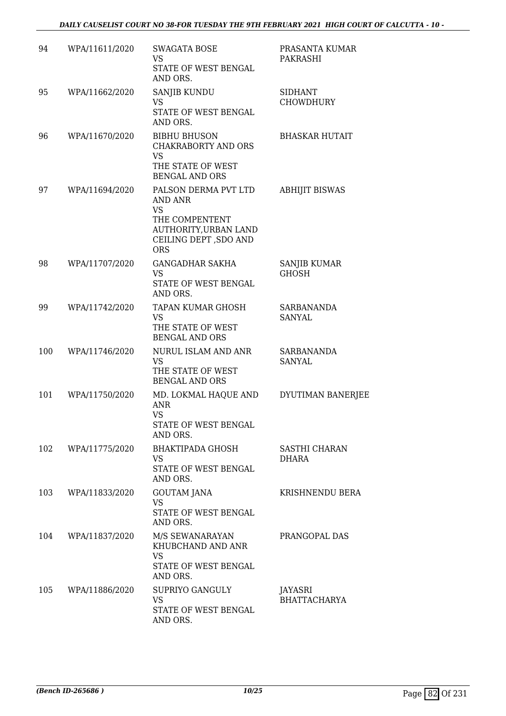| 94  | WPA/11611/2020 | <b>SWAGATA BOSE</b><br>VS<br><b>STATE OF WEST BENGAL</b><br>AND ORS.                                                                   | PRASANTA KUMAR<br>PAKRASHI         |
|-----|----------------|----------------------------------------------------------------------------------------------------------------------------------------|------------------------------------|
| 95  | WPA/11662/2020 | <b>SANJIB KUNDU</b><br>VS.<br>STATE OF WEST BENGAL<br>AND ORS.                                                                         | <b>SIDHANT</b><br><b>CHOWDHURY</b> |
| 96  | WPA/11670/2020 | <b>BIBHU BHUSON</b><br><b>CHAKRABORTY AND ORS</b><br><b>VS</b><br>THE STATE OF WEST<br><b>BENGAL AND ORS</b>                           | <b>BHASKAR HUTAIT</b>              |
| 97  | WPA/11694/2020 | PALSON DERMA PVT LTD<br>AND ANR<br><b>VS</b><br>THE COMPENTENT<br><b>AUTHORITY, URBAN LAND</b><br>CEILING DEPT , SDO AND<br><b>ORS</b> | <b>ABHIJIT BISWAS</b>              |
| 98  | WPA/11707/2020 | <b>GANGADHAR SAKHA</b><br>VS<br>STATE OF WEST BENGAL<br>AND ORS.                                                                       | SANJIB KUMAR<br><b>GHOSH</b>       |
| 99  | WPA/11742/2020 | TAPAN KUMAR GHOSH<br><b>VS</b><br>THE STATE OF WEST<br><b>BENGAL AND ORS</b>                                                           | <b>SARBANANDA</b><br>SANYAL        |
| 100 | WPA/11746/2020 | NURUL ISLAM AND ANR<br><b>VS</b><br>THE STATE OF WEST<br><b>BENGAL AND ORS</b>                                                         | SARBANANDA<br><b>SANYAL</b>        |
| 101 | WPA/11750/2020 | MD. LOKMAL HAQUE AND<br>ANR<br><b>VS</b><br>STATE OF WEST BENGAL<br>AND ORS.                                                           | DYUTIMAN BANERJEE                  |
| 102 | WPA/11775/2020 | <b>BHAKTIPADA GHOSH</b><br>VS<br>STATE OF WEST BENGAL<br>AND ORS.                                                                      | SASTHI CHARAN<br>DHARA             |
| 103 | WPA/11833/2020 | <b>GOUTAM JANA</b><br>VS<br>STATE OF WEST BENGAL<br>AND ORS.                                                                           | KRISHNENDU BERA                    |
| 104 | WPA/11837/2020 | M/S SEWANARAYAN<br>KHUBCHAND AND ANR<br><b>VS</b><br>STATE OF WEST BENGAL<br>AND ORS.                                                  | PRANGOPAL DAS                      |
| 105 | WPA/11886/2020 | SUPRIYO GANGULY<br><b>VS</b><br>STATE OF WEST BENGAL<br>AND ORS.                                                                       | JAYASRI<br><b>BHATTACHARYA</b>     |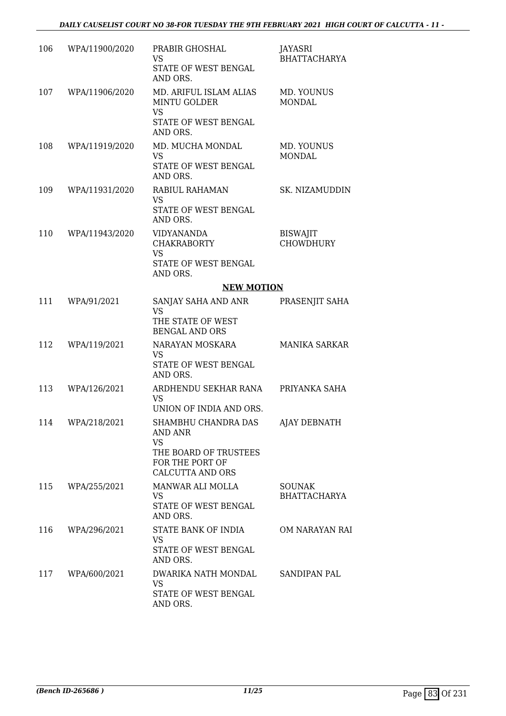| 106 | WPA/11900/2020 | PRABIR GHOSHAL<br>VS.<br>STATE OF WEST BENGAL<br>AND ORS.                                      | JAYASRI<br><b>BHATTACHARYA</b>       |
|-----|----------------|------------------------------------------------------------------------------------------------|--------------------------------------|
| 107 | WPA/11906/2020 | MD. ARIFUL ISLAM ALIAS<br><b>MINTU GOLDER</b><br><b>VS</b><br>STATE OF WEST BENGAL<br>AND ORS. | MD. YOUNUS<br><b>MONDAL</b>          |
| 108 | WPA/11919/2020 | MD. MUCHA MONDAL<br><b>VS</b><br>STATE OF WEST BENGAL<br>AND ORS.                              | MD. YOUNUS<br><b>MONDAL</b>          |
| 109 | WPA/11931/2020 | RABIUL RAHAMAN<br><b>VS</b><br>STATE OF WEST BENGAL<br>AND ORS.                                | SK. NIZAMUDDIN                       |
| 110 | WPA/11943/2020 | <b>VIDYANANDA</b><br><b>CHAKRABORTY</b><br><b>VS</b><br>STATE OF WEST BENGAL<br>AND ORS.       | <b>BISWAJIT</b><br><b>CHOWDHURY</b>  |
|     |                | <b>NEW MOTION</b>                                                                              |                                      |
| 111 | WPA/91/2021    | SANJAY SAHA AND ANR<br><b>VS</b><br>THE STATE OF WEST<br><b>BENGAL AND ORS</b>                 | PRASENJIT SAHA                       |
| 112 | WPA/119/2021   | NARAYAN MOSKARA<br><b>VS</b><br>STATE OF WEST BENGAL<br>AND ORS.                               | <b>MANIKA SARKAR</b>                 |
| 113 | WPA/126/2021   | ARDHENDU SEKHAR RANA<br><b>VS</b><br>UNION OF INDIA AND ORS.                                   | PRIYANKA SAHA                        |
| 114 | WPA/218/2021   | SHAMBHU CHANDRA DAS<br>AND ANR<br><b>VS</b><br>THE BOARD OF TRUSTEES                           | <b>AJAY DEBNATH</b>                  |
|     |                | FOR THE PORT OF<br>CALCUTTA AND ORS                                                            |                                      |
| 115 | WPA/255/2021   | MANWAR ALI MOLLA<br><b>VS</b><br>STATE OF WEST BENGAL<br>AND ORS.                              | <b>SOUNAK</b><br><b>BHATTACHARYA</b> |
| 116 | WPA/296/2021   | STATE BANK OF INDIA<br><b>VS</b><br>STATE OF WEST BENGAL<br>AND ORS.                           | OM NARAYAN RAI                       |
| 117 | WPA/600/2021   | DWARIKA NATH MONDAL<br>VS<br>STATE OF WEST BENGAL<br>AND ORS.                                  | SANDIPAN PAL                         |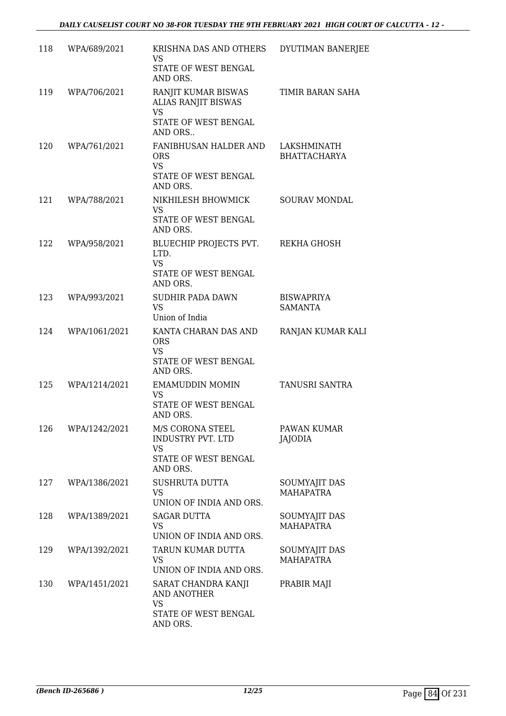| 118 | WPA/689/2021  | KRISHNA DAS AND OTHERS<br>VS.<br>STATE OF WEST BENGAL<br>AND ORS.                           | DYUTIMAN BANERJEE                   |
|-----|---------------|---------------------------------------------------------------------------------------------|-------------------------------------|
| 119 | WPA/706/2021  | RANJIT KUMAR BISWAS<br>ALIAS RANJIT BISWAS<br><b>VS</b><br>STATE OF WEST BENGAL             | TIMIR BARAN SAHA                    |
|     |               | AND ORS                                                                                     |                                     |
| 120 | WPA/761/2021  | FANIBHUSAN HALDER AND<br><b>ORS</b><br><b>VS</b><br>STATE OF WEST BENGAL<br>AND ORS.        | LAKSHMINATH<br><b>BHATTACHARYA</b>  |
| 121 | WPA/788/2021  | NIKHILESH BHOWMICK<br><b>VS</b><br>STATE OF WEST BENGAL                                     | SOURAV MONDAL                       |
| 122 | WPA/958/2021  | AND ORS.<br>BLUECHIP PROJECTS PVT.<br>LTD.<br><b>VS</b><br>STATE OF WEST BENGAL<br>AND ORS. | REKHA GHOSH                         |
| 123 | WPA/993/2021  | SUDHIR PADA DAWN<br><b>VS</b><br>Union of India                                             | <b>BISWAPRIYA</b><br><b>SAMANTA</b> |
| 124 | WPA/1061/2021 | KANTA CHARAN DAS AND<br><b>ORS</b><br><b>VS</b><br>STATE OF WEST BENGAL<br>AND ORS.         | RANJAN KUMAR KALI                   |
| 125 | WPA/1214/2021 | <b>EMAMUDDIN MOMIN</b><br>VS<br>STATE OF WEST BENGAL<br>AND ORS.                            | TANUSRI SANTRA                      |
| 126 | WPA/1242/2021 | M/S CORONA STEEL<br>INDUSTRY PVT. LTD<br><b>VS</b><br>STATE OF WEST BENGAL<br>AND ORS.      | PAWAN KUMAR<br>JAJODIA              |
| 127 | WPA/1386/2021 | <b>SUSHRUTA DUTTA</b><br>VS<br>UNION OF INDIA AND ORS.                                      | SOUMYAJIT DAS<br><b>MAHAPATRA</b>   |
| 128 | WPA/1389/2021 | <b>SAGAR DUTTA</b><br>VS<br>UNION OF INDIA AND ORS.                                         | SOUMYAJIT DAS<br><b>MAHAPATRA</b>   |
| 129 | WPA/1392/2021 | TARUN KUMAR DUTTA<br><b>VS</b><br>UNION OF INDIA AND ORS.                                   | SOUMYAJIT DAS<br><b>MAHAPATRA</b>   |
| 130 | WPA/1451/2021 | SARAT CHANDRA KANJI<br>AND ANOTHER<br><b>VS</b>                                             | PRABIR MAJI                         |
|     |               | STATE OF WEST BENGAL<br>AND ORS.                                                            |                                     |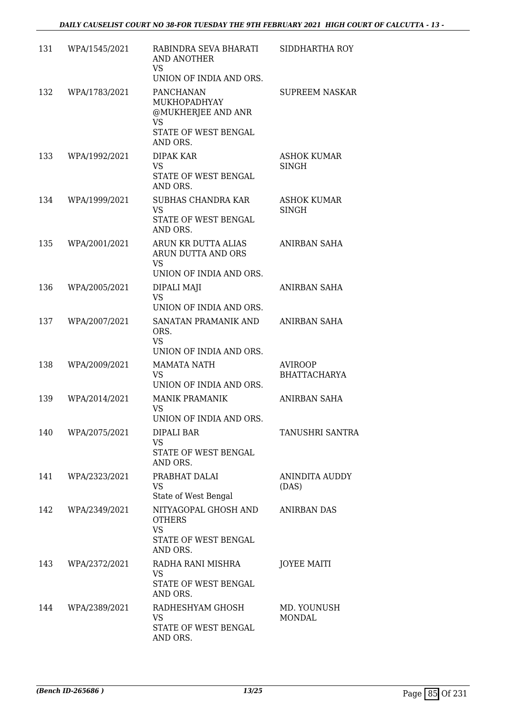| 131 | WPA/1545/2021 | RABINDRA SEVA BHARATI<br>AND ANOTHER<br><b>VS</b><br>UNION OF INDIA AND ORS.                     | SIDDHARTHA ROY                        |
|-----|---------------|--------------------------------------------------------------------------------------------------|---------------------------------------|
| 132 | WPA/1783/2021 | PANCHANAN<br><b>MUKHOPADHYAY</b><br>@MUKHERJEE AND ANR<br>VS<br>STATE OF WEST BENGAL<br>AND ORS. | <b>SUPREEM NASKAR</b>                 |
| 133 | WPA/1992/2021 | DIPAK KAR<br><b>VS</b><br>STATE OF WEST BENGAL<br>AND ORS.                                       | <b>ASHOK KUMAR</b><br>SINGH           |
| 134 | WPA/1999/2021 | <b>SUBHAS CHANDRA KAR</b><br><b>VS</b><br>STATE OF WEST BENGAL<br>AND ORS.                       | <b>ASHOK KUMAR</b><br>SINGH           |
| 135 | WPA/2001/2021 | ARUN KR DUTTA ALIAS<br>ARUN DUTTA AND ORS<br><b>VS</b><br>UNION OF INDIA AND ORS.                | <b>ANIRBAN SAHA</b>                   |
| 136 | WPA/2005/2021 | DIPALI MAJI<br><b>VS</b><br>UNION OF INDIA AND ORS.                                              | ANIRBAN SAHA                          |
| 137 | WPA/2007/2021 | SANATAN PRAMANIK AND<br>ORS.<br><b>VS</b><br>UNION OF INDIA AND ORS.                             | ANIRBAN SAHA                          |
| 138 | WPA/2009/2021 | <b>MAMATA NATH</b><br><b>VS</b><br>UNION OF INDIA AND ORS.                                       | <b>AVIROOP</b><br><b>BHATTACHARYA</b> |
| 139 | WPA/2014/2021 | <b>MANIK PRAMANIK</b><br>VS<br>UNION OF INDIA AND ORS.                                           | ANIRBAN SAHA                          |
| 140 | WPA/2075/2021 | DIPALI BAR<br><b>VS</b><br>STATE OF WEST BENGAL<br>AND ORS.                                      | TANUSHRI SANTRA                       |
| 141 | WPA/2323/2021 | PRABHAT DALAI<br>VS<br>State of West Bengal                                                      | <b>ANINDITA AUDDY</b><br>(DAS)        |
| 142 | WPA/2349/2021 | NITYAGOPAL GHOSH AND<br><b>OTHERS</b><br><b>VS</b><br>STATE OF WEST BENGAL<br>AND ORS.           | ANIRBAN DAS                           |
| 143 | WPA/2372/2021 | RADHA RANI MISHRA<br><b>VS</b><br>STATE OF WEST BENGAL<br>AND ORS.                               | <b>JOYEE MAITI</b>                    |
| 144 | WPA/2389/2021 | RADHESHYAM GHOSH<br>VS<br>STATE OF WEST BENGAL<br>AND ORS.                                       | MD. YOUNUSH<br><b>MONDAL</b>          |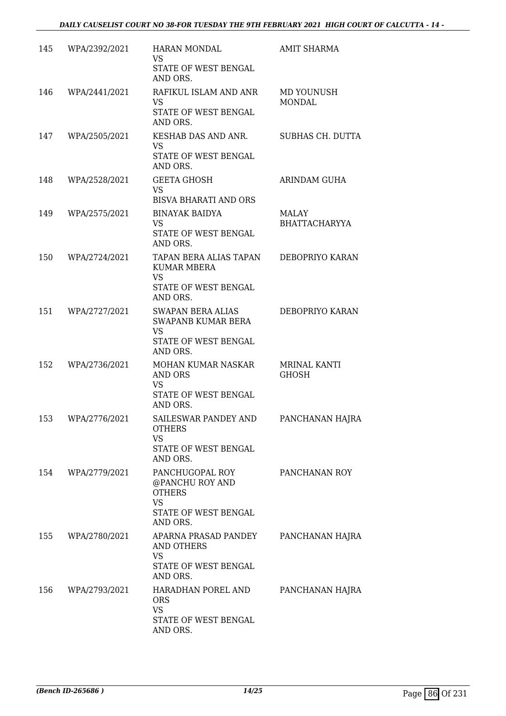| 145 | WPA/2392/2021 | <b>HARAN MONDAL</b><br><b>VS</b><br>STATE OF WEST BENGAL<br>AND ORS.                                   | <b>AMIT SHARMA</b>                  |
|-----|---------------|--------------------------------------------------------------------------------------------------------|-------------------------------------|
| 146 | WPA/2441/2021 | RAFIKUL ISLAM AND ANR<br>VS<br>STATE OF WEST BENGAL<br>AND ORS.                                        | MD YOUNUSH<br><b>MONDAL</b>         |
| 147 | WPA/2505/2021 | KESHAB DAS AND ANR.<br><b>VS</b><br>STATE OF WEST BENGAL<br>AND ORS.                                   | SUBHAS CH. DUTTA                    |
| 148 | WPA/2528/2021 | <b>GEETA GHOSH</b><br><b>VS</b><br><b>BISVA BHARATI AND ORS</b>                                        | ARINDAM GUHA                        |
| 149 | WPA/2575/2021 | <b>BINAYAK BAIDYA</b><br><b>VS</b><br>STATE OF WEST BENGAL<br>AND ORS.                                 | MALAY<br><b>BHATTACHARYYA</b>       |
| 150 | WPA/2724/2021 | TAPAN BERA ALIAS TAPAN<br>KUMAR MBERA<br><b>VS</b><br>STATE OF WEST BENGAL<br>AND ORS.                 | DEBOPRIYO KARAN                     |
| 151 | WPA/2727/2021 | <b>SWAPAN BERA ALIAS</b><br><b>SWAPANB KUMAR BERA</b><br><b>VS</b><br>STATE OF WEST BENGAL<br>AND ORS. | DEBOPRIYO KARAN                     |
| 152 | WPA/2736/2021 | MOHAN KUMAR NASKAR<br><b>AND ORS</b><br><b>VS</b><br>STATE OF WEST BENGAL<br>AND ORS.                  | <b>MRINAL KANTI</b><br><b>GHOSH</b> |
| 153 | WPA/2776/2021 | SAILESWAR PANDEY AND<br><b>OTHERS</b><br><b>VS</b><br>STATE OF WEST BENGAL<br>AND ORS.                 | PANCHANAN HAJRA                     |
| 154 | WPA/2779/2021 | PANCHUGOPAL ROY<br>@PANCHU ROY AND<br><b>OTHERS</b><br><b>VS</b><br>STATE OF WEST BENGAL<br>AND ORS.   | PANCHANAN ROY                       |
| 155 | WPA/2780/2021 | APARNA PRASAD PANDEY<br>AND OTHERS<br>VS<br>STATE OF WEST BENGAL<br>AND ORS.                           | PANCHANAN HAJRA                     |
| 156 | WPA/2793/2021 | HARADHAN POREL AND<br><b>ORS</b><br><b>VS</b><br>STATE OF WEST BENGAL<br>AND ORS.                      | PANCHANAN HAJRA                     |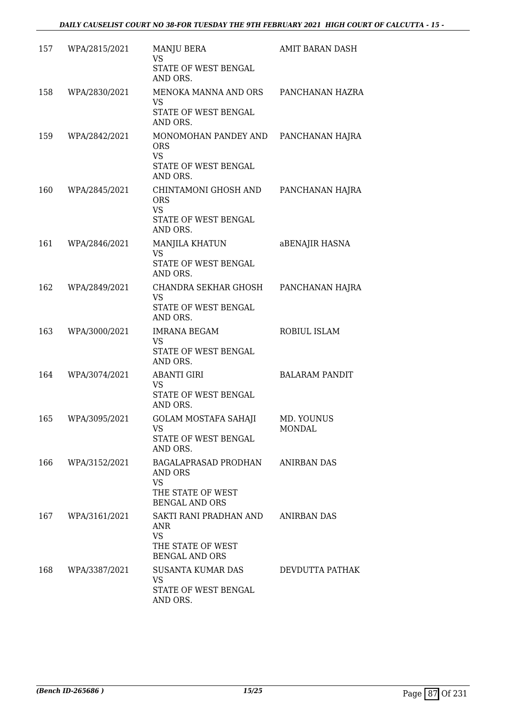| 157 | WPA/2815/2021 | <b>MANJU BERA</b><br><b>VS</b><br>STATE OF WEST BENGAL<br>AND ORS.                                   | AMIT BARAN DASH             |
|-----|---------------|------------------------------------------------------------------------------------------------------|-----------------------------|
| 158 | WPA/2830/2021 | MENOKA MANNA AND ORS PANCHANAN HAZRA<br>VS<br>STATE OF WEST BENGAL<br>AND ORS.                       |                             |
| 159 | WPA/2842/2021 | MONOMOHAN PANDEY AND PANCHANAN HAJRA<br><b>ORS</b><br><b>VS</b><br>STATE OF WEST BENGAL<br>AND ORS.  |                             |
| 160 | WPA/2845/2021 | CHINTAMONI GHOSH AND<br><b>ORS</b><br><b>VS</b><br>STATE OF WEST BENGAL<br>AND ORS.                  | PANCHANAN HAJRA             |
| 161 | WPA/2846/2021 | <b>MANJILA KHATUN</b><br><b>VS</b><br>STATE OF WEST BENGAL<br>AND ORS.                               | aBENAJIR HASNA              |
| 162 | WPA/2849/2021 | CHANDRA SEKHAR GHOSH<br><b>VS</b><br>STATE OF WEST BENGAL<br>AND ORS.                                | PANCHANAN HAJRA             |
| 163 | WPA/3000/2021 | <b>IMRANA BEGAM</b><br>VS<br>STATE OF WEST BENGAL<br>AND ORS.                                        | ROBIUL ISLAM                |
| 164 | WPA/3074/2021 | <b>ABANTI GIRI</b><br><b>VS</b><br>STATE OF WEST BENGAL<br>AND ORS.                                  | <b>BALARAM PANDIT</b>       |
| 165 | WPA/3095/2021 | <b>GOLAM MOSTAFA SAHAJI</b><br>VS<br>STATE OF WEST BENGAL<br>AND ORS.                                | MD. YOUNUS<br><b>MONDAL</b> |
| 166 | WPA/3152/2021 | BAGALAPRASAD PRODHAN<br>AND ORS<br><b>VS</b><br>THE STATE OF WEST<br><b>BENGAL AND ORS</b>           | ANIRBAN DAS                 |
| 167 | WPA/3161/2021 | SAKTI RANI PRADHAN AND ANIRBAN DAS<br>ANR<br><b>VS</b><br>THE STATE OF WEST<br><b>BENGAL AND ORS</b> |                             |
| 168 | WPA/3387/2021 | SUSANTA KUMAR DAS<br><b>VS</b><br>STATE OF WEST BENGAL<br>AND ORS.                                   | DEVDUTTA PATHAK             |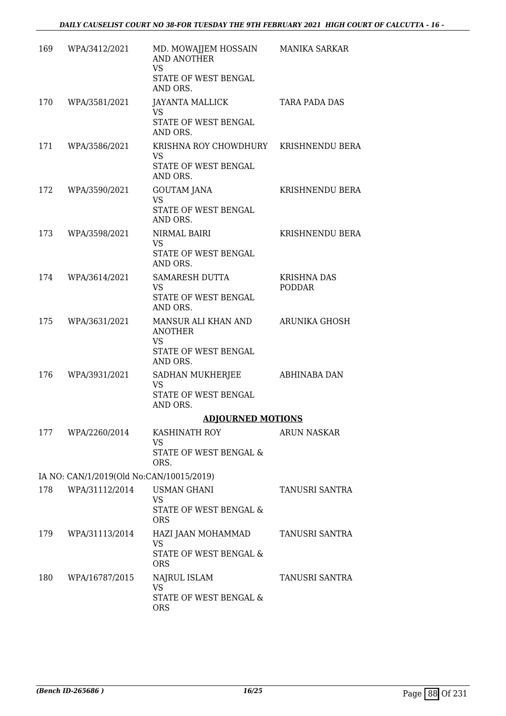| 169 | WPA/3412/2021                            | MD. MOWAJJEM HOSSAIN<br>AND ANOTHER<br><b>VS</b><br>STATE OF WEST BENGAL<br>AND ORS. | <b>MANIKA SARKAR</b>         |
|-----|------------------------------------------|--------------------------------------------------------------------------------------|------------------------------|
| 170 | WPA/3581/2021                            | JAYANTA MALLICK<br><b>VS</b><br>STATE OF WEST BENGAL<br>AND ORS.                     | TARA PADA DAS                |
| 171 | WPA/3586/2021                            | KRISHNA ROY CHOWDHURY<br>VS.<br>STATE OF WEST BENGAL<br>AND ORS.                     | KRISHNENDU BERA              |
| 172 | WPA/3590/2021                            | <b>GOUTAM JANA</b><br><b>VS</b><br>STATE OF WEST BENGAL<br>AND ORS.                  | KRISHNENDU BERA              |
| 173 | WPA/3598/2021                            | NIRMAL BAIRI<br>VS.<br>STATE OF WEST BENGAL<br>AND ORS.                              | KRISHNENDU BERA              |
| 174 | WPA/3614/2021                            | SAMARESH DUTTA<br>VS.<br>STATE OF WEST BENGAL<br>AND ORS.                            | <b>KRISHNA DAS</b><br>PODDAR |
| 175 | WPA/3631/2021                            | MANSUR ALI KHAN AND<br><b>ANOTHER</b><br>VS<br>STATE OF WEST BENGAL<br>AND ORS.      | ARUNIKA GHOSH                |
| 176 | WPA/3931/2021                            | SADHAN MUKHERJEE<br><b>VS</b><br>STATE OF WEST BENGAL<br>AND ORS.                    | ABHINABA DAN                 |
|     |                                          | <b>ADJOURNED MOTIONS</b>                                                             |                              |
|     | 177 WPA/2260/2014                        | KASHINATH ROY<br>VS.<br>STATE OF WEST BENGAL &<br>ORS.                               | ARUN NASKAR                  |
|     | IA NO: CAN/1/2019(Old No:CAN/10015/2019) |                                                                                      |                              |
| 178 | WPA/31112/2014                           | <b>USMAN GHANI</b><br><b>VS</b><br>STATE OF WEST BENGAL &<br><b>ORS</b>              | TANUSRI SANTRA               |
| 179 | WPA/31113/2014                           | HAZI JAAN MOHAMMAD<br>VS<br>STATE OF WEST BENGAL &<br><b>ORS</b>                     | TANUSRI SANTRA               |
| 180 | WPA/16787/2015                           | NAJRUL ISLAM<br>VS.<br>STATE OF WEST BENGAL &<br><b>ORS</b>                          | TANUSRI SANTRA               |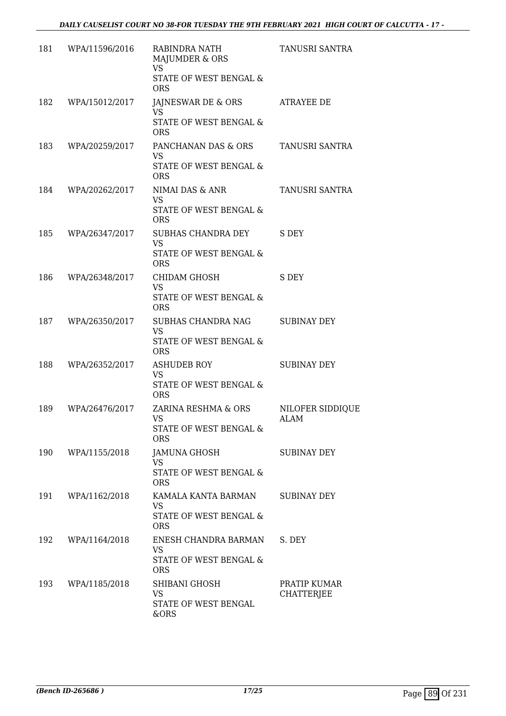| 181 | WPA/11596/2016 | RABINDRA NATH<br>MAJUMDER & ORS<br><b>VS</b><br>STATE OF WEST BENGAL &              | TANUSRI SANTRA                    |
|-----|----------------|-------------------------------------------------------------------------------------|-----------------------------------|
| 182 | WPA/15012/2017 | <b>ORS</b><br>JAJNESWAR DE & ORS<br><b>VS</b>                                       | ATRAYEE DE                        |
|     |                | STATE OF WEST BENGAL &<br><b>ORS</b>                                                |                                   |
| 183 | WPA/20259/2017 | PANCHANAN DAS & ORS<br><b>VS</b><br>STATE OF WEST BENGAL &                          | TANUSRI SANTRA                    |
| 184 | WPA/20262/2017 | <b>ORS</b><br>NIMAI DAS & ANR<br>VS<br>STATE OF WEST BENGAL &<br><b>ORS</b>         | TANUSRI SANTRA                    |
| 185 | WPA/26347/2017 | SUBHAS CHANDRA DEY<br><b>VS</b><br>STATE OF WEST BENGAL &<br><b>ORS</b>             | S DEY                             |
| 186 | WPA/26348/2017 | CHIDAM GHOSH<br><b>VS</b><br>STATE OF WEST BENGAL &<br><b>ORS</b>                   | S DEY                             |
| 187 | WPA/26350/2017 | SUBHAS CHANDRA NAG<br><b>VS</b><br>STATE OF WEST BENGAL &<br><b>ORS</b>             | <b>SUBINAY DEY</b>                |
| 188 | WPA/26352/2017 | <b>ASHUDEB ROY</b><br><b>VS</b><br>STATE OF WEST BENGAL &<br><b>ORS</b>             | <b>SUBINAY DEY</b>                |
| 189 | WPA/26476/2017 | ZARINA RESHMA & ORS<br>VS<br>STATE OF WEST BENGAL &<br><b>ORS</b>                   | NILOFER SIDDIOUE<br>ALAM          |
| 190 | WPA/1155/2018  | JAMUNA GHOSH<br>VS.<br>STATE OF WEST BENGAL &<br><b>ORS</b>                         | <b>SUBINAY DEY</b>                |
| 191 | WPA/1162/2018  | KAMALA KANTA BARMAN<br><b>VS</b><br><b>STATE OF WEST BENGAL &amp;</b><br><b>ORS</b> | <b>SUBINAY DEY</b>                |
| 192 | WPA/1164/2018  | ENESH CHANDRA BARMAN<br><b>VS</b><br>STATE OF WEST BENGAL &<br><b>ORS</b>           | S. DEY                            |
| 193 | WPA/1185/2018  | SHIBANI GHOSH<br><b>VS</b><br>STATE OF WEST BENGAL<br>&ORS                          | PRATIP KUMAR<br><b>CHATTERJEE</b> |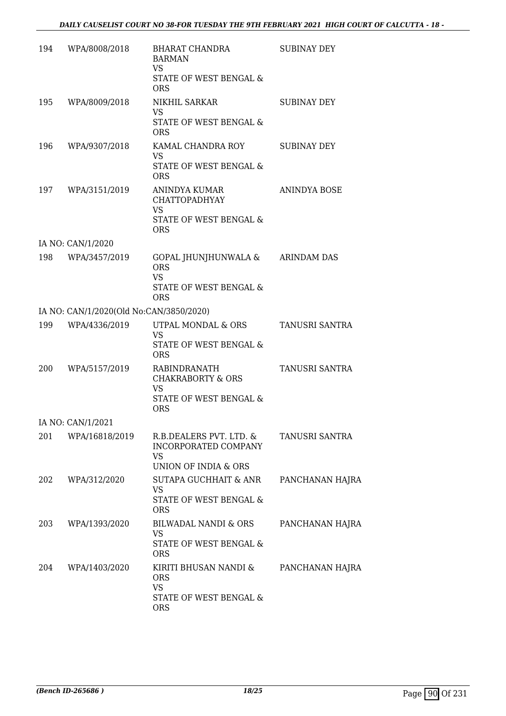| 194 | WPA/8008/2018                           | BHARAT CHANDRA<br><b>BARMAN</b><br>VS<br>STATE OF WEST BENGAL &<br><b>ORS</b>                             | <b>SUBINAY DEY</b> |
|-----|-----------------------------------------|-----------------------------------------------------------------------------------------------------------|--------------------|
| 195 | WPA/8009/2018                           | NIKHIL SARKAR<br>VS.<br>STATE OF WEST BENGAL &<br><b>ORS</b>                                              | <b>SUBINAY DEY</b> |
| 196 | WPA/9307/2018                           | KAMAL CHANDRA ROY<br>VS.<br>STATE OF WEST BENGAL &<br><b>ORS</b>                                          | SUBINAY DEY        |
| 197 | WPA/3151/2019                           | ANINDYA KUMAR<br><b>CHATTOPADHYAY</b><br><b>VS</b><br>STATE OF WEST BENGAL &<br><b>ORS</b>                | ANINDYA BOSE       |
|     | IA NO: CAN/1/2020                       |                                                                                                           |                    |
| 198 | WPA/3457/2019                           | GOPAL JHUNJHUNWALA &<br><b>ORS</b><br><b>VS</b><br>STATE OF WEST BENGAL &<br><b>ORS</b>                   | <b>ARINDAM DAS</b> |
|     | IA NO: CAN/1/2020(Old No:CAN/3850/2020) |                                                                                                           |                    |
| 199 | WPA/4336/2019                           | UTPAL MONDAL & ORS<br>VS.<br>STATE OF WEST BENGAL &                                                       | TANUSRI SANTRA     |
| 200 | WPA/5157/2019                           | <b>ORS</b><br>RABINDRANATH<br><b>CHAKRABORTY &amp; ORS</b><br>VS.<br>STATE OF WEST BENGAL &<br><b>ORS</b> | TANUSRI SANTRA     |
|     | IA NO: CAN/1/2021                       |                                                                                                           |                    |
| 201 | WPA/16818/2019                          | R.B.DEALERS PVT. LTD. &<br>INCORPORATED COMPANY<br>VS<br>UNION OF INDIA & ORS                             | TANUSRI SANTRA     |
| 202 | WPA/312/2020                            | SUTAPA GUCHHAIT & ANR<br><b>VS</b><br>STATE OF WEST BENGAL &<br><b>ORS</b>                                | PANCHANAN HAJRA    |
| 203 | WPA/1393/2020                           | BILWADAL NANDI & ORS<br><b>VS</b><br>STATE OF WEST BENGAL &<br><b>ORS</b>                                 | PANCHANAN HAJRA    |
| 204 | WPA/1403/2020                           | KIRITI BHUSAN NANDI &<br><b>ORS</b><br><b>VS</b><br>STATE OF WEST BENGAL &<br><b>ORS</b>                  | PANCHANAN HAJRA    |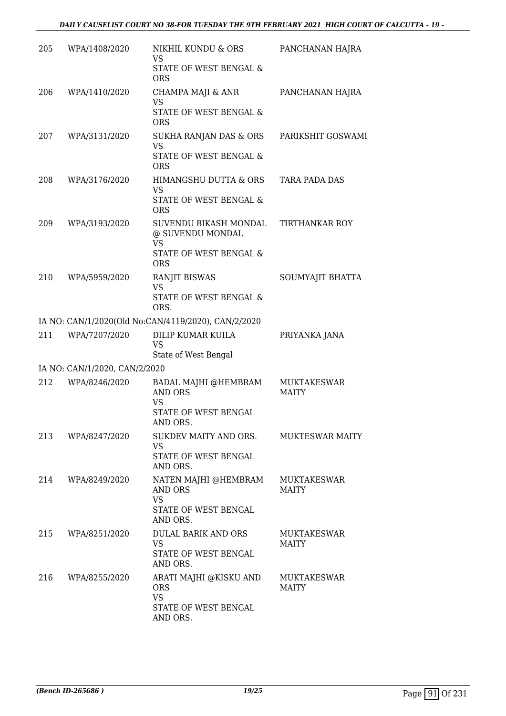| 205 | WPA/1408/2020                 | NIKHIL KUNDU & ORS<br>VS<br>STATE OF WEST BENGAL &                                    | PANCHANAN HAJRA                    |
|-----|-------------------------------|---------------------------------------------------------------------------------------|------------------------------------|
| 206 | WPA/1410/2020                 | <b>ORS</b><br>CHAMPA MAJI & ANR<br>VS<br>STATE OF WEST BENGAL &                       | PANCHANAN HAJRA                    |
|     |                               | <b>ORS</b>                                                                            |                                    |
| 207 | WPA/3131/2020                 | SUKHA RANJAN DAS & ORS<br><b>VS</b><br>STATE OF WEST BENGAL &<br><b>ORS</b>           | PARIKSHIT GOSWAMI                  |
| 208 | WPA/3176/2020                 | HIMANGSHU DUTTA & ORS<br><b>VS</b><br>STATE OF WEST BENGAL &<br><b>ORS</b>            | TARA PADA DAS                      |
| 209 | WPA/3193/2020                 | SUVENDU BIKASH MONDAL<br>@ SUVENDU MONDAL<br><b>VS</b>                                | <b>TIRTHANKAR ROY</b>              |
|     |                               | STATE OF WEST BENGAL &<br><b>ORS</b>                                                  |                                    |
| 210 | WPA/5959/2020                 | <b>RANJIT BISWAS</b><br><b>VS</b><br>STATE OF WEST BENGAL &<br>ORS.                   | SOUMYAJIT BHATTA                   |
|     |                               | IA NO: CAN/1/2020(Old No:CAN/4119/2020), CAN/2/2020                                   |                                    |
| 211 | WPA/7207/2020                 | DILIP KUMAR KUILA<br><b>VS</b><br>State of West Bengal                                | PRIYANKA JANA                      |
|     | IA NO: CAN/1/2020, CAN/2/2020 |                                                                                       |                                    |
| 212 | WPA/8246/2020                 | BADAL MAJHI @HEMBRAM<br><b>AND ORS</b><br><b>VS</b><br>STATE OF WEST BENGAL           | MUKTAKESWAR<br><b>MAITY</b>        |
| 213 | WPA/8247/2020                 | AND ORS.<br>SUKDEV MAITY AND ORS.<br><b>VS</b><br>STATE OF WEST BENGAL<br>AND ORS.    | MUKTESWAR MAITY                    |
| 214 | WPA/8249/2020                 | NATEN MAJHI @HEMBRAM<br>AND ORS<br><b>VS</b><br>STATE OF WEST BENGAL                  | <b>MUKTAKESWAR</b><br><b>MAITY</b> |
| 215 | WPA/8251/2020                 | AND ORS.<br>DULAL BARIK AND ORS<br>VS<br>STATE OF WEST BENGAL<br>AND ORS.             | MUKTAKESWAR<br>MAITY               |
| 216 | WPA/8255/2020                 | ARATI MAJHI @KISKU AND<br><b>ORS</b><br><b>VS</b><br>STATE OF WEST BENGAL<br>AND ORS. | <b>MUKTAKESWAR</b><br><b>MAITY</b> |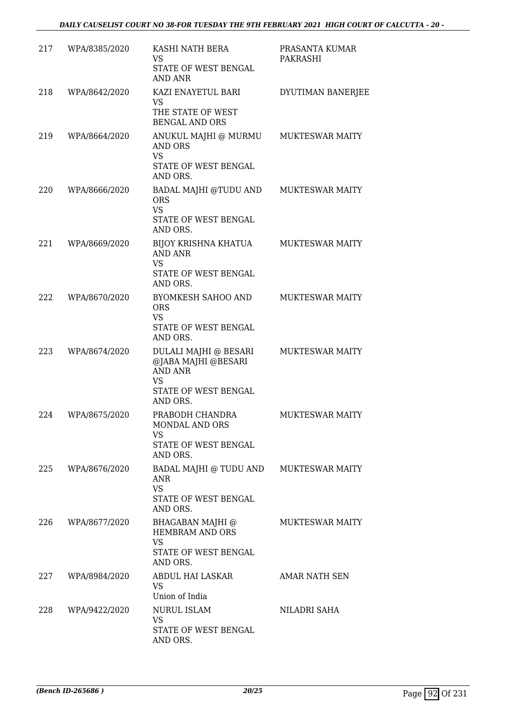| 217 | WPA/8385/2020 | KASHI NATH BERA                                                                                                 | PRASANTA KUMAR         |
|-----|---------------|-----------------------------------------------------------------------------------------------------------------|------------------------|
|     |               | VS<br>STATE OF WEST BENGAL<br><b>AND ANR</b>                                                                    | PAKRASHI               |
| 218 | WPA/8642/2020 | KAZI ENAYETUL BARI                                                                                              | DYUTIMAN BANERJEE      |
|     |               | VS<br>THE STATE OF WEST<br><b>BENGAL AND ORS</b>                                                                |                        |
| 219 | WPA/8664/2020 | ANUKUL MAJHI @ MURMU<br><b>AND ORS</b><br><b>VS</b><br>STATE OF WEST BENGAL<br>AND ORS.                         | <b>MUKTESWAR MAITY</b> |
| 220 | WPA/8666/2020 | BADAL MAJHI @TUDU AND<br><b>ORS</b><br><b>VS</b><br>STATE OF WEST BENGAL<br>AND ORS.                            | <b>MUKTESWAR MAITY</b> |
| 221 | WPA/8669/2020 | BIJOY KRISHNA KHATUA<br><b>AND ANR</b><br><b>VS</b><br>STATE OF WEST BENGAL                                     | <b>MUKTESWAR MAITY</b> |
|     |               | AND ORS.                                                                                                        |                        |
| 222 | WPA/8670/2020 | <b>BYOMKESH SAHOO AND</b><br><b>ORS</b><br><b>VS</b><br>STATE OF WEST BENGAL<br>AND ORS.                        | <b>MUKTESWAR MAITY</b> |
| 223 | WPA/8674/2020 | DULALI MAJHI @ BESARI<br>@JABA MAJHI @BESARI<br><b>AND ANR</b><br><b>VS</b><br>STATE OF WEST BENGAL<br>AND ORS. | <b>MUKTESWAR MAITY</b> |
| 224 | WPA/8675/2020 | PRABODH CHANDRA<br><b>MONDAL AND ORS</b><br><b>VS</b><br>STATE OF WEST BENGAL<br>AND ORS.                       | <b>MUKTESWAR MAITY</b> |
| 225 | WPA/8676/2020 | BADAL MAJHI @ TUDU AND<br>ANR<br><b>VS</b><br>STATE OF WEST BENGAL<br>AND ORS.                                  | <b>MUKTESWAR MAITY</b> |
| 226 | WPA/8677/2020 | BHAGABAN MAJHI @<br>HEMBRAM AND ORS<br><b>VS</b><br>STATE OF WEST BENGAL<br>AND ORS.                            | <b>MUKTESWAR MAITY</b> |
| 227 | WPA/8984/2020 | ABDUL HAI LASKAR<br><b>VS</b><br>Union of India                                                                 | AMAR NATH SEN          |
| 228 | WPA/9422/2020 | NURUL ISLAM<br>VS.<br>STATE OF WEST BENGAL<br>AND ORS.                                                          | NILADRI SAHA           |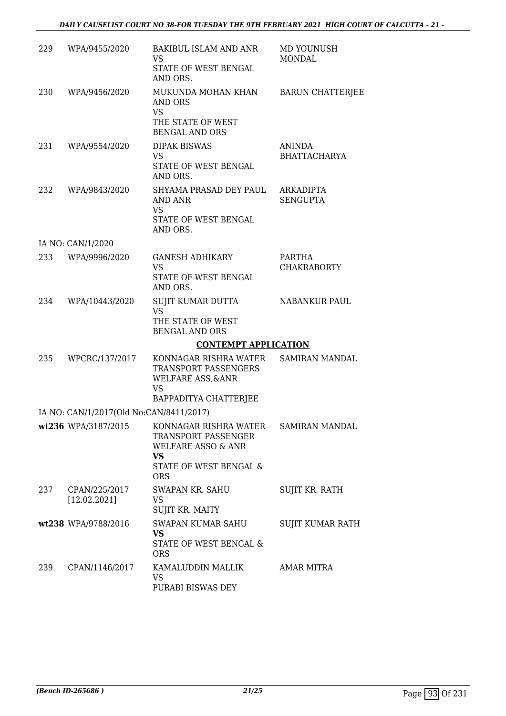## *DAILY CAUSELIST COURT NO 38-FOR TUESDAY THE 9TH FEBRUARY 2021 HIGH COURT OF CALCUTTA - 21 -*

| 229 | WPA/9455/2020                           | BAKIBUL ISLAM AND ANR<br>VS<br>STATE OF WEST BENGAL<br>AND ORS.                                                         | MD YOUNUSH<br><b>MONDAL</b>         |
|-----|-----------------------------------------|-------------------------------------------------------------------------------------------------------------------------|-------------------------------------|
| 230 | WPA/9456/2020                           | MUKUNDA MOHAN KHAN<br>AND ORS<br><b>VS</b><br>THE STATE OF WEST<br><b>BENGAL AND ORS</b>                                | <b>BARUN CHATTERJEE</b>             |
| 231 | WPA/9554/2020                           | <b>DIPAK BISWAS</b><br><b>VS</b><br>STATE OF WEST BENGAL<br>AND ORS.                                                    | ANINDA<br><b>BHATTACHARYA</b>       |
| 232 | WPA/9843/2020                           | SHYAMA PRASAD DEY PAUL<br>AND ANR<br><b>VS</b><br>STATE OF WEST BENGAL<br>AND ORS.                                      | <b>ARKADIPTA</b><br><b>SENGUPTA</b> |
|     | IA NO: CAN/1/2020                       |                                                                                                                         |                                     |
| 233 | WPA/9996/2020                           | <b>GANESH ADHIKARY</b><br><b>VS</b><br>STATE OF WEST BENGAL                                                             | PARTHA<br><b>CHAKRABORTY</b>        |
| 234 | WPA/10443/2020                          | AND ORS.<br>SUJIT KUMAR DUTTA<br><b>VS</b><br>THE STATE OF WEST<br><b>BENGAL AND ORS</b>                                | NABANKUR PAUL                       |
|     |                                         | <b>CONTEMPT APPLICATION</b>                                                                                             |                                     |
| 235 | WPCRC/137/2017                          | KONNAGAR RISHRA WATER<br>TRANSPORT PASSENGERS<br><b>WELFARE ASS, &amp; ANR</b><br><b>VS</b><br>BAPPADITYA CHATTERJEE    | <b>SAMIRAN MANDAL</b>               |
|     | IA NO: CAN/1/2017(Old No:CAN/8411/2017) |                                                                                                                         |                                     |
|     | wt236 WPA/3187/2015                     | KONNAGAR RISHRA WATER<br>TRANSPORT PASSENGER<br>WELFARE ASSO & ANR<br><b>VS</b><br>STATE OF WEST BENGAL &<br><b>ORS</b> | <b>SAMIRAN MANDAL</b>               |
| 237 | CPAN/225/2017<br>[12.02.2021]           | SWAPAN KR. SAHU<br>VS.<br>SUJIT KR. MAITY                                                                               | SUJIT KR. RATH                      |
|     | wt238 WPA/9788/2016                     | SWAPAN KUMAR SAHU<br><b>VS</b><br>STATE OF WEST BENGAL &<br><b>ORS</b>                                                  | SUJIT KUMAR RATH                    |
| 239 | CPAN/1146/2017                          | KAMALUDDIN MALLIK<br>VS<br>PURABI BISWAS DEY                                                                            | AMAR MITRA                          |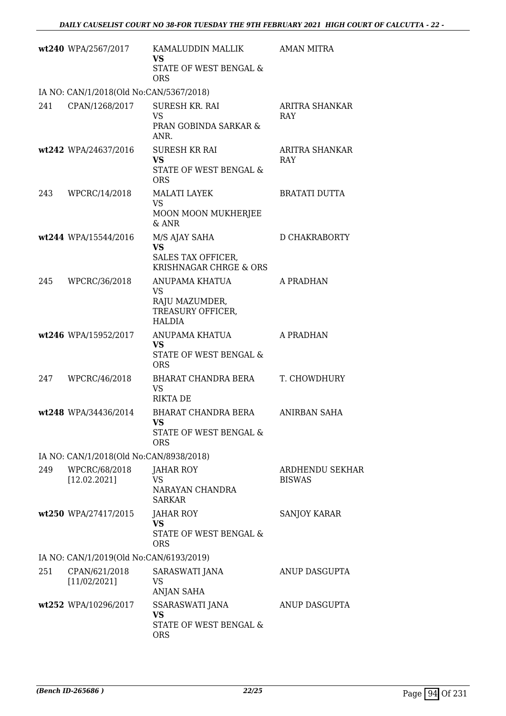|     | wt240 WPA/2567/2017                     | KAMALUDDIN MALLIK<br><b>VS</b><br>STATE OF WEST BENGAL &<br><b>ORS</b>       | <b>AMAN MITRA</b>                |
|-----|-----------------------------------------|------------------------------------------------------------------------------|----------------------------------|
|     | IA NO: CAN/1/2018(Old No:CAN/5367/2018) |                                                                              |                                  |
| 241 | CPAN/1268/2017                          | SURESH KR. RAI<br><b>VS</b><br>PRAN GOBINDA SARKAR &<br>ANR.                 | ARITRA SHANKAR<br><b>RAY</b>     |
|     | wt242 WPA/24637/2016                    | <b>SURESH KR RAI</b><br><b>VS</b><br>STATE OF WEST BENGAL &<br><b>ORS</b>    | ARITRA SHANKAR<br><b>RAY</b>     |
| 243 | WPCRC/14/2018                           | <b>MALATI LAYEK</b><br><b>VS</b><br>MOON MOON MUKHERJEE<br>& ANR             | <b>BRATATI DUTTA</b>             |
|     | wt244 WPA/15544/2016                    | M/S AJAY SAHA<br><b>VS</b><br>SALES TAX OFFICER,<br>KRISHNAGAR CHRGE & ORS   | D CHAKRABORTY                    |
| 245 | WPCRC/36/2018                           | ANUPAMA KHATUA<br>VS<br>RAJU MAZUMDER,<br>TREASURY OFFICER,<br><b>HALDIA</b> | A PRADHAN                        |
|     | wt246 WPA/15952/2017                    | ANUPAMA KHATUA<br><b>VS</b><br>STATE OF WEST BENGAL &<br><b>ORS</b>          | A PRADHAN                        |
| 247 | WPCRC/46/2018                           | BHARAT CHANDRA BERA<br><b>VS</b><br><b>RIKTA DE</b>                          | T. CHOWDHURY                     |
|     | wt248 WPA/34436/2014                    | BHARAT CHANDRA BERA<br>VS.<br>STATE OF WEST BENGAL &<br><b>ORS</b>           | ANIRBAN SAHA                     |
|     | IA NO: CAN/1/2018(Old No:CAN/8938/2018) |                                                                              |                                  |
| 249 | WPCRC/68/2018<br>[12.02.2021]           | JAHAR ROY<br>VS<br>NARAYAN CHANDRA<br><b>SARKAR</b>                          | ARDHENDU SEKHAR<br><b>BISWAS</b> |
|     | wt250 WPA/27417/2015                    | <b>JAHAR ROY</b><br><b>VS</b><br>STATE OF WEST BENGAL &<br><b>ORS</b>        | SANJOY KARAR                     |
|     | IA NO: CAN/1/2019(Old No:CAN/6193/2019) |                                                                              |                                  |
| 251 | CPAN/621/2018<br>[11/02/2021]           | SARASWATI JANA<br><b>VS</b><br><b>ANJAN SAHA</b>                             | ANUP DASGUPTA                    |
|     | wt252 WPA/10296/2017                    | SSARASWATI JANA<br><b>VS</b><br>STATE OF WEST BENGAL &<br><b>ORS</b>         | ANUP DASGUPTA                    |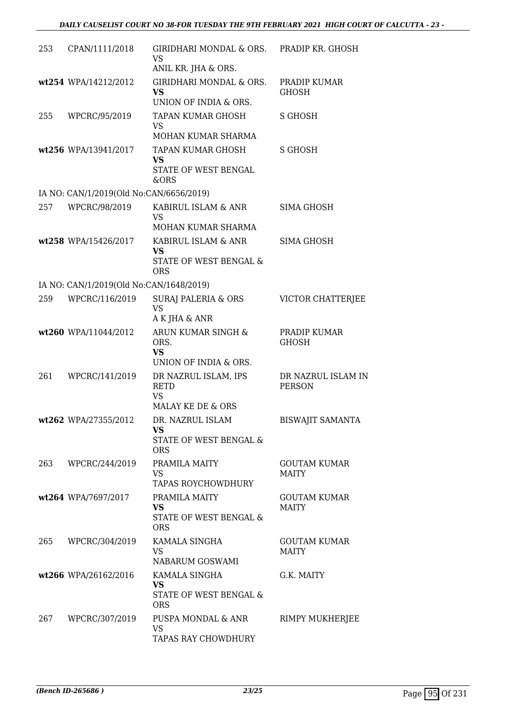| 253 | CPAN/1111/2018                          | GIRIDHARI MONDAL & ORS. PRADIP KR. GHOSH<br>VS<br>ANIL KR. JHA & ORS.                          |                                     |
|-----|-----------------------------------------|------------------------------------------------------------------------------------------------|-------------------------------------|
|     | wt254 WPA/14212/2012                    | GIRIDHARI MONDAL & ORS.<br>VS<br>UNION OF INDIA & ORS.                                         | PRADIP KUMAR<br><b>GHOSH</b>        |
| 255 | WPCRC/95/2019                           | TAPAN KUMAR GHOSH<br><b>VS</b>                                                                 | S GHOSH                             |
|     |                                         | MOHAN KUMAR SHARMA                                                                             |                                     |
|     | wt256 WPA/13941/2017                    | TAPAN KUMAR GHOSH<br><b>VS</b><br>STATE OF WEST BENGAL<br>&ORS                                 | <b>S GHOSH</b>                      |
|     | IA NO: CAN/1/2019(Old No:CAN/6656/2019) |                                                                                                |                                     |
| 257 | WPCRC/98/2019                           | KABIRUL ISLAM & ANR<br><b>VS</b>                                                               | <b>SIMA GHOSH</b>                   |
|     |                                         | MOHAN KUMAR SHARMA                                                                             |                                     |
|     | wt258 WPA/15426/2017                    | KABIRUL ISLAM & ANR<br><b>VS</b>                                                               | <b>SIMA GHOSH</b>                   |
|     |                                         | STATE OF WEST BENGAL &<br><b>ORS</b>                                                           |                                     |
|     | IA NO: CAN/1/2019(Old No:CAN/1648/2019) |                                                                                                |                                     |
| 259 | WPCRC/116/2019                          | <b>SURAJ PALERIA &amp; ORS</b><br><b>VS</b><br>A K JHA & ANR                                   | VICTOR CHATTERJEE                   |
|     | wt260 WPA/11044/2012                    | ARUN KUMAR SINGH &<br>ORS.<br><b>VS</b>                                                        | PRADIP KUMAR<br><b>GHOSH</b>        |
| 261 | WPCRC/141/2019                          | UNION OF INDIA & ORS.<br>DR NAZRUL ISLAM, IPS<br><b>RETD</b><br><b>VS</b><br>MALAY KE DE & ORS | DR NAZRUL ISLAM IN<br><b>PERSON</b> |
|     | wt262 WPA/27355/2012                    | DR. NAZRUL ISLAM<br>VS.<br>STATE OF WEST BENGAL &<br><b>ORS</b>                                | <b>BISWAJIT SAMANTA</b>             |
|     | 263 WPCRC/244/2019                      | PRAMILA MAITY<br>VS<br>TAPAS ROYCHOWDHURY                                                      | <b>GOUTAM KUMAR</b><br><b>MAITY</b> |
|     | wt264 WPA/7697/2017                     | PRAMILA MAITY<br><b>VS</b><br>STATE OF WEST BENGAL &<br><b>ORS</b>                             | <b>GOUTAM KUMAR</b><br><b>MAITY</b> |
| 265 | WPCRC/304/2019                          | KAMALA SINGHA<br><b>VS</b><br>NABARUM GOSWAMI                                                  | <b>GOUTAM KUMAR</b><br><b>MAITY</b> |
|     | wt266 WPA/26162/2016                    | KAMALA SINGHA<br><b>VS</b><br>STATE OF WEST BENGAL &<br><b>ORS</b>                             | G.K. MAITY                          |
| 267 | WPCRC/307/2019                          | PUSPA MONDAL & ANR<br><b>VS</b><br>TAPAS RAY CHOWDHURY                                         | RIMPY MUKHERJEE                     |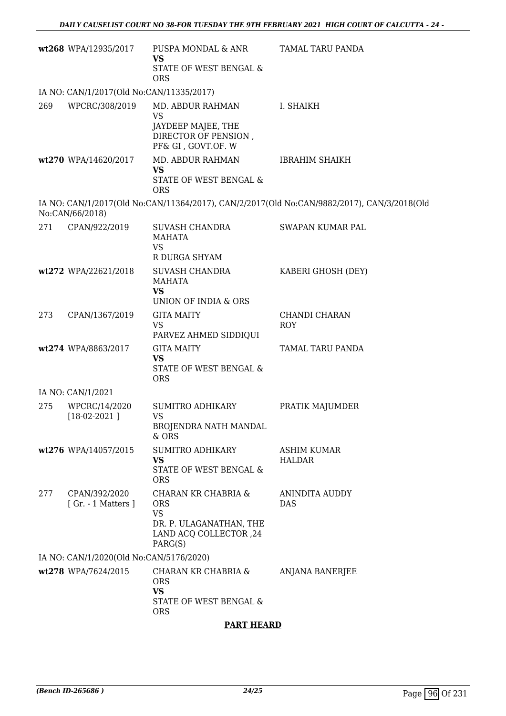|     | wt268 WPA/12935/2017                     | PUSPA MONDAL & ANR<br><b>VS</b><br>STATE OF WEST BENGAL &<br><b>ORS</b>                                        | TAMAL TARU PANDA                                                                           |
|-----|------------------------------------------|----------------------------------------------------------------------------------------------------------------|--------------------------------------------------------------------------------------------|
|     | IA NO: CAN/1/2017(Old No:CAN/11335/2017) |                                                                                                                |                                                                                            |
| 269 | WPCRC/308/2019                           | MD. ABDUR RAHMAN<br><b>VS</b><br>JAYDEEP MAJEE, THE<br>DIRECTOR OF PENSION,<br>PF& GI, GOVT.OF. W              | I. SHAIKH                                                                                  |
|     | wt270 WPA/14620/2017                     | MD. ABDUR RAHMAN<br><b>VS</b><br>STATE OF WEST BENGAL &<br><b>ORS</b>                                          | <b>IBRAHIM SHAIKH</b>                                                                      |
|     | No:CAN/66/2018)                          |                                                                                                                | IA NO: CAN/1/2017(Old No:CAN/11364/2017), CAN/2/2017(Old No:CAN/9882/2017), CAN/3/2018(Old |
| 271 | CPAN/922/2019                            | SUVASH CHANDRA<br>MAHATA<br><b>VS</b><br>R DURGA SHYAM                                                         | SWAPAN KUMAR PAL                                                                           |
|     | wt272 WPA/22621/2018                     | SUVASH CHANDRA<br><b>MAHATA</b><br><b>VS</b><br>UNION OF INDIA & ORS                                           | KABERI GHOSH (DEY)                                                                         |
| 273 | CPAN/1367/2019                           | <b>GITA MAITY</b><br><b>VS</b><br>PARVEZ AHMED SIDDIQUI                                                        | CHANDI CHARAN<br>ROY                                                                       |
|     | wt274 WPA/8863/2017                      | <b>GITA MAITY</b><br><b>VS</b><br>STATE OF WEST BENGAL &<br><b>ORS</b>                                         | TAMAL TARU PANDA                                                                           |
|     | IA NO: CAN/1/2021                        |                                                                                                                |                                                                                            |
| 275 | WPCRC/14/2020<br>$[18-02-2021]$          | <b>SUMITRO ADHIKARY</b><br>VS<br><b>BROJENDRA NATH MANDAL</b><br>$&$ ORS                                       | PRATIK MAJUMDER                                                                            |
|     | wt276 WPA/14057/2015                     | <b>SUMITRO ADHIKARY</b><br><b>VS</b><br>STATE OF WEST BENGAL &<br><b>ORS</b>                                   | <b>ASHIM KUMAR</b><br><b>HALDAR</b>                                                        |
| 277 | CPAN/392/2020<br>[Gr. - 1 Matters]       | CHARAN KR CHABRIA &<br><b>ORS</b><br><b>VS</b><br>DR. P. ULAGANATHAN, THE<br>LAND ACQ COLLECTOR, 24<br>PARG(S) | <b>ANINDITA AUDDY</b><br><b>DAS</b>                                                        |
|     | IA NO: CAN/1/2020(Old No:CAN/5176/2020)  |                                                                                                                |                                                                                            |
|     | wt278 WPA/7624/2015                      | CHARAN KR CHABRIA &<br><b>ORS</b><br><b>VS</b><br>STATE OF WEST BENGAL &<br><b>ORS</b>                         | <b>ANJANA BANERJEE</b>                                                                     |
|     |                                          |                                                                                                                |                                                                                            |

## **PART HEARD**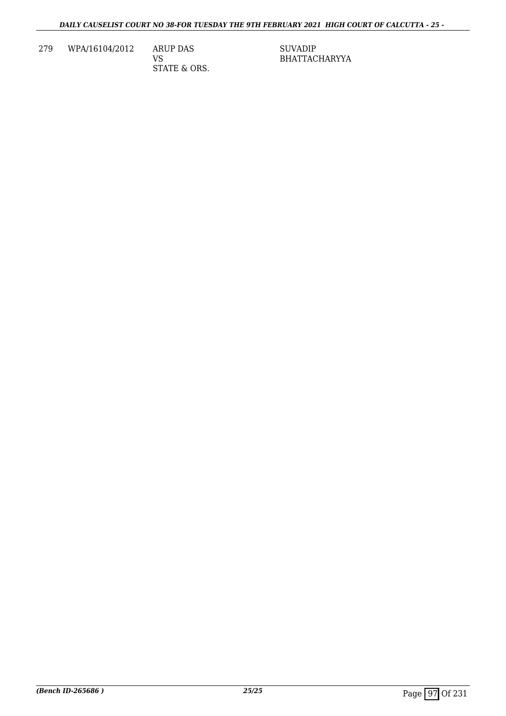279 WPA/16104/2012 ARUP DAS

VS STATE & ORS. SUVADIP BHATTACHARYYA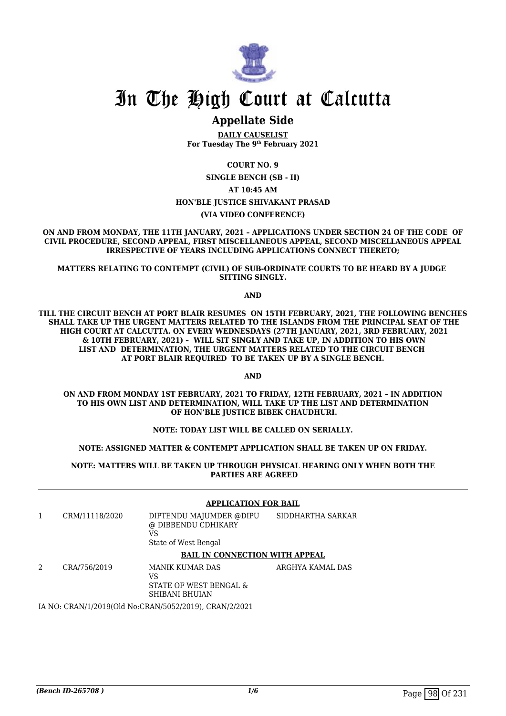

## In The High Court at Calcutta

## **Appellate Side**

**DAILY CAUSELIST For Tuesday The 9th February 2021**

**COURT NO. 9**

**SINGLE BENCH (SB - II) AT 10:45 AM HON'BLE JUSTICE SHIVAKANT PRASAD (VIA VIDEO CONFERENCE)**

**ON AND FROM MONDAY, THE 11TH JANUARY, 2021 – APPLICATIONS UNDER SECTION 24 OF THE CODE OF CIVIL PROCEDURE, SECOND APPEAL, FIRST MISCELLANEOUS APPEAL, SECOND MISCELLANEOUS APPEAL IRRESPECTIVE OF YEARS INCLUDING APPLICATIONS CONNECT THERETO;**

**MATTERS RELATING TO CONTEMPT (CIVIL) OF SUB-ORDINATE COURTS TO BE HEARD BY A JUDGE SITTING SINGLY.**

**AND**

**TILL THE CIRCUIT BENCH AT PORT BLAIR RESUMES ON 15TH FEBRUARY, 2021, THE FOLLOWING BENCHES SHALL TAKE UP THE URGENT MATTERS RELATED TO THE ISLANDS FROM THE PRINCIPAL SEAT OF THE HIGH COURT AT CALCUTTA. ON EVERY WEDNESDAYS (27TH JANUARY, 2021, 3RD FEBRUARY, 2021 & 10TH FEBRUARY, 2021) – WILL SIT SINGLY AND TAKE UP, IN ADDITION TO HIS OWN LIST AND DETERMINATION, THE URGENT MATTERS RELATED TO THE CIRCUIT BENCH AT PORT BLAIR REQUIRED TO BE TAKEN UP BY A SINGLE BENCH.**

**AND**

**ON AND FROM MONDAY 1ST FEBRUARY, 2021 TO FRIDAY, 12TH FEBRUARY, 2021 – IN ADDITION TO HIS OWN LIST AND DETERMINATION, WILL TAKE UP THE LIST AND DETERMINATION OF HON'BLE JUSTICE BIBEK CHAUDHURI.**

#### **NOTE: TODAY LIST WILL BE CALLED ON SERIALLY.**

**NOTE: ASSIGNED MATTER & CONTEMPT APPLICATION SHALL BE TAKEN UP ON FRIDAY.**

**NOTE: MATTERS WILL BE TAKEN UP THROUGH PHYSICAL HEARING ONLY WHEN BOTH THE PARTIES ARE AGREED**

#### **APPLICATION FOR BAIL**

| CRM/11118/2020 | DIPTENDU MAJUMDER @DIPU<br>@ DIBBENDU CDHIKARY<br>VS<br>State of West Bengal | SIDDHARTHA SARKAR |
|----------------|------------------------------------------------------------------------------|-------------------|
|                | <b>BAIL IN CONNECTION WITH APPEAL</b>                                        |                   |
| CRA/756/2019   | MANIK KUMAR DAS<br>VS                                                        | ARGHYA KAMAL DAS  |

STATE OF WEST BENGAL & SHIBANI BHUIAN

IA NO: CRAN/1/2019(Old No:CRAN/5052/2019), CRAN/2/2021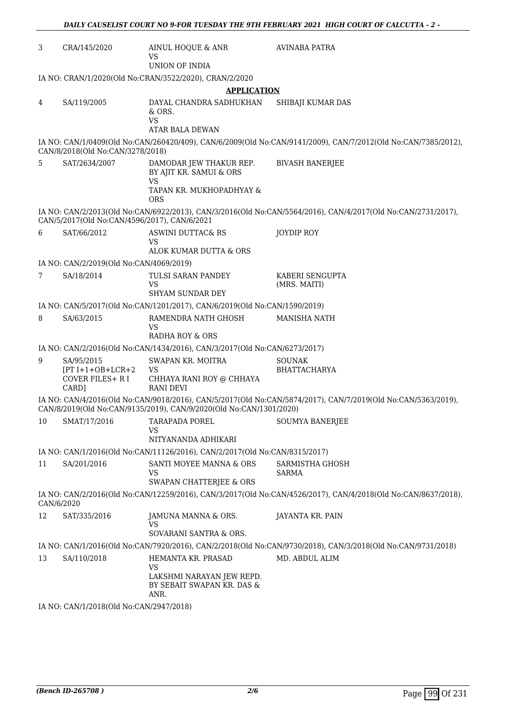| 3          | CRA/145/2020                                     | AINUL HOQUE & ANR<br>VS<br>UNION OF INDIA                                                                 | AVINABA PATRA                                                                                                 |
|------------|--------------------------------------------------|-----------------------------------------------------------------------------------------------------------|---------------------------------------------------------------------------------------------------------------|
|            |                                                  |                                                                                                           |                                                                                                               |
|            |                                                  | IA NO: CRAN/1/2020(Old No:CRAN/3522/2020), CRAN/2/2020                                                    |                                                                                                               |
|            |                                                  | <b>APPLICATION</b>                                                                                        |                                                                                                               |
| 4          | SA/119/2005                                      | DAYAL CHANDRA SADHUKHAN<br>& ORS.<br>VS<br>ATAR BALA DEWAN                                                | SHIBAJI KUMAR DAS                                                                                             |
|            | CAN/8/2018(Old No:CAN/3278/2018)                 |                                                                                                           | IA NO: CAN/1/0409(Old No:CAN/260420/409), CAN/6/2009(Old No:CAN/9141/2009), CAN/7/2012(Old No:CAN/7385/2012), |
| 5          | SAT/2634/2007                                    | DAMODAR JEW THAKUR REP.<br>BY AJIT KR. SAMUI & ORS<br><b>VS</b><br>TAPAN KR. MUKHOPADHYAY &<br><b>ORS</b> | <b>BIVASH BANERJEE</b>                                                                                        |
|            | CAN/5/2017(Old No:CAN/4596/2017), CAN/6/2021     |                                                                                                           | IA NO: CAN/2/2013(Old No:CAN/6922/2013), CAN/3/2016(Old No:CAN/5564/2016), CAN/4/2017(Old No:CAN/2731/2017),  |
| 6          | SAT/66/2012                                      | ASWINI DUTTAC& RS<br>VS                                                                                   | JOYDIP ROY                                                                                                    |
|            |                                                  | ALOK KUMAR DUTTA & ORS                                                                                    |                                                                                                               |
|            | IA NO: CAN/2/2019(Old No:CAN/4069/2019)          |                                                                                                           |                                                                                                               |
| 7          | SA/18/2014                                       | TULSI SARAN PANDEY<br>VS<br><b>SHYAM SUNDAR DEY</b>                                                       | KABERI SENGUPTA<br>(MRS. MAITI)                                                                               |
|            |                                                  |                                                                                                           |                                                                                                               |
|            |                                                  | IA NO: CAN/5/2017(Old No:CAN/1201/2017), CAN/6/2019(Old No:CAN/1590/2019)                                 |                                                                                                               |
| 8          | SA/63/2015                                       | RAMENDRA NATH GHOSH<br>VS<br><b>RADHA ROY &amp; ORS</b>                                                   | MANISHA NATH                                                                                                  |
|            |                                                  | IA NO: CAN/2/2016(Old No:CAN/1434/2016), CAN/3/2017(Old No:CAN/6273/2017)                                 |                                                                                                               |
| 9          | SA/95/2015                                       | SWAPAN KR. MOITRA                                                                                         | <b>SOUNAK</b>                                                                                                 |
|            | $[PT I+1+OB+LCR+2]$<br>COVER FILES+ R I<br>CARD] | <b>VS</b><br>CHHAYA RANI ROY @ CHHAYA<br><b>RANI DEVI</b>                                                 | BHATTACHARYA                                                                                                  |
|            |                                                  | CAN/8/2019(Old No:CAN/9135/2019), CAN/9/2020(Old No:CAN/1301/2020)                                        | IA NO: CAN/4/2016(Old No:CAN/9018/2016), CAN/5/2017(Old No:CAN/5874/2017), CAN/7/2019(Old No:CAN/5363/2019),  |
| 10         | SMAT/17/2016                                     | TARAPADA POREL<br>VS                                                                                      | <b>SOUMYA BANERJEE</b>                                                                                        |
|            |                                                  | NITYANANDA ADHIKARI                                                                                       |                                                                                                               |
|            |                                                  | IA NO: CAN/1/2016(Old No:CAN/11126/2016), CAN/2/2017(Old No:CAN/8315/2017)                                |                                                                                                               |
| 11         | SA/201/2016                                      | SANTI MOYEE MANNA & ORS<br>VS                                                                             | SARMISTHA GHOSH<br><b>SARMA</b>                                                                               |
|            |                                                  | SWAPAN CHATTERJEE & ORS                                                                                   |                                                                                                               |
| CAN/6/2020 |                                                  |                                                                                                           | IA NO: CAN/2/2016(Old No:CAN/12259/2016), CAN/3/2017(Old No:CAN/4526/2017), CAN/4/2018(Old No:CAN/8637/2018), |
| 12         | SAT/335/2016                                     | JAMUNA MANNA & ORS.<br>VS<br>SOVARANI SANTRA & ORS.                                                       | JAYANTA KR. PAIN                                                                                              |
|            |                                                  |                                                                                                           | IA NO: CAN/1/2016(Old No:CAN/7920/2016), CAN/2/2018(Old No:CAN/9730/2018), CAN/3/2018(Old No:CAN/9731/2018)   |
|            |                                                  |                                                                                                           |                                                                                                               |
| 13         | SA/110/2018                                      | HEMANTA KR. PRASAD<br><b>VS</b><br>LAKSHMI NARAYAN JEW REPD.<br>BY SEBAIT SWAPAN KR. DAS &<br>ANR.        | MD. ABDUL ALIM                                                                                                |
|            | $IA$ NO $CA$ N/1/2018(Old No $CA$ N/2947/2018)   |                                                                                                           |                                                                                                               |

*DAILY CAUSELIST COURT NO 9-FOR TUESDAY THE 9TH FEBRUARY 2021 HIGH COURT OF CALCUTTA - 2 -* 

IA NO: CAN/1/2018(Old No:CAN/2947/2018)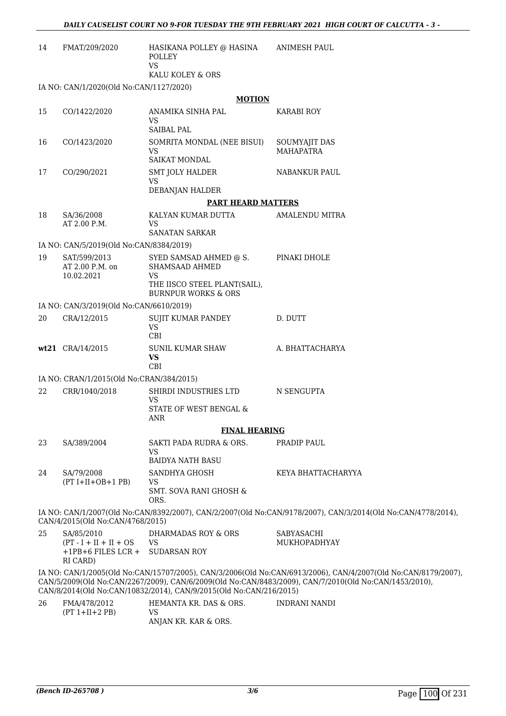| 14 | FMAT/209/2020                                                                | HASIKANA POLLEY @ HASINA<br>POLLEY<br><b>VS</b>                     | ANIMESH PAUL                                                                                                                                                                                                           |
|----|------------------------------------------------------------------------------|---------------------------------------------------------------------|------------------------------------------------------------------------------------------------------------------------------------------------------------------------------------------------------------------------|
|    |                                                                              | KALU KOLEY & ORS                                                    |                                                                                                                                                                                                                        |
|    | IA NO: CAN/1/2020(Old No:CAN/1127/2020)                                      | <b>MOTION</b>                                                       |                                                                                                                                                                                                                        |
| 15 | CO/1422/2020                                                                 | ANAMIKA SINHA PAL                                                   | <b>KARABI ROY</b>                                                                                                                                                                                                      |
|    |                                                                              | <b>VS</b><br><b>SAIBAL PAL</b>                                      |                                                                                                                                                                                                                        |
| 16 | CO/1423/2020                                                                 | SOMRITA MONDAL (NEE BISUI)<br><b>VS</b><br><b>SAIKAT MONDAL</b>     | SOUMYAJIT DAS<br><b>MAHAPATRA</b>                                                                                                                                                                                      |
| 17 | CO/290/2021                                                                  | <b>SMT JOLY HALDER</b><br><b>VS</b><br>DEBANJAN HALDER              | NABANKUR PAUL                                                                                                                                                                                                          |
|    |                                                                              | <b>PART HEARD MATTERS</b>                                           |                                                                                                                                                                                                                        |
| 18 | SA/36/2008                                                                   | KALYAN KUMAR DUTTA                                                  | <b>AMALENDU MITRA</b>                                                                                                                                                                                                  |
|    | AT 2.00 P.M.                                                                 | VS<br>SANATAN SARKAR                                                |                                                                                                                                                                                                                        |
|    | IA NO: CAN/5/2019(Old No:CAN/8384/2019)                                      |                                                                     |                                                                                                                                                                                                                        |
| 19 | SAT/599/2013<br>AT 2.00 P.M. on<br>10.02.2021                                | SYED SAMSAD AHMED @ S.<br><b>SHAMSAAD AHMED</b><br><b>VS</b>        | PINAKI DHOLE                                                                                                                                                                                                           |
|    |                                                                              | THE IISCO STEEL PLANT(SAIL),<br><b>BURNPUR WORKS &amp; ORS</b>      |                                                                                                                                                                                                                        |
|    | IA NO: CAN/3/2019(Old No:CAN/6610/2019)                                      |                                                                     |                                                                                                                                                                                                                        |
| 20 | CRA/12/2015                                                                  | SUJIT KUMAR PANDEY<br><b>VS</b><br><b>CBI</b>                       | D. DUTT                                                                                                                                                                                                                |
|    | wt21 CRA/14/2015                                                             | <b>SUNIL KUMAR SHAW</b><br>VS<br><b>CBI</b>                         | A. BHATTACHARYA                                                                                                                                                                                                        |
|    | IA NO: CRAN/1/2015(Old No:CRAN/384/2015)                                     |                                                                     |                                                                                                                                                                                                                        |
| 22 | CRR/1040/2018                                                                | SHIRDI INDUSTRIES LTD<br><b>VS</b><br>STATE OF WEST BENGAL &<br>ANR | N SENGUPTA                                                                                                                                                                                                             |
|    |                                                                              | <b>FINAL HEARING</b>                                                |                                                                                                                                                                                                                        |
| 23 | SA/389/2004                                                                  | SAKTI PADA RUDRA & ORS.<br><b>VS</b><br><b>BAIDYA NATH BASU</b>     | PRADIP PAUL                                                                                                                                                                                                            |
| 24 | SA/79/2008                                                                   | SANDHYA GHOSH                                                       | KEYA BHATTACHARYYA                                                                                                                                                                                                     |
|    | $(PT I+II+OB+1 PB)$                                                          | <b>VS</b><br><b>SMT. SOVA RANI GHOSH &amp;</b><br>ORS.              |                                                                                                                                                                                                                        |
|    | CAN/4/2015(Old No:CAN/4768/2015)                                             |                                                                     | IA NO: CAN/1/2007(Old No:CAN/8392/2007), CAN/2/2007(Old No:CAN/9178/2007), CAN/3/2014(Old No:CAN/4778/2014),                                                                                                           |
| 25 | SA/85/2010<br>$(PT - I + II + II + OS)$<br>$+1$ PB+6 FILES LCR +<br>RI CARD) | DHARMADAS ROY & ORS<br><b>VS</b><br><b>SUDARSAN ROY</b>             | SABYASACHI<br>MUKHOPADHYAY                                                                                                                                                                                             |
|    |                                                                              | CAN/8/2014(Old No:CAN/10832/2014), CAN/9/2015(Old No:CAN/216/2015)  | IA NO: CAN/1/2005(Old No:CAN/15707/2005), CAN/3/2006(Old No:CAN/6913/2006), CAN/4/2007(Old No:CAN/8179/2007),<br>CAN/5/2009(Old No:CAN/2267/2009), CAN/6/2009(Old No:CAN/8483/2009), CAN/7/2010(Old No:CAN/1453/2010), |
| 26 | FMA/478/2012<br>$(PT 1+II+2 PB)$                                             | HEMANTA KR. DAS & ORS.<br>VS                                        | <b>INDRANI NANDI</b>                                                                                                                                                                                                   |

ANJAN KR. KAR & ORS.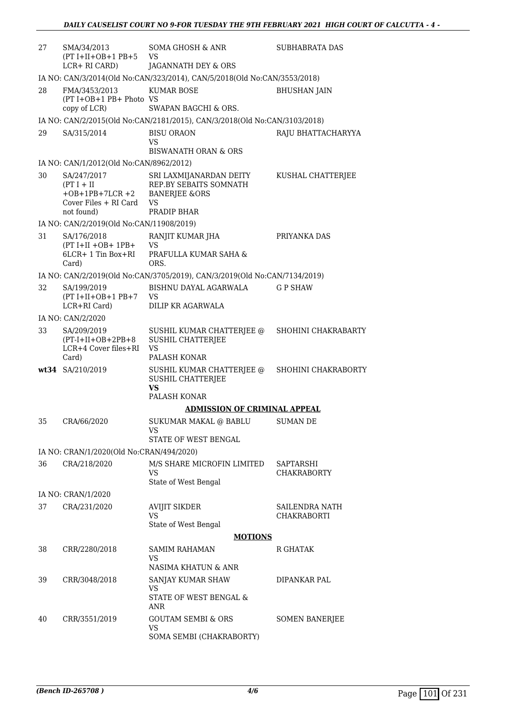| 27 | SMA/34/2013<br>$(PT I+II+OB+1 PB+5$ VS<br>LCR+ RI CARD)                                                | SOMA GHOSH & ANR<br>JAGANNATH DEY & ORS                                   | <b>SUBHABRATA DAS</b>                |
|----|--------------------------------------------------------------------------------------------------------|---------------------------------------------------------------------------|--------------------------------------|
|    |                                                                                                        | IA NO: CAN/3/2014(Old No:CAN/323/2014), CAN/5/2018(Old No:CAN/3553/2018)  |                                      |
| 28 | FMA/3453/2013<br>(PT I+OB+1 PB+ Photo VS<br>copy of LCR)                                               | <b>KUMAR BOSE</b><br>SWAPAN BAGCHI & ORS.                                 | <b>BHUSHAN JAIN</b>                  |
|    |                                                                                                        | IA NO: CAN/2/2015(Old No:CAN/2181/2015), CAN/3/2018(Old No:CAN/3103/2018) |                                      |
| 29 | SA/315/2014                                                                                            | <b>BISU ORAON</b>                                                         | RAJU BHATTACHARYYA                   |
|    |                                                                                                        | VS<br><b>BISWANATH ORAN &amp; ORS</b>                                     |                                      |
|    | IA NO: CAN/1/2012(Old No:CAN/8962/2012)                                                                |                                                                           |                                      |
| 30 | SA/247/2017<br>$(PT I + II$<br>+OB+1PB+7LCR +2 BANERJEE &ORS<br>Cover Files + RI Card VS<br>not found) | SRI LAXMIJANARDAN DEITY<br>REP.BY SEBAITS SOMNATH<br>PRADIP BHAR          | KUSHAL CHATTERJEE                    |
|    | IA NO: CAN/2/2019(Old No:CAN/11908/2019)                                                               |                                                                           |                                      |
| 31 | SA/176/2018                                                                                            | RANJIT KUMAR JHA                                                          | PRIYANKA DAS                         |
|    | $(PT I+II+OB+ 1PB+$<br>6LCR+ 1 Tin Box+RI                                                              | VS<br>PRAFULLA KUMAR SAHA &                                               |                                      |
|    | Card)                                                                                                  | ORS.                                                                      |                                      |
|    |                                                                                                        | IA NO: CAN/2/2019(Old No:CAN/3705/2019), CAN/3/2019(Old No:CAN/7134/2019) |                                      |
| 32 | SA/199/2019<br>$(PT I+II+OB+1 PB+7$ VS<br>LCR+RI Card)                                                 | BISHNU DAYAL AGARWALA<br>DILIP KR AGARWALA                                | <b>GP SHAW</b>                       |
|    | IA NO: CAN/2/2020                                                                                      |                                                                           |                                      |
| 33 | SA/209/2019                                                                                            | SUSHIL KUMAR CHATTERJEE @                                                 | SHOHINI CHAKRABARTY                  |
|    | $(PT-I+II+OB+2PB+8$<br>LCR+4 Cover files+RI                                                            | <b>SUSHIL CHATTERJEE</b><br><b>VS</b><br>PALASH KONAR                     |                                      |
|    | Card)<br>wt34 SA/210/2019                                                                              | SUSHIL KUMAR CHATTERJEE @                                                 | SHOHINI CHAKRABORTY                  |
|    |                                                                                                        | SUSHIL CHATTERJEE<br>VS                                                   |                                      |
|    |                                                                                                        | PALASH KONAR                                                              |                                      |
|    |                                                                                                        | <b>ADMISSION OF CRIMINAL APPEAL</b>                                       |                                      |
| 35 | CRA/66/2020                                                                                            | SUKUMAR MAKAL @ BABLU SUMAN DE<br>VS<br>STATE OF WEST BENGAL              |                                      |
|    | IA NO: CRAN/1/2020(Old No:CRAN/494/2020)                                                               |                                                                           |                                      |
| 36 | CRA/218/2020                                                                                           | M/S SHARE MICROFIN LIMITED                                                | SAPTARSHI                            |
|    |                                                                                                        | <b>VS</b>                                                                 | <b>CHAKRABORTY</b>                   |
|    |                                                                                                        | State of West Bengal                                                      |                                      |
|    | IA NO: CRAN/1/2020                                                                                     |                                                                           |                                      |
| 37 | CRA/231/2020                                                                                           | <b>AVIJIT SIKDER</b><br>VS<br>State of West Bengal                        | <b>SAILENDRA NATH</b><br>CHAKRABORTI |
|    |                                                                                                        | <b>MOTIONS</b>                                                            |                                      |
| 38 | CRR/2280/2018                                                                                          | <b>SAMIM RAHAMAN</b>                                                      | R GHATAK                             |
|    |                                                                                                        | <b>VS</b><br>NASIMA KHATUN & ANR                                          |                                      |
| 39 | CRR/3048/2018                                                                                          | SANJAY KUMAR SHAW                                                         | DIPANKAR PAL                         |
|    |                                                                                                        | VS<br>STATE OF WEST BENGAL &<br>ANR                                       |                                      |
| 40 | CRR/3551/2019                                                                                          | <b>GOUTAM SEMBI &amp; ORS</b>                                             | <b>SOMEN BANERJEE</b>                |
|    |                                                                                                        | <b>VS</b><br>SOMA SEMBI (CHAKRABORTY)                                     |                                      |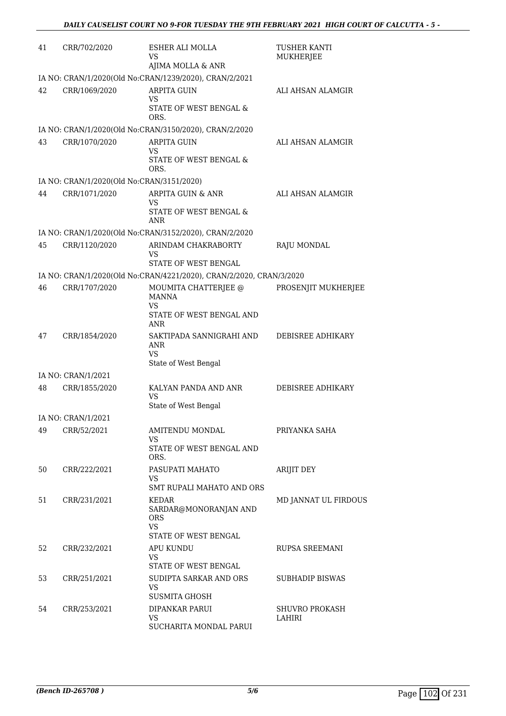| 41 | CRR/702/2020                              | ESHER ALI MOLLA<br>VS                                                             | <b>TUSHER KANTI</b><br><b>MUKHERJEE</b> |
|----|-------------------------------------------|-----------------------------------------------------------------------------------|-----------------------------------------|
|    |                                           | AJIMA MOLLA & ANR                                                                 |                                         |
|    |                                           | IA NO: CRAN/1/2020(Old No:CRAN/1239/2020), CRAN/2/2021                            |                                         |
| 42 | CRR/1069/2020                             | <b>ARPITA GUIN</b><br>VS.                                                         | ALI AHSAN ALAMGIR                       |
|    |                                           | STATE OF WEST BENGAL &<br>ORS.                                                    |                                         |
|    |                                           | IA NO: CRAN/1/2020(Old No:CRAN/3150/2020), CRAN/2/2020                            |                                         |
| 43 | CRR/1070/2020                             | <b>ARPITA GUIN</b><br>VS<br>STATE OF WEST BENGAL &<br>ORS.                        | ALI AHSAN ALAMGIR                       |
|    | IA NO: CRAN/1/2020(Old No:CRAN/3151/2020) |                                                                                   |                                         |
| 44 | CRR/1071/2020                             | ARPITA GUIN & ANR<br>VS                                                           | ALI AHSAN ALAMGIR                       |
|    |                                           | STATE OF WEST BENGAL &<br>ANR                                                     |                                         |
|    |                                           | IA NO: CRAN/1/2020(Old No:CRAN/3152/2020), CRAN/2/2020                            |                                         |
| 45 | CRR/1120/2020                             | ARINDAM CHAKRABORTY<br>VS                                                         | RAJU MONDAL                             |
|    |                                           | STATE OF WEST BENGAL                                                              |                                         |
| 46 |                                           | IA NO: CRAN/1/2020(Old No:CRAN/4221/2020), CRAN/2/2020, CRAN/3/2020               |                                         |
|    | CRR/1707/2020                             | MOUMITA CHATTERJEE @<br><b>MANNA</b><br>VS<br>STATE OF WEST BENGAL AND            | PROSENJIT MUKHERJEE                     |
|    |                                           | ANR                                                                               |                                         |
| 47 | CRR/1854/2020                             | SAKTIPADA SANNIGRAHI AND<br>ANR<br>VS                                             | DEBISREE ADHIKARY                       |
|    | IA NO: CRAN/1/2021                        | State of West Bengal                                                              |                                         |
| 48 | CRR/1855/2020                             | KALYAN PANDA AND ANR                                                              | DEBISREE ADHIKARY                       |
|    |                                           | VS<br>State of West Bengal                                                        |                                         |
|    | IA NO: CRAN/1/2021                        |                                                                                   |                                         |
| 49 | CRR/52/2021                               | AMITENDU MONDAL<br>VS.                                                            | PRIYANKA SAHA                           |
|    |                                           | STATE OF WEST BENGAL AND<br>ORS.                                                  |                                         |
| 50 | CRR/222/2021                              | PASUPATI MAHATO<br>VS                                                             | ARIJIT DEY                              |
|    |                                           | SMT RUPALI MAHATO AND ORS                                                         |                                         |
| 51 | CRR/231/2021                              | KEDAR<br>SARDAR@MONORANJAN AND<br><b>ORS</b><br><b>VS</b><br>STATE OF WEST BENGAL | MD JANNAT UL FIRDOUS                    |
| 52 | CRR/232/2021                              | APU KUNDU<br>VS                                                                   | <b>RUPSA SREEMANI</b>                   |
|    |                                           | STATE OF WEST BENGAL                                                              |                                         |
| 53 | CRR/251/2021                              | SUDIPTA SARKAR AND ORS<br>VS                                                      | <b>SUBHADIP BISWAS</b>                  |
| 54 | CRR/253/2021                              | <b>SUSMITA GHOSH</b><br>DIPANKAR PARUI                                            | <b>SHUVRO PROKASH</b>                   |
|    |                                           | <b>VS</b><br>SUCHARITA MONDAL PARUI                                               | LAHIRI                                  |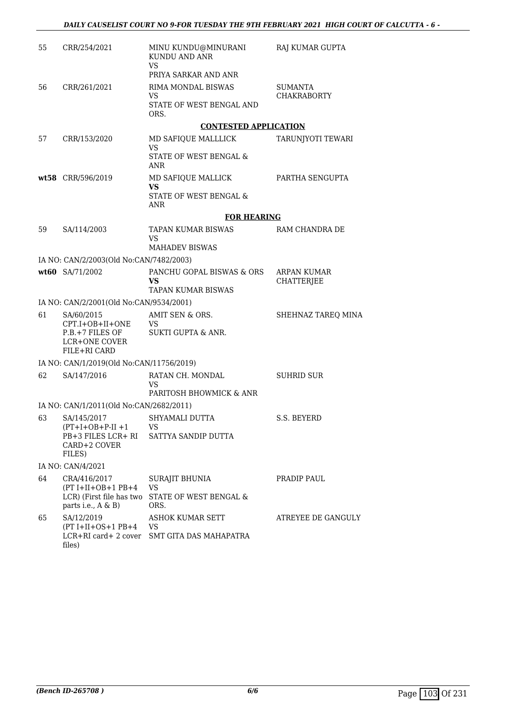| 55 | CRR/254/2021                                                                                    | MINU KUNDU@MINURANI<br>KUNDU AND ANR<br>VS<br>PRIYA SARKAR AND ANR  | RAJ KUMAR GUPTA                      |
|----|-------------------------------------------------------------------------------------------------|---------------------------------------------------------------------|--------------------------------------|
| 56 | CRR/261/2021                                                                                    | RIMA MONDAL BISWAS<br>VS<br>STATE OF WEST BENGAL AND<br>ORS.        | <b>SUMANTA</b><br><b>CHAKRABORTY</b> |
|    |                                                                                                 | <b>CONTESTED APPLICATION</b>                                        |                                      |
| 57 | CRR/153/2020                                                                                    | MD SAFIQUE MALLLICK<br>VS<br>STATE OF WEST BENGAL &<br>ANR          | TARUNJYOTI TEWARI                    |
|    | wt58 CRR/596/2019                                                                               | MD SAFIQUE MALLICK<br>VS                                            | PARTHA SENGUPTA                      |
|    |                                                                                                 | STATE OF WEST BENGAL &<br>ANR                                       |                                      |
|    |                                                                                                 | <b>FOR HEARING</b>                                                  |                                      |
| 59 | SA/114/2003                                                                                     | TAPAN KUMAR BISWAS<br>VS                                            | RAM CHANDRA DE                       |
|    |                                                                                                 | <b>MAHADEV BISWAS</b>                                               |                                      |
|    | IA NO: CAN/2/2003(Old No:CAN/7482/2003)                                                         |                                                                     |                                      |
|    | wt60 SA/71/2002                                                                                 | PANCHU GOPAL BISWAS & ORS<br><b>VS</b><br><b>TAPAN KUMAR BISWAS</b> | ARPAN KUMAR<br><b>CHATTERIEE</b>     |
|    | IA NO: CAN/2/2001(Old No:CAN/9534/2001)                                                         |                                                                     |                                      |
| 61 | SA/60/2015<br>CPT.I+OB+II+ONE<br>P.B.+7 FILES OF<br>LCR+ONE COVER<br>FILE+RI CARD               | AMIT SEN & ORS.<br>VS.<br>SUKTI GUPTA & ANR.                        | SHEHNAZ TAREQ MINA                   |
|    | IA NO: CAN/1/2019(Old No:CAN/11756/2019)                                                        |                                                                     |                                      |
| 62 | SA/147/2016                                                                                     | RATAN CH. MONDAL<br>VS<br>PARITOSH BHOWMICK & ANR                   | <b>SUHRID SUR</b>                    |
|    | IA NO: CAN/1/2011(Old No:CAN/2682/2011)                                                         |                                                                     |                                      |
| 63 | SA/145/2017 SHYAMALI DUTTA<br>$(PT+I+OB+P-II+1$<br>PB+3 FILES LCR+ RI<br>CARD+2 COVER<br>FILES) | VS<br>SATTYA SANDIP DUTTA                                           | S.S. BEYERD                          |
|    | IA NO: CAN/4/2021                                                                               |                                                                     |                                      |
| 64 | CRA/416/2017<br>$(PT I+II+OB+1 PB+4$<br>LCR) (First file has two<br>parts i.e., A & B)          | SURAJIT BHUNIA<br><b>VS</b><br>STATE OF WEST BENGAL &<br>ORS.       | PRADIP PAUL                          |
| 65 | SA/12/2019<br>$(PT I+II+OS+1 PB+4$<br>LCR+RI card+2 cover<br>files)                             | ASHOK KUMAR SETT<br>VS<br>SMT GITA DAS MAHAPATRA                    | ATREYEE DE GANGULY                   |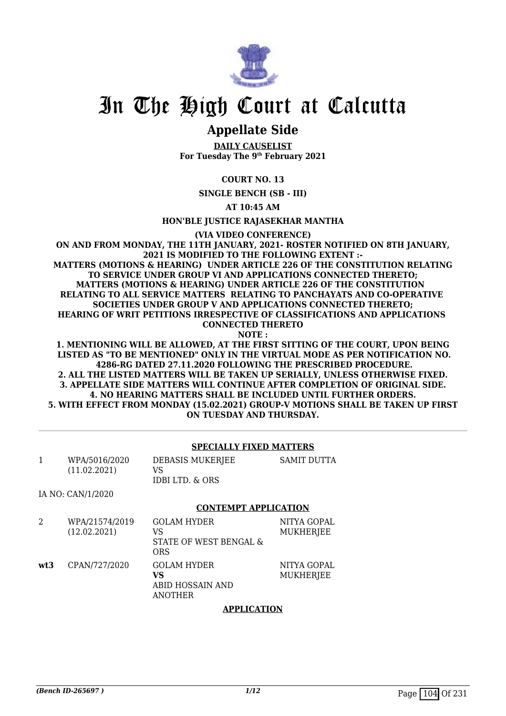

# In The High Court at Calcutta

## **Appellate Side**

**DAILY CAUSELIST For Tuesday The 9th February 2021**

## **COURT NO. 13**

**SINGLE BENCH (SB - III)**

**AT 10:45 AM**

**HON'BLE JUSTICE RAJASEKHAR MANTHA**

**(VIA VIDEO CONFERENCE)**

**ON AND FROM MONDAY, THE 11TH JANUARY, 2021- ROSTER NOTIFIED ON 8TH JANUARY, 2021 IS MODIFIED TO THE FOLLOWING EXTENT :- MATTERS (MOTIONS & HEARING) UNDER ARTICLE 226 OF THE CONSTITUTION RELATING TO SERVICE UNDER GROUP VI AND APPLICATIONS CONNECTED THERETO; MATTERS (MOTIONS & HEARING) UNDER ARTICLE 226 OF THE CONSTITUTION RELATING TO ALL SERVICE MATTERS RELATING TO PANCHAYATS AND CO-OPERATIVE SOCIETIES UNDER GROUP V AND APPLICATIONS CONNECTED THERETO; HEARING OF WRIT PETITIONS IRRESPECTIVE OF CLASSIFICATIONS AND APPLICATIONS CONNECTED THERETO NOTE :**

**1. MENTIONING WILL BE ALLOWED, AT THE FIRST SITTING OF THE COURT, UPON BEING LISTED AS "TO BE MENTIONED" ONLY IN THE VIRTUAL MODE AS PER NOTIFICATION NO. 4286-RG DATED 27.11.2020 FOLLOWING THE PRESCRIBED PROCEDURE. 2. ALL THE LISTED MATTERS WILL BE TAKEN UP SERIALLY, UNLESS OTHERWISE FIXED. 3. APPELLATE SIDE MATTERS WILL CONTINUE AFTER COMPLETION OF ORIGINAL SIDE. 4. NO HEARING MATTERS SHALL BE INCLUDED UNTIL FURTHER ORDERS. 5. WITH EFFECT FROM MONDAY (15.02.2021) GROUP-V MOTIONS SHALL BE TAKEN UP FIRST ON TUESDAY AND THURSDAY.**

## **SPECIALLY FIXED MATTERS**

| WPA/5016/2020<br>(11.02.2021) | DEBASIS MUKERJEE<br>VS<br>IDBI LTD. & ORS | SAMIT DUTTA |
|-------------------------------|-------------------------------------------|-------------|
| IA NO: CAN/1/2020             |                                           |             |

### **CONTEMPT APPLICATION**

| 2   | WPA/21574/2019<br>(12.02.2021) | <b>GOLAM HYDER</b><br>VS<br>STATE OF WEST BENGAL &<br><b>ORS</b> | NITYA GOPAL<br>MUKHERJEE        |
|-----|--------------------------------|------------------------------------------------------------------|---------------------------------|
| wt3 | CPAN/727/2020                  | <b>GOLAM HYDER</b><br>VS<br>ABID HOSSAIN AND<br>ANOTHER          | NITYA GOPAL<br><b>MUKHERJEE</b> |
|     |                                | <b>APPLICATION</b>                                               |                                 |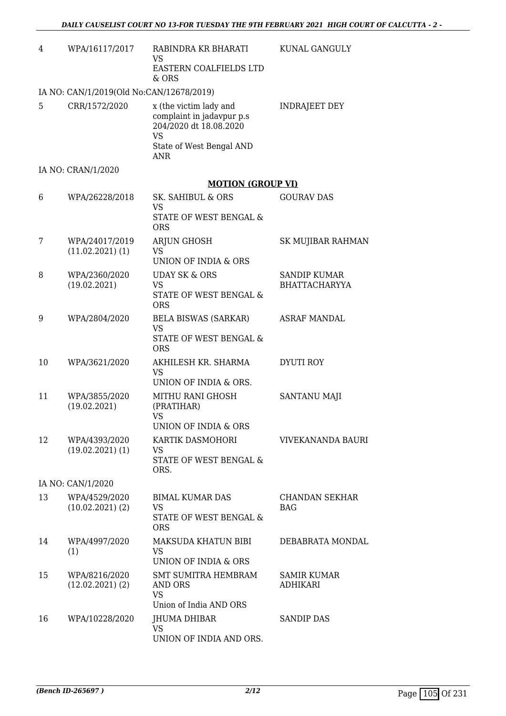| 4  | WPA/16117/2017                           | RABINDRA KR BHARATI<br><b>VS</b>                                                                                                     | KUNAL GANGULY                               |
|----|------------------------------------------|--------------------------------------------------------------------------------------------------------------------------------------|---------------------------------------------|
|    |                                          | EASTERN COALFIELDS LTD<br>& ORS                                                                                                      |                                             |
|    | IA NO: CAN/1/2019(Old No:CAN/12678/2019) |                                                                                                                                      |                                             |
| 5  | CRR/1572/2020                            | x (the victim lady and<br>complaint in jadavpur p.s<br>204/2020 dt 18.08.2020<br><b>VS</b><br>State of West Bengal AND<br><b>ANR</b> | <b>INDRAJEET DEY</b>                        |
|    | IA NO: CRAN/1/2020                       |                                                                                                                                      |                                             |
|    |                                          | <b>MOTION (GROUP VI)</b>                                                                                                             |                                             |
| 6  | WPA/26228/2018                           | SK. SAHIBUL & ORS<br><b>VS</b><br>STATE OF WEST BENGAL &<br><b>ORS</b>                                                               | <b>GOURAV DAS</b>                           |
| 7  | WPA/24017/2019<br>$(11.02.2021)$ (1)     | ARJUN GHOSH<br><b>VS</b><br>UNION OF INDIA & ORS                                                                                     | SK MUJIBAR RAHMAN                           |
| 8  | WPA/2360/2020<br>(19.02.2021)            | <b>UDAY SK &amp; ORS</b><br><b>VS</b><br>STATE OF WEST BENGAL &<br><b>ORS</b>                                                        | <b>SANDIP KUMAR</b><br><b>BHATTACHARYYA</b> |
| 9  | WPA/2804/2020                            | <b>BELA BISWAS (SARKAR)</b><br><b>VS</b><br>STATE OF WEST BENGAL &<br><b>ORS</b>                                                     | ASRAF MANDAL                                |
| 10 | WPA/3621/2020                            | AKHILESH KR. SHARMA<br><b>VS</b><br>UNION OF INDIA & ORS.                                                                            | <b>DYUTI ROY</b>                            |
| 11 | WPA/3855/2020<br>(19.02.2021)            | MITHU RANI GHOSH<br>(PRATIHAR)<br><b>VS</b><br>UNION OF INDIA & ORS                                                                  | <b>SANTANU MAJI</b>                         |
| 12 | WPA/4393/2020<br>$(19.02.2021)$ $(1)$    | KARTIK DASMOHORI<br><b>VS</b><br>STATE OF WEST BENGAL &<br>ORS.                                                                      | VIVEKANANDA BAURI                           |
|    | IA NO: CAN/1/2020                        |                                                                                                                                      |                                             |
| 13 | WPA/4529/2020<br>(10.02.2021)(2)         | <b>BIMAL KUMAR DAS</b><br><b>VS</b><br>STATE OF WEST BENGAL &<br><b>ORS</b>                                                          | CHANDAN SEKHAR<br><b>BAG</b>                |
| 14 | WPA/4997/2020<br>(1)                     | MAKSUDA KHATUN BIBI<br><b>VS</b><br>UNION OF INDIA & ORS                                                                             | DEBABRATA MONDAL                            |
| 15 | WPA/8216/2020<br>$(12.02.2021)$ $(2)$    | SMT SUMITRA HEMBRAM<br>AND ORS<br><b>VS</b><br>Union of India AND ORS                                                                | <b>SAMIR KUMAR</b><br>ADHIKARI              |
| 16 | WPA/10228/2020                           | JHUMA DHIBAR<br><b>VS</b><br>UNION OF INDIA AND ORS.                                                                                 | <b>SANDIP DAS</b>                           |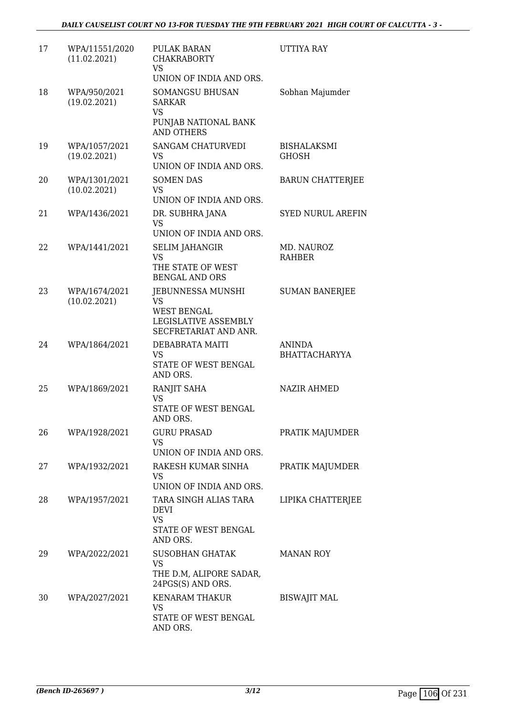| 17 | WPA/11551/2020<br>(11.02.2021) | PULAK BARAN<br><b>CHAKRABORTY</b><br>VS<br>UNION OF INDIA AND ORS.                                    | <b>UTTIYA RAY</b>                     |
|----|--------------------------------|-------------------------------------------------------------------------------------------------------|---------------------------------------|
| 18 | WPA/950/2021<br>(19.02.2021)   | SOMANGSU BHUSAN<br><b>SARKAR</b><br><b>VS</b><br>PUNJAB NATIONAL BANK<br><b>AND OTHERS</b>            | Sobhan Majumder                       |
| 19 | WPA/1057/2021<br>(19.02.2021)  | SANGAM CHATURVEDI<br><b>VS</b><br>UNION OF INDIA AND ORS.                                             | <b>BISHALAKSMI</b><br>GHOSH           |
| 20 | WPA/1301/2021<br>(10.02.2021)  | <b>SOMEN DAS</b><br><b>VS</b><br>UNION OF INDIA AND ORS.                                              | <b>BARUN CHATTERJEE</b>               |
| 21 | WPA/1436/2021                  | DR. SUBHRA JANA<br>VS<br>UNION OF INDIA AND ORS.                                                      | <b>SYED NURUL AREFIN</b>              |
| 22 | WPA/1441/2021                  | <b>SELIM JAHANGIR</b><br>VS<br>THE STATE OF WEST<br><b>BENGAL AND ORS</b>                             | MD. NAUROZ<br>RAHBER                  |
| 23 | WPA/1674/2021<br>(10.02.2021)  | JEBUNNESSA MUNSHI<br><b>VS</b><br><b>WEST BENGAL</b><br>LEGISLATIVE ASSEMBLY<br>SECFRETARIAT AND ANR. | <b>SUMAN BANERJEE</b>                 |
| 24 | WPA/1864/2021                  | DEBABRATA MAITI<br>VS<br>STATE OF WEST BENGAL<br>AND ORS.                                             | <b>ANINDA</b><br><b>BHATTACHARYYA</b> |
| 25 | WPA/1869/2021                  | RANJIT SAHA<br>VS<br>STATE OF WEST BENGAL<br>AND ORS.                                                 | <b>NAZIR AHMED</b>                    |
| 26 | WPA/1928/2021                  | <b>GURU PRASAD</b><br>VS<br>UNION OF INDIA AND ORS.                                                   | PRATIK MAJUMDER                       |
| 27 | WPA/1932/2021                  | RAKESH KUMAR SINHA<br>VS<br>UNION OF INDIA AND ORS.                                                   | PRATIK MAJUMDER                       |
| 28 | WPA/1957/2021                  | TARA SINGH ALIAS TARA<br><b>DEVI</b><br><b>VS</b><br>STATE OF WEST BENGAL<br>AND ORS.                 | LIPIKA CHATTERJEE                     |
| 29 | WPA/2022/2021                  | <b>SUSOBHAN GHATAK</b><br>VS<br>THE D.M, ALIPORE SADAR,<br>24PGS(S) AND ORS.                          | <b>MANAN ROY</b>                      |
| 30 | WPA/2027/2021                  | <b>KENARAM THAKUR</b><br>VS<br>STATE OF WEST BENGAL<br>AND ORS.                                       | <b>BISWAJIT MAL</b>                   |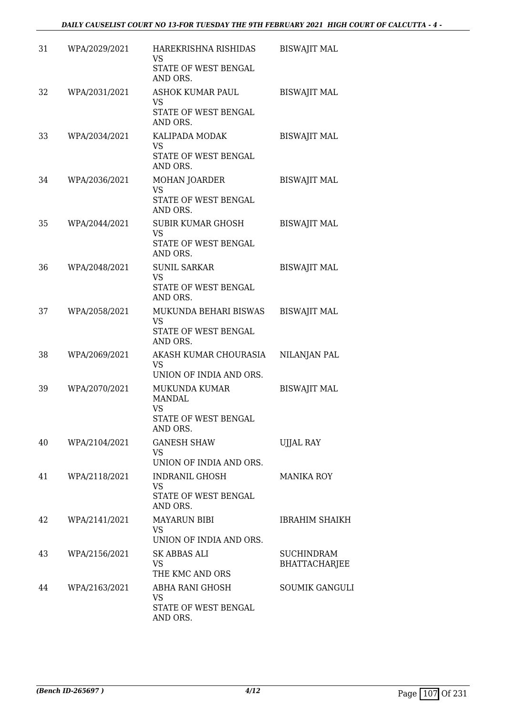| 31 | WPA/2029/2021 | HAREKRISHNA RISHIDAS<br>VS<br>STATE OF WEST BENGAL                                     | <b>BISWAJIT MAL</b>   |
|----|---------------|----------------------------------------------------------------------------------------|-----------------------|
| 32 | WPA/2031/2021 | AND ORS.<br><b>ASHOK KUMAR PAUL</b>                                                    | <b>BISWAJIT MAL</b>   |
|    |               | VS<br>STATE OF WEST BENGAL<br>AND ORS.                                                 |                       |
| 33 | WPA/2034/2021 | KALIPADA MODAK<br><b>VS</b>                                                            | <b>BISWAJIT MAL</b>   |
|    |               | STATE OF WEST BENGAL<br>AND ORS.                                                       |                       |
| 34 | WPA/2036/2021 | MOHAN JOARDER<br><b>VS</b><br>STATE OF WEST BENGAL                                     | <b>BISWAJIT MAL</b>   |
|    |               | AND ORS.                                                                               |                       |
| 35 | WPA/2044/2021 | <b>SUBIR KUMAR GHOSH</b><br><b>VS</b>                                                  | <b>BISWAJIT MAL</b>   |
|    |               | STATE OF WEST BENGAL<br>AND ORS.                                                       |                       |
| 36 | WPA/2048/2021 | <b>SUNIL SARKAR</b><br><b>VS</b>                                                       | <b>BISWAJIT MAL</b>   |
|    |               | STATE OF WEST BENGAL<br>AND ORS.                                                       |                       |
| 37 | WPA/2058/2021 | MUKUNDA BEHARI BISWAS<br>VS<br>STATE OF WEST BENGAL<br>AND ORS.                        | <b>BISWAJIT MAL</b>   |
| 38 | WPA/2069/2021 | AKASH KUMAR CHOURASIA<br>VS                                                            | NILANJAN PAL          |
|    |               | UNION OF INDIA AND ORS.                                                                |                       |
| 39 | WPA/2070/2021 | <b>MUKUNDA KUMAR</b><br><b>MANDAL</b><br><b>VS</b><br>STATE OF WEST BENGAL<br>AND ORS. | <b>BISWAJIT MAL</b>   |
| 40 | WPA/2104/2021 | <b>GANESH SHAW</b><br>VS                                                               | <b>UJJAL RAY</b>      |
|    |               | UNION OF INDIA AND ORS.                                                                |                       |
| 41 | WPA/2118/2021 | <b>INDRANIL GHOSH</b><br><b>VS</b><br>STATE OF WEST BENGAL                             | <b>MANIKA ROY</b>     |
|    |               | AND ORS.                                                                               |                       |
| 42 | WPA/2141/2021 | <b>MAYARUN BIBI</b><br>VS<br>UNION OF INDIA AND ORS.                                   | <b>IBRAHIM SHAIKH</b> |
| 43 | WPA/2156/2021 | SK ABBAS ALI                                                                           | <b>SUCHINDRAM</b>     |
|    |               | VS<br>THE KMC AND ORS                                                                  | BHATTACHARJEE         |
| 44 | WPA/2163/2021 | ABHA RANI GHOSH<br><b>VS</b>                                                           | <b>SOUMIK GANGULI</b> |
|    |               | STATE OF WEST BENGAL<br>AND ORS.                                                       |                       |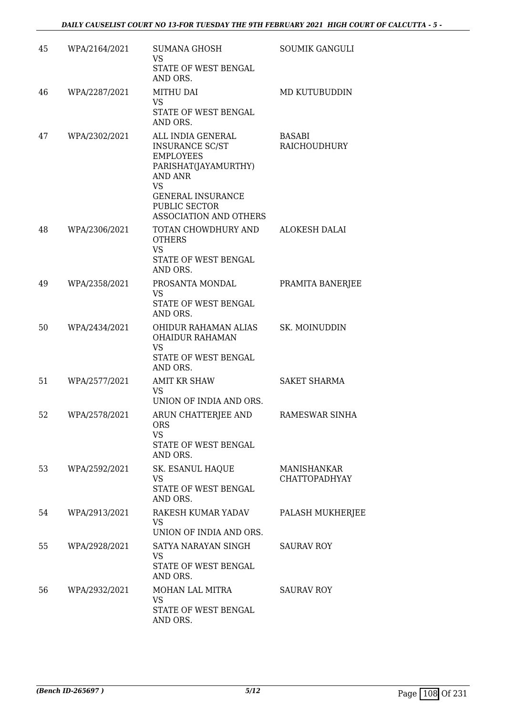| 45 | WPA/2164/2021 | <b>SUMANA GHOSH</b><br>VS<br>STATE OF WEST BENGAL<br>AND ORS.                                                                                                                                        | <b>SOUMIK GANGULI</b>               |
|----|---------------|------------------------------------------------------------------------------------------------------------------------------------------------------------------------------------------------------|-------------------------------------|
| 46 | WPA/2287/2021 | <b>MITHU DAI</b><br>VS<br>STATE OF WEST BENGAL<br>AND ORS.                                                                                                                                           | MD KUTUBUDDIN                       |
| 47 | WPA/2302/2021 | ALL INDIA GENERAL<br><b>INSURANCE SC/ST</b><br><b>EMPLOYEES</b><br>PARISHAT(JAYAMURTHY)<br><b>AND ANR</b><br><b>VS</b><br><b>GENERAL INSURANCE</b><br>PUBLIC SECTOR<br><b>ASSOCIATION AND OTHERS</b> | <b>BASABI</b><br>RAICHOUDHURY       |
| 48 | WPA/2306/2021 | TOTAN CHOWDHURY AND<br><b>OTHERS</b><br><b>VS</b><br>STATE OF WEST BENGAL<br>AND ORS.                                                                                                                | <b>ALOKESH DALAI</b>                |
| 49 | WPA/2358/2021 | PROSANTA MONDAL<br>VS<br>STATE OF WEST BENGAL<br>AND ORS.                                                                                                                                            | PRAMITA BANERJEE                    |
| 50 | WPA/2434/2021 | OHIDUR RAHAMAN ALIAS<br><b>OHAIDUR RAHAMAN</b><br>VS<br>STATE OF WEST BENGAL<br>AND ORS.                                                                                                             | SK. MOINUDDIN                       |
| 51 | WPA/2577/2021 | <b>AMIT KR SHAW</b><br><b>VS</b><br>UNION OF INDIA AND ORS.                                                                                                                                          | SAKET SHARMA                        |
| 52 | WPA/2578/2021 | ARUN CHATTERJEE AND<br><b>ORS</b><br><b>VS</b><br>STATE OF WEST BENGAL<br>AND ORS.                                                                                                                   | RAMESWAR SINHA                      |
| 53 | WPA/2592/2021 | SK. ESANUL HAQUE<br>VS<br>STATE OF WEST BENGAL<br>AND ORS.                                                                                                                                           | MANISHANKAR<br><b>CHATTOPADHYAY</b> |
| 54 | WPA/2913/2021 | RAKESH KUMAR YADAV<br>VS.<br>UNION OF INDIA AND ORS.                                                                                                                                                 | PALASH MUKHERJEE                    |
| 55 | WPA/2928/2021 | SATYA NARAYAN SINGH<br>VS<br>STATE OF WEST BENGAL<br>AND ORS.                                                                                                                                        | <b>SAURAV ROY</b>                   |
| 56 | WPA/2932/2021 | MOHAN LAL MITRA<br>VS<br>STATE OF WEST BENGAL<br>AND ORS.                                                                                                                                            | <b>SAURAV ROY</b>                   |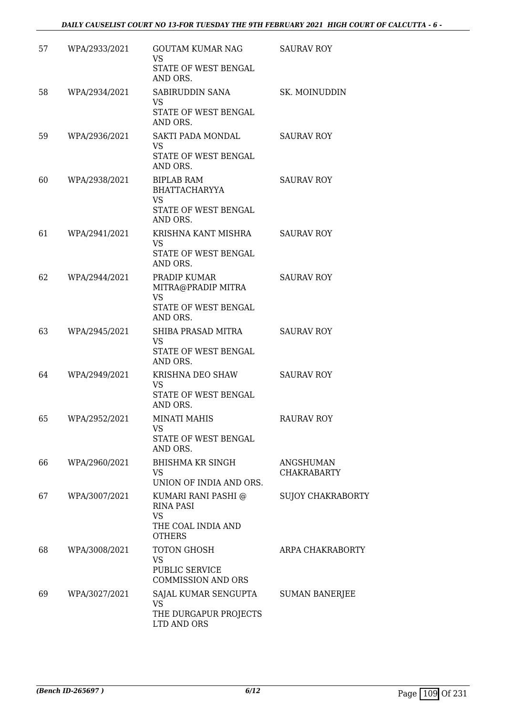| 57 | WPA/2933/2021 | GOUTAM KUMAR NAG<br><b>VS</b>                        | <b>SAURAV ROY</b>               |
|----|---------------|------------------------------------------------------|---------------------------------|
|    |               | STATE OF WEST BENGAL<br>AND ORS.                     |                                 |
| 58 | WPA/2934/2021 | SABIRUDDIN SANA<br>VS                                | SK. MOINUDDIN                   |
|    |               | STATE OF WEST BENGAL<br>AND ORS.                     |                                 |
| 59 | WPA/2936/2021 | SAKTI PADA MONDAL<br><b>VS</b>                       | <b>SAURAV ROY</b>               |
|    |               | STATE OF WEST BENGAL<br>AND ORS.                     |                                 |
| 60 | WPA/2938/2021 | <b>BIPLAB RAM</b><br><b>BHATTACHARYYA</b>            | <b>SAURAV ROY</b>               |
|    |               | <b>VS</b><br>STATE OF WEST BENGAL<br>AND ORS.        |                                 |
| 61 | WPA/2941/2021 | KRISHNA KANT MISHRA<br>VS                            | <b>SAURAV ROY</b>               |
|    |               | STATE OF WEST BENGAL<br>AND ORS.                     |                                 |
| 62 | WPA/2944/2021 | PRADIP KUMAR<br>MITRA@PRADIP MITRA                   | <b>SAURAV ROY</b>               |
|    |               | <b>VS</b><br>STATE OF WEST BENGAL<br>AND ORS.        |                                 |
| 63 | WPA/2945/2021 | SHIBA PRASAD MITRA<br><b>VS</b>                      | <b>SAURAV ROY</b>               |
|    |               | STATE OF WEST BENGAL<br>AND ORS.                     |                                 |
| 64 | WPA/2949/2021 | KRISHNA DEO SHAW<br><b>VS</b>                        | <b>SAURAV ROY</b>               |
|    |               | STATE OF WEST BENGAL<br>AND ORS.                     |                                 |
| 65 | WPA/2952/2021 | <b>MINATI MAHIS</b><br>VS                            | RAURAV ROY                      |
|    |               | STATE OF WEST BENGAL<br>AND ORS.                     |                                 |
| 66 | WPA/2960/2021 | <b>BHISHMA KR SINGH</b><br>VS                        | ANGSHUMAN<br><b>CHAKRABARTY</b> |
|    |               | UNION OF INDIA AND ORS.                              |                                 |
| 67 | WPA/3007/2021 | KUMARI RANI PASHI @<br><b>RINA PASI</b><br><b>VS</b> | <b>SUJOY CHAKRABORTY</b>        |
|    |               | THE COAL INDIA AND<br><b>OTHERS</b>                  |                                 |
| 68 | WPA/3008/2021 | <b>TOTON GHOSH</b><br><b>VS</b>                      | ARPA CHAKRABORTY                |
|    |               | PUBLIC SERVICE<br><b>COMMISSION AND ORS</b>          |                                 |
| 69 | WPA/3027/2021 | SAJAL KUMAR SENGUPTA<br><b>VS</b>                    | <b>SUMAN BANERJEE</b>           |
|    |               | THE DURGAPUR PROJECTS<br>LTD AND ORS                 |                                 |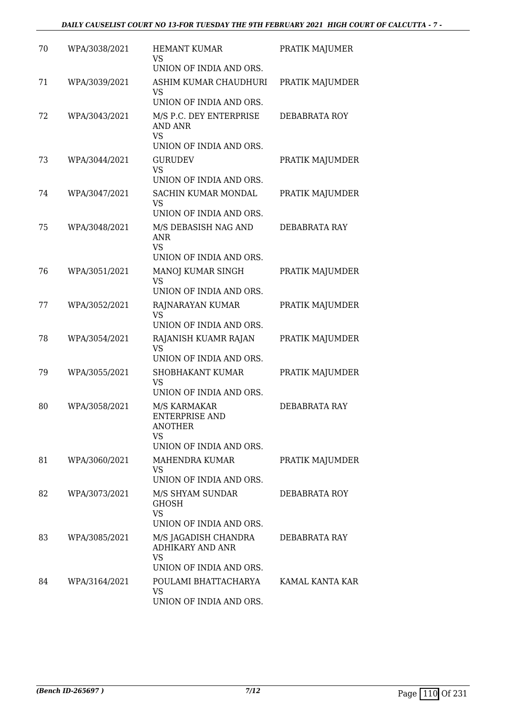| 70 | WPA/3038/2021 | <b>HEMANT KUMAR</b><br>VS                                                                | PRATIK MAJUMER  |
|----|---------------|------------------------------------------------------------------------------------------|-----------------|
|    |               | UNION OF INDIA AND ORS.                                                                  |                 |
| 71 | WPA/3039/2021 | ASHIM KUMAR CHAUDHURI<br>VS<br>UNION OF INDIA AND ORS.                                   | PRATIK MAJUMDER |
|    |               |                                                                                          |                 |
| 72 | WPA/3043/2021 | M/S P.C. DEY ENTERPRISE<br>AND ANR<br><b>VS</b><br>UNION OF INDIA AND ORS.               | DEBABRATA ROY   |
| 73 | WPA/3044/2021 | <b>GURUDEV</b>                                                                           | PRATIK MAJUMDER |
|    |               | <b>VS</b><br>UNION OF INDIA AND ORS.                                                     |                 |
| 74 | WPA/3047/2021 | SACHIN KUMAR MONDAL<br>VS                                                                | PRATIK MAJUMDER |
|    |               | UNION OF INDIA AND ORS.                                                                  |                 |
| 75 | WPA/3048/2021 | M/S DEBASISH NAG AND<br><b>ANR</b><br><b>VS</b>                                          | DEBABRATA RAY   |
|    |               | UNION OF INDIA AND ORS.                                                                  |                 |
| 76 | WPA/3051/2021 | MANOJ KUMAR SINGH<br><b>VS</b><br>UNION OF INDIA AND ORS.                                | PRATIK MAJUMDER |
| 77 | WPA/3052/2021 |                                                                                          |                 |
|    |               | RAJNARAYAN KUMAR<br><b>VS</b><br>UNION OF INDIA AND ORS.                                 | PRATIK MAJUMDER |
| 78 | WPA/3054/2021 | RAJANISH KUAMR RAJAN<br><b>VS</b><br>UNION OF INDIA AND ORS.                             | PRATIK MAJUMDER |
| 79 | WPA/3055/2021 | SHOBHAKANT KUMAR                                                                         | PRATIK MAJUMDER |
|    |               | VS<br>UNION OF INDIA AND ORS.                                                            |                 |
| 80 | WPA/3058/2021 | M/S KARMAKAR<br>ENTERPRISE AND<br><b>ANOTHER</b><br><b>VS</b><br>UNION OF INDIA AND ORS. | DEBABRATA RAY   |
|    |               |                                                                                          |                 |
| 81 | WPA/3060/2021 | MAHENDRA KUMAR<br>VS<br>UNION OF INDIA AND ORS.                                          | PRATIK MAJUMDER |
| 82 | WPA/3073/2021 | M/S SHYAM SUNDAR                                                                         | DEBABRATA ROY   |
|    |               | <b>GHOSH</b><br><b>VS</b><br>UNION OF INDIA AND ORS.                                     |                 |
| 83 | WPA/3085/2021 | M/S JAGADISH CHANDRA<br><b>ADHIKARY AND ANR</b><br><b>VS</b>                             | DEBABRATA RAY   |
|    |               | UNION OF INDIA AND ORS.                                                                  |                 |
| 84 | WPA/3164/2021 | POULAMI BHATTACHARYA<br>VS<br>UNION OF INDIA AND ORS.                                    | KAMAL KANTA KAR |
|    |               |                                                                                          |                 |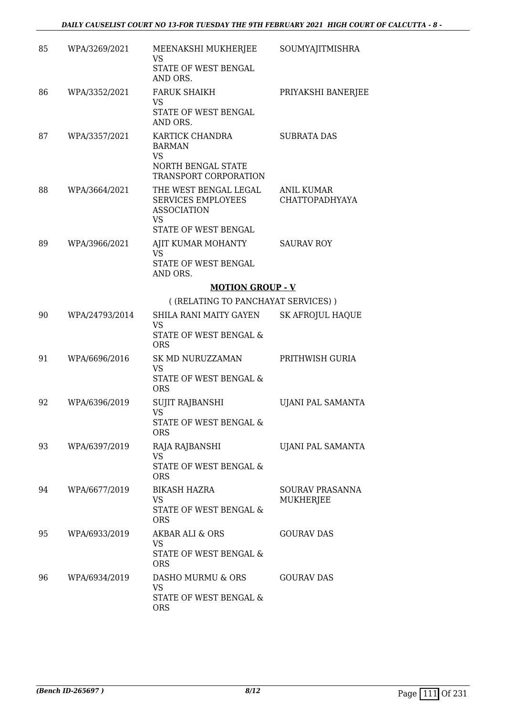| 85 | WPA/3269/2021  | MEENAKSHI MUKHERJEE<br>VS                                                      | SOUMYAJITMISHRA                            |
|----|----------------|--------------------------------------------------------------------------------|--------------------------------------------|
|    |                | STATE OF WEST BENGAL<br>AND ORS.                                               |                                            |
| 86 | WPA/3352/2021  | <b>FARUK SHAIKH</b><br>VS                                                      | PRIYAKSHI BANERJEE                         |
|    |                | STATE OF WEST BENGAL<br>AND ORS.                                               |                                            |
| 87 | WPA/3357/2021  | KARTICK CHANDRA<br><b>BARMAN</b><br><b>VS</b>                                  | <b>SUBRATA DAS</b>                         |
|    |                | NORTH BENGAL STATE<br>TRANSPORT CORPORATION                                    |                                            |
| 88 | WPA/3664/2021  | THE WEST BENGAL LEGAL<br>SERVICES EMPLOYEES<br><b>ASSOCIATION</b><br><b>VS</b> | <b>ANIL KUMAR</b><br><b>CHATTOPADHYAYA</b> |
|    |                | STATE OF WEST BENGAL                                                           |                                            |
| 89 | WPA/3966/2021  | AJIT KUMAR MOHANTY<br><b>VS</b>                                                | <b>SAURAV ROY</b>                          |
|    |                | STATE OF WEST BENGAL<br>AND ORS.                                               |                                            |
|    |                | <b>MOTION GROUP - V</b>                                                        |                                            |
|    |                | ((RELATING TO PANCHAYAT SERVICES))                                             |                                            |
| 90 | WPA/24793/2014 | SHILA RANI MAITY GAYEN<br><b>VS</b>                                            | <b>SK AFROJUL HAQUE</b>                    |
|    |                | STATE OF WEST BENGAL &<br><b>ORS</b>                                           |                                            |
| 91 | WPA/6696/2016  | SK MD NURUZZAMAN<br>VS                                                         | PRITHWISH GURIA                            |
|    |                | STATE OF WEST BENGAL &<br><b>ORS</b>                                           |                                            |
| 92 | WPA/6396/2019  | SUJIT RAJBANSHI<br><b>VS</b>                                                   | UJANI PAL SAMANTA                          |
|    |                | STATE OF WEST BENGAL &<br><b>ORS</b>                                           |                                            |
| 93 | WPA/6397/2019  | RAJA RAJBANSHI<br><b>VS</b>                                                    | UJANI PAL SAMANTA                          |
|    |                | STATE OF WEST BENGAL &<br><b>ORS</b>                                           |                                            |
| 94 | WPA/6677/2019  | <b>BIKASH HAZRA</b><br>VS                                                      | <b>SOURAV PRASANNA</b><br><b>MUKHERJEE</b> |
|    |                | STATE OF WEST BENGAL &<br><b>ORS</b>                                           |                                            |
| 95 | WPA/6933/2019  | AKBAR ALI & ORS<br><b>VS</b>                                                   | <b>GOURAV DAS</b>                          |
|    |                | STATE OF WEST BENGAL &<br><b>ORS</b>                                           |                                            |
| 96 | WPA/6934/2019  | DASHO MURMU & ORS<br><b>VS</b>                                                 | <b>GOURAV DAS</b>                          |
|    |                | STATE OF WEST BENGAL &<br><b>ORS</b>                                           |                                            |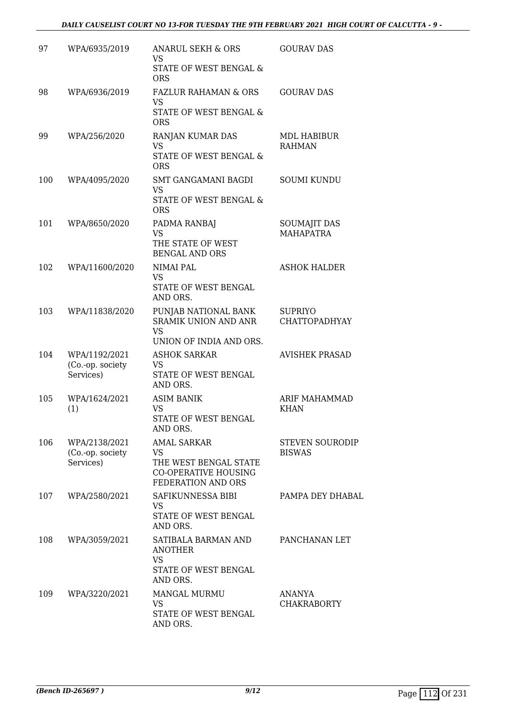| 97  | WPA/6935/2019                                  | ANARUL SEKH & ORS<br><b>VS</b><br>STATE OF WEST BENGAL &                                               | <b>GOURAV DAS</b>                       |
|-----|------------------------------------------------|--------------------------------------------------------------------------------------------------------|-----------------------------------------|
|     |                                                | <b>ORS</b>                                                                                             |                                         |
| 98  | WPA/6936/2019                                  | <b>FAZLUR RAHAMAN &amp; ORS</b><br>VS                                                                  | <b>GOURAV DAS</b>                       |
|     |                                                | STATE OF WEST BENGAL &<br><b>ORS</b>                                                                   |                                         |
| 99  | WPA/256/2020                                   | RANJAN KUMAR DAS<br><b>VS</b><br><b>STATE OF WEST BENGAL &amp;</b><br><b>ORS</b>                       | MDL HABIBUR<br><b>RAHMAN</b>            |
| 100 | WPA/4095/2020                                  | SMT GANGAMANI BAGDI<br>VS<br>STATE OF WEST BENGAL &<br><b>ORS</b>                                      | <b>SOUMI KUNDU</b>                      |
| 101 | WPA/8650/2020                                  | PADMA RANBAJ<br>VS<br>THE STATE OF WEST                                                                | <b>SOUMAJIT DAS</b><br><b>MAHAPATRA</b> |
|     |                                                | <b>BENGAL AND ORS</b>                                                                                  |                                         |
| 102 | WPA/11600/2020                                 | NIMAI PAL<br><b>VS</b><br>STATE OF WEST BENGAL<br>AND ORS.                                             | <b>ASHOK HALDER</b>                     |
| 103 | WPA/11838/2020                                 | PUNJAB NATIONAL BANK<br><b>SRAMIK UNION AND ANR</b><br><b>VS</b>                                       | <b>SUPRIYO</b><br><b>CHATTOPADHYAY</b>  |
|     |                                                | UNION OF INDIA AND ORS.                                                                                |                                         |
| 104 | WPA/1192/2021<br>(Co.-op. society<br>Services) | <b>ASHOK SARKAR</b><br>VS<br>STATE OF WEST BENGAL<br>AND ORS.                                          | <b>AVISHEK PRASAD</b>                   |
| 105 | WPA/1624/2021                                  | <b>ASIM BANIK</b>                                                                                      | ARIF MAHAMMAD                           |
|     | (1)                                            | <b>VS</b><br>STATE OF WEST BENGAL<br>AND ORS.                                                          | <b>KHAN</b>                             |
| 106 | WPA/2138/2021<br>(Co.-op. society<br>Services) | <b>AMAL SARKAR</b><br>VS<br>THE WEST BENGAL STATE<br><b>CO-OPERATIVE HOUSING</b><br>FEDERATION AND ORS | <b>STEVEN SOURODIP</b><br><b>BISWAS</b> |
| 107 | WPA/2580/2021                                  | SAFIKUNNESSA BIBI<br>VS<br>STATE OF WEST BENGAL<br>AND ORS.                                            | PAMPA DEY DHABAL                        |
| 108 | WPA/3059/2021                                  | SATIBALA BARMAN AND<br><b>ANOTHER</b><br><b>VS</b><br>STATE OF WEST BENGAL<br>AND ORS.                 | PANCHANAN LET                           |
| 109 | WPA/3220/2021                                  | <b>MANGAL MURMU</b><br>VS<br>STATE OF WEST BENGAL<br>AND ORS.                                          | ANANYA<br><b>CHAKRABORTY</b>            |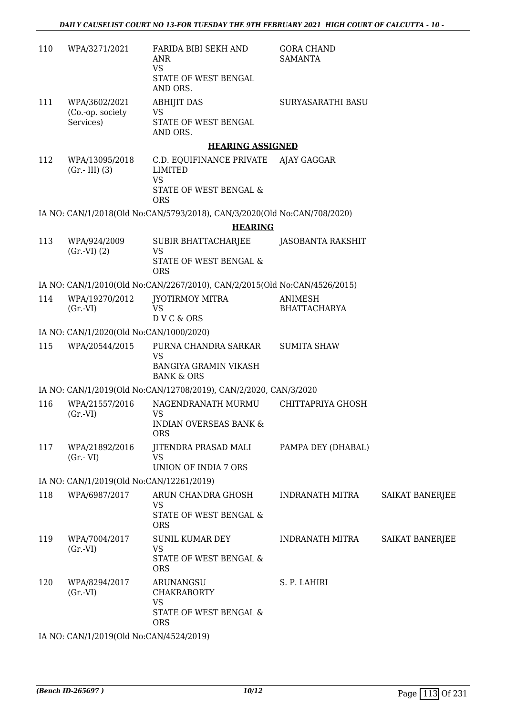| 110 | WPA/3271/2021                                  | FARIDA BIBI SEKH AND<br><b>ANR</b><br><b>VS</b><br>STATE OF WEST BENGAL<br>AND ORS.                         | <b>GORA CHAND</b><br><b>SAMANTA</b> |                        |
|-----|------------------------------------------------|-------------------------------------------------------------------------------------------------------------|-------------------------------------|------------------------|
| 111 | WPA/3602/2021<br>(Co.-op. society<br>Services) | <b>ABHIJIT DAS</b><br><b>VS</b><br>STATE OF WEST BENGAL<br>AND ORS.                                         | <b>SURYASARATHI BASU</b>            |                        |
|     |                                                | <b>HEARING ASSIGNED</b>                                                                                     |                                     |                        |
| 112 | WPA/13095/2018<br>$(Gr.-III)$ (3)              | C.D. EQUIFINANCE PRIVATE AJAY GAGGAR<br><b>LIMITED</b><br><b>VS</b><br>STATE OF WEST BENGAL &<br><b>ORS</b> |                                     |                        |
|     |                                                | IA NO: CAN/1/2018(Old No:CAN/5793/2018), CAN/3/2020(Old No:CAN/708/2020)                                    |                                     |                        |
|     |                                                | <b>HEARING</b>                                                                                              |                                     |                        |
| 113 | WPA/924/2009<br>$(Gr.-VI) (2)$                 | SUBIR BHATTACHARJEE<br><b>VS</b><br>STATE OF WEST BENGAL &                                                  | JASOBANTA RAKSHIT                   |                        |
|     |                                                | <b>ORS</b>                                                                                                  |                                     |                        |
| 114 | WPA/19270/2012                                 | IA NO: CAN/1/2010(Old No:CAN/2267/2010), CAN/2/2015(Old No:CAN/4526/2015)<br>JYOTIRMOY MITRA                | <b>ANIMESH</b>                      |                        |
|     | (Gr.VI)                                        | <b>VS</b><br>D V C & ORS                                                                                    | <b>BHATTACHARYA</b>                 |                        |
|     | IA NO: CAN/1/2020(Old No:CAN/1000/2020)        |                                                                                                             |                                     |                        |
| 115 | WPA/20544/2015                                 | PURNA CHANDRA SARKAR<br><b>VS</b><br><b>BANGIYA GRAMIN VIKASH</b><br><b>BANK &amp; ORS</b>                  | <b>SUMITA SHAW</b>                  |                        |
|     |                                                | IA NO: CAN/1/2019(Old No:CAN/12708/2019), CAN/2/2020, CAN/3/2020                                            |                                     |                        |
| 116 | WPA/21557/2016<br>(Gr.VI)                      | NAGENDRANATH MURMU CHITTAPRIYA GHOSH<br>VS<br><b>INDIAN OVERSEAS BANK &amp;</b><br><b>ORS</b>               |                                     |                        |
| 117 | WPA/21892/2016<br>$(Gr.-VI)$                   | JITENDRA PRASAD MALI<br><b>VS</b><br>UNION OF INDIA 7 ORS                                                   | PAMPA DEY (DHABAL)                  |                        |
|     | IA NO: CAN/1/2019(Old No:CAN/12261/2019)       |                                                                                                             |                                     |                        |
| 118 | WPA/6987/2017                                  | ARUN CHANDRA GHOSH<br><b>VS</b><br>STATE OF WEST BENGAL &<br><b>ORS</b>                                     | INDRANATH MITRA                     | <b>SAIKAT BANERJEE</b> |
| 119 | WPA/7004/2017<br>$(Gr.-VI)$                    | <b>SUNIL KUMAR DEY</b><br>VS<br>STATE OF WEST BENGAL &<br><b>ORS</b>                                        | <b>INDRANATH MITRA</b>              | <b>SAIKAT BANERJEE</b> |
| 120 | WPA/8294/2017<br>(Gr.VI)                       | ARUNANGSU<br><b>CHAKRABORTY</b><br><b>VS</b><br>STATE OF WEST BENGAL &<br><b>ORS</b>                        | S. P. LAHIRI                        |                        |
|     |                                                |                                                                                                             |                                     |                        |

IA NO: CAN/1/2019(Old No:CAN/4524/2019)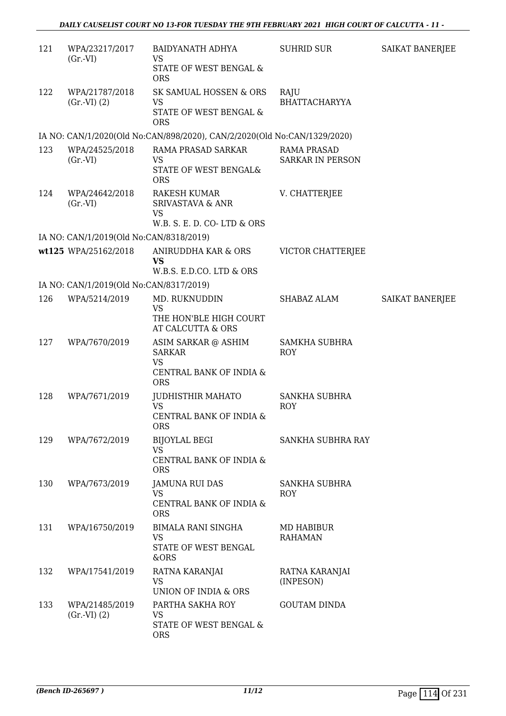| 121 | WPA/23217/2017<br>$(Gr.-VI)$            | BAIDYANATH ADHYA<br>VS<br>STATE OF WEST BENGAL &                                   | SUHRID SUR                                    | SAIKAT BANERJEE |
|-----|-----------------------------------------|------------------------------------------------------------------------------------|-----------------------------------------------|-----------------|
| 122 | WPA/21787/2018<br>(Gr.VI) (2)           | <b>ORS</b><br>SK SAMUAL HOSSEN & ORS<br>VS<br>STATE OF WEST BENGAL &<br><b>ORS</b> | RAJU<br><b>BHATTACHARYYA</b>                  |                 |
|     |                                         | IA NO: CAN/1/2020(Old No:CAN/898/2020), CAN/2/2020(Old No:CAN/1329/2020)           |                                               |                 |
| 123 | WPA/24525/2018<br>(Gr.VI)               | RAMA PRASAD SARKAR<br>VS<br>STATE OF WEST BENGAL&<br><b>ORS</b>                    | <b>RAMA PRASAD</b><br><b>SARKAR IN PERSON</b> |                 |
| 124 | WPA/24642/2018<br>$(Gr.-VI)$            | RAKESH KUMAR<br><b>SRIVASTAVA &amp; ANR</b><br>VS<br>W.B. S. E. D. CO-LTD & ORS    | V. CHATTERJEE                                 |                 |
|     | IA NO: CAN/1/2019(Old No:CAN/8318/2019) |                                                                                    |                                               |                 |
|     | wt125 WPA/25162/2018                    | ANIRUDDHA KAR & ORS<br><b>VS</b><br>W.B.S. E.D.CO. LTD & ORS                       | VICTOR CHATTERJEE                             |                 |
|     | IA NO: CAN/1/2019(Old No:CAN/8317/2019) |                                                                                    |                                               |                 |
| 126 | WPA/5214/2019                           | MD. RUKNUDDIN<br><b>VS</b><br>THE HON'BLE HIGH COURT<br>AT CALCUTTA & ORS          | SHABAZ ALAM                                   | SAIKAT BANERJEE |
| 127 | WPA/7670/2019                           | ASIM SARKAR @ ASHIM<br><b>SARKAR</b><br><b>VS</b><br>CENTRAL BANK OF INDIA &       | <b>SAMKHA SUBHRA</b><br>ROY                   |                 |
|     |                                         | <b>ORS</b>                                                                         |                                               |                 |
| 128 | WPA/7671/2019                           | <b>JUDHISTHIR MAHATO</b><br><b>VS</b><br>CENTRAL BANK OF INDIA &<br><b>ORS</b>     | <b>SANKHA SUBHRA</b><br><b>ROY</b>            |                 |
| 129 | WPA/7672/2019                           | <b>BIJOYLAL BEGI</b><br><b>VS</b><br>CENTRAL BANK OF INDIA &<br><b>ORS</b>         | SANKHA SUBHRA RAY                             |                 |
| 130 | WPA/7673/2019                           | <b>JAMUNA RUI DAS</b><br>VS<br>CENTRAL BANK OF INDIA &<br><b>ORS</b>               | SANKHA SUBHRA<br><b>ROY</b>                   |                 |
| 131 | WPA/16750/2019                          | <b>BIMALA RANI SINGHA</b><br><b>VS</b><br>STATE OF WEST BENGAL<br>&ORS             | MD HABIBUR<br><b>RAHAMAN</b>                  |                 |
| 132 | WPA/17541/2019                          | RATNA KARANJAI<br>VS<br>UNION OF INDIA & ORS                                       | RATNA KARANJAI<br>(INPESON)                   |                 |
| 133 | WPA/21485/2019<br>(Gr.VI) (2)           | PARTHA SAKHA ROY<br><b>VS</b><br>STATE OF WEST BENGAL &<br><b>ORS</b>              | <b>GOUTAM DINDA</b>                           |                 |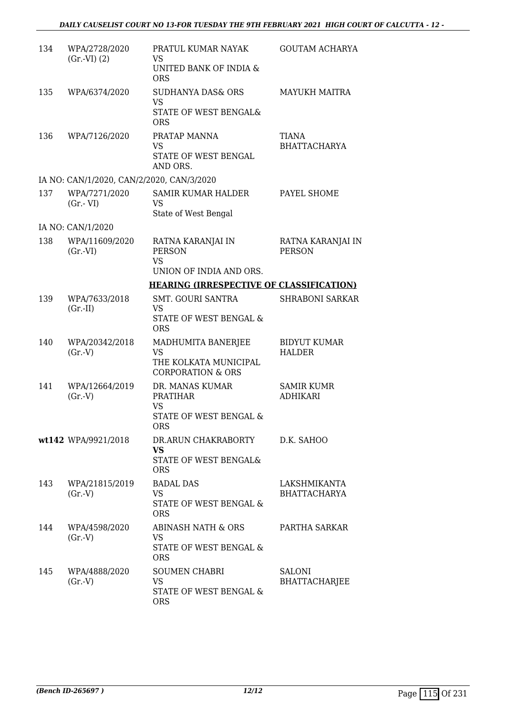| 134 | WPA/2728/2020<br>(Gr.VI) (2)              | PRATUL KUMAR NAYAK<br>VS                        | GOUTAM ACHARYA                        |
|-----|-------------------------------------------|-------------------------------------------------|---------------------------------------|
|     |                                           | UNITED BANK OF INDIA &<br><b>ORS</b>            |                                       |
| 135 | WPA/6374/2020                             | <b>SUDHANYA DAS&amp; ORS</b><br><b>VS</b>       | <b>MAYUKH MAITRA</b>                  |
|     |                                           | STATE OF WEST BENGAL&<br><b>ORS</b>             |                                       |
| 136 | WPA/7126/2020                             | PRATAP MANNA<br><b>VS</b>                       | TIANA<br><b>BHATTACHARYA</b>          |
|     |                                           | STATE OF WEST BENGAL<br>AND ORS.                |                                       |
|     | IA NO: CAN/1/2020, CAN/2/2020, CAN/3/2020 |                                                 |                                       |
| 137 | WPA/7271/2020<br>$(Gr.-VI)$               | <b>SAMIR KUMAR HALDER</b><br><b>VS</b>          | PAYEL SHOME                           |
|     |                                           | State of West Bengal                            |                                       |
|     | IA NO: CAN/1/2020                         |                                                 |                                       |
| 138 | WPA/11609/2020<br>$(Gr.-VI)$              | RATNA KARANJAI IN<br><b>PERSON</b>              | RATNA KARANJAI IN<br><b>PERSON</b>    |
|     |                                           | <b>VS</b><br>UNION OF INDIA AND ORS.            |                                       |
|     |                                           | <b>HEARING (IRRESPECTIVE OF CLASSIFICATION)</b> |                                       |
| 139 | WPA/7633/2018                             | <b>SMT. GOURI SANTRA</b>                        | <b>SHRABONI SARKAR</b>                |
|     | $(Gr.-II)$                                | <b>VS</b><br>STATE OF WEST BENGAL &             |                                       |
|     |                                           | <b>ORS</b>                                      |                                       |
| 140 | WPA/20342/2018                            | MADHUMITA BANERJEE                              | <b>BIDYUT KUMAR</b>                   |
|     | (Gr.V)                                    | <b>VS</b><br>THE KOLKATA MUNICIPAL              | <b>HALDER</b>                         |
|     |                                           | <b>CORPORATION &amp; ORS</b>                    |                                       |
| 141 | WPA/12664/2019                            | DR. MANAS KUMAR                                 | <b>SAMIR KUMR</b>                     |
|     | (Gr.V)                                    | <b>PRATIHAR</b><br><b>VS</b>                    | ADHIKARI                              |
|     |                                           | STATE OF WEST BENGAL &<br>ORS                   |                                       |
|     | wt142 WPA/9921/2018                       | DR.ARUN CHAKRABORTY                             | D.K. SAHOO                            |
|     |                                           | <b>VS</b><br>STATE OF WEST BENGAL&              |                                       |
|     |                                           | <b>ORS</b>                                      |                                       |
| 143 | WPA/21815/2019                            | <b>BADAL DAS</b>                                | LAKSHMIKANTA                          |
|     | (Gr.V)                                    | VS<br>STATE OF WEST BENGAL &                    | <b>BHATTACHARYA</b>                   |
|     |                                           | <b>ORS</b>                                      |                                       |
| 144 | WPA/4598/2020                             | ABINASH NATH & ORS<br><b>VS</b>                 | PARTHA SARKAR                         |
|     | (Gr.V)                                    | STATE OF WEST BENGAL &                          |                                       |
|     |                                           | <b>ORS</b>                                      |                                       |
| 145 | WPA/4888/2020<br>(Gr.V)                   | <b>SOUMEN CHABRI</b><br><b>VS</b>               | <b>SALONI</b><br><b>BHATTACHARJEE</b> |
|     |                                           | STATE OF WEST BENGAL &                          |                                       |
|     |                                           | <b>ORS</b>                                      |                                       |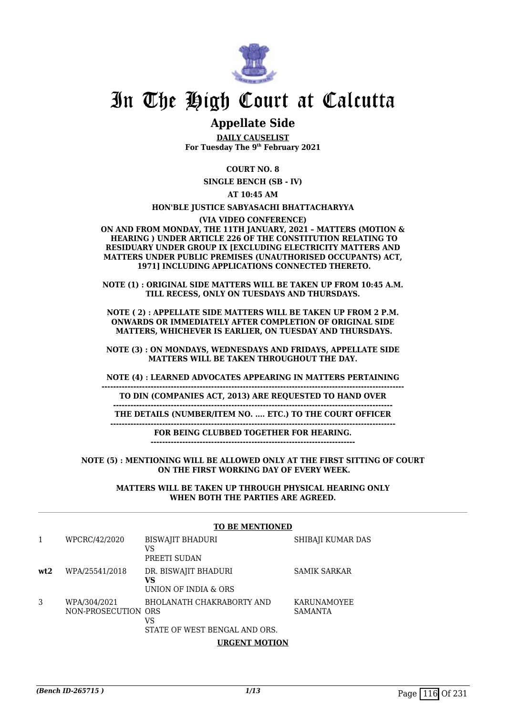

## In The High Court at Calcutta

### **Appellate Side**

**DAILY CAUSELIST For Tuesday The 9th February 2021**

**COURT NO. 8**

**SINGLE BENCH (SB - IV)**

**AT 10:45 AM**

**HON'BLE JUSTICE SABYASACHI BHATTACHARYYA**

**(VIA VIDEO CONFERENCE)**

**ON AND FROM MONDAY, THE 11TH JANUARY, 2021 – MATTERS (MOTION & HEARING ) UNDER ARTICLE 226 OF THE CONSTITUTION RELATING TO RESIDUARY UNDER GROUP IX [EXCLUDING ELECTRICITY MATTERS AND MATTERS UNDER PUBLIC PREMISES (UNAUTHORISED OCCUPANTS) ACT, 1971] INCLUDING APPLICATIONS CONNECTED THERETO.**

**NOTE (1) : ORIGINAL SIDE MATTERS WILL BE TAKEN UP FROM 10:45 A.M. TILL RECESS, ONLY ON TUESDAYS AND THURSDAYS.**

**NOTE ( 2) : APPELLATE SIDE MATTERS WILL BE TAKEN UP FROM 2 P.M. ONWARDS OR IMMEDIATELY AFTER COMPLETION OF ORIGINAL SIDE MATTERS, WHICHEVER IS EARLIER, ON TUESDAY AND THURSDAYS.**

**NOTE (3) : ON MONDAYS, WEDNESDAYS AND FRIDAYS, APPELLATE SIDE MATTERS WILL BE TAKEN THROUGHOUT THE DAY.**

**NOTE (4) : LEARNED ADVOCATES APPEARING IN MATTERS PERTAINING**

**---------------------------------------------------------------------------------------------------------**

**-------------------------------------------------------------------------------------------------**

**TO DIN (COMPANIES ACT, 2013) ARE REQUESTED TO HAND OVER**

**THE DETAILS (NUMBER/ITEM NO. .... ETC.) TO THE COURT OFFICER**

**---------------------------------------------------------------------------------------------------**

**FOR BEING CLUBBED TOGETHER FOR HEARING. -----------------------------------------------------------------------**

**NOTE (5) : MENTIONING WILL BE ALLOWED ONLY AT THE FIRST SITTING OF COURT ON THE FIRST WORKING DAY OF EVERY WEEK.**

> **MATTERS WILL BE TAKEN UP THROUGH PHYSICAL HEARING ONLY WHEN BOTH THE PARTIES ARE AGREED.**

#### **TO BE MENTIONED**

|     | WPCRC/42/2020                       | <b>BISWAJIT BHADURI</b><br>VS<br>PREETI SUDAN                    | SHIBAJI KUMAR DAS             |
|-----|-------------------------------------|------------------------------------------------------------------|-------------------------------|
| wt2 | WPA/25541/2018                      | DR. BISWAJIT BHADURI<br>VS<br>UNION OF INDIA & ORS               | SAMIK SARKAR                  |
| 3   | WPA/304/2021<br>NON-PROSECUTION ORS | BHOLANATH CHAKRABORTY AND<br>VS<br>STATE OF WEST BENGAL AND ORS. | KARUNAMOYEE<br><b>SAMANTA</b> |

**URGENT MOTION**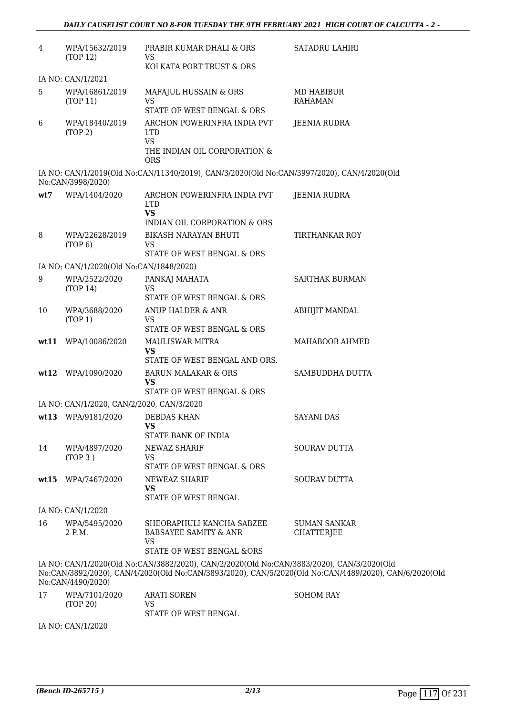| $\overline{4}$ | WPA/15632/2019<br>(TOP 12)                | PRABIR KUMAR DHALI & ORS<br>VS                                                                       | <b>SATADRU LAHIRI</b>                                                                                 |
|----------------|-------------------------------------------|------------------------------------------------------------------------------------------------------|-------------------------------------------------------------------------------------------------------|
|                |                                           | KOLKATA PORT TRUST & ORS                                                                             |                                                                                                       |
|                | IA NO: CAN/1/2021                         |                                                                                                      |                                                                                                       |
| 5              | WPA/16861/2019<br>(TOP 11)                | MAFAJUL HUSSAIN & ORS<br><b>VS</b>                                                                   | <b>MD HABIBUR</b><br><b>RAHAMAN</b>                                                                   |
|                |                                           | STATE OF WEST BENGAL & ORS                                                                           |                                                                                                       |
| 6              | WPA/18440/2019<br>(TOP 2)                 | ARCHON POWERINFRA INDIA PVT<br><b>LTD</b><br><b>VS</b><br>THE INDIAN OIL CORPORATION &<br><b>ORS</b> | <b>JEENIA RUDRA</b>                                                                                   |
|                | No:CAN/3998/2020)                         | IA NO: CAN/1/2019(Old No:CAN/11340/2019), CAN/3/2020(Old No:CAN/3997/2020), CAN/4/2020(Old           |                                                                                                       |
| wt7            | WPA/1404/2020                             | ARCHON POWERINFRA INDIA PVT<br><b>LTD</b><br><b>VS</b><br>INDIAN OIL CORPORATION & ORS               | <b>JEENIA RUDRA</b>                                                                                   |
| 8              | WPA/22628/2019                            | BIKASH NARAYAN BHUTI                                                                                 | <b>TIRTHANKAR ROY</b>                                                                                 |
|                | (TOP 6)                                   | VS<br>STATE OF WEST BENGAL & ORS                                                                     |                                                                                                       |
|                | IA NO: CAN/1/2020(Old No:CAN/1848/2020)   |                                                                                                      |                                                                                                       |
| 9              | WPA/2522/2020<br>(TOP 14)                 | PANKAJ MAHATA<br><b>VS</b>                                                                           | <b>SARTHAK BURMAN</b>                                                                                 |
|                |                                           | STATE OF WEST BENGAL & ORS                                                                           |                                                                                                       |
| 10             | WPA/3688/2020<br>(TOP 1)                  | ANUP HALDER & ANR<br><b>VS</b>                                                                       | <b>ABHIJIT MANDAL</b>                                                                                 |
|                |                                           | STATE OF WEST BENGAL & ORS                                                                           |                                                                                                       |
| wt11           | WPA/10086/2020                            | <b>MAULISWAR MITRA</b><br><b>VS</b>                                                                  | MAHABOOB AHMED                                                                                        |
|                |                                           | STATE OF WEST BENGAL AND ORS.                                                                        |                                                                                                       |
| wt12           | WPA/1090/2020                             | <b>BARUN MALAKAR &amp; ORS</b><br>VS<br>STATE OF WEST BENGAL & ORS                                   | SAMBUDDHA DUTTA                                                                                       |
|                | IA NO: CAN/1/2020, CAN/2/2020, CAN/3/2020 |                                                                                                      |                                                                                                       |
|                | wt13 WPA/9181/2020                        | DEBDAS KHAN                                                                                          | <b>SAYANI DAS</b>                                                                                     |
|                |                                           | <b>VS</b><br><b>STATE BANK OF INDIA</b>                                                              |                                                                                                       |
| 14             | WPA/4897/2020                             | NEWAZ SHARIF                                                                                         | <b>SOURAV DUTTA</b>                                                                                   |
|                | (TOP 3)                                   | <b>VS</b><br>STATE OF WEST BENGAL & ORS                                                              |                                                                                                       |
| wt15           | WPA/7467/2020                             | NEWEAZ SHARIF<br><b>VS</b>                                                                           | <b>SOURAV DUTTA</b>                                                                                   |
|                |                                           | STATE OF WEST BENGAL                                                                                 |                                                                                                       |
|                | IA NO: CAN/1/2020                         |                                                                                                      |                                                                                                       |
| 16             | WPA/5495/2020<br>2 P.M.                   | SHEORAPHULI KANCHA SABZEE<br><b>BABSAYEE SAMITY &amp; ANR</b><br>VS                                  | <b>SUMAN SANKAR</b><br><b>CHATTERJEE</b>                                                              |
|                |                                           | STATE OF WEST BENGAL &ORS                                                                            |                                                                                                       |
|                | No:CAN/4490/2020)                         | IA NO: CAN/1/2020(Old No:CAN/3882/2020), CAN/2/2020(Old No:CAN/3883/2020), CAN/3/2020(Old            | No:CAN/3892/2020), CAN/4/2020(Old No:CAN/3893/2020), CAN/5/2020(Old No:CAN/4489/2020), CAN/6/2020(Old |
| 17             | WPA/7101/2020<br>(TOP 20)                 | <b>ARATI SOREN</b><br><b>VS</b>                                                                      | <b>SOHOM RAY</b>                                                                                      |

IA NO: CAN/1/2020

STATE OF WEST BENGAL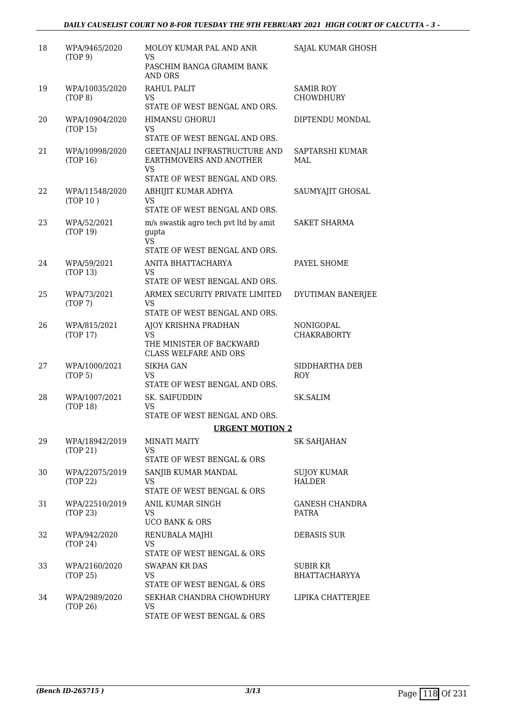| 18 | WPA/9465/2020<br>(TOP 9)   | MOLOY KUMAR PAL AND ANR<br>VS.<br>PASCHIM BANGA GRAMIM BANK                                                                   | SAJAL KUMAR GHOSH                    |
|----|----------------------------|-------------------------------------------------------------------------------------------------------------------------------|--------------------------------------|
|    |                            | <b>AND ORS</b>                                                                                                                |                                      |
| 19 | WPA/10035/2020<br>(TOP 8)  | RAHUL PALIT<br>VS                                                                                                             | <b>SAMIR ROY</b><br><b>CHOWDHURY</b> |
|    |                            | STATE OF WEST BENGAL AND ORS.                                                                                                 |                                      |
| 20 | WPA/10904/2020<br>(TOP 15) | <b>HIMANSU GHORUI</b><br><b>VS</b><br>STATE OF WEST BENGAL AND ORS.                                                           | DIPTENDU MONDAL                      |
| 21 | WPA/10998/2020<br>(TOP 16) | GEETANJALI INFRASTRUCTURE AND<br>EARTHMOVERS AND ANOTHER<br><b>VS</b><br>STATE OF WEST BENGAL AND ORS.                        | SAPTARSHI KUMAR<br>MAL               |
| 22 | WPA/11548/2020<br>(TOP 10) | ABHIJIT KUMAR ADHYA<br><b>VS</b>                                                                                              | SAUMYAJIT GHOSAL                     |
| 23 | WPA/52/2021<br>(TOP 19)    | STATE OF WEST BENGAL AND ORS.<br>m/s swastik agro tech pvt ltd by amit<br>gupta<br><b>VS</b><br>STATE OF WEST BENGAL AND ORS. | <b>SAKET SHARMA</b>                  |
| 24 | WPA/59/2021                | ANITA BHATTACHARYA                                                                                                            | PAYEL SHOME                          |
|    | (TOP 13)                   | VS<br>STATE OF WEST BENGAL AND ORS.                                                                                           |                                      |
| 25 | WPA/73/2021<br>(TOP 7)     | ARMEX SECURITY PRIVATE LIMITED<br>VS.<br>STATE OF WEST BENGAL AND ORS.                                                        | DYUTIMAN BANERJEE                    |
| 26 | WPA/815/2021<br>(TOP 17)   | AJOY KRISHNA PRADHAN<br><b>VS</b><br>THE MINISTER OF BACKWARD<br><b>CLASS WELFARE AND ORS</b>                                 | NONIGOPAL<br><b>CHAKRABORTY</b>      |
| 27 | WPA/1000/2021<br>(TOP 5)   | <b>SIKHA GAN</b><br><b>VS</b><br>STATE OF WEST BENGAL AND ORS.                                                                | SIDDHARTHA DEB<br><b>ROY</b>         |
| 28 | WPA/1007/2021<br>(TOP 18)  | SK. SAIFUDDIN<br><b>VS</b><br>STATE OF WEST BENGAL AND ORS.                                                                   | SK.SALIM                             |
|    |                            | <b>URGENT MOTION 2</b>                                                                                                        |                                      |
| 29 | WPA/18942/2019<br>(TOP 21) | <b>MINATI MAITY</b><br><b>VS</b>                                                                                              | SK SAHJAHAN                          |
|    |                            | STATE OF WEST BENGAL & ORS                                                                                                    |                                      |
| 30 | WPA/22075/2019<br>(TOP 22) | SANJIB KUMAR MANDAL<br><b>VS</b><br>STATE OF WEST BENGAL & ORS                                                                | <b>SUJOY KUMAR</b><br><b>HALDER</b>  |
| 31 | WPA/22510/2019<br>(TOP 23) | ANIL KUMAR SINGH<br>VS.<br><b>UCO BANK &amp; ORS</b>                                                                          | <b>GANESH CHANDRA</b><br>PATRA       |
| 32 | WPA/942/2020<br>(TOP 24)   | RENUBALA MAJHI<br>VS.<br>STATE OF WEST BENGAL & ORS                                                                           | DEBASIS SUR                          |
| 33 | WPA/2160/2020<br>(TOP 25)  | <b>SWAPAN KR DAS</b><br><b>VS</b><br>STATE OF WEST BENGAL & ORS                                                               | SUBIR KR<br><b>BHATTACHARYYA</b>     |
| 34 | WPA/2989/2020<br>(TOP 26)  | SEKHAR CHANDRA CHOWDHURY<br><b>VS</b><br>STATE OF WEST BENGAL & ORS                                                           | LIPIKA CHATTERJEE                    |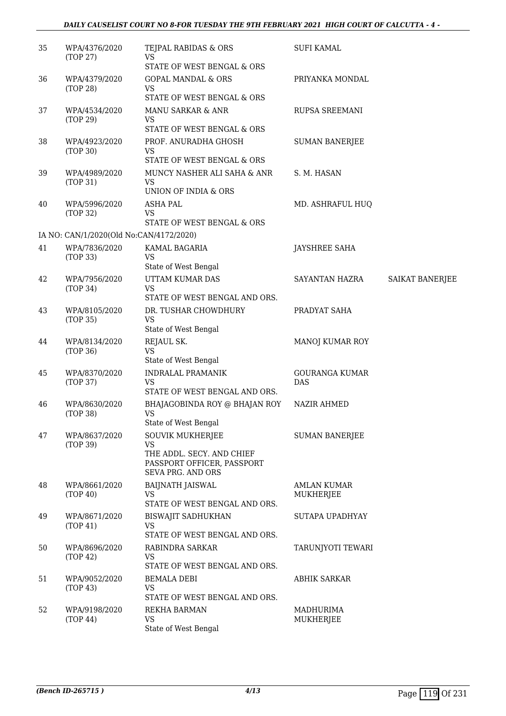| 35 | WPA/4376/2020<br>(TOP 27)               | TEJPAL RABIDAS & ORS<br>VS                                                   | <b>SUFI KAMAL</b>     |                 |
|----|-----------------------------------------|------------------------------------------------------------------------------|-----------------------|-----------------|
|    |                                         | STATE OF WEST BENGAL & ORS                                                   |                       |                 |
| 36 | WPA/4379/2020<br>(TOP 28)               | <b>GOPAL MANDAL &amp; ORS</b><br><b>VS</b>                                   | PRIYANKA MONDAL       |                 |
|    |                                         | STATE OF WEST BENGAL & ORS                                                   |                       |                 |
| 37 | WPA/4534/2020<br>(TOP 29)               | <b>MANU SARKAR &amp; ANR</b><br><b>VS</b><br>STATE OF WEST BENGAL & ORS      | RUPSA SREEMANI        |                 |
| 38 | WPA/4923/2020                           | PROF. ANURADHA GHOSH                                                         | <b>SUMAN BANERJEE</b> |                 |
|    | (TOP 30)                                | <b>VS</b><br>STATE OF WEST BENGAL & ORS                                      |                       |                 |
| 39 | WPA/4989/2020<br>(TOP 31)               | MUNCY NASHER ALI SAHA & ANR<br><b>VS</b><br>UNION OF INDIA & ORS             | S. M. HASAN           |                 |
| 40 | WPA/5996/2020<br>(TOP 32)               | <b>ASHA PAL</b><br><b>VS</b>                                                 | MD. ASHRAFUL HUQ      |                 |
|    | IA NO: CAN/1/2020(Old No:CAN/4172/2020) | STATE OF WEST BENGAL & ORS                                                   |                       |                 |
| 41 | WPA/7836/2020                           | KAMAL BAGARIA                                                                | <b>JAYSHREE SAHA</b>  |                 |
|    | (TOP 33)                                | <b>VS</b><br>State of West Bengal                                            |                       |                 |
| 42 | WPA/7956/2020                           | UTTAM KUMAR DAS                                                              | SAYANTAN HAZRA        | SAIKAT BANERJEE |
|    | (TOP 34)                                | <b>VS</b><br>STATE OF WEST BENGAL AND ORS.                                   |                       |                 |
| 43 | WPA/8105/2020                           | DR. TUSHAR CHOWDHURY                                                         | PRADYAT SAHA          |                 |
|    | (TOP 35)                                | <b>VS</b><br>State of West Bengal                                            |                       |                 |
| 44 | WPA/8134/2020                           | REJAUL SK.                                                                   | MANOJ KUMAR ROY       |                 |
|    | (TOP 36)                                | <b>VS</b><br>State of West Bengal                                            |                       |                 |
| 45 | WPA/8370/2020                           | <b>INDRALAL PRAMANIK</b>                                                     | <b>GOURANGA KUMAR</b> |                 |
|    | (TOP 37)                                | <b>VS</b><br>STATE OF WEST BENGAL AND ORS.                                   | <b>DAS</b>            |                 |
| 46 | WPA/8630/2020<br>(TOP 38)               | BHAJAGOBINDA ROY @ BHAJAN ROY<br>VS<br>State of West Bengal                  | <b>NAZIR AHMED</b>    |                 |
| 47 | WPA/8637/2020                           | <b>SOUVIK MUKHERJEE</b>                                                      | <b>SUMAN BANERJEE</b> |                 |
|    | (TOP 39)                                | VS                                                                           |                       |                 |
|    |                                         | THE ADDL. SECY. AND CHIEF<br>PASSPORT OFFICER, PASSPORT<br>SEVA PRG. AND ORS |                       |                 |
| 48 | WPA/8661/2020                           | <b>BAIJNATH JAISWAL</b>                                                      | <b>AMLAN KUMAR</b>    |                 |
|    | (TOP 40)                                | VS<br>STATE OF WEST BENGAL AND ORS.                                          | <b>MUKHERJEE</b>      |                 |
| 49 | WPA/8671/2020                           | <b>BISWAJIT SADHUKHAN</b>                                                    | SUTAPA UPADHYAY       |                 |
|    | (TOP 41)                                | <b>VS</b><br>STATE OF WEST BENGAL AND ORS.                                   |                       |                 |
| 50 | WPA/8696/2020<br>(TOP 42)               | RABINDRA SARKAR<br><b>VS</b>                                                 | TARUNJYOTI TEWARI     |                 |
|    |                                         | STATE OF WEST BENGAL AND ORS.                                                |                       |                 |
| 51 | WPA/9052/2020<br>(TOP 43)               | <b>BEMALA DEBI</b><br><b>VS</b><br>STATE OF WEST BENGAL AND ORS.             | <b>ABHIK SARKAR</b>   |                 |
| 52 | WPA/9198/2020                           | REKHA BARMAN                                                                 | MADHURIMA             |                 |
|    | (TOP 44)                                | <b>VS</b><br>State of West Bengal                                            | <b>MUKHERJEE</b>      |                 |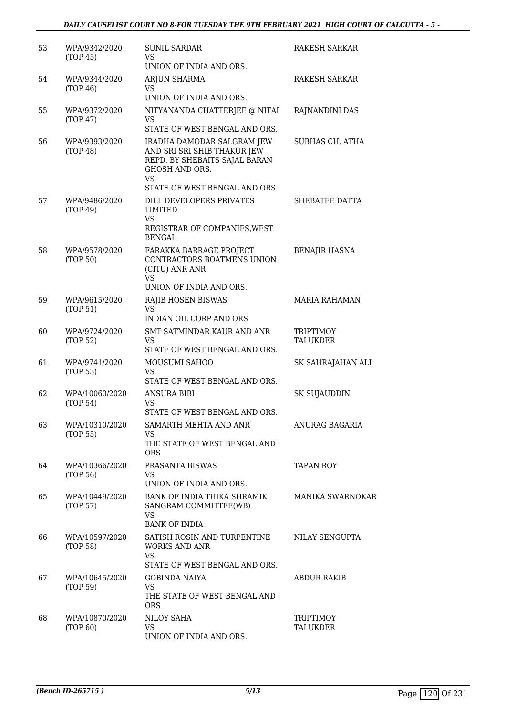| 53 | WPA/9342/2020<br>(TOP 45)  | <b>SUNIL SARDAR</b><br>VS<br>UNION OF INDIA AND ORS.                                                                             | RAKESH SARKAR                |
|----|----------------------------|----------------------------------------------------------------------------------------------------------------------------------|------------------------------|
| 54 | WPA/9344/2020<br>(TOP 46)  | ARJUN SHARMA<br>VS<br>UNION OF INDIA AND ORS.                                                                                    | RAKESH SARKAR                |
| 55 | WPA/9372/2020<br>(TOP 47)  | NITYANANDA CHATTERJEE @ NITAI<br>VS<br>STATE OF WEST BENGAL AND ORS.                                                             | RAJNANDINI DAS               |
| 56 | WPA/9393/2020<br>(TOP 48)  | IRADHA DAMODAR SALGRAM JEW<br>AND SRI SRI SHIB THAKUR JEW<br>REPD. BY SHEBAITS SAJAL BARAN<br><b>GHOSH AND ORS.</b><br><b>VS</b> | SUBHAS CH. ATHA              |
|    |                            | STATE OF WEST BENGAL AND ORS.                                                                                                    |                              |
| 57 | WPA/9486/2020<br>(TOP 49)  | DILL DEVELOPERS PRIVATES<br>LIMITED<br><b>VS</b><br>REGISTRAR OF COMPANIES, WEST<br><b>BENGAL</b>                                | SHEBATEE DATTA               |
| 58 | WPA/9578/2020<br>(TOP 50)  | FARAKKA BARRAGE PROJECT<br>CONTRACTORS BOATMENS UNION<br>(CITU) ANR ANR<br><b>VS</b>                                             | <b>BENAJIR HASNA</b>         |
|    |                            | UNION OF INDIA AND ORS.                                                                                                          |                              |
| 59 | WPA/9615/2020<br>(TOP 51)  | RAJIB HOSEN BISWAS<br><b>VS</b><br>INDIAN OIL CORP AND ORS                                                                       | <b>MARIA RAHAMAN</b>         |
| 60 | WPA/9724/2020<br>(TOP 52)  | SMT SATMINDAR KAUR AND ANR<br>VS<br>STATE OF WEST BENGAL AND ORS.                                                                | <b>TRIPTIMOY</b><br>TALUKDER |
| 61 | WPA/9741/2020<br>(TOP 53)  | MOUSUMI SAHOO<br>VS<br>STATE OF WEST BENGAL AND ORS.                                                                             | SK SAHRAJAHAN ALI            |
| 62 | WPA/10060/2020<br>(TOP 54) | <b>ANSURA BIBI</b><br>VS<br>STATE OF WEST BENGAL AND ORS.                                                                        | <b>SK SUJAUDDIN</b>          |
| 63 | WPA/10310/2020<br>(TOP 55) | SAMARTH MEHTA AND ANR<br>VS.<br>THE STATE OF WEST BENGAL AND<br><b>ORS</b>                                                       | ANURAG BAGARIA               |
| 64 | WPA/10366/2020<br>(TOP 56) | PRASANTA BISWAS<br>VS<br>UNION OF INDIA AND ORS.                                                                                 | TAPAN ROY                    |
| 65 | WPA/10449/2020<br>(TOP 57) | BANK OF INDIA THIKA SHRAMIK<br>SANGRAM COMMITTEE(WB)<br>VS.                                                                      | <b>MANIKA SWARNOKAR</b>      |
|    |                            | <b>BANK OF INDIA</b>                                                                                                             |                              |
| 66 | WPA/10597/2020<br>(TOP 58) | SATISH ROSIN AND TURPENTINE<br><b>WORKS AND ANR</b><br><b>VS</b>                                                                 | NILAY SENGUPTA               |
|    |                            | STATE OF WEST BENGAL AND ORS.                                                                                                    |                              |
| 67 | WPA/10645/2020<br>(TOP 59) | <b>GOBINDA NAIYA</b><br>VS.<br>THE STATE OF WEST BENGAL AND<br><b>ORS</b>                                                        | ABDUR RAKIB                  |
| 68 | WPA/10870/2020<br>(TOP 60) | NILOY SAHA<br><b>VS</b><br>UNION OF INDIA AND ORS.                                                                               | TRIPTIMOY<br>TALUKDER        |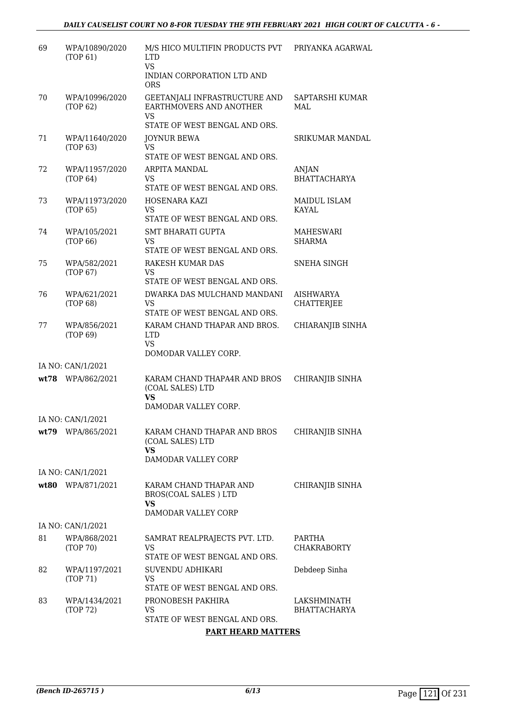| 69   | WPA/10890/2020<br>(TOP 61)        | M/S HICO MULTIFIN PRODUCTS PVT<br><b>LTD</b><br><b>VS</b>                                 | PRIYANKA AGARWAL                    |
|------|-----------------------------------|-------------------------------------------------------------------------------------------|-------------------------------------|
|      |                                   | INDIAN CORPORATION LTD AND<br><b>ORS</b>                                                  |                                     |
| 70   | WPA/10996/2020<br>(TOP 62)        | GEETANJALI INFRASTRUCTURE AND<br>EARTHMOVERS AND ANOTHER<br><b>VS</b>                     | SAPTARSHI KUMAR<br>MAL              |
|      |                                   | STATE OF WEST BENGAL AND ORS.                                                             |                                     |
| 71   | WPA/11640/2020<br>(TOP 63)        | <b>JOYNUR BEWA</b><br><b>VS</b><br>STATE OF WEST BENGAL AND ORS.                          | <b>SRIKUMAR MANDAL</b>              |
| 72   | WPA/11957/2020<br>(TOP 64)        | <b>ARPITA MANDAL</b><br><b>VS</b><br>STATE OF WEST BENGAL AND ORS.                        | ANJAN<br><b>BHATTACHARYA</b>        |
| 73   | WPA/11973/2020<br>(TOP 65)        | HOSENARA KAZI<br><b>VS</b><br>STATE OF WEST BENGAL AND ORS.                               | <b>MAIDUL ISLAM</b><br><b>KAYAL</b> |
| 74   | WPA/105/2021<br>(TOP 66)          | <b>SMT BHARATI GUPTA</b><br>VS<br>STATE OF WEST BENGAL AND ORS.                           | MAHESWARI<br><b>SHARMA</b>          |
| 75   | WPA/582/2021<br>(TOP 67)          | RAKESH KUMAR DAS<br><b>VS</b><br>STATE OF WEST BENGAL AND ORS.                            | SNEHA SINGH                         |
| 76   | WPA/621/2021<br>(TOP 68)          | DWARKA DAS MULCHAND MANDANI<br><b>VS</b><br>STATE OF WEST BENGAL AND ORS.                 | <b>AISHWARYA</b><br>CHATTERJEE      |
| 77   | WPA/856/2021<br>(TOP 69)          | KARAM CHAND THAPAR AND BROS.<br><b>LTD</b><br><b>VS</b><br>DOMODAR VALLEY CORP.           | CHIARANJIB SINHA                    |
|      | IA NO: CAN/1/2021                 |                                                                                           |                                     |
|      | wt78 WPA/862/2021                 | KARAM CHAND THAPA4R AND BROS<br>(COAL SALES) LTD<br><b>VS</b>                             | CHIRANJIB SINHA                     |
|      |                                   | DAMODAR VALLEY CORP.                                                                      |                                     |
| wt79 | IA NO: CAN/1/2021<br>WPA/865/2021 | KARAM CHAND THAPAR AND BROS<br>(COAL SALES) LTD<br>VS                                     | CHIRANJIB SINHA                     |
|      | IA NO: CAN/1/2021                 | DAMODAR VALLEY CORP                                                                       |                                     |
|      | wt80 WPA/871/2021                 | KARAM CHAND THAPAR AND<br><b>BROS(COAL SALES) LTD</b><br><b>VS</b><br>DAMODAR VALLEY CORP | CHIRANJIB SINHA                     |
|      | IA NO: CAN/1/2021                 |                                                                                           |                                     |
| 81   | WPA/868/2021<br>(TOP 70)          | SAMRAT REALPRAJECTS PVT. LTD.<br>VS.<br>STATE OF WEST BENGAL AND ORS.                     | PARTHA<br><b>CHAKRABORTY</b>        |
| 82   | WPA/1197/2021<br>(TOP 71)         | SUVENDU ADHIKARI<br>VS.<br>STATE OF WEST BENGAL AND ORS.                                  | Debdeep Sinha                       |
| 83   | WPA/1434/2021<br>(TOP 72)         | PRONOBESH PAKHIRA<br>VS<br>STATE OF WEST BENGAL AND ORS.                                  | LAKSHMINATH<br><b>BHATTACHARYA</b>  |

**PART HEARD MATTERS**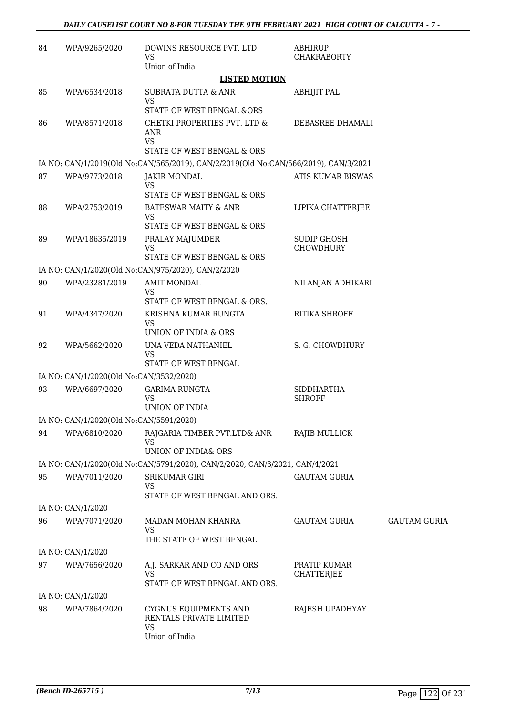| 84 | WPA/9265/2020                           | DOWINS RESOURCE PVT. LTD<br>VS<br>Union of India                                    | ABHIRUP<br><b>CHAKRABORTY</b>          |                     |
|----|-----------------------------------------|-------------------------------------------------------------------------------------|----------------------------------------|---------------------|
|    |                                         | <b>LISTED MOTION</b>                                                                |                                        |                     |
| 85 | WPA/6534/2018                           | SUBRATA DUTTA & ANR<br><b>VS</b>                                                    | ABHIJIT PAL                            |                     |
|    |                                         | STATE OF WEST BENGAL &ORS                                                           |                                        |                     |
| 86 | WPA/8571/2018                           | CHETKI PROPERTIES PVT. LTD &<br>ANR<br><b>VS</b>                                    | DEBASREE DHAMALI                       |                     |
|    |                                         | STATE OF WEST BENGAL & ORS                                                          |                                        |                     |
|    |                                         | IA NO: CAN/1/2019(Old No:CAN/565/2019), CAN/2/2019(Old No:CAN/566/2019), CAN/3/2021 |                                        |                     |
| 87 | WPA/9773/2018                           | <b>JAKIR MONDAL</b><br>VS<br>STATE OF WEST BENGAL & ORS                             | ATIS KUMAR BISWAS                      |                     |
| 88 | WPA/2753/2019                           | <b>BATESWAR MAITY &amp; ANR</b>                                                     | LIPIKA CHATTERJEE                      |                     |
|    |                                         | <b>VS</b>                                                                           |                                        |                     |
|    |                                         | STATE OF WEST BENGAL & ORS                                                          |                                        |                     |
| 89 | WPA/18635/2019                          | PRALAY MAJUMDER<br><b>VS</b><br>STATE OF WEST BENGAL & ORS                          | <b>SUDIP GHOSH</b><br><b>CHOWDHURY</b> |                     |
|    |                                         | IA NO: CAN/1/2020(Old No:CAN/975/2020), CAN/2/2020                                  |                                        |                     |
| 90 | WPA/23281/2019                          | <b>AMIT MONDAL</b><br>VS                                                            | NILANJAN ADHIKARI                      |                     |
|    |                                         | STATE OF WEST BENGAL & ORS.                                                         |                                        |                     |
| 91 | WPA/4347/2020                           | KRISHNA KUMAR RUNGTA<br>VS<br>UNION OF INDIA & ORS                                  | <b>RITIKA SHROFF</b>                   |                     |
| 92 | WPA/5662/2020                           | UNA VEDA NATHANIEL<br>VS                                                            | S. G. CHOWDHURY                        |                     |
|    |                                         | STATE OF WEST BENGAL                                                                |                                        |                     |
|    | IA NO: CAN/1/2020(Old No:CAN/3532/2020) |                                                                                     |                                        |                     |
| 93 | WPA/6697/2020                           | <b>GARIMA RUNGTA</b><br><b>VS</b><br>UNION OF INDIA                                 | <b>SIDDHARTHA</b><br><b>SHROFF</b>     |                     |
|    | IA NO: CAN/1/2020(Old No:CAN/5591/2020) |                                                                                     |                                        |                     |
| 94 | WPA/6810/2020                           | RAJGARIA TIMBER PVT.LTD& ANR<br>VS                                                  | RAJIB MULLICK                          |                     |
|    |                                         | UNION OF INDIA& ORS                                                                 |                                        |                     |
|    |                                         | IA NO: CAN/1/2020(Old No:CAN/5791/2020), CAN/2/2020, CAN/3/2021, CAN/4/2021         |                                        |                     |
| 95 | WPA/7011/2020                           | <b>SRIKUMAR GIRI</b><br>VS<br>STATE OF WEST BENGAL AND ORS.                         | <b>GAUTAM GURIA</b>                    |                     |
|    | IA NO: CAN/1/2020                       |                                                                                     |                                        |                     |
| 96 | WPA/7071/2020                           | MADAN MOHAN KHANRA<br><b>VS</b>                                                     | GAUTAM GURIA                           | <b>GAUTAM GURIA</b> |
|    |                                         | THE STATE OF WEST BENGAL                                                            |                                        |                     |
|    | IA NO: CAN/1/2020                       |                                                                                     |                                        |                     |
| 97 | WPA/7656/2020                           | A.J. SARKAR AND CO AND ORS<br>VS<br>STATE OF WEST BENGAL AND ORS.                   | PRATIP KUMAR<br>CHATTERJEE             |                     |
|    | IA NO: CAN/1/2020                       |                                                                                     |                                        |                     |
| 98 | WPA/7864/2020                           | CYGNUS EQUIPMENTS AND<br>RENTALS PRIVATE LIMITED<br><b>VS</b><br>Union of India     | RAJESH UPADHYAY                        |                     |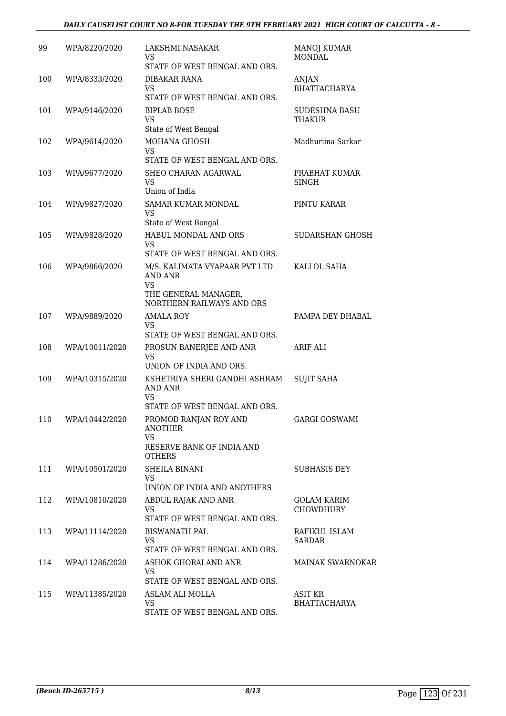| 99  | WPA/8220/2020  | LAKSHMI NASAKAR<br>VS<br>STATE OF WEST BENGAL AND ORS.                                              | <b>MANOJ KUMAR</b><br><b>MONDAL</b> |
|-----|----------------|-----------------------------------------------------------------------------------------------------|-------------------------------------|
| 100 | WPA/8333/2020  | DIBAKAR RANA<br><b>VS</b><br>STATE OF WEST BENGAL AND ORS.                                          | ANJAN<br><b>BHATTACHARYA</b>        |
| 101 | WPA/9146/2020  | <b>BIPLAB BOSE</b><br><b>VS</b><br>State of West Bengal                                             | <b>SUDESHNA BASU</b><br>THAKUR      |
| 102 | WPA/9614/2020  | MOHANA GHOSH<br><b>VS</b><br>STATE OF WEST BENGAL AND ORS.                                          | Madhurima Sarkar                    |
| 103 | WPA/9677/2020  | SHEO CHARAN AGARWAL<br><b>VS</b><br>Union of India                                                  | PRABHAT KUMAR<br><b>SINGH</b>       |
| 104 | WPA/9827/2020  | SAMAR KUMAR MONDAL<br><b>VS</b><br>State of West Bengal                                             | PINTU KARAR                         |
| 105 | WPA/9828/2020  | HABUL MONDAL AND ORS<br><b>VS</b><br>STATE OF WEST BENGAL AND ORS.                                  | SUDARSHAN GHOSH                     |
| 106 | WPA/9866/2020  | M/S. KALIMATA VYAPAAR PVT LTD<br>AND ANR<br>VS<br>THE GENERAL MANAGER,<br>NORTHERN RAILWAYS AND ORS | KALLOL SAHA                         |
| 107 | WPA/9889/2020  | AMALA ROY<br>VS<br>STATE OF WEST BENGAL AND ORS.                                                    | PAMPA DEY DHABAL                    |
| 108 | WPA/10011/2020 | PROSUN BANERJEE AND ANR<br><b>VS</b><br>UNION OF INDIA AND ORS.                                     | ARIF ALI                            |
| 109 | WPA/10315/2020 | KSHETRIYA SHERI GANDHI ASHRAM<br>AND ANR<br>VS<br>STATE OF WEST BENGAL AND ORS.                     | <b>SUJIT SAHA</b>                   |
| 110 | WPA/10442/2020 | PROMOD RANJAN ROY AND<br><b>ANOTHER</b><br>VS.<br>RESERVE BANK OF INDIA AND<br><b>OTHERS</b>        | <b>GARGI GOSWAMI</b>                |
| 111 | WPA/10501/2020 | <b>SHEILA BINANI</b><br><b>VS</b><br>UNION OF INDIA AND ANOTHERS                                    | SUBHASIS DEY                        |
| 112 | WPA/10810/2020 | ABDUL RAJAK AND ANR<br>VS<br>STATE OF WEST BENGAL AND ORS.                                          | GOLAM KARIM<br>CHOWDHURY            |
| 113 | WPA/11114/2020 | <b>BISWANATH PAL</b><br>VS<br>STATE OF WEST BENGAL AND ORS.                                         | RAFIKUL ISLAM<br><b>SARDAR</b>      |
| 114 | WPA/11286/2020 | ASHOK GHORAI AND ANR<br><b>VS</b><br>STATE OF WEST BENGAL AND ORS.                                  | <b>MAINAK SWARNOKAR</b>             |
| 115 | WPA/11385/2020 | ASLAM ALI MOLLA<br>VS.<br>STATE OF WEST BENGAL AND ORS.                                             | ASIT KR<br><b>BHATTACHARYA</b>      |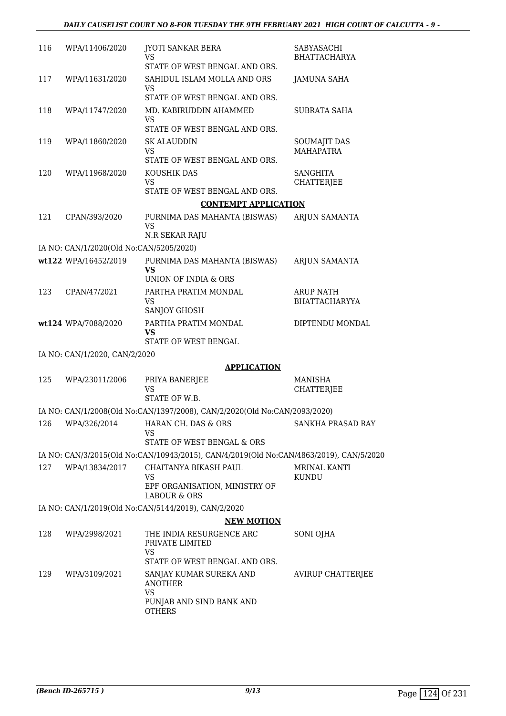| 116 | WPA/11406/2020                          | <b>JYOTI SANKAR BERA</b><br>VS                                                                 | SABYASACHI<br><b>BHATTACHARYA</b>        |
|-----|-----------------------------------------|------------------------------------------------------------------------------------------------|------------------------------------------|
| 117 | WPA/11631/2020                          | STATE OF WEST BENGAL AND ORS.<br>SAHIDUL ISLAM MOLLA AND ORS                                   | <b>JAMUNA SAHA</b>                       |
|     |                                         | <b>VS</b><br>STATE OF WEST BENGAL AND ORS.                                                     |                                          |
| 118 | WPA/11747/2020                          | MD. KABIRUDDIN AHAMMED<br>VS                                                                   | <b>SUBRATA SAHA</b>                      |
|     |                                         | STATE OF WEST BENGAL AND ORS.                                                                  |                                          |
| 119 | WPA/11860/2020                          | <b>SK ALAUDDIN</b><br><b>VS</b><br>STATE OF WEST BENGAL AND ORS.                               | <b>SOUMAJIT DAS</b><br><b>MAHAPATRA</b>  |
| 120 | WPA/11968/2020                          | KOUSHIK DAS<br><b>VS</b>                                                                       | <b>SANGHITA</b><br><b>CHATTERJEE</b>     |
|     |                                         | STATE OF WEST BENGAL AND ORS.                                                                  |                                          |
|     |                                         | <b>CONTEMPT APPLICATION</b>                                                                    |                                          |
| 121 | CPAN/393/2020                           | PURNIMA DAS MAHANTA (BISWAS)<br><b>VS</b><br>N.R SEKAR RAJU                                    | <b>ARJUN SAMANTA</b>                     |
|     | IA NO: CAN/1/2020(Old No:CAN/5205/2020) |                                                                                                |                                          |
|     | wt122 WPA/16452/2019                    | PURNIMA DAS MAHANTA (BISWAS)<br>VS                                                             | <b>ARJUN SAMANTA</b>                     |
|     |                                         | UNION OF INDIA & ORS                                                                           |                                          |
| 123 | CPAN/47/2021                            | PARTHA PRATIM MONDAL<br><b>VS</b>                                                              | <b>ARUP NATH</b><br><b>BHATTACHARYYA</b> |
|     | wt124 WPA/7088/2020                     | SANJOY GHOSH<br>PARTHA PRATIM MONDAL<br>VS<br>STATE OF WEST BENGAL                             | DIPTENDU MONDAL                          |
|     | IA NO: CAN/1/2020, CAN/2/2020           |                                                                                                |                                          |
|     |                                         | <b>APPLICATION</b>                                                                             |                                          |
| 125 | WPA/23011/2006                          | PRIYA BANERJEE<br><b>VS</b><br>STATE OF W.B.                                                   | <b>MANISHA</b><br><b>CHATTERJEE</b>      |
|     |                                         | IA NO: CAN/1/2008(Old No:CAN/1397/2008), CAN/2/2020(Old No:CAN/2093/2020)                      |                                          |
| 126 | WPA/326/2014                            | HARAN CH. DAS & ORS<br>VS                                                                      | SANKHA PRASAD RAY                        |
|     |                                         | STATE OF WEST BENGAL & ORS                                                                     |                                          |
|     |                                         | IA NO: CAN/3/2015(Old No:CAN/10943/2015), CAN/4/2019(Old No:CAN/4863/2019), CAN/5/2020         |                                          |
| 127 | WPA/13834/2017                          | CHAITANYA BIKASH PAUL<br><b>VS</b><br>EPF ORGANISATION, MINISTRY OF<br><b>LABOUR &amp; ORS</b> | <b>MRINAL KANTI</b><br><b>KUNDU</b>      |
|     |                                         | IA NO: CAN/1/2019(Old No:CAN/5144/2019), CAN/2/2020                                            |                                          |
|     |                                         | <b>NEW MOTION</b>                                                                              |                                          |
| 128 | WPA/2998/2021                           | THE INDIA RESURGENCE ARC<br>PRIVATE LIMITED<br><b>VS</b>                                       | SONI OJHA                                |
|     |                                         | STATE OF WEST BENGAL AND ORS.                                                                  |                                          |
| 129 | WPA/3109/2021                           | SANJAY KUMAR SUREKA AND<br><b>ANOTHER</b>                                                      | <b>AVIRUP CHATTERJEE</b>                 |
|     |                                         | <b>VS</b><br>PUNJAB AND SIND BANK AND<br><b>OTHERS</b>                                         |                                          |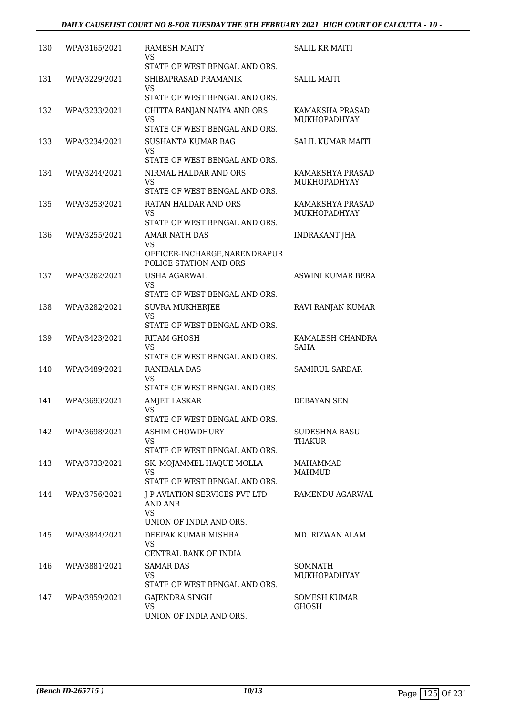| 130 | WPA/3165/2021 | <b>RAMESH MAITY</b><br>VS<br>STATE OF WEST BENGAL AND ORS.                                 | <b>SALIL KR MAITI</b>                   |
|-----|---------------|--------------------------------------------------------------------------------------------|-----------------------------------------|
| 131 | WPA/3229/2021 | SHIBAPRASAD PRAMANIK<br>VS<br>STATE OF WEST BENGAL AND ORS.                                | <b>SALIL MAITI</b>                      |
| 132 | WPA/3233/2021 | CHITTA RANJAN NAIYA AND ORS<br><b>VS</b><br>STATE OF WEST BENGAL AND ORS.                  | KAMAKSHA PRASAD<br><b>MUKHOPADHYAY</b>  |
| 133 | WPA/3234/2021 | <b>SUSHANTA KUMAR BAG</b><br>VS<br>STATE OF WEST BENGAL AND ORS.                           | <b>SALIL KUMAR MAITI</b>                |
| 134 | WPA/3244/2021 | NIRMAL HALDAR AND ORS<br><b>VS</b><br>STATE OF WEST BENGAL AND ORS.                        | KAMAKSHYA PRASAD<br><b>MUKHOPADHYAY</b> |
| 135 | WPA/3253/2021 | RATAN HALDAR AND ORS<br><b>VS</b><br>STATE OF WEST BENGAL AND ORS.                         | KAMAKSHYA PRASAD<br><b>MUKHOPADHYAY</b> |
| 136 | WPA/3255/2021 | <b>AMAR NATH DAS</b><br>VS<br>OFFICER-INCHARGE, NARENDRAPUR                                | <b>INDRAKANT JHA</b>                    |
| 137 | WPA/3262/2021 | POLICE STATION AND ORS<br><b>USHA AGARWAL</b><br>VS                                        | <b>ASWINI KUMAR BERA</b>                |
| 138 | WPA/3282/2021 | STATE OF WEST BENGAL AND ORS.<br><b>SUVRA MUKHERJEE</b><br>VS                              | RAVI RANJAN KUMAR                       |
| 139 | WPA/3423/2021 | STATE OF WEST BENGAL AND ORS.<br><b>RITAM GHOSH</b><br>VS<br>STATE OF WEST BENGAL AND ORS. | KAMALESH CHANDRA<br>SAHA                |
| 140 | WPA/3489/2021 | <b>RANIBALA DAS</b><br>VS<br>STATE OF WEST BENGAL AND ORS.                                 | SAMIRUL SARDAR                          |
| 141 | WPA/3693/2021 | <b>AMJET LASKAR</b><br><b>VS</b><br>STATE OF WEST BENGAL AND ORS.                          | <b>DEBAYAN SEN</b>                      |
| 142 | WPA/3698/2021 | ASHIM CHOWDHURY<br><b>VS</b><br>STATE OF WEST BENGAL AND ORS.                              | SUDESHNA BASU<br>THAKUR                 |
| 143 | WPA/3733/2021 | SK. MOJAMMEL HAQUE MOLLA<br>VS<br>STATE OF WEST BENGAL AND ORS.                            | MAHAMMAD<br><b>MAHMUD</b>               |
| 144 | WPA/3756/2021 | <b>J P AVIATION SERVICES PVT LTD</b><br>AND ANR<br><b>VS</b>                               | RAMENDU AGARWAL                         |
| 145 | WPA/3844/2021 | UNION OF INDIA AND ORS.<br>DEEPAK KUMAR MISHRA<br><b>VS</b><br>CENTRAL BANK OF INDIA       | MD. RIZWAN ALAM                         |
| 146 | WPA/3881/2021 | <b>SAMAR DAS</b><br><b>VS</b><br>STATE OF WEST BENGAL AND ORS.                             | SOMNATH<br>MUKHOPADHYAY                 |
| 147 | WPA/3959/2021 | GAJENDRA SINGH<br>VS.<br>UNION OF INDIA AND ORS.                                           | SOMESH KUMAR<br>GHOSH                   |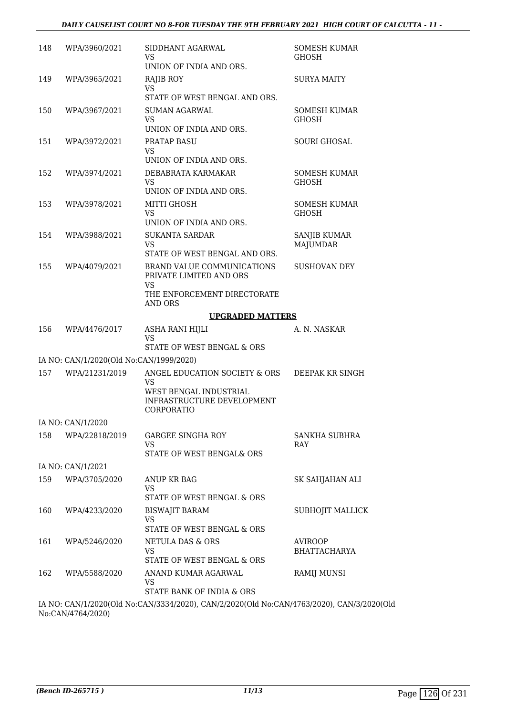| 148 | WPA/3960/2021                           | SIDDHANT AGARWAL<br>VS.<br>UNION OF INDIA AND ORS.                                          | <b>SOMESH KUMAR</b><br><b>GHOSH</b>    |
|-----|-----------------------------------------|---------------------------------------------------------------------------------------------|----------------------------------------|
| 149 | WPA/3965/2021                           | RAJIB ROY<br><b>VS</b><br>STATE OF WEST BENGAL AND ORS.                                     | <b>SURYA MAITY</b>                     |
| 150 | WPA/3967/2021                           | <b>SUMAN AGARWAL</b><br>VS<br>UNION OF INDIA AND ORS.                                       | SOMESH KUMAR<br><b>GHOSH</b>           |
| 151 | WPA/3972/2021                           | <b>PRATAP BASU</b><br><b>VS</b><br>UNION OF INDIA AND ORS.                                  | <b>SOURI GHOSAL</b>                    |
| 152 | WPA/3974/2021                           | DEBABRATA KARMAKAR<br><b>VS</b><br>UNION OF INDIA AND ORS.                                  | <b>SOMESH KUMAR</b><br><b>GHOSH</b>    |
| 153 | WPA/3978/2021                           | MITTI GHOSH<br><b>VS</b><br>UNION OF INDIA AND ORS.                                         | SOMESH KUMAR<br><b>GHOSH</b>           |
| 154 | WPA/3988/2021                           | <b>SUKANTA SARDAR</b><br>VS<br>STATE OF WEST BENGAL AND ORS.                                | <b>SANJIB KUMAR</b><br><b>MAJUMDAR</b> |
| 155 | WPA/4079/2021                           | BRAND VALUE COMMUNICATIONS<br>PRIVATE LIMITED AND ORS<br><b>VS</b>                          | <b>SUSHOVAN DEY</b>                    |
|     |                                         | THE ENFORCEMENT DIRECTORATE<br>AND ORS                                                      |                                        |
|     |                                         | <b>UPGRADED MATTERS</b>                                                                     |                                        |
| 156 | WPA/4476/2017                           | ASHA RANI HIJLI<br><b>VS</b><br>STATE OF WEST BENGAL & ORS                                  | A. N. NASKAR                           |
|     | IA NO: CAN/1/2020(Old No:CAN/1999/2020) |                                                                                             |                                        |
| 157 | WPA/21231/2019                          | ANGEL EDUCATION SOCIETY & ORS<br>VS<br>WEST BENGAL INDUSTRIAL<br>INFRASTRUCTURE DEVELOPMENT | DEEPAK KR SINGH                        |
|     |                                         | CORPORATIO                                                                                  |                                        |
|     | IA NO: CAN/1/2020                       |                                                                                             |                                        |
| 158 | WPA/22818/2019                          | <b>GARGEE SINGHA ROY</b><br>VS<br>STATE OF WEST BENGAL& ORS                                 | SANKHA SUBHRA<br>RAY                   |
|     | IA NO: CAN/1/2021                       |                                                                                             |                                        |
| 159 | WPA/3705/2020                           | ANUP KR BAG<br>VS<br>STATE OF WEST BENGAL & ORS                                             | SK SAHJAHAN ALI                        |
| 160 | WPA/4233/2020                           | <b>BISWAJIT BARAM</b><br>VS<br>STATE OF WEST BENGAL & ORS                                   | SUBHOJIT MALLICK                       |
| 161 |                                         |                                                                                             |                                        |
|     | WPA/5246/2020                           | <b>NETULA DAS &amp; ORS</b><br>VS<br>STATE OF WEST BENGAL & ORS                             | <b>AVIROOP</b><br>BHATTACHARYA         |

IA NO: CAN/1/2020(Old No:CAN/3334/2020), CAN/2/2020(Old No:CAN/4763/2020), CAN/3/2020(Old No:CAN/4764/2020)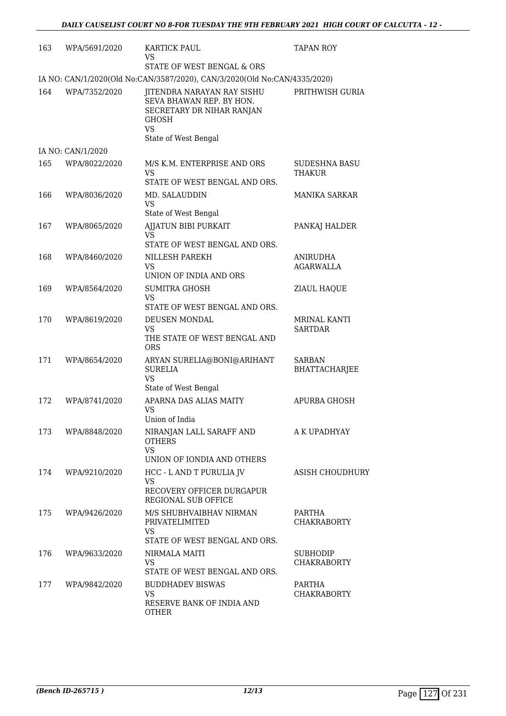| 163 | WPA/5691/2020     | <b>KARTICK PAUL</b><br>VS<br>STATE OF WEST BENGAL & ORS                                                                           | <b>TAPAN ROY</b>                      |
|-----|-------------------|-----------------------------------------------------------------------------------------------------------------------------------|---------------------------------------|
|     |                   | IA NO: CAN/1/2020(Old No:CAN/3587/2020), CAN/3/2020(Old No:CAN/4335/2020)                                                         |                                       |
| 164 | WPA/7352/2020     | JITENDRA NARAYAN RAY SISHU<br>SEVA BHAWAN REP. BY HON.<br>SECRETARY DR NIHAR RANJAN<br>GHOSH<br><b>VS</b><br>State of West Bengal | PRITHWISH GURIA                       |
|     | IA NO: CAN/1/2020 |                                                                                                                                   |                                       |
| 165 | WPA/8022/2020     | M/S K.M. ENTERPRISE AND ORS<br><b>VS</b><br>STATE OF WEST BENGAL AND ORS.                                                         | <b>SUDESHNA BASU</b><br>THAKUR        |
| 166 | WPA/8036/2020     | MD. SALAUDDIN<br><b>VS</b><br>State of West Bengal                                                                                | MANIKA SARKAR                         |
| 167 | WPA/8065/2020     | AJJATUN BIBI PURKAIT<br>VS<br>STATE OF WEST BENGAL AND ORS.                                                                       | PANKAJ HALDER                         |
| 168 | WPA/8460/2020     | NILLESH PAREKH<br>VS.<br>UNION OF INDIA AND ORS                                                                                   | <b>ANIRUDHA</b><br><b>AGARWALLA</b>   |
| 169 | WPA/8564/2020     | <b>SUMITRA GHOSH</b><br>VS<br>STATE OF WEST BENGAL AND ORS.                                                                       | <b>ZIAUL HAQUE</b>                    |
| 170 | WPA/8619/2020     | DEUSEN MONDAL<br><b>VS</b><br>THE STATE OF WEST BENGAL AND<br><b>ORS</b>                                                          | <b>MRINAL KANTI</b><br><b>SARTDAR</b> |
| 171 | WPA/8654/2020     | ARYAN SURELIA@BONI@ARIHANT<br><b>SURELIA</b><br><b>VS</b><br>State of West Bengal                                                 | <b>SARBAN</b><br><b>BHATTACHARJEE</b> |
| 172 | WPA/8741/2020     | APARNA DAS ALIAS MAITY<br>VS<br>Union of India                                                                                    | APURBA GHOSH                          |
| 173 | WPA/8848/2020     | NIRANJAN LALL SARAFF AND<br><b>OTHERS</b><br><b>VS</b><br>UNION OF IONDIA AND OTHERS                                              | A K UPADHYAY                          |
| 174 | WPA/9210/2020     | HCC - L AND T PURULIA JV<br><b>VS</b><br>RECOVERY OFFICER DURGAPUR<br>REGIONAL SUB OFFICE                                         | ASISH CHOUDHURY                       |
| 175 | WPA/9426/2020     | M/S SHUBHVAIBHAV NIRMAN<br>PRIVATELIMITED<br><b>VS</b><br>STATE OF WEST BENGAL AND ORS.                                           | PARTHA<br><b>CHAKRABORTY</b>          |
| 176 | WPA/9633/2020     | NIRMALA MAITI<br><b>VS</b><br>STATE OF WEST BENGAL AND ORS.                                                                       | <b>SUBHODIP</b><br><b>CHAKRABORTY</b> |
| 177 | WPA/9842/2020     | <b>BUDDHADEV BISWAS</b><br><b>VS</b><br>RESERVE BANK OF INDIA AND<br><b>OTHER</b>                                                 | PARTHA<br><b>CHAKRABORTY</b>          |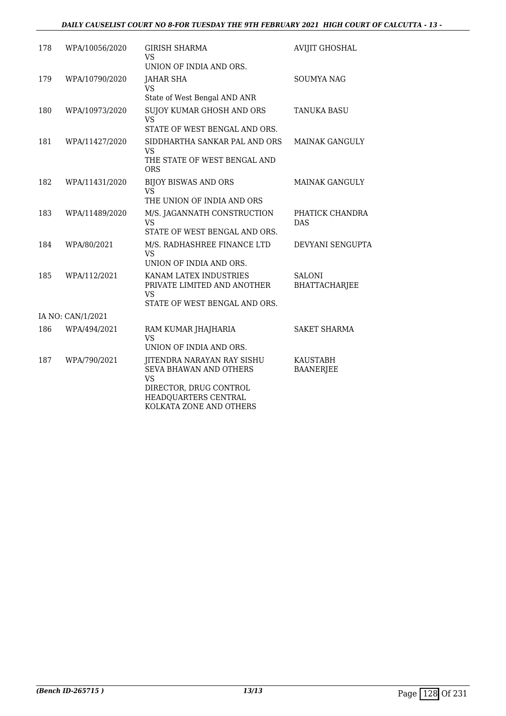| 178 | WPA/10056/2020    | <b>GIRISH SHARMA</b><br>VS.                                                                         | <b>AVIJIT GHOSHAL</b>                 |
|-----|-------------------|-----------------------------------------------------------------------------------------------------|---------------------------------------|
|     |                   | UNION OF INDIA AND ORS.                                                                             |                                       |
| 179 | WPA/10790/2020    | <b>JAHAR SHA</b><br><b>VS</b>                                                                       | <b>SOUMYA NAG</b>                     |
|     |                   | State of West Bengal AND ANR                                                                        |                                       |
| 180 | WPA/10973/2020    | <b>SUJOY KUMAR GHOSH AND ORS</b><br><b>VS</b>                                                       | <b>TANUKA BASU</b>                    |
|     |                   | STATE OF WEST BENGAL AND ORS.                                                                       |                                       |
| 181 | WPA/11427/2020    | SIDDHARTHA SANKAR PAL AND ORS<br><b>VS</b>                                                          | <b>MAINAK GANGULY</b>                 |
|     |                   | THE STATE OF WEST BENGAL AND<br><b>ORS</b>                                                          |                                       |
| 182 | WPA/11431/2020    | <b>BIJOY BISWAS AND ORS</b><br>VS                                                                   | <b>MAINAK GANGULY</b>                 |
|     |                   | THE UNION OF INDIA AND ORS                                                                          |                                       |
| 183 | WPA/11489/2020    | M/S. JAGANNATH CONSTRUCTION<br><b>VS</b><br>STATE OF WEST BENGAL AND ORS.                           | PHATICK CHANDRA<br><b>DAS</b>         |
| 184 | WPA/80/2021       | M/S. RADHASHREE FINANCE LTD<br><b>VS</b><br>UNION OF INDIA AND ORS.                                 | <b>DEVYANI SENGUPTA</b>               |
| 185 | WPA/112/2021      | KANAM LATEX INDUSTRIES<br>PRIVATE LIMITED AND ANOTHER<br><b>VS</b><br>STATE OF WEST BENGAL AND ORS. | <b>SALONI</b><br><b>BHATTACHARJEE</b> |
|     | IA NO: CAN/1/2021 |                                                                                                     |                                       |
| 186 |                   |                                                                                                     | <b>SAKET SHARMA</b>                   |
|     | WPA/494/2021      | RAM KUMAR JHAJHARIA<br><b>VS</b><br>UNION OF INDIA AND ORS.                                         |                                       |
| 187 | WPA/790/2021      | JITENDRA NARAYAN RAY SISHU<br>SEVA BHAWAN AND OTHERS<br><b>VS</b>                                   | KAUSTABH<br><b>BAANERJEE</b>          |
|     |                   | DIRECTOR, DRUG CONTROL<br>HEADQUARTERS CENTRAL                                                      |                                       |

KOLKATA ZONE AND OTHERS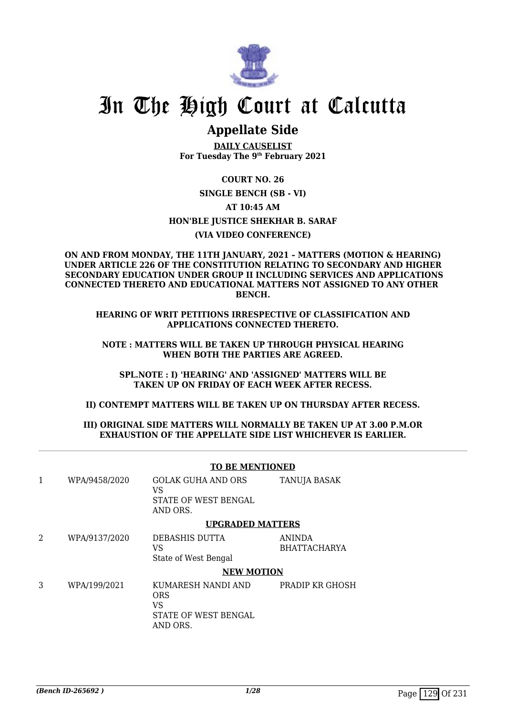

# In The High Court at Calcutta

### **Appellate Side**

**DAILY CAUSELIST For Tuesday The 9th February 2021**

#### **COURT NO. 26**

**SINGLE BENCH (SB - VI)**

#### **AT 10:45 AM**

#### **HON'BLE JUSTICE SHEKHAR B. SARAF**

#### **(VIA VIDEO CONFERENCE)**

#### **ON AND FROM MONDAY, THE 11TH JANUARY, 2021 – MATTERS (MOTION & HEARING) UNDER ARTICLE 226 OF THE CONSTITUTION RELATING TO SECONDARY AND HIGHER SECONDARY EDUCATION UNDER GROUP II INCLUDING SERVICES AND APPLICATIONS CONNECTED THERETO AND EDUCATIONAL MATTERS NOT ASSIGNED TO ANY OTHER BENCH.**

**HEARING OF WRIT PETITIONS IRRESPECTIVE OF CLASSIFICATION AND APPLICATIONS CONNECTED THERETO.**

**NOTE : MATTERS WILL BE TAKEN UP THROUGH PHYSICAL HEARING WHEN BOTH THE PARTIES ARE AGREED.**

**SPL.NOTE : I) 'HEARING' AND 'ASSIGNED' MATTERS WILL BE TAKEN UP ON FRIDAY OF EACH WEEK AFTER RECESS.**

#### **II) CONTEMPT MATTERS WILL BE TAKEN UP ON THURSDAY AFTER RECESS.**

#### **III) ORIGINAL SIDE MATTERS WILL NORMALLY BE TAKEN UP AT 3.00 P.M.OR EXHAUSTION OF THE APPELLATE SIDE LIST WHICHEVER IS EARLIER.**

|   |               | <b>TO BE MENTIONED</b>                                                     |                               |
|---|---------------|----------------------------------------------------------------------------|-------------------------------|
| 1 | WPA/9458/2020 | <b>GOLAK GUHA AND ORS</b><br>VS<br>STATE OF WEST BENGAL<br>AND ORS.        | <b>TANUJA BASAK</b>           |
|   |               | <b>UPGRADED MATTERS</b>                                                    |                               |
| 2 | WPA/9137/2020 | DEBASHIS DUTTA<br>VS<br>State of West Bengal                               | ANINDA<br><b>BHATTACHARYA</b> |
|   |               | <b>NEW MOTION</b>                                                          |                               |
| 3 | WPA/199/2021  | KUMARESH NANDI AND<br><b>ORS</b><br>VS<br>STATE OF WEST BENGAL<br>AND ORS. | PRADIP KR GHOSH               |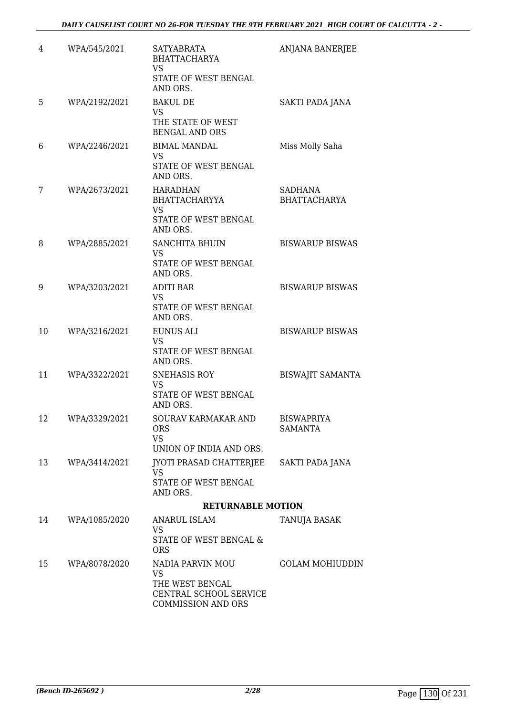| 4  | WPA/545/2021  | <b>SATYABRATA</b><br><b>BHATTACHARYA</b><br>VS<br>STATE OF WEST BENGAL<br>AND ORS.               | ANJANA BANERJEE                     |
|----|---------------|--------------------------------------------------------------------------------------------------|-------------------------------------|
| 5  | WPA/2192/2021 | <b>BAKUL DE</b><br><b>VS</b><br>THE STATE OF WEST<br><b>BENGAL AND ORS</b>                       | SAKTI PADA JANA                     |
| 6  | WPA/2246/2021 | <b>BIMAL MANDAL</b><br>VS.<br>STATE OF WEST BENGAL<br>AND ORS.                                   | Miss Molly Saha                     |
| 7  | WPA/2673/2021 | HARADHAN<br><b>BHATTACHARYYA</b><br>VS<br>STATE OF WEST BENGAL<br>AND ORS.                       | SADHANA<br><b>BHATTACHARYA</b>      |
| 8  | WPA/2885/2021 | <b>SANCHITA BHUIN</b><br>VS<br>STATE OF WEST BENGAL<br>AND ORS.                                  | <b>BISWARUP BISWAS</b>              |
| 9  | WPA/3203/2021 | <b>ADITI BAR</b><br><b>VS</b><br>STATE OF WEST BENGAL<br>AND ORS.                                | <b>BISWARUP BISWAS</b>              |
| 10 | WPA/3216/2021 | EUNUS ALI<br><b>VS</b><br>STATE OF WEST BENGAL<br>AND ORS.                                       | <b>BISWARUP BISWAS</b>              |
| 11 | WPA/3322/2021 | <b>SNEHASIS ROY</b><br>VS<br>STATE OF WEST BENGAL<br>AND ORS.                                    | <b>BISWAJIT SAMANTA</b>             |
| 12 | WPA/3329/2021 | SOURAV KARMAKAR AND<br><b>ORS</b><br><b>VS</b><br>UNION OF INDIA AND ORS.                        | <b>BISWAPRIYA</b><br><b>SAMANTA</b> |
| 13 | WPA/3414/2021 | JYOTI PRASAD CHATTERJEE<br>VS<br>STATE OF WEST BENGAL<br>AND ORS.                                | <b>SAKTI PADA JANA</b>              |
|    |               | <b>RETURNABLE MOTION</b>                                                                         |                                     |
| 14 | WPA/1085/2020 | ANARUL ISLAM<br>VS.<br>STATE OF WEST BENGAL &<br><b>ORS</b>                                      | TANUJA BASAK                        |
| 15 | WPA/8078/2020 | NADIA PARVIN MOU<br>VS<br>THE WEST BENGAL<br>CENTRAL SCHOOL SERVICE<br><b>COMMISSION AND ORS</b> | <b>GOLAM MOHIUDDIN</b>              |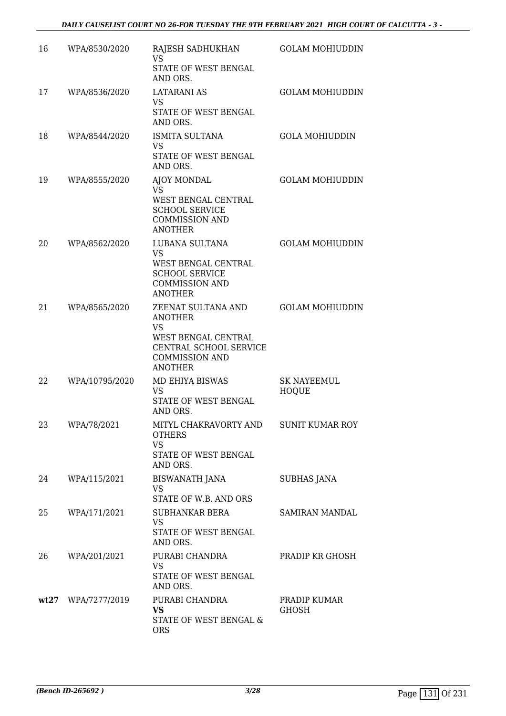| 16 | WPA/8530/2020      | RAJESH SADHUKHAN<br><b>VS</b><br>STATE OF WEST BENGAL<br>AND ORS.                                                                             | <b>GOLAM MOHIUDDIN</b>             |
|----|--------------------|-----------------------------------------------------------------------------------------------------------------------------------------------|------------------------------------|
| 17 | WPA/8536/2020      | <b>LATARANI AS</b><br>VS<br>STATE OF WEST BENGAL<br>AND ORS.                                                                                  | <b>GOLAM MOHIUDDIN</b>             |
| 18 | WPA/8544/2020      | <b>ISMITA SULTANA</b><br>VS.<br>STATE OF WEST BENGAL<br>AND ORS.                                                                              | <b>GOLA MOHIUDDIN</b>              |
| 19 | WPA/8555/2020      | AJOY MONDAL<br><b>VS</b><br>WEST BENGAL CENTRAL<br><b>SCHOOL SERVICE</b><br><b>COMMISSION AND</b><br><b>ANOTHER</b>                           | <b>GOLAM MOHIUDDIN</b>             |
| 20 | WPA/8562/2020      | LUBANA SULTANA<br>VS<br>WEST BENGAL CENTRAL<br><b>SCHOOL SERVICE</b><br><b>COMMISSION AND</b><br><b>ANOTHER</b>                               | <b>GOLAM MOHIUDDIN</b>             |
| 21 | WPA/8565/2020      | ZEENAT SULTANA AND<br><b>ANOTHER</b><br><b>VS</b><br>WEST BENGAL CENTRAL<br>CENTRAL SCHOOL SERVICE<br><b>COMMISSION AND</b><br><b>ANOTHER</b> | <b>GOLAM MOHIUDDIN</b>             |
| 22 | WPA/10795/2020     | <b>MD EHIYA BISWAS</b><br><b>VS</b><br>STATE OF WEST BENGAL<br>AND ORS.                                                                       | <b>SK NAYEEMUL</b><br><b>HOQUE</b> |
| 23 | WPA/78/2021        | MITYL CHAKRAVORTY AND<br><b>OTHERS</b><br><b>VS</b><br>STATE OF WEST BENGAL<br>AND ORS.                                                       | <b>SUNIT KUMAR ROY</b>             |
| 24 | WPA/115/2021       | BISWANATH JANA<br>VS<br>STATE OF W.B. AND ORS                                                                                                 | <b>SUBHAS JANA</b>                 |
| 25 | WPA/171/2021       | SUBHANKAR BERA<br><b>VS</b><br>STATE OF WEST BENGAL<br>AND ORS.                                                                               | SAMIRAN MANDAL                     |
| 26 | WPA/201/2021       | PURABI CHANDRA<br><b>VS</b><br>STATE OF WEST BENGAL<br>AND ORS.                                                                               | PRADIP KR GHOSH                    |
|    | wt27 WPA/7277/2019 | PURABI CHANDRA<br><b>VS</b><br>STATE OF WEST BENGAL &<br><b>ORS</b>                                                                           | PRADIP KUMAR<br><b>GHOSH</b>       |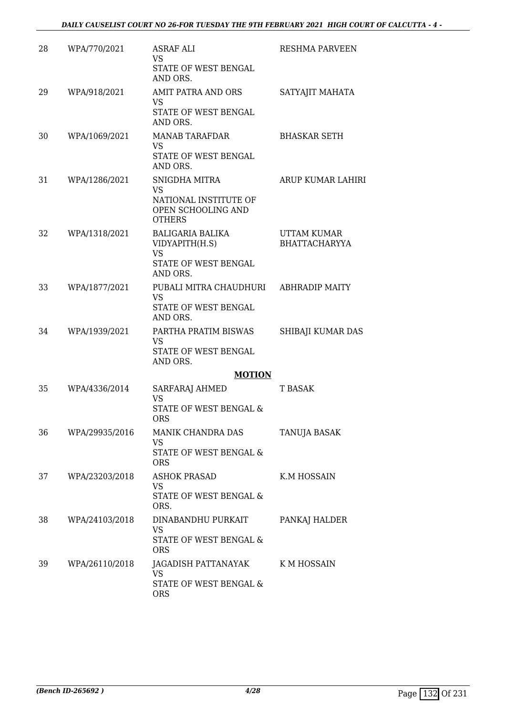| 28 | WPA/770/2021   | <b>ASRAF ALI</b><br><b>VS</b><br>STATE OF WEST BENGAL<br>AND ORS.                    | <b>RESHMA PARVEEN</b>               |
|----|----------------|--------------------------------------------------------------------------------------|-------------------------------------|
| 29 | WPA/918/2021   | <b>AMIT PATRA AND ORS</b><br><b>VS</b><br>STATE OF WEST BENGAL<br>AND ORS.           | SATYAJIT MAHATA                     |
| 30 | WPA/1069/2021  | MANAB TARAFDAR<br>VS.<br>STATE OF WEST BENGAL<br>AND ORS.                            | <b>BHASKAR SETH</b>                 |
| 31 | WPA/1286/2021  | SNIGDHA MITRA<br>VS.<br>NATIONAL INSTITUTE OF<br>OPEN SCHOOLING AND<br><b>OTHERS</b> | ARUP KUMAR LAHIRI                   |
| 32 | WPA/1318/2021  | BALIGARIA BALIKA<br>VIDYAPITH(H.S)<br><b>VS</b><br>STATE OF WEST BENGAL<br>AND ORS.  | UTTAM KUMAR<br><b>BHATTACHARYYA</b> |
| 33 | WPA/1877/2021  | PUBALI MITRA CHAUDHURI<br><b>VS</b><br>STATE OF WEST BENGAL<br>AND ORS.              | <b>ABHRADIP MAITY</b>               |
| 34 | WPA/1939/2021  | PARTHA PRATIM BISWAS<br>VS<br>STATE OF WEST BENGAL<br>AND ORS.                       | SHIBAJI KUMAR DAS                   |
|    |                | <b>MOTION</b>                                                                        |                                     |
| 35 | WPA/4336/2014  | <b>SARFARAJ AHMED</b><br><b>VS</b><br>STATE OF WEST BENGAL &<br><b>ORS</b>           | T BASAK                             |
| 36 | WPA/29935/2016 | MANIK CHANDRA DAS<br>VS<br>STATE OF WEST BENGAL &<br><b>ORS</b>                      | <b>TANUJA BASAK</b>                 |
| 37 | WPA/23203/2018 | <b>ASHOK PRASAD</b><br>VS.<br>STATE OF WEST BENGAL &<br>ORS.                         | K.M HOSSAIN                         |
| 38 | WPA/24103/2018 | DINABANDHU PURKAIT<br>VS<br>STATE OF WEST BENGAL &<br><b>ORS</b>                     | PANKAJ HALDER                       |
| 39 | WPA/26110/2018 | JAGADISH PATTANAYAK<br><b>VS</b><br>STATE OF WEST BENGAL &<br><b>ORS</b>             | K M HOSSAIN                         |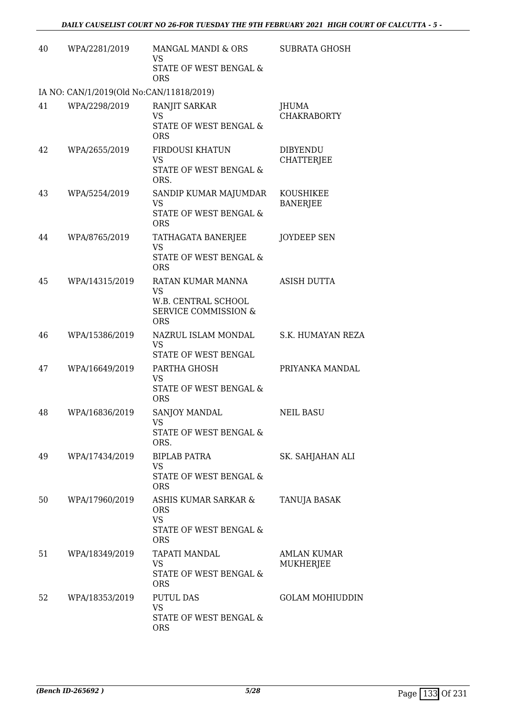| 40 | WPA/2281/2019                            | MANGAL MANDI & ORS<br><b>VS</b><br>STATE OF WEST BENGAL &<br><b>ORS</b>                     | <b>SUBRATA GHOSH</b>                 |
|----|------------------------------------------|---------------------------------------------------------------------------------------------|--------------------------------------|
|    | IA NO: CAN/1/2019(Old No:CAN/11818/2019) |                                                                                             |                                      |
| 41 | WPA/2298/2019                            | RANJIT SARKAR<br><b>VS</b><br>STATE OF WEST BENGAL &                                        | JHUMA<br><b>CHAKRABORTY</b>          |
|    |                                          | <b>ORS</b>                                                                                  |                                      |
| 42 | WPA/2655/2019                            | <b>FIRDOUSI KHATUN</b><br><b>VS</b>                                                         | <b>DIBYENDU</b><br><b>CHATTERJEE</b> |
|    |                                          | STATE OF WEST BENGAL &<br>ORS.                                                              |                                      |
| 43 | WPA/5254/2019                            | SANDIP KUMAR MAJUMDAR<br>VS                                                                 | KOUSHIKEE<br><b>BANERJEE</b>         |
|    |                                          | STATE OF WEST BENGAL &<br><b>ORS</b>                                                        |                                      |
| 44 | WPA/8765/2019                            | TATHAGATA BANERJEE<br><b>VS</b>                                                             | <b>JOYDEEP SEN</b>                   |
|    |                                          | STATE OF WEST BENGAL &<br><b>ORS</b>                                                        |                                      |
| 45 | WPA/14315/2019                           | RATAN KUMAR MANNA<br><b>VS</b><br>W.B. CENTRAL SCHOOL<br>SERVICE COMMISSION &<br><b>ORS</b> | <b>ASISH DUTTA</b>                   |
| 46 | WPA/15386/2019                           | NAZRUL ISLAM MONDAL<br>VS<br>STATE OF WEST BENGAL                                           | S.K. HUMAYAN REZA                    |
| 47 | WPA/16649/2019                           | PARTHA GHOSH<br><b>VS</b><br>STATE OF WEST BENGAL &<br><b>ORS</b>                           | PRIYANKA MANDAL                      |
| 48 | WPA/16836/2019                           | SANJOY MANDAL<br>VS<br>STATE OF WEST BENGAL &                                               | <b>NEIL BASU</b>                     |
|    |                                          | ORS.                                                                                        |                                      |
| 49 | WPA/17434/2019                           | <b>BIPLAB PATRA</b><br>VS<br>STATE OF WEST BENGAL &<br><b>ORS</b>                           | SK. SAHJAHAN ALI                     |
| 50 | WPA/17960/2019                           | ASHIS KUMAR SARKAR &<br><b>ORS</b><br><b>VS</b>                                             | TANUJA BASAK                         |
|    |                                          | STATE OF WEST BENGAL &<br><b>ORS</b>                                                        |                                      |
| 51 | WPA/18349/2019                           | <b>TAPATI MANDAL</b><br><b>VS</b><br>STATE OF WEST BENGAL &<br><b>ORS</b>                   | AMLAN KUMAR<br><b>MUKHERJEE</b>      |
| 52 | WPA/18353/2019                           | <b>PUTUL DAS</b><br><b>VS</b>                                                               | <b>GOLAM MOHIUDDIN</b>               |
|    |                                          | STATE OF WEST BENGAL &<br><b>ORS</b>                                                        |                                      |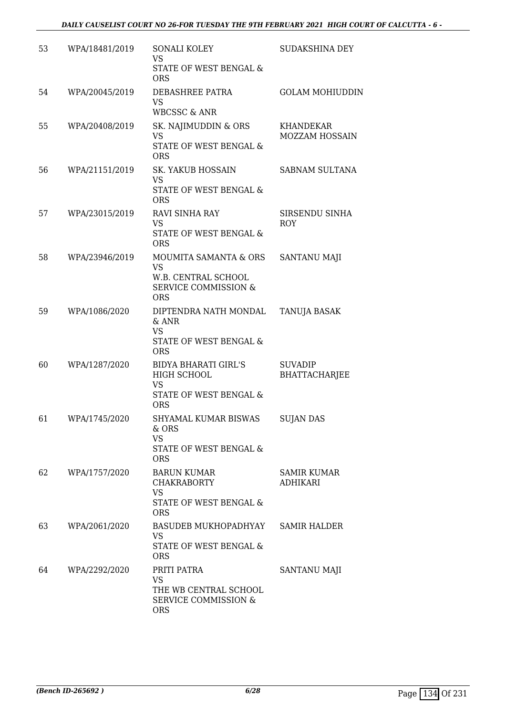| 53 | WPA/18481/2019 | SONALI KOLEY<br><b>VS</b><br>STATE OF WEST BENGAL &<br><b>ORS</b>                                          | SUDAKSHINA DEY                        |
|----|----------------|------------------------------------------------------------------------------------------------------------|---------------------------------------|
| 54 | WPA/20045/2019 | DEBASHREE PATRA<br><b>VS</b><br><b>WBCSSC &amp; ANR</b>                                                    | <b>GOLAM MOHIUDDIN</b>                |
| 55 | WPA/20408/2019 | SK. NAJIMUDDIN & ORS<br>VS<br><b>STATE OF WEST BENGAL &amp;</b><br><b>ORS</b>                              | <b>KHANDEKAR</b><br>MOZZAM HOSSAIN    |
| 56 | WPA/21151/2019 | <b>SK. YAKUB HOSSAIN</b><br><b>VS</b><br>STATE OF WEST BENGAL &<br><b>ORS</b>                              | SABNAM SULTANA                        |
| 57 | WPA/23015/2019 | RAVI SINHA RAY<br><b>VS</b><br><b>STATE OF WEST BENGAL &amp;</b><br><b>ORS</b>                             | SIRSENDU SINHA<br><b>ROY</b>          |
| 58 | WPA/23946/2019 | MOUMITA SAMANTA & ORS<br><b>VS</b><br>W.B. CENTRAL SCHOOL<br><b>SERVICE COMMISSION &amp;</b><br><b>ORS</b> | <b>SANTANU MAJI</b>                   |
| 59 | WPA/1086/2020  | DIPTENDRA NATH MONDAL<br>$&$ ANR<br><b>VS</b><br>STATE OF WEST BENGAL &<br><b>ORS</b>                      | TANUJA BASAK                          |
| 60 | WPA/1287/2020  | <b>BIDYA BHARATI GIRL'S</b><br>HIGH SCHOOL<br>VS<br>STATE OF WEST BENGAL &<br><b>ORS</b>                   | <b>SUVADIP</b><br>BHATTACHARJEE       |
| 61 | WPA/1745/2020  | SHYAMAL KUMAR BISWAS<br>& ORS<br><b>VS</b><br>STATE OF WEST BENGAL &<br><b>ORS</b>                         | <b>SUJAN DAS</b>                      |
| 62 | WPA/1757/2020  | <b>BARUN KUMAR</b><br><b>CHAKRABORTY</b><br><b>VS</b><br>STATE OF WEST BENGAL &<br><b>ORS</b>              | <b>SAMIR KUMAR</b><br><b>ADHIKARI</b> |
| 63 | WPA/2061/2020  | BASUDEB MUKHOPADHYAY<br><b>VS</b><br>STATE OF WEST BENGAL &<br><b>ORS</b>                                  | <b>SAMIR HALDER</b>                   |
| 64 | WPA/2292/2020  | PRITI PATRA<br><b>VS</b><br>THE WB CENTRAL SCHOOL<br><b>SERVICE COMMISSION &amp;</b><br><b>ORS</b>         | SANTANU MAJI                          |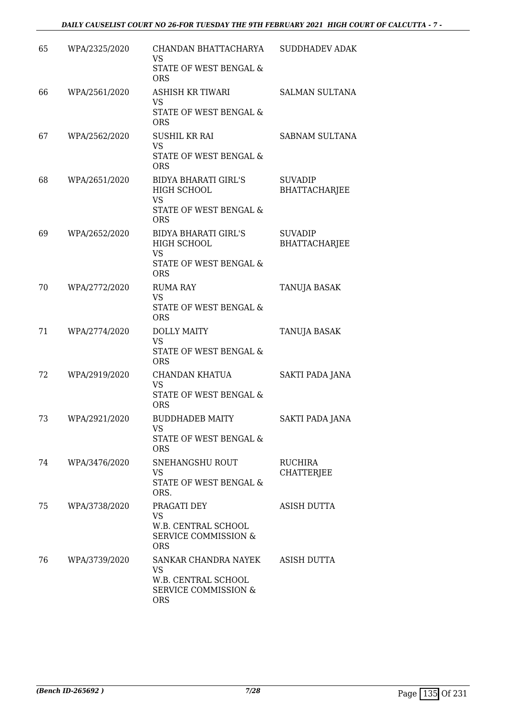| 65 | WPA/2325/2020 | CHANDAN BHATTACHARYA<br>VS<br>STATE OF WEST BENGAL &<br><b>ORS</b>                                        | <b>SUDDHADEV ADAK</b>                  |
|----|---------------|-----------------------------------------------------------------------------------------------------------|----------------------------------------|
| 66 | WPA/2561/2020 | <b>ASHISH KR TIWARI</b><br><b>VS</b><br>STATE OF WEST BENGAL &<br><b>ORS</b>                              | <b>SALMAN SULTANA</b>                  |
| 67 | WPA/2562/2020 | <b>SUSHIL KR RAI</b><br><b>VS</b><br>STATE OF WEST BENGAL &<br><b>ORS</b>                                 | SABNAM SULTANA                         |
| 68 | WPA/2651/2020 | <b>BIDYA BHARATI GIRL'S</b><br>HIGH SCHOOL<br><b>VS</b><br>STATE OF WEST BENGAL &                         | <b>SUVADIP</b><br><b>BHATTACHARJEE</b> |
| 69 | WPA/2652/2020 | <b>ORS</b><br><b>BIDYA BHARATI GIRL'S</b><br>HIGH SCHOOL<br>VS<br>STATE OF WEST BENGAL &<br><b>ORS</b>    | <b>SUVADIP</b><br><b>BHATTACHARJEE</b> |
| 70 | WPA/2772/2020 | <b>RUMA RAY</b><br><b>VS</b><br>STATE OF WEST BENGAL &<br><b>ORS</b>                                      | TANUJA BASAK                           |
| 71 | WPA/2774/2020 | <b>DOLLY MAITY</b><br><b>VS</b><br>STATE OF WEST BENGAL &<br><b>ORS</b>                                   | <b>TANUJA BASAK</b>                    |
| 72 | WPA/2919/2020 | CHANDAN KHATUA<br><b>VS</b><br>STATE OF WEST BENGAL &<br><b>ORS</b>                                       | SAKTI PADA JANA                        |
| 73 | WPA/2921/2020 | <b>BUDDHADEB MAITY</b><br>VS.<br>STATE OF WEST BENGAL &<br><b>ORS</b>                                     | SAKTI PADA JANA                        |
| 74 | WPA/3476/2020 | SNEHANGSHU ROUT<br>VS<br><b>STATE OF WEST BENGAL &amp;</b><br>ORS.                                        | <b>RUCHIRA</b><br><b>CHATTERJEE</b>    |
| 75 | WPA/3738/2020 | PRAGATI DEY<br><b>VS</b><br>W.B. CENTRAL SCHOOL<br>SERVICE COMMISSION &<br><b>ORS</b>                     | <b>ASISH DUTTA</b>                     |
| 76 | WPA/3739/2020 | SANKAR CHANDRA NAYEK<br><b>VS</b><br>W.B. CENTRAL SCHOOL<br><b>SERVICE COMMISSION &amp;</b><br><b>ORS</b> | <b>ASISH DUTTA</b>                     |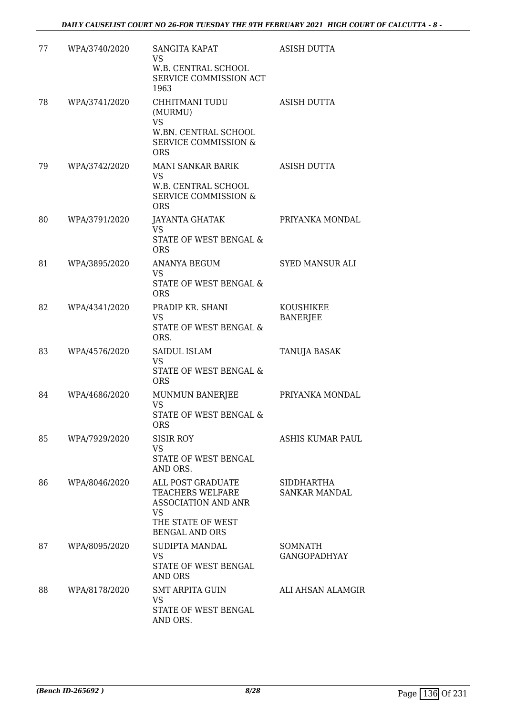| 77 | WPA/3740/2020 | SANGITA KAPAT<br>VS<br>W.B. CENTRAL SCHOOL<br>SERVICE COMMISSION ACT<br>1963                                            | <b>ASISH DUTTA</b>                 |
|----|---------------|-------------------------------------------------------------------------------------------------------------------------|------------------------------------|
| 78 | WPA/3741/2020 | CHHITMANI TUDU<br>(MURMU)<br><b>VS</b><br>W.BN. CENTRAL SCHOOL<br><b>SERVICE COMMISSION &amp;</b><br><b>ORS</b>         | <b>ASISH DUTTA</b>                 |
| 79 | WPA/3742/2020 | MANI SANKAR BARIK<br>VS<br>W.B. CENTRAL SCHOOL<br>SERVICE COMMISSION &<br><b>ORS</b>                                    | <b>ASISH DUTTA</b>                 |
| 80 | WPA/3791/2020 | JAYANTA GHATAK<br><b>VS</b><br><b>STATE OF WEST BENGAL &amp;</b><br><b>ORS</b>                                          | PRIYANKA MONDAL                    |
| 81 | WPA/3895/2020 | <b>ANANYA BEGUM</b><br>VS<br>STATE OF WEST BENGAL &<br><b>ORS</b>                                                       | <b>SYED MANSUR ALI</b>             |
| 82 | WPA/4341/2020 | PRADIP KR. SHANI<br>VS.<br>STATE OF WEST BENGAL &<br>ORS.                                                               | KOUSHIKEE<br><b>BANERJEE</b>       |
| 83 | WPA/4576/2020 | SAIDUL ISLAM<br><b>VS</b><br>STATE OF WEST BENGAL &<br><b>ORS</b>                                                       | TANUJA BASAK                       |
| 84 | WPA/4686/2020 | MUNMUN BANERJEE<br>VS<br>STATE OF WEST BENGAL &<br><b>ORS</b>                                                           | PRIYANKA MONDAL                    |
| 85 | WPA/7929/2020 | <b>SISIR ROY</b><br><b>VS</b><br>STATE OF WEST BENGAL<br>AND ORS.                                                       | ASHIS KUMAR PAUL                   |
| 86 | WPA/8046/2020 | ALL POST GRADUATE<br>TEACHERS WELFARE<br><b>ASSOCIATION AND ANR</b><br>VS<br>THE STATE OF WEST<br><b>BENGAL AND ORS</b> | SIDDHARTHA<br><b>SANKAR MANDAL</b> |
| 87 | WPA/8095/2020 | SUDIPTA MANDAL<br>VS<br>STATE OF WEST BENGAL<br>AND ORS                                                                 | SOMNATH<br><b>GANGOPADHYAY</b>     |
| 88 | WPA/8178/2020 | <b>SMT ARPITA GUIN</b><br>VS<br>STATE OF WEST BENGAL<br>AND ORS.                                                        | ALI AHSAN ALAMGIR                  |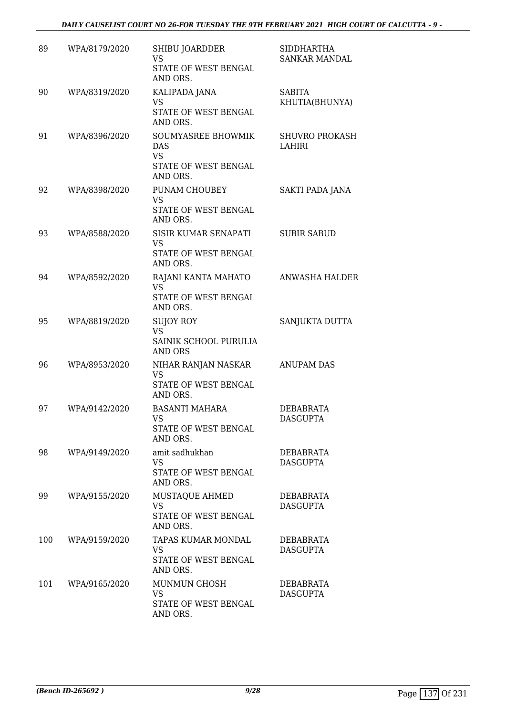| 89  | WPA/8179/2020 | SHIBU JOARDDER<br>VS<br>STATE OF WEST BENGAL<br>AND ORS.                   | <b>SIDDHARTHA</b><br><b>SANKAR MANDAL</b> |
|-----|---------------|----------------------------------------------------------------------------|-------------------------------------------|
| 90  | WPA/8319/2020 | KALIPADA JANA<br><b>VS</b><br>STATE OF WEST BENGAL<br>AND ORS.             | <b>SABITA</b><br>KHUTIA(BHUNYA)           |
| 91  | WPA/8396/2020 | <b>SOUMYASREE BHOWMIK</b><br>DAS<br><b>VS</b><br>STATE OF WEST BENGAL      | <b>SHUVRO PROKASH</b><br><b>LAHIRI</b>    |
| 92  | WPA/8398/2020 | AND ORS.<br>PUNAM CHOUBEY<br><b>VS</b><br>STATE OF WEST BENGAL<br>AND ORS. | SAKTI PADA JANA                           |
| 93  | WPA/8588/2020 | SISIR KUMAR SENAPATI<br><b>VS</b><br>STATE OF WEST BENGAL<br>AND ORS.      | <b>SUBIR SABUD</b>                        |
| 94  | WPA/8592/2020 | RAJANI KANTA MAHATO<br><b>VS</b><br>STATE OF WEST BENGAL<br>AND ORS.       | <b>ANWASHA HALDER</b>                     |
| 95  | WPA/8819/2020 | SUJOY ROY<br><b>VS</b><br>SAINIK SCHOOL PURULIA<br><b>AND ORS</b>          | SANJUKTA DUTTA                            |
| 96  | WPA/8953/2020 | NIHAR RANJAN NASKAR<br><b>VS</b><br>STATE OF WEST BENGAL<br>AND ORS.       | <b>ANUPAM DAS</b>                         |
| 97  | WPA/9142/2020 | <b>BASANTI MAHARA</b><br>VS.<br>STATE OF WEST BENGAL<br>AND ORS.           | <b>DEBABRATA</b><br><b>DASGUPTA</b>       |
| 98  | WPA/9149/2020 | amit sadhukhan<br>VS<br>STATE OF WEST BENGAL<br>AND ORS.                   | <b>DEBABRATA</b><br><b>DASGUPTA</b>       |
| 99  | WPA/9155/2020 | MUSTAQUE AHMED<br><b>VS</b><br>STATE OF WEST BENGAL<br>AND ORS.            | DEBABRATA<br><b>DASGUPTA</b>              |
| 100 | WPA/9159/2020 | TAPAS KUMAR MONDAL<br><b>VS</b><br>STATE OF WEST BENGAL<br>AND ORS.        | DEBABRATA<br><b>DASGUPTA</b>              |
| 101 | WPA/9165/2020 | MUNMUN GHOSH<br>VS<br>STATE OF WEST BENGAL<br>AND ORS.                     | DEBABRATA<br><b>DASGUPTA</b>              |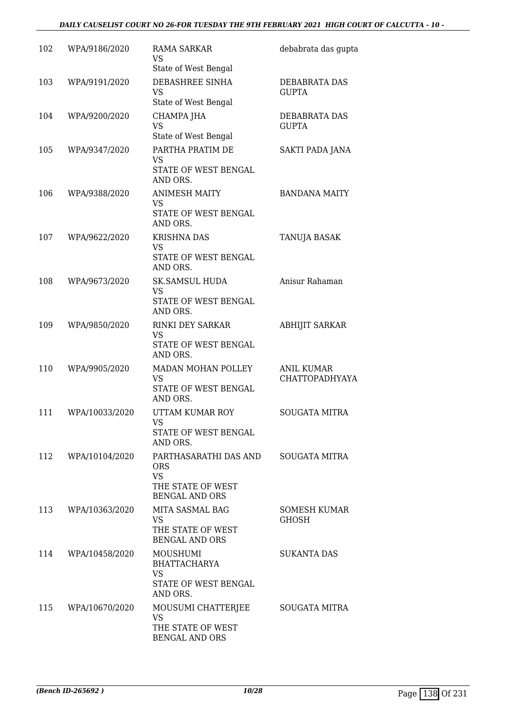#### *DAILY CAUSELIST COURT NO 26-FOR TUESDAY THE 9TH FEBRUARY 2021 HIGH COURT OF CALCUTTA - 10 -*

| 102 | WPA/9186/2020  | <b>RAMA SARKAR</b><br>VS                                | debabrata das gupta                 |
|-----|----------------|---------------------------------------------------------|-------------------------------------|
|     |                | State of West Bengal                                    |                                     |
| 103 | WPA/9191/2020  | DEBASHREE SINHA<br>VS<br>State of West Bengal           | DEBABRATA DAS<br><b>GUPTA</b>       |
| 104 | WPA/9200/2020  | CHAMPA JHA                                              | DEBABRATA DAS                       |
|     |                | <b>VS</b><br>State of West Bengal                       | <b>GUPTA</b>                        |
| 105 | WPA/9347/2020  | PARTHA PRATIM DE<br>VS                                  | SAKTI PADA JANA                     |
|     |                | STATE OF WEST BENGAL<br>AND ORS.                        |                                     |
| 106 | WPA/9388/2020  | <b>ANIMESH MAITY</b><br><b>VS</b>                       | <b>BANDANA MAITY</b>                |
|     |                | STATE OF WEST BENGAL<br>AND ORS.                        |                                     |
| 107 | WPA/9622/2020  | <b>KRISHNA DAS</b><br><b>VS</b>                         | TANUJA BASAK                        |
|     |                | STATE OF WEST BENGAL<br>AND ORS.                        |                                     |
| 108 | WPA/9673/2020  | <b>SK.SAMSUL HUDA</b><br>VS                             | Anisur Rahaman                      |
|     |                | STATE OF WEST BENGAL<br>AND ORS.                        |                                     |
| 109 | WPA/9850/2020  | <b>RINKI DEY SARKAR</b><br><b>VS</b>                    | <b>ABHIJIT SARKAR</b>               |
|     |                | STATE OF WEST BENGAL<br>AND ORS.                        |                                     |
| 110 | WPA/9905/2020  | MADAN MOHAN POLLEY<br><b>VS</b>                         | <b>ANIL KUMAR</b><br>CHATTOPADHYAYA |
|     |                | STATE OF WEST BENGAL<br>AND ORS.                        |                                     |
| 111 | WPA/10033/2020 | UTTAM KUMAR ROY<br>VS                                   | <b>SOUGATA MITRA</b>                |
|     |                | STATE OF WEST BENGAL<br>AND ORS.                        |                                     |
| 112 | WPA/10104/2020 | PARTHASARATHI DAS AND<br><b>ORS</b>                     | <b>SOUGATA MITRA</b>                |
|     |                | <b>VS</b><br>THE STATE OF WEST<br><b>BENGAL AND ORS</b> |                                     |
| 113 | WPA/10363/2020 | <b>MITA SASMAL BAG</b>                                  | <b>SOMESH KUMAR</b>                 |
|     |                | <b>VS</b><br>THE STATE OF WEST<br><b>BENGAL AND ORS</b> | <b>GHOSH</b>                        |
| 114 | WPA/10458/2020 | MOUSHUMI<br><b>BHATTACHARYA</b>                         | <b>SUKANTA DAS</b>                  |
|     |                | <b>VS</b><br>STATE OF WEST BENGAL                       |                                     |
| 115 | WPA/10670/2020 | AND ORS.<br>MOUSUMI CHATTERJEE                          | <b>SOUGATA MITRA</b>                |
|     |                | <b>VS</b>                                               |                                     |
|     |                | THE STATE OF WEST<br><b>BENGAL AND ORS</b>              |                                     |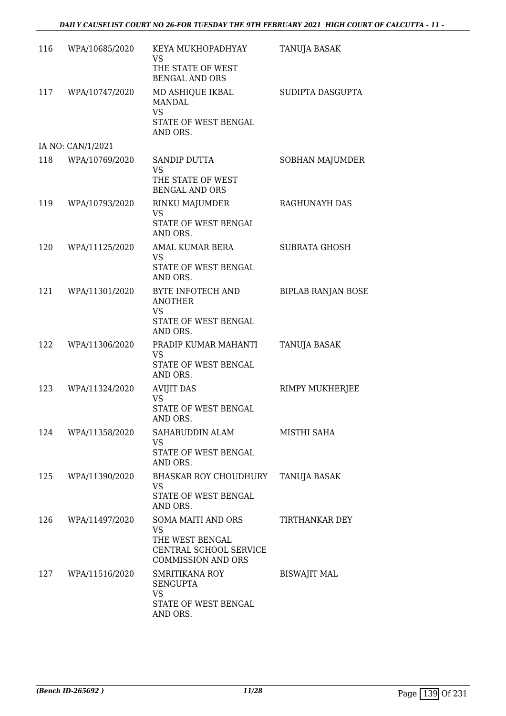| 116 | WPA/10685/2020    | KEYA MUKHOPADHYAY<br>VS<br>THE STATE OF WEST                                                              | <b>TANUJA BASAK</b>       |
|-----|-------------------|-----------------------------------------------------------------------------------------------------------|---------------------------|
| 117 | WPA/10747/2020    | <b>BENGAL AND ORS</b><br>MD ASHIQUE IKBAL<br>MANDAL<br><b>VS</b>                                          | SUDIPTA DASGUPTA          |
|     |                   | STATE OF WEST BENGAL<br>AND ORS.                                                                          |                           |
|     | IA NO: CAN/1/2021 |                                                                                                           |                           |
| 118 | WPA/10769/2020    | SANDIP DUTTA<br><b>VS</b><br>THE STATE OF WEST<br><b>BENGAL AND ORS</b>                                   | SOBHAN MAJUMDER           |
| 119 | WPA/10793/2020    | RINKU MAJUMDER<br>VS<br>STATE OF WEST BENGAL<br>AND ORS.                                                  | RAGHUNAYH DAS             |
| 120 | WPA/11125/2020    | <b>AMAL KUMAR BERA</b><br><b>VS</b><br>STATE OF WEST BENGAL<br>AND ORS.                                   | <b>SUBRATA GHOSH</b>      |
| 121 | WPA/11301/2020    | BYTE INFOTECH AND<br><b>ANOTHER</b><br><b>VS</b><br>STATE OF WEST BENGAL<br>AND ORS.                      | <b>BIPLAB RANJAN BOSE</b> |
| 122 | WPA/11306/2020    | PRADIP KUMAR MAHANTI<br>VS<br>STATE OF WEST BENGAL<br>AND ORS.                                            | TANUJA BASAK              |
| 123 | WPA/11324/2020    | <b>AVIJIT DAS</b><br><b>VS</b><br>STATE OF WEST BENGAL<br>AND ORS.                                        | RIMPY MUKHERJEE           |
| 124 | WPA/11358/2020    | SAHABUDDIN ALAM<br>VS<br>STATE OF WEST BENGAL<br>AND ORS.                                                 | MISTHI SAHA               |
| 125 | WPA/11390/2020    | <b>BHASKAR ROY CHOUDHURY</b><br><b>VS</b><br>STATE OF WEST BENGAL<br>AND ORS.                             | <b>TANUJA BASAK</b>       |
| 126 | WPA/11497/2020    | SOMA MAITI AND ORS<br><b>VS</b><br>THE WEST BENGAL<br>CENTRAL SCHOOL SERVICE<br><b>COMMISSION AND ORS</b> | TIRTHANKAR DEY            |
| 127 | WPA/11516/2020    | <b>SMRITIKANA ROY</b><br><b>SENGUPTA</b><br><b>VS</b><br>STATE OF WEST BENGAL<br>AND ORS.                 | <b>BISWAJIT MAL</b>       |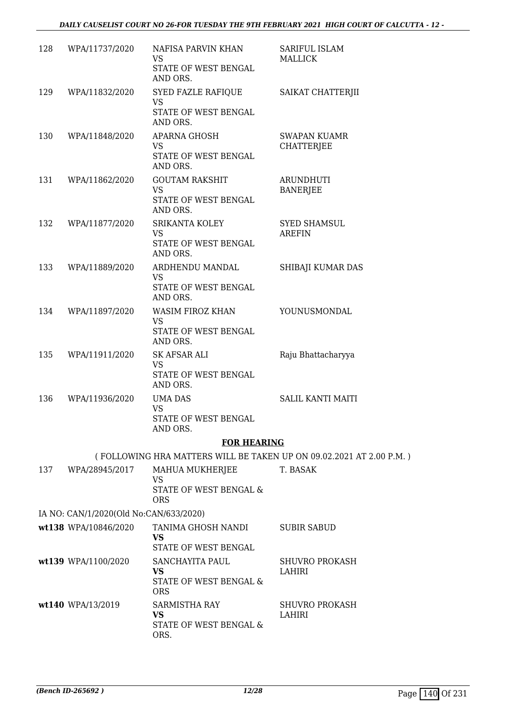#### *DAILY CAUSELIST COURT NO 26-FOR TUESDAY THE 9TH FEBRUARY 2021 HIGH COURT OF CALCUTTA - 12 -*

| 128 | WPA/11737/2020                         | NAFISA PARVIN KHAN<br>VS<br>STATE OF WEST BENGAL<br>AND ORS.         | SARIFUL ISLAM<br>MALLICK                                            |
|-----|----------------------------------------|----------------------------------------------------------------------|---------------------------------------------------------------------|
| 129 | WPA/11832/2020                         | SYED FAZLE RAFIQUE<br><b>VS</b><br>STATE OF WEST BENGAL              | SAIKAT CHATTERJII                                                   |
|     |                                        | AND ORS.                                                             |                                                                     |
| 130 | WPA/11848/2020                         | APARNA GHOSH<br><b>VS</b><br>STATE OF WEST BENGAL<br>AND ORS.        | <b>SWAPAN KUAMR</b><br><b>CHATTERJEE</b>                            |
| 131 | WPA/11862/2020                         | <b>GOUTAM RAKSHIT</b>                                                | <b>ARUNDHUTI</b>                                                    |
|     |                                        | VS<br>STATE OF WEST BENGAL<br>AND ORS.                               | <b>BANERJEE</b>                                                     |
| 132 | WPA/11877/2020                         | SRIKANTA KOLEY<br><b>VS</b><br>STATE OF WEST BENGAL<br>AND ORS.      | <b>SYED SHAMSUL</b><br>AREFIN                                       |
| 133 | WPA/11889/2020                         | ARDHENDU MANDAL                                                      | SHIBAJI KUMAR DAS                                                   |
|     |                                        | <b>VS</b><br>STATE OF WEST BENGAL<br>AND ORS.                        |                                                                     |
| 134 | WPA/11897/2020                         | WASIM FIROZ KHAN<br>VS.<br>STATE OF WEST BENGAL<br>AND ORS.          | YOUNUSMONDAL                                                        |
| 135 | WPA/11911/2020                         | SK AFSAR ALI                                                         | Raju Bhattacharyya                                                  |
|     |                                        | <b>VS</b><br>STATE OF WEST BENGAL<br>AND ORS.                        |                                                                     |
| 136 | WPA/11936/2020                         | UMA DAS<br><b>VS</b>                                                 | <b>SALIL KANTI MAITI</b>                                            |
|     |                                        | STATE OF WEST BENGAL<br>AND ORS.                                     |                                                                     |
|     |                                        | <b>FOR HEARING</b>                                                   |                                                                     |
|     |                                        |                                                                      | (FOLLOWING HRA MATTERS WILL BE TAKEN UP ON 09.02.2021 AT 2.00 P.M.) |
| 137 | WPA/28945/2017                         | MAHUA MUKHERJEE<br><b>VS</b>                                         | T. BASAK                                                            |
|     |                                        | STATE OF WEST BENGAL &<br><b>ORS</b>                                 |                                                                     |
|     | IA NO: CAN/1/2020(Old No:CAN/633/2020) |                                                                      |                                                                     |
|     | wt138 WPA/10846/2020                   | TANIMA GHOSH NANDI<br><b>VS</b><br>STATE OF WEST BENGAL              | SUBIR SABUD                                                         |
|     | wt139 WPA/1100/2020                    | SANCHAYITA PAUL<br><b>VS</b><br>STATE OF WEST BENGAL &<br><b>ORS</b> | <b>SHUVRO PROKASH</b><br>LAHIRI                                     |
|     | wt140 WPA/13/2019                      | SARMISTHA RAY<br><b>VS</b><br>STATE OF WEST BENGAL &<br>ORS.         | <b>SHUVRO PROKASH</b><br>LAHIRI                                     |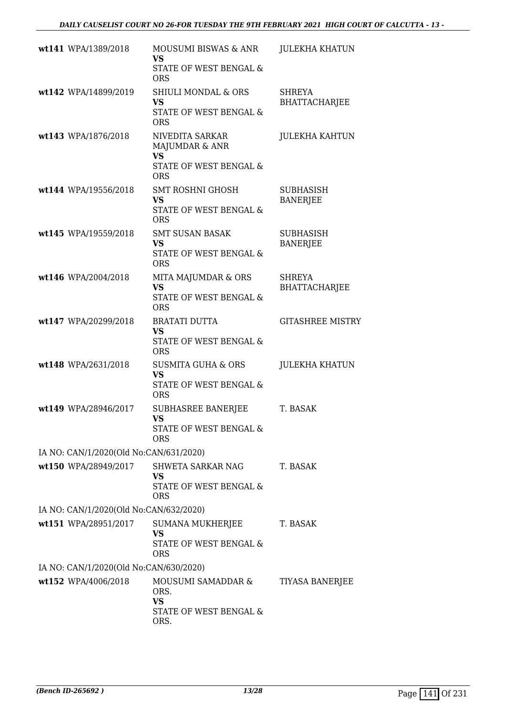| wt141 WPA/1389/2018                    | MOUSUMI BISWAS & ANR<br>VS.                                                    | <b>JULEKHA KHATUN</b>                 |
|----------------------------------------|--------------------------------------------------------------------------------|---------------------------------------|
|                                        | STATE OF WEST BENGAL &<br><b>ORS</b>                                           |                                       |
| wt142 WPA/14899/2019                   | <b>SHIULI MONDAL &amp; ORS</b><br>VS<br>STATE OF WEST BENGAL &                 | <b>SHREYA</b><br><b>BHATTACHARJEE</b> |
|                                        | <b>ORS</b>                                                                     |                                       |
| wt143 WPA/1876/2018                    | NIVEDITA SARKAR<br>MAJUMDAR & ANR<br><b>VS</b><br>STATE OF WEST BENGAL &       | <b>JULEKHA KAHTUN</b>                 |
|                                        | <b>ORS</b>                                                                     |                                       |
| wt144 WPA/19556/2018                   | <b>SMT ROSHNI GHOSH</b><br><b>VS</b><br>STATE OF WEST BENGAL &<br><b>ORS</b>   | <b>SUBHASISH</b><br><b>BANERJEE</b>   |
| wt145 WPA/19559/2018                   | <b>SMT SUSAN BASAK</b><br><b>VS</b><br>STATE OF WEST BENGAL &                  | <b>SUBHASISH</b><br><b>BANERJEE</b>   |
|                                        | <b>ORS</b>                                                                     |                                       |
| wt146 WPA/2004/2018                    | MITA MAJUMDAR & ORS<br><b>VS</b><br>STATE OF WEST BENGAL &<br><b>ORS</b>       | <b>SHREYA</b><br><b>BHATTACHARJEE</b> |
| wt147 WPA/20299/2018                   | <b>BRATATI DUTTA</b>                                                           | <b>GITASHREE MISTRY</b>               |
|                                        | <b>VS</b><br>STATE OF WEST BENGAL &<br><b>ORS</b>                              |                                       |
| wt148 WPA/2631/2018                    | <b>SUSMITA GUHA &amp; ORS</b><br><b>VS</b><br>STATE OF WEST BENGAL &           | <b>JULEKHA KHATUN</b>                 |
| wt149 WPA/28946/2017                   | <b>ORS</b>                                                                     |                                       |
|                                        | <b>SUBHASREE BANERJEE</b><br><b>VS</b><br>STATE OF WEST BENGAL &<br><b>ORS</b> | T. BASAK                              |
| IA NO: CAN/1/2020(Old No:CAN/631/2020) |                                                                                |                                       |
| wt150 WPA/28949/2017                   | SHWETA SARKAR NAG<br><b>VS</b>                                                 | T. BASAK                              |
|                                        | <b>STATE OF WEST BENGAL &amp;</b><br><b>ORS</b>                                |                                       |
| IA NO: CAN/1/2020(Old No:CAN/632/2020) |                                                                                |                                       |
| wt151 WPA/28951/2017                   | <b>SUMANA MUKHERJEE</b><br><b>VS</b>                                           | T. BASAK                              |
|                                        | STATE OF WEST BENGAL &<br><b>ORS</b>                                           |                                       |
| IA NO: CAN/1/2020(Old No:CAN/630/2020) |                                                                                |                                       |
| wt152 WPA/4006/2018                    | MOUSUMI SAMADDAR &<br>ORS.<br><b>VS</b>                                        | TIYASA BANERJEE                       |
|                                        | STATE OF WEST BENGAL &<br>ORS.                                                 |                                       |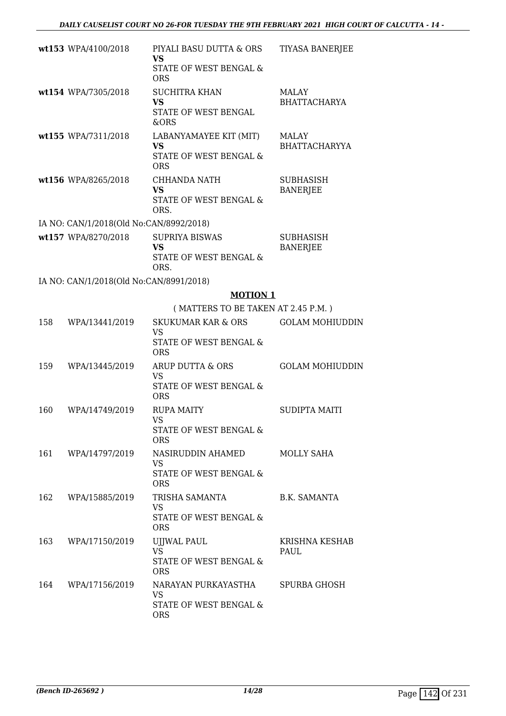|     | wt153 WPA/4100/2018                     | PIYALI BASU DUTTA & ORS<br>VS                                                      | <b>TIYASA BANERJEE</b>              |
|-----|-----------------------------------------|------------------------------------------------------------------------------------|-------------------------------------|
|     |                                         | STATE OF WEST BENGAL &<br><b>ORS</b>                                               |                                     |
|     | wt154 WPA/7305/2018                     | <b>SUCHITRA KHAN</b><br><b>VS</b><br>STATE OF WEST BENGAL<br>&ORS                  | MALAY<br><b>BHATTACHARYA</b>        |
|     | wt155 WPA/7311/2018                     | LABANYAMAYEE KIT (MIT)<br><b>VS</b><br>STATE OF WEST BENGAL &<br><b>ORS</b>        | MALAY<br><b>BHATTACHARYYA</b>       |
|     | wt156 WPA/8265/2018                     | <b>CHHANDA NATH</b><br><b>VS</b><br>STATE OF WEST BENGAL &<br>ORS.                 | <b>SUBHASISH</b><br><b>BANERJEE</b> |
|     | IA NO: CAN/1/2018(Old No:CAN/8992/2018) |                                                                                    |                                     |
|     | wt157 WPA/8270/2018                     | <b>SUPRIYA BISWAS</b><br><b>VS</b><br>STATE OF WEST BENGAL &<br>ORS.               | <b>SUBHASISH</b><br><b>BANERJEE</b> |
|     | IA NO: CAN/1/2018(Old No:CAN/8991/2018) |                                                                                    |                                     |
|     |                                         | <b>MOTION 1</b>                                                                    |                                     |
|     |                                         | (MATTERS TO BE TAKEN AT 2.45 P.M.)                                                 |                                     |
| 158 | WPA/13441/2019                          | <b>SKUKUMAR KAR &amp; ORS</b><br><b>VS</b><br>STATE OF WEST BENGAL &<br><b>ORS</b> | <b>GOLAM MOHIUDDIN</b>              |
| 159 | WPA/13445/2019                          | ARUP DUTTA & ORS<br><b>VS</b><br>STATE OF WEST BENGAL &<br><b>ORS</b>              | <b>GOLAM MOHIUDDIN</b>              |
| 160 | WPA/14749/2019                          | <b>RUPA MAITY</b><br>VS and the vertex of $\sim$<br>STATE OF WEST BENGAL &<br>ORS  | <b>SUDIPTA MAITI</b>                |
|     | 161 WPA/14797/2019                      | NASIRUDDIN AHAMED<br>VS<br><b>STATE OF WEST BENGAL &amp;</b><br><b>ORS</b>         | MOLLY SAHA                          |
| 162 | WPA/15885/2019                          | TRISHA SAMANTA<br>VS.<br>STATE OF WEST BENGAL &<br><b>ORS</b>                      | <b>B.K. SAMANTA</b>                 |
| 163 | WPA/17150/2019                          | UJJWAL PAUL<br>VS.<br>STATE OF WEST BENGAL &<br><b>ORS</b>                         | KRISHNA KESHAB<br>PAUL              |
| 164 | WPA/17156/2019                          | NARAYAN PURKAYASTHA<br>VS<br>STATE OF WEST BENGAL &<br><b>ORS</b>                  | SPURBA GHOSH                        |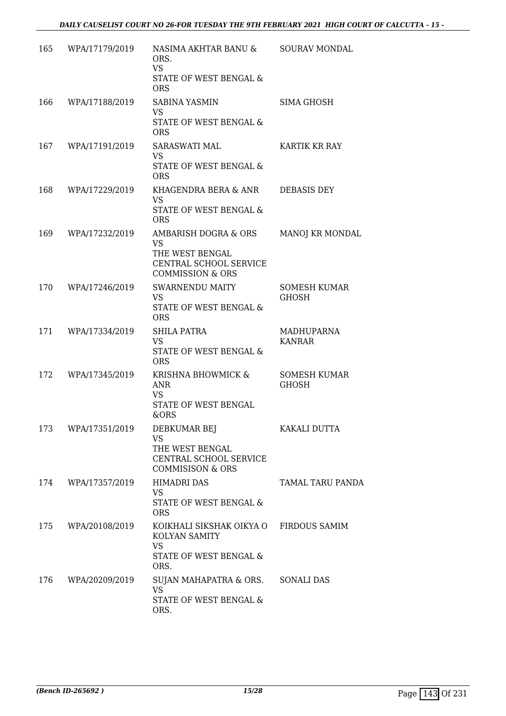| 165 | WPA/17179/2019 | NASIMA AKHTAR BANU &<br>ORS.<br><b>VS</b><br>STATE OF WEST BENGAL &<br><b>ORS</b>                             | SOURAV MONDAL                       |
|-----|----------------|---------------------------------------------------------------------------------------------------------------|-------------------------------------|
| 166 | WPA/17188/2019 | SABINA YASMIN<br>VS.<br>STATE OF WEST BENGAL &<br><b>ORS</b>                                                  | <b>SIMA GHOSH</b>                   |
| 167 | WPA/17191/2019 | SARASWATI MAL<br>VS.<br>STATE OF WEST BENGAL &<br><b>ORS</b>                                                  | KARTIK KR RAY                       |
| 168 | WPA/17229/2019 | KHAGENDRA BERA & ANR<br><b>VS</b><br>STATE OF WEST BENGAL &<br><b>ORS</b>                                     | <b>DEBASIS DEY</b>                  |
| 169 | WPA/17232/2019 | AMBARISH DOGRA & ORS<br><b>VS</b><br>THE WEST BENGAL<br>CENTRAL SCHOOL SERVICE<br><b>COMMISSION &amp; ORS</b> | MANOJ KR MONDAL                     |
| 170 | WPA/17246/2019 | SWARNENDU MAITY<br>VS.<br>STATE OF WEST BENGAL &<br><b>ORS</b>                                                | <b>SOMESH KUMAR</b><br>GHOSH        |
| 171 | WPA/17334/2019 | <b>SHILA PATRA</b><br><b>VS</b><br>STATE OF WEST BENGAL &<br><b>ORS</b>                                       | MADHUPARNA<br><b>KANRAR</b>         |
| 172 | WPA/17345/2019 | KRISHNA BHOWMICK &<br>ANR<br>VS<br>STATE OF WEST BENGAL<br>&ORS                                               | <b>SOMESH KUMAR</b><br><b>GHOSH</b> |
| 173 | WPA/17351/2019 | DEBKUMAR BEJ<br><b>VS</b><br>THE WEST BENGAL<br>CENTRAL SCHOOL SERVICE<br><b>COMMISISON &amp; ORS</b>         | KAKALI DUTTA                        |
| 174 | WPA/17357/2019 | <b>HIMADRI DAS</b><br>VS.<br>STATE OF WEST BENGAL &<br><b>ORS</b>                                             | TAMAL TARU PANDA                    |
| 175 | WPA/20108/2019 | KOIKHALI SIKSHAK OIKYA O<br>KOLYAN SAMITY<br>VS<br>STATE OF WEST BENGAL &<br>ORS.                             | <b>FIRDOUS SAMIM</b>                |
| 176 | WPA/20209/2019 | SUJAN MAHAPATRA & ORS.<br><b>VS</b><br>STATE OF WEST BENGAL &<br>ORS.                                         | <b>SONALI DAS</b>                   |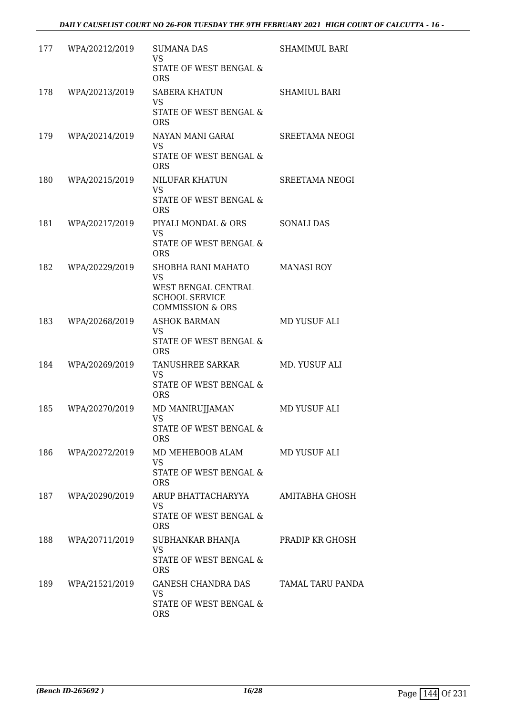| 177 | WPA/20212/2019 | <b>SUMANA DAS</b><br><b>VS</b>                                              | <b>SHAMIMUL BARI</b> |
|-----|----------------|-----------------------------------------------------------------------------|----------------------|
|     |                | STATE OF WEST BENGAL &<br><b>ORS</b>                                        |                      |
| 178 | WPA/20213/2019 | SABERA KHATUN<br><b>VS</b>                                                  | <b>SHAMIUL BARI</b>  |
|     |                | STATE OF WEST BENGAL &<br><b>ORS</b>                                        |                      |
| 179 | WPA/20214/2019 | NAYAN MANI GARAI<br><b>VS</b>                                               | SREETAMA NEOGI       |
|     |                | STATE OF WEST BENGAL &<br><b>ORS</b>                                        |                      |
| 180 | WPA/20215/2019 | NILUFAR KHATUN<br><b>VS</b>                                                 | SREETAMA NEOGI       |
|     |                | STATE OF WEST BENGAL &<br><b>ORS</b>                                        |                      |
| 181 | WPA/20217/2019 | PIYALI MONDAL & ORS<br><b>VS</b>                                            | <b>SONALI DAS</b>    |
|     |                | STATE OF WEST BENGAL &<br><b>ORS</b>                                        |                      |
| 182 | WPA/20229/2019 | SHOBHA RANI MAHATO<br><b>VS</b>                                             | <b>MANASI ROY</b>    |
|     |                | WEST BENGAL CENTRAL<br><b>SCHOOL SERVICE</b><br><b>COMMISSION &amp; ORS</b> |                      |
| 183 | WPA/20268/2019 | <b>ASHOK BARMAN</b><br>VS                                                   | MD YUSUF ALI         |
|     |                | STATE OF WEST BENGAL &<br><b>ORS</b>                                        |                      |
| 184 | WPA/20269/2019 | TANUSHREE SARKAR<br><b>VS</b>                                               | MD. YUSUF ALI        |
|     |                | STATE OF WEST BENGAL &<br><b>ORS</b>                                        |                      |
| 185 | WPA/20270/2019 | MD MANIRUJJAMAN<br>VS.                                                      | MD YUSUF ALI         |
|     |                | STATE OF WEST BENGAL &<br><b>ORS</b>                                        |                      |
| 186 | WPA/20272/2019 | MD MEHEBOOB ALAM<br><b>VS</b>                                               | MD YUSUF ALI         |
|     |                | STATE OF WEST BENGAL &<br><b>ORS</b>                                        |                      |
| 187 | WPA/20290/2019 | ARUP BHATTACHARYYA<br><b>VS</b>                                             | AMITABHA GHOSH       |
|     |                | STATE OF WEST BENGAL &<br><b>ORS</b>                                        |                      |
| 188 | WPA/20711/2019 | SUBHANKAR BHANJA<br><b>VS</b>                                               | PRADIP KR GHOSH      |
|     |                | STATE OF WEST BENGAL &<br><b>ORS</b>                                        |                      |
| 189 | WPA/21521/2019 | GANESH CHANDRA DAS<br><b>VS</b>                                             | TAMAL TARU PANDA     |
|     |                | STATE OF WEST BENGAL &<br><b>ORS</b>                                        |                      |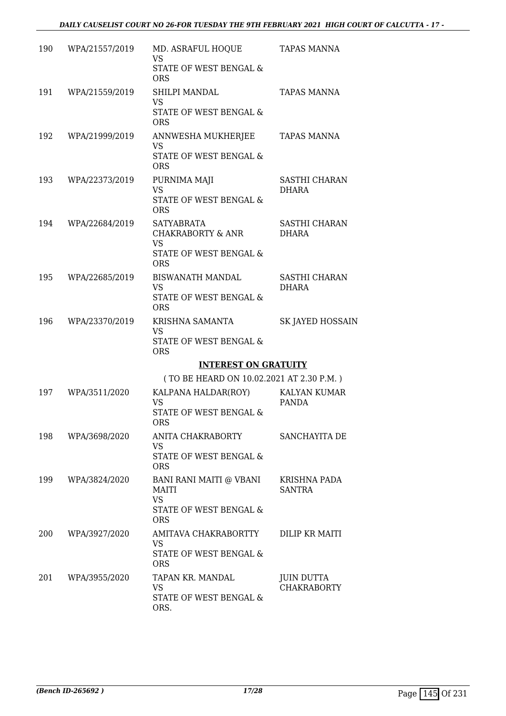| 190 | WPA/21557/2019 | MD. ASRAFUL HOQUE<br><b>VS</b>                    | TAPAS MANNA                   |
|-----|----------------|---------------------------------------------------|-------------------------------|
|     |                | STATE OF WEST BENGAL &<br><b>ORS</b>              |                               |
| 191 | WPA/21559/2019 | SHILPI MANDAL                                     | <b>TAPAS MANNA</b>            |
|     |                | <b>VS</b><br>STATE OF WEST BENGAL &<br><b>ORS</b> |                               |
| 192 | WPA/21999/2019 | ANNWESHA MUKHERJEE<br><b>VS</b>                   | <b>TAPAS MANNA</b>            |
|     |                | STATE OF WEST BENGAL &<br><b>ORS</b>              |                               |
| 193 | WPA/22373/2019 | PURNIMA MAJI                                      | SASTHI CHARAN                 |
|     |                | <b>VS</b><br>STATE OF WEST BENGAL &<br><b>ORS</b> | <b>DHARA</b>                  |
| 194 | WPA/22684/2019 | <b>SATYABRATA</b>                                 | <b>SASTHI CHARAN</b>          |
|     |                | <b>CHAKRABORTY &amp; ANR</b><br><b>VS</b>         | <b>DHARA</b>                  |
|     |                | STATE OF WEST BENGAL &<br><b>ORS</b>              |                               |
| 195 | WPA/22685/2019 | <b>BISWANATH MANDAL</b><br><b>VS</b>              | SASTHI CHARAN<br><b>DHARA</b> |
|     |                | STATE OF WEST BENGAL &<br><b>ORS</b>              |                               |
| 196 | WPA/23370/2019 | KRISHNA SAMANTA<br><b>VS</b>                      | <b>SK JAYED HOSSAIN</b>       |
|     |                | STATE OF WEST BENGAL &<br><b>ORS</b>              |                               |
|     |                | <b>INTEREST ON GRATUITY</b>                       |                               |
|     |                | (TO BE HEARD ON 10.02.2021 AT 2.30 P.M.)          |                               |
| 197 | WPA/3511/2020  | KALPANA HALDAR(ROY)<br>VS                         | <b>KALYAN KUMAR</b><br>PANDA  |
|     |                | STATE OF WEST BENGAL &<br><b>ORS</b>              |                               |
| 198 | WPA/3698/2020  | ANITA CHAKRABORTY<br><b>VS</b>                    | SANCHAYITA DE                 |
|     |                | STATE OF WEST BENGAL &<br><b>ORS</b>              |                               |
| 199 | WPA/3824/2020  | BANI RANI MAITI @ VBANI<br>MAITI                  | KRISHNA PADA<br>SANTRA        |
|     |                | <b>VS</b>                                         |                               |
|     |                | STATE OF WEST BENGAL &<br><b>ORS</b>              |                               |
| 200 | WPA/3927/2020  | AMITAVA CHAKRABORTTY                              | DILIP KR MAITI                |
|     |                | VS<br>STATE OF WEST BENGAL &<br><b>ORS</b>        |                               |
| 201 | WPA/3955/2020  | TAPAN KR. MANDAL                                  | <b>JUIN DUTTA</b>             |
|     |                | <b>VS</b><br>STATE OF WEST BENGAL &               | <b>CHAKRABORTY</b>            |
|     |                | ORS.                                              |                               |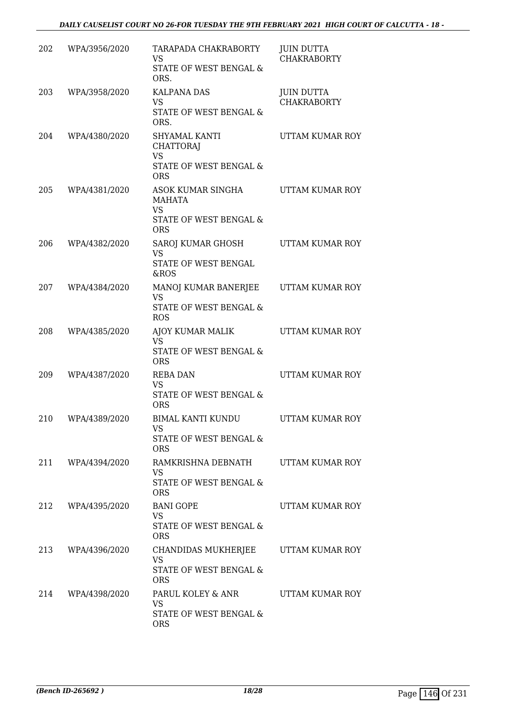| 202 | WPA/3956/2020     | TARAPADA CHAKRABORTY<br><b>VS</b><br>STATE OF WEST BENGAL &<br>ORS.                    | <b>JUIN DUTTA</b><br><b>CHAKRABORTY</b> |
|-----|-------------------|----------------------------------------------------------------------------------------|-----------------------------------------|
| 203 | WPA/3958/2020     | <b>KALPANA DAS</b><br>VS<br>STATE OF WEST BENGAL &<br>ORS.                             | <b>JUIN DUTTA</b><br><b>CHAKRABORTY</b> |
| 204 | WPA/4380/2020     | SHYAMAL KANTI<br><b>CHATTORAJ</b><br><b>VS</b><br>STATE OF WEST BENGAL &<br><b>ORS</b> | UTTAM KUMAR ROY                         |
| 205 | WPA/4381/2020     | ASOK KUMAR SINGHA<br>MAHATA<br><b>VS</b><br>STATE OF WEST BENGAL &<br><b>ORS</b>       | UTTAM KUMAR ROY                         |
| 206 | WPA/4382/2020     | SAROJ KUMAR GHOSH<br><b>VS</b><br>STATE OF WEST BENGAL<br>&ROS                         | UTTAM KUMAR ROY                         |
| 207 | WPA/4384/2020     | MANOJ KUMAR BANERJEE<br><b>VS</b><br>STATE OF WEST BENGAL &<br><b>ROS</b>              | UTTAM KUMAR ROY                         |
| 208 | WPA/4385/2020     | AJOY KUMAR MALIK<br><b>VS</b><br>STATE OF WEST BENGAL &<br><b>ORS</b>                  | UTTAM KUMAR ROY                         |
| 209 | WPA/4387/2020     | <b>REBA DAN</b><br><b>VS</b><br>STATE OF WEST BENGAL &<br><b>ORS</b>                   | UTTAM KUMAR ROY                         |
| 210 | WPA/4389/2020     | BIMAL KANTI KUNDU<br>VS<br>STATE OF WEST BENGAL &<br><b>ORS</b>                        | UTTAM KUMAR ROY                         |
|     | 211 WPA/4394/2020 | RAMKRISHNA DEBNATH<br>VS<br>STATE OF WEST BENGAL &<br><b>ORS</b>                       | UTTAM KUMAR ROY                         |
| 212 | WPA/4395/2020     | <b>BANI GOPE</b><br>VS.<br>STATE OF WEST BENGAL &<br><b>ORS</b>                        | UTTAM KUMAR ROY                         |
| 213 | WPA/4396/2020     | CHANDIDAS MUKHERJEE<br><b>VS</b><br>STATE OF WEST BENGAL &<br><b>ORS</b>               | UTTAM KUMAR ROY                         |
| 214 | WPA/4398/2020     | PARUL KOLEY & ANR<br>VS<br>STATE OF WEST BENGAL &<br><b>ORS</b>                        | UTTAM KUMAR ROY                         |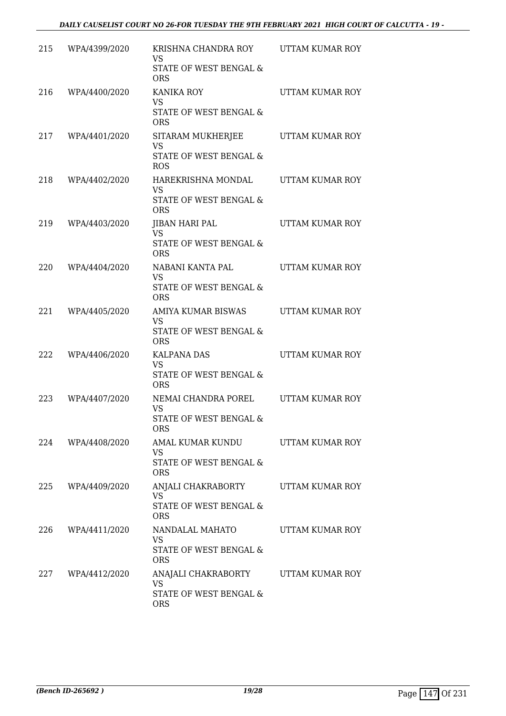| 215 | WPA/4399/2020 | KRISHNA CHANDRA ROY<br>VS<br>STATE OF WEST BENGAL &<br><b>ORS</b>                  | UTTAM KUMAR ROY |
|-----|---------------|------------------------------------------------------------------------------------|-----------------|
| 216 | WPA/4400/2020 | <b>KANIKA ROY</b><br><b>VS</b><br>STATE OF WEST BENGAL &<br><b>ORS</b>             | UTTAM KUMAR ROY |
| 217 | WPA/4401/2020 | SITARAM MUKHERJEE<br>VS<br>STATE OF WEST BENGAL &<br><b>ROS</b>                    | UTTAM KUMAR ROY |
| 218 | WPA/4402/2020 | HAREKRISHNA MONDAL<br>VS<br>STATE OF WEST BENGAL &<br><b>ORS</b>                   | UTTAM KUMAR ROY |
| 219 | WPA/4403/2020 | <b>JIBAN HARI PAL</b><br><b>VS</b><br>STATE OF WEST BENGAL &<br><b>ORS</b>         | UTTAM KUMAR ROY |
| 220 | WPA/4404/2020 | NABANI KANTA PAL<br><b>VS</b><br><b>STATE OF WEST BENGAL &amp;</b><br><b>ORS</b>   | UTTAM KUMAR ROY |
| 221 | WPA/4405/2020 | AMIYA KUMAR BISWAS<br>VS<br>STATE OF WEST BENGAL &<br><b>ORS</b>                   | UTTAM KUMAR ROY |
| 222 | WPA/4406/2020 | <b>KALPANA DAS</b><br><b>VS</b><br><b>STATE OF WEST BENGAL &amp;</b><br><b>ORS</b> | UTTAM KUMAR ROY |
| 223 | WPA/4407/2020 | NEMAI CHANDRA POREL<br><b>VS</b><br>STATE OF WEST BENGAL &<br><b>ORS</b>           | UTTAM KUMAR ROY |
| 224 | WPA/4408/2020 | AMAL KUMAR KUNDU<br>VS<br>STATE OF WEST BENGAL &<br><b>ORS</b>                     | UTTAM KUMAR ROY |
| 225 | WPA/4409/2020 | ANJALI CHAKRABORTY<br><b>VS</b><br>STATE OF WEST BENGAL &<br><b>ORS</b>            | UTTAM KUMAR ROY |
| 226 | WPA/4411/2020 | NANDALAL MAHATO<br><b>VS</b><br>STATE OF WEST BENGAL &<br><b>ORS</b>               | UTTAM KUMAR ROY |
| 227 | WPA/4412/2020 | ANAJALI CHAKRABORTY<br><b>VS</b><br>STATE OF WEST BENGAL &<br><b>ORS</b>           | UTTAM KUMAR ROY |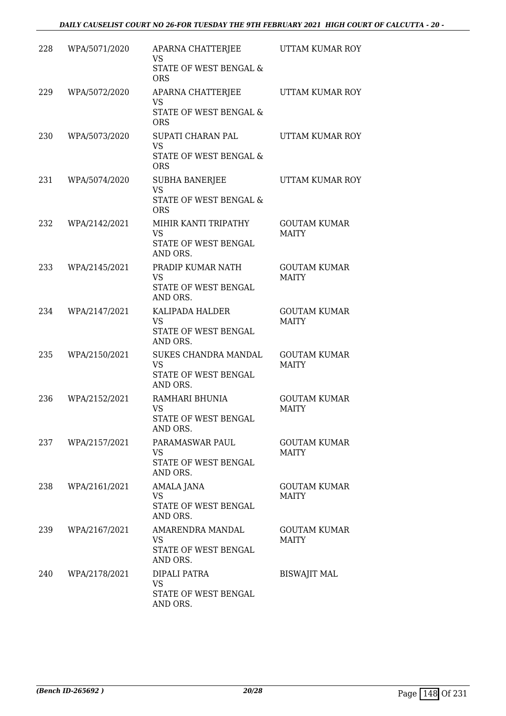| 228 | WPA/5071/2020 | APARNA CHATTERJEE<br><b>VS</b><br><b>STATE OF WEST BENGAL &amp;</b><br><b>ORS</b> | UTTAM KUMAR ROY                     |
|-----|---------------|-----------------------------------------------------------------------------------|-------------------------------------|
| 229 | WPA/5072/2020 | APARNA CHATTERJEE<br>VS<br>STATE OF WEST BENGAL &<br><b>ORS</b>                   | UTTAM KUMAR ROY                     |
| 230 | WPA/5073/2020 | SUPATI CHARAN PAL<br><b>VS</b><br>STATE OF WEST BENGAL &<br><b>ORS</b>            | UTTAM KUMAR ROY                     |
| 231 | WPA/5074/2020 | <b>SUBHA BANERJEE</b><br><b>VS</b><br>STATE OF WEST BENGAL &<br><b>ORS</b>        | UTTAM KUMAR ROY                     |
| 232 | WPA/2142/2021 | MIHIR KANTI TRIPATHY<br>VS<br>STATE OF WEST BENGAL<br>AND ORS.                    | <b>GOUTAM KUMAR</b><br><b>MAITY</b> |
| 233 | WPA/2145/2021 | PRADIP KUMAR NATH<br><b>VS</b><br>STATE OF WEST BENGAL<br>AND ORS.                | <b>GOUTAM KUMAR</b><br><b>MAITY</b> |
| 234 | WPA/2147/2021 | KALIPADA HALDER<br><b>VS</b><br>STATE OF WEST BENGAL<br>AND ORS.                  | <b>GOUTAM KUMAR</b><br><b>MAITY</b> |
| 235 | WPA/2150/2021 | SUKES CHANDRA MANDAL<br><b>VS</b><br>STATE OF WEST BENGAL<br>AND ORS.             | <b>GOUTAM KUMAR</b><br><b>MAITY</b> |
| 236 | WPA/2152/2021 | RAMHARI BHUNIA<br><b>VS</b><br>STATE OF WEST BENGAL<br>AND ORS.                   | <b>GOUTAM KUMAR</b><br><b>MAITY</b> |
| 237 | WPA/2157/2021 | PARAMASWAR PAUL<br>VS.<br>STATE OF WEST BENGAL<br>AND ORS.                        | <b>GOUTAM KUMAR</b><br><b>MAITY</b> |
| 238 | WPA/2161/2021 | AMALA JANA<br><b>VS</b><br>STATE OF WEST BENGAL<br>AND ORS.                       | <b>GOUTAM KUMAR</b><br><b>MAITY</b> |
| 239 | WPA/2167/2021 | AMARENDRA MANDAL<br>VS.<br>STATE OF WEST BENGAL<br>AND ORS.                       | <b>GOUTAM KUMAR</b><br><b>MAITY</b> |
| 240 | WPA/2178/2021 | DIPALI PATRA<br>VS<br>STATE OF WEST BENGAL<br>AND ORS.                            | <b>BISWAJIT MAL</b>                 |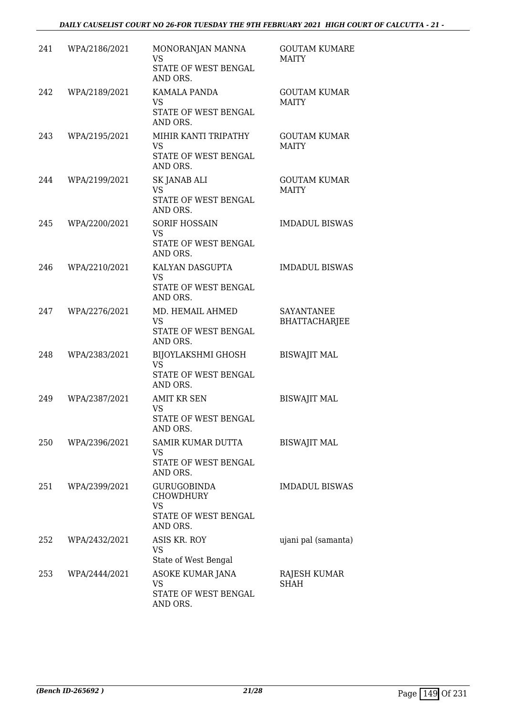| 241 | WPA/2186/2021 | MONORANJAN MANNA<br><b>VS</b><br>STATE OF WEST BENGAL<br>AND ORS.                | <b>GOUTAM KUMARE</b><br><b>MAITY</b>      |
|-----|---------------|----------------------------------------------------------------------------------|-------------------------------------------|
| 242 | WPA/2189/2021 | KAMALA PANDA<br><b>VS</b><br>STATE OF WEST BENGAL<br>AND ORS.                    | <b>GOUTAM KUMAR</b><br><b>MAITY</b>       |
| 243 | WPA/2195/2021 | MIHIR KANTI TRIPATHY<br><b>VS</b><br>STATE OF WEST BENGAL<br>AND ORS.            | <b>GOUTAM KUMAR</b><br><b>MAITY</b>       |
| 244 | WPA/2199/2021 | SK JANAB ALI<br><b>VS</b><br>STATE OF WEST BENGAL<br>AND ORS.                    | <b>GOUTAM KUMAR</b><br><b>MAITY</b>       |
| 245 | WPA/2200/2021 | <b>SORIF HOSSAIN</b><br><b>VS</b><br>STATE OF WEST BENGAL<br>AND ORS.            | <b>IMDADUL BISWAS</b>                     |
| 246 | WPA/2210/2021 | KALYAN DASGUPTA<br><b>VS</b><br>STATE OF WEST BENGAL<br>AND ORS.                 | <b>IMDADUL BISWAS</b>                     |
| 247 | WPA/2276/2021 | MD. HEMAIL AHMED<br><b>VS</b><br>STATE OF WEST BENGAL<br>AND ORS.                | <b>SAYANTANEE</b><br><b>BHATTACHARJEE</b> |
| 248 | WPA/2383/2021 | BIJOYLAKSHMI GHOSH<br><b>VS</b><br>STATE OF WEST BENGAL<br>AND ORS.              | <b>BISWAJIT MAL</b>                       |
| 249 | WPA/2387/2021 | <b>AMIT KR SEN</b><br><b>VS</b><br>STATE OF WEST BENGAL<br>AND ORS.              | <b>BISWAJIT MAL</b>                       |
| 250 | WPA/2396/2021 | SAMIR KUMAR DUTTA<br>VS<br>STATE OF WEST BENGAL<br>AND ORS.                      | <b>BISWAJIT MAL</b>                       |
| 251 | WPA/2399/2021 | <b>GURUGOBINDA</b><br><b>CHOWDHURY</b><br>VS<br>STATE OF WEST BENGAL<br>AND ORS. | <b>IMDADUL BISWAS</b>                     |
| 252 | WPA/2432/2021 | ASIS KR. ROY<br><b>VS</b><br>State of West Bengal                                | ujani pal (samanta)                       |
| 253 | WPA/2444/2021 | ASOKE KUMAR JANA<br><b>VS</b><br>STATE OF WEST BENGAL<br>AND ORS.                | RAJESH KUMAR<br>SHAH                      |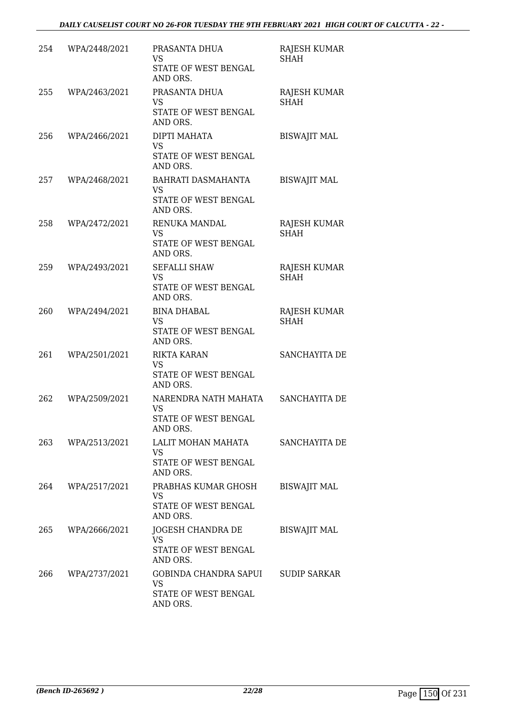| 254 | WPA/2448/2021 | PRASANTA DHUA<br><b>VS</b><br>STATE OF WEST BENGAL<br>AND ORS.               | RAJESH KUMAR<br><b>SHAH</b> |
|-----|---------------|------------------------------------------------------------------------------|-----------------------------|
| 255 | WPA/2463/2021 | PRASANTA DHUA<br>VS<br>STATE OF WEST BENGAL<br>AND ORS.                      | RAJESH KUMAR<br><b>SHAH</b> |
| 256 | WPA/2466/2021 | DIPTI MAHATA<br><b>VS</b><br>STATE OF WEST BENGAL<br>AND ORS.                | <b>BISWAJIT MAL</b>         |
| 257 | WPA/2468/2021 | BAHRATI DASMAHANTA<br><b>VS</b><br>STATE OF WEST BENGAL<br>AND ORS.          | <b>BISWAJIT MAL</b>         |
| 258 | WPA/2472/2021 | RENUKA MANDAL<br>VS<br>STATE OF WEST BENGAL<br>AND ORS.                      | RAJESH KUMAR<br><b>SHAH</b> |
| 259 | WPA/2493/2021 | <b>SEFALLI SHAW</b><br><b>VS</b><br>STATE OF WEST BENGAL<br>AND ORS.         | RAJESH KUMAR<br><b>SHAH</b> |
| 260 | WPA/2494/2021 | <b>BINA DHABAL</b><br>VS<br>STATE OF WEST BENGAL<br>AND ORS.                 | RAJESH KUMAR<br><b>SHAH</b> |
| 261 | WPA/2501/2021 | <b>RIKTA KARAN</b><br>VS<br>STATE OF WEST BENGAL<br>AND ORS.                 | SANCHAYITA DE               |
| 262 | WPA/2509/2021 | NARENDRA NATH MAHATA<br><b>VS</b><br><b>STATE OF WEST BENGAL</b><br>AND ORS. | SANCHAYITA DE               |
| 263 | WPA/2513/2021 | LALIT MOHAN MAHATA<br><b>VS</b><br>STATE OF WEST BENGAL<br>AND ORS.          | SANCHAYITA DE               |
| 264 | WPA/2517/2021 | PRABHAS KUMAR GHOSH<br>VS<br>STATE OF WEST BENGAL<br>AND ORS.                | <b>BISWAJIT MAL</b>         |
| 265 | WPA/2666/2021 | JOGESH CHANDRA DE<br>VS<br>STATE OF WEST BENGAL<br>AND ORS.                  | <b>BISWAJIT MAL</b>         |
| 266 | WPA/2737/2021 | GOBINDA CHANDRA SAPUI<br><b>VS</b><br>STATE OF WEST BENGAL<br>AND ORS.       | SUDIP SARKAR                |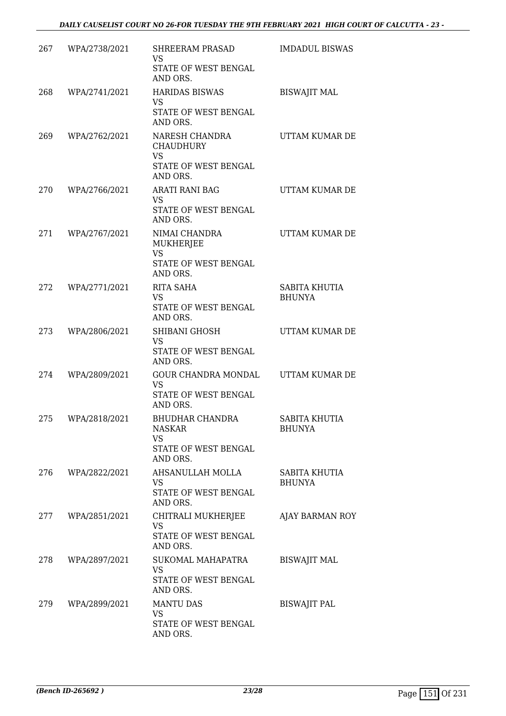| 267 | WPA/2738/2021 | <b>SHREERAM PRASAD</b><br><b>VS</b>                                                 | <b>IMDADUL BISWAS</b>          |
|-----|---------------|-------------------------------------------------------------------------------------|--------------------------------|
|     |               | STATE OF WEST BENGAL<br>AND ORS.                                                    |                                |
| 268 | WPA/2741/2021 | <b>HARIDAS BISWAS</b><br><b>VS</b>                                                  | <b>BISWAJIT MAL</b>            |
|     |               | STATE OF WEST BENGAL<br>AND ORS.                                                    |                                |
| 269 | WPA/2762/2021 | NARESH CHANDRA<br><b>CHAUDHURY</b><br><b>VS</b><br>STATE OF WEST BENGAL<br>AND ORS. | UTTAM KUMAR DE                 |
| 270 | WPA/2766/2021 | ARATI RANI BAG<br>VS                                                                | UTTAM KUMAR DE                 |
|     |               | STATE OF WEST BENGAL<br>AND ORS.                                                    |                                |
| 271 | WPA/2767/2021 | NIMAI CHANDRA<br><b>MUKHERJEE</b><br><b>VS</b><br>STATE OF WEST BENGAL<br>AND ORS.  | UTTAM KUMAR DE                 |
| 272 | WPA/2771/2021 | RITA SAHA<br>VS.                                                                    | SABITA KHUTIA                  |
|     |               | STATE OF WEST BENGAL<br>AND ORS.                                                    | <b>BHUNYA</b>                  |
| 273 | WPA/2806/2021 | SHIBANI GHOSH<br><b>VS</b><br>STATE OF WEST BENGAL<br>AND ORS.                      | UTTAM KUMAR DE                 |
| 274 | WPA/2809/2021 | GOUR CHANDRA MONDAL<br><b>VS</b><br>STATE OF WEST BENGAL<br>AND ORS.                | UTTAM KUMAR DE                 |
| 275 | WPA/2818/2021 | BHUDHAR CHANDRA<br><b>NASKAR</b><br><b>VS</b><br>STATE OF WEST BENGAL               | SABITA KHUTIA<br><b>BHUNYA</b> |
|     |               | AND ORS.                                                                            |                                |
| 276 | WPA/2822/2021 | AHSANULLAH MOLLA<br>VS<br>STATE OF WEST BENGAL<br>AND ORS.                          | SABITA KHUTIA<br><b>BHUNYA</b> |
| 277 | WPA/2851/2021 | CHITRALI MUKHERJEE<br><b>VS</b><br>STATE OF WEST BENGAL                             | AJAY BARMAN ROY                |
|     |               | AND ORS.                                                                            |                                |
| 278 | WPA/2897/2021 | SUKOMAL MAHAPATRA<br><b>VS</b><br>STATE OF WEST BENGAL<br>AND ORS.                  | <b>BISWAJIT MAL</b>            |
| 279 | WPA/2899/2021 | <b>MANTU DAS</b><br><b>VS</b>                                                       | <b>BISWAJIT PAL</b>            |
|     |               | STATE OF WEST BENGAL<br>AND ORS.                                                    |                                |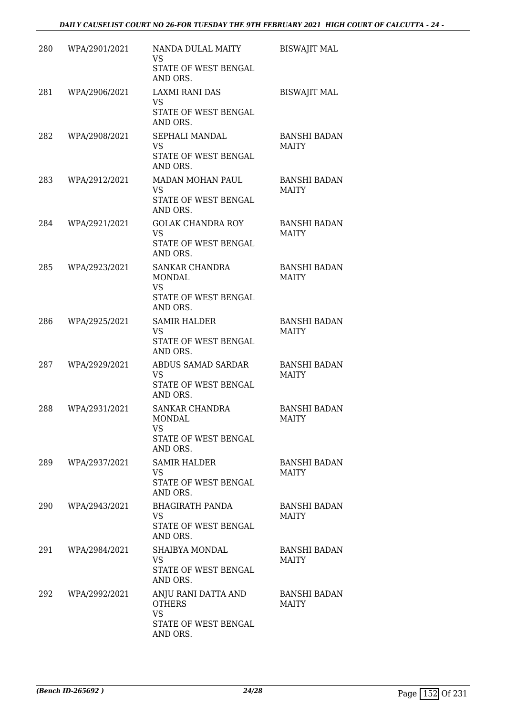| 280 | WPA/2901/2021 | NANDA DULAL MAITY<br><b>VS</b><br>STATE OF WEST BENGAL<br>AND ORS.                    | <b>BISWAJIT MAL</b>                 |
|-----|---------------|---------------------------------------------------------------------------------------|-------------------------------------|
| 281 | WPA/2906/2021 | LAXMI RANI DAS<br>VS<br>STATE OF WEST BENGAL<br>AND ORS.                              | <b>BISWAJIT MAL</b>                 |
| 282 | WPA/2908/2021 | SEPHALI MANDAL<br>VS<br>STATE OF WEST BENGAL<br>AND ORS.                              | <b>BANSHI BADAN</b><br><b>MAITY</b> |
| 283 | WPA/2912/2021 | MADAN MOHAN PAUL<br><b>VS</b><br>STATE OF WEST BENGAL<br>AND ORS.                     | <b>BANSHI BADAN</b><br><b>MAITY</b> |
| 284 | WPA/2921/2021 | <b>GOLAK CHANDRA ROY</b><br><b>VS</b><br>STATE OF WEST BENGAL<br>AND ORS.             | <b>BANSHI BADAN</b><br><b>MAITY</b> |
| 285 | WPA/2923/2021 | SANKAR CHANDRA<br><b>MONDAL</b><br><b>VS</b><br>STATE OF WEST BENGAL<br>AND ORS.      | <b>BANSHI BADAN</b><br><b>MAITY</b> |
| 286 | WPA/2925/2021 | <b>SAMIR HALDER</b><br>VS<br>STATE OF WEST BENGAL<br>AND ORS.                         | <b>BANSHI BADAN</b><br><b>MAITY</b> |
| 287 | WPA/2929/2021 | ABDUS SAMAD SARDAR<br><b>VS</b><br>STATE OF WEST BENGAL<br>AND ORS.                   | <b>BANSHI BADAN</b><br><b>MAITY</b> |
| 288 | WPA/2931/2021 | <b>SANKAR CHANDRA</b><br>MONDAL<br>VS<br>STATE OF WEST BENGAL<br>AND ORS.             | <b>BANSHI BADAN</b><br>MAITY        |
| 289 | WPA/2937/2021 | <b>SAMIR HALDER</b><br>VS<br>STATE OF WEST BENGAL<br>AND ORS.                         | <b>BANSHI BADAN</b><br><b>MAITY</b> |
| 290 | WPA/2943/2021 | <b>BHAGIRATH PANDA</b><br>VS.<br>STATE OF WEST BENGAL<br>AND ORS.                     | <b>BANSHI BADAN</b><br>MAITY        |
| 291 | WPA/2984/2021 | SHAIBYA MONDAL<br><b>VS</b><br>STATE OF WEST BENGAL<br>AND ORS.                       | <b>BANSHI BADAN</b><br><b>MAITY</b> |
| 292 | WPA/2992/2021 | ANJU RANI DATTA AND<br><b>OTHERS</b><br><b>VS</b><br>STATE OF WEST BENGAL<br>AND ORS. | <b>BANSHI BADAN</b><br><b>MAITY</b> |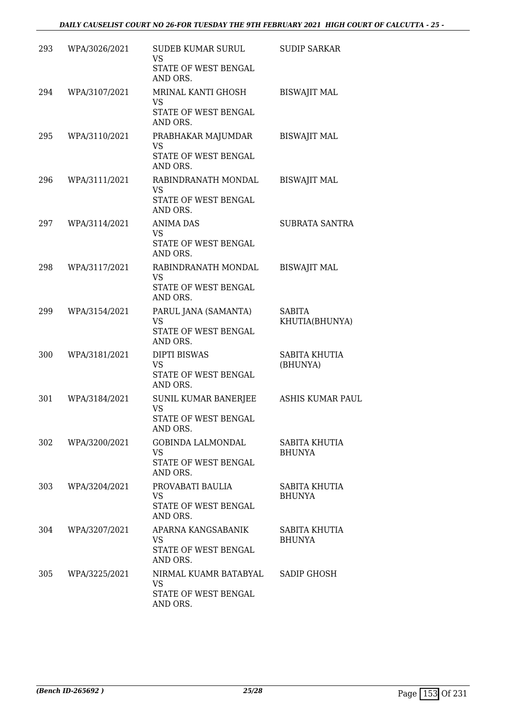| 293 | WPA/3026/2021 | SUDEB KUMAR SURUL<br><b>VS</b><br>STATE OF WEST BENGAL<br>AND ORS.     | <b>SUDIP SARKAR</b>             |
|-----|---------------|------------------------------------------------------------------------|---------------------------------|
| 294 | WPA/3107/2021 | MRINAL KANTI GHOSH<br>VS<br>STATE OF WEST BENGAL<br>AND ORS.           | <b>BISWAJIT MAL</b>             |
| 295 | WPA/3110/2021 | PRABHAKAR MAJUMDAR<br><b>VS</b><br>STATE OF WEST BENGAL<br>AND ORS.    | <b>BISWAJIT MAL</b>             |
| 296 | WPA/3111/2021 | RABINDRANATH MONDAL<br><b>VS</b><br>STATE OF WEST BENGAL<br>AND ORS.   | <b>BISWAJIT MAL</b>             |
| 297 | WPA/3114/2021 | <b>ANIMA DAS</b><br>VS<br>STATE OF WEST BENGAL<br>AND ORS.             | <b>SUBRATA SANTRA</b>           |
| 298 | WPA/3117/2021 | RABINDRANATH MONDAL<br><b>VS</b><br>STATE OF WEST BENGAL<br>AND ORS.   | <b>BISWAJIT MAL</b>             |
| 299 | WPA/3154/2021 | PARUL JANA (SAMANTA)<br>VS<br>STATE OF WEST BENGAL<br>AND ORS.         | <b>SABITA</b><br>KHUTIA(BHUNYA) |
| 300 | WPA/3181/2021 | <b>DIPTI BISWAS</b><br>VS<br>STATE OF WEST BENGAL<br>AND ORS.          | SABITA KHUTIA<br>(BHUNYA)       |
| 301 | WPA/3184/2021 | SUNIL KUMAR BANERJEE<br><b>VS</b><br>STATE OF WEST BENGAL<br>AND ORS.  | <b>ASHIS KUMAR PAUL</b>         |
| 302 | WPA/3200/2021 | GOBINDA LALMONDAL<br><b>VS</b><br>STATE OF WEST BENGAL<br>AND ORS.     | SABITA KHUTIA<br><b>BHUNYA</b>  |
| 303 | WPA/3204/2021 | PROVABATI BAULIA<br><b>VS</b><br>STATE OF WEST BENGAL<br>AND ORS.      | SABITA KHUTIA<br><b>BHUNYA</b>  |
| 304 | WPA/3207/2021 | APARNA KANGSABANIK<br><b>VS</b><br>STATE OF WEST BENGAL<br>AND ORS.    | SABITA KHUTIA<br><b>BHUNYA</b>  |
| 305 | WPA/3225/2021 | NIRMAL KUAMR BATABYAL<br><b>VS</b><br>STATE OF WEST BENGAL<br>AND ORS. | SADIP GHOSH                     |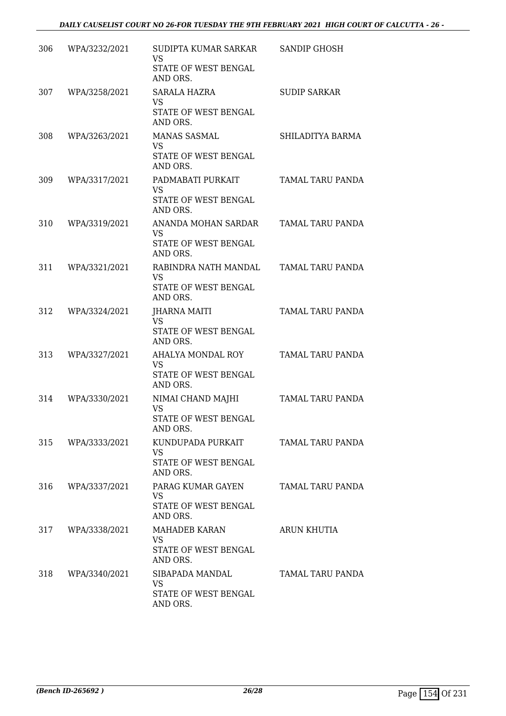| 306 | WPA/3232/2021     | SUDIPTA KUMAR SARKAR<br>VS<br>STATE OF WEST BENGAL<br>AND ORS.                      | <b>SANDIP GHOSH</b> |
|-----|-------------------|-------------------------------------------------------------------------------------|---------------------|
| 307 | WPA/3258/2021     | SARALA HAZRA<br>VS<br>STATE OF WEST BENGAL<br>AND ORS.                              | <b>SUDIP SARKAR</b> |
| 308 | WPA/3263/2021     | <b>MANAS SASMAL</b><br><b>VS</b><br>STATE OF WEST BENGAL<br>AND ORS.                | SHILADITYA BARMA    |
| 309 | WPA/3317/2021     | PADMABATI PURKAIT<br><b>VS</b><br>STATE OF WEST BENGAL<br>AND ORS.                  | TAMAL TARU PANDA    |
| 310 | WPA/3319/2021     | ANANDA MOHAN SARDAR<br>VS<br>STATE OF WEST BENGAL<br>AND ORS.                       | TAMAL TARU PANDA    |
| 311 | WPA/3321/2021     | RABINDRA NATH MANDAL<br><b>VS</b><br>STATE OF WEST BENGAL<br>AND ORS.               | TAMAL TARU PANDA    |
| 312 | WPA/3324/2021     | <b>JHARNA MAITI</b><br>VS<br>STATE OF WEST BENGAL<br>AND ORS.                       | TAMAL TARU PANDA    |
| 313 | WPA/3327/2021     | AHALYA MONDAL ROY<br>VS<br>STATE OF WEST BENGAL<br>AND ORS.                         | TAMAL TARU PANDA    |
| 314 | WPA/3330/2021     | NIMAI CHAND MAJHI<br><b>VS</b><br>STATE OF WEST BENGAL<br>AND ORS.                  | TAMAL TARU PANDA    |
|     | 315 WPA/3333/2021 | KUNDUPADA PURKAIT TAMAL TARU PANDA<br><b>VS</b><br>STATE OF WEST BENGAL<br>AND ORS. |                     |
|     | 316 WPA/3337/2021 | PARAG KUMAR GAYEN<br>VS<br>STATE OF WEST BENGAL<br>AND ORS.                         | TAMAL TARU PANDA    |
|     | 317 WPA/3338/2021 | MAHADEB KARAN<br>VS<br>STATE OF WEST BENGAL<br>AND ORS.                             | ARUN KHUTIA         |
|     | 318 WPA/3340/2021 | SIBAPADA MANDAL<br>VS<br>STATE OF WEST BENGAL<br>AND ORS.                           | TAMAL TARU PANDA    |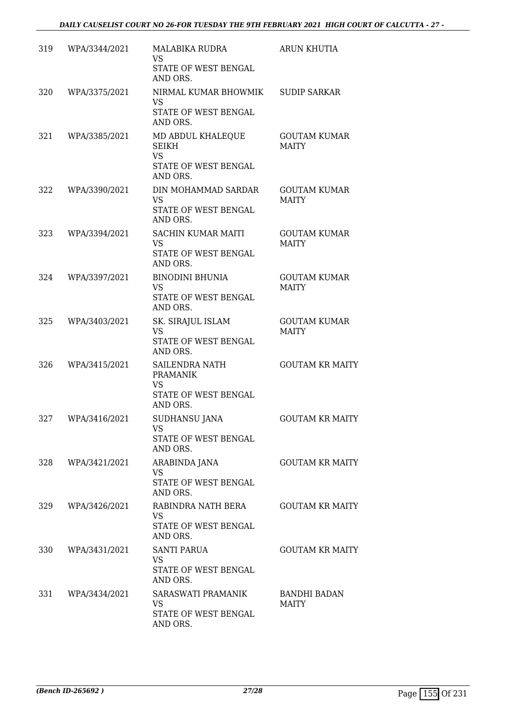| 319 | WPA/3344/2021 | <b>MALABIKA RUDRA</b><br><b>VS</b><br>STATE OF WEST BENGAL<br>AND ORS.             | <b>ARUN KHUTIA</b>                  |
|-----|---------------|------------------------------------------------------------------------------------|-------------------------------------|
| 320 | WPA/3375/2021 | NIRMAL KUMAR BHOWMIK<br><b>VS</b><br>STATE OF WEST BENGAL<br>AND ORS.              | <b>SUDIP SARKAR</b>                 |
| 321 | WPA/3385/2021 | MD ABDUL KHALEQUE<br><b>SEIKH</b><br><b>VS</b><br>STATE OF WEST BENGAL<br>AND ORS. | <b>GOUTAM KUMAR</b><br><b>MAITY</b> |
| 322 | WPA/3390/2021 | DIN MOHAMMAD SARDAR<br><b>VS</b><br>STATE OF WEST BENGAL<br>AND ORS.               | <b>GOUTAM KUMAR</b><br><b>MAITY</b> |
| 323 | WPA/3394/2021 | <b>SACHIN KUMAR MAITI</b><br><b>VS</b><br>STATE OF WEST BENGAL<br>AND ORS.         | <b>GOUTAM KUMAR</b><br><b>MAITY</b> |
| 324 | WPA/3397/2021 | <b>BINODINI BHUNIA</b><br><b>VS</b><br>STATE OF WEST BENGAL<br>AND ORS.            | <b>GOUTAM KUMAR</b><br><b>MAITY</b> |
| 325 | WPA/3403/2021 | SK. SIRAJUL ISLAM<br>VS<br>STATE OF WEST BENGAL<br>AND ORS.                        | <b>GOUTAM KUMAR</b><br><b>MAITY</b> |
| 326 | WPA/3415/2021 | SAILENDRA NATH<br><b>PRAMANIK</b><br><b>VS</b><br>STATE OF WEST BENGAL<br>AND ORS. | <b>GOUTAM KR MAITY</b>              |
| 327 | WPA/3416/2021 | <b>SUDHANSU JANA</b><br><b>VS</b><br>STATE OF WEST BENGAL<br>AND ORS.              | <b>GOUTAM KR MAITY</b>              |
| 328 | WPA/3421/2021 | ARABINDA JANA<br>VS<br>STATE OF WEST BENGAL<br>AND ORS.                            | <b>GOUTAM KR MAITY</b>              |
| 329 | WPA/3426/2021 | RABINDRA NATH BERA<br><b>VS</b><br>STATE OF WEST BENGAL<br>AND ORS.                | <b>GOUTAM KR MAITY</b>              |
| 330 | WPA/3431/2021 | <b>SANTI PARUA</b><br><b>VS</b><br>STATE OF WEST BENGAL<br>AND ORS.                | <b>GOUTAM KR MAITY</b>              |
| 331 | WPA/3434/2021 | SARASWATI PRAMANIK<br>VS<br>STATE OF WEST BENGAL<br>AND ORS.                       | BANDHI BADAN<br><b>MAITY</b>        |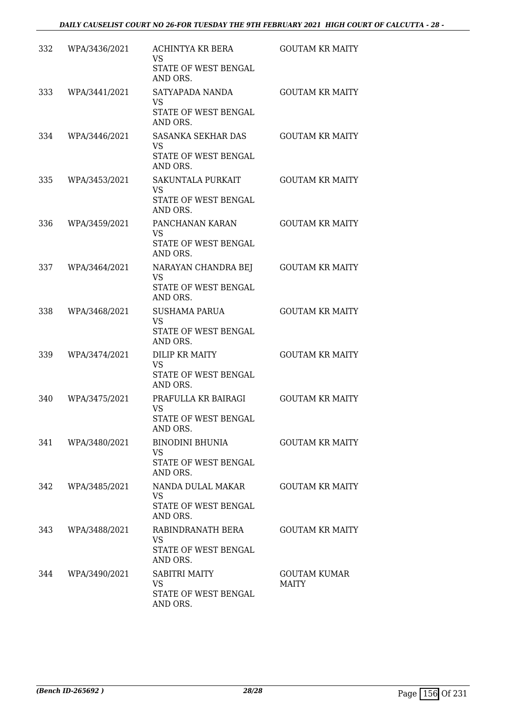| 332 | WPA/3436/2021 | ACHINTYA KR BERA<br>VS<br>STATE OF WEST BENGAL<br>AND ORS.            | <b>GOUTAM KR MAITY</b>              |
|-----|---------------|-----------------------------------------------------------------------|-------------------------------------|
| 333 | WPA/3441/2021 | SATYAPADA NANDA<br><b>VS</b><br>STATE OF WEST BENGAL<br>AND ORS.      | <b>GOUTAM KR MAITY</b>              |
| 334 | WPA/3446/2021 | SASANKA SEKHAR DAS<br><b>VS</b><br>STATE OF WEST BENGAL<br>AND ORS.   | <b>GOUTAM KR MAITY</b>              |
| 335 | WPA/3453/2021 | SAKUNTALA PURKAIT<br><b>VS</b><br>STATE OF WEST BENGAL<br>AND ORS.    | <b>GOUTAM KR MAITY</b>              |
| 336 | WPA/3459/2021 | PANCHANAN KARAN<br>VS<br>STATE OF WEST BENGAL<br>AND ORS.             | <b>GOUTAM KR MAITY</b>              |
| 337 | WPA/3464/2021 | NARAYAN CHANDRA BEJ<br><b>VS</b><br>STATE OF WEST BENGAL<br>AND ORS.  | <b>GOUTAM KR MAITY</b>              |
| 338 | WPA/3468/2021 | <b>SUSHAMA PARUA</b><br><b>VS</b><br>STATE OF WEST BENGAL<br>AND ORS. | <b>GOUTAM KR MAITY</b>              |
| 339 | WPA/3474/2021 | DILIP KR MAITY<br>VS<br>STATE OF WEST BENGAL<br>AND ORS.              | <b>GOUTAM KR MAITY</b>              |
| 340 | WPA/3475/2021 | PRAFULLA KR BAIRAGI<br><b>VS</b><br>STATE OF WEST BENGAL<br>AND ORS.  | <b>GOUTAM KR MAITY</b>              |
| 341 | WPA/3480/2021 | BINODINI BHUNIA<br>VS<br>STATE OF WEST BENGAL<br>AND ORS.             | <b>GOUTAM KR MAITY</b>              |
| 342 | WPA/3485/2021 | NANDA DULAL MAKAR<br>VS.<br>STATE OF WEST BENGAL<br>AND ORS.          | <b>GOUTAM KR MAITY</b>              |
| 343 | WPA/3488/2021 | RABINDRANATH BERA<br>VS.<br>STATE OF WEST BENGAL<br>AND ORS.          | <b>GOUTAM KR MAITY</b>              |
| 344 | WPA/3490/2021 | <b>SABITRI MAITY</b><br>VS<br>STATE OF WEST BENGAL<br>AND ORS.        | <b>GOUTAM KUMAR</b><br><b>MAITY</b> |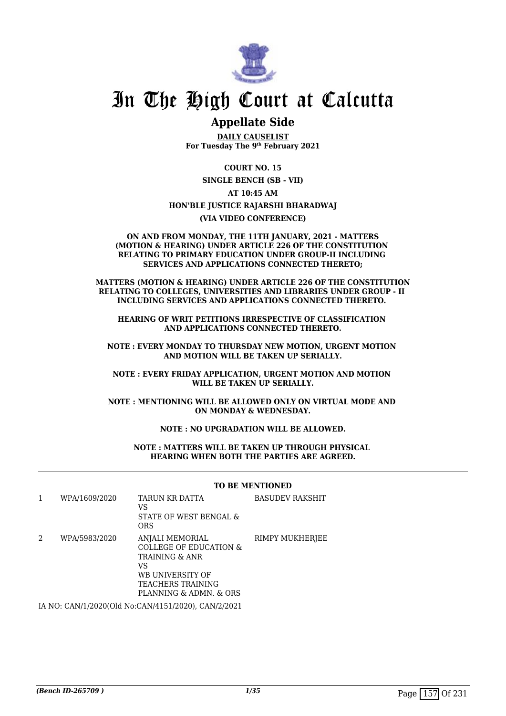

# In The High Court at Calcutta

# **Appellate Side**

**DAILY CAUSELIST For Tuesday The 9th February 2021**

**COURT NO. 15 SINGLE BENCH (SB - VII) AT 10:45 AM HON'BLE JUSTICE RAJARSHI BHARADWAJ (VIA VIDEO CONFERENCE)**

#### **ON AND FROM MONDAY, THE 11TH JANUARY, 2021 - MATTERS (MOTION & HEARING) UNDER ARTICLE 226 OF THE CONSTITUTION RELATING TO PRIMARY EDUCATION UNDER GROUP-II INCLUDING SERVICES AND APPLICATIONS CONNECTED THERETO;**

**MATTERS (MOTION & HEARING) UNDER ARTICLE 226 OF THE CONSTITUTION RELATING TO COLLEGES, UNIVERSITIES AND LIBRARIES UNDER GROUP - II INCLUDING SERVICES AND APPLICATIONS CONNECTED THERETO.** 

**HEARING OF WRIT PETITIONS IRRESPECTIVE OF CLASSIFICATION AND APPLICATIONS CONNECTED THERETO.**

**NOTE : EVERY MONDAY TO THURSDAY NEW MOTION, URGENT MOTION AND MOTION WILL BE TAKEN UP SERIALLY.**

**NOTE : EVERY FRIDAY APPLICATION, URGENT MOTION AND MOTION WILL BE TAKEN UP SERIALLY.**

**NOTE : MENTIONING WILL BE ALLOWED ONLY ON VIRTUAL MODE AND ON MONDAY & WEDNESDAY.**

## **NOTE : NO UPGRADATION WILL BE ALLOWED.**

**NOTE : MATTERS WILL BE TAKEN UP THROUGH PHYSICAL HEARING WHEN BOTH THE PARTIES ARE AGREED.**

## **TO BE MENTIONED**

|   | WPA/1609/2020 | TARUN KR DATTA<br>VS<br>STATE OF WEST BENGAL &<br><b>ORS</b>                                                                                    | <b>BASUDEV RAKSHIT</b> |
|---|---------------|-------------------------------------------------------------------------------------------------------------------------------------------------|------------------------|
| 2 | WPA/5983/2020 | ANJALI MEMORIAL<br><b>COLLEGE OF EDUCATION &amp;</b><br>TRAINING & ANR<br>VS<br>WB UNIVERSITY OF<br>TEACHERS TRAINING<br>PLANNING & ADMN, & ORS | RIMPY MUKHERJEE        |
|   |               |                                                                                                                                                 |                        |

IA NO: CAN/1/2020(Old No:CAN/4151/2020), CAN/2/2021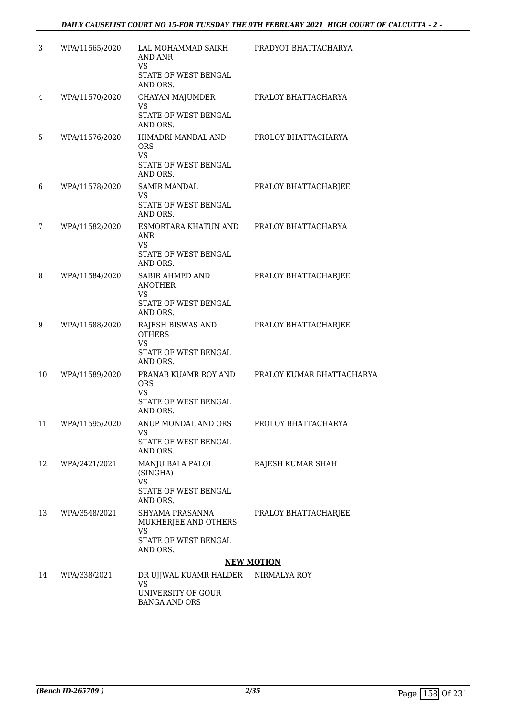| 3  | WPA/11565/2020 | LAL MOHAMMAD SAIKH<br><b>AND ANR</b><br>VS<br>STATE OF WEST BENGAL | PRADYOT BHATTACHARYA      |
|----|----------------|--------------------------------------------------------------------|---------------------------|
|    |                | AND ORS.                                                           |                           |
| 4  | WPA/11570/2020 | CHAYAN MAJUMDER<br><b>VS</b>                                       | PRALOY BHATTACHARYA       |
|    |                | STATE OF WEST BENGAL<br>AND ORS.                                   |                           |
| 5  | WPA/11576/2020 | HIMADRI MANDAL AND<br><b>ORS</b><br><b>VS</b>                      | PROLOY BHATTACHARYA       |
|    |                | STATE OF WEST BENGAL<br>AND ORS.                                   |                           |
| 6  | WPA/11578/2020 | <b>SAMIR MANDAL</b>                                                | PRALOY BHATTACHARJEE      |
|    |                | VS.<br>STATE OF WEST BENGAL<br>AND ORS.                            |                           |
| 7  | WPA/11582/2020 | ESMORTARA KHATUN AND PRALOY BHATTACHARYA<br>ANR                    |                           |
|    |                | VS<br>STATE OF WEST BENGAL<br>AND ORS.                             |                           |
| 8  | WPA/11584/2020 | SABIR AHMED AND<br><b>ANOTHER</b>                                  | PRALOY BHATTACHARJEE      |
|    |                | VS.<br>STATE OF WEST BENGAL<br>AND ORS.                            |                           |
| 9  | WPA/11588/2020 | RAJESH BISWAS AND<br><b>OTHERS</b><br><b>VS</b>                    | PRALOY BHATTACHARJEE      |
|    |                | STATE OF WEST BENGAL<br>AND ORS.                                   |                           |
| 10 | WPA/11589/2020 | PRANAB KUAMR ROY AND<br><b>ORS</b><br>VS                           | PRALOY KUMAR BHATTACHARYA |
|    |                | STATE OF WEST BENGAL<br>AND ORS.                                   |                           |
| 11 | WPA/11595/2020 | ANUP MONDAL AND ORS<br>VS                                          | PROLOY BHATTACHARYA       |
|    |                | STATE OF WEST BENGAL<br>AND ORS.                                   |                           |
| 12 | WPA/2421/2021  | MANJU BALA PALOI<br>(SINGHA)<br><b>VS</b>                          | RAJESH KUMAR SHAH         |
|    |                | STATE OF WEST BENGAL<br>AND ORS.                                   |                           |
| 13 | WPA/3548/2021  | SHYAMA PRASANNA<br>MUKHERJEE AND OTHERS<br><b>VS</b>               | PRALOY BHATTACHARJEE      |
|    |                | STATE OF WEST BENGAL<br>AND ORS.                                   |                           |
|    |                |                                                                    | <b>NEW MOTION</b>         |
| 14 | WPA/338/2021   | DR UJJWAL KUAMR HALDER NIRMALYA ROY<br><b>VS</b>                   |                           |
|    |                | UNIVERSITY OF GOUR<br><b>BANGA AND ORS</b>                         |                           |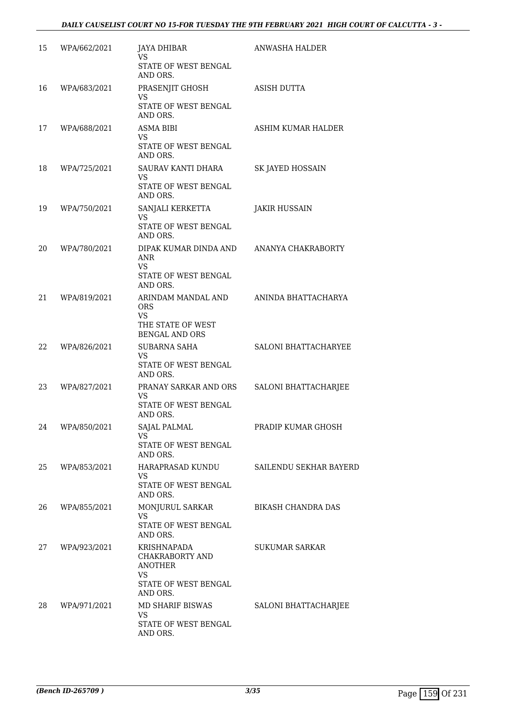| 15 | WPA/662/2021 | <b>JAYA DHIBAR</b><br><b>VS</b><br><b>STATE OF WEST BENGAL</b><br>AND ORS.                  | ANWASHA HALDER            |
|----|--------------|---------------------------------------------------------------------------------------------|---------------------------|
| 16 | WPA/683/2021 | PRASENJIT GHOSH<br>VS<br>STATE OF WEST BENGAL<br>AND ORS.                                   | <b>ASISH DUTTA</b>        |
| 17 | WPA/688/2021 | <b>ASMA BIBI</b><br><b>VS</b><br>STATE OF WEST BENGAL<br>AND ORS.                           | ASHIM KUMAR HALDER        |
| 18 | WPA/725/2021 | SAURAV KANTI DHARA<br>VS<br>STATE OF WEST BENGAL<br>AND ORS.                                | SK JAYED HOSSAIN          |
| 19 | WPA/750/2021 | SANJALI KERKETTA<br>VS<br><b>STATE OF WEST BENGAL</b><br>AND ORS.                           | <b>JAKIR HUSSAIN</b>      |
| 20 | WPA/780/2021 | DIPAK KUMAR DINDA AND<br><b>ANR</b><br>VS<br>STATE OF WEST BENGAL<br>AND ORS.               | ANANYA CHAKRABORTY        |
| 21 | WPA/819/2021 | ARINDAM MANDAL AND<br><b>ORS</b><br><b>VS</b><br>THE STATE OF WEST<br><b>BENGAL AND ORS</b> | ANINDA BHATTACHARYA       |
| 22 | WPA/826/2021 | <b>SUBARNA SAHA</b><br><b>VS</b><br>STATE OF WEST BENGAL<br>AND ORS.                        | SALONI BHATTACHARYEE      |
| 23 | WPA/827/2021 | PRANAY SARKAR AND ORS<br>VS<br>STATE OF WEST BENGAL<br>AND ORS.                             | SALONI BHATTACHARJEE      |
| 24 | WPA/850/2021 | <b>SAJAL PALMAL</b><br>VS<br>STATE OF WEST BENGAL<br>AND ORS.                               | PRADIP KUMAR GHOSH        |
| 25 | WPA/853/2021 | HARAPRASAD KUNDU<br>VS<br>STATE OF WEST BENGAL<br>AND ORS.                                  | SAILENDU SEKHAR BAYERD    |
| 26 | WPA/855/2021 | MONJURUL SARKAR<br><b>VS</b><br>STATE OF WEST BENGAL<br>AND ORS.                            | <b>BIKASH CHANDRA DAS</b> |
| 27 | WPA/923/2021 | KRISHNAPADA<br>CHAKRABORTY AND<br><b>ANOTHER</b><br>VS<br>STATE OF WEST BENGAL              | <b>SUKUMAR SARKAR</b>     |
| 28 | WPA/971/2021 | AND ORS.<br>MD SHARIF BISWAS<br><b>VS</b><br>STATE OF WEST BENGAL<br>AND ORS.               | SALONI BHATTACHARJEE      |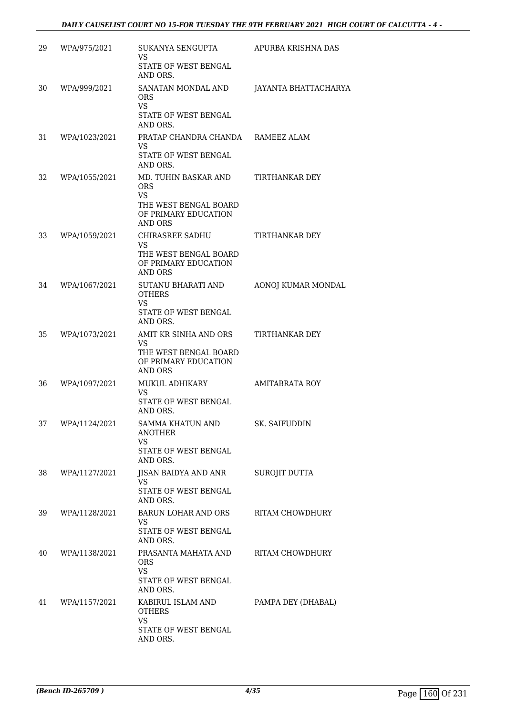| 29 | WPA/975/2021  | SUKANYA SENGUPTA<br>VS<br>STATE OF WEST BENGAL<br>AND ORS.                                                         | APURBA KRISHNA DAS    |
|----|---------------|--------------------------------------------------------------------------------------------------------------------|-----------------------|
| 30 | WPA/999/2021  | SANATAN MONDAL AND<br><b>ORS</b><br>VS.<br>STATE OF WEST BENGAL<br>AND ORS.                                        | JAYANTA BHATTACHARYA  |
| 31 | WPA/1023/2021 | PRATAP CHANDRA CHANDA RAMEEZ ALAM<br>VS.<br>STATE OF WEST BENGAL<br>AND ORS.                                       |                       |
| 32 | WPA/1055/2021 | MD. TUHIN BASKAR AND<br><b>ORS</b><br><b>VS</b><br>THE WEST BENGAL BOARD<br>OF PRIMARY EDUCATION<br><b>AND ORS</b> | TIRTHANKAR DEY        |
| 33 | WPA/1059/2021 | CHIRASREE SADHU<br>VS<br>THE WEST BENGAL BOARD<br>OF PRIMARY EDUCATION<br><b>AND ORS</b>                           | TIRTHANKAR DEY        |
| 34 | WPA/1067/2021 | SUTANU BHARATI AND<br><b>OTHERS</b><br><b>VS</b><br>STATE OF WEST BENGAL<br>AND ORS.                               | AONOJ KUMAR MONDAL    |
| 35 | WPA/1073/2021 | AMIT KR SINHA AND ORS<br><b>VS</b><br>THE WEST BENGAL BOARD<br>OF PRIMARY EDUCATION<br><b>AND ORS</b>              | TIRTHANKAR DEY        |
| 36 | WPA/1097/2021 | MUKUL ADHIKARY<br>VS<br>STATE OF WEST BENGAL<br>AND ORS.                                                           | <b>AMITABRATA ROY</b> |
| 37 | WPA/1124/2021 | SAMMA KHATUN AND<br><b>ANOTHER</b><br>VS<br>STATE OF WEST BENGAL<br>AND ORS.                                       | SK. SAIFUDDIN         |
| 38 | WPA/1127/2021 | JISAN BAIDYA AND ANR<br>VS.<br>STATE OF WEST BENGAL<br>AND ORS.                                                    | <b>SUROJIT DUTTA</b>  |
| 39 | WPA/1128/2021 | BARUN LOHAR AND ORS<br>VS.<br>STATE OF WEST BENGAL<br>AND ORS.                                                     | RITAM CHOWDHURY       |
| 40 | WPA/1138/2021 | PRASANTA MAHATA AND<br><b>ORS</b><br>VS.<br>STATE OF WEST BENGAL<br>AND ORS.                                       | RITAM CHOWDHURY       |
| 41 | WPA/1157/2021 | KABIRUL ISLAM AND<br><b>OTHERS</b><br>VS<br>STATE OF WEST BENGAL<br>AND ORS.                                       | PAMPA DEY (DHABAL)    |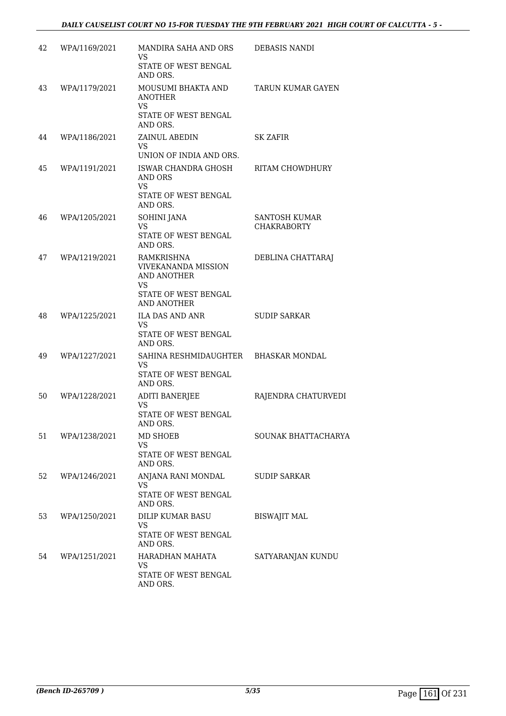| 42 | WPA/1169/2021 | MANDIRA SAHA AND ORS<br>VS<br>STATE OF WEST BENGAL<br>AND ORS.                                                            | DEBASIS NANDI                              |
|----|---------------|---------------------------------------------------------------------------------------------------------------------------|--------------------------------------------|
| 43 | WPA/1179/2021 | MOUSUMI BHAKTA AND<br><b>ANOTHER</b><br>VS.<br>STATE OF WEST BENGAL<br>AND ORS.                                           | TARUN KUMAR GAYEN                          |
| 44 | WPA/1186/2021 | ZAINUL ABEDIN<br>VS.<br>UNION OF INDIA AND ORS.                                                                           | <b>SK ZAFIR</b>                            |
| 45 | WPA/1191/2021 | ISWAR CHANDRA GHOSH<br>AND ORS<br><b>VS</b><br>STATE OF WEST BENGAL<br>AND ORS.                                           | RITAM CHOWDHURY                            |
| 46 | WPA/1205/2021 | <b>SOHINI JANA</b><br><b>VS</b><br>STATE OF WEST BENGAL<br>AND ORS.                                                       | <b>SANTOSH KUMAR</b><br><b>CHAKRABORTY</b> |
| 47 | WPA/1219/2021 | <b>RAMKRISHNA</b><br><b>VIVEKANANDA MISSION</b><br>AND ANOTHER<br><b>VS</b><br>STATE OF WEST BENGAL<br><b>AND ANOTHER</b> | DEBLINA CHATTARAJ                          |
| 48 | WPA/1225/2021 | ILA DAS AND ANR<br><b>VS</b><br>STATE OF WEST BENGAL<br>AND ORS.                                                          | <b>SUDIP SARKAR</b>                        |
| 49 | WPA/1227/2021 | SAHINA RESHMIDAUGHTER BHASKAR MONDAL<br>VS.<br>STATE OF WEST BENGAL<br>AND ORS.                                           |                                            |
| 50 | WPA/1228/2021 | <b>ADITI BANERJEE</b><br>VS<br>STATE OF WEST BENGAL<br>AND ORS.                                                           | RAJENDRA CHATURVEDI                        |
| 51 | WPA/1238/2021 | MD SHOEB<br>VS<br>STATE OF WEST BENGAL<br>AND ORS.                                                                        | SOUNAK BHATTACHARYA                        |
| 52 | WPA/1246/2021 | ANJANA RANI MONDAL<br><b>VS</b><br>STATE OF WEST BENGAL<br>AND ORS.                                                       | <b>SUDIP SARKAR</b>                        |
| 53 | WPA/1250/2021 | DILIP KUMAR BASU<br><b>VS</b><br>STATE OF WEST BENGAL<br>AND ORS.                                                         | <b>BISWAJIT MAL</b>                        |
| 54 | WPA/1251/2021 | HARADHAN MAHATA<br>VS.<br>STATE OF WEST BENGAL<br>AND ORS.                                                                | SATYARANJAN KUNDU                          |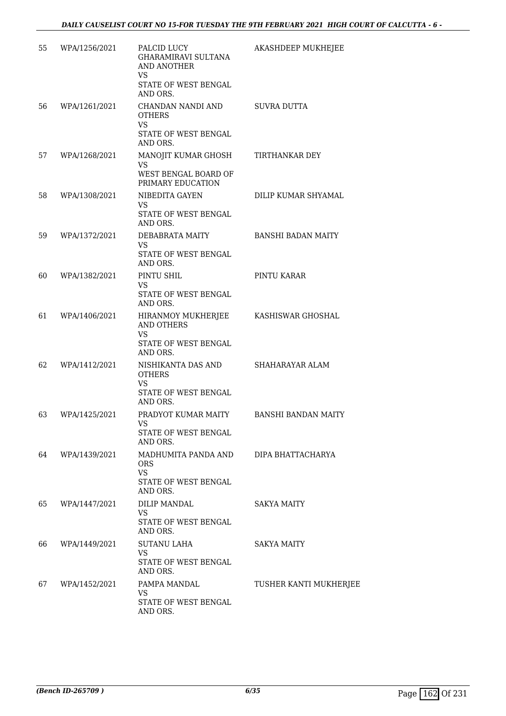| 55 | WPA/1256/2021 | PALCID LUCY<br><b>GHARAMIRAVI SULTANA</b><br>AND ANOTHER<br>VS                       | AKASHDEEP MUKHEJEE         |
|----|---------------|--------------------------------------------------------------------------------------|----------------------------|
|    |               | STATE OF WEST BENGAL<br>AND ORS.                                                     |                            |
| 56 | WPA/1261/2021 | CHANDAN NANDI AND<br><b>OTHERS</b><br><b>VS</b>                                      | <b>SUVRA DUTTA</b>         |
|    |               | STATE OF WEST BENGAL<br>AND ORS.                                                     |                            |
| 57 | WPA/1268/2021 | MANOJIT KUMAR GHOSH<br><b>VS</b><br>WEST BENGAL BOARD OF<br>PRIMARY EDUCATION        | TIRTHANKAR DEY             |
| 58 | WPA/1308/2021 | NIBEDITA GAYEN<br><b>VS</b><br>STATE OF WEST BENGAL<br>AND ORS.                      | DILIP KUMAR SHYAMAL        |
| 59 | WPA/1372/2021 | DEBABRATA MAITY<br><b>VS</b><br>STATE OF WEST BENGAL<br>AND ORS.                     | <b>BANSHI BADAN MAITY</b>  |
| 60 | WPA/1382/2021 | PINTU SHIL<br><b>VS</b><br>STATE OF WEST BENGAL<br>AND ORS.                          | PINTU KARAR                |
| 61 | WPA/1406/2021 | HIRANMOY MUKHERJEE<br><b>AND OTHERS</b><br>VS<br>STATE OF WEST BENGAL<br>AND ORS.    | KASHISWAR GHOSHAL          |
| 62 | WPA/1412/2021 | NISHIKANTA DAS AND<br><b>OTHERS</b><br><b>VS</b><br>STATE OF WEST BENGAL<br>AND ORS. | SHAHARAYAR ALAM            |
| 63 | WPA/1425/2021 | PRADYOT KUMAR MAITY<br>VS.<br>STATE OF WEST BENGAL<br>AND ORS.                       | <b>BANSHI BANDAN MAITY</b> |
| 64 | WPA/1439/2021 | MADHUMITA PANDA AND<br><b>ORS</b><br><b>VS</b><br>STATE OF WEST BENGAL<br>AND ORS.   | DIPA BHATTACHARYA          |
| 65 | WPA/1447/2021 | <b>DILIP MANDAL</b><br>VS<br>STATE OF WEST BENGAL<br>AND ORS.                        | <b>SAKYA MAITY</b>         |
| 66 | WPA/1449/2021 | SUTANU LAHA<br><b>VS</b><br>STATE OF WEST BENGAL<br>AND ORS.                         | <b>SAKYA MAITY</b>         |
| 67 | WPA/1452/2021 | PAMPA MANDAL<br><b>VS</b><br>STATE OF WEST BENGAL<br>AND ORS.                        | TUSHER KANTI MUKHERJEE     |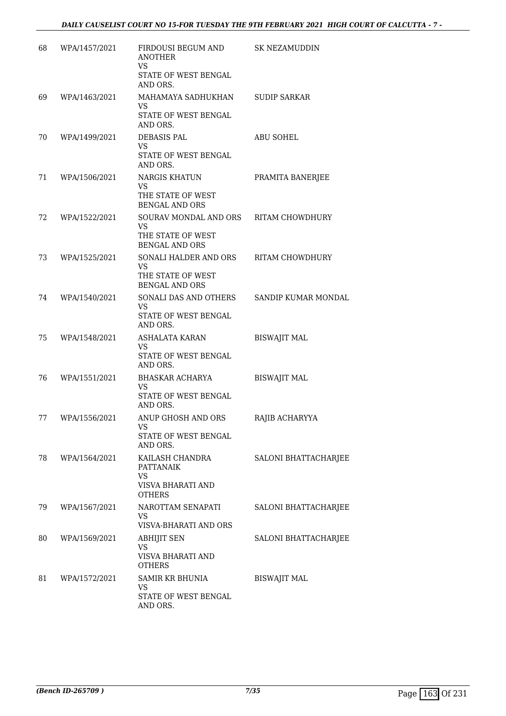| 68 | WPA/1457/2021 | FIRDOUSI BEGUM AND<br><b>ANOTHER</b>                                             | <b>SK NEZAMUDDIN</b> |
|----|---------------|----------------------------------------------------------------------------------|----------------------|
|    |               | VS.<br>STATE OF WEST BENGAL<br>AND ORS.                                          |                      |
| 69 | WPA/1463/2021 | MAHAMAYA SADHUKHAN<br>VS.<br>STATE OF WEST BENGAL<br>AND ORS.                    | <b>SUDIP SARKAR</b>  |
| 70 | WPA/1499/2021 | DEBASIS PAL<br>VS<br>STATE OF WEST BENGAL<br>AND ORS.                            | <b>ABU SOHEL</b>     |
| 71 | WPA/1506/2021 | <b>NARGIS KHATUN</b><br>VS.<br>THE STATE OF WEST<br><b>BENGAL AND ORS</b>        | PRAMITA BANERJEE     |
| 72 | WPA/1522/2021 | SOURAV MONDAL AND ORS<br>VS.<br>THE STATE OF WEST<br><b>BENGAL AND ORS</b>       | RITAM CHOWDHURY      |
| 73 | WPA/1525/2021 | SONALI HALDER AND ORS<br><b>VS</b><br>THE STATE OF WEST<br><b>BENGAL AND ORS</b> | RITAM CHOWDHURY      |
| 74 | WPA/1540/2021 | SONALI DAS AND OTHERS<br><b>VS</b><br>STATE OF WEST BENGAL<br>AND ORS.           | SANDIP KUMAR MONDAL  |
| 75 | WPA/1548/2021 | ASHALATA KARAN<br><b>VS</b><br>STATE OF WEST BENGAL<br>AND ORS.                  | <b>BISWAJIT MAL</b>  |
| 76 | WPA/1551/2021 | BHASKAR ACHARYA<br><b>VS</b><br>STATE OF WEST BENGAL<br>AND ORS.                 | <b>BISWAJIT MAL</b>  |
| 77 | WPA/1556/2021 | ANUP GHOSH AND ORS<br><b>VS</b><br>STATE OF WEST BENGAL<br>AND ORS.              | RAJIB ACHARYYA       |
| 78 | WPA/1564/2021 | KAILASH CHANDRA<br><b>PATTANAIK</b><br>VS<br>VISVA BHARATI AND<br><b>OTHERS</b>  | SALONI BHATTACHARJEE |
| 79 | WPA/1567/2021 | NAROTTAM SENAPATI<br>VS<br>VISVA-BHARATI AND ORS                                 | SALONI BHATTACHARJEE |
| 80 | WPA/1569/2021 | <b>ABHIJIT SEN</b><br>VS<br>VISVA BHARATI AND<br><b>OTHERS</b>                   | SALONI BHATTACHARJEE |
| 81 | WPA/1572/2021 | <b>SAMIR KR BHUNIA</b><br>VS<br>STATE OF WEST BENGAL<br>AND ORS.                 | <b>BISWAJIT MAL</b>  |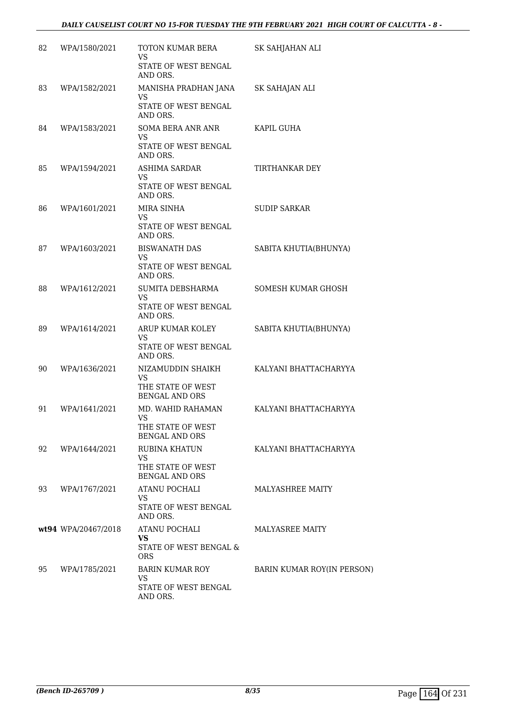| 82 | WPA/1580/2021       | TOTON KUMAR BERA<br>VS<br>STATE OF WEST BENGAL<br>AND ORS. | SK SAHJAHAN ALI            |
|----|---------------------|------------------------------------------------------------|----------------------------|
| 83 | WPA/1582/2021       | MANISHA PRADHAN JANA<br><b>VS</b><br>STATE OF WEST BENGAL  | SK SAHAJAN ALI             |
|    |                     | AND ORS.                                                   |                            |
| 84 | WPA/1583/2021       | SOMA BERA ANR ANR<br><b>VS</b>                             | KAPIL GUHA                 |
|    |                     | STATE OF WEST BENGAL<br>AND ORS.                           |                            |
| 85 | WPA/1594/2021       | ASHIMA SARDAR<br>VS                                        | TIRTHANKAR DEY             |
|    |                     | STATE OF WEST BENGAL<br>AND ORS.                           |                            |
| 86 | WPA/1601/2021       | MIRA SINHA<br><b>VS</b>                                    | <b>SUDIP SARKAR</b>        |
|    |                     | STATE OF WEST BENGAL<br>AND ORS.                           |                            |
| 87 | WPA/1603/2021       | <b>BISWANATH DAS</b><br>VS                                 | SABITA KHUTIA(BHUNYA)      |
|    |                     | STATE OF WEST BENGAL<br>AND ORS.                           |                            |
| 88 | WPA/1612/2021       | SUMITA DEBSHARMA<br>VS.                                    | SOMESH KUMAR GHOSH         |
|    |                     | STATE OF WEST BENGAL<br>AND ORS.                           |                            |
| 89 | WPA/1614/2021       | ARUP KUMAR KOLEY<br>VS                                     | SABITA KHUTIA(BHUNYA)      |
|    |                     | STATE OF WEST BENGAL<br>AND ORS.                           |                            |
| 90 | WPA/1636/2021       | NIZAMUDDIN SHAIKH<br><b>VS</b>                             | KALYANI BHATTACHARYYA      |
|    |                     | THE STATE OF WEST<br>BENGAL AND ORS                        |                            |
| 91 | WPA/1641/2021       | MD. WAHID RAHAMAN<br><b>VS</b>                             | KALYANI BHATTACHARYYA      |
|    |                     | THE STATE OF WEST<br><b>BENGAL AND ORS</b>                 |                            |
| 92 | WPA/1644/2021       | <b>RUBINA KHATUN</b><br><b>VS</b>                          | KALYANI BHATTACHARYYA      |
|    |                     | THE STATE OF WEST<br><b>BENGAL AND ORS</b>                 |                            |
| 93 | WPA/1767/2021       | ATANU POCHALI<br><b>VS</b>                                 | MALYASHREE MAITY           |
|    |                     | <b>STATE OF WEST BENGAL</b><br>AND ORS.                    |                            |
|    | wt94 WPA/20467/2018 | ATANU POCHALI<br>VS.                                       | <b>MALYASREE MAITY</b>     |
|    |                     | STATE OF WEST BENGAL &<br><b>ORS</b>                       |                            |
| 95 | WPA/1785/2021       | BARIN KUMAR ROY<br>VS.                                     | BARIN KUMAR ROY(IN PERSON) |
|    |                     | STATE OF WEST BENGAL<br>AND ORS.                           |                            |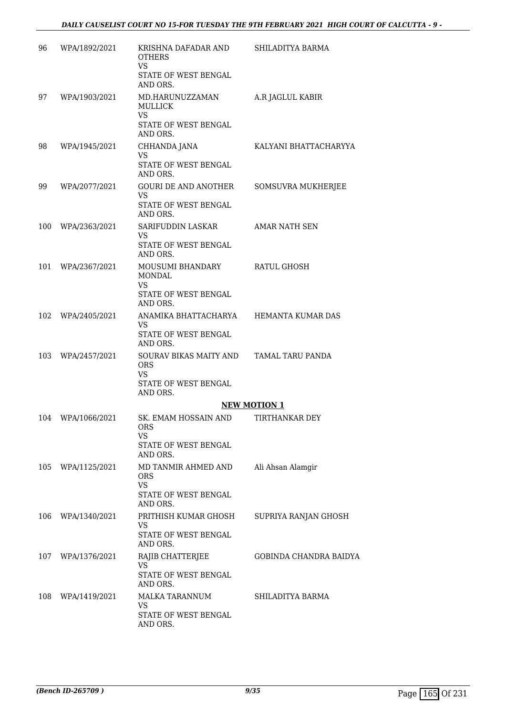| 96  | WPA/1892/2021 | KRISHNA DAFADAR AND<br><b>OTHERS</b><br><b>VS</b><br>STATE OF WEST BENGAL | SHILADITYA BARMA       |
|-----|---------------|---------------------------------------------------------------------------|------------------------|
| 97  | WPA/1903/2021 | AND ORS.<br>MD.HARUNUZZAMAN<br>MULLICK                                    | A.R JAGLUL KABIR       |
|     |               | <b>VS</b><br>STATE OF WEST BENGAL<br>AND ORS.                             |                        |
| 98  | WPA/1945/2021 | CHHANDA JANA<br><b>VS</b><br>STATE OF WEST BENGAL                         | KALYANI BHATTACHARYYA  |
|     |               | AND ORS.                                                                  |                        |
| 99  | WPA/2077/2021 | <b>GOURI DE AND ANOTHER</b><br>VS<br>STATE OF WEST BENGAL<br>AND ORS.     | SOMSUVRA MUKHERJEE     |
| 100 | WPA/2363/2021 | SARIFUDDIN LASKAR<br><b>VS</b>                                            | <b>AMAR NATH SEN</b>   |
|     |               | STATE OF WEST BENGAL<br>AND ORS.                                          |                        |
| 101 | WPA/2367/2021 | MOUSUMI BHANDARY<br>MONDAL                                                | RATUL GHOSH            |
|     |               | <b>VS</b><br>STATE OF WEST BENGAL<br>AND ORS.                             |                        |
| 102 | WPA/2405/2021 | ANAMIKA BHATTACHARYA<br><b>VS</b>                                         | HEMANTA KUMAR DAS      |
|     |               | STATE OF WEST BENGAL<br>AND ORS.                                          |                        |
| 103 | WPA/2457/2021 | SOURAV BIKAS MAITY AND<br><b>ORS</b><br>VS                                | TAMAL TARU PANDA       |
|     |               | STATE OF WEST BENGAL<br>AND ORS.                                          |                        |
|     |               |                                                                           | <b>NEW MOTION 1</b>    |
| 104 | WPA/1066/2021 | SK. EMAM HOSSAIN AND<br><b>ORS</b><br><b>VS</b>                           | TIRTHANKAR DEY         |
|     |               | STATE OF WEST BENGAL<br>AND ORS.                                          |                        |
| 105 | WPA/1125/2021 | MD TANMIR AHMED AND<br><b>ORS</b><br><b>VS</b>                            | Ali Ahsan Alamgir      |
|     |               | STATE OF WEST BENGAL<br>AND ORS.                                          |                        |
| 106 | WPA/1340/2021 | PRITHISH KUMAR GHOSH<br>VS                                                | SUPRIYA RANJAN GHOSH   |
|     |               | STATE OF WEST BENGAL<br>AND ORS.                                          |                        |
| 107 | WPA/1376/2021 | RAJIB CHATTERJEE<br><b>VS</b>                                             | GOBINDA CHANDRA BAIDYA |
|     |               | STATE OF WEST BENGAL<br>AND ORS.                                          |                        |
| 108 | WPA/1419/2021 | MALKA TARANNUM<br><b>VS</b>                                               | SHILADITYA BARMA       |
|     |               | STATE OF WEST BENGAL<br>AND ORS.                                          |                        |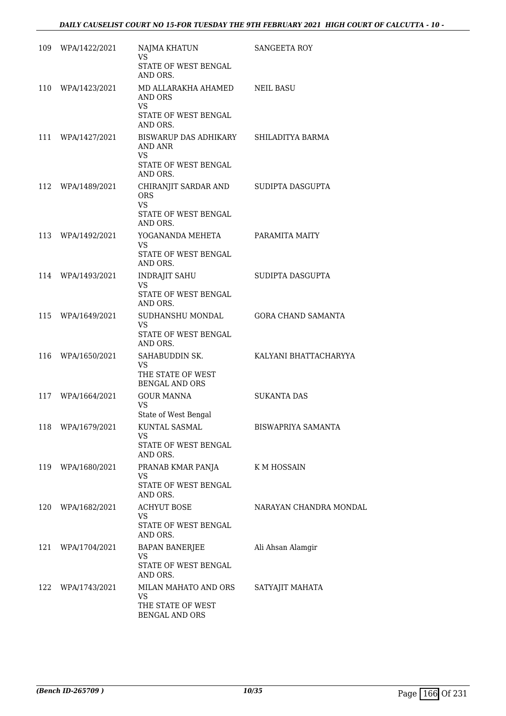| 109 | WPA/1422/2021     | NAJMA KHATUN<br><b>VS</b>                                                           | SANGEETA ROY              |
|-----|-------------------|-------------------------------------------------------------------------------------|---------------------------|
|     |                   | STATE OF WEST BENGAL<br>AND ORS.                                                    |                           |
| 110 | WPA/1423/2021     | MD ALLARAKHA AHAMED<br>AND ORS<br>VS.<br>STATE OF WEST BENGAL<br>AND ORS.           | NEIL BASU                 |
| 111 | WPA/1427/2021     | BISWARUP DAS ADHIKARY<br>AND ANR<br><b>VS</b><br>STATE OF WEST BENGAL<br>AND ORS.   | SHILADITYA BARMA          |
| 112 | WPA/1489/2021     | CHIRANJIT SARDAR AND<br><b>ORS</b><br><b>VS</b><br>STATE OF WEST BENGAL<br>AND ORS. | SUDIPTA DASGUPTA          |
| 113 | WPA/1492/2021     | YOGANANDA MEHETA<br>VS.<br>STATE OF WEST BENGAL                                     | PARAMITA MAITY            |
| 114 | WPA/1493/2021     | AND ORS.<br><b>INDRAJIT SAHU</b><br><b>VS</b><br>STATE OF WEST BENGAL<br>AND ORS.   | SUDIPTA DASGUPTA          |
| 115 | WPA/1649/2021     | SUDHANSHU MONDAL<br><b>VS</b><br>STATE OF WEST BENGAL<br>AND ORS.                   | <b>GORA CHAND SAMANTA</b> |
| 116 | WPA/1650/2021     | SAHABUDDIN SK.<br>VS.<br>THE STATE OF WEST<br><b>BENGAL AND ORS</b>                 | KALYANI BHATTACHARYYA     |
| 117 | WPA/1664/2021     | <b>GOUR MANNA</b><br><b>VS</b><br>State of West Bengal                              | <b>SUKANTA DAS</b>        |
| 118 | WPA/1679/2021     | KUNTAL SASMAL<br>VS<br>STATE OF WEST BENGAL<br>AND ORS.                             | <b>BISWAPRIYA SAMANTA</b> |
| 119 | WPA/1680/2021     | PRANAB KMAR PANJA<br><b>VS</b><br>STATE OF WEST BENGAL<br>AND ORS.                  | K M HOSSAIN               |
| 120 | WPA/1682/2021     | <b>ACHYUT BOSE</b><br><b>VS</b><br>STATE OF WEST BENGAL<br>AND ORS.                 | NARAYAN CHANDRA MONDAL    |
| 121 | WPA/1704/2021     | <b>BAPAN BANERJEE</b><br><b>VS</b><br>STATE OF WEST BENGAL<br>AND ORS.              | Ali Ahsan Alamgir         |
|     | 122 WPA/1743/2021 | MILAN MAHATO AND ORS<br><b>VS</b><br>THE STATE OF WEST<br>BENGAL AND ORS            | SATYAJIT MAHATA           |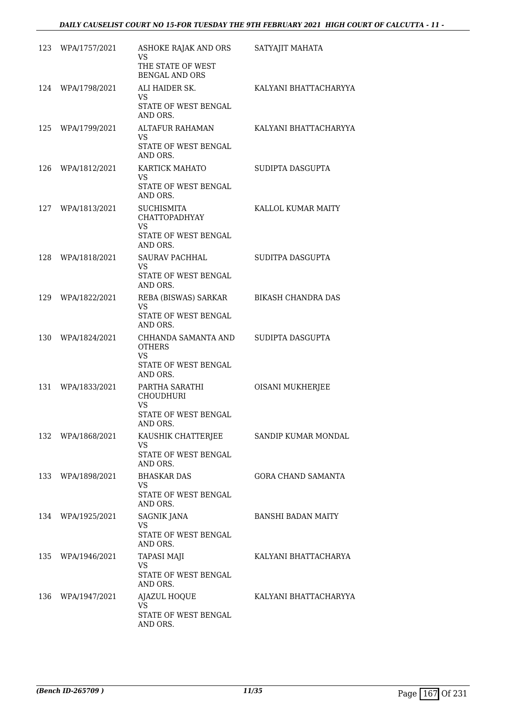| 123 | WPA/1757/2021     | ASHOKE RAJAK AND ORS<br><b>VS</b><br>THE STATE OF WEST<br><b>BENGAL AND ORS</b>       | SATYAJIT MAHATA           |
|-----|-------------------|---------------------------------------------------------------------------------------|---------------------------|
| 124 | WPA/1798/2021     | ALI HAIDER SK.<br>VS.<br>STATE OF WEST BENGAL<br>AND ORS.                             | KALYANI BHATTACHARYYA     |
| 125 | WPA/1799/2021     | ALTAFUR RAHAMAN<br>VS.<br><b>STATE OF WEST BENGAL</b><br>AND ORS.                     | KALYANI BHATTACHARYYA     |
| 126 | WPA/1812/2021     | KARTICK MAHATO<br>VS.<br>STATE OF WEST BENGAL<br>AND ORS.                             | SUDIPTA DASGUPTA          |
| 127 | WPA/1813/2021     | <b>SUCHISMITA</b><br><b>CHATTOPADHYAY</b><br>VS<br>STATE OF WEST BENGAL<br>AND ORS.   | KALLOL KUMAR MAITY        |
| 128 | WPA/1818/2021     | SAURAV PACHHAL<br>VS<br>STATE OF WEST BENGAL<br>AND ORS.                              | SUDITPA DASGUPTA          |
| 129 | WPA/1822/2021     | REBA (BISWAS) SARKAR<br><b>VS</b><br>STATE OF WEST BENGAL<br>AND ORS.                 | <b>BIKASH CHANDRA DAS</b> |
| 130 | WPA/1824/2021     | CHHANDA SAMANTA AND<br><b>OTHERS</b><br><b>VS</b><br>STATE OF WEST BENGAL<br>AND ORS. | SUDIPTA DASGUPTA          |
| 131 | WPA/1833/2021     | PARTHA SARATHI<br><b>CHOUDHURI</b><br><b>VS</b><br>STATE OF WEST BENGAL<br>AND ORS.   | OISANI MUKHERJEE          |
| 132 | WPA/1868/2021     | KAUSHIK CHATTERJEE<br><b>VS</b><br>STATE OF WEST BENGAL<br>AND ORS.                   | SANDIP KUMAR MONDAL       |
| 133 | WPA/1898/2021     | <b>BHASKAR DAS</b><br>VS<br>STATE OF WEST BENGAL<br>AND ORS.                          | <b>GORA CHAND SAMANTA</b> |
| 134 | WPA/1925/2021     | <b>SAGNIK JANA</b><br>VS<br>STATE OF WEST BENGAL<br>AND ORS.                          | <b>BANSHI BADAN MAITY</b> |
| 135 | WPA/1946/2021     | <b>TAPASI MAJI</b><br>VS<br>STATE OF WEST BENGAL<br>AND ORS.                          | KALYANI BHATTACHARYA      |
|     | 136 WPA/1947/2021 | <b>AJAZUL HOQUE</b><br>VS.<br>STATE OF WEST BENGAL<br>AND ORS.                        | KALYANI BHATTACHARYYA     |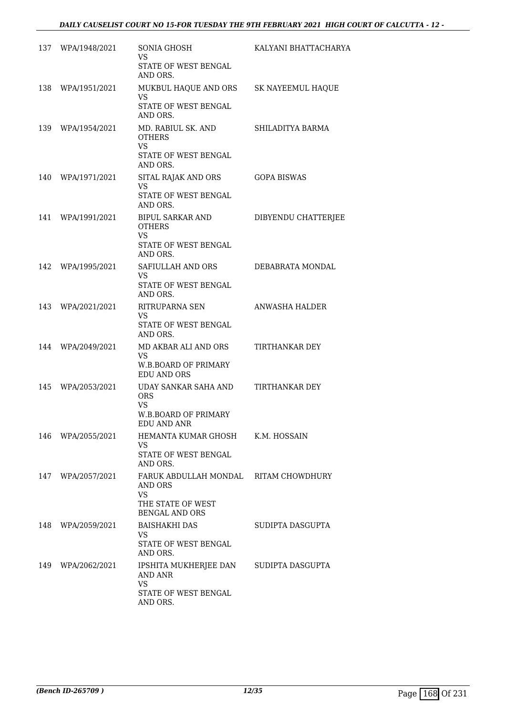|     | 137 WPA/1948/2021 | SONIA GHOSH<br>VS.<br>STATE OF WEST BENGAL                                              | KALYANI BHATTACHARYA  |
|-----|-------------------|-----------------------------------------------------------------------------------------|-----------------------|
|     | 138 WPA/1951/2021 | AND ORS.<br>MUKBUL HAQUE AND ORS<br><b>VS</b><br>STATE OF WEST BENGAL                   | SK NAYEEMUL HAQUE     |
|     | 139 WPA/1954/2021 | AND ORS.<br>MD. RABIUL SK. AND                                                          | SHILADITYA BARMA      |
|     |                   | <b>OTHERS</b><br>VS.<br>STATE OF WEST BENGAL<br>AND ORS.                                |                       |
|     | 140 WPA/1971/2021 | SITAL RAJAK AND ORS<br><b>VS</b><br>STATE OF WEST BENGAL<br>AND ORS.                    | <b>GOPA BISWAS</b>    |
| 141 | WPA/1991/2021     | BIPUL SARKAR AND<br><b>OTHERS</b><br>VS<br>STATE OF WEST BENGAL<br>AND ORS.             | DIBYENDU CHATTERJEE   |
| 142 | WPA/1995/2021     | SAFIULLAH AND ORS<br><b>VS</b><br>STATE OF WEST BENGAL<br>AND ORS.                      | DEBABRATA MONDAL      |
| 143 | WPA/2021/2021     | RITRUPARNA SEN<br>VS.<br>STATE OF WEST BENGAL<br>AND ORS.                               | ANWASHA HALDER        |
| 144 | WPA/2049/2021     | MD AKBAR ALI AND ORS<br>VS.<br>W.B.BOARD OF PRIMARY<br><b>EDU AND ORS</b>               | <b>TIRTHANKAR DEY</b> |
| 145 | WPA/2053/2021     | UDAY SANKAR SAHA AND<br><b>ORS</b><br>VS.<br><b>W.B.BOARD OF PRIMARY</b><br>EDU AND ANR | TIRTHANKAR DEY        |
| 146 | WPA/2055/2021     | HEMANTA KUMAR GHOSH<br><b>VS</b><br>STATE OF WEST BENGAL<br>AND ORS.                    | K.M. HOSSAIN          |
| 147 | WPA/2057/2021     | FARUK ABDULLAH MONDAL<br>AND ORS<br>VS<br>THE STATE OF WEST<br><b>BENGAL AND ORS</b>    | RITAM CHOWDHURY       |
| 148 | WPA/2059/2021     | <b>BAISHAKHI DAS</b><br><b>VS</b><br>STATE OF WEST BENGAL<br>AND ORS.                   | SUDIPTA DASGUPTA      |
| 149 | WPA/2062/2021     | IPSHITA MUKHERJEE DAN<br>AND ANR<br><b>VS</b><br>STATE OF WEST BENGAL<br>AND ORS.       | SUDIPTA DASGUPTA      |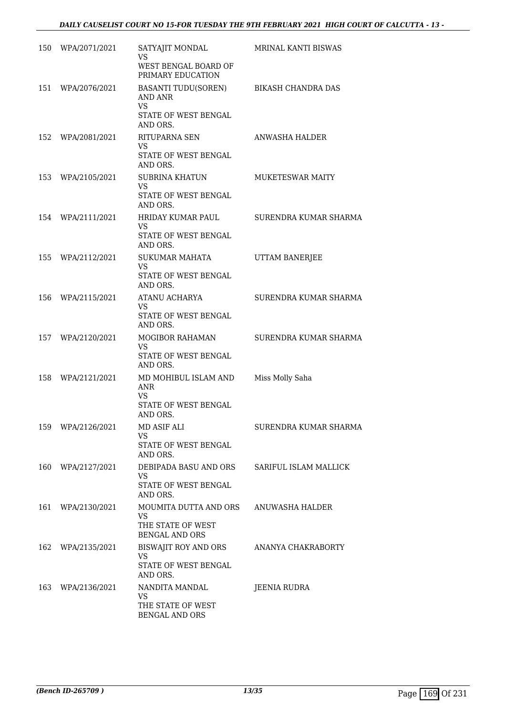| 150 | WPA/2071/2021 | SATYAJIT MONDAL<br>VS                                                                         | <b>MRINAL KANTI BISWAS</b> |
|-----|---------------|-----------------------------------------------------------------------------------------------|----------------------------|
|     |               | WEST BENGAL BOARD OF<br>PRIMARY EDUCATION                                                     |                            |
| 151 | WPA/2076/2021 | <b>BASANTI TUDU(SOREN)</b><br><b>AND ANR</b><br><b>VS</b><br>STATE OF WEST BENGAL<br>AND ORS. | <b>BIKASH CHANDRA DAS</b>  |
| 152 | WPA/2081/2021 | RITUPARNA SEN<br>VS.<br>STATE OF WEST BENGAL<br>AND ORS.                                      | ANWASHA HALDER             |
| 153 | WPA/2105/2021 | <b>SUBRINA KHATUN</b><br>VS<br>STATE OF WEST BENGAL<br>AND ORS.                               | MUKETESWAR MAITY           |
| 154 | WPA/2111/2021 | HRIDAY KUMAR PAUL<br>VS<br>STATE OF WEST BENGAL<br>AND ORS.                                   | SURENDRA KUMAR SHARMA      |
| 155 | WPA/2112/2021 | <b>SUKUMAR MAHATA</b><br>VS<br>STATE OF WEST BENGAL<br>AND ORS.                               | <b>UTTAM BANERJEE</b>      |
| 156 | WPA/2115/2021 | ATANU ACHARYA<br><b>VS</b><br>STATE OF WEST BENGAL<br>AND ORS.                                | SURENDRA KUMAR SHARMA      |
| 157 | WPA/2120/2021 | <b>MOGIBOR RAHAMAN</b><br>VS<br>STATE OF WEST BENGAL<br>AND ORS.                              | SURENDRA KUMAR SHARMA      |
| 158 | WPA/2121/2021 | MD MOHIBUL ISLAM AND<br><b>ANR</b><br><b>VS</b><br>STATE OF WEST BENGAL<br>AND ORS.           | Miss Molly Saha            |
| 159 | WPA/2126/2021 | MD ASIF ALI<br>VS<br>STATE OF WEST BENGAL<br>AND ORS.                                         | SURENDRA KUMAR SHARMA      |
| 160 | WPA/2127/2021 | DEBIPADA BASU AND ORS<br>VS<br>STATE OF WEST BENGAL<br>AND ORS.                               | SARIFUL ISLAM MALLICK      |
| 161 | WPA/2130/2021 | <b>MOUMITA DUTTA AND ORS</b><br><b>VS</b><br>THE STATE OF WEST<br><b>BENGAL AND ORS</b>       | ANUWASHA HALDER            |
| 162 | WPA/2135/2021 | BISWAJIT ROY AND ORS<br><b>VS</b><br>STATE OF WEST BENGAL<br>AND ORS.                         | ANANYA CHAKRABORTY         |
| 163 | WPA/2136/2021 | NANDITA MANDAL<br>VS<br>THE STATE OF WEST<br>BENGAL AND ORS                                   | JEENIA RUDRA               |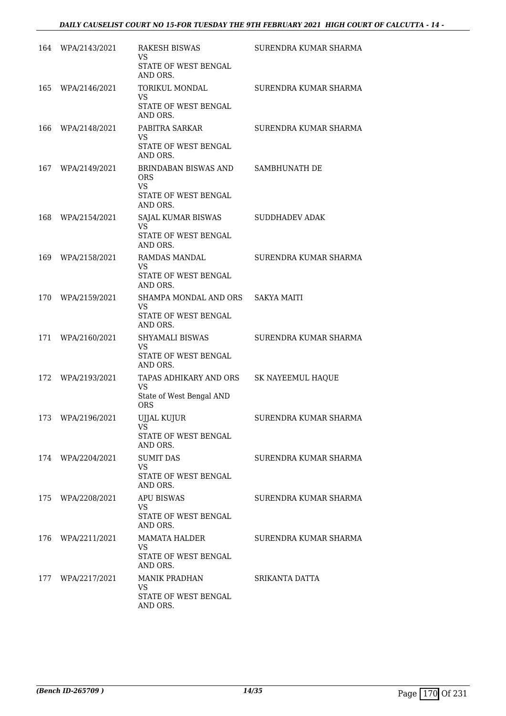| 164 | WPA/2143/2021 | <b>RAKESH BISWAS</b><br>VS<br>STATE OF WEST BENGAL<br>AND ORS.                      | SURENDRA KUMAR SHARMA    |
|-----|---------------|-------------------------------------------------------------------------------------|--------------------------|
| 165 | WPA/2146/2021 | TORIKUL MONDAL<br><b>VS</b><br>STATE OF WEST BENGAL                                 | SURENDRA KUMAR SHARMA    |
| 166 | WPA/2148/2021 | AND ORS.<br>PABITRA SARKAR<br>VS<br><b>STATE OF WEST BENGAL</b><br>AND ORS.         | SURENDRA KUMAR SHARMA    |
| 167 | WPA/2149/2021 | BRINDABAN BISWAS AND<br><b>ORS</b><br><b>VS</b><br>STATE OF WEST BENGAL<br>AND ORS. | SAMBHUNATH DE            |
| 168 | WPA/2154/2021 | SAJAL KUMAR BISWAS<br>VS.<br>STATE OF WEST BENGAL<br>AND ORS.                       | <b>SUDDHADEV ADAK</b>    |
| 169 | WPA/2158/2021 | RAMDAS MANDAL<br>VS<br>STATE OF WEST BENGAL<br>AND ORS.                             | SURENDRA KUMAR SHARMA    |
| 170 | WPA/2159/2021 | SHAMPA MONDAL AND ORS<br>VS<br>STATE OF WEST BENGAL<br>AND ORS.                     | <b>SAKYA MAITI</b>       |
| 171 | WPA/2160/2021 | SHYAMALI BISWAS<br><b>VS</b><br>STATE OF WEST BENGAL<br>AND ORS.                    | SURENDRA KUMAR SHARMA    |
| 172 | WPA/2193/2021 | TAPAS ADHIKARY AND ORS<br>VS<br>State of West Bengal AND<br><b>ORS</b>              | <b>SK NAYEEMUL HAQUE</b> |
| 173 | WPA/2196/2021 | UJJAL KUJUR<br>VS<br>STATE OF WEST BENGAL<br>AND ORS.                               | SURENDRA KUMAR SHARMA    |
| 174 | WPA/2204/2021 | <b>SUMIT DAS</b><br><b>VS</b><br><b>STATE OF WEST BENGAL</b><br>AND ORS.            | SURENDRA KUMAR SHARMA    |
| 175 | WPA/2208/2021 | <b>APU BISWAS</b><br>VS<br>STATE OF WEST BENGAL<br>AND ORS.                         | SURENDRA KUMAR SHARMA    |
| 176 | WPA/2211/2021 | <b>MAMATA HALDER</b><br>VS<br>STATE OF WEST BENGAL<br>AND ORS.                      | SURENDRA KUMAR SHARMA    |
| 177 | WPA/2217/2021 | <b>MANIK PRADHAN</b><br><b>VS</b><br>STATE OF WEST BENGAL<br>AND ORS.               | SRIKANTA DATTA           |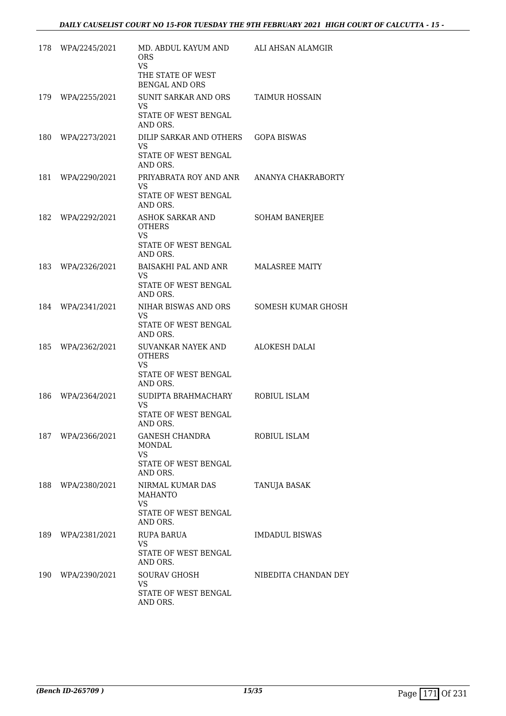| 178 | WPA/2245/2021     | MD. ABDUL KAYUM AND<br><b>ORS</b><br>VS.<br>THE STATE OF WEST<br><b>BENGAL AND ORS</b> | ALI AHSAN ALAMGIR     |
|-----|-------------------|----------------------------------------------------------------------------------------|-----------------------|
| 179 | WPA/2255/2021     | SUNIT SARKAR AND ORS<br>VS<br>STATE OF WEST BENGAL<br>AND ORS.                         | <b>TAIMUR HOSSAIN</b> |
| 180 | WPA/2273/2021     | DILIP SARKAR AND OTHERS<br><b>VS</b><br>STATE OF WEST BENGAL<br>AND ORS.               | <b>GOPA BISWAS</b>    |
| 181 | WPA/2290/2021     | PRIYABRATA ROY AND ANR<br>VS<br>STATE OF WEST BENGAL<br>AND ORS.                       | ANANYA CHAKRABORTY    |
| 182 | WPA/2292/2021     | ASHOK SARKAR AND<br><b>OTHERS</b><br><b>VS</b><br>STATE OF WEST BENGAL<br>AND ORS.     | <b>SOHAM BANERJEE</b> |
| 183 | WPA/2326/2021     | BAISAKHI PAL AND ANR<br>VS.<br>STATE OF WEST BENGAL<br>AND ORS.                        | <b>MALASREE MAITY</b> |
| 184 | WPA/2341/2021     | NIHAR BISWAS AND ORS<br><b>VS</b><br>STATE OF WEST BENGAL<br>AND ORS.                  | SOMESH KUMAR GHOSH    |
| 185 | WPA/2362/2021     | SUVANKAR NAYEK AND<br><b>OTHERS</b><br>VS<br>STATE OF WEST BENGAL<br>AND ORS.          | ALOKESH DALAI         |
| 186 | WPA/2364/2021     | SUDIPTA BRAHMACHARY<br><b>VS</b><br>STATE OF WEST BENGAL<br>AND ORS.                   | ROBIUL ISLAM          |
|     | 187 WPA/2366/2021 | GANESH CHANDRA<br>MONDAL<br><b>VS</b><br>STATE OF WEST BENGAL<br>AND ORS.              | ROBIUL ISLAM          |
|     | 188 WPA/2380/2021 | NIRMAL KUMAR DAS<br><b>MAHANTO</b><br><b>VS</b><br>STATE OF WEST BENGAL<br>AND ORS.    | TANUJA BASAK          |
|     | 189 WPA/2381/2021 | RUPA BARUA<br>VS.<br>STATE OF WEST BENGAL<br>AND ORS.                                  | <b>IMDADUL BISWAS</b> |
|     | 190 WPA/2390/2021 | <b>SOURAV GHOSH</b><br><b>VS</b><br>STATE OF WEST BENGAL<br>AND ORS.                   | NIBEDITA CHANDAN DEY  |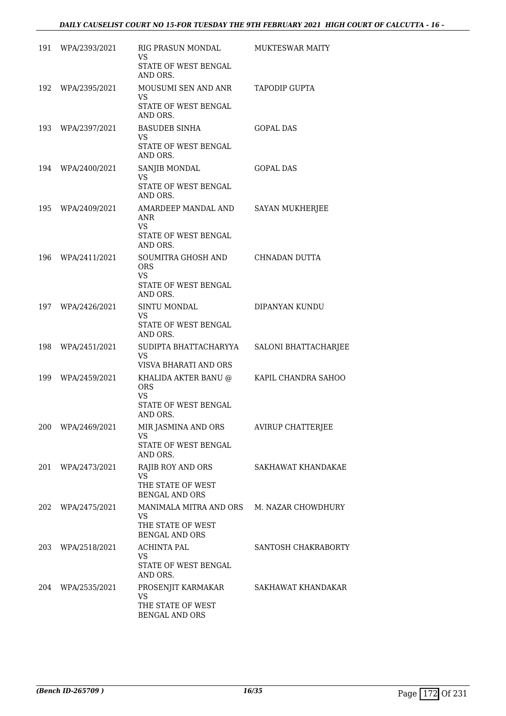| 191 | WPA/2393/2021     | RIG PRASUN MONDAL<br>VS<br>STATE OF WEST BENGAL<br>AND ORS.                         | <b>MUKTESWAR MAITY</b>   |
|-----|-------------------|-------------------------------------------------------------------------------------|--------------------------|
|     | 192 WPA/2395/2021 | MOUSUMI SEN AND ANR<br>VS<br>STATE OF WEST BENGAL<br>AND ORS.                       | <b>TAPODIP GUPTA</b>     |
|     | 193 WPA/2397/2021 | <b>BASUDEB SINHA</b><br>VS<br><b>STATE OF WEST BENGAL</b><br>AND ORS.               | GOPAL DAS                |
|     | 194 WPA/2400/2021 | SANJIB MONDAL<br>VS<br>STATE OF WEST BENGAL<br>AND ORS.                             | <b>GOPAL DAS</b>         |
| 195 | WPA/2409/2021     | AMARDEEP MANDAL AND<br>ANR<br>VS.<br>STATE OF WEST BENGAL<br>AND ORS.               | <b>SAYAN MUKHERJEE</b>   |
| 196 | WPA/2411/2021     | SOUMITRA GHOSH AND<br><b>ORS</b><br><b>VS</b><br>STATE OF WEST BENGAL<br>AND ORS.   | CHNADAN DUTTA            |
| 197 | WPA/2426/2021     | SINTU MONDAL<br>VS.<br>STATE OF WEST BENGAL<br>AND ORS.                             | DIPANYAN KUNDU           |
| 198 | WPA/2451/2021     | SUDIPTA BHATTACHARYYA<br><b>VS</b><br>VISVA BHARATI AND ORS                         | SALONI BHATTACHARJEE     |
| 199 | WPA/2459/2021     | KHALIDA AKTER BANU @<br><b>ORS</b><br><b>VS</b><br>STATE OF WEST BENGAL<br>AND ORS. | KAPIL CHANDRA SAHOO      |
| 200 | WPA/2469/2021     | MIR JASMINA AND ORS<br>VS<br>STATE OF WEST BENGAL<br>AND ORS.                       | <b>AVIRUP CHATTERJEE</b> |
| 201 | WPA/2473/2021     | RAJIB ROY AND ORS<br>VS.<br>THE STATE OF WEST<br><b>BENGAL AND ORS</b>              | SAKHAWAT KHANDAKAE       |
| 202 | WPA/2475/2021     | <b>MANIMALA MITRA AND ORS</b><br>VS<br>THE STATE OF WEST<br><b>BENGAL AND ORS</b>   | M. NAZAR CHOWDHURY       |
| 203 | WPA/2518/2021     | <b>ACHINTA PAL</b><br>VS<br>STATE OF WEST BENGAL<br>AND ORS.                        | SANTOSH CHAKRABORTY      |
| 204 | WPA/2535/2021     | PROSENJIT KARMAKAR<br>VS<br>THE STATE OF WEST<br>BENGAL AND ORS                     | SAKHAWAT KHANDAKAR       |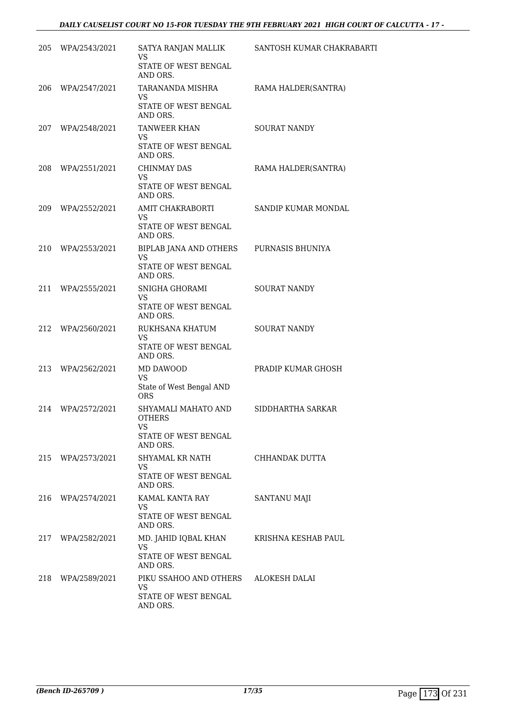| 205 | WPA/2543/2021     | SATYA RANJAN MALLIK<br><b>VS</b>                     | SANTOSH KUMAR CHAKRABARTI |
|-----|-------------------|------------------------------------------------------|---------------------------|
|     |                   | STATE OF WEST BENGAL<br>AND ORS.                     |                           |
| 206 | WPA/2547/2021     | TARANANDA MISHRA<br>VS                               | RAMA HALDER(SANTRA)       |
|     |                   | STATE OF WEST BENGAL<br>AND ORS.                     |                           |
|     | 207 WPA/2548/2021 | TANWEER KHAN<br><b>VS</b>                            | <b>SOURAT NANDY</b>       |
|     |                   | STATE OF WEST BENGAL<br>AND ORS.                     |                           |
| 208 | WPA/2551/2021     | <b>CHINMAY DAS</b><br><b>VS</b>                      | RAMA HALDER(SANTRA)       |
|     |                   | STATE OF WEST BENGAL<br>AND ORS.                     |                           |
| 209 | WPA/2552/2021     | AMIT CHAKRABORTI<br><b>VS</b>                        | SANDIP KUMAR MONDAL       |
|     |                   | STATE OF WEST BENGAL<br>AND ORS.                     |                           |
| 210 | WPA/2553/2021     | BIPLAB JANA AND OTHERS<br><b>VS</b>                  | PURNASIS BHUNIYA          |
|     |                   | STATE OF WEST BENGAL<br>AND ORS.                     |                           |
| 211 | WPA/2555/2021     | SNIGHA GHORAMI<br>VS                                 | <b>SOURAT NANDY</b>       |
|     |                   | STATE OF WEST BENGAL<br>AND ORS.                     |                           |
| 212 | WPA/2560/2021     | RUKHSANA KHATUM<br><b>VS</b>                         | <b>SOURAT NANDY</b>       |
|     |                   | STATE OF WEST BENGAL<br>AND ORS.                     |                           |
| 213 | WPA/2562/2021     | MD DAWOOD<br><b>VS</b>                               | PRADIP KUMAR GHOSH        |
|     |                   | State of West Bengal AND<br><b>ORS</b>               |                           |
| 214 | WPA/2572/2021     | SHYAMALI MAHATO AND<br><b>OTHERS</b>                 | SIDDHARTHA SARKAR         |
|     |                   | <b>VS</b><br>STATE OF WEST BENGAL                    |                           |
| 215 | WPA/2573/2021     | AND ORS.<br>SHYAMAL KR NATH                          | CHHANDAK DUTTA            |
|     |                   | VS.<br><b>STATE OF WEST BENGAL</b>                   |                           |
| 216 | WPA/2574/2021     | AND ORS.<br>KAMAL KANTA RAY                          | SANTANU MAJI              |
|     |                   | <b>VS</b><br><b>STATE OF WEST BENGAL</b><br>AND ORS. |                           |
| 217 | WPA/2582/2021     | MD. JAHID IQBAL KHAN                                 | KRISHNA KESHAB PAUL       |
|     |                   | <b>VS</b><br>STATE OF WEST BENGAL<br>AND ORS.        |                           |
| 218 | WPA/2589/2021     | PIKU SSAHOO AND OTHERS                               | ALOKESH DALAI             |
|     |                   | <b>VS</b><br>STATE OF WEST BENGAL<br>AND ORS.        |                           |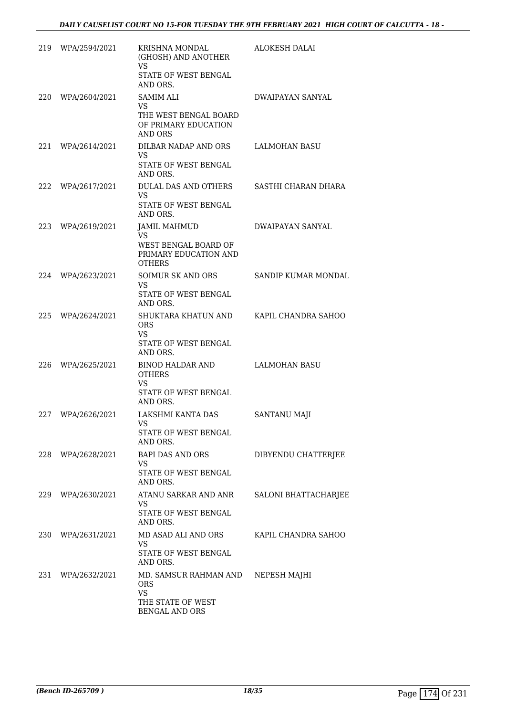| 219 | WPA/2594/2021     | KRISHNA MONDAL<br>(GHOSH) AND ANOTHER                                                              | ALOKESH DALAI           |
|-----|-------------------|----------------------------------------------------------------------------------------------------|-------------------------|
|     |                   | VS<br>STATE OF WEST BENGAL<br>AND ORS.                                                             |                         |
| 220 | WPA/2604/2021     | <b>SAMIM ALI</b><br>VS<br>THE WEST BENGAL BOARD<br>OF PRIMARY EDUCATION<br>AND ORS                 | DWAIPAYAN SANYAL        |
| 221 | WPA/2614/2021     | DILBAR NADAP AND ORS<br>VS.<br>STATE OF WEST BENGAL<br>AND ORS.                                    | LALMOHAN BASU           |
| 222 | WPA/2617/2021     | DULAL DAS AND OTHERS<br><b>VS</b><br>STATE OF WEST BENGAL<br>AND ORS.                              | SASTHI CHARAN DHARA     |
| 223 | WPA/2619/2021     | <b>JAMIL MAHMUD</b><br><b>VS</b><br>WEST BENGAL BOARD OF<br>PRIMARY EDUCATION AND<br><b>OTHERS</b> | <b>DWAIPAYAN SANYAL</b> |
| 224 | WPA/2623/2021     | SOIMUR SK AND ORS<br><b>VS</b><br>STATE OF WEST BENGAL<br>AND ORS.                                 | SANDIP KUMAR MONDAL     |
| 225 | WPA/2624/2021     | SHUKTARA KHATUN AND<br>ORS<br><b>VS</b><br>STATE OF WEST BENGAL<br>AND ORS.                        | KAPIL CHANDRA SAHOO     |
| 226 | WPA/2625/2021     | <b>BINOD HALDAR AND</b><br><b>OTHERS</b><br><b>VS</b><br>STATE OF WEST BENGAL<br>AND ORS.          | <b>LALMOHAN BASU</b>    |
| 227 | WPA/2626/2021     | LAKSHMI KANTA DAS<br>VS<br>STATE OF WEST BENGAL<br>AND ORS.                                        | SANTANU MAJI            |
|     | 228 WPA/2628/2021 | BAPI DAS AND ORS<br>VS<br>STATE OF WEST BENGAL<br>AND ORS.                                         | DIBYENDU CHATTERJEE     |
|     | 229 WPA/2630/2021 | ATANU SARKAR AND ANR<br>VS<br>STATE OF WEST BENGAL<br>AND ORS.                                     | SALONI BHATTACHARJEE    |
|     | 230 WPA/2631/2021 | MD ASAD ALI AND ORS<br><b>VS</b><br>STATE OF WEST BENGAL<br>AND ORS.                               | KAPIL CHANDRA SAHOO     |
|     | 231 WPA/2632/2021 | MD. SAMSUR RAHMAN AND<br>ORS<br><b>VS</b><br>THE STATE OF WEST<br><b>BENGAL AND ORS</b>            | NEPESH MAJHI            |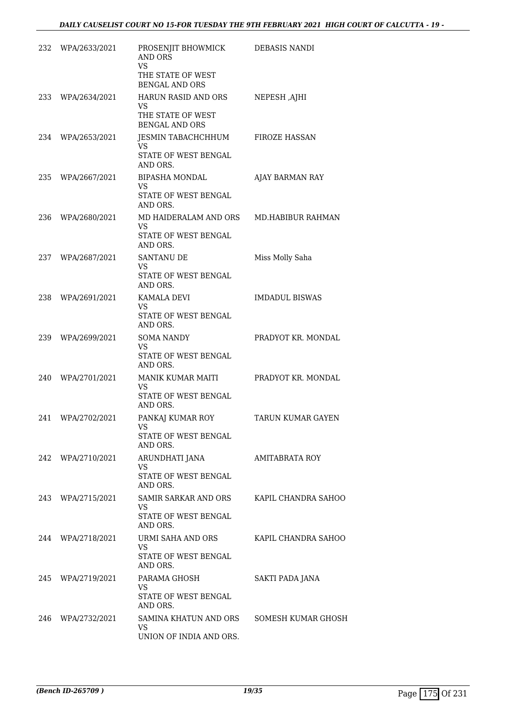| 232 | WPA/2633/2021     | PROSENJIT BHOWMICK<br>AND ORS<br><b>VS</b>                            | <b>DEBASIS NANDI</b>     |
|-----|-------------------|-----------------------------------------------------------------------|--------------------------|
|     |                   | THE STATE OF WEST<br><b>BENGAL AND ORS</b>                            |                          |
| 233 | WPA/2634/2021     | HARUN RASID AND ORS<br>VS.<br>THE STATE OF WEST<br>BENGAL AND ORS     | NEPESH, AJHI             |
| 234 | WPA/2653/2021     | JESMIN TABACHCHHUM<br>VS.<br>STATE OF WEST BENGAL<br>AND ORS.         | <b>FIROZE HASSAN</b>     |
| 235 | WPA/2667/2021     | <b>BIPASHA MONDAL</b><br>VS.<br>STATE OF WEST BENGAL<br>AND ORS.      | AJAY BARMAN RAY          |
| 236 | WPA/2680/2021     | MD HAIDERALAM AND ORS<br>VS.<br>STATE OF WEST BENGAL<br>AND ORS.      | <b>MD.HABIBUR RAHMAN</b> |
| 237 | WPA/2687/2021     | SANTANU DE<br>VS<br>STATE OF WEST BENGAL<br>AND ORS.                  | Miss Molly Saha          |
| 238 | WPA/2691/2021     | KAMALA DEVI<br>VS.<br>STATE OF WEST BENGAL<br>AND ORS.                | <b>IMDADUL BISWAS</b>    |
| 239 | WPA/2699/2021     | <b>SOMA NANDY</b><br><b>VS</b><br>STATE OF WEST BENGAL<br>AND ORS.    | PRADYOT KR. MONDAL       |
| 240 | WPA/2701/2021     | MANIK KUMAR MAITI<br><b>VS</b><br>STATE OF WEST BENGAL<br>AND ORS.    | PRADYOT KR. MONDAL       |
| 241 | WPA/2702/2021     | PANKAJ KUMAR ROY<br>VS<br>STATE OF WEST BENGAL<br>AND ORS.            | TARUN KUMAR GAYEN        |
| 242 | WPA/2710/2021     | ARUNDHATI JANA<br>VS<br><b>STATE OF WEST BENGAL</b><br>AND ORS.       | AMITABRATA ROY           |
| 243 | WPA/2715/2021     | <b>SAMIR SARKAR AND ORS</b><br>VS<br>STATE OF WEST BENGAL<br>AND ORS. | KAPIL CHANDRA SAHOO      |
|     | 244 WPA/2718/2021 | URMI SAHA AND ORS<br>VS<br>STATE OF WEST BENGAL<br>AND ORS.           | KAPIL CHANDRA SAHOO      |
| 245 | WPA/2719/2021     | PARAMA GHOSH<br>VS<br>STATE OF WEST BENGAL<br>AND ORS.                | SAKTI PADA JANA          |
| 246 | WPA/2732/2021     | SAMINA KHATUN AND ORS<br>VS<br>UNION OF INDIA AND ORS.                | SOMESH KUMAR GHOSH       |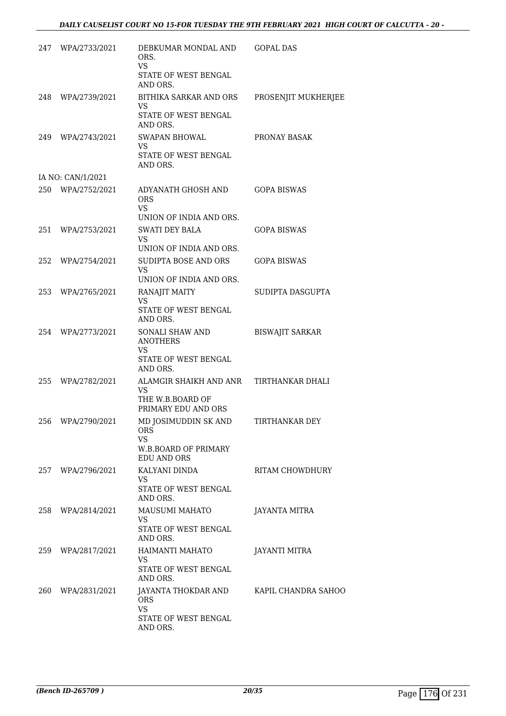| 247 | WPA/2733/2021     | DEBKUMAR MONDAL AND<br>ORS.<br><b>VS</b><br>STATE OF WEST BENGAL<br>AND ORS.           | GOPAL DAS              |
|-----|-------------------|----------------------------------------------------------------------------------------|------------------------|
| 248 | WPA/2739/2021     | BITHIKA SARKAR AND ORS<br>VS<br>STATE OF WEST BENGAL<br>AND ORS.                       | PROSENJIT MUKHERJEE    |
| 249 | WPA/2743/2021     | <b>SWAPAN BHOWAL</b><br>VS<br>STATE OF WEST BENGAL<br>AND ORS.                         | PRONAY BASAK           |
|     | IA NO: CAN/1/2021 |                                                                                        |                        |
|     | 250 WPA/2752/2021 | ADYANATH GHOSH AND<br><b>ORS</b><br>VS<br>UNION OF INDIA AND ORS.                      | <b>GOPA BISWAS</b>     |
| 251 | WPA/2753/2021     | <b>SWATI DEY BALA</b><br>VS                                                            | GOPA BISWAS            |
|     |                   | UNION OF INDIA AND ORS.                                                                |                        |
| 252 | WPA/2754/2021     | SUDIPTA BOSE AND ORS<br><b>VS</b><br>UNION OF INDIA AND ORS.                           | <b>GOPA BISWAS</b>     |
| 253 | WPA/2765/2021     | RANAJIT MAITY<br>VS<br>STATE OF WEST BENGAL                                            | SUDIPTA DASGUPTA       |
| 254 | WPA/2773/2021     | AND ORS.<br>SONALI SHAW AND<br><b>ANOTHERS</b><br>VS<br>STATE OF WEST BENGAL           | <b>BISWAJIT SARKAR</b> |
| 255 | WPA/2782/2021     | AND ORS.<br>ALAMGIR SHAIKH AND ANR<br>VS<br>THE W.B.BOARD OF<br>PRIMARY EDU AND ORS    | TIRTHANKAR DHALI       |
| 256 | WPA/2790/2021     | MD JOSIMUDDIN SK AND<br><b>ORS</b><br><b>VS</b><br>W.B.BOARD OF PRIMARY<br>EDU AND ORS | TIRTHANKAR DEY         |
|     | 257 WPA/2796/2021 | KALYANI DINDA<br>VS<br>STATE OF WEST BENGAL<br>AND ORS.                                | RITAM CHOWDHURY        |
|     | 258 WPA/2814/2021 | MAUSUMI MAHATO<br><b>VS</b><br>STATE OF WEST BENGAL<br>AND ORS.                        | <b>JAYANTA MITRA</b>   |
|     | 259 WPA/2817/2021 | HAIMANTI MAHATO<br>VS.                                                                 | <b>JAYANTI MITRA</b>   |
|     |                   | STATE OF WEST BENGAL<br>AND ORS.                                                       |                        |
| 260 | WPA/2831/2021     | JAYANTA THOKDAR AND KAPIL CHANDRA SAHOO<br><b>ORS</b><br>VS                            |                        |
|     |                   | STATE OF WEST BENGAL<br>AND ORS.                                                       |                        |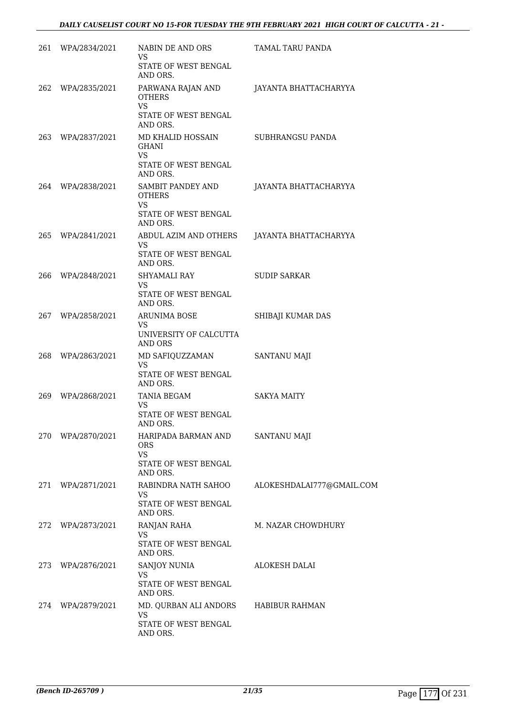| 261 WPA/2834/2021 | NABIN DE AND ORS<br>VS                                                              | TAMAL TARU PANDA          |
|-------------------|-------------------------------------------------------------------------------------|---------------------------|
|                   | STATE OF WEST BENGAL<br>AND ORS.                                                    |                           |
| 262 WPA/2835/2021 | PARWANA RAJAN AND<br><b>OTHERS</b><br><b>VS</b><br>STATE OF WEST BENGAL<br>AND ORS. | JAYANTA BHATTACHARYYA     |
| 263 WPA/2837/2021 | MD KHALID HOSSAIN<br>GHANI<br><b>VS</b><br>STATE OF WEST BENGAL<br>AND ORS.         | SUBHRANGSU PANDA          |
| 264 WPA/2838/2021 | SAMBIT PANDEY AND<br><b>OTHERS</b><br>VS<br>STATE OF WEST BENGAL<br>AND ORS.        | JAYANTA BHATTACHARYYA     |
| 265 WPA/2841/2021 | ABDUL AZIM AND OTHERS<br><b>VS</b><br>STATE OF WEST BENGAL                          | JAYANTA BHATTACHARYYA     |
| 266 WPA/2848/2021 | AND ORS.<br><b>SHYAMALI RAY</b><br>VS.<br>STATE OF WEST BENGAL                      | <b>SUDIP SARKAR</b>       |
| 267 WPA/2858/2021 | AND ORS.<br><b>ARUNIMA BOSE</b><br><b>VS</b><br>UNIVERSITY OF CALCUTTA              | SHIBAJI KUMAR DAS         |
| 268 WPA/2863/2021 | <b>AND ORS</b><br>MD SAFIQUZZAMAN<br><b>VS</b><br>STATE OF WEST BENGAL              | SANTANU MAJI              |
| 269 WPA/2868/2021 | AND ORS.<br>TANIA BEGAM<br>VS.<br>STATE OF WEST BENGAL<br>AND ORS.                  | SAKYA MAITY               |
| 270 WPA/2870/2021 | HARIPADA BARMAN AND<br><b>ORS</b><br><b>VS</b><br>STATE OF WEST BENGAL<br>AND ORS.  | SANTANU MAJI              |
| 271 WPA/2871/2021 | RABINDRA NATH SAHOO<br>VS<br>STATE OF WEST BENGAL<br>AND ORS.                       | ALOKESHDALAI777@GMAIL.COM |
| 272 WPA/2873/2021 | RANJAN RAHA<br><b>VS</b><br>STATE OF WEST BENGAL<br>AND ORS.                        | M. NAZAR CHOWDHURY        |
| 273 WPA/2876/2021 | <b>SANJOY NUNIA</b><br><b>VS</b><br>STATE OF WEST BENGAL<br>AND ORS.                | ALOKESH DALAI             |
| 274 WPA/2879/2021 | MD. QURBAN ALI ANDORS<br><b>VS</b><br>STATE OF WEST BENGAL<br>AND ORS.              | HABIBUR RAHMAN            |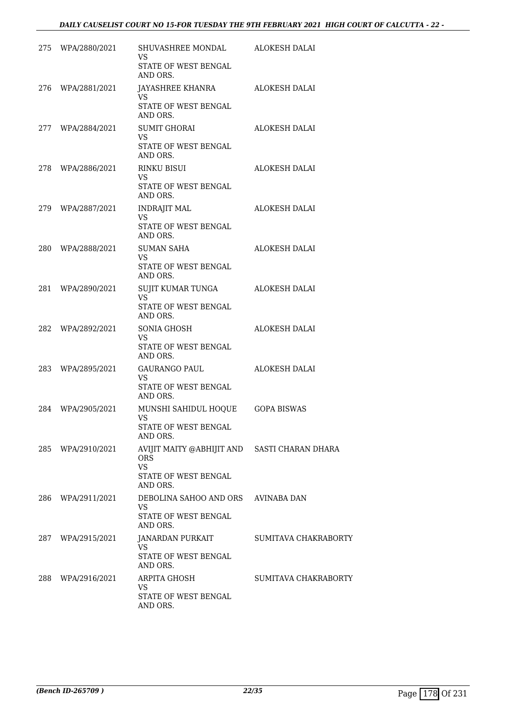|     | 275 WPA/2880/2021 | SHUVASHREE MONDAL<br>VS<br>STATE OF WEST BENGAL<br>AND ORS.                                                 | ALOKESH DALAI        |
|-----|-------------------|-------------------------------------------------------------------------------------------------------------|----------------------|
|     | 276 WPA/2881/2021 | JAYASHREE KHANRA<br><b>VS</b><br>STATE OF WEST BENGAL<br>AND ORS.                                           | ALOKESH DALAI        |
|     | 277 WPA/2884/2021 | <b>SUMIT GHORAI</b><br>VS<br>STATE OF WEST BENGAL<br>AND ORS.                                               | ALOKESH DALAI        |
|     | 278 WPA/2886/2021 | RINKU BISUI<br><b>VS</b><br>STATE OF WEST BENGAL<br>AND ORS.                                                | ALOKESH DALAI        |
|     | 279 WPA/2887/2021 | <b>INDRAJIT MAL</b><br><b>VS</b><br>STATE OF WEST BENGAL<br>AND ORS.                                        | ALOKESH DALAI        |
|     | 280 WPA/2888/2021 | SUMAN SAHA<br><b>VS</b><br>STATE OF WEST BENGAL<br>AND ORS.                                                 | <b>ALOKESH DALAI</b> |
|     | 281 WPA/2890/2021 | SUJIT KUMAR TUNGA<br><b>VS</b><br>STATE OF WEST BENGAL<br>AND ORS.                                          | ALOKESH DALAI        |
| 282 | WPA/2892/2021     | SONIA GHOSH<br><b>VS</b><br>STATE OF WEST BENGAL<br>AND ORS.                                                | <b>ALOKESH DALAI</b> |
| 283 | WPA/2895/2021     | GAURANGO PAUL<br>VS<br>STATE OF WEST BENGAL<br>AND ORS.                                                     | ALOKESH DALAI        |
| 284 | WPA/2905/2021     | MUNSHI SAHIDUL HOQUE<br><b>VS</b><br><b>STATE OF WEST BENGAL</b><br>AND ORS.                                | <b>GOPA BISWAS</b>   |
| 285 | WPA/2910/2021     | AVIJIT MAITY @ABHIJIT AND SASTI CHARAN DHARA<br><b>ORS</b><br><b>VS</b><br>STATE OF WEST BENGAL<br>AND ORS. |                      |
| 286 | WPA/2911/2021     | DEBOLINA SAHOO AND ORS<br><b>VS</b><br><b>STATE OF WEST BENGAL</b><br>AND ORS.                              | AVINABA DAN          |
| 287 | WPA/2915/2021     | JANARDAN PURKAIT<br>VS.<br>STATE OF WEST BENGAL<br>AND ORS.                                                 | SUMITAVA CHAKRABORTY |
| 288 | WPA/2916/2021     | ARPITA GHOSH<br><b>VS</b><br>STATE OF WEST BENGAL<br>AND ORS.                                               | SUMITAVA CHAKRABORTY |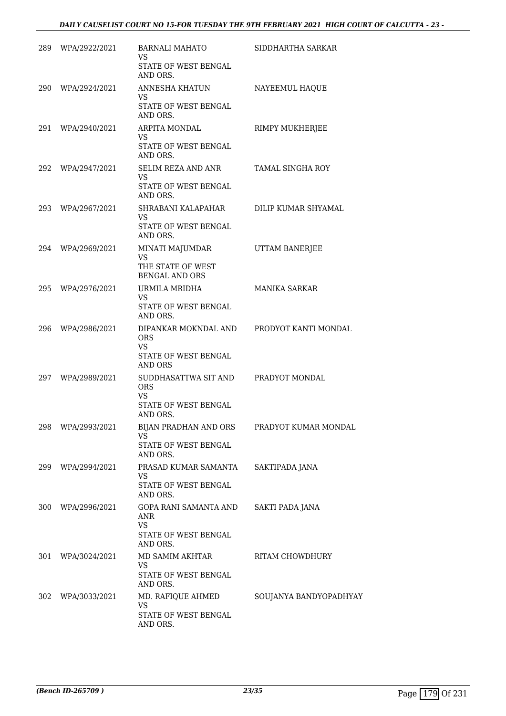| 289. | WPA/2922/2021 | <b>BARNALI MAHATO</b><br>VS<br>STATE OF WEST BENGAL                                  | SIDDHARTHA SARKAR       |
|------|---------------|--------------------------------------------------------------------------------------|-------------------------|
|      |               | AND ORS.                                                                             |                         |
| 290  | WPA/2924/2021 | ANNESHA KHATUN<br>VS<br>STATE OF WEST BENGAL<br>AND ORS.                             | NAYEEMUL HAQUE          |
| 291  | WPA/2940/2021 | <b>ARPITA MONDAL</b><br>VS                                                           | RIMPY MUKHERJEE         |
|      |               | STATE OF WEST BENGAL<br>AND ORS.                                                     |                         |
| 292  | WPA/2947/2021 | SELIM REZA AND ANR<br>VS<br>STATE OF WEST BENGAL<br>AND ORS.                         | <b>TAMAL SINGHA ROY</b> |
| 293  | WPA/2967/2021 | SHRABANI KALAPAHAR<br>VS<br>STATE OF WEST BENGAL<br>AND ORS.                         | DILIP KUMAR SHYAMAL     |
| 294  | WPA/2969/2021 | <b>MINATI MAJUMDAR</b><br><b>VS</b><br>THE STATE OF WEST<br><b>BENGAL AND ORS</b>    | UTTAM BANERJEE          |
| 295  | WPA/2976/2021 | URMILA MRIDHA<br>VS<br>STATE OF WEST BENGAL                                          | <b>MANIKA SARKAR</b>    |
| 296  | WPA/2986/2021 | AND ORS.<br>DIPANKAR MOKNDAL AND<br><b>ORS</b><br>VS<br>STATE OF WEST BENGAL         | PRODYOT KANTI MONDAL    |
| 297  | WPA/2989/2021 | AND ORS<br>SUDDHASATTWA SIT AND<br><b>ORS</b><br><b>VS</b><br>STATE OF WEST BENGAL   | PRADYOT MONDAL          |
| 298  | WPA/2993/2021 | AND ORS.<br>BIJAN PRADHAN AND ORS<br>VS<br>STATE OF WEST BENGAL<br>AND ORS.          | PRADYOT KUMAR MONDAL    |
| 299  | WPA/2994/2021 | PRASAD KUMAR SAMANTA<br><b>VS</b><br>STATE OF WEST BENGAL<br>AND ORS.                | SAKTIPADA JANA          |
| 300  | WPA/2996/2021 | <b>GOPA RANI SAMANTA AND</b><br>ANR<br><b>VS</b><br>STATE OF WEST BENGAL<br>AND ORS. | SAKTI PADA JANA         |
| 301  | WPA/3024/2021 | MD SAMIM AKHTAR<br><b>VS</b><br>STATE OF WEST BENGAL<br>AND ORS.                     | RITAM CHOWDHURY         |
| 302  | WPA/3033/2021 | MD. RAFIQUE AHMED<br>VS<br>STATE OF WEST BENGAL<br>AND ORS.                          | SOUJANYA BANDYOPADHYAY  |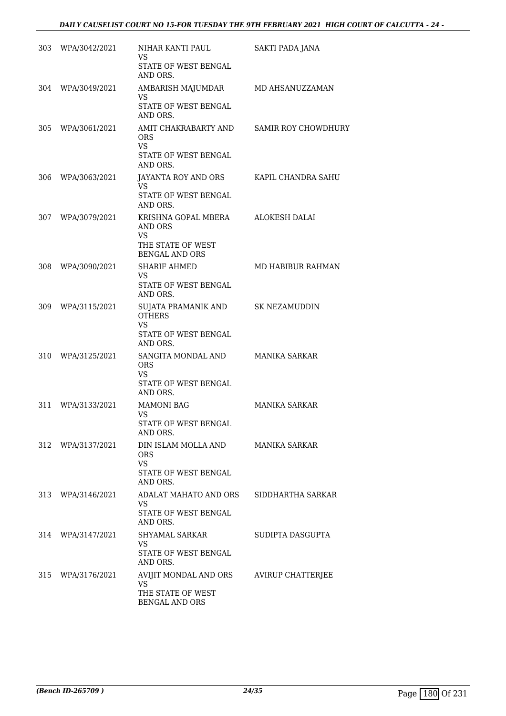|     | 303 WPA/3042/2021 | NIHAR KANTI PAUL<br><b>VS</b><br>STATE OF WEST BENGAL<br>AND ORS.                         | SAKTI PADA JANA            |
|-----|-------------------|-------------------------------------------------------------------------------------------|----------------------------|
|     | 304 WPA/3049/2021 | AMBARISH MAJUMDAR<br>VS<br>STATE OF WEST BENGAL<br>AND ORS.                               | MD AHSANUZZAMAN            |
|     | 305 WPA/3061/2021 | AMIT CHAKRABARTY AND<br>ORS.<br><b>VS</b><br>STATE OF WEST BENGAL<br>AND ORS.             | <b>SAMIR ROY CHOWDHURY</b> |
| 306 | WPA/3063/2021     | JAYANTA ROY AND ORS<br>VS.<br>STATE OF WEST BENGAL<br>AND ORS.                            | KAPIL CHANDRA SAHU         |
| 307 | WPA/3079/2021     | KRISHNA GOPAL MBERA<br>AND ORS<br><b>VS</b><br>THE STATE OF WEST<br><b>BENGAL AND ORS</b> | ALOKESH DALAI              |
| 308 | WPA/3090/2021     | <b>SHARIF AHMED</b><br>VS<br>STATE OF WEST BENGAL<br>AND ORS.                             | MD HABIBUR RAHMAN          |
| 309 | WPA/3115/2021     | SUJATA PRAMANIK AND<br><b>OTHERS</b><br>VS.<br>STATE OF WEST BENGAL<br>AND ORS.           | <b>SK NEZAMUDDIN</b>       |
| 310 | WPA/3125/2021     | SANGITA MONDAL AND<br><b>ORS</b><br><b>VS</b><br>STATE OF WEST BENGAL<br>AND ORS.         | <b>MANIKA SARKAR</b>       |
| 311 | WPA/3133/2021     | <b>MAMONI BAG</b><br>VS<br>STATE OF WEST BENGAL<br>AND ORS.                               | <b>MANIKA SARKAR</b>       |
|     | 312 WPA/3137/2021 | DIN ISLAM MOLLA AND<br>ORS.<br><b>VS</b><br>STATE OF WEST BENGAL<br>AND ORS.              | <b>MANIKA SARKAR</b>       |
|     | 313 WPA/3146/2021 | ADALAT MAHATO AND ORS<br><b>VS</b><br>STATE OF WEST BENGAL<br>AND ORS.                    | SIDDHARTHA SARKAR          |
|     | 314 WPA/3147/2021 | SHYAMAL SARKAR<br><b>VS</b><br>STATE OF WEST BENGAL<br>AND ORS.                           | SUDIPTA DASGUPTA           |
|     | 315 WPA/3176/2021 | AVIJIT MONDAL AND ORS<br><b>VS</b><br>THE STATE OF WEST<br><b>BENGAL AND ORS</b>          | <b>AVIRUP CHATTERJEE</b>   |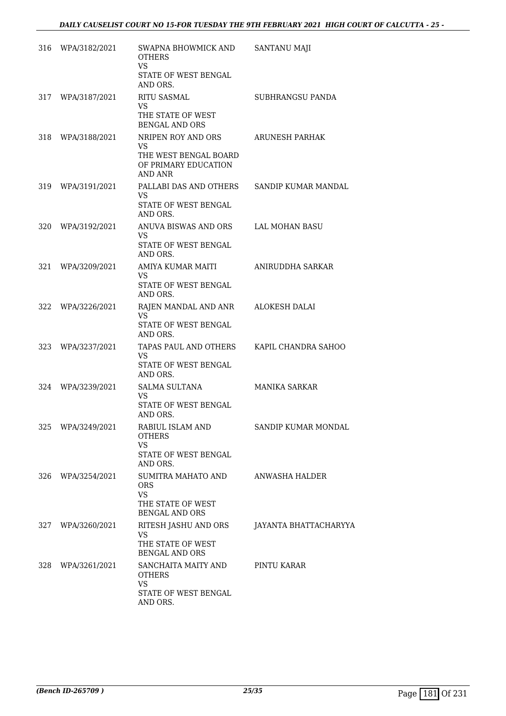| 316 | WPA/3182/2021     | SWAPNA BHOWMICK AND<br><b>OTHERS</b><br><b>VS</b><br>STATE OF WEST BENGAL<br>AND ORS.        | SANTANU MAJI          |
|-----|-------------------|----------------------------------------------------------------------------------------------|-----------------------|
| 317 | WPA/3187/2021     | <b>RITU SASMAL</b><br>VS<br>THE STATE OF WEST<br><b>BENGAL AND ORS</b>                       | SUBHRANGSU PANDA      |
| 318 | WPA/3188/2021     | NRIPEN ROY AND ORS<br>VS.<br>THE WEST BENGAL BOARD<br>OF PRIMARY EDUCATION<br><b>AND ANR</b> | <b>ARUNESH PARHAK</b> |
| 319 | WPA/3191/2021     | PALLABI DAS AND OTHERS<br>VS.<br>STATE OF WEST BENGAL<br>AND ORS.                            | SANDIP KUMAR MANDAL   |
| 320 | WPA/3192/2021     | ANUVA BISWAS AND ORS<br>VS<br>STATE OF WEST BENGAL<br>AND ORS.                               | <b>LAL MOHAN BASU</b> |
| 321 | WPA/3209/2021     | AMIYA KUMAR MAITI<br><b>VS</b><br>STATE OF WEST BENGAL<br>AND ORS.                           | ANIRUDDHA SARKAR      |
| 322 | WPA/3226/2021     | RAJEN MANDAL AND ANR<br><b>VS</b><br>STATE OF WEST BENGAL<br>AND ORS.                        | <b>ALOKESH DALAI</b>  |
| 323 | WPA/3237/2021     | TAPAS PAUL AND OTHERS<br><b>VS</b><br>STATE OF WEST BENGAL<br>AND ORS.                       | KAPIL CHANDRA SAHOO   |
| 324 | WPA/3239/2021     | <b>SALMA SULTANA</b><br><b>VS</b><br>STATE OF WEST BENGAL<br>AND ORS.                        | <b>MANIKA SARKAR</b>  |
|     | 325 WPA/3249/2021 | RABIUL ISLAM AND<br><b>OTHERS</b><br><b>VS</b><br>STATE OF WEST BENGAL<br>AND ORS.           | SANDIP KUMAR MONDAL   |
| 326 | WPA/3254/2021     | SUMITRA MAHATO AND<br><b>ORS</b><br><b>VS</b><br>THE STATE OF WEST<br><b>BENGAL AND ORS</b>  | ANWASHA HALDER        |
| 327 | WPA/3260/2021     | RITESH JASHU AND ORS<br><b>VS</b><br>THE STATE OF WEST<br><b>BENGAL AND ORS</b>              | JAYANTA BHATTACHARYYA |
|     | 328 WPA/3261/2021 | SANCHAITA MAITY AND<br><b>OTHERS</b><br><b>VS</b><br>STATE OF WEST BENGAL<br>AND ORS.        | PINTU KARAR           |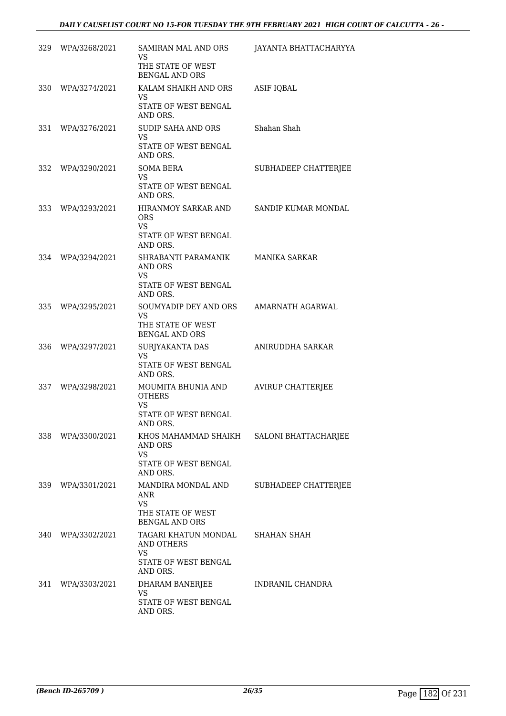| 329 | WPA/3268/2021 | <b>SAMIRAN MAL AND ORS</b><br>VS<br>THE STATE OF WEST<br>BENGAL AND ORS                 | JAYANTA BHATTACHARYYA      |
|-----|---------------|-----------------------------------------------------------------------------------------|----------------------------|
| 330 | WPA/3274/2021 | KALAM SHAIKH AND ORS<br><b>VS</b><br>STATE OF WEST BENGAL<br>AND ORS.                   | <b>ASIF IQBAL</b>          |
| 331 | WPA/3276/2021 | <b>SUDIP SAHA AND ORS</b><br>VS<br>STATE OF WEST BENGAL<br>AND ORS.                     | Shahan Shah                |
| 332 | WPA/3290/2021 | <b>SOMA BERA</b><br><b>VS</b><br>STATE OF WEST BENGAL<br>AND ORS.                       | SUBHADEEP CHATTERJEE       |
| 333 | WPA/3293/2021 | HIRANMOY SARKAR AND<br><b>ORS</b><br><b>VS</b><br>STATE OF WEST BENGAL<br>AND ORS.      | <b>SANDIP KUMAR MONDAL</b> |
| 334 | WPA/3294/2021 | SHRABANTI PARAMANIK<br><b>AND ORS</b><br>VS<br>STATE OF WEST BENGAL<br>AND ORS.         | <b>MANIKA SARKAR</b>       |
| 335 | WPA/3295/2021 | SOUMYADIP DEY AND ORS<br><b>VS</b><br>THE STATE OF WEST<br><b>BENGAL AND ORS</b>        | AMARNATH AGARWAL           |
| 336 | WPA/3297/2021 | SURJYAKANTA DAS<br>VS<br>STATE OF WEST BENGAL<br>AND ORS.                               | ANIRUDDHA SARKAR           |
| 337 | WPA/3298/2021 | MOUMITA BHUNIA AND<br><b>OTHERS</b><br><b>VS</b><br>STATE OF WEST BENGAL<br>AND ORS.    | <b>AVIRUP CHATTERJEE</b>   |
| 338 | WPA/3300/2021 | KHOS MAHAMMAD SHAIKH<br><b>AND ORS</b><br><b>VS</b><br>STATE OF WEST BENGAL<br>AND ORS. | SALONI BHATTACHARJEE       |
| 339 | WPA/3301/2021 | MANDIRA MONDAL AND<br>ANR<br><b>VS</b><br>THE STATE OF WEST<br><b>BENGAL AND ORS</b>    | SUBHADEEP CHATTERJEE       |
| 340 | WPA/3302/2021 | TAGARI KHATUN MONDAL<br>AND OTHERS<br><b>VS</b><br>STATE OF WEST BENGAL<br>AND ORS.     | SHAHAN SHAH                |
| 341 | WPA/3303/2021 | DHARAM BANERJEE<br>VS<br>STATE OF WEST BENGAL<br>AND ORS.                               | INDRANIL CHANDRA           |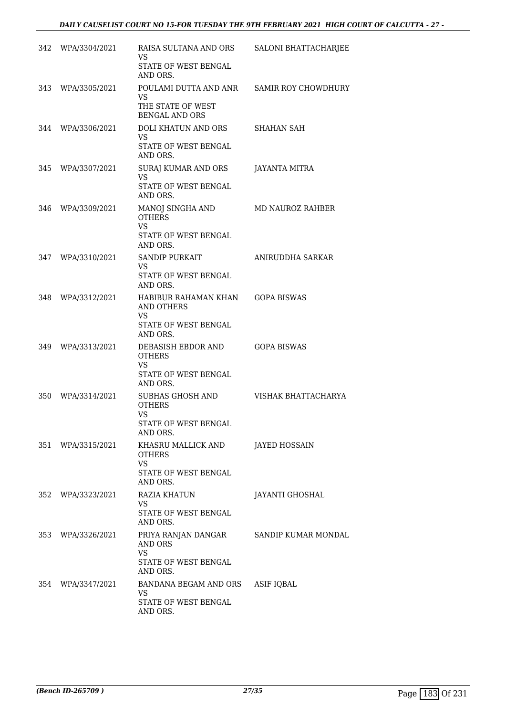| 342 | WPA/3304/2021     | RAISA SULTANA AND ORS<br>VS<br>STATE OF WEST BENGAL<br>AND ORS.                            | SALONI BHATTACHARJEE       |
|-----|-------------------|--------------------------------------------------------------------------------------------|----------------------------|
| 343 | WPA/3305/2021     | POULAMI DUTTA AND ANR<br>VS<br>THE STATE OF WEST<br><b>BENGAL AND ORS</b>                  | <b>SAMIR ROY CHOWDHURY</b> |
| 344 | WPA/3306/2021     | DOLI KHATUN AND ORS<br>VS<br><b>STATE OF WEST BENGAL</b><br>AND ORS.                       | <b>SHAHAN SAH</b>          |
| 345 | WPA/3307/2021     | SURAJ KUMAR AND ORS<br><b>VS</b><br>STATE OF WEST BENGAL<br>AND ORS.                       | JAYANTA MITRA              |
| 346 | WPA/3309/2021     | MANOJ SINGHA AND<br><b>OTHERS</b><br><b>VS</b><br>STATE OF WEST BENGAL<br>AND ORS.         | MD NAUROZ RAHBER           |
| 347 | WPA/3310/2021     | <b>SANDIP PURKAIT</b><br><b>VS</b><br>STATE OF WEST BENGAL<br>AND ORS.                     | ANIRUDDHA SARKAR           |
| 348 | WPA/3312/2021     | HABIBUR RAHAMAN KHAN<br><b>AND OTHERS</b><br><b>VS</b><br>STATE OF WEST BENGAL<br>AND ORS. | <b>GOPA BISWAS</b>         |
| 349 | WPA/3313/2021     | DEBASISH EBDOR AND<br><b>OTHERS</b><br>VS.<br>STATE OF WEST BENGAL<br>AND ORS.             | <b>GOPA BISWAS</b>         |
| 350 | WPA/3314/2021     | SUBHAS GHOSH AND<br><b>OTHERS</b><br><b>VS</b><br>STATE OF WEST BENGAL<br>AND ORS.         | VISHAK BHATTACHARYA        |
| 351 | WPA/3315/2021     | KHASRU MALLICK AND<br><b>OTHERS</b><br><b>VS</b><br>STATE OF WEST BENGAL<br>AND ORS.       | <b>JAYED HOSSAIN</b>       |
| 352 | WPA/3323/2021     | <b>RAZIA KHATUN</b><br><b>VS</b><br>STATE OF WEST BENGAL<br>AND ORS.                       | JAYANTI GHOSHAL            |
| 353 | WPA/3326/2021     | PRIYA RANJAN DANGAR<br>AND ORS<br><b>VS</b><br>STATE OF WEST BENGAL<br>AND ORS.            | SANDIP KUMAR MONDAL        |
|     | 354 WPA/3347/2021 | BANDANA BEGAM AND ORS<br>VS.<br>STATE OF WEST BENGAL<br>AND ORS.                           | ASIF IQBAL                 |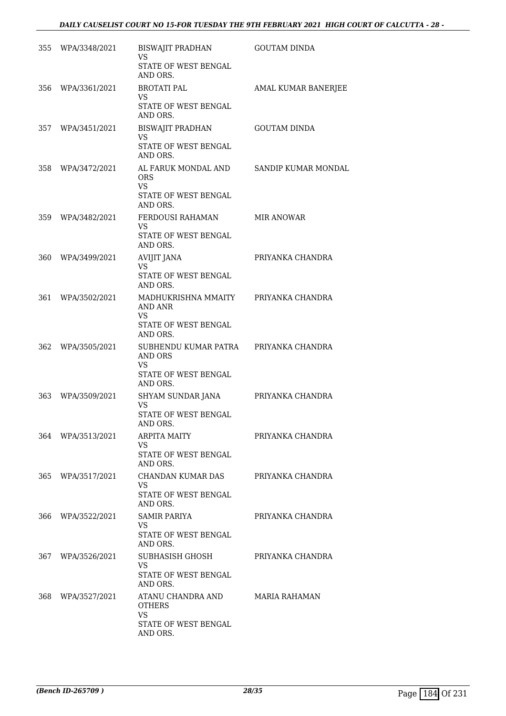|       | 355 WPA/3348/2021 | BISWAJIT PRADHAN<br><b>VS</b><br>STATE OF WEST BENGAL                               | <b>GOUTAM DINDA</b>  |
|-------|-------------------|-------------------------------------------------------------------------------------|----------------------|
|       | 356 WPA/3361/2021 | AND ORS.<br><b>BROTATI PAL</b><br>VS<br>STATE OF WEST BENGAL<br>AND ORS.            | AMAL KUMAR BANERJEE  |
|       | 357 WPA/3451/2021 | BISWAJIT PRADHAN<br>VS<br>STATE OF WEST BENGAL<br>AND ORS.                          | <b>GOUTAM DINDA</b>  |
| 358   | WPA/3472/2021     | AL FARUK MONDAL AND<br>ORS.<br>VS.<br>STATE OF WEST BENGAL<br>AND ORS.              | SANDIP KUMAR MONDAL  |
| 359 - | WPA/3482/2021     | FERDOUSI RAHAMAN<br>VS.<br>STATE OF WEST BENGAL<br>AND ORS.                         | <b>MIR ANOWAR</b>    |
| 360   | WPA/3499/2021     | <b>AVIJIT JANA</b><br><b>VS</b><br>STATE OF WEST BENGAL<br>AND ORS.                 | PRIYANKA CHANDRA     |
| 361   | WPA/3502/2021     | MADHUKRISHNA MMAITY<br>AND ANR<br><b>VS</b><br>STATE OF WEST BENGAL<br>AND ORS.     | PRIYANKA CHANDRA     |
| 362.  | WPA/3505/2021     | SUBHENDU KUMAR PATRA<br>AND ORS<br>VS<br>STATE OF WEST BENGAL<br>AND ORS.           | PRIYANKA CHANDRA     |
| 363   | WPA/3509/2021     | SHYAM SUNDAR JANA<br><b>VS</b><br>STATE OF WEST BENGAL<br>AND ORS.                  | PRIYANKA CHANDRA     |
| 364 - | WPA/3513/2021     | <b>ARPITA MAITY</b><br>VS.<br>STATE OF WEST BENGAL<br>AND ORS.                      | PRIYANKA CHANDRA     |
| 365   | WPA/3517/2021     | CHANDAN KUMAR DAS<br><b>VS</b><br>STATE OF WEST BENGAL<br>AND ORS.                  | PRIYANKA CHANDRA     |
| 366   | WPA/3522/2021     | <b>SAMIR PARIYA</b><br>VS<br>STATE OF WEST BENGAL<br>AND ORS.                       | PRIYANKA CHANDRA     |
| 367 - | WPA/3526/2021     | SUBHASISH GHOSH<br><b>VS</b><br>STATE OF WEST BENGAL<br>AND ORS.                    | PRIYANKA CHANDRA     |
| 368.  | WPA/3527/2021     | ATANU CHANDRA AND<br><b>OTHERS</b><br><b>VS</b><br>STATE OF WEST BENGAL<br>AND ORS. | <b>MARIA RAHAMAN</b> |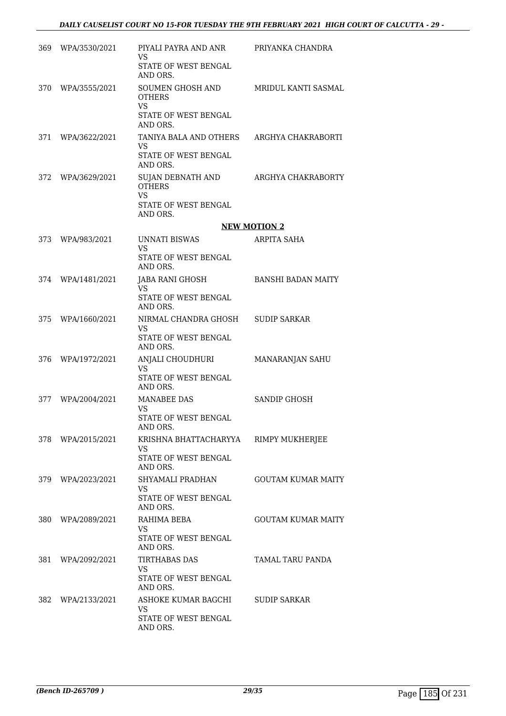|      | 369 WPA/3530/2021 | PIYALI PAYRA AND ANR<br><b>VS</b><br>STATE OF WEST BENGAL<br>AND ORS.               | PRIYANKA CHANDRA          |
|------|-------------------|-------------------------------------------------------------------------------------|---------------------------|
|      | 370 WPA/3555/2021 | SOUMEN GHOSH AND<br><b>OTHERS</b><br><b>VS</b><br>STATE OF WEST BENGAL<br>AND ORS.  | MRIDUL KANTI SASMAL       |
| 371  | WPA/3622/2021     | TANIYA BALA AND OTHERS<br><b>VS</b><br>STATE OF WEST BENGAL<br>AND ORS.             | ARGHYA CHAKRABORTI        |
| 372  | WPA/3629/2021     | SUJAN DEBNATH AND<br><b>OTHERS</b><br><b>VS</b><br>STATE OF WEST BENGAL<br>AND ORS. | ARGHYA CHAKRABORTY        |
|      |                   |                                                                                     | <b>NEW MOTION 2</b>       |
| 373  | WPA/983/2021      | UNNATI BISWAS<br><b>VS</b><br><b>STATE OF WEST BENGAL</b>                           | <b>ARPITA SAHA</b>        |
|      |                   | AND ORS.                                                                            |                           |
|      | 374 WPA/1481/2021 | JABA RANI GHOSH<br>VS.<br>STATE OF WEST BENGAL<br>AND ORS.                          | <b>BANSHI BADAN MAITY</b> |
| 375  | WPA/1660/2021     | NIRMAL CHANDRA GHOSH<br>VS<br>STATE OF WEST BENGAL<br>AND ORS.                      | <b>SUDIP SARKAR</b>       |
| 376  | WPA/1972/2021     | ANJALI CHOUDHURI<br>VS.<br>STATE OF WEST BENGAL<br>AND ORS.                         | MANARANJAN SAHU           |
| 377  | WPA/2004/2021     | <b>MANABEE DAS</b><br><b>VS</b><br>STATE OF WEST BENGAL                             | <b>SANDIP GHOSH</b>       |
|      | 378 WPA/2015/2021 | AND ORS.<br>KRISHNA BHATTACHARYYA<br>VS<br>STATE OF WEST BENGAL<br>AND ORS.         | RIMPY MUKHERJEE           |
|      | 379 WPA/2023/2021 | SHYAMALI PRADHAN<br><b>VS</b><br>STATE OF WEST BENGAL<br>AND ORS.                   | <b>GOUTAM KUMAR MAITY</b> |
| 380- | WPA/2089/2021     | RAHIMA BEBA<br>VS.<br>STATE OF WEST BENGAL<br>AND ORS.                              | GOUTAM KUMAR MAITY        |
| 381  | WPA/2092/2021     | TIRTHABAS DAS<br>VS.<br>STATE OF WEST BENGAL<br>AND ORS.                            | TAMAL TARU PANDA          |
|      | 382 WPA/2133/2021 | ASHOKE KUMAR BAGCHI<br><b>VS</b><br>STATE OF WEST BENGAL<br>AND ORS.                | SUDIP SARKAR              |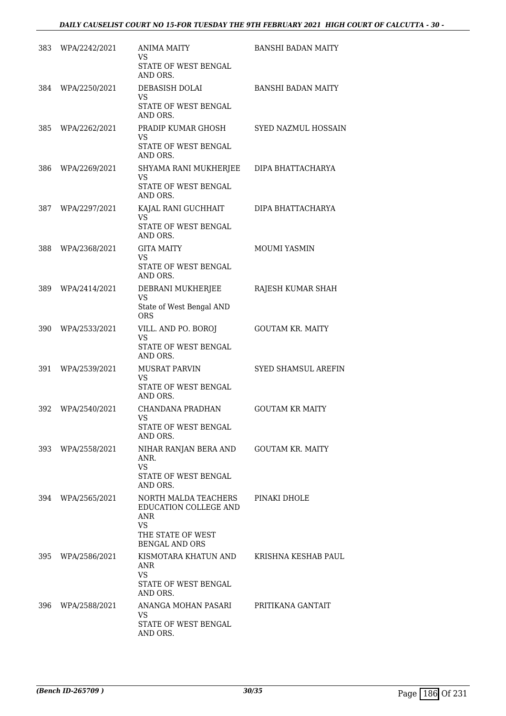| 383   | WPA/2242/2021     | <b>ANIMA MAITY</b><br>VS<br>STATE OF WEST BENGAL<br>AND ORS.                                          | <b>BANSHI BADAN MAITY</b>  |
|-------|-------------------|-------------------------------------------------------------------------------------------------------|----------------------------|
| 384   | WPA/2250/2021     | DEBASISH DOLAI<br><b>VS</b><br>STATE OF WEST BENGAL<br>AND ORS.                                       | <b>BANSHI BADAN MAITY</b>  |
| 385   | WPA/2262/2021     | PRADIP KUMAR GHOSH<br>VS<br>STATE OF WEST BENGAL<br>AND ORS.                                          | SYED NAZMUL HOSSAIN        |
| 386   | WPA/2269/2021     | SHYAMA RANI MUKHERJEE<br><b>VS</b><br>STATE OF WEST BENGAL<br>AND ORS.                                | DIPA BHATTACHARYA          |
| 387   | WPA/2297/2021     | KAJAL RANI GUCHHAIT<br><b>VS</b><br><b>STATE OF WEST BENGAL</b><br>AND ORS.                           | DIPA BHATTACHARYA          |
| 388   | WPA/2368/2021     | <b>GITA MAITY</b><br><b>VS</b><br>STATE OF WEST BENGAL<br>AND ORS.                                    | <b>MOUMI YASMIN</b>        |
| 389   | WPA/2414/2021     | DEBRANI MUKHERJEE<br><b>VS</b><br>State of West Bengal AND<br><b>ORS</b>                              | RAJESH KUMAR SHAH          |
| 390   | WPA/2533/2021     | VILL. AND PO. BOROJ<br><b>VS</b><br>STATE OF WEST BENGAL<br>AND ORS.                                  | <b>GOUTAM KR. MAITY</b>    |
| 391   | WPA/2539/2021     | <b>MUSRAT PARVIN</b><br>VS<br>STATE OF WEST BENGAL<br>AND ORS.                                        | <b>SYED SHAMSUL AREFIN</b> |
| 392   | WPA/2540/2021     | CHANDANA PRADHAN<br><b>VS</b><br>STATE OF WEST BENGAL<br>AND ORS.                                     | <b>GOUTAM KR MAITY</b>     |
|       | 393 WPA/2558/2021 | NIHAR RANJAN BERA AND<br>ANR.<br><b>VS</b><br><b>STATE OF WEST BENGAL</b><br>AND ORS.                 | <b>GOUTAM KR. MAITY</b>    |
| 394   | WPA/2565/2021     | NORTH MALDA TEACHERS<br>EDUCATION COLLEGE AND<br>ANR<br><b>VS</b><br>THE STATE OF WEST                | PINAKI DHOLE               |
| 395 - | WPA/2586/2021     | <b>BENGAL AND ORS</b><br>KISMOTARA KHATUN AND<br>ANR<br><b>VS</b><br>STATE OF WEST BENGAL<br>AND ORS. | KRISHNA KESHAB PAUL        |
| 396-  | WPA/2588/2021     | ANANGA MOHAN PASARI<br><b>VS</b><br>STATE OF WEST BENGAL<br>AND ORS.                                  | PRITIKANA GANTAIT          |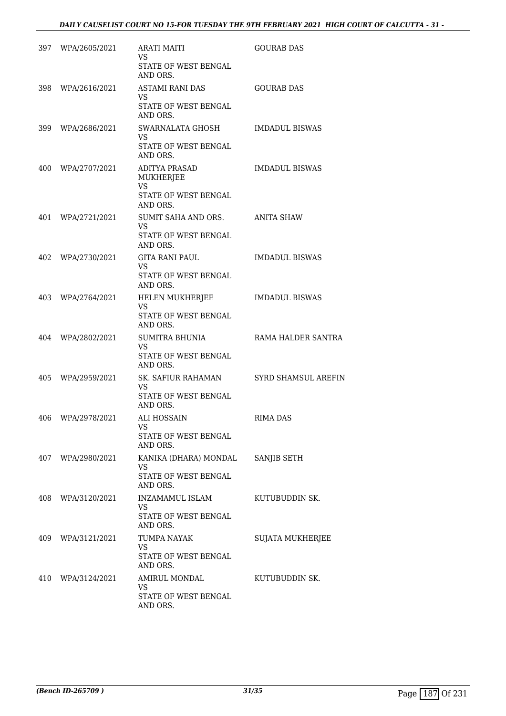|      | 397 WPA/2605/2021 | <b>ARATI MAITI</b><br>VS.<br>STATE OF WEST BENGAL<br>AND ORS.                      | <b>GOURAB DAS</b>          |
|------|-------------------|------------------------------------------------------------------------------------|----------------------------|
| 398  | WPA/2616/2021     | <b>ASTAMI RANI DAS</b><br>VS.<br>STATE OF WEST BENGAL<br>AND ORS.                  | <b>GOURAB DAS</b>          |
|      | 399 WPA/2686/2021 | SWARNALATA GHOSH<br>VS.<br>STATE OF WEST BENGAL<br>AND ORS.                        | <b>IMDADUL BISWAS</b>      |
| 400  | WPA/2707/2021     | ADITYA PRASAD<br><b>MUKHERJEE</b><br><b>VS</b><br>STATE OF WEST BENGAL<br>AND ORS. | <b>IMDADUL BISWAS</b>      |
| 401  | WPA/2721/2021     | SUMIT SAHA AND ORS.<br><b>VS</b><br>STATE OF WEST BENGAL<br>AND ORS.               | ANITA SHAW                 |
| 402  | WPA/2730/2021     | GITA RANI PAUL<br><b>VS</b><br>STATE OF WEST BENGAL<br>AND ORS.                    | <b>IMDADUL BISWAS</b>      |
| 403  | WPA/2764/2021     | HELEN MUKHERJEE<br><b>VS</b><br>STATE OF WEST BENGAL<br>AND ORS.                   | <b>IMDADUL BISWAS</b>      |
| 404  | WPA/2802/2021     | SUMITRA BHUNIA<br>VS.<br>STATE OF WEST BENGAL<br>AND ORS.                          | RAMA HALDER SANTRA         |
| 405  | WPA/2959/2021     | SK. SAFIUR RAHAMAN<br><b>VS</b><br>STATE OF WEST BENGAL<br>AND ORS.                | <b>SYRD SHAMSUL AREFIN</b> |
| 406  | WPA/2978/2021     | <b>ALI HOSSAIN</b><br><b>VS</b><br>STATE OF WEST BENGAL<br>AND ORS.                | RIMA DAS                   |
| 407  | WPA/2980/2021     | KANIKA (DHARA) MONDAL<br>VS<br><b>STATE OF WEST BENGAL</b><br>AND ORS.             | SANJIB SETH                |
| 408  | WPA/3120/2021     | INZAMAMUL ISLAM<br><b>VS</b><br>STATE OF WEST BENGAL<br>AND ORS.                   | KUTUBUDDIN SK.             |
| 409. | WPA/3121/2021     | TUMPA NAYAK<br>VS<br>STATE OF WEST BENGAL<br>AND ORS.                              | <b>SUJATA MUKHERJEE</b>    |
| 410  | WPA/3124/2021     | AMIRUL MONDAL<br><b>VS</b><br>STATE OF WEST BENGAL<br>AND ORS.                     | KUTUBUDDIN SK.             |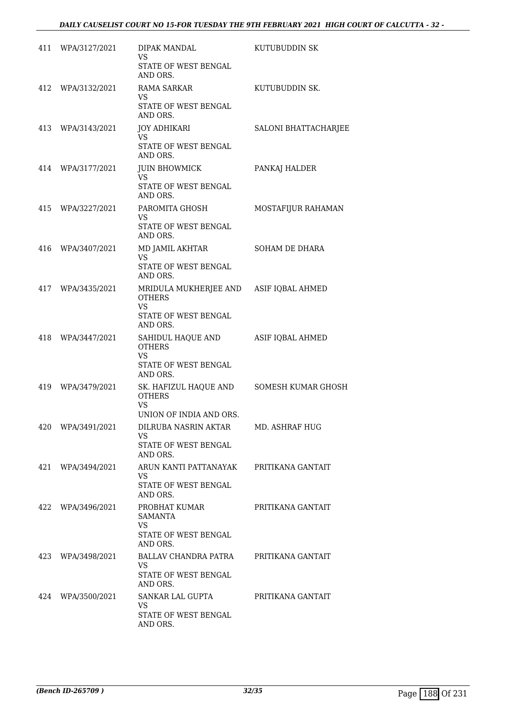|     | 411 WPA/3127/2021 | DIPAK MANDAL<br>VS                                                                    | KUTUBUDDIN SK        |
|-----|-------------------|---------------------------------------------------------------------------------------|----------------------|
|     |                   | STATE OF WEST BENGAL<br>AND ORS.                                                      |                      |
|     | 412 WPA/3132/2021 | <b>RAMA SARKAR</b><br>VS<br>STATE OF WEST BENGAL<br>AND ORS.                          | KUTUBUDDIN SK.       |
|     | 413 WPA/3143/2021 | JOY ADHIKARI<br>VS.<br>STATE OF WEST BENGAL                                           | SALONI BHATTACHARJEE |
|     |                   | AND ORS.                                                                              |                      |
|     | 414 WPA/3177/2021 | <b>JUIN BHOWMICK</b><br><b>VS</b><br>STATE OF WEST BENGAL<br>AND ORS.                 | PANKAJ HALDER        |
|     | 415 WPA/3227/2021 | PAROMITA GHOSH<br>VS.<br>STATE OF WEST BENGAL<br>AND ORS.                             | MOSTAFIJUR RAHAMAN   |
|     | 416 WPA/3407/2021 | MD JAMIL AKHTAR<br><b>VS</b><br>STATE OF WEST BENGAL<br>AND ORS.                      | SOHAM DE DHARA       |
|     | 417 WPA/3435/2021 | MRIDULA MUKHERJEE AND ASIF IQBAL AHMED<br><b>OTHERS</b><br>VS<br>STATE OF WEST BENGAL |                      |
| 418 | WPA/3447/2021     | AND ORS.<br>SAHIDUL HAQUE AND<br><b>OTHERS</b><br>VS.<br>STATE OF WEST BENGAL         | ASIF IQBAL AHMED     |
| 419 | WPA/3479/2021     | AND ORS.<br>SK. HAFIZUL HAQUE AND<br><b>OTHERS</b><br>VS                              | SOMESH KUMAR GHOSH   |
|     | 420 WPA/3491/2021 | UNION OF INDIA AND ORS.<br>DILRUBA NASRIN AKTAR<br>VS.<br>STATE OF WEST BENGAL        | MD. ASHRAF HUG       |
| 421 | WPA/3494/2021     | AND ORS.<br>ARUN KANTI PATTANAYAK<br>VS.<br>STATE OF WEST BENGAL<br>AND ORS.          | PRITIKANA GANTAIT    |
| 422 | WPA/3496/2021     | PROBHAT KUMAR<br><b>SAMANTA</b><br><b>VS</b><br>STATE OF WEST BENGAL<br>AND ORS.      | PRITIKANA GANTAIT    |
| 423 | WPA/3498/2021     | BALLAV CHANDRA PATRA<br><b>VS</b><br>STATE OF WEST BENGAL<br>AND ORS.                 | PRITIKANA GANTAIT    |
|     | 424 WPA/3500/2021 | SANKAR LAL GUPTA<br><b>VS</b><br>STATE OF WEST BENGAL<br>AND ORS.                     | PRITIKANA GANTAIT    |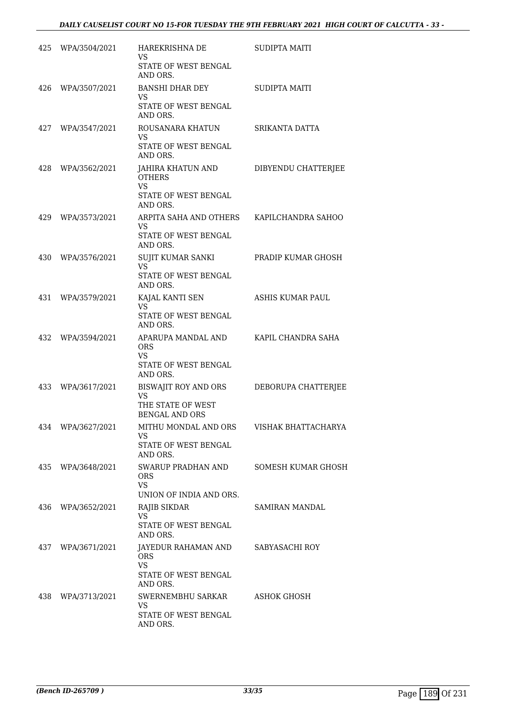|     | 425 WPA/3504/2021 | HAREKRISHNA DE<br>VS<br>STATE OF WEST BENGAL<br>AND ORS.                            | <b>SUDIPTA MAITI</b>      |
|-----|-------------------|-------------------------------------------------------------------------------------|---------------------------|
| 426 | WPA/3507/2021     | BANSHI DHAR DEY<br>VS<br>STATE OF WEST BENGAL<br>AND ORS.                           | SUDIPTA MAITI             |
|     | 427 WPA/3547/2021 | ROUSANARA KHATUN<br>VS<br>STATE OF WEST BENGAL                                      | SRIKANTA DATTA            |
| 428 | WPA/3562/2021     | AND ORS.<br>JAHIRA KHATUN AND<br><b>OTHERS</b><br><b>VS</b><br>STATE OF WEST BENGAL | DIBYENDU CHATTERJEE       |
| 429 | WPA/3573/2021     | AND ORS.<br>ARPITA SAHA AND OTHERS<br>VS<br>STATE OF WEST BENGAL                    | KAPILCHANDRA SAHOO        |
| 430 | WPA/3576/2021     | AND ORS.<br>SUJIT KUMAR SANKI<br><b>VS</b><br>STATE OF WEST BENGAL                  | PRADIP KUMAR GHOSH        |
| 431 | WPA/3579/2021     | AND ORS.<br>KAJAL KANTI SEN<br><b>VS</b><br>STATE OF WEST BENGAL                    | ASHIS KUMAR PAUL          |
| 432 | WPA/3594/2021     | AND ORS.<br>APARUPA MANDAL AND<br><b>ORS</b><br>VS<br>STATE OF WEST BENGAL          | KAPIL CHANDRA SAHA        |
| 433 | WPA/3617/2021     | AND ORS.<br>BISWAJIT ROY AND ORS<br><b>VS</b><br>THE STATE OF WEST                  | DEBORUPA CHATTERJEE       |
|     | 434 WPA/3627/2021 | <b>BENGAL AND ORS</b><br>MITHU MONDAL AND ORS<br>VS<br>STATE OF WEST BENGAL         | VISHAK BHATTACHARYA       |
| 435 | WPA/3648/2021     | AND ORS.<br>SWARUP PRADHAN AND<br><b>ORS</b><br><b>VS</b>                           | <b>SOMESH KUMAR GHOSH</b> |
| 436 | WPA/3652/2021     | UNION OF INDIA AND ORS.<br>RAJIB SIKDAR<br><b>VS</b><br><b>STATE OF WEST BENGAL</b> | SAMIRAN MANDAL            |
| 437 | WPA/3671/2021     | AND ORS.<br>JAYEDUR RAHAMAN AND<br><b>ORS</b><br><b>VS</b><br>STATE OF WEST BENGAL  | SABYASACHI ROY            |
| 438 | WPA/3713/2021     | AND ORS.<br>SWERNEMBHU SARKAR<br><b>VS</b><br>STATE OF WEST BENGAL<br>AND ORS.      | ASHOK GHOSH               |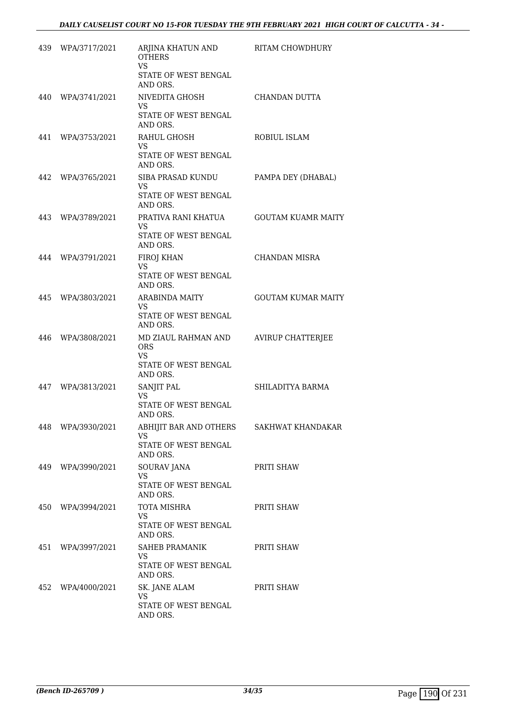|     | 439 WPA/3717/2021 | ARJINA KHATUN AND<br><b>OTHERS</b><br><b>VS</b><br>STATE OF WEST BENGAL<br>AND ORS. | RITAM CHOWDHURY           |
|-----|-------------------|-------------------------------------------------------------------------------------|---------------------------|
| 440 | WPA/3741/2021     | NIVEDITA GHOSH<br>VS<br>STATE OF WEST BENGAL<br>AND ORS.                            | CHANDAN DUTTA             |
| 441 | WPA/3753/2021     | RAHUL GHOSH<br>VS.<br>STATE OF WEST BENGAL<br>AND ORS.                              | ROBIUL ISLAM              |
| 442 | WPA/3765/2021     | SIBA PRASAD KUNDU<br>VS.<br>STATE OF WEST BENGAL<br>AND ORS.                        | PAMPA DEY (DHABAL)        |
| 443 | WPA/3789/2021     | PRATIVA RANI KHATUA<br>VS<br><b>STATE OF WEST BENGAL</b><br>AND ORS.                | <b>GOUTAM KUAMR MAITY</b> |
| 444 | WPA/3791/2021     | FIROJ KHAN<br>VS<br><b>STATE OF WEST BENGAL</b><br>AND ORS.                         | <b>CHANDAN MISRA</b>      |
| 445 | WPA/3803/2021     | <b>ARABINDA MAITY</b><br>VS<br>STATE OF WEST BENGAL<br>AND ORS.                     | <b>GOUTAM KUMAR MAITY</b> |
| 446 | WPA/3808/2021     | MD ZIAUL RAHMAN AND<br><b>ORS</b><br>VS<br>STATE OF WEST BENGAL<br>AND ORS.         | <b>AVIRUP CHATTERJEE</b>  |
| 447 | WPA/3813/2021     | SANJIT PAL<br><b>VS</b><br>STATE OF WEST BENGAL<br>AND ORS.                         | SHILADITYA BARMA          |
|     | 448 WPA/3930/2021 | ABHIJIT BAR AND OTHERS<br>VS<br>STATE OF WEST BENGAL<br>AND ORS.                    | SAKHWAT KHANDAKAR         |
| 449 | WPA/3990/2021     | SOURAV JANA<br><b>VS</b><br>STATE OF WEST BENGAL<br>AND ORS.                        | PRITI SHAW                |
|     | 450 WPA/3994/2021 | TOTA MISHRA<br>VS<br>STATE OF WEST BENGAL<br>AND ORS.                               | PRITI SHAW                |
| 451 | WPA/3997/2021     | SAHEB PRAMANIK<br>VS<br>STATE OF WEST BENGAL<br>AND ORS.                            | PRITI SHAW                |
| 452 | WPA/4000/2021     | SK. JANE ALAM<br>VS.<br>STATE OF WEST BENGAL<br>AND ORS.                            | PRITI SHAW                |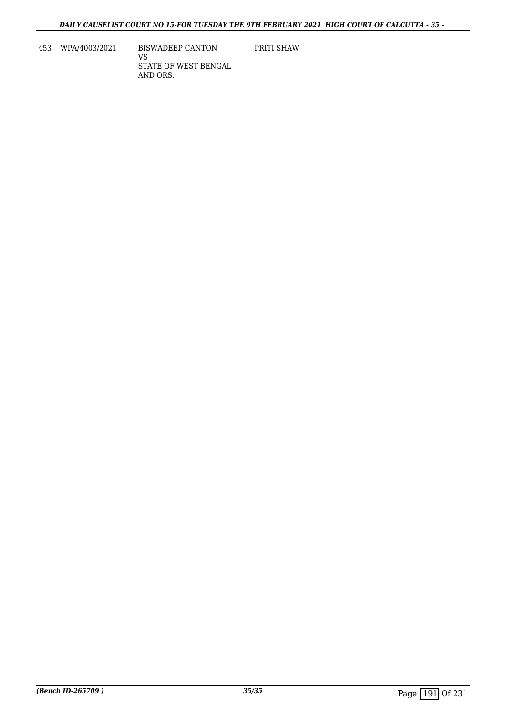453 WPA/4003/2021 BISWADEEP CANTON VS STATE OF WEST BENGAL AND ORS.

PRITI SHAW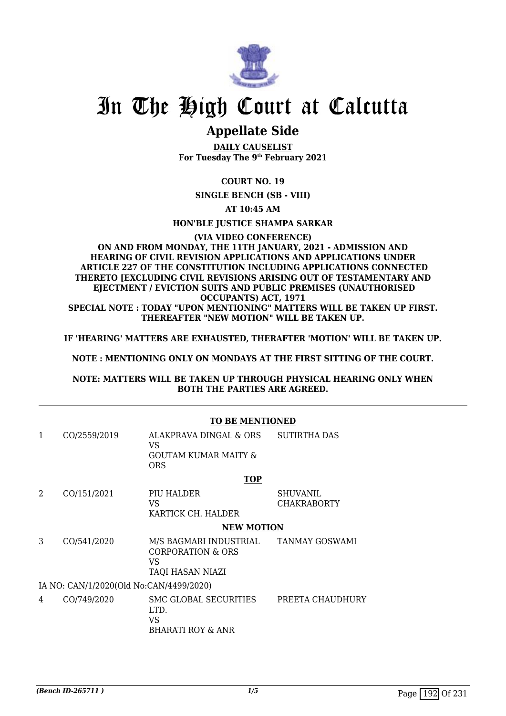

### **Appellate Side**

**DAILY CAUSELIST For Tuesday The 9th February 2021**

### **COURT NO. 19**

**SINGLE BENCH (SB - VIII)**

**AT 10:45 AM**

**HON'BLE JUSTICE SHAMPA SARKAR**

### **(VIA VIDEO CONFERENCE) ON AND FROM MONDAY, THE 11TH JANUARY, 2021 - ADMISSION AND HEARING OF CIVIL REVISION APPLICATIONS AND APPLICATIONS UNDER ARTICLE 227 OF THE CONSTITUTION INCLUDING APPLICATIONS CONNECTED THERETO [EXCLUDING CIVIL REVISIONS ARISING OUT OF TESTAMENTARY AND EJECTMENT / EVICTION SUITS AND PUBLIC PREMISES (UNAUTHORISED OCCUPANTS) ACT, 1971**

**SPECIAL NOTE : TODAY "UPON MENTIONING" MATTERS WILL BE TAKEN UP FIRST. THEREAFTER "NEW MOTION" WILL BE TAKEN UP.**

**IF 'HEARING' MATTERS ARE EXHAUSTED, THERAFTER 'MOTION' WILL BE TAKEN UP.**

**NOTE : MENTIONING ONLY ON MONDAYS AT THE FIRST SITTING OF THE COURT.**

### **NOTE: MATTERS WILL BE TAKEN UP THROUGH PHYSICAL HEARING ONLY WHEN BOTH THE PARTIES ARE AGREED.**

|   |                                         | <b>TO BE MENTIONED</b>                                                            |                                       |  |  |
|---|-----------------------------------------|-----------------------------------------------------------------------------------|---------------------------------------|--|--|
| 1 | CO/2559/2019                            | ALAKPRAVA DINGAL & ORS<br>VS.<br><b>GOUTAM KUMAR MAITY &amp;</b><br><b>ORS</b>    | <b>SUTIRTHA DAS</b>                   |  |  |
|   |                                         | <b>TOP</b>                                                                        |                                       |  |  |
| 2 | CO/151/2021                             | PIU HALDER<br>VS<br>KARTICK CH. HALDER                                            | <b>SHUVANIL</b><br><b>CHAKRABORTY</b> |  |  |
|   |                                         | <b>NEW MOTION</b>                                                                 |                                       |  |  |
| 3 | CO/541/2020                             | M/S BAGMARI INDUSTRIAL<br><b>CORPORATION &amp; ORS</b><br>VS.<br>TAQI HASAN NIAZI | TANMAY GOSWAMI                        |  |  |
|   | IA NO: CAN/1/2020(Old No:CAN/4499/2020) |                                                                                   |                                       |  |  |
| 4 | CO/749/2020                             | SMC GLOBAL SECURITIES<br>LTD.<br><b>VS</b><br><b>BHARATI ROY &amp; ANR</b>        | PREETA CHAUDHURY                      |  |  |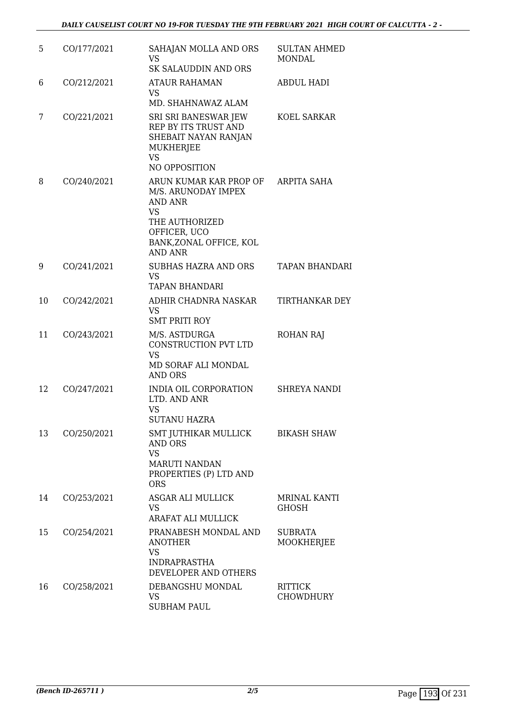| 5  | CO/177/2021 | SAHAJAN MOLLA AND ORS<br><b>VS</b><br><b>SK SALAUDDIN AND ORS</b>                                                                                    | <b>SULTAN AHMED</b><br>MONDAL      |
|----|-------------|------------------------------------------------------------------------------------------------------------------------------------------------------|------------------------------------|
| 6  | CO/212/2021 | <b>ATAUR RAHAMAN</b><br>VS<br>MD. SHAHNAWAZ ALAM                                                                                                     | <b>ABDUL HADI</b>                  |
| 7  | CO/221/2021 | SRI SRI BANESWAR JEW<br>REP BY ITS TRUST AND<br>SHEBAIT NAYAN RANJAN<br>MUKHERJEE<br><b>VS</b>                                                       | KOEL SARKAR                        |
|    |             | NO OPPOSITION                                                                                                                                        |                                    |
| 8  | CO/240/2021 | ARUN KUMAR KAR PROP OF<br>M/S. ARUNODAY IMPEX<br><b>AND ANR</b><br>VS<br>THE AUTHORIZED<br>OFFICER, UCO<br>BANK, ZONAL OFFICE, KOL<br><b>AND ANR</b> | ARPITA SAHA                        |
| 9  | CO/241/2021 | <b>SUBHAS HAZRA AND ORS</b><br><b>VS</b><br><b>TAPAN BHANDARI</b>                                                                                    | <b>TAPAN BHANDARI</b>              |
| 10 | CO/242/2021 | ADHIR CHADNRA NASKAR<br>VS<br><b>SMT PRITI ROY</b>                                                                                                   | <b>TIRTHANKAR DEY</b>              |
| 11 | CO/243/2021 | M/S. ASTDURGA<br>CONSTRUCTION PVT LTD<br><b>VS</b><br>MD SORAF ALI MONDAL<br><b>AND ORS</b>                                                          | <b>ROHAN RAJ</b>                   |
| 12 | CO/247/2021 | INDIA OIL CORPORATION<br>LTD. AND ANR<br><b>VS</b><br><b>SUTANU HAZRA</b>                                                                            | <b>SHREYA NANDI</b>                |
| 13 | CO/250/2021 | SMT JUTHIKAR MULLICK<br><b>AND ORS</b><br><b>VS</b><br><b>MARUTI NANDAN</b>                                                                          | <b>BIKASH SHAW</b>                 |
|    |             | PROPERTIES (P) LTD AND<br><b>ORS</b>                                                                                                                 |                                    |
| 14 | CO/253/2021 | ASGAR ALI MULLICK<br>VS.<br>ARAFAT ALI MULLICK                                                                                                       | <b>MRINAL KANTI</b><br>GHOSH       |
| 15 | CO/254/2021 | PRANABESH MONDAL AND<br><b>ANOTHER</b><br><b>VS</b><br><b>INDRAPRASTHA</b>                                                                           | <b>SUBRATA</b><br>MOOKHERJEE       |
|    |             | DEVELOPER AND OTHERS                                                                                                                                 |                                    |
| 16 | CO/258/2021 | DEBANGSHU MONDAL<br><b>VS</b><br><b>SUBHAM PAUL</b>                                                                                                  | <b>RITTICK</b><br><b>CHOWDHURY</b> |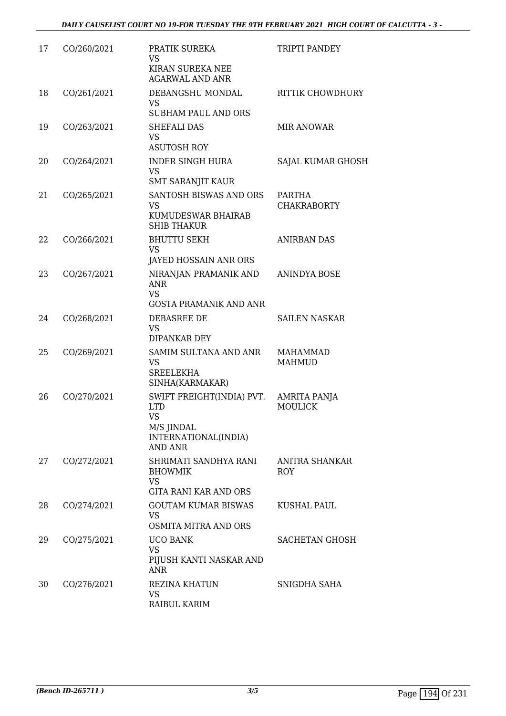| 17 | CO/260/2021 | PRATIK SUREKA<br><b>VS</b><br>KIRAN SUREKA NEE<br><b>AGARWAL AND ANR</b>                                     | TRIPTI PANDEY                  |
|----|-------------|--------------------------------------------------------------------------------------------------------------|--------------------------------|
| 18 | CO/261/2021 | DEBANGSHU MONDAL<br><b>VS</b><br><b>SUBHAM PAUL AND ORS</b>                                                  | <b>RITTIK CHOWDHURY</b>        |
| 19 | CO/263/2021 | SHEFALI DAS<br><b>VS</b><br><b>ASUTOSH ROY</b>                                                               | <b>MIR ANOWAR</b>              |
| 20 | CO/264/2021 | <b>INDER SINGH HURA</b><br><b>VS</b><br><b>SMT SARANJIT KAUR</b>                                             | SAJAL KUMAR GHOSH              |
| 21 | CO/265/2021 | SANTOSH BISWAS AND ORS<br><b>VS</b><br>KUMUDESWAR BHAIRAB<br><b>SHIB THAKUR</b>                              | PARTHA<br><b>CHAKRABORTY</b>   |
| 22 | CO/266/2021 | <b>BHUTTU SEKH</b><br><b>VS</b><br>JAYED HOSSAIN ANR ORS                                                     | <b>ANIRBAN DAS</b>             |
| 23 | CO/267/2021 | NIRANJAN PRAMANIK AND<br><b>ANR</b><br><b>VS</b><br><b>GOSTA PRAMANIK AND ANR</b>                            | <b>ANINDYA BOSE</b>            |
| 24 | CO/268/2021 | DEBASREE DE<br><b>VS</b><br>DIPANKAR DEY                                                                     | SAILEN NASKAR                  |
| 25 | CO/269/2021 | SAMIM SULTANA AND ANR<br><b>VS</b><br><b>SREELEKHA</b><br>SINHA(KARMAKAR)                                    | MAHAMMAD<br><b>MAHMUD</b>      |
| 26 | CO/270/2021 | SWIFT FREIGHT(INDIA) PVT.<br><b>LTD</b><br><b>VS</b><br>M/S JINDAL<br>INTERNATIONAL(INDIA)<br><b>AND ANR</b> | AMRITA PANJA<br><b>MOULICK</b> |
| 27 | CO/272/2021 | SHRIMATI SANDHYA RANI<br><b>BHOWMIK</b><br><b>VS</b><br><b>GITA RANI KAR AND ORS</b>                         | ANITRA SHANKAR<br>ROY          |
| 28 | CO/274/2021 | <b>GOUTAM KUMAR BISWAS</b><br>VS<br>OSMITA MITRA AND ORS                                                     | <b>KUSHAL PAUL</b>             |
| 29 | CO/275/2021 | <b>UCO BANK</b><br><b>VS</b><br>PIJUSH KANTI NASKAR AND<br><b>ANR</b>                                        | <b>SACHETAN GHOSH</b>          |
| 30 | CO/276/2021 | REZINA KHATUN<br><b>VS</b><br>RAIBUL KARIM                                                                   | SNIGDHA SAHA                   |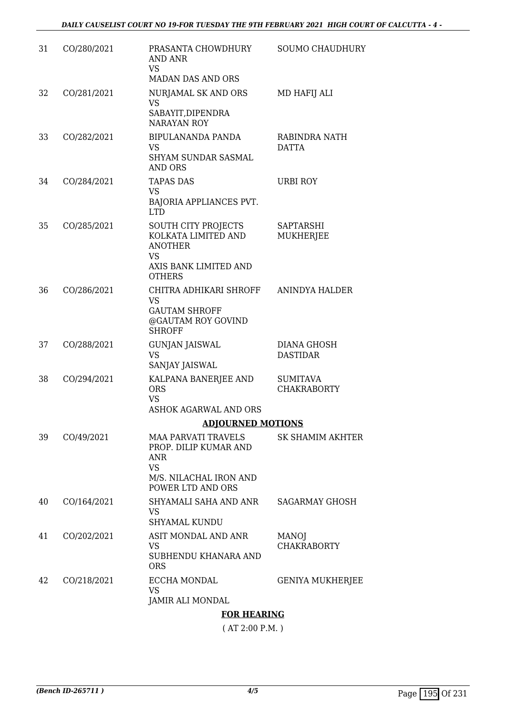| 31 | CO/280/2021 | PRASANTA CHOWDHURY<br>AND ANR<br><b>VS</b><br><b>MADAN DAS AND ORS</b>                                                 | <b>SOUMO CHAUDHURY</b>                |
|----|-------------|------------------------------------------------------------------------------------------------------------------------|---------------------------------------|
| 32 | CO/281/2021 | NURJAMAL SK AND ORS<br><b>VS</b><br>SABAYIT, DIPENDRA<br><b>NARAYAN ROY</b>                                            | MD HAFIJ ALI                          |
| 33 | CO/282/2021 | BIPULANANDA PANDA<br>VS<br>SHYAM SUNDAR SASMAL<br><b>AND ORS</b>                                                       | RABINDRA NATH<br><b>DATTA</b>         |
| 34 | CO/284/2021 | <b>TAPAS DAS</b><br><b>VS</b><br>BAJORIA APPLIANCES PVT.<br><b>LTD</b>                                                 | <b>URBI ROY</b>                       |
| 35 | CO/285/2021 | SOUTH CITY PROJECTS<br>KOLKATA LIMITED AND<br><b>ANOTHER</b><br><b>VS</b><br>AXIS BANK LIMITED AND<br><b>OTHERS</b>    | SAPTARSHI<br><b>MUKHERJEE</b>         |
| 36 | CO/286/2021 | CHITRA ADHIKARI SHROFF<br>VS<br><b>GAUTAM SHROFF</b><br>@GAUTAM ROY GOVIND<br><b>SHROFF</b>                            | <b>ANINDYA HALDER</b>                 |
| 37 | CO/288/2021 | <b>GUNJAN JAISWAL</b><br><b>VS</b><br>SANJAY JAISWAL                                                                   | DIANA GHOSH<br><b>DASTIDAR</b>        |
| 38 | CO/294/2021 | KALPANA BANERJEE AND<br><b>ORS</b><br><b>VS</b><br><b>ASHOK AGARWAL AND ORS</b>                                        | <b>SUMITAVA</b><br><b>CHAKRABORTY</b> |
|    |             | <b>ADJOURNED MOTIONS</b>                                                                                               |                                       |
| 39 | CO/49/2021  | <b>MAA PARVATI TRAVELS</b><br>PROP. DILIP KUMAR AND<br>ANR<br><b>VS</b><br>M/S. NILACHAL IRON AND<br>POWER LTD AND ORS | SK SHAMIM AKHTER                      |
| 40 | CO/164/2021 | SHYAMALI SAHA AND ANR<br>VS<br><b>SHYAMAL KUNDU</b>                                                                    | <b>SAGARMAY GHOSH</b>                 |
| 41 | CO/202/2021 | ASIT MONDAL AND ANR<br><b>VS</b><br>SUBHENDU KHANARA AND<br><b>ORS</b>                                                 | <b>MANOJ</b><br><b>CHAKRABORTY</b>    |
| 42 | CO/218/2021 | ECCHA MONDAL<br><b>VS</b><br>JAMIR ALI MONDAL                                                                          | <b>GENIYA MUKHERJEE</b>               |
|    |             | EAD IIE ADINA                                                                                                          |                                       |

### **FOR HEARING**

( AT 2:00 P.M. )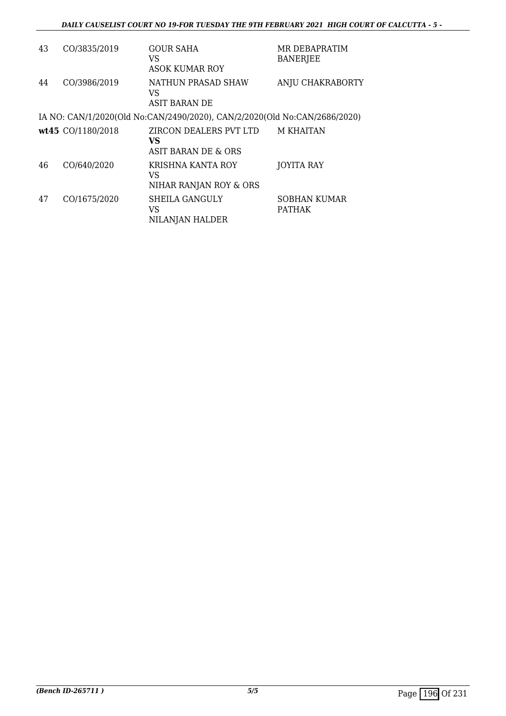| 43 | CO/3835/2019      | <b>GOUR SAHA</b><br>VS<br>ASOK KUMAR ROY                                  | MR DEBAPRATIM<br><b>BANERJEE</b>     |
|----|-------------------|---------------------------------------------------------------------------|--------------------------------------|
| 44 | CO/3986/2019      | NATHUN PRASAD SHAW<br>VS<br>ASIT BARAN DE                                 | ANJU CHAKRABORTY                     |
|    |                   | IA NO: CAN/1/2020(Old No:CAN/2490/2020), CAN/2/2020(Old No:CAN/2686/2020) |                                      |
|    | wt45 CO/1180/2018 | ZIRCON DEALERS PVT LTD<br>VS<br>ASIT BARAN DE & ORS                       | <b>M KHAITAN</b>                     |
| 46 | CO/640/2020       | KRISHNA KANTA ROY<br>VS<br>NIHAR RANJAN ROY & ORS                         | JOYITA RAY                           |
| 47 | CO/1675/2020      | <b>SHEILA GANGULY</b><br>VS<br>NILANJAN HALDER                            | <b>SOBHAN KUMAR</b><br><b>PATHAK</b> |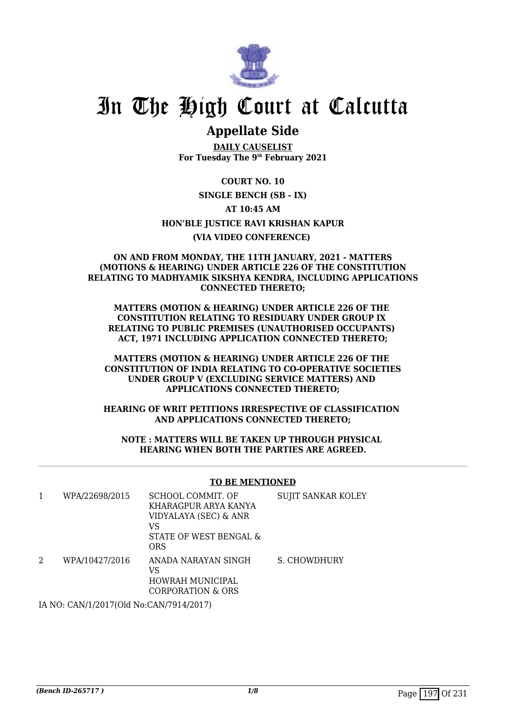

## **Appellate Side**

**DAILY CAUSELIST For Tuesday The 9th February 2021**

**COURT NO. 10 SINGLE BENCH (SB - IX) AT 10:45 AM HON'BLE JUSTICE RAVI KRISHAN KAPUR (VIA VIDEO CONFERENCE)** 

#### **ON AND FROM MONDAY, THE 11TH JANUARY, 2021 - MATTERS (MOTIONS & HEARING) UNDER ARTICLE 226 OF THE CONSTITUTION RELATING TO MADHYAMIK SIKSHYA KENDRA, INCLUDING APPLICATIONS CONNECTED THERETO;**

**MATTERS (MOTION & HEARING) UNDER ARTICLE 226 OF THE CONSTITUTION RELATING TO RESIDUARY UNDER GROUP IX RELATING TO PUBLIC PREMISES (UNAUTHORISED OCCUPANTS) ACT, 1971 INCLUDING APPLICATION CONNECTED THERETO;**

**MATTERS (MOTION & HEARING) UNDER ARTICLE 226 OF THE CONSTITUTION OF INDIA RELATING TO CO-OPERATIVE SOCIETIES UNDER GROUP V (EXCLUDING SERVICE MATTERS) AND APPLICATIONS CONNECTED THERETO;**

**HEARING OF WRIT PETITIONS IRRESPECTIVE OF CLASSIFICATION AND APPLICATIONS CONNECTED THERETO;**

**NOTE : MATTERS WILL BE TAKEN UP THROUGH PHYSICAL HEARING WHEN BOTH THE PARTIES ARE AGREED.**

### **TO BE MENTIONED**

| WPA/22698/2015 | SCHOOL COMMIT. OF<br>KHARAGPUR ARYA KANYA<br>VIDYALAYA (SEC) & ANR<br>VS<br>STATE OF WEST BENGAL &<br><b>ORS</b> | <b>SUJIT SANKAR KOLEY</b> |
|----------------|------------------------------------------------------------------------------------------------------------------|---------------------------|
| WPA/10427/2016 | ANADA NARAYAN SINGH<br>VS<br>HOWRAH MUNICIPAL<br>CORPORATION & ORS                                               | S. CHOWDHURY              |

IA NO: CAN/1/2017(Old No:CAN/7914/2017)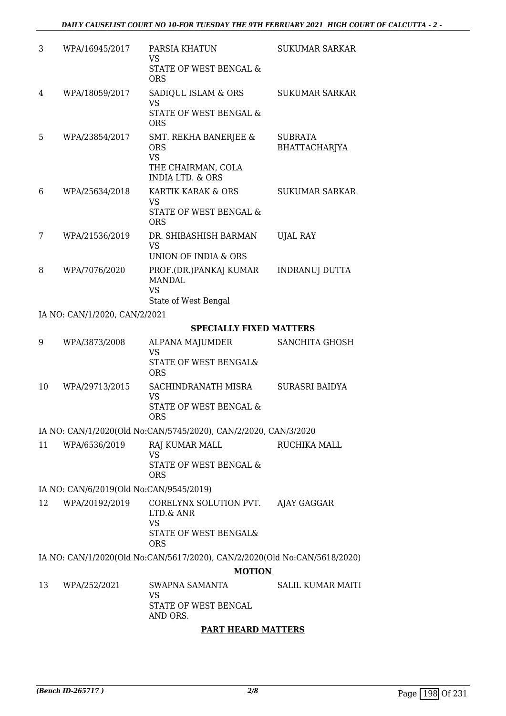| 3 | WPA/16945/2017                 | PARSIA KHATUN<br>VS.<br>STATE OF WEST BENGAL &<br><b>ORS</b>                                    | SUKUMAR SARKAR                         |
|---|--------------------------------|-------------------------------------------------------------------------------------------------|----------------------------------------|
| 4 | WPA/18059/2017                 | SADIQUL ISLAM & ORS<br>VS.<br>STATE OF WEST BENGAL &<br><b>ORS</b>                              | <b>SUKUMAR SARKAR</b>                  |
| 5 | WPA/23854/2017                 | SMT. REKHA BANERJEE &<br><b>ORS</b><br>VS.<br>THE CHAIRMAN, COLA<br><b>INDIA LTD. &amp; ORS</b> | <b>SUBRATA</b><br><b>BHATTACHARJYA</b> |
| 6 | WPA/25634/2018                 | KARTIK KARAK & ORS<br>VS<br>STATE OF WEST BENGAL &<br><b>ORS</b>                                | <b>SUKUMAR SARKAR</b>                  |
| 7 | WPA/21536/2019                 | DR. SHIBASHISH BARMAN<br>VS.<br>UNION OF INDIA & ORS                                            | <b>UJAL RAY</b>                        |
| 8 | WPA/7076/2020                  | PROF.(DR.)PANKAJ KUMAR<br><b>MANDAL</b><br><b>VS</b><br>State of West Bengal                    | <b>INDRANUJ DUTTA</b>                  |
|   | IA NO: CAN/1/2020, CAN/2/2021  |                                                                                                 |                                        |
|   | <b>SPECIALLY FIXED MATTERS</b> |                                                                                                 |                                        |

| 9  | WPA/3873/2008  | <b>ALPANA MAJUMDER</b><br>VS<br>STATE OF WEST BENGAL&<br><b>ORS</b> | SANCHITA GHOSH |
|----|----------------|---------------------------------------------------------------------|----------------|
| 10 | WPA/29713/2015 | SACHINDRANATH MISRA<br>VS<br>STATE OF WEST BENGAL &<br>ORS          | SURASRI BAIDYA |
|    |                |                                                                     |                |

IA NO: CAN/1/2020(Old No:CAN/5745/2020), CAN/2/2020, CAN/3/2020

11 WPA/6536/2019 RAJ KUMAR MALL VS STATE OF WEST BENGAL & ORS RUCHIKA MALL

IA NO: CAN/6/2019(Old No:CAN/9545/2019)

12 WPA/20192/2019 CORELYNX SOLUTION PVT. LTD.& ANR VS STATE OF WEST BENGAL& ORS AJAY GAGGAR

IA NO: CAN/1/2020(Old No:CAN/5617/2020), CAN/2/2020(Old No:CAN/5618/2020)

**MOTION**

13 WPA/252/2021 SWAPNA SAMANTA VS STATE OF WEST BENGAL AND ORS. SALIL KUMAR MAITI

### **PART HEARD MATTERS**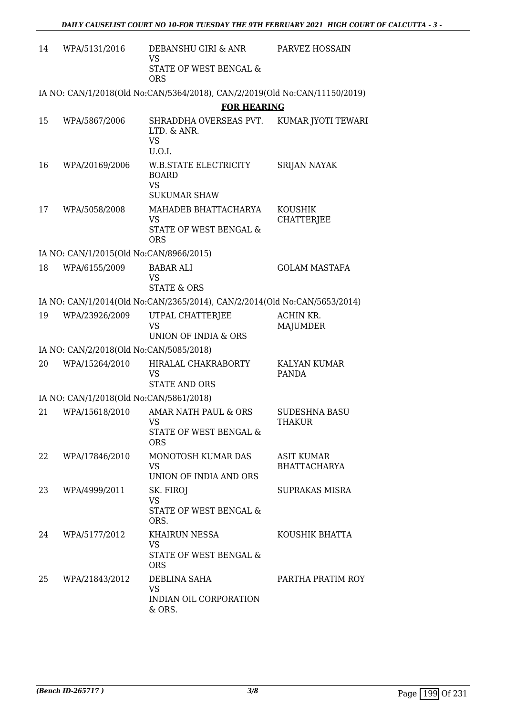| 14 | WPA/5131/2016                           | DEBANSHU GIRI & ANR<br><b>VS</b>                                                     | PARVEZ HOSSAIN                           |
|----|-----------------------------------------|--------------------------------------------------------------------------------------|------------------------------------------|
|    |                                         | STATE OF WEST BENGAL &<br><b>ORS</b>                                                 |                                          |
|    |                                         | IA NO: CAN/1/2018(Old No:CAN/5364/2018), CAN/2/2019(Old No:CAN/11150/2019)           |                                          |
|    |                                         | <b>FOR HEARING</b>                                                                   |                                          |
| 15 | WPA/5867/2006                           | SHRADDHA OVERSEAS PVT.<br>LTD. & ANR.<br><b>VS</b><br>U.O.I.                         | KUMAR JYOTI TEWARI                       |
| 16 | WPA/20169/2006                          | <b>W.B.STATE ELECTRICITY</b><br><b>BOARD</b><br><b>VS</b><br><b>SUKUMAR SHAW</b>     | <b>SRIJAN NAYAK</b>                      |
| 17 | WPA/5058/2008                           | MAHADEB BHATTACHARYA<br><b>VS</b><br><b>STATE OF WEST BENGAL &amp;</b><br><b>ORS</b> | <b>KOUSHIK</b><br>CHATTERJEE             |
|    | IA NO: CAN/1/2015(Old No:CAN/8966/2015) |                                                                                      |                                          |
| 18 | WPA/6155/2009                           | <b>BABAR ALI</b><br><b>VS</b><br><b>STATE &amp; ORS</b>                              | <b>GOLAM MASTAFA</b>                     |
|    |                                         | IA NO: CAN/1/2014(Old No:CAN/2365/2014), CAN/2/2014(Old No:CAN/5653/2014)            |                                          |
| 19 | WPA/23926/2009                          | UTPAL CHATTERJEE<br><b>VS</b><br>UNION OF INDIA & ORS                                | ACHIN KR.<br><b>MAJUMDER</b>             |
|    | IA NO: CAN/2/2018(Old No:CAN/5085/2018) |                                                                                      |                                          |
| 20 | WPA/15264/2010                          | HIRALAL CHAKRABORTY<br>VS<br><b>STATE AND ORS</b>                                    | <b>KALYAN KUMAR</b><br>PANDA             |
|    | IA NO: CAN/1/2018(Old No:CAN/5861/2018) |                                                                                      |                                          |
| 21 | WPA/15618/2010                          | AMAR NATH PAUL & ORS<br>VS <b>Same</b><br>STATE OF WEST BENGAL &<br><b>ORS</b>       | SUDESHNA BASU<br><b>THAKUR</b>           |
| 22 | WPA/17846/2010                          | MONOTOSH KUMAR DAS<br><b>VS</b><br>UNION OF INDIA AND ORS                            | <b>ASIT KUMAR</b><br><b>BHATTACHARYA</b> |
| 23 | WPA/4999/2011                           | SK. FIROJ<br><b>VS</b><br>STATE OF WEST BENGAL &<br>ORS.                             | SUPRAKAS MISRA                           |
| 24 | WPA/5177/2012                           | KHAIRUN NESSA<br>VS.<br>STATE OF WEST BENGAL &<br><b>ORS</b>                         | KOUSHIK BHATTA                           |
| 25 | WPA/21843/2012                          | DEBLINA SAHA<br><b>VS</b><br>INDIAN OIL CORPORATION<br>& ORS.                        | PARTHA PRATIM ROY                        |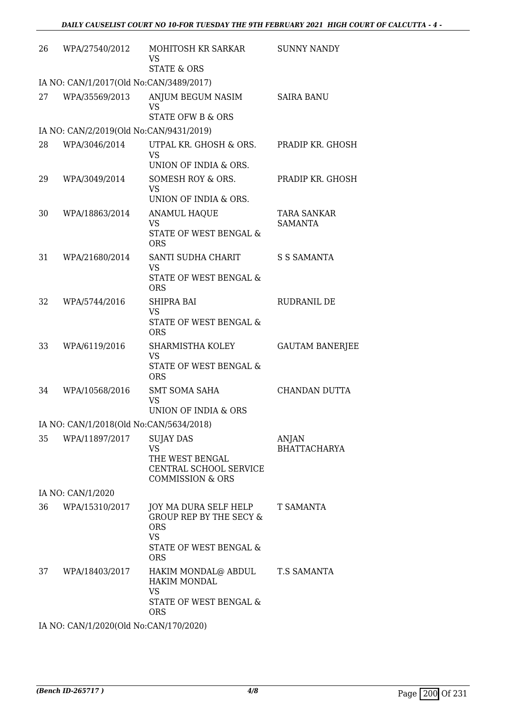| 26 | WPA/27540/2012                          | MOHITOSH KR SARKAR<br><b>VS</b><br><b>STATE &amp; ORS</b>                                                                      | <b>SUNNY NANDY</b>                   |
|----|-----------------------------------------|--------------------------------------------------------------------------------------------------------------------------------|--------------------------------------|
|    | IA NO: CAN/1/2017(Old No:CAN/3489/2017) |                                                                                                                                |                                      |
| 27 | WPA/35569/2013                          | ANJUM BEGUM NASIM<br><b>VS</b><br><b>STATE OFW B &amp; ORS</b>                                                                 | <b>SAIRA BANU</b>                    |
|    | IA NO: CAN/2/2019(Old No:CAN/9431/2019) |                                                                                                                                |                                      |
| 28 | WPA/3046/2014                           | UTPAL KR. GHOSH & ORS.<br><b>VS</b><br>UNION OF INDIA & ORS.                                                                   | PRADIP KR. GHOSH                     |
| 29 | WPA/3049/2014                           | SOMESH ROY & ORS.<br><b>VS</b>                                                                                                 | PRADIP KR. GHOSH                     |
| 30 | WPA/18863/2014                          | UNION OF INDIA & ORS.<br><b>ANAMUL HAQUE</b><br><b>VS</b>                                                                      | <b>TARA SANKAR</b><br><b>SAMANTA</b> |
|    |                                         | STATE OF WEST BENGAL &<br><b>ORS</b>                                                                                           |                                      |
| 31 | WPA/21680/2014                          | SANTI SUDHA CHARIT<br><b>VS</b><br><b>STATE OF WEST BENGAL &amp;</b>                                                           | <b>S S SAMANTA</b>                   |
| 32 | WPA/5744/2016                           | <b>ORS</b><br>SHIPRA BAI<br><b>VS</b><br>STATE OF WEST BENGAL &                                                                | RUDRANIL DE                          |
| 33 | WPA/6119/2016                           | <b>ORS</b><br>SHARMISTHA KOLEY<br><b>VS</b><br>STATE OF WEST BENGAL &<br><b>ORS</b>                                            | <b>GAUTAM BANERJEE</b>               |
| 34 | WPA/10568/2016                          | <b>SMT SOMA SAHA</b><br><b>VS</b><br>UNION OF INDIA & ORS                                                                      | CHANDAN DUTTA                        |
|    | IA NO: CAN/1/2018(Old No:CAN/5634/2018) |                                                                                                                                |                                      |
| 35 | WPA/11897/2017                          | <b>SUJAY DAS</b><br><b>VS</b><br>THE WEST BENGAL<br>CENTRAL SCHOOL SERVICE<br><b>COMMISSION &amp; ORS</b>                      | ANJAN<br><b>BHATTACHARYA</b>         |
|    | IA NO: CAN/1/2020                       |                                                                                                                                |                                      |
| 36 | WPA/15310/2017                          | JOY MA DURA SELF HELP<br><b>GROUP REP BY THE SECY &amp;</b><br><b>ORS</b><br><b>VS</b><br>STATE OF WEST BENGAL &<br><b>ORS</b> | T SAMANTA                            |
| 37 | WPA/18403/2017                          | HAKIM MONDAL@ ABDUL<br><b>HAKIM MONDAL</b><br><b>VS</b><br>STATE OF WEST BENGAL &<br><b>ORS</b>                                | <b>T.S SAMANTA</b>                   |
|    | IA NO: CAN/1/2020(Old No:CAN/170/2020)  |                                                                                                                                |                                      |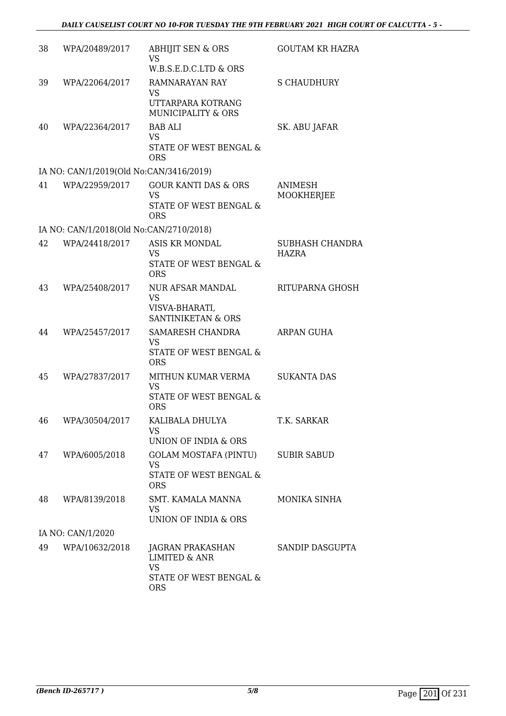| 38 | WPA/20489/2017                          | <b>ABHIJIT SEN &amp; ORS</b><br><b>VS</b>                                                         | <b>GOUTAM KR HAZRA</b>                 |
|----|-----------------------------------------|---------------------------------------------------------------------------------------------------|----------------------------------------|
|    |                                         | W.B.S.E.D.C.LTD & ORS                                                                             |                                        |
| 39 | WPA/22064/2017                          | RAMNARAYAN RAY<br><b>VS</b>                                                                       | <b>S CHAUDHURY</b>                     |
|    |                                         | UTTARPARA KOTRANG<br><b>MUNICIPALITY &amp; ORS</b>                                                |                                        |
| 40 | WPA/22364/2017                          | <b>BAB ALI</b><br><b>VS</b><br>STATE OF WEST BENGAL &<br><b>ORS</b>                               | SK. ABU JAFAR                          |
|    | IA NO: CAN/1/2019(Old No:CAN/3416/2019) |                                                                                                   |                                        |
| 41 | WPA/22959/2017                          | <b>GOUR KANTI DAS &amp; ORS</b><br><b>VS</b><br>STATE OF WEST BENGAL &<br><b>ORS</b>              | <b>ANIMESH</b><br>MOOKHERJEE           |
|    | IA NO: CAN/1/2018(Old No:CAN/2710/2018) |                                                                                                   |                                        |
| 42 | WPA/24418/2017                          | <b>ASIS KR MONDAL</b><br>VS<br>STATE OF WEST BENGAL &                                             | <b>SUBHASH CHANDRA</b><br><b>HAZRA</b> |
| 43 | WPA/25408/2017                          | <b>ORS</b><br>NUR AFSAR MANDAL<br><b>VS</b><br>VISVA-BHARATI,<br><b>SANTINIKETAN &amp; ORS</b>    | RITUPARNA GHOSH                        |
| 44 | WPA/25457/2017                          | SAMARESH CHANDRA<br><b>VS</b><br>STATE OF WEST BENGAL &<br><b>ORS</b>                             | ARPAN GUHA                             |
| 45 | WPA/27837/2017                          | MITHUN KUMAR VERMA<br><b>VS</b><br>STATE OF WEST BENGAL &<br><b>ORS</b>                           | <b>SUKANTA DAS</b>                     |
| 46 | WPA/30504/2017                          | KALIBALA DHULYA<br>VS<br>UNION OF INDIA & ORS                                                     | T.K. SARKAR                            |
| 47 | WPA/6005/2018                           | GOLAM MOSTAFA (PINTU)<br><b>VS</b><br>STATE OF WEST BENGAL &<br><b>ORS</b>                        | <b>SUBIR SABUD</b>                     |
| 48 | WPA/8139/2018                           | SMT. KAMALA MANNA<br>VS<br>UNION OF INDIA & ORS                                                   | MONIKA SINHA                           |
|    | IA NO: CAN/1/2020                       |                                                                                                   |                                        |
| 49 | WPA/10632/2018                          | JAGRAN PRAKASHAN<br><b>LIMITED &amp; ANR</b><br><b>VS</b><br>STATE OF WEST BENGAL &<br><b>ORS</b> | SANDIP DASGUPTA                        |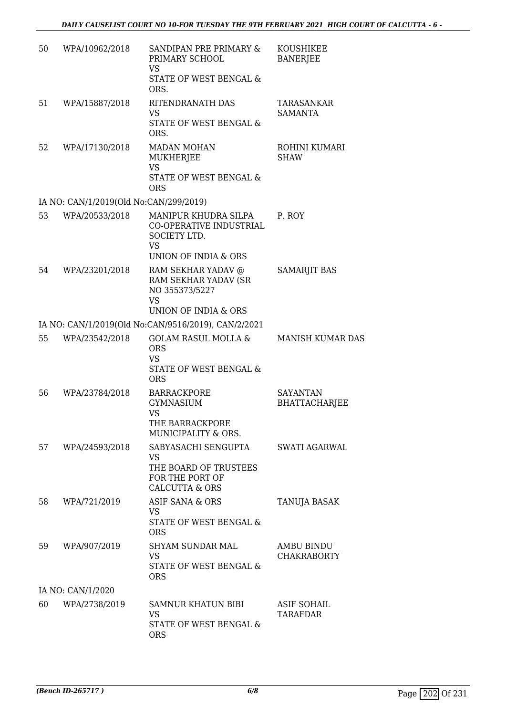| 50 | WPA/10962/2018                         | SANDIPAN PRE PRIMARY &<br>PRIMARY SCHOOL<br><b>VS</b><br>STATE OF WEST BENGAL &<br>ORS.                      | <b>KOUSHIKEE</b><br><b>BANERJEE</b> |
|----|----------------------------------------|--------------------------------------------------------------------------------------------------------------|-------------------------------------|
| 51 | WPA/15887/2018                         | RITENDRANATH DAS<br>VS<br>STATE OF WEST BENGAL &<br>ORS.                                                     | TARASANKAR<br><b>SAMANTA</b>        |
| 52 | WPA/17130/2018                         | <b>MADAN MOHAN</b><br>MUKHERJEE<br><b>VS</b><br>STATE OF WEST BENGAL &<br><b>ORS</b>                         | ROHINI KUMARI<br><b>SHAW</b>        |
|    | IA NO: CAN/1/2019(Old No:CAN/299/2019) |                                                                                                              |                                     |
| 53 | WPA/20533/2018                         | MANIPUR KHUDRA SILPA<br>CO-OPERATIVE INDUSTRIAL<br>SOCIETY LTD.<br><b>VS</b><br>UNION OF INDIA & ORS         | P. ROY                              |
| 54 | WPA/23201/2018                         | RAM SEKHAR YADAV @<br>RAM SEKHAR YADAV (SR<br>NO 355373/5227<br><b>VS</b><br><b>UNION OF INDIA &amp; ORS</b> | <b>SAMARJIT BAS</b>                 |
|    |                                        | IA NO: CAN/1/2019(Old No:CAN/9516/2019), CAN/2/2021                                                          |                                     |
| 55 | WPA/23542/2018                         | <b>GOLAM RASUL MOLLA &amp;</b><br><b>ORS</b><br><b>VS</b><br>STATE OF WEST BENGAL &<br><b>ORS</b>            | <b>MANISH KUMAR DAS</b>             |
| 56 | WPA/23784/2018                         | <b>BARRACKPORE</b><br><b>GYMNASIUM</b><br>VS<br>THE BARRACKPORE<br>MUNICIPALITY & ORS.                       | <b>SAYANTAN</b><br>BHATTACHARJEE    |
| 57 | WPA/24593/2018                         | SABYASACHI SENGUPTA<br><b>VS</b><br>THE BOARD OF TRUSTEES<br>FOR THE PORT OF<br><b>CALCUTTA &amp; ORS</b>    | <b>SWATI AGARWAL</b>                |
| 58 | WPA/721/2019                           | ASIF SANA & ORS<br><b>VS</b><br>STATE OF WEST BENGAL &<br><b>ORS</b>                                         | TANUJA BASAK                        |
| 59 | WPA/907/2019                           | <b>SHYAM SUNDAR MAL</b><br><b>VS</b><br>STATE OF WEST BENGAL &<br><b>ORS</b>                                 | AMBU BINDU<br><b>CHAKRABORTY</b>    |
|    | IA NO: CAN/1/2020                      |                                                                                                              |                                     |
| 60 | WPA/2738/2019                          | SAMNUR KHATUN BIBI<br><b>VS</b><br>STATE OF WEST BENGAL &<br><b>ORS</b>                                      | <b>ASIF SOHAIL</b><br>TARAFDAR      |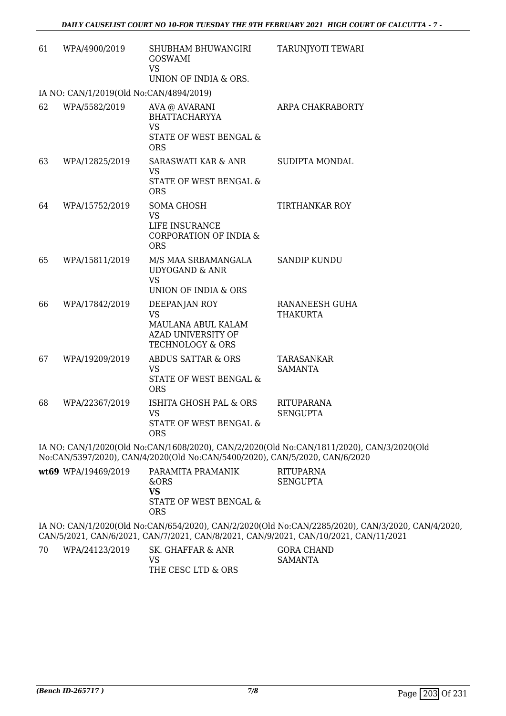| 61 | WPA/4900/2019                           | SHUBHAM BHUWANGIRI<br><b>GOSWAMI</b><br>VS<br>UNION OF INDIA & ORS.                                                                                        | TARUNJYOTI TEWARI                    |
|----|-----------------------------------------|------------------------------------------------------------------------------------------------------------------------------------------------------------|--------------------------------------|
|    | IA NO: CAN/1/2019(Old No:CAN/4894/2019) |                                                                                                                                                            |                                      |
| 62 | WPA/5582/2019                           | AVA @ AVARANI<br><b>BHATTACHARYYA</b><br><b>VS</b><br>STATE OF WEST BENGAL &<br><b>ORS</b>                                                                 | ARPA CHAKRABORTY                     |
| 63 | WPA/12825/2019                          | <b>SARASWATI KAR &amp; ANR</b><br><b>VS</b><br>STATE OF WEST BENGAL &<br><b>ORS</b>                                                                        | SUDIPTA MONDAL                       |
| 64 | WPA/15752/2019                          | <b>SOMA GHOSH</b><br><b>VS</b><br>LIFE INSURANCE<br>CORPORATION OF INDIA &<br><b>ORS</b>                                                                   | <b>TIRTHANKAR ROY</b>                |
| 65 | WPA/15811/2019                          | M/S MAA SRBAMANGALA<br><b>UDYOGAND &amp; ANR</b><br><b>VS</b><br>UNION OF INDIA & ORS                                                                      | <b>SANDIP KUNDU</b>                  |
| 66 | WPA/17842/2019                          | DEEPANJAN ROY<br><b>VS</b><br>MAULANA ABUL KALAM<br><b>AZAD UNIVERSITY OF</b><br>TECHNOLOGY & ORS                                                          | RANANEESH GUHA<br><b>THAKURTA</b>    |
| 67 | WPA/19209/2019                          | <b>ABDUS SATTAR &amp; ORS</b><br><b>VS</b><br>STATE OF WEST BENGAL &<br><b>ORS</b>                                                                         | <b>TARASANKAR</b><br><b>SAMANTA</b>  |
| 68 | WPA/22367/2019                          | ISHITA GHOSH PAL & ORS<br>VS<br>STATE OF WEST BENGAL &<br><b>ORS</b>                                                                                       | <b>RITUPARANA</b><br><b>SENGUPTA</b> |
|    |                                         | IA NO: CAN/1/2020(Old No:CAN/1608/2020), CAN/2/2020(Old No:CAN/1811/2020), CAN<br>M. OMMERGE RADIAL OMNIMIRADO CULTURAL OMNIE 100 (RADIE 10000 OMNIC 10000 |                                      |

 $N/3/2020$ (Old No:CAN/5397/2020), CAN/4/2020(Old No:CAN/5400/2020), CAN/5/2020, CAN/6/2020

| wt69 WPA/19469/2019 | PARAMITA PRAMANIK      | RITUPARNA |
|---------------------|------------------------|-----------|
|                     | &ORS                   | SENGUPTA  |
|                     | VS                     |           |
|                     | STATE OF WEST BENGAL & |           |
|                     | ORS                    |           |
|                     |                        |           |

IA NO: CAN/1/2020(Old No:CAN/654/2020), CAN/2/2020(Old No:CAN/2285/2020), CAN/3/2020, CAN/4/2020, CAN/5/2021, CAN/6/2021, CAN/7/2021, CAN/8/2021, CAN/9/2021, CAN/10/2021, CAN/11/2021

70 WPA/24123/2019 SK. GHAFFAR & ANR VS THE CESC LTD & ORS GORA CHAND SAMANTA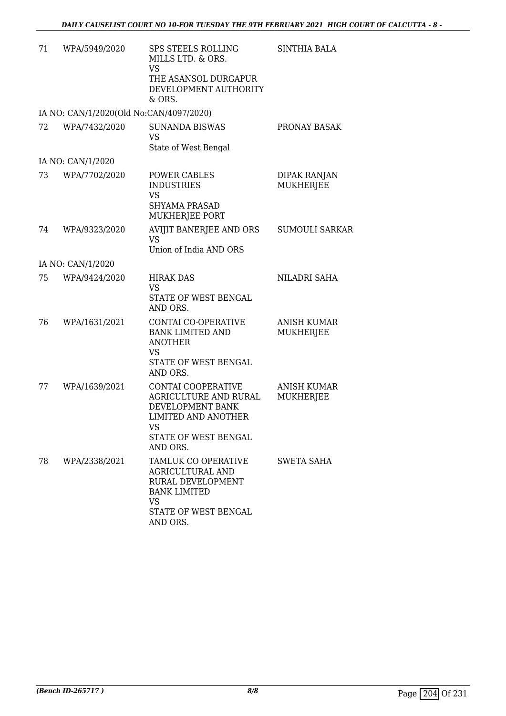| 71 | WPA/5949/2020                           | SPS STEELS ROLLING<br>MILLS LTD. & ORS.<br><b>VS</b><br>THE ASANSOL DURGAPUR<br>DEVELOPMENT AUTHORITY<br>& ORS.                         | <b>SINTHIA BALA</b>                    |
|----|-----------------------------------------|-----------------------------------------------------------------------------------------------------------------------------------------|----------------------------------------|
|    | IA NO: CAN/1/2020(Old No:CAN/4097/2020) |                                                                                                                                         |                                        |
| 72 | WPA/7432/2020                           | <b>SUNANDA BISWAS</b><br><b>VS</b><br>State of West Bengal                                                                              | PRONAY BASAK                           |
|    | IA NO: CAN/1/2020                       |                                                                                                                                         |                                        |
| 73 | WPA/7702/2020                           | POWER CABLES<br><b>INDUSTRIES</b><br><b>VS</b><br><b>SHYAMA PRASAD</b><br>MUKHERJEE PORT                                                | <b>DIPAK RANJAN</b><br>MUKHERJEE       |
| 74 | WPA/9323/2020                           | AVIJIT BANERJEE AND ORS<br><b>VS</b><br>Union of India AND ORS                                                                          | <b>SUMOULI SARKAR</b>                  |
|    | IA NO: CAN/1/2020                       |                                                                                                                                         |                                        |
| 75 | WPA/9424/2020                           | <b>HIRAK DAS</b><br><b>VS</b><br>STATE OF WEST BENGAL<br>AND ORS.                                                                       | NILADRI SAHA                           |
| 76 | WPA/1631/2021                           | CONTAI CO-OPERATIVE<br><b>BANK LIMITED AND</b><br><b>ANOTHER</b><br>VS<br>STATE OF WEST BENGAL<br>AND ORS.                              | <b>ANISH KUMAR</b><br><b>MUKHERJEE</b> |
| 77 | WPA/1639/2021                           | CONTAI COOPERATIVE<br>AGRICULTURE AND RURAL<br>DEVELOPMENT BANK<br><b>LIMITED AND ANOTHER</b><br>VS<br>STATE OF WEST BENGAL<br>AND ORS. | <b>ANISH KUMAR</b><br><b>MUKHERJEE</b> |
| 78 | WPA/2338/2021                           | TAMLUK CO OPERATIVE<br>AGRICULTURAL AND<br>RURAL DEVELOPMENT<br><b>BANK LIMITED</b><br><b>VS</b><br>STATE OF WEST BENGAL<br>AND ORS.    | <b>SWETA SAHA</b>                      |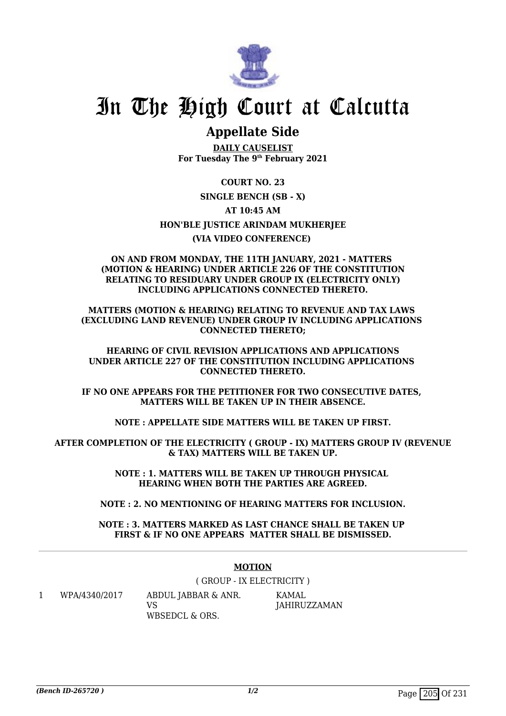

## **Appellate Side**

**DAILY CAUSELIST For Tuesday The 9th February 2021**

**COURT NO. 23 SINGLE BENCH (SB - X) AT 10:45 AM HON'BLE JUSTICE ARINDAM MUKHERJEE (VIA VIDEO CONFERENCE)** 

### **ON AND FROM MONDAY, THE 11TH JANUARY, 2021 - MATTERS (MOTION & HEARING) UNDER ARTICLE 226 OF THE CONSTITUTION RELATING TO RESIDUARY UNDER GROUP IX (ELECTRICITY ONLY) INCLUDING APPLICATIONS CONNECTED THERETO.**

**MATTERS (MOTION & HEARING) RELATING TO REVENUE AND TAX LAWS (EXCLUDING LAND REVENUE) UNDER GROUP IV INCLUDING APPLICATIONS CONNECTED THERETO;**

**HEARING OF CIVIL REVISION APPLICATIONS AND APPLICATIONS UNDER ARTICLE 227 OF THE CONSTITUTION INCLUDING APPLICATIONS CONNECTED THERETO.**

**IF NO ONE APPEARS FOR THE PETITIONER FOR TWO CONSECUTIVE DATES, MATTERS WILL BE TAKEN UP IN THEIR ABSENCE.**

**NOTE : APPELLATE SIDE MATTERS WILL BE TAKEN UP FIRST.**

**AFTER COMPLETION OF THE ELECTRICITY ( GROUP - IX) MATTERS GROUP IV (REVENUE & TAX) MATTERS WILL BE TAKEN UP.**

> **NOTE : 1. MATTERS WILL BE TAKEN UP THROUGH PHYSICAL HEARING WHEN BOTH THE PARTIES ARE AGREED.**

**NOTE : 2. NO MENTIONING OF HEARING MATTERS FOR INCLUSION.**

**NOTE : 3. MATTERS MARKED AS LAST CHANCE SHALL BE TAKEN UP FIRST & IF NO ONE APPEARS MATTER SHALL BE DISMISSED.**

### **MOTION**

( GROUP - IX ELECTRICITY )

1 WPA/4340/2017 ABDUL JABBAR & ANR.

 $V<sub>S</sub>$ WBSEDCL & ORS. KAMAL JAHIRUZZAMAN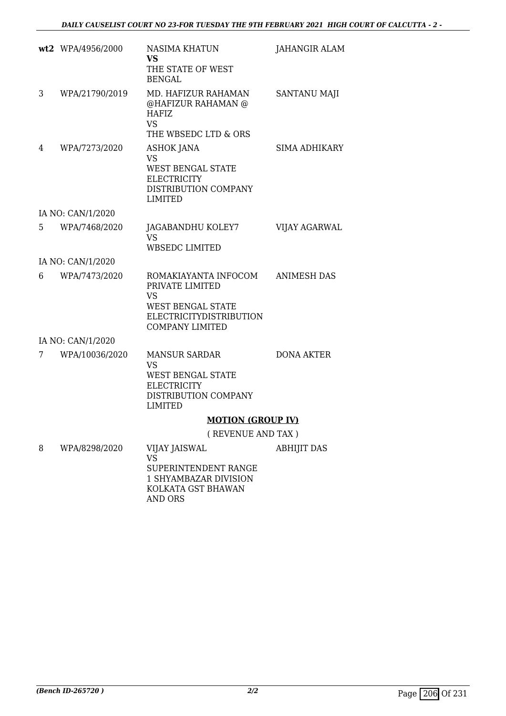|    | wt2 WPA/4956/2000 | NASIMA KHATUN<br>VS                                                                                                                   | <b>JAHANGIR ALAM</b> |
|----|-------------------|---------------------------------------------------------------------------------------------------------------------------------------|----------------------|
|    |                   | THE STATE OF WEST<br><b>BENGAL</b>                                                                                                    |                      |
| 3  | WPA/21790/2019    | MD. HAFIZUR RAHAMAN<br>@HAFIZUR RAHAMAN @<br><b>HAFIZ</b><br><b>VS</b><br>THE WBSEDC LTD & ORS                                        | <b>SANTANU MAJI</b>  |
| 4  | WPA/7273/2020     | <b>ASHOK JANA</b><br><b>VS</b><br><b>WEST BENGAL STATE</b><br><b>ELECTRICITY</b><br>DISTRIBUTION COMPANY<br>LIMITED                   | SIMA ADHIKARY        |
|    | IA NO: CAN/1/2020 |                                                                                                                                       |                      |
| 5. | WPA/7468/2020     | JAGABANDHU KOLEY7<br><b>VS</b><br>WBSEDC LIMITED                                                                                      | <b>VIJAY AGARWAL</b> |
|    | IA NO: CAN/1/2020 |                                                                                                                                       |                      |
| 6  | WPA/7473/2020     | ROMAKIAYANTA INFOCOM<br>PRIVATE LIMITED<br>VS<br><b>WEST BENGAL STATE</b><br><b>ELECTRICITYDISTRIBUTION</b><br><b>COMPANY LIMITED</b> | <b>ANIMESH DAS</b>   |
|    | IA NO: CAN/1/2020 |                                                                                                                                       |                      |
| 7  | WPA/10036/2020    | <b>MANSUR SARDAR</b><br>VS<br>WEST BENGAL STATE<br><b>ELECTRICITY</b><br>DISTRIBUTION COMPANY<br>LIMITED                              | <b>DONA AKTER</b>    |
|    |                   | <b>MOTION (GROUP IV)</b>                                                                                                              |                      |
|    |                   | (REVENUE AND TAX)                                                                                                                     |                      |
| 8  | WPA/8298/2020     | <b>VIJAY JAISWAL</b><br><b>VS</b><br>SUPERINTENDENT RANGE                                                                             | <b>ABHIJIT DAS</b>   |

1 SHYAMBAZAR DIVISION KOLKATA GST BHAWAN AND ORS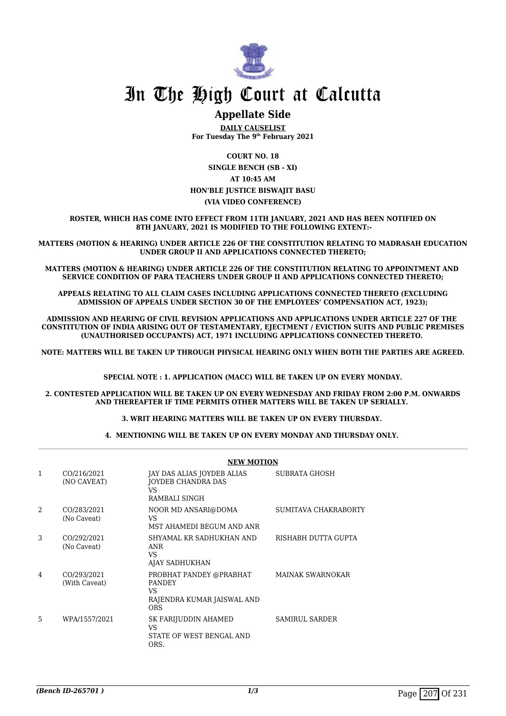

### **Appellate Side**

**DAILY CAUSELIST For Tuesday The 9th February 2021**

**COURT NO. 18 SINGLE BENCH (SB - XI) AT 10:45 AM HON'BLE JUSTICE BISWAJIT BASU (VIA VIDEO CONFERENCE)**

**ROSTER, WHICH HAS COME INTO EFFECT FROM 11TH JANUARY, 2021 AND HAS BEEN NOTIFIED ON 8TH JANUARY, 2021 IS MODIFIED TO THE FOLLOWING EXTENT:-**

**MATTERS (MOTION & HEARING) UNDER ARTICLE 226 OF THE CONSTITUTION RELATING TO MADRASAH EDUCATION UNDER GROUP II AND APPLICATIONS CONNECTED THERETO;**

**MATTERS (MOTION & HEARING) UNDER ARTICLE 226 OF THE CONSTITUTION RELATING TO APPOINTMENT AND SERVICE CONDITION OF PARA TEACHERS UNDER GROUP II AND APPLICATIONS CONNECTED THERETO;**

**APPEALS RELATING TO ALL CLAIM CASES INCLUDING APPLICATIONS CONNECTED THERETO (EXCLUDING ADMISSION OF APPEALS UNDER SECTION 30 OF THE EMPLOYEES' COMPENSATION ACT, 1923);**

**ADMISSION AND HEARING OF CIVIL REVISION APPLICATIONS AND APPLICATIONS UNDER ARTICLE 227 OF THE CONSTITUTION OF INDIA ARISING OUT OF TESTAMENTARY, EJECTMENT / EVICTION SUITS AND PUBLIC PREMISES (UNAUTHORISED OCCUPANTS) ACT, 1971 INCLUDING APPLICATIONS CONNECTED THERETO.** 

**NOTE: MATTERS WILL BE TAKEN UP THROUGH PHYSICAL HEARING ONLY WHEN BOTH THE PARTIES ARE AGREED.**

**SPECIAL NOTE : 1. APPLICATION (MACC) WILL BE TAKEN UP ON EVERY MONDAY.**

**2. CONTESTED APPLICATION WILL BE TAKEN UP ON EVERY WEDNESDAY AND FRIDAY FROM 2:00 P.M. ONWARDS AND THEREAFTER IF TIME PERMITS OTHER MATTERS WILL BE TAKEN UP SERIALLY.** 

**3. WRIT HEARING MATTERS WILL BE TAKEN UP ON EVERY THURSDAY.** 

**4. MENTIONING WILL BE TAKEN UP ON EVERY MONDAY AND THURSDAY ONLY.** 

|                | <b>NEW MOTION</b>            |                                                                                             |                         |  |
|----------------|------------------------------|---------------------------------------------------------------------------------------------|-------------------------|--|
| 1              | CO/216/2021<br>(NO CAVEAT)   | JAY DAS ALIAS JOYDEB ALIAS<br>JOYDEB CHANDRA DAS<br>VS.<br>RAMBALI SINGH                    | <b>SUBRATA GHOSH</b>    |  |
| $\mathfrak{D}$ | CO/283/2021<br>(No Caveat)   | NOOR MD ANSARI@DOMA<br>VS.<br>MST AHAMEDI BEGUM AND ANR                                     | SUMITAVA CHAKRABORTY    |  |
| 3              | CO/292/2021<br>(No Caveat)   | SHYAMAL KR SADHUKHAN AND<br>ANR<br><b>VS</b><br>AJAY SADHUKHAN                              | RISHABH DUTTA GUPTA     |  |
| 4              | CO/293/2021<br>(With Caveat) | PROBHAT PANDEY @PRABHAT<br><b>PANDEY</b><br>VS.<br>RAJENDRA KUMAR JAISWAL AND<br><b>ORS</b> | <b>MAINAK SWARNOKAR</b> |  |
| 5.             | WPA/1557/2021                | SK FARIJUDDIN AHAMED<br>VS<br>STATE OF WEST BENGAL AND<br>ORS.                              | <b>SAMIRUL SARDER</b>   |  |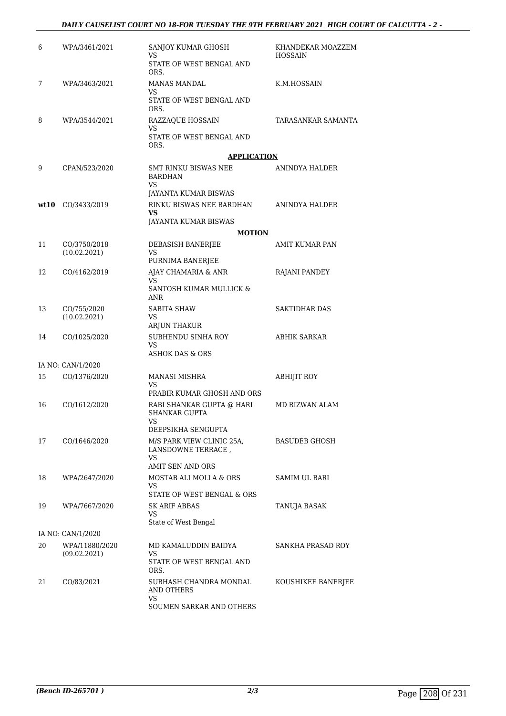| 6    | WPA/3461/2021               | SANJOY KUMAR GHOSH<br>VS<br>STATE OF WEST BENGAL AND<br>ORS.                    | KHANDEKAR MOAZZEM<br><b>HOSSAIN</b> |
|------|-----------------------------|---------------------------------------------------------------------------------|-------------------------------------|
| 7    | WPA/3463/2021               | MANAS MANDAL<br>VS<br>STATE OF WEST BENGAL AND<br>ORS.                          | K.M.HOSSAIN                         |
| 8    | WPA/3544/2021               | RAZZAQUE HOSSAIN<br>VS<br>STATE OF WEST BENGAL AND<br>ORS.                      | TARASANKAR SAMANTA                  |
|      |                             | <b>APPLICATION</b>                                                              |                                     |
| 9    | CPAN/523/2020               | SMT RINKU BISWAS NEE<br>BARDHAN<br>VS<br>JAYANTA KUMAR BISWAS                   | ANINDYA HALDER                      |
| wt10 | CO/3433/2019                | RINKU BISWAS NEE BARDHAN<br>VS<br>JAYANTA KUMAR BISWAS                          | ANINDYA HALDER                      |
|      |                             | <b>MOTION</b>                                                                   |                                     |
| 11   | CO/3750/2018                | DEBASISH BANERJEE                                                               | AMIT KUMAR PAN                      |
|      | (10.02.2021)                | VS<br>PURNIMA BANERJEE                                                          |                                     |
| 12   | CO/4162/2019                | AJAY CHAMARIA & ANR                                                             | RAJANI PANDEY                       |
|      |                             | <b>VS</b><br>SANTOSH KUMAR MULLICK &<br><b>ANR</b>                              |                                     |
| 13   | CO/755/2020<br>(10.02.2021) | SABITA SHAW<br>VS<br>ARJUN THAKUR                                               | SAKTIDHAR DAS                       |
| 14   | CO/1025/2020                | SUBHENDU SINHA ROY<br>VS<br><b>ASHOK DAS &amp; ORS</b>                          | ABHIK SARKAR                        |
|      | IA NO: CAN/1/2020           |                                                                                 |                                     |
| 15   | CO/1376/2020                | MANASI MISHRA<br>VS                                                             | ABHIJIT ROY                         |
| 16   | CO/1612/2020                | PRABIR KUMAR GHOSH AND ORS<br>RABI SHANKAR GUPTA @ HARI<br><b>SHANKAR GUPTA</b> | MD RIZWAN ALAM                      |
|      |                             | VS FOR THE STREET                                                               |                                     |
| 17   | CO/1646/2020                | DEEPSIKHA SENGUPTA<br>M/S PARK VIEW CLINIC 25A.<br>LANSDOWNE TERRACE,<br>VS     | BASUDEB GHOSH                       |
|      |                             | <b>AMIT SEN AND ORS</b>                                                         |                                     |
| 18   | WPA/2647/2020               | MOSTAB ALI MOLLA & ORS<br>VS<br>STATE OF WEST BENGAL & ORS                      | SAMIM UL BARI                       |
| 19   | WPA/7667/2020               | SK ARIF ABBAS<br>VS<br>State of West Bengal                                     | <b>TANUJA BASAK</b>                 |
|      | IA NO: CAN/1/2020           |                                                                                 |                                     |
| 20   | WPA/11880/2020              | MD KAMALUDDIN BAIDYA                                                            | SANKHA PRASAD ROY                   |
|      | (09.02.2021)                | VS<br>STATE OF WEST BENGAL AND<br>ORS.                                          |                                     |
| 21   | CO/83/2021                  | SUBHASH CHANDRA MONDAL<br>AND OTHERS<br>VS<br>SOUMEN SARKAR AND OTHERS          | KOUSHIKEE BANERJEE                  |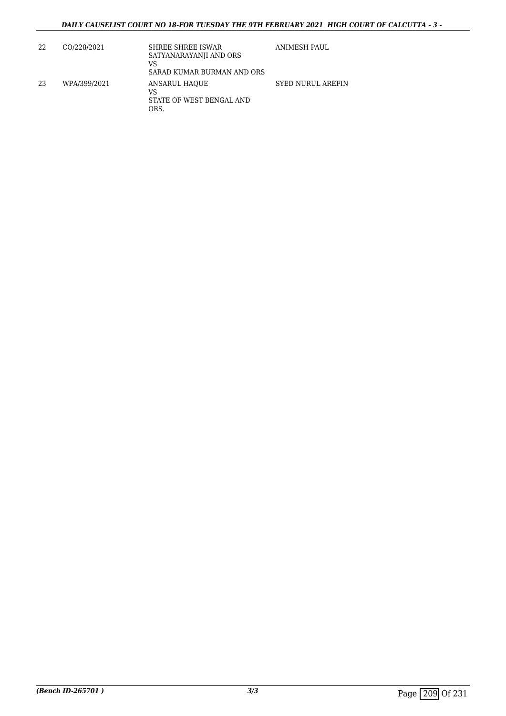| 22 | CO/228/2021  | SHREE SHREE ISWAR<br>SATYANARAYANJI AND ORS<br>VS<br>SARAD KUMAR BURMAN AND ORS | ANIMESH PAUL             |
|----|--------------|---------------------------------------------------------------------------------|--------------------------|
| 23 | WPA/399/2021 | ANSARUL HAQUE<br>VS<br>STATE OF WEST BENGAL AND<br>ORS.                         | <b>SYED NURUL AREFIN</b> |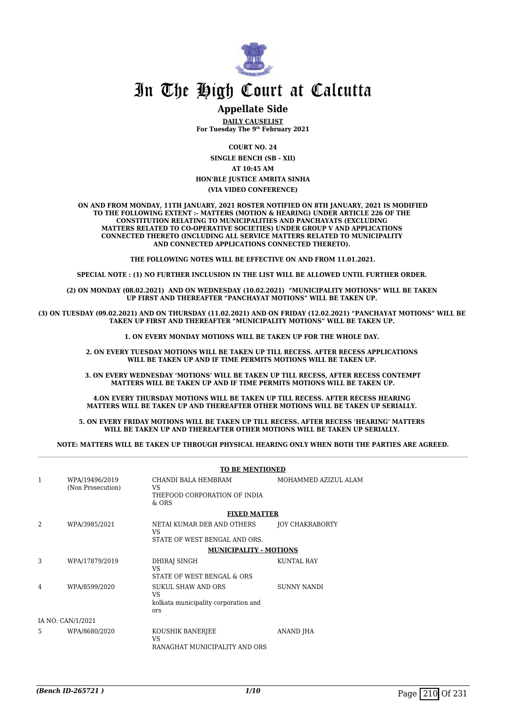

### **Appellate Side**

**DAILY CAUSELIST For Tuesday The 9th February 2021**

**COURT NO. 24**

**SINGLE BENCH (SB - XII) AT 10:45 AM**

#### **HON'BLE JUSTICE AMRITA SINHA (VIA VIDEO CONFERENCE)**

**ON AND FROM MONDAY, 11TH JANUARY, 2021 ROSTER NOTIFIED ON 8TH JANUARY, 2021 IS MODIFIED TO THE FOLLOWING EXTENT :- MATTERS (MOTION & HEARING) UNDER ARTICLE 226 OF THE CONSTITUTION RELATING TO MUNICIPALITIES AND PANCHAYATS (EXCLUDING MATTERS RELATED TO CO-OPERATIVE SOCIETIES) UNDER GROUP V AND APPLICATIONS CONNECTED THERETO (INCLUDING ALL SERVICE MATTERS RELATED TO MUNICIPALITY AND CONNECTED APPLICATIONS CONNECTED THERETO).** 

**THE FOLLOWING NOTES WILL BE EFFECTIVE ON AND FROM 11.01.2021.**

**SPECIAL NOTE : (1) NO FURTHER INCLUSION IN THE LIST WILL BE ALLOWED UNTIL FURTHER ORDER.** 

**(2) ON MONDAY (08.02.2021) AND ON WEDNESDAY (10.02.2021) "MUNICIPALITY MOTIONS" WILL BE TAKEN UP FIRST AND THEREAFTER "PANCHAYAT MOTIONS" WILL BE TAKEN UP.** 

**(3) ON TUESDAY (09.02.2021) AND ON THURSDAY (11.02.2021) AND ON FRIDAY (12.02.2021) "PANCHAYAT MOTIONS" WILL BE TAKEN UP FIRST AND THEREAFTER "MUNICIPALITY MOTIONS" WILL BE TAKEN UP.** 

**1. ON EVERY MONDAY MOTIONS WILL BE TAKEN UP FOR THE WHOLE DAY.** 

**2. ON EVERY TUESDAY MOTIONS WILL BE TAKEN UP TILL RECESS. AFTER RECESS APPLICATIONS**  WILL BE TAKEN UP AND IF TIME PERMITS MOTIONS WILL BE TAKEN UP.

**3. ON EVERY WEDNESDAY 'MOTIONS' WILL BE TAKEN UP TILL RECESS, AFTER RECESS CONTEMPT MATTERS WILL BE TAKEN UP AND IF TIME PERMITS MOTIONS WILL BE TAKEN UP.**

**4.ON EVERY THURSDAY MOTIONS WILL BE TAKEN UP TILL RECESS. AFTER RECESS HEARING MATTERS WILL BE TAKEN UP AND THEREAFTER OTHER MOTIONS WILL BE TAKEN UP SERIALLY.** 

**5. ON EVERY FRIDAY MOTIONS WILL BE TAKEN UP TILL RECESS. AFTER RECESS 'HEARING' MATTERS WILL BE TAKEN UP AND THEREAFTER OTHER MOTIONS WILL BE TAKEN UP SERIALLY.** 

**NOTE: MATTERS WILL BE TAKEN UP THROUGH PHYSICAL HEARING ONLY WHEN BOTH THE PARTIES ARE AGREED.**

|                   |                                     | <b>TO BE MENTIONED</b>                                                          |                      |  |
|-------------------|-------------------------------------|---------------------------------------------------------------------------------|----------------------|--|
| 1                 | WPA/19496/2019<br>(Non Prosecution) | CHANDI BALA HEMBRAM<br>VS.<br>THEFOOD CORPORATION OF INDIA<br>$&$ ORS           | MOHAMMED AZIZUL ALAM |  |
|                   |                                     | <b>FIXED MATTER</b>                                                             |                      |  |
| 2                 | WPA/3985/2021                       | NETAI KUMAR DEB AND OTHERS<br>VS.<br>STATE OF WEST BENGAL AND ORS.              | JOY CHAKRABORTY      |  |
|                   |                                     | <b>MUNICIPALITY - MOTIONS</b>                                                   |                      |  |
|                   |                                     |                                                                                 |                      |  |
| 3                 | WPA/17879/2019                      | DHIRAJ SINGH<br>VS.<br>STATE OF WEST BENGAL & ORS                               | <b>KUNTAL RAY</b>    |  |
| 4                 | WPA/8599/2020                       | <b>SUKUL SHAW AND ORS</b><br>VS.<br>kolkata municipality corporation and<br>ors | <b>SUNNY NANDI</b>   |  |
| IA NO: CAN/1/2021 |                                     |                                                                                 |                      |  |
| 5                 | WPA/8680/2020                       | KOUSHIK BANERJEE<br>VS.<br>RANAGHAT MUNICIPALITY AND ORS                        | ANAND JHA            |  |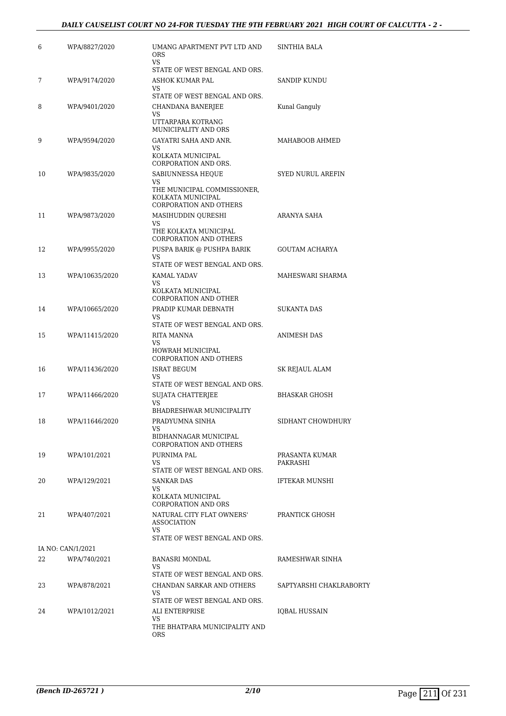| 6  | WPA/8827/2020     | UMANG APARTMENT PVT LTD AND<br><b>ORS</b><br>VS                                   | <b>SINTHIA BALA</b>        |
|----|-------------------|-----------------------------------------------------------------------------------|----------------------------|
| 7  | WPA/9174/2020     | STATE OF WEST BENGAL AND ORS.<br>ASHOK KUMAR PAL                                  | SANDIP KUNDU               |
|    |                   | VS                                                                                |                            |
| 8  | WPA/9401/2020     | STATE OF WEST BENGAL AND ORS.<br>CHANDANA BANERJEE<br>VS                          | Kunal Ganguly              |
|    |                   | UTTARPARA KOTRANG<br>MUNICIPALITY AND ORS                                         |                            |
| 9  | WPA/9594/2020     | GAYATRI SAHA AND ANR.<br>VS                                                       | MAHABOOB AHMED             |
|    |                   | KOLKATA MUNICIPAL<br>CORPORATION AND ORS.                                         |                            |
| 10 | WPA/9835/2020     | SABIUNNESSA HEQUE<br>VS                                                           | <b>SYED NURUL AREFIN</b>   |
|    |                   | THE MUNICIPAL COMMISSIONER,<br>KOLKATA MUNICIPAL<br><b>CORPORATION AND OTHERS</b> |                            |
| 11 | WPA/9873/2020     | MASIHUDDIN QURESHI                                                                | ARANYA SAHA                |
|    |                   | VS<br>THE KOLKATA MUNICIPAL<br><b>CORPORATION AND OTHERS</b>                      |                            |
| 12 | WPA/9955/2020     | PUSPA BARIK @ PUSHPA BARIK                                                        | <b>GOUTAM ACHARYA</b>      |
|    |                   | VS<br>STATE OF WEST BENGAL AND ORS.                                               |                            |
| 13 | WPA/10635/2020    | <b>KAMAL YADAV</b>                                                                | MAHESWARI SHARMA           |
|    |                   | VS<br>KOLKATA MUNICIPAL<br><b>CORPORATION AND OTHER</b>                           |                            |
| 14 | WPA/10665/2020    | PRADIP KUMAR DEBNATH                                                              | <b>SUKANTA DAS</b>         |
|    |                   | VS<br>STATE OF WEST BENGAL AND ORS.                                               |                            |
| 15 | WPA/11415/2020    | RITA MANNA<br>VS<br>HOWRAH MUNICIPAL<br>CORPORATION AND OTHERS                    | ANIMESH DAS                |
| 16 | WPA/11436/2020    | ISRAT BEGUM                                                                       | SK REJAUL ALAM             |
|    |                   | VS<br>STATE OF WEST BENGAL AND ORS.                                               |                            |
| 17 | WPA/11466/2020    | SUJATA CHATTERJEE<br>VS                                                           | <b>BHASKAR GHOSH</b>       |
|    |                   | BHADRESHWAR MUNICIPALITY                                                          |                            |
| 18 | WPA/11646/2020    | PRADYUMNA SINHA<br>VS<br>BIDHANNAGAR MUNICIPAL                                    | SIDHANT CHOWDHURY          |
|    |                   | <b>CORPORATION AND OTHERS</b>                                                     |                            |
| 19 | WPA/101/2021      | PURNIMA PAL<br>VS                                                                 | PRASANTA KUMAR<br>PAKRASHI |
|    |                   | STATE OF WEST BENGAL AND ORS.                                                     |                            |
| 20 | WPA/129/2021      | <b>SANKAR DAS</b><br>VS                                                           | IFTEKAR MUNSHI             |
|    |                   | KOLKATA MUNICIPAL<br><b>CORPORATION AND ORS</b>                                   |                            |
| 21 | WPA/407/2021      | NATURAL CITY FLAT OWNERS'<br><b>ASSOCIATION</b><br>VS                             | PRANTICK GHOSH             |
|    |                   | STATE OF WEST BENGAL AND ORS.                                                     |                            |
|    | IA NO: CAN/1/2021 |                                                                                   |                            |
| 22 | WPA/740/2021      | BANASRI MONDAL<br>VS                                                              | RAMESHWAR SINHA            |
|    |                   | STATE OF WEST BENGAL AND ORS.                                                     |                            |
| 23 | WPA/878/2021      | CHANDAN SARKAR AND OTHERS<br>VS.<br>STATE OF WEST BENGAL AND ORS.                 | SAPTYARSHI CHAKLRABORTY    |
| 24 | WPA/1012/2021     | ALI ENTERPRISE                                                                    | IQBAL HUSSAIN              |
|    |                   | VS.<br>THE BHATPARA MUNICIPALITY AND<br>ORS                                       |                            |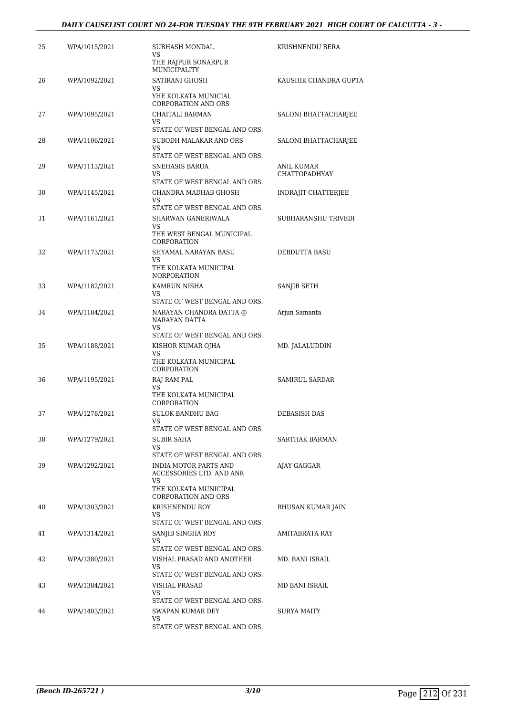| 25 | WPA/1015/2021 | SUBHASH MONDAL<br>VS<br>THE RAJPUR SONARPUR                                                   | KRISHNENDU BERA       |
|----|---------------|-----------------------------------------------------------------------------------------------|-----------------------|
| 26 | WPA/1092/2021 | <b>MUNICIPALITY</b><br>SATIRANI GHOSH                                                         | KAUSHIK CHANDRA GUPTA |
|    |               | VS<br>YHE KOLKATA MUNICIAL<br><b>CORPORATION AND ORS</b>                                      |                       |
| 27 | WPA/1095/2021 | CHAITALI BARMAN<br>VS                                                                         | SALONI BHATTACHARJEE  |
| 28 | WPA/1106/2021 | STATE OF WEST BENGAL AND ORS.<br>SUBODH MALAKAR AND ORS<br>VS                                 | SALONI BHATTACHARJEE  |
| 29 | WPA/1113/2021 | STATE OF WEST BENGAL AND ORS.<br>SNEHASIS BARUA                                               | ANIL KUMAR            |
|    |               | VS<br>STATE OF WEST BENGAL AND ORS.                                                           | CHATTOPADHYAY         |
| 30 | WPA/1145/2021 | CHANDRA MADHAB GHOSH<br><b>VS</b>                                                             | INDRAJIT CHATTERJEE   |
| 31 | WPA/1161/2021 | STATE OF WEST BENGAL AND ORS.<br>SHARWAN GANERIWALA<br><b>VS</b><br>THE WEST BENGAL MUNICIPAL | SUBHARANSHU TRIVEDI   |
| 32 | WPA/1173/2021 | CORPORATION<br>SHYAMAL NARAYAN BASU                                                           | DEBDUTTA BASU         |
|    |               | VS<br>THE KOLKATA MUNICIPAL<br><b>NORPORATION</b>                                             |                       |
| 33 | WPA/1182/2021 | KAMRUN NISHA<br>VS<br>STATE OF WEST BENGAL AND ORS.                                           | SANJIB SETH           |
| 34 | WPA/1184/2021 | NARAYAN CHANDRA DATTA @<br>NARAYAN DATTA<br>VS<br>STATE OF WEST BENGAL AND ORS.               | Arjun Samanta         |
| 35 | WPA/1188/2021 | KISHOR KUMAR OJHA<br>VS<br>THE KOLKATA MUNICIPAL<br>CORPORATION                               | MD. JALALUDDIN        |
| 36 | WPA/1195/2021 | RAJ RAM PAL<br>VS<br>THE KOLKATA MUNICIPAL<br>CORPORATION                                     | <b>SAMIRUL SARDAR</b> |
| 37 | WPA/1278/2021 | <b>SULOK BANDHU BAG</b>                                                                       | <b>DEBASISH DAS</b>   |
| 38 | WPA/1279/2021 | STATE OF WEST BENGAL AND ORS.<br><b>SUBIR SAHA</b><br>VS<br>STATE OF WEST BENGAL AND ORS.     | SARTHAK BARMAN        |
| 39 | WPA/1292/2021 | INDIA MOTOR PARTS AND<br>ACCESSORIES LTD. AND ANR<br>VS.                                      | AJAY GAGGAR           |
|    |               | THE KOLKATA MUNICIPAL<br><b>CORPORATION AND ORS</b>                                           |                       |
| 40 | WPA/1303/2021 | KRISHNENDU ROY<br>VS<br>STATE OF WEST BENGAL AND ORS.                                         | BHUSAN KUMAR JAIN     |
| 41 | WPA/1314/2021 | SANJIB SINGHA ROY<br>VS.<br>STATE OF WEST BENGAL AND ORS.                                     | AMITABRATA RAY        |
| 42 | WPA/1380/2021 | VISHAL PRASAD AND ANOTHER<br>VS                                                               | MD. BANI ISRAIL       |
| 43 | WPA/1384/2021 | STATE OF WEST BENGAL AND ORS.<br>VISHAL PRASAD<br>VS                                          | MD BANI ISRAIL        |
| 44 | WPA/1403/2021 | STATE OF WEST BENGAL AND ORS.<br>SWAPAN KUMAR DEY<br>VS                                       | SURYA MAITY           |
|    |               | STATE OF WEST BENGAL AND ORS.                                                                 |                       |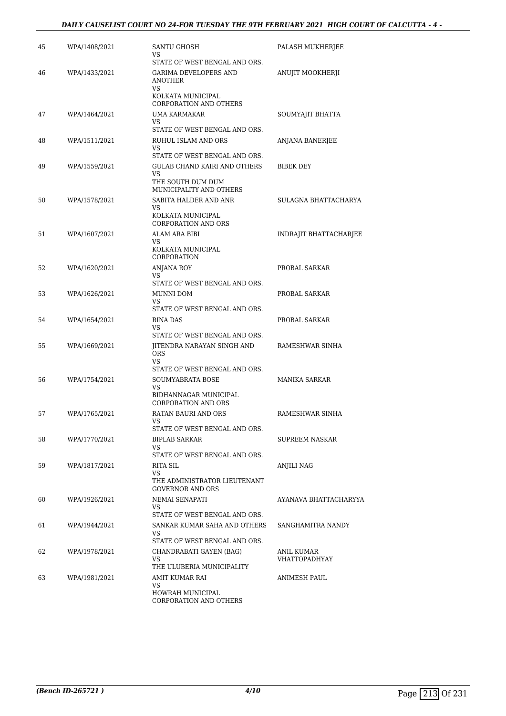### *DAILY CAUSELIST COURT NO 24-FOR TUESDAY THE 9TH FEBRUARY 2021 HIGH COURT OF CALCUTTA - 4 -*

| 45 | WPA/1408/2021 | SANTU GHOSH<br>VS<br>STATE OF WEST BENGAL AND ORS.                                                         | PALASH MUKHERJEE                   |
|----|---------------|------------------------------------------------------------------------------------------------------------|------------------------------------|
| 46 | WPA/1433/2021 | <b>GARIMA DEVELOPERS AND</b><br><b>ANOTHER</b><br>VS<br>KOLKATA MUNICIPAL<br><b>CORPORATION AND OTHERS</b> | ANUJIT MOOKHERJI                   |
| 47 | WPA/1464/2021 | UMA KARMAKAR<br>VS.<br>STATE OF WEST BENGAL AND ORS.                                                       | SOUMYAJIT BHATTA                   |
| 48 | WPA/1511/2021 | RUHUL ISLAM AND ORS<br>VS<br>STATE OF WEST BENGAL AND ORS.                                                 | <b>ANJANA BANERJEE</b>             |
| 49 | WPA/1559/2021 | GULAB CHAND KAIRI AND OTHERS<br>VS.<br>THE SOUTH DUM DUM<br>MUNICIPALITY AND OTHERS                        | BIBEK DEY                          |
| 50 | WPA/1578/2021 | SABITA HALDER AND ANR<br>VS<br>KOLKATA MUNICIPAL<br><b>CORPORATION AND ORS</b>                             | SULAGNA BHATTACHARYA               |
| 51 | WPA/1607/2021 | ALAM ARA BIBI<br>VS<br>KOLKATA MUNICIPAL<br>CORPORATION                                                    | INDRAJIT BHATTACHARJEE             |
| 52 | WPA/1620/2021 | ANJANA ROY<br>VS<br>STATE OF WEST BENGAL AND ORS.                                                          | PROBAL SARKAR                      |
| 53 | WPA/1626/2021 | MUNNI DOM<br>VS<br>STATE OF WEST BENGAL AND ORS.                                                           | PROBAL SARKAR                      |
| 54 | WPA/1654/2021 | <b>RINA DAS</b><br>VS<br>STATE OF WEST BENGAL AND ORS.                                                     | PROBAL SARKAR                      |
| 55 | WPA/1669/2021 | JITENDRA NARAYAN SINGH AND<br><b>ORS</b><br>VS.<br>STATE OF WEST BENGAL AND ORS.                           | RAMESHWAR SINHA                    |
| 56 | WPA/1754/2021 | SOUMYABRATA BOSE<br>VS<br>BIDHANNAGAR MUNICIPAL<br><b>CORPORATION AND ORS</b>                              | <b>MANIKA SARKAR</b>               |
| 57 | WPA/1765/2021 | RATAN BAURI AND ORS<br>VS.<br>STATE OF WEST BENGAL AND ORS.                                                | RAMESHWAR SINHA                    |
| 58 | WPA/1770/2021 | BIPLAB SARKAR<br>VS<br>STATE OF WEST BENGAL AND ORS.                                                       | SUPREEM NASKAR                     |
| 59 | WPA/1817/2021 | RITA SIL<br>VS<br>THE ADMINISTRATOR LIEUTENANT<br><b>GOVERNOR AND ORS</b>                                  | <b>ANJILI NAG</b>                  |
| 60 | WPA/1926/2021 | NEMAI SENAPATI<br>VS.<br>STATE OF WEST BENGAL AND ORS.                                                     | AYANAVA BHATTACHARYYA              |
| 61 | WPA/1944/2021 | SANKAR KUMAR SAHA AND OTHERS<br>VS<br>STATE OF WEST BENGAL AND ORS.                                        | SANGHAMITRA NANDY                  |
| 62 | WPA/1978/2021 | CHANDRABATI GAYEN (BAG)<br>VS<br>THE ULUBERIA MUNICIPALITY                                                 | ANIL KUMAR<br><b>VHATTOPADHYAY</b> |
| 63 | WPA/1981/2021 | AMIT KUMAR RAI<br>VS<br>HOWRAH MUNICIPAL<br>CORPORATION AND OTHERS                                         | ANIMESH PAUL                       |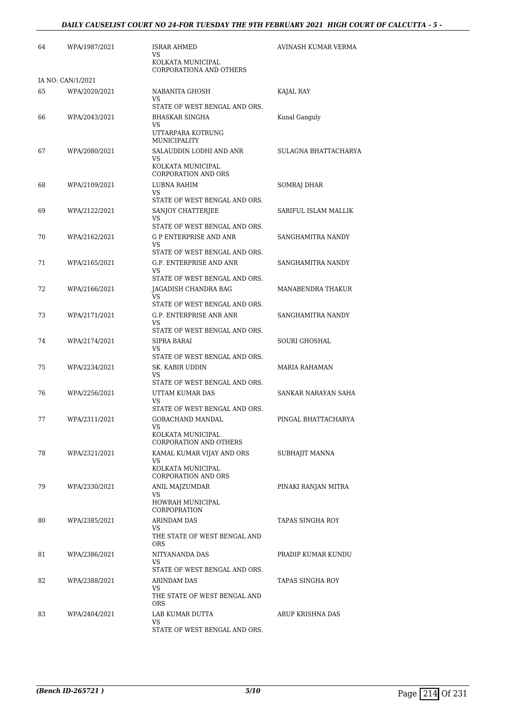| 64 | WPA/1987/2021     | ISRAR AHMED<br>VS<br>KOLKATA MUNICIPAL<br>CORPORATIONA AND OTHERS            | AVINASH KUMAR VERMA  |
|----|-------------------|------------------------------------------------------------------------------|----------------------|
|    | IA NO: CAN/1/2021 |                                                                              |                      |
| 65 | WPA/2020/2021     | NABANITA GHOSH<br>VS                                                         | KAJAL RAY            |
|    |                   | STATE OF WEST BENGAL AND ORS.                                                |                      |
| 66 | WPA/2043/2021     | <b>BHASKAR SINGHA</b><br>VS<br>UTTARPARA KOTRUNG<br>MUNICIPALITY             | Kunal Ganguly        |
| 67 | WPA/2080/2021     | SALAUDDIN LODHI AND ANR                                                      | SULAGNA BHATTACHARYA |
|    |                   | VS<br>KOLKATA MUNICIPAL<br><b>CORPORATION AND ORS</b>                        |                      |
| 68 | WPA/2109/2021     | LUBNA RAHIM<br>VS                                                            | SOMRAJ DHAR          |
| 69 | WPA/2122/2021     | STATE OF WEST BENGAL AND ORS.<br>SANJOY CHATTERJEE<br>VS                     | SARIFUL ISLAM MALLIK |
|    |                   | STATE OF WEST BENGAL AND ORS.                                                |                      |
| 70 | WPA/2162/2021     | G P ENTERPRISE AND ANR<br>VS                                                 | SANGHAMITRA NANDY    |
|    |                   | STATE OF WEST BENGAL AND ORS.<br>G.P. ENTERPRISE AND ANR                     | SANGHAMITRA NANDY    |
| 71 | WPA/2165/2021     | <b>VS</b>                                                                    |                      |
| 72 | WPA/2166/2021     | STATE OF WEST BENGAL AND ORS.<br>JAGADISH CHANDRA BAG                        | MANABENDRA THAKUR    |
|    |                   | <b>VS</b>                                                                    |                      |
| 73 | WPA/2171/2021     | STATE OF WEST BENGAL AND ORS.<br>G.P. ENTERPRISE ANR ANR                     | SANGHAMITRA NANDY    |
|    |                   | VS<br>STATE OF WEST BENGAL AND ORS.                                          |                      |
| 74 | WPA/2174/2021     | SIPRA BARAI<br>VS.                                                           | SOURI GHOSHAL        |
|    |                   | STATE OF WEST BENGAL AND ORS.                                                |                      |
| 75 | WPA/2234/2021     | SK. KABIR UDDIN<br>VS<br>STATE OF WEST BENGAL AND ORS.                       | <b>MARIA RAHAMAN</b> |
| 76 | WPA/2256/2021     | UTTAM KUMAR DAS<br>VS                                                        | SANKAR NARAYAN SAHA  |
|    |                   | STATE OF WEST BENGAL AND ORS.                                                |                      |
| 77 | WPA/2311/2021     | GORACHAND MANDAL<br>VS<br>KOLKATA MUNICIPAL<br><b>CORPORATION AND OTHERS</b> | PINGAL BHATTACHARYA  |
| 78 | WPA/2321/2021     | KAMAL KUMAR VIJAY AND ORS                                                    | SUBHAJIT MANNA       |
|    |                   | VS<br>KOLKATA MUNICIPAL<br><b>CORPORATION AND ORS</b>                        |                      |
| 79 | WPA/2330/2021     | ANIL MAJZUMDAR                                                               | PINAKI RANJAN MITRA  |
|    |                   | VS<br>HOWRAH MUNICIPAL<br>CORPOPRATION                                       |                      |
| 80 | WPA/2385/2021     | ARINDAM DAS                                                                  | TAPAS SINGHA ROY     |
|    |                   | VS.<br>THE STATE OF WEST BENGAL AND<br>ORS.                                  |                      |
| 81 | WPA/2386/2021     | NITYANANDA DAS<br>VS                                                         | PRADIP KUMAR KUNDU   |
| 82 | WPA/2388/2021     | STATE OF WEST BENGAL AND ORS.<br>ARINDAM DAS                                 | TAPAS SINGHA ROY     |
|    |                   | VS<br>THE STATE OF WEST BENGAL AND<br><b>ORS</b>                             |                      |
| 83 | WPA/2404/2021     | LAB KUMAR DUTTA                                                              | ARUP KRISHNA DAS     |
|    |                   | VS<br>STATE OF WEST BENGAL AND ORS.                                          |                      |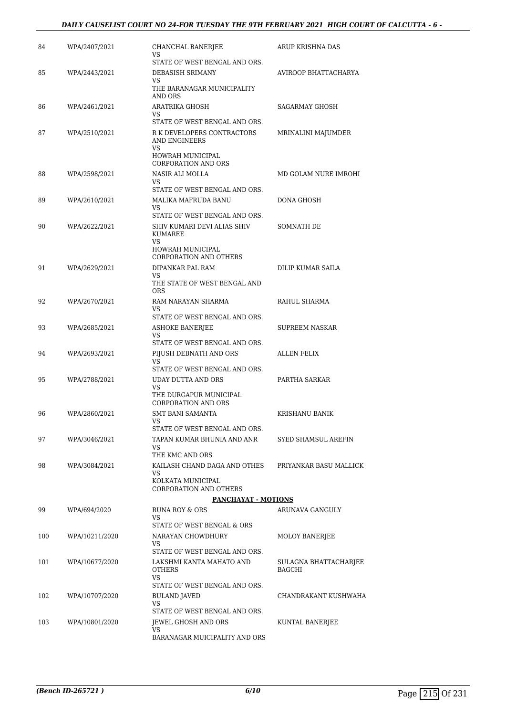### *DAILY CAUSELIST COURT NO 24-FOR TUESDAY THE 9TH FEBRUARY 2021 HIGH COURT OF CALCUTTA - 6 -*

| 84  | WPA/2407/2021  | CHANCHAL BANERJEE<br>VS                                           | ARUP KRISHNA DAS                |
|-----|----------------|-------------------------------------------------------------------|---------------------------------|
| 85  | WPA/2443/2021  | STATE OF WEST BENGAL AND ORS.<br>DEBASISH SRIMANY                 | AVIROOP BHATTACHARYA            |
|     |                | VS<br>THE BARANAGAR MUNICIPALITY<br>AND ORS                       |                                 |
| 86  | WPA/2461/2021  | ARATRIKA GHOSH<br>VS                                              | SAGARMAY GHOSH                  |
| 87  | WPA/2510/2021  | STATE OF WEST BENGAL AND ORS.<br>R K DEVELOPERS CONTRACTORS       | MRINALINI MAJUMDER              |
|     |                | AND ENGINEERS<br><b>VS</b>                                        |                                 |
|     |                | <b>HOWRAH MUNICIPAL</b><br><b>CORPORATION AND ORS</b>             |                                 |
| 88  | WPA/2598/2021  | NASIR ALI MOLLA<br>VS                                             | MD GOLAM NURE IMROHI            |
| 89  | WPA/2610/2021  | STATE OF WEST BENGAL AND ORS.<br>MALIKA MAFRUDA BANU              | DONA GHOSH                      |
|     |                | VS<br>STATE OF WEST BENGAL AND ORS.                               |                                 |
| 90  | WPA/2622/2021  | SHIV KUMARI DEVI ALIAS SHIV<br>KUMAREE<br>VS                      | SOMNATH DE                      |
|     |                | HOWRAH MUNICIPAL<br><b>CORPORATION AND OTHERS</b>                 |                                 |
| 91  | WPA/2629/2021  | DIPANKAR PAL RAM<br>VS.                                           | DILIP KUMAR SAILA               |
|     |                | THE STATE OF WEST BENGAL AND<br><b>ORS</b>                        |                                 |
| 92  | WPA/2670/2021  | RAM NARAYAN SHARMA<br>VS                                          | RAHUL SHARMA                    |
| 93  | WPA/2685/2021  | STATE OF WEST BENGAL AND ORS.<br><b>ASHOKE BANERJEE</b>           | SUPREEM NASKAR                  |
|     |                | VS<br>STATE OF WEST BENGAL AND ORS.                               |                                 |
| 94  | WPA/2693/2021  | PIJUSH DEBNATH AND ORS                                            | ALLEN FELIX                     |
|     |                | VS<br>STATE OF WEST BENGAL AND ORS.                               |                                 |
| 95  | WPA/2788/2021  | UDAY DUTTA AND ORS                                                | PARTHA SARKAR                   |
|     |                | <b>VS</b><br>THE DURGAPUR MUNICIPAL<br><b>CORPORATION AND ORS</b> |                                 |
| 96  | WPA/2860/2021  | <b>SMT BANI SAMANTA</b>                                           | <b>KRISHANU BANIK</b>           |
| 97  |                | STATE OF WEST BENGAL AND ORS.<br>TAPAN KUMAR BHUNIA AND ANR       | SYED SHAMSUL AREFIN             |
|     | WPA/3046/2021  | VS<br>THE KMC AND ORS                                             |                                 |
| 98  | WPA/3084/2021  | KAILASH CHAND DAGA AND OTHES<br>VS                                | PRIYANKAR BASU MALLICK          |
|     |                | KOLKATA MUNICIPAL<br><b>CORPORATION AND OTHERS</b>                |                                 |
|     |                | <b>PANCHAYAT - MOTIONS</b>                                        |                                 |
| 99  | WPA/694/2020   | RUNA ROY & ORS<br>VS.<br>STATE OF WEST BENGAL & ORS               | ARUNAVA GANGULY                 |
| 100 | WPA/10211/2020 | NARAYAN CHOWDHURY                                                 | <b>MOLOY BANERJEE</b>           |
|     |                | VS<br>STATE OF WEST BENGAL AND ORS.                               |                                 |
| 101 | WPA/10677/2020 | LAKSHMI KANTA MAHATO AND<br><b>OTHERS</b>                         | SULAGNA BHATTACHARJEE<br>BAGCHI |
|     |                | VS<br>STATE OF WEST BENGAL AND ORS.                               |                                 |
| 102 | WPA/10707/2020 | <b>BULAND JAVED</b>                                               | CHANDRAKANT KUSHWAHA            |
|     |                | VS<br>STATE OF WEST BENGAL AND ORS.                               |                                 |
| 103 | WPA/10801/2020 | JEWEL GHOSH AND ORS<br>VS                                         | KUNTAL BANERJEE                 |
|     |                | BARANAGAR MUICIPALITY AND ORS                                     |                                 |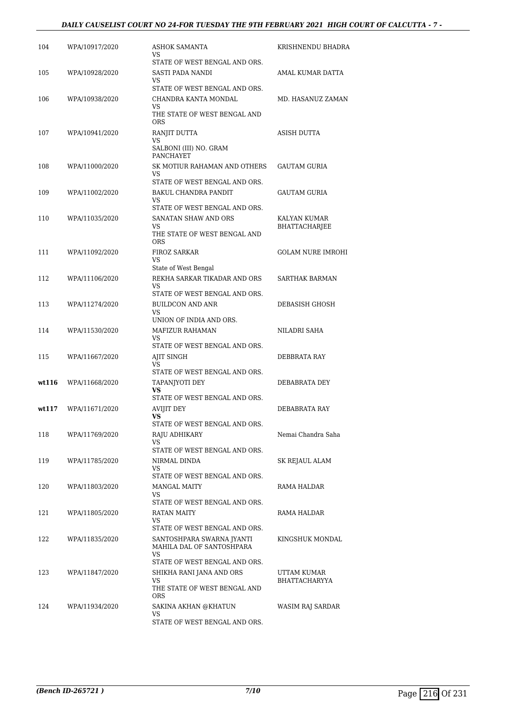### *DAILY CAUSELIST COURT NO 24-FOR TUESDAY THE 9TH FEBRUARY 2021 HIGH COURT OF CALCUTTA - 7 -*

| 104   | WPA/10917/2020 | <b>ASHOK SAMANTA</b><br>VS                                                                            | KRISHNENDU BHADRA                    |
|-------|----------------|-------------------------------------------------------------------------------------------------------|--------------------------------------|
| 105   | WPA/10928/2020 | STATE OF WEST BENGAL AND ORS.<br>SASTI PADA NANDI<br>VS                                               | AMAL KUMAR DATTA                     |
| 106   | WPA/10938/2020 | STATE OF WEST BENGAL AND ORS.<br>CHANDRA KANTA MONDAL<br>VS                                           | MD. HASANUZ ZAMAN                    |
|       |                | THE STATE OF WEST BENGAL AND<br><b>ORS</b>                                                            |                                      |
| 107   | WPA/10941/2020 | RANJIT DUTTA<br>VS<br>SALBONI (III) NO. GRAM<br><b>PANCHAYET</b>                                      | <b>ASISH DUTTA</b>                   |
| 108   | WPA/11000/2020 | SK MOTIUR RAHAMAN AND OTHERS<br>VS                                                                    | <b>GAUTAM GURIA</b>                  |
| 109   | WPA/11002/2020 | STATE OF WEST BENGAL AND ORS.<br>BAKUL CHANDRA PANDIT<br>VS                                           | <b>GAUTAM GURIA</b>                  |
| 110   | WPA/11035/2020 | STATE OF WEST BENGAL AND ORS.<br>SANATAN SHAW AND ORS<br>VS<br>THE STATE OF WEST BENGAL AND<br>ORS    | KALYAN KUMAR<br><b>BHATTACHARJEE</b> |
| 111   | WPA/11092/2020 | FIROZ SARKAR<br>VS                                                                                    | GOLAM NURE IMROHI                    |
| 112   | WPA/11106/2020 | State of West Bengal<br>REKHA SARKAR TIKADAR AND ORS<br>VS                                            | <b>SARTHAK BARMAN</b>                |
| 113   | WPA/11274/2020 | STATE OF WEST BENGAL AND ORS.<br><b>BUILDCON AND ANR</b><br>VS                                        | DEBASISH GHOSH                       |
| 114   | WPA/11530/2020 | UNION OF INDIA AND ORS.<br><b>MAFIZUR RAHAMAN</b><br>VS                                               | NILADRI SAHA                         |
| 115   | WPA/11667/2020 | STATE OF WEST BENGAL AND ORS.<br>AJIT SINGH<br>VS                                                     | DEBBRATA RAY                         |
| wt116 | WPA/11668/2020 | STATE OF WEST BENGAL AND ORS.<br>TAPANJYOTI DEY<br>VS                                                 | DEBABRATA DEY                        |
| wt117 | WPA/11671/2020 | STATE OF WEST BENGAL AND ORS.<br>AVIJIT DEY<br>VS                                                     | DEBABRATA RAY                        |
| 118   | WPA/11769/2020 | STATE OF WEST BENGAL AND ORS.<br>RAJU ADHIKARY<br>VS                                                  | Nemai Chandra Saha                   |
| 119   | WPA/11785/2020 | STATE OF WEST BENGAL AND ORS.<br>NIRMAL DINDA<br>VS                                                   | SK REJAUL ALAM                       |
| 120   | WPA/11803/2020 | STATE OF WEST BENGAL AND ORS.<br>MANGAL MAITY<br>VS                                                   | RAMA HALDAR                          |
| 121   | WPA/11805/2020 | STATE OF WEST BENGAL AND ORS.<br>RATAN MAITY<br>VS                                                    | RAMA HALDAR                          |
| 122   | WPA/11835/2020 | STATE OF WEST BENGAL AND ORS.<br>SANTOSHPARA SWARNA JYANTI<br>MAHILA DAL OF SANTOSHPARA               | KINGSHUK MONDAL                      |
| 123   | WPA/11847/2020 | VS<br>STATE OF WEST BENGAL AND ORS.<br>SHIKHA RANI JANA AND ORS<br>VS<br>THE STATE OF WEST BENGAL AND | UTTAM KUMAR<br>BHATTACHARYYA         |
| 124   | WPA/11934/2020 | <b>ORS</b><br>SAKINA AKHAN @KHATUN<br>VS<br>STATE OF WEST BENGAL AND ORS.                             | WASIM RAJ SARDAR                     |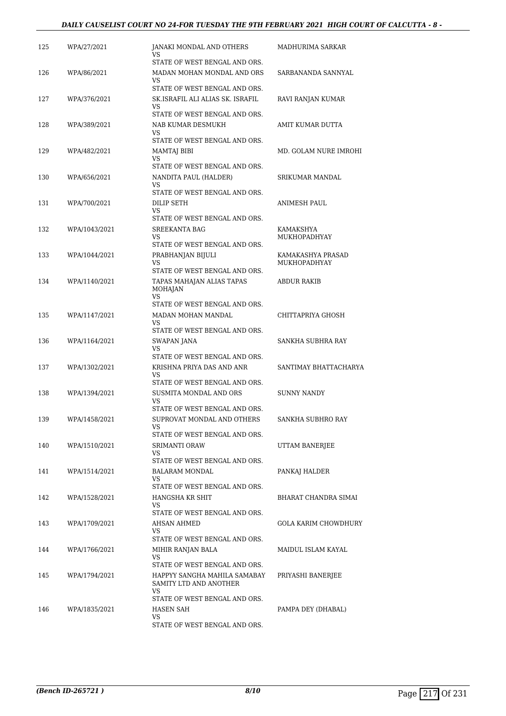### *DAILY CAUSELIST COURT NO 24-FOR TUESDAY THE 9TH FEBRUARY 2021 HIGH COURT OF CALCUTTA - 8 -*

| 125 | WPA/27/2021   | JANAKI MONDAL AND OTHERS<br>VS                                                          | MADHURIMA SARKAR                  |
|-----|---------------|-----------------------------------------------------------------------------------------|-----------------------------------|
| 126 | WPA/86/2021   | STATE OF WEST BENGAL AND ORS.<br>MADAN MOHAN MONDAL AND ORS<br>VS                       | SARBANANDA SANNYAL                |
| 127 | WPA/376/2021  | STATE OF WEST BENGAL AND ORS.<br>SK.ISRAFIL ALI ALIAS SK. ISRAFIL<br>VS                 | RAVI RANJAN KUMAR                 |
| 128 | WPA/389/2021  | STATE OF WEST BENGAL AND ORS.<br>NAB KUMAR DESMUKH<br>VS                                | AMIT KUMAR DUTTA                  |
| 129 | WPA/482/2021  | STATE OF WEST BENGAL AND ORS.<br>MAMTAJ BIBI<br>VS                                      | MD. GOLAM NURE IMROHI             |
| 130 | WPA/656/2021  | STATE OF WEST BENGAL AND ORS.<br>NANDITA PAUL (HALDER)                                  | SRIKUMAR MANDAL                   |
| 131 | WPA/700/2021  | VS<br>STATE OF WEST BENGAL AND ORS.<br>DILIP SETH                                       | ANIMESH PAUL                      |
|     |               | VS<br>STATE OF WEST BENGAL AND ORS.                                                     |                                   |
| 132 | WPA/1043/2021 | <b>SREEKANTA BAG</b><br>VS<br>STATE OF WEST BENGAL AND ORS.                             | KAMAKSHYA<br><b>MUKHOPADHYAY</b>  |
| 133 | WPA/1044/2021 | PRABHANJAN BIJULI<br>VS.                                                                | KAMAKASHYA PRASAD<br>MUKHOPADHYAY |
| 134 | WPA/1140/2021 | STATE OF WEST BENGAL AND ORS.<br>TAPAS MAHAJAN ALIAS TAPAS<br>MOHAJAN<br>VS             | ABDUR RAKIB                       |
| 135 | WPA/1147/2021 | STATE OF WEST BENGAL AND ORS.<br>MADAN MOHAN MANDAL<br>VS                               | CHITTAPRIYA GHOSH                 |
| 136 | WPA/1164/2021 | STATE OF WEST BENGAL AND ORS.<br>SWAPAN JANA<br>VS                                      | SANKHA SUBHRA RAY                 |
| 137 | WPA/1302/2021 | STATE OF WEST BENGAL AND ORS.<br>KRISHNA PRIYA DAS AND ANR<br>VS                        | SANTIMAY BHATTACHARYA             |
| 138 | WPA/1394/2021 | STATE OF WEST BENGAL AND ORS.<br>SUSMITA MONDAL AND ORS                                 | <b>SUNNY NANDY</b>                |
| 139 | WPA/1458/2021 | VS.<br>STATE OF WEST BENGAL AND ORS.<br>SUPROVAT MONDAL AND OTHERS                      | SANKHA SUBHRO RAY                 |
|     |               | VS<br>STATE OF WEST BENGAL AND ORS.                                                     |                                   |
| 140 | WPA/1510/2021 | <b>SRIMANTI ORAW</b><br>VS<br>STATE OF WEST BENGAL AND ORS.                             | UTTAM BANERJEE                    |
| 141 | WPA/1514/2021 | BALARAM MONDAL<br>VS<br>STATE OF WEST BENGAL AND ORS.                                   | PANKAJ HALDER                     |
| 142 | WPA/1528/2021 | HANGSHA KR SHIT<br>VS                                                                   | BHARAT CHANDRA SIMAI              |
| 143 | WPA/1709/2021 | STATE OF WEST BENGAL AND ORS.<br>AHSAN AHMED<br>VS                                      | GOLA KARIM CHOWDHURY              |
| 144 | WPA/1766/2021 | STATE OF WEST BENGAL AND ORS.<br>MIHIR RANJAN BALA<br>VS.                               | MAIDUL ISLAM KAYAL                |
| 145 | WPA/1794/2021 | STATE OF WEST BENGAL AND ORS.<br>HAPPYY SANGHA MAHILA SAMABAY<br>SAMITY LTD AND ANOTHER | PRIYASHI BANERJEE                 |
| 146 | WPA/1835/2021 | VS<br>STATE OF WEST BENGAL AND ORS.<br>HASEN SAH<br>VS<br>STATE OF WEST BENGAL AND ORS. | PAMPA DEY (DHABAL)                |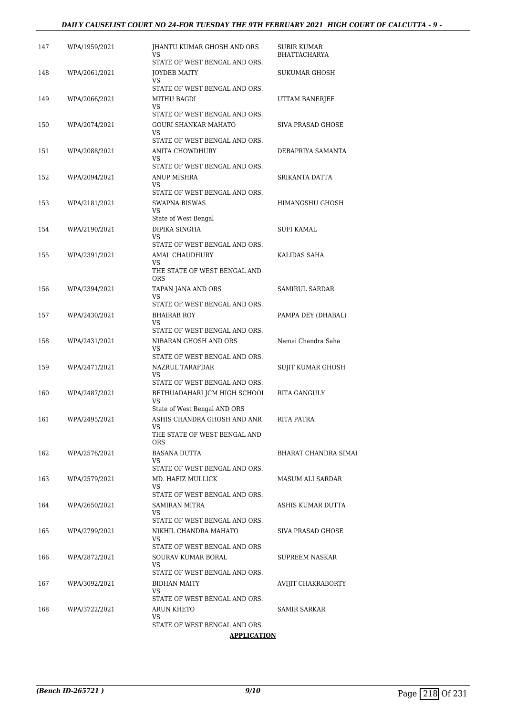#### *DAILY CAUSELIST COURT NO 24-FOR TUESDAY THE 9TH FEBRUARY 2021 HIGH COURT OF CALCUTTA - 9 -*

| 147 | WPA/1959/2021 | JHANTU KUMAR GHOSH AND ORS<br>VS                                    | SUBIR KUMAR<br><b>BHATTACHARYA</b> |
|-----|---------------|---------------------------------------------------------------------|------------------------------------|
| 148 | WPA/2061/2021 | STATE OF WEST BENGAL AND ORS.<br>JOYDEB MAITY<br>VS                 | SUKUMAR GHOSH                      |
| 149 | WPA/2066/2021 | STATE OF WEST BENGAL AND ORS.<br>MITHU BAGDI<br>VS                  | UTTAM BANERJEE                     |
| 150 | WPA/2074/2021 | STATE OF WEST BENGAL AND ORS.<br>GOURI SHANKAR MAHATO               | <b>SIVA PRASAD GHOSE</b>           |
| 151 | WPA/2088/2021 | VS<br>STATE OF WEST BENGAL AND ORS.<br>ANITA CHOWDHURY              | DEBAPRIYA SAMANTA                  |
| 152 | WPA/2094/2021 | VS<br>STATE OF WEST BENGAL AND ORS.<br>ANUP MISHRA                  | SRIKANTA DATTA                     |
|     |               | VS<br>STATE OF WEST BENGAL AND ORS.                                 |                                    |
| 153 | WPA/2181/2021 | <b>SWAPNA BISWAS</b><br>VS.<br>State of West Bengal                 | HIMANGSHU GHOSH                    |
| 154 | WPA/2190/2021 | DIPIKA SINGHA<br>VS                                                 | SUFI KAMAL                         |
| 155 | WPA/2391/2021 | STATE OF WEST BENGAL AND ORS.<br><b>AMAL CHAUDHURY</b><br>VS.       | KALIDAS SAHA                       |
|     |               | THE STATE OF WEST BENGAL AND<br><b>ORS</b>                          |                                    |
| 156 | WPA/2394/2021 | TAPAN JANA AND ORS<br><b>VS</b><br>STATE OF WEST BENGAL AND ORS.    | SAMIRUL SARDAR                     |
| 157 | WPA/2430/2021 | <b>BHAIRAB ROY</b><br>VS                                            | PAMPA DEY (DHABAL)                 |
| 158 | WPA/2431/2021 | STATE OF WEST BENGAL AND ORS.<br>NIBARAN GHOSH AND ORS<br>VS        | Nemai Chandra Saha                 |
| 159 | WPA/2471/2021 | STATE OF WEST BENGAL AND ORS.<br>NAZRUL TARAFDAR<br>VS              | SUJIT KUMAR GHOSH                  |
| 160 | WPA/2487/2021 | STATE OF WEST BENGAL AND ORS.<br>BETHUADAHARI JCM HIGH SCHOOL<br>VS | RITA GANGULY                       |
| 161 | WPA/2495/2021 | State of West Bengal AND ORS<br>ASHIS CHANDRA GHOSH AND ANR         | RITA PATRA                         |
|     |               | VS<br>THE STATE OF WEST BENGAL AND<br>ORS.                          |                                    |
| 162 | WPA/2576/2021 | BASANA DUTTA<br>VS<br>STATE OF WEST BENGAL AND ORS.                 | <b>BHARAT CHANDRA SIMAI</b>        |
| 163 | WPA/2579/2021 | MD. HAFIZ MULLICK<br>VS.                                            | <b>MASUM ALI SARDAR</b>            |
| 164 | WPA/2650/2021 | STATE OF WEST BENGAL AND ORS.<br><b>SAMIRAN MITRA</b><br>VS.        | ASHIS KUMAR DUTTA                  |
| 165 | WPA/2799/2021 | STATE OF WEST BENGAL AND ORS.<br>NIKHIL CHANDRA MAHATO<br>VS.       | SIVA PRASAD GHOSE                  |
| 166 | WPA/2872/2021 | STATE OF WEST BENGAL AND ORS<br>SOURAV KUMAR BORAL                  | SUPREEM NASKAR                     |
| 167 | WPA/3092/2021 | VS.<br>STATE OF WEST BENGAL AND ORS.<br>BIDHAN MAITY                | AVIJIT CHAKRABORTY                 |
|     |               | VS<br>STATE OF WEST BENGAL AND ORS.                                 |                                    |
| 168 | WPA/3722/2021 | ARUN KHETO<br>VS<br>STATE OF WEST BENGAL AND ORS.                   | SAMIR SARKAR                       |
|     |               | <b>APPLICATION</b>                                                  |                                    |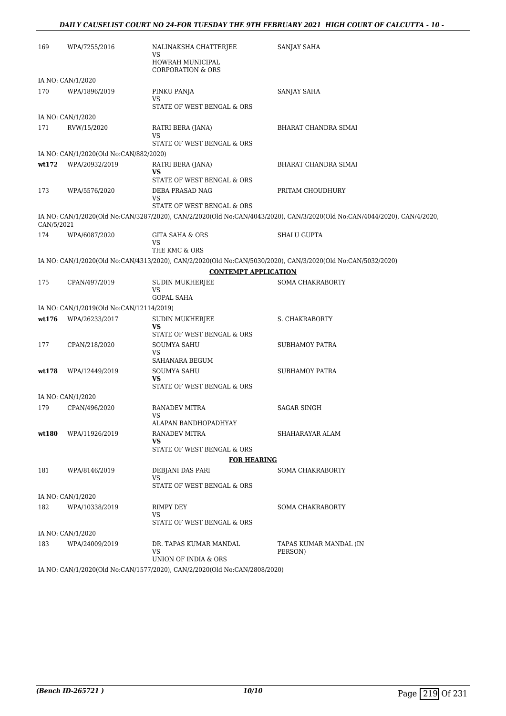| 169        | WPA/7255/2016                            | NALINAKSHA CHATTERJEE<br>VS                                               | <b>SANJAY SAHA</b>                                                                                                       |
|------------|------------------------------------------|---------------------------------------------------------------------------|--------------------------------------------------------------------------------------------------------------------------|
|            |                                          | HOWRAH MUNICIPAL<br><b>CORPORATION &amp; ORS</b>                          |                                                                                                                          |
|            | IA NO: CAN/1/2020                        |                                                                           |                                                                                                                          |
| 170        | WPA/1896/2019                            | PINKU PANJA<br>VS                                                         | SANJAY SAHA                                                                                                              |
|            |                                          | STATE OF WEST BENGAL & ORS                                                |                                                                                                                          |
|            | IA NO: CAN/1/2020                        |                                                                           |                                                                                                                          |
| 171        | RVW/15/2020                              | RATRI BERA (JANA)<br>VS<br>STATE OF WEST BENGAL & ORS                     | BHARAT CHANDRA SIMAI                                                                                                     |
|            |                                          |                                                                           |                                                                                                                          |
|            | IA NO: CAN/1/2020(Old No:CAN/882/2020)   |                                                                           |                                                                                                                          |
| wt172      | WPA/20932/2019                           | RATRI BERA (JANA)<br>VS<br>STATE OF WEST BENGAL & ORS                     | BHARAT CHANDRA SIMAI                                                                                                     |
| 173        | WPA/5576/2020                            | DEBA PRASAD NAG                                                           | PRITAM CHOUDHURY                                                                                                         |
|            |                                          | VS<br>STATE OF WEST BENGAL & ORS                                          |                                                                                                                          |
| CAN/5/2021 |                                          |                                                                           | IA NO: CAN/1/2020(Old No:CAN/3287/2020), CAN/2/2020(Old No:CAN/4043/2020), CAN/3/2020(Old No:CAN/4044/2020), CAN/4/2020, |
| 174        | WPA/6087/2020                            | <b>GITA SAHA &amp; ORS</b><br>VS                                          | <b>SHALU GUPTA</b>                                                                                                       |
|            |                                          | THE KMC & ORS                                                             |                                                                                                                          |
|            |                                          |                                                                           | IA NO: CAN/1/2020(Old No:CAN/4313/2020), CAN/2/2020(Old No:CAN/5030/2020), CAN/3/2020(Old No:CAN/5032/2020)              |
|            |                                          | <b>CONTEMPT APPLICATION</b>                                               |                                                                                                                          |
| 175        | CPAN/497/2019                            | <b>SUDIN MUKHERJEE</b><br>VS<br><b>GOPAL SAHA</b>                         | <b>SOMA CHAKRABORTY</b>                                                                                                  |
|            | IA NO: CAN/1/2019(Old No:CAN/12114/2019) |                                                                           |                                                                                                                          |
| wt176      | WPA/26233/2017                           | <b>SUDIN MUKHERJEE</b><br>VS                                              | <b>S. CHAKRABORTY</b>                                                                                                    |
|            |                                          | STATE OF WEST BENGAL & ORS                                                |                                                                                                                          |
| 177        | CPAN/218/2020                            | SOUMYA SAHU<br>VS                                                         | SUBHAMOY PATRA                                                                                                           |
|            | WPA/12449/2019                           | SAHANARA BEGUM                                                            |                                                                                                                          |
| wt178      |                                          | SOUMYA SAHU<br>VS<br>STATE OF WEST BENGAL & ORS                           | SUBHAMOY PATRA                                                                                                           |
|            | IA NO: CAN/1/2020                        |                                                                           |                                                                                                                          |
| 179        | CPAN/496/2020                            | RANADEV MITRA<br>VS                                                       | SAGAR SINGH                                                                                                              |
|            |                                          | ALAPAN BANDHOPADHYAY                                                      |                                                                                                                          |
| wt180      | WPA/11926/2019                           | RANADEV MITRA<br>VS                                                       | SHAHARAYAR ALAM                                                                                                          |
|            |                                          | STATE OF WEST BENGAL & ORS                                                |                                                                                                                          |
|            |                                          | <b>FOR HEARING</b>                                                        |                                                                                                                          |
| 181        | WPA/8146/2019                            | DEBJANI DAS PARI<br>VS<br>STATE OF WEST BENGAL & ORS                      | <b>SOMA CHAKRABORTY</b>                                                                                                  |
|            | IA NO: CAN/1/2020                        |                                                                           |                                                                                                                          |
| 182        | WPA/10338/2019                           | RIMPY DEY                                                                 | <b>SOMA CHAKRABORTY</b>                                                                                                  |
|            |                                          | VS<br>STATE OF WEST BENGAL & ORS                                          |                                                                                                                          |
|            | IA NO: CAN/1/2020                        |                                                                           |                                                                                                                          |
| 183        | WPA/24009/2019                           | DR. TAPAS KUMAR MANDAL<br>VS                                              | TAPAS KUMAR MANDAL (IN<br>PERSON)                                                                                        |
|            |                                          | UNION OF INDIA & ORS                                                      |                                                                                                                          |
|            |                                          | IA NO: CAN/1/2020(Old No:CAN/1577/2020). CAN/2/2020(Old No:CAN/2808/2020) |                                                                                                                          |

IA NO: CAN/1/2020(Old No:CAN/1577/2020), CAN/2/2020(Old No:CAN/2808/2020)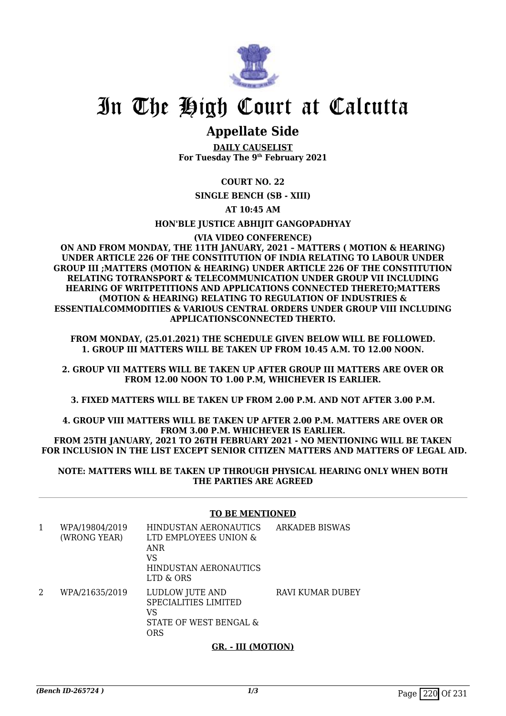

## In The High Court at Calcutta

### **Appellate Side**

**DAILY CAUSELIST For Tuesday The 9th February 2021**

**COURT NO. 22**

**SINGLE BENCH (SB - XIII)**

**AT 10:45 AM**

**HON'BLE JUSTICE ABHIJIT GANGOPADHYAY**

#### **(VIA VIDEO CONFERENCE)**

**ON AND FROM MONDAY, THE 11TH JANUARY, 2021 – MATTERS ( MOTION & HEARING) UNDER ARTICLE 226 OF THE CONSTITUTION OF INDIA RELATING TO LABOUR UNDER GROUP III ;MATTERS (MOTION & HEARING) UNDER ARTICLE 226 OF THE CONSTITUTION RELATING TOTRANSPORT & TELECOMMUNICATION UNDER GROUP VII INCLUDING HEARING OF WRITPETITIONS AND APPLICATIONS CONNECTED THERETO;MATTERS (MOTION & HEARING) RELATING TO REGULATION OF INDUSTRIES & ESSENTIALCOMMODITIES & VARIOUS CENTRAL ORDERS UNDER GROUP VIII INCLUDING APPLICATIONSCONNECTED THERTO.**

**FROM MONDAY, (25.01.2021) THE SCHEDULE GIVEN BELOW WILL BE FOLLOWED. 1. GROUP III MATTERS WILL BE TAKEN UP FROM 10.45 A.M. TO 12.00 NOON.**

**2. GROUP VII MATTERS WILL BE TAKEN UP AFTER GROUP III MATTERS ARE OVER OR FROM 12.00 NOON TO 1.00 P.M, WHICHEVER IS EARLIER.**

**3. FIXED MATTERS WILL BE TAKEN UP FROM 2.00 P.M. AND NOT AFTER 3.00 P.M.**

**4. GROUP VIII MATTERS WILL BE TAKEN UP AFTER 2.00 P.M. MATTERS ARE OVER OR FROM 3.00 P.M. WHICHEVER IS EARLIER. FROM 25TH JANUARY, 2021 TO 26TH FEBRUARY 2021 - NO MENTIONING WILL BE TAKEN FOR INCLUSION IN THE LIST EXCEPT SENIOR CITIZEN MATTERS AND MATTERS OF LEGAL AID.**

**NOTE: MATTERS WILL BE TAKEN UP THROUGH PHYSICAL HEARING ONLY WHEN BOTH THE PARTIES ARE AGREED**

### **TO BE MENTIONED**

| 1 | WPA/19804/2019<br>(WRONG YEAR) | HINDUSTAN AERONAUTICS<br>LTD EMPLOYEES UNION &<br>ANR<br>VS<br><b>HINDUSTAN AERONAUTICS</b><br>LTD & ORS | <b>ARKADEB BISWAS</b> |
|---|--------------------------------|----------------------------------------------------------------------------------------------------------|-----------------------|
| 2 | WPA/21635/2019                 | LUDLOW JUTE AND<br><b>SPECIALITIES LIMITED</b><br>VS<br>STATE OF WEST BENGAL &<br>ORS                    | RAVI KUMAR DUBEY      |

### **GR. - III (MOTION)**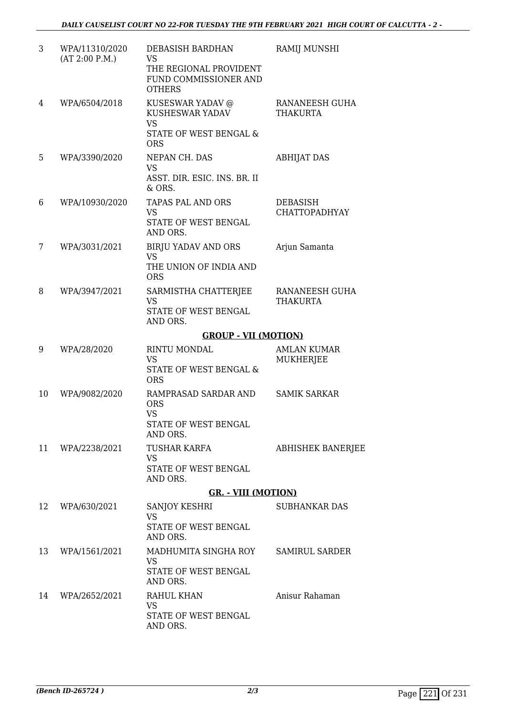| 3  | WPA/11310/2020<br>(AT 2:00 P.M.) | DEBASISH BARDHAN<br><b>VS</b><br>THE REGIONAL PROVIDENT<br>FUND COMMISSIONER AND<br><b>OTHERS</b> | RAMIJ MUNSHI                            |
|----|----------------------------------|---------------------------------------------------------------------------------------------------|-----------------------------------------|
| 4  | WPA/6504/2018                    | KUSESWAR YADAV @<br>KUSHESWAR YADAV<br><b>VS</b><br>STATE OF WEST BENGAL &<br><b>ORS</b>          | RANANEESH GUHA<br><b>THAKURTA</b>       |
| 5  | WPA/3390/2020                    | NEPAN CH. DAS<br><b>VS</b><br>ASST. DIR. ESIC. INS. BR. II<br>& ORS.                              | <b>ABHIJAT DAS</b>                      |
| 6  | WPA/10930/2020                   | TAPAS PAL AND ORS<br><b>VS</b><br>STATE OF WEST BENGAL<br>AND ORS.                                | <b>DEBASISH</b><br><b>CHATTOPADHYAY</b> |
| 7  | WPA/3031/2021                    | <b>BIRJU YADAV AND ORS</b><br><b>VS</b><br>THE UNION OF INDIA AND<br><b>ORS</b>                   | Arjun Samanta                           |
| 8  | WPA/3947/2021                    | SARMISTHA CHATTERJEE<br><b>VS</b><br>STATE OF WEST BENGAL<br>AND ORS.                             | RANANEESH GUHA<br><b>THAKURTA</b>       |
|    |                                  | <b>GROUP - VII (MOTION)</b>                                                                       |                                         |
| 9  | WPA/28/2020                      | <b>RINTU MONDAL</b><br><b>VS</b><br>STATE OF WEST BENGAL &                                        | <b>AMLAN KUMAR</b><br><b>MUKHERJEE</b>  |
| 10 | WPA/9082/2020                    | <b>ORS</b><br>RAMPRASAD SARDAR AND<br><b>ORS</b><br>VS<br>STATE OF WEST BENGAL<br>AND ORS.        | <b>SAMIK SARKAR</b>                     |
| 11 | WPA/2238/2021                    | <b>TUSHAR KARFA</b><br><b>VS</b><br>STATE OF WEST BENGAL<br>AND ORS.                              | <b>ABHISHEK BANERJEE</b>                |
|    |                                  | <b>GR. - VIII (MOTION)</b>                                                                        |                                         |
| 12 | WPA/630/2021                     | SANJOY KESHRI<br><b>VS</b><br>STATE OF WEST BENGAL<br>AND ORS.                                    | <b>SUBHANKAR DAS</b>                    |
| 13 | WPA/1561/2021                    | MADHUMITA SINGHA ROY SAMIRUL SARDER<br><b>VS</b><br>STATE OF WEST BENGAL<br>AND ORS.              |                                         |
| 14 | WPA/2652/2021                    | RAHUL KHAN<br><b>VS</b><br>STATE OF WEST BENGAL<br>AND ORS.                                       | Anisur Rahaman                          |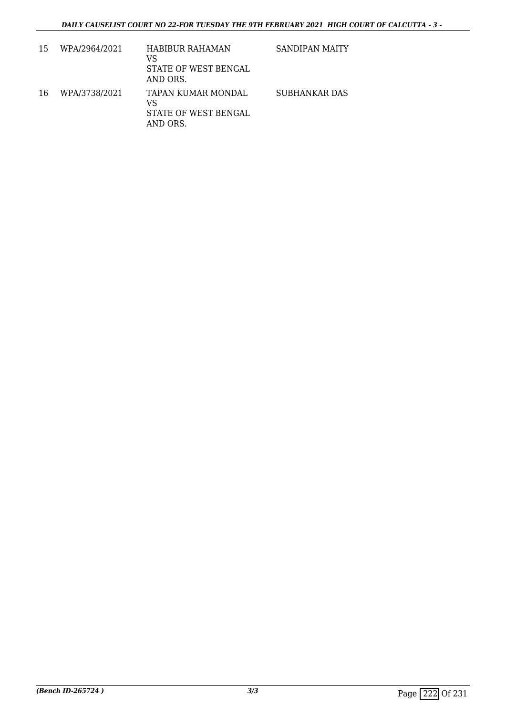| 15 | WPA/2964/2021 | <b>HABIBUR RAHAMAN</b><br>VS<br>STATE OF WEST BENGAL<br>AND ORS. | <b>SANDIPAN MAITY</b> |
|----|---------------|------------------------------------------------------------------|-----------------------|
| 16 | WPA/3738/2021 | TAPAN KUMAR MONDAL<br>VS<br>STATE OF WEST BENGAL<br>AND ORS.     | <b>SUBHANKAR DAS</b>  |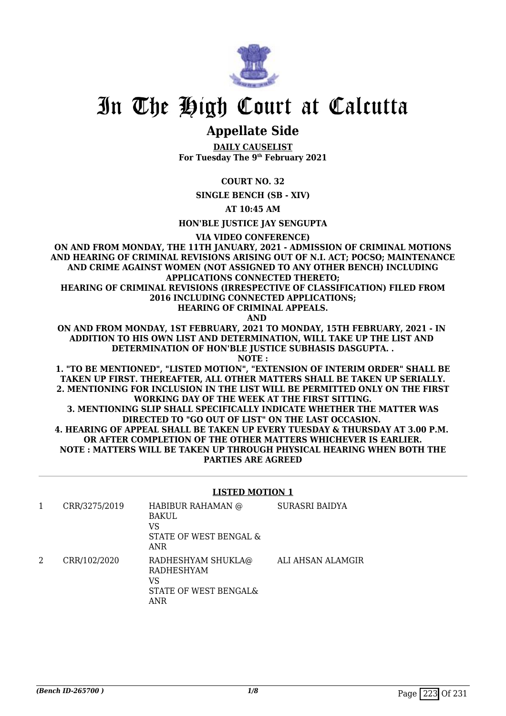

## In The High Court at Calcutta

### **Appellate Side**

**DAILY CAUSELIST For Tuesday The 9th February 2021**

### **COURT NO. 32**

**SINGLE BENCH (SB - XIV)**

**AT 10:45 AM**

**HON'BLE JUSTICE JAY SENGUPTA**

**VIA VIDEO CONFERENCE)**

**ON AND FROM MONDAY, THE 11TH JANUARY, 2021 - ADMISSION OF CRIMINAL MOTIONS AND HEARING OF CRIMINAL REVISIONS ARISING OUT OF N.I. ACT; POCSO; MAINTENANCE AND CRIME AGAINST WOMEN (NOT ASSIGNED TO ANY OTHER BENCH) INCLUDING APPLICATIONS CONNECTED THERETO; HEARING OF CRIMINAL REVISIONS (IRRESPECTIVE OF CLASSIFICATION) FILED FROM**

**2016 INCLUDING CONNECTED APPLICATIONS; HEARING OF CRIMINAL APPEALS.**

 **AND**

**ON AND FROM MONDAY, 1ST FEBRUARY, 2021 TO MONDAY, 15TH FEBRUARY, 2021 - IN ADDITION TO HIS OWN LIST AND DETERMINATION, WILL TAKE UP THE LIST AND DETERMINATION OF HON'BLE JUSTICE SUBHASIS DASGUPTA. .**

**NOTE :**

**1. "TO BE MENTIONED", "LISTED MOTION", "EXTENSION OF INTERIM ORDER" SHALL BE TAKEN UP FIRST. THEREAFTER, ALL OTHER MATTERS SHALL BE TAKEN UP SERIALLY. 2. MENTIONING FOR INCLUSION IN THE LIST WILL BE PERMITTED ONLY ON THE FIRST WORKING DAY OF THE WEEK AT THE FIRST SITTING.**

**3. MENTIONING SLIP SHALL SPECIFICALLY INDICATE WHETHER THE MATTER WAS DIRECTED TO "GO OUT OF LIST" ON THE LAST OCCASION. 4. HEARING OF APPEAL SHALL BE TAKEN UP EVERY TUESDAY & THURSDAY AT 3.00 P.M. OR AFTER COMPLETION OF THE OTHER MATTERS WHICHEVER IS EARLIER. NOTE : MATTERS WILL BE TAKEN UP THROUGH PHYSICAL HEARING WHEN BOTH THE PARTIES ARE AGREED**

### **LISTED MOTION 1**

| CRR/3275/2019 | HABIBUR RAHAMAN @<br>BAKUL<br>VS<br>STATE OF WEST BENGAL &<br>ANR             | SURASRI BAIDYA    |
|---------------|-------------------------------------------------------------------------------|-------------------|
| CRR/102/2020  | RADHESHYAM SHUKLA@<br><b>RADHESHYAM</b><br>VS<br>STATE OF WEST BENGAL&<br>ANR | ALI AHSAN ALAMGIR |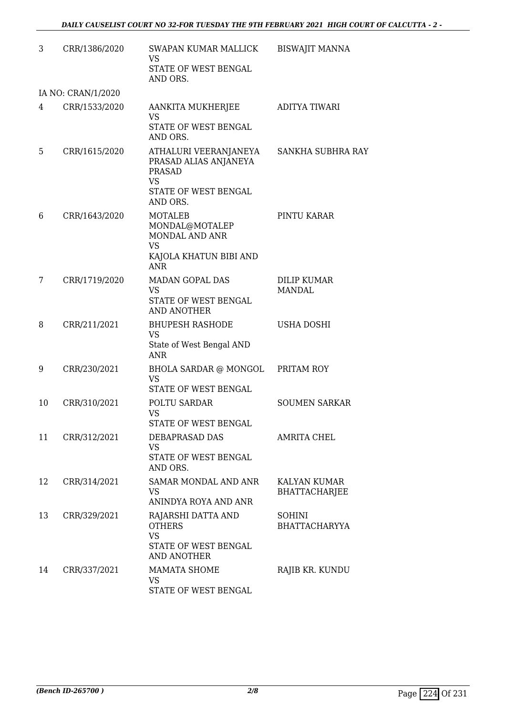| 3  | CRR/1386/2020      | SWAPAN KUMAR MALLICK<br><b>VS</b><br>STATE OF WEST BENGAL<br>AND ORS.                                     | <b>BISWAJIT MANNA</b>                       |
|----|--------------------|-----------------------------------------------------------------------------------------------------------|---------------------------------------------|
|    | IA NO: CRAN/1/2020 |                                                                                                           |                                             |
| 4  | CRR/1533/2020      | AANKITA MUKHERJEE<br><b>VS</b><br>STATE OF WEST BENGAL<br>AND ORS.                                        | <b>ADITYA TIWARI</b>                        |
| 5  | CRR/1615/2020      | ATHALURI VEERANJANEYA<br>PRASAD ALIAS ANJANEYA<br>PRASAD<br><b>VS</b><br>STATE OF WEST BENGAL<br>AND ORS. | SANKHA SUBHRA RAY                           |
| 6  | CRR/1643/2020      | <b>MOTALEB</b><br>MONDAL@MOTALEP<br>MONDAL AND ANR<br><b>VS</b><br>KAJOLA KHATUN BIBI AND<br><b>ANR</b>   | PINTU KARAR                                 |
| 7  | CRR/1719/2020      | MADAN GOPAL DAS<br><b>VS</b><br>STATE OF WEST BENGAL<br><b>AND ANOTHER</b>                                | <b>DILIP KUMAR</b><br><b>MANDAL</b>         |
| 8  | CRR/211/2021       | <b>BHUPESH RASHODE</b><br><b>VS</b><br>State of West Bengal AND<br><b>ANR</b>                             | USHA DOSHI                                  |
| 9  | CRR/230/2021       | BHOLA SARDAR @ MONGOL PRITAM ROY<br><b>VS</b><br>STATE OF WEST BENGAL                                     |                                             |
| 10 | CRR/310/2021       | POLTU SARDAR<br>VS<br>STATE OF WEST BENGAL                                                                | <b>SOUMEN SARKAR</b>                        |
| 11 | CRR/312/2021       | <b>DEBAPRASAD DAS</b><br><b>VS</b><br>STATE OF WEST BENGAL<br>AND ORS.                                    | <b>AMRITA CHEL</b>                          |
| 12 | CRR/314/2021       | <b>SAMAR MONDAL AND ANR</b><br><b>VS</b><br>ANINDYA ROYA AND ANR                                          | <b>KALYAN KUMAR</b><br><b>BHATTACHARJEE</b> |
| 13 | CRR/329/2021       | RAJARSHI DATTA AND<br><b>OTHERS</b><br><b>VS</b><br>STATE OF WEST BENGAL<br><b>AND ANOTHER</b>            | <b>SOHINI</b><br><b>BHATTACHARYYA</b>       |
| 14 | CRR/337/2021       | <b>MAMATA SHOME</b><br><b>VS</b><br>STATE OF WEST BENGAL                                                  | RAJIB KR. KUNDU                             |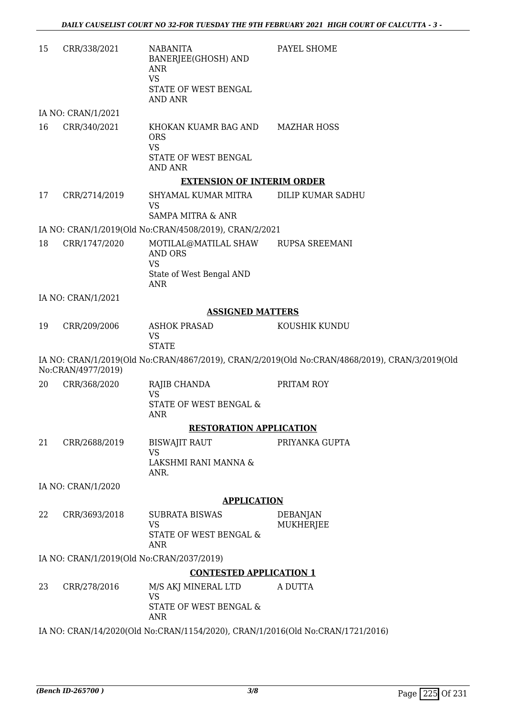| 15 | CRR/338/2021       | <b>NABANITA</b><br>BANERJEE(GHOSH) AND<br>ANR<br><b>VS</b><br>STATE OF WEST BENGAL                    | PAYEL SHOME                                                                                    |
|----|--------------------|-------------------------------------------------------------------------------------------------------|------------------------------------------------------------------------------------------------|
|    | IA NO: CRAN/1/2021 | <b>AND ANR</b>                                                                                        |                                                                                                |
| 16 | CRR/340/2021       | KHOKAN KUAMR BAG AND MAZHAR HOSS<br><b>ORS</b><br><b>VS</b><br>STATE OF WEST BENGAL<br><b>AND ANR</b> |                                                                                                |
|    |                    | <b>EXTENSION OF INTERIM ORDER</b>                                                                     |                                                                                                |
| 17 | CRR/2714/2019      | SHYAMAL KUMAR MITRA<br>VS<br><b>SAMPA MITRA &amp; ANR</b>                                             | DILIP KUMAR SADHU                                                                              |
|    |                    | IA NO: CRAN/1/2019(Old No:CRAN/4508/2019), CRAN/2/2021                                                |                                                                                                |
| 18 | CRR/1747/2020      | MOTILAL@MATILAL SHAW RUPSA SREEMANI<br><b>AND ORS</b>                                                 |                                                                                                |
|    |                    | <b>VS</b><br>State of West Bengal AND<br><b>ANR</b>                                                   |                                                                                                |
|    | IA NO: CRAN/1/2021 |                                                                                                       |                                                                                                |
|    |                    | <b>ASSIGNED MATTERS</b>                                                                               |                                                                                                |
| 19 | CRR/209/2006       | <b>ASHOK PRASAD</b><br><b>VS</b><br><b>STATE</b>                                                      | KOUSHIK KUNDU                                                                                  |
|    | No:CRAN/4977/2019) |                                                                                                       | IA NO: CRAN/1/2019(Old No:CRAN/4867/2019), CRAN/2/2019(Old No:CRAN/4868/2019), CRAN/3/2019(Old |
| 20 | CRR/368/2020       | RAJIB CHANDA<br><b>VS</b><br>STATE OF WEST BENGAL &<br><b>ANR</b>                                     | PRITAM ROY                                                                                     |
|    |                    | <b>RESTORATION APPLICATION</b>                                                                        |                                                                                                |
| 21 | CRR/2688/2019      | <b>BISWAJIT RAUT</b>                                                                                  | PRIYANKA GUPTA                                                                                 |
|    |                    | <b>VS</b><br>LAKSHMI RANI MANNA &<br>ANR.                                                             |                                                                                                |
|    | IA NO: CRAN/1/2020 |                                                                                                       |                                                                                                |
|    |                    | <b>APPLICATION</b>                                                                                    |                                                                                                |
| 22 | CRR/3693/2018      | <b>SUBRATA BISWAS</b><br><b>VS</b><br>STATE OF WEST BENGAL &                                          | <b>DEBANJAN</b><br><b>MUKHERJEE</b>                                                            |
|    |                    | <b>ANR</b>                                                                                            |                                                                                                |
|    |                    | IA NO: CRAN/1/2019(Old No:CRAN/2037/2019)                                                             |                                                                                                |
| 23 | CRR/278/2016       | <b>CONTESTED APPLICATION 1</b><br>M/S AKJ MINERAL LTD                                                 | A DUTTA                                                                                        |
|    |                    | <b>VS</b><br>STATE OF WEST BENGAL &<br><b>ANR</b>                                                     |                                                                                                |
|    |                    | IA NO: CRAN/14/2020(Old No:CRAN/1154/2020), CRAN/1/2016(Old No:CRAN/1721/2016)                        |                                                                                                |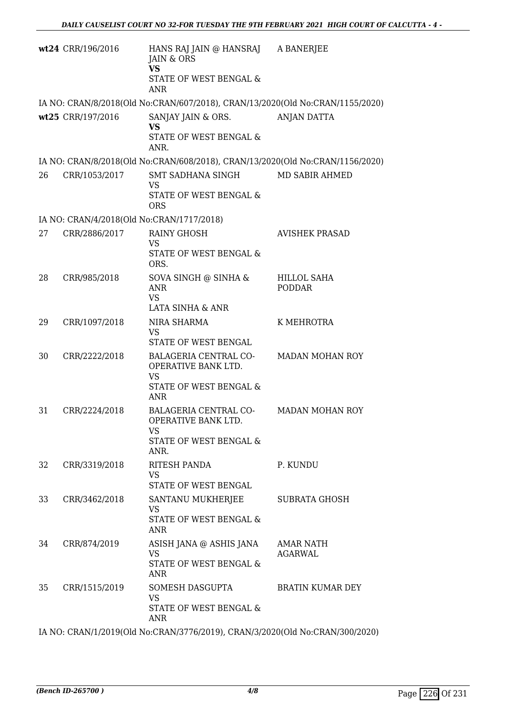|    | wt24 CRR/196/2016                         | HANS RAJ JAIN @ HANSRAJ<br>JAIN & ORS<br><b>VS</b><br>STATE OF WEST BENGAL &<br><b>ANR</b>  | A BANERJEE                          |
|----|-------------------------------------------|---------------------------------------------------------------------------------------------|-------------------------------------|
|    |                                           | IA NO: CRAN/8/2018(Old No:CRAN/607/2018), CRAN/13/2020(Old No:CRAN/1155/2020)               |                                     |
|    | wt25 CRR/197/2016                         | SANJAY JAIN & ORS.<br><b>VS</b><br>STATE OF WEST BENGAL &<br>ANR.                           | <b>ANJAN DATTA</b>                  |
|    |                                           | IA NO: CRAN/8/2018(Old No:CRAN/608/2018), CRAN/13/2020(Old No:CRAN/1156/2020)               |                                     |
| 26 | CRR/1053/2017                             | SMT SADHANA SINGH<br><b>VS</b><br>STATE OF WEST BENGAL &<br><b>ORS</b>                      | MD SABIR AHMED                      |
|    | IA NO: CRAN/4/2018(Old No:CRAN/1717/2018) |                                                                                             |                                     |
| 27 | CRR/2886/2017                             | <b>RAINY GHOSH</b><br><b>VS</b><br>STATE OF WEST BENGAL &<br>ORS.                           | <b>AVISHEK PRASAD</b>               |
| 28 | CRR/985/2018                              | SOVA SINGH @ SINHA &<br><b>ANR</b><br><b>VS</b><br>LATA SINHA & ANR                         | <b>HILLOL SAHA</b><br><b>PODDAR</b> |
| 29 | CRR/1097/2018                             | NIRA SHARMA<br><b>VS</b><br>STATE OF WEST BENGAL                                            | K MEHROTRA                          |
| 30 | CRR/2222/2018                             | BALAGERIA CENTRAL CO-<br>OPERATIVE BANK LTD.<br><b>VS</b><br>STATE OF WEST BENGAL &<br>ANR  | <b>MADAN MOHAN ROY</b>              |
| 31 | CRR/2224/2018                             | <b>BALAGERIA CENTRAL CO-</b><br>OPERATIVE BANK LTD.<br>VS<br>STATE OF WEST BENGAL &<br>ANR. | <b>MADAN MOHAN ROY</b>              |
| 32 | CRR/3319/2018                             | RITESH PANDA<br>VS<br>STATE OF WEST BENGAL                                                  | P. KUNDU                            |
| 33 | CRR/3462/2018                             | SANTANU MUKHERJEE<br><b>VS</b><br>STATE OF WEST BENGAL &<br>ANR                             | <b>SUBRATA GHOSH</b>                |
| 34 | CRR/874/2019                              | ASISH JANA @ ASHIS JANA<br>VS.<br>STATE OF WEST BENGAL &<br>ANR                             | AMAR NATH<br>AGARWAL                |
| 35 | CRR/1515/2019                             | SOMESH DASGUPTA<br>VS<br>STATE OF WEST BENGAL &<br>ANR                                      | <b>BRATIN KUMAR DEY</b>             |

IA NO: CRAN/1/2019(Old No:CRAN/3776/2019), CRAN/3/2020(Old No:CRAN/300/2020)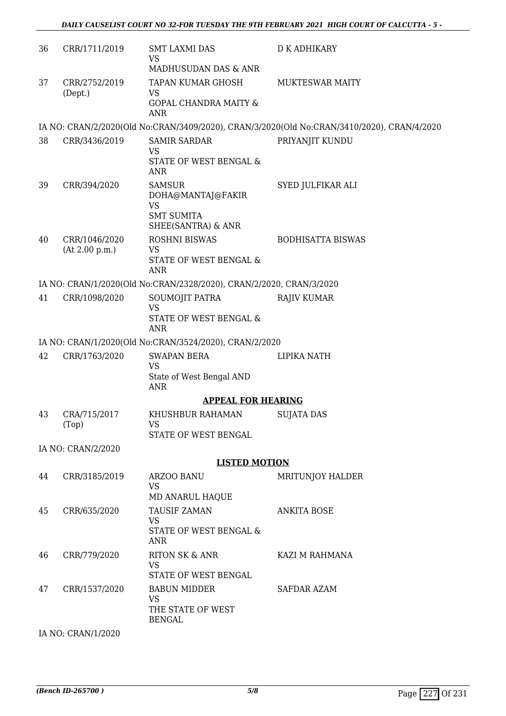| 36 | CRR/1711/2019                   | <b>SMT LAXMI DAS</b><br><b>VS</b><br>MADHUSUDAN DAS & ANR                                  | <b>D K ADHIKARY</b>                                                                        |
|----|---------------------------------|--------------------------------------------------------------------------------------------|--------------------------------------------------------------------------------------------|
| 37 | CRR/2752/2019<br>(Dept.)        | TAPAN KUMAR GHOSH<br>VS<br><b>GOPAL CHANDRA MAITY &amp;</b><br><b>ANR</b>                  | <b>MUKTESWAR MAITY</b>                                                                     |
|    |                                 |                                                                                            | IA NO: CRAN/2/2020(Old No:CRAN/3409/2020), CRAN/3/2020(Old No:CRAN/3410/2020), CRAN/4/2020 |
| 38 | CRR/3436/2019                   | <b>SAMIR SARDAR</b><br>VS<br>STATE OF WEST BENGAL &<br><b>ANR</b>                          | PRIYANJIT KUNDU                                                                            |
| 39 | CRR/394/2020                    | <b>SAMSUR</b><br>DOHA@MANTAJ@FAKIR<br><b>VS</b><br><b>SMT SUMITA</b><br>SHEE(SANTRA) & ANR | SYED JULFIKAR ALI                                                                          |
| 40 | CRR/1046/2020<br>(At 2.00 p.m.) | <b>ROSHNI BISWAS</b><br><b>VS</b><br>STATE OF WEST BENGAL &<br><b>ANR</b>                  | <b>BODHISATTA BISWAS</b>                                                                   |
|    |                                 | IA NO: CRAN/1/2020(Old No:CRAN/2328/2020), CRAN/2/2020, CRAN/3/2020                        |                                                                                            |
| 41 | CRR/1098/2020                   | SOUMOJIT PATRA<br><b>VS</b><br>STATE OF WEST BENGAL &<br><b>ANR</b>                        | <b>RAJIV KUMAR</b>                                                                         |
|    |                                 | IA NO: CRAN/1/2020(Old No:CRAN/3524/2020), CRAN/2/2020                                     |                                                                                            |
| 42 | CRR/1763/2020                   | <b>SWAPAN BERA</b>                                                                         | LIPIKA NATH                                                                                |
|    |                                 | <b>VS</b><br>State of West Bengal AND<br><b>ANR</b>                                        |                                                                                            |
|    |                                 | <b>APPEAL FOR HEARING</b>                                                                  |                                                                                            |
| 43 | CRA/715/2017<br>(Top)           | KHUSHBUR RAHAMAN<br>VS<br>STATE OF WEST BENGAL                                             | <b>SUJATA DAS</b>                                                                          |
|    | IA NO: CRAN/2/2020              |                                                                                            |                                                                                            |
|    |                                 | <b>LISTED MOTION</b>                                                                       |                                                                                            |
| 44 | CRR/3185/2019                   | ARZOO BANU<br><b>VS</b><br>MD ANARUL HAQUE                                                 | <b>MRITUNJOY HALDER</b>                                                                    |
| 45 | CRR/635/2020                    | TAUSIF ZAMAN<br>VS.<br>STATE OF WEST BENGAL &<br><b>ANR</b>                                | <b>ANKITA BOSE</b>                                                                         |
| 46 | CRR/779/2020                    | <b>RITON SK &amp; ANR</b><br><b>VS</b><br>STATE OF WEST BENGAL                             | KAZI M RAHMANA                                                                             |
| 47 | CRR/1537/2020                   | <b>BABUN MIDDER</b><br><b>VS</b><br>THE STATE OF WEST<br><b>BENGAL</b>                     | <b>SAFDAR AZAM</b>                                                                         |

IA NO: CRAN/1/2020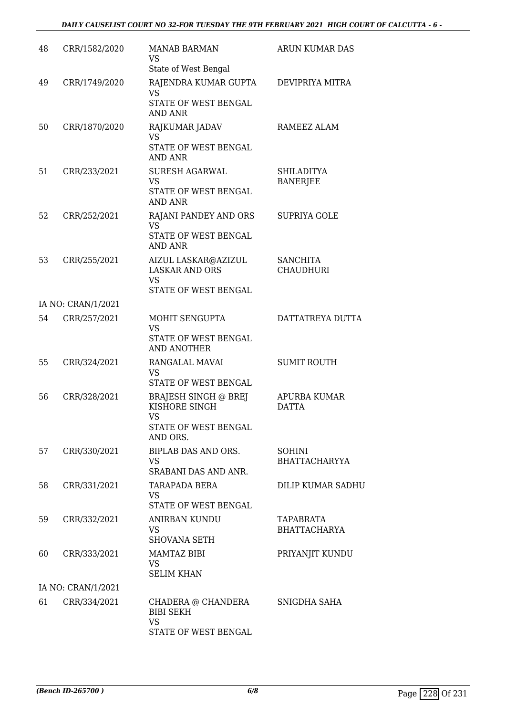| 48 | CRR/1582/2020      | <b>MANAB BARMAN</b><br>VS                                                              | ARUN KUMAR DAS                          |
|----|--------------------|----------------------------------------------------------------------------------------|-----------------------------------------|
| 49 | CRR/1749/2020      | State of West Bengal<br>RAJENDRA KUMAR GUPTA<br><b>VS</b>                              | DEVIPRIYA MITRA                         |
|    |                    | STATE OF WEST BENGAL<br><b>AND ANR</b>                                                 |                                         |
| 50 | CRR/1870/2020      | RAJKUMAR JADAV<br><b>VS</b><br>STATE OF WEST BENGAL                                    | RAMEEZ ALAM                             |
|    |                    | <b>AND ANR</b>                                                                         |                                         |
| 51 | CRR/233/2021       | <b>SURESH AGARWAL</b><br><b>VS</b><br>STATE OF WEST BENGAL<br><b>AND ANR</b>           | SHILADITYA<br><b>BANERJEE</b>           |
| 52 | CRR/252/2021       | RAJANI PANDEY AND ORS<br><b>VS</b><br>STATE OF WEST BENGAL<br><b>AND ANR</b>           | <b>SUPRIYA GOLE</b>                     |
| 53 | CRR/255/2021       | AIZUL LASKAR@AZIZUL<br><b>LASKAR AND ORS</b><br><b>VS</b><br>STATE OF WEST BENGAL      | <b>SANCHITA</b><br><b>CHAUDHURI</b>     |
|    | IA NO: CRAN/1/2021 |                                                                                        |                                         |
| 54 | CRR/257/2021       | MOHIT SENGUPTA<br><b>VS</b><br>STATE OF WEST BENGAL<br><b>AND ANOTHER</b>              | DATTATREYA DUTTA                        |
| 55 | CRR/324/2021       | RANGALAL MAVAI<br><b>VS</b><br>STATE OF WEST BENGAL                                    | <b>SUMIT ROUTH</b>                      |
| 56 | CRR/328/2021       | <b>BRAJESH SINGH @ BREJ</b><br>KISHORE SINGH<br>VS<br>STATE OF WEST BENGAL<br>AND ORS. | APURBA KUMAR<br><b>DATTA</b>            |
| 57 | CRR/330/2021       | BIPLAB DAS AND ORS.<br>VS<br>SRABANI DAS AND ANR.                                      | SOHINI<br><b>BHATTACHARYYA</b>          |
| 58 | CRR/331/2021       | TARAPADA BERA<br><b>VS</b><br>STATE OF WEST BENGAL                                     | <b>DILIP KUMAR SADHU</b>                |
| 59 | CRR/332/2021       | <b>ANIRBAN KUNDU</b><br>VS.<br><b>SHOVANA SETH</b>                                     | <b>TAPABRATA</b><br><b>BHATTACHARYA</b> |
| 60 | CRR/333/2021       | <b>MAMTAZ BIBI</b><br>VS<br><b>SELIM KHAN</b>                                          | PRIYANJIT KUNDU                         |
|    | IA NO: CRAN/1/2021 |                                                                                        |                                         |
| 61 | CRR/334/2021       | CHADERA @ CHANDERA<br><b>BIBI SEKH</b><br><b>VS</b><br>STATE OF WEST BENGAL            | SNIGDHA SAHA                            |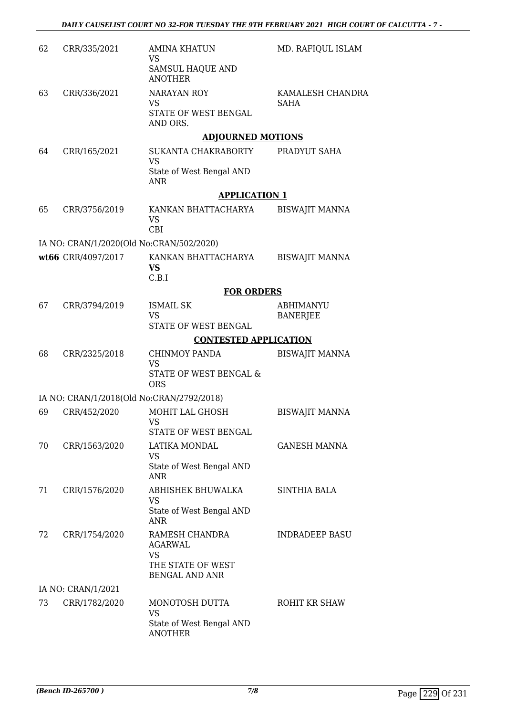| 62 | CRR/335/2021                              | <b>AMINA KHATUN</b><br>VS                                   | MD. RAFIQUL ISLAM                   |
|----|-------------------------------------------|-------------------------------------------------------------|-------------------------------------|
|    |                                           | <b>SAMSUL HAQUE AND</b><br><b>ANOTHER</b>                   |                                     |
| 63 | CRR/336/2021                              | <b>NARAYAN ROY</b><br><b>VS</b>                             | KAMALESH CHANDRA<br><b>SAHA</b>     |
|    |                                           | STATE OF WEST BENGAL<br>AND ORS.                            |                                     |
|    |                                           | <b>ADJOURNED MOTIONS</b>                                    |                                     |
| 64 | CRR/165/2021                              | SUKANTA CHAKRABORTY<br><b>VS</b>                            | PRADYUT SAHA                        |
|    |                                           | State of West Bengal AND<br><b>ANR</b>                      |                                     |
|    |                                           | <b>APPLICATION 1</b>                                        |                                     |
| 65 | CRR/3756/2019                             | KANKAN BHATTACHARYA<br><b>VS</b><br><b>CBI</b>              | <b>BISWAJIT MANNA</b>               |
|    | IA NO: CRAN/1/2020(Old No:CRAN/502/2020)  |                                                             |                                     |
|    | wt66 CRR/4097/2017                        | KANKAN BHATTACHARYA<br><b>VS</b><br>C.B.I                   | <b>BISWAJIT MANNA</b>               |
|    |                                           | <b>FOR ORDERS</b>                                           |                                     |
| 67 | CRR/3794/2019                             | <b>ISMAIL SK</b><br><b>VS</b>                               | <b>ABHIMANYU</b><br><b>BANERJEE</b> |
|    |                                           | STATE OF WEST BENGAL                                        |                                     |
|    |                                           | <b>CONTESTED APPLICATION</b>                                |                                     |
| 68 | CRR/2325/2018                             | <b>CHINMOY PANDA</b><br><b>VS</b>                           | <b>BISWAJIT MANNA</b>               |
|    |                                           | STATE OF WEST BENGAL &<br><b>ORS</b>                        |                                     |
|    | IA NO: CRAN/1/2018(Old No:CRAN/2792/2018) |                                                             |                                     |
| 69 | CRR/452/2020                              | MOHIT LAL GHOSH<br>VS<br>STATE OF WEST BENGAL               | <b>BISWAJIT MANNA</b>               |
| 70 | CRR/1563/2020                             | LATIKA MONDAL                                               | <b>GANESH MANNA</b>                 |
|    |                                           | <b>VS</b><br>State of West Bengal AND                       |                                     |
|    |                                           | <b>ANR</b>                                                  |                                     |
| 71 | CRR/1576/2020                             | ABHISHEK BHUWALKA<br><b>VS</b>                              | <b>SINTHIA BALA</b>                 |
|    |                                           | State of West Bengal AND<br><b>ANR</b>                      |                                     |
| 72 | CRR/1754/2020                             | RAMESH CHANDRA<br>AGARWAL<br><b>VS</b><br>THE STATE OF WEST | <b>INDRADEEP BASU</b>               |
|    |                                           | <b>BENGAL AND ANR</b>                                       |                                     |
|    | IA NO: CRAN/1/2021                        |                                                             |                                     |
| 73 | CRR/1782/2020                             | MONOTOSH DUTTA<br><b>VS</b>                                 | ROHIT KR SHAW                       |
|    |                                           | State of West Bengal AND<br><b>ANOTHER</b>                  |                                     |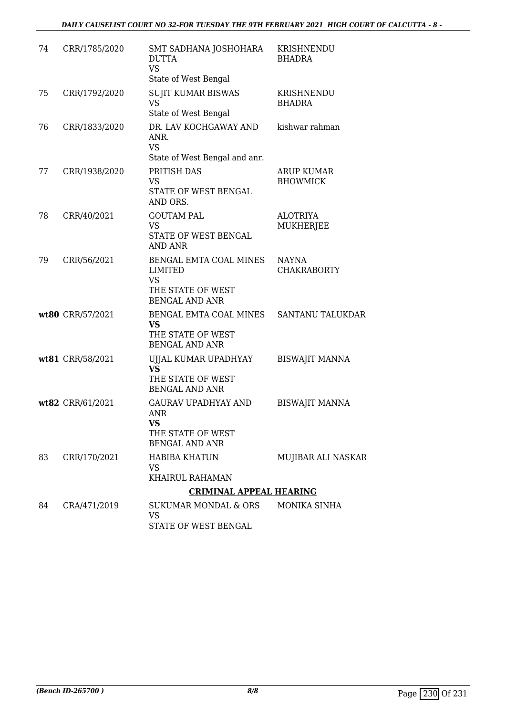### *DAILY CAUSELIST COURT NO 32-FOR TUESDAY THE 9TH FEBRUARY 2021 HIGH COURT OF CALCUTTA - 8 -*

| 74 | CRR/1785/2020    | SMT SADHANA JOSHOHARA<br><b>DUTTA</b><br><b>VS</b>                                                  | KRISHNENDU<br><b>BHADRA</b>          |
|----|------------------|-----------------------------------------------------------------------------------------------------|--------------------------------------|
|    |                  | State of West Bengal                                                                                |                                      |
| 75 | CRR/1792/2020    | <b>SUJIT KUMAR BISWAS</b><br><b>VS</b><br>State of West Bengal                                      | KRISHNENDU<br><b>BHADRA</b>          |
| 76 | CRR/1833/2020    | DR. LAV KOCHGAWAY AND<br>ANR.<br><b>VS</b>                                                          | kishwar rahman                       |
|    |                  | State of West Bengal and anr.                                                                       |                                      |
| 77 | CRR/1938/2020    | PRITISH DAS<br><b>VS</b><br>STATE OF WEST BENGAL<br>AND ORS.                                        | <b>ARUP KUMAR</b><br><b>BHOWMICK</b> |
| 78 | CRR/40/2021      | <b>GOUTAM PAL</b><br><b>VS</b><br>STATE OF WEST BENGAL<br><b>AND ANR</b>                            | <b>ALOTRIYA</b><br>MUKHERJEE         |
| 79 | CRR/56/2021      | BENGAL EMTA COAL MINES<br><b>LIMITED</b><br><b>VS</b><br>THE STATE OF WEST<br><b>BENGAL AND ANR</b> | <b>NAYNA</b><br><b>CHAKRABORTY</b>   |
|    | wt80 CRR/57/2021 | BENGAL EMTA COAL MINES<br><b>VS</b><br>THE STATE OF WEST<br><b>BENGAL AND ANR</b>                   | SANTANU TALUKDAR                     |
|    | wt81 CRR/58/2021 | UJJAL KUMAR UPADHYAY<br><b>VS</b><br>THE STATE OF WEST<br><b>BENGAL AND ANR</b>                     | <b>BISWAJIT MANNA</b>                |
|    | wt82 CRR/61/2021 | <b>GAURAV UPADHYAY AND</b><br>ANR<br><b>VS</b><br>THE STATE OF WEST<br><b>BENGAL AND ANR</b>        | <b>BISWAJIT MANNA</b>                |
| 83 | CRR/170/2021     | <b>HABIBA KHATUN</b><br>VS<br>KHAIRUL RAHAMAN                                                       | MUJIBAR ALI NASKAR                   |
|    |                  | <b>CRIMINAL APPEAL HEARING</b>                                                                      |                                      |
| 84 | CRA/471/2019     | <b>SUKUMAR MONDAL &amp; ORS</b><br>VS<br>STATE OF WEST BENGAL                                       | MONIKA SINHA                         |